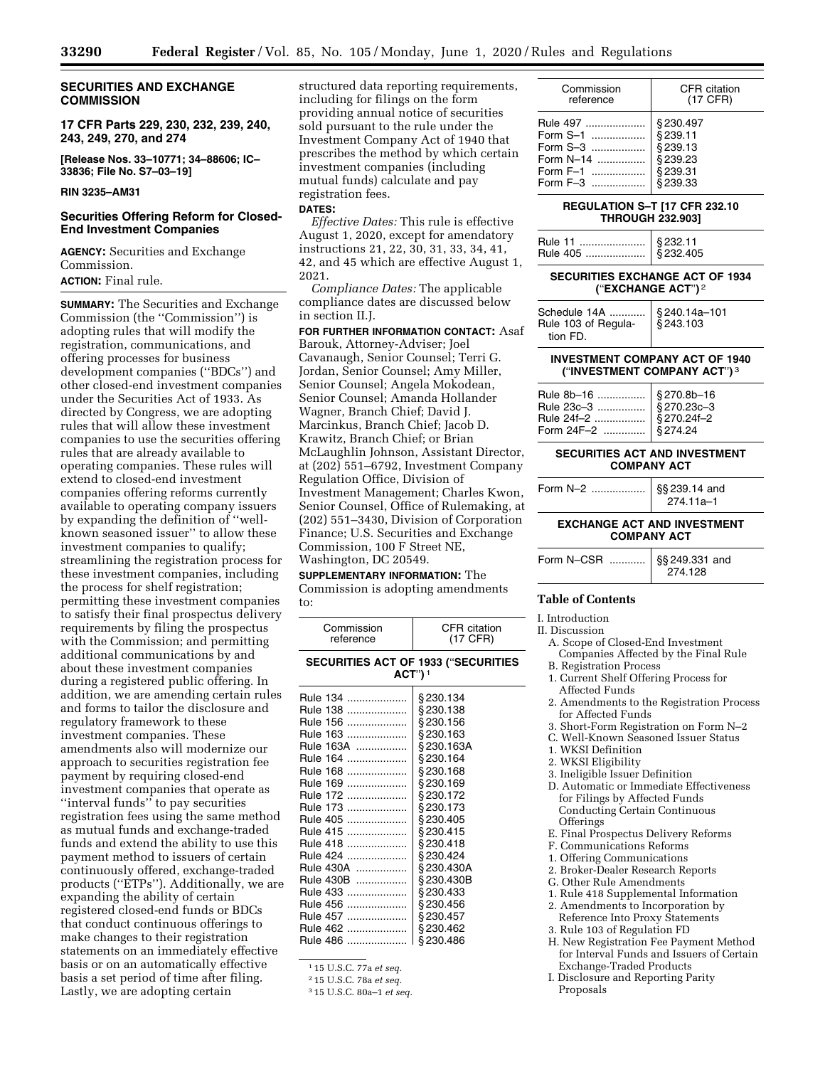### **SECURITIES AND EXCHANGE COMMISSION**

**17 CFR Parts 229, 230, 232, 239, 240, 243, 249, 270, and 274** 

**[Release Nos. 33–10771; 34–88606; IC– 33836; File No. S7–03–19]** 

#### **RIN 3235–AM31**

### **Securities Offering Reform for Closed-End Investment Companies**

**AGENCY:** Securities and Exchange Commission.

### **ACTION:** Final rule.

**SUMMARY:** The Securities and Exchange Commission (the ''Commission'') is adopting rules that will modify the registration, communications, and offering processes for business development companies (''BDCs'') and other closed-end investment companies under the Securities Act of 1933. As directed by Congress, we are adopting rules that will allow these investment companies to use the securities offering rules that are already available to operating companies. These rules will extend to closed-end investment companies offering reforms currently available to operating company issuers by expanding the definition of ''wellknown seasoned issuer'' to allow these investment companies to qualify; streamlining the registration process for these investment companies, including the process for shelf registration; permitting these investment companies to satisfy their final prospectus delivery requirements by filing the prospectus with the Commission; and permitting additional communications by and about these investment companies during a registered public offering. In addition, we are amending certain rules and forms to tailor the disclosure and regulatory framework to these investment companies. These amendments also will modernize our approach to securities registration fee payment by requiring closed-end investment companies that operate as ''interval funds'' to pay securities registration fees using the same method as mutual funds and exchange-traded funds and extend the ability to use this payment method to issuers of certain continuously offered, exchange-traded products (''ETPs''). Additionally, we are expanding the ability of certain registered closed-end funds or BDCs that conduct continuous offerings to make changes to their registration statements on an immediately effective basis or on an automatically effective basis a set period of time after filing. Lastly, we are adopting certain

structured data reporting requirements, including for filings on the form providing annual notice of securities sold pursuant to the rule under the Investment Company Act of 1940 that prescribes the method by which certain investment companies (including mutual funds) calculate and pay registration fees.

#### **DATES:**

*Effective Dates:* This rule is effective August 1, 2020, except for amendatory instructions 21, 22, 30, 31, 33, 34, 41, 42, and 45 which are effective August 1, 2021.

*Compliance Dates:* The applicable compliance dates are discussed below in section II.J.

**FOR FURTHER INFORMATION CONTACT:** Asaf Barouk, Attorney-Adviser; Joel Cavanaugh, Senior Counsel; Terri G. Jordan, Senior Counsel; Amy Miller, Senior Counsel; Angela Mokodean, Senior Counsel; Amanda Hollander Wagner, Branch Chief; David J. Marcinkus, Branch Chief; Jacob D. Krawitz, Branch Chief; or Brian McLaughlin Johnson, Assistant Director, at (202) 551–6792, Investment Company Regulation Office, Division of Investment Management; Charles Kwon, Senior Counsel, Office of Rulemaking, at (202) 551–3430, Division of Corporation Finance; U.S. Securities and Exchange Commission, 100 F Street NE, Washington, DC 20549.

#### **SUPPLEMENTARY INFORMATION:** The

Commission is adopting amendments to:

| <b>CFR</b> citation<br>(17 CFR)                                                                                                                                                                                                                  |  |  |  |
|--------------------------------------------------------------------------------------------------------------------------------------------------------------------------------------------------------------------------------------------------|--|--|--|
| <b>SECURITIES ACT OF 1933 ("SECURITIES</b><br>$ACT$ ") <sup>1</sup>                                                                                                                                                                              |  |  |  |
| § 230.134<br>§230.138<br>§230.156<br>§230.163<br>§230.163A<br>§230.164<br>§230.168<br>§230.169<br>§230.172<br>§230.173<br>§230.405<br>§230.415<br>§230.418<br>§230.424<br>§230.430A<br>§230.430B<br>§230.433<br>§230.456<br>§230.457<br>§230.462 |  |  |  |
| §230.486                                                                                                                                                                                                                                         |  |  |  |
|                                                                                                                                                                                                                                                  |  |  |  |

1 15 U.S.C. 77a *et seq.* 

2 15 U.S.C. 78a *et seq.* 

3 15 U.S.C. 80a–1 *et seq.* 

| Commission  | CFR citation |
|-------------|--------------|
| reference   | (17 CFR)     |
| Rule 497    | §230.497     |
| Form S-1    | §239.11      |
|             | §239.13      |
| Form $N=14$ | \$239.23     |
| Form $F-1$  | §239.31      |
| Form $F-3$  | \$239.33     |

### **REGULATION S–T [17 CFR 232.10 THROUGH 232.903]**

| § 232.11 |
|----------|
|          |

### **SECURITIES EXCHANGE ACT OF 1934 (**''**EXCHANGE ACT**''**)** 2

| Schedule 14A    § 240.14a-101<br>Rule 103 of Regula-   § 243.103<br>tion FD. |  |
|------------------------------------------------------------------------------|--|
|------------------------------------------------------------------------------|--|

#### **INVESTMENT COMPANY ACT OF 1940 (**''**INVESTMENT COMPANY ACT**''**)** 3

#### **SECURITIES ACT AND INVESTMENT COMPANY ACT**

| Form N-2 | §§ 239.14 and<br>274.11a-1 |
|----------|----------------------------|
|----------|----------------------------|

### **EXCHANGE ACT AND INVESTMENT COMPANY ACT**

| Form N-CSR    §§ 249.331 and | 274.128 |
|------------------------------|---------|
|                              |         |

### **Table of Contents**

## I. Introduction

II. Discussion

A. Scope of Closed-End Investment Companies Affected by the Final Rule

- B. Registration Process
- 1. Current Shelf Offering Process for Affected Funds
- 2. Amendments to the Registration Process for Affected Funds
- 3. Short-Form Registration on Form N–2
- C. Well-Known Seasoned Issuer Status
- 1. WKSI Definition
- 2. WKSI Eligibility
- 3. Ineligible Issuer Definition
- D. Automatic or Immediate Effectiveness for Filings by Affected Funds Conducting Certain Continuous **Offerings**
- E. Final Prospectus Delivery Reforms
- F. Communications Reforms
- 1. Offering Communications
- 2. Broker-Dealer Research Reports
- G. Other Rule Amendments
- 1. Rule 418 Supplemental Information
- 2. Amendments to Incorporation by Reference Into Proxy Statements
- 3. Rule 103 of Regulation FD
- H. New Registration Fee Payment Method for Interval Funds and Issuers of Certain Exchange-Traded Products
- I. Disclosure and Reporting Parity Proposals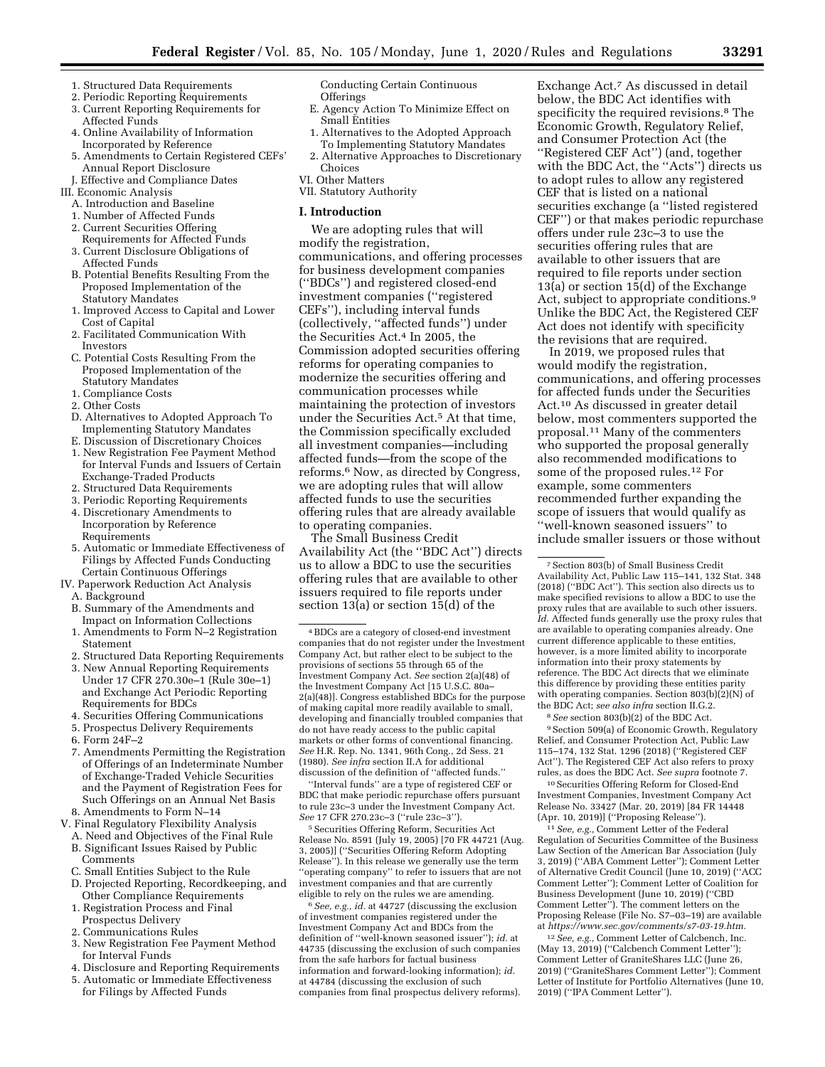- 1. Structured Data Requirements
- 2. Periodic Reporting Requirements 3. Current Reporting Requirements for Affected Funds
- 4. Online Availability of Information Incorporated by Reference
- 5. Amendments to Certain Registered CEFs' Annual Report Disclosure
- J. Effective and Compliance Dates III. Economic Analysis
	- A. Introduction and Baseline
	- 1. Number of Affected Funds
	- 2. Current Securities Offering
	- Requirements for Affected Funds
	- 3. Current Disclosure Obligations of Affected Funds
	- B. Potential Benefits Resulting From the Proposed Implementation of the Statutory Mandates
	- 1. Improved Access to Capital and Lower Cost of Capital
	- 2. Facilitated Communication With Investors
	- C. Potential Costs Resulting From the Proposed Implementation of the Statutory Mandates
	- 1. Compliance Costs
	- 2. Other Costs
	- D. Alternatives to Adopted Approach To Implementing Statutory Mandates
	- E. Discussion of Discretionary Choices
	- 1. New Registration Fee Payment Method for Interval Funds and Issuers of Certain Exchange-Traded Products
	- 2. Structured Data Requirements
	- 3. Periodic Reporting Requirements
	- 4. Discretionary Amendments to Incorporation by Reference Requirements
	- 5. Automatic or Immediate Effectiveness of Filings by Affected Funds Conducting Certain Continuous Offerings
- IV. Paperwork Reduction Act Analysis A. Background
	-
	- B. Summary of the Amendments and Impact on Information Collections
	- 1. Amendments to Form N–2 Registration Statement
	- 2. Structured Data Reporting Requirements
	- 3. New Annual Reporting Requirements Under 17 CFR 270.30e–1 (Rule 30e–1) and Exchange Act Periodic Reporting Requirements for BDCs
	- 4. Securities Offering Communications
	- 5. Prospectus Delivery Requirements
	- 6. Form 24F–2
	- 7. Amendments Permitting the Registration of Offerings of an Indeterminate Number of Exchange-Traded Vehicle Securities and the Payment of Registration Fees for Such Offerings on an Annual Net Basis 8. Amendments to Form N–14
- 
- V. Final Regulatory Flexibility Analysis A. Need and Objectives of the Final Rule
	- B. Significant Issues Raised by Public Comments
	- C. Small Entities Subject to the Rule D. Projected Reporting, Recordkeeping, and
	- Other Compliance Requirements 1. Registration Process and Final
	- Prospectus Delivery
	- 2. Communications Rules
	- 3. New Registration Fee Payment Method for Interval Funds
	- 4. Disclosure and Reporting Requirements
	- 5. Automatic or Immediate Effectiveness for Filings by Affected Funds

Conducting Certain Continuous Offerings

- E. Agency Action To Minimize Effect on Small Entities
- 1. Alternatives to the Adopted Approach To Implementing Statutory Mandates
- 2. Alternative Approaches to Discretionary Choices
- VI. Other Matters
- VII. Statutory Authority

#### **I. Introduction**

We are adopting rules that will modify the registration, communications, and offering processes for business development companies (''BDCs'') and registered closed-end investment companies (''registered CEFs''), including interval funds (collectively, ''affected funds'') under the Securities Act.4 In 2005, the Commission adopted securities offering reforms for operating companies to modernize the securities offering and communication processes while maintaining the protection of investors under the Securities Act.5 At that time, the Commission specifically excluded all investment companies—including affected funds—from the scope of the reforms.6 Now, as directed by Congress, we are adopting rules that will allow affected funds to use the securities offering rules that are already available to operating companies.

The Small Business Credit Availability Act (the ''BDC Act'') directs us to allow a BDC to use the securities offering rules that are available to other issuers required to file reports under section 13(a) or section 15(d) of the

''Interval funds'' are a type of registered CEF or BDC that make periodic repurchase offers pursuant to rule 23c–3 under the Investment Company Act. *See* 17 CFR 270.23c–3 (''rule 23c–3'').

5Securities Offering Reform, Securities Act Release No. 8591 (July 19, 2005) [70 FR 44721 (Aug. 3, 2005)] (''Securities Offering Reform Adopting Release''). In this release we generally use the term ''operating company'' to refer to issuers that are not investment companies and that are currently eligible to rely on the rules we are amending.

6*See, e.g., id.* at 44727 (discussing the exclusion of investment companies registered under the Investment Company Act and BDCs from the definition of ''well-known seasoned issuer''); *id.* at 44735 (discussing the exclusion of such companies from the safe harbors for factual business information and forward-looking information); *id.*  at 44784 (discussing the exclusion of such companies from final prospectus delivery reforms).

Exchange Act.7 As discussed in detail below, the BDC Act identifies with specificity the required revisions.8 The Economic Growth, Regulatory Relief, and Consumer Protection Act (the ''Registered CEF Act'') (and, together with the BDC Act, the "Acts" directs us to adopt rules to allow any registered CEF that is listed on a national securities exchange (a ''listed registered CEF'') or that makes periodic repurchase offers under rule 23c–3 to use the securities offering rules that are available to other issuers that are required to file reports under section 13(a) or section 15(d) of the Exchange Act, subject to appropriate conditions.9 Unlike the BDC Act, the Registered CEF Act does not identify with specificity the revisions that are required.

In 2019, we proposed rules that would modify the registration, communications, and offering processes for affected funds under the Securities Act.10 As discussed in greater detail below, most commenters supported the proposal.11 Many of the commenters who supported the proposal generally also recommended modifications to some of the proposed rules.12 For example, some commenters recommended further expanding the scope of issuers that would qualify as ''well-known seasoned issuers'' to include smaller issuers or those without

8*See* section 803(b)(2) of the BDC Act. 9Section 509(a) of Economic Growth, Regulatory Relief, and Consumer Protection Act, Public Law 115–174, 132 Stat. 1296 (2018) (''Registered CEF Act''). The Registered CEF Act also refers to proxy rules, as does the BDC Act. *See supra* footnote 7.

10Securities Offering Reform for Closed-End Investment Companies, Investment Company Act Release No. 33427 (Mar. 20, 2019) [84 FR 14448 (Apr. 10, 2019)] (''Proposing Release'').

11*See, e.g.,* Comment Letter of the Federal Regulation of Securities Committee of the Business Law Section of the American Bar Association (July 3, 2019) (''ABA Comment Letter''); Comment Letter of Alternative Credit Council (June 10, 2019) (''ACC Comment Letter''); Comment Letter of Coalition for Business Development (June 10, 2019) (''CBD Comment Letter''). The comment letters on the Proposing Release (File No. S7–03–19) are available at *[https://www.sec.gov/comments/s7-03-19.htm.](https://www.sec.gov/comments/s7-03-19.htm)* 

12*See, e.g.,* Comment Letter of Calcbench, Inc. (May 13, 2019) (''Calcbench Comment Letter''); Comment Letter of GraniteShares LLC (June 26, 2019) (''GraniteShares Comment Letter''); Comment Letter of Institute for Portfolio Alternatives (June 10, 2019) (''IPA Comment Letter'').

<sup>4</sup>BDCs are a category of closed-end investment companies that do not register under the Investment Company Act, but rather elect to be subject to the provisions of sections 55 through 65 of the Investment Company Act. *See* section 2(a)(48) of the Investment Company Act [15 U.S.C. 80a– 2(a)(48)]. Congress established BDCs for the purpose of making capital more readily available to small, developing and financially troubled companies that do not have ready access to the public capital markets or other forms of conventional financing. *See* H.R. Rep. No. 1341, 96th Cong., 2d Sess. 21 (1980). *See infra* section II.A for additional discussion of the definition of ''affected funds.''

<sup>7</sup>Section 803(b) of Small Business Credit Availability Act, Public Law 115–141, 132 Stat. 348 (2018) (''BDC Act''). This section also directs us to make specified revisions to allow a BDC to use the proxy rules that are available to such other issuers. *Id.* Affected funds generally use the proxy rules that are available to operating companies already. One current difference applicable to these entities, however, is a more limited ability to incorporate information into their proxy statements by reference. The BDC Act directs that we eliminate this difference by providing these entities parity with operating companies. Section 803(b)(2)(N) of the BDC Act; *see also infra* section II.G.2.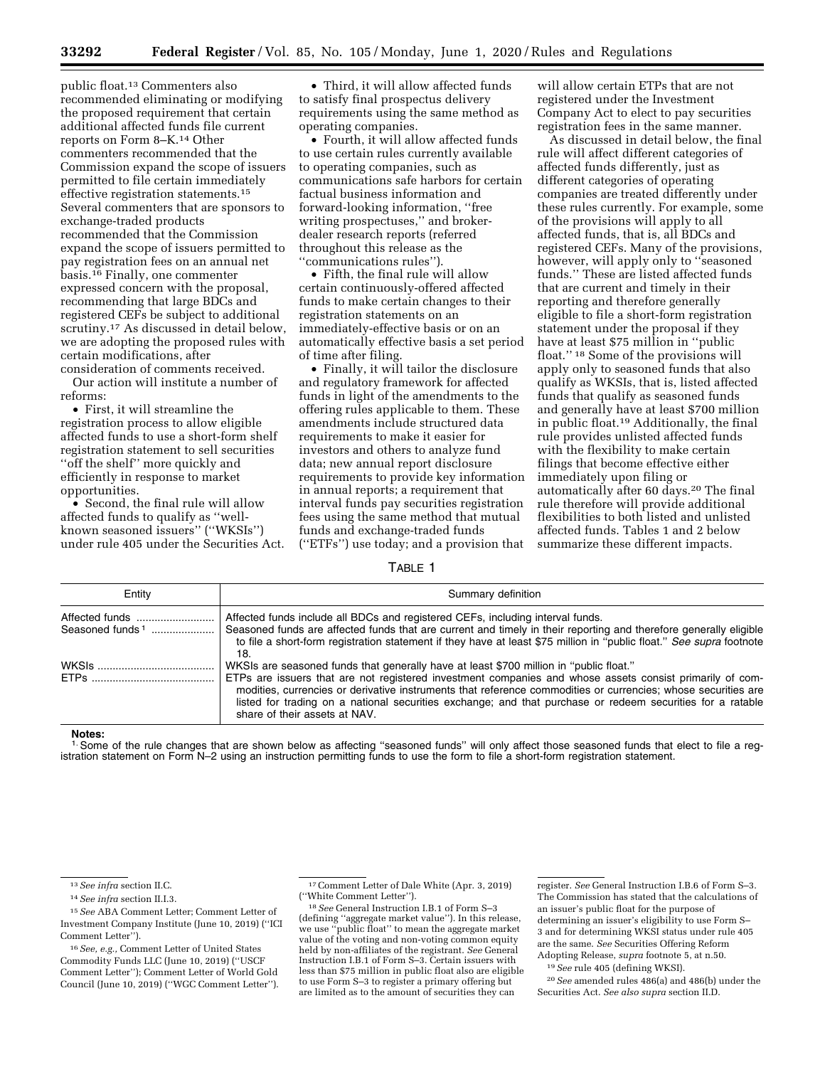public float.13 Commenters also recommended eliminating or modifying the proposed requirement that certain additional affected funds file current reports on Form 8–K.14 Other commenters recommended that the Commission expand the scope of issuers permitted to file certain immediately effective registration statements.15 Several commenters that are sponsors to exchange-traded products recommended that the Commission expand the scope of issuers permitted to pay registration fees on an annual net basis.16 Finally, one commenter expressed concern with the proposal, recommending that large BDCs and registered CEFs be subject to additional scrutiny.17 As discussed in detail below, we are adopting the proposed rules with certain modifications, after consideration of comments received.

Our action will institute a number of reforms:

• First, it will streamline the registration process to allow eligible affected funds to use a short-form shelf registration statement to sell securities ''off the shelf'' more quickly and efficiently in response to market opportunities.

• Second, the final rule will allow affected funds to qualify as ''wellknown seasoned issuers'' (''WKSIs'') under rule 405 under the Securities Act.

• Third, it will allow affected funds to satisfy final prospectus delivery requirements using the same method as operating companies.

• Fourth, it will allow affected funds to use certain rules currently available to operating companies, such as communications safe harbors for certain factual business information and forward-looking information, ''free writing prospectuses,'' and brokerdealer research reports (referred throughout this release as the ''communications rules'').

• Fifth, the final rule will allow certain continuously-offered affected funds to make certain changes to their registration statements on an immediately-effective basis or on an automatically effective basis a set period of time after filing.

• Finally, it will tailor the disclosure and regulatory framework for affected funds in light of the amendments to the offering rules applicable to them. These amendments include structured data requirements to make it easier for investors and others to analyze fund data; new annual report disclosure requirements to provide key information in annual reports; a requirement that interval funds pay securities registration fees using the same method that mutual funds and exchange-traded funds (''ETFs'') use today; and a provision that

will allow certain ETPs that are not registered under the Investment Company Act to elect to pay securities registration fees in the same manner.

As discussed in detail below, the final rule will affect different categories of affected funds differently, just as different categories of operating companies are treated differently under these rules currently. For example, some of the provisions will apply to all affected funds, that is, all BDCs and registered CEFs. Many of the provisions, however, will apply only to ''seasoned funds.'' These are listed affected funds that are current and timely in their reporting and therefore generally eligible to file a short-form registration statement under the proposal if they have at least \$75 million in ''public float.'' 18 Some of the provisions will apply only to seasoned funds that also qualify as WKSIs, that is, listed affected funds that qualify as seasoned funds and generally have at least \$700 million in public float.19 Additionally, the final rule provides unlisted affected funds with the flexibility to make certain filings that become effective either immediately upon filing or automatically after 60 days.20 The final rule therefore will provide additional flexibilities to both listed and unlisted affected funds. Tables 1 and 2 below summarize these different impacts.

TABLE 1

| Entity                                        | Summary definition                                                                                                                                                                                                                                                                                                                                                                                                                                                 |
|-----------------------------------------------|--------------------------------------------------------------------------------------------------------------------------------------------------------------------------------------------------------------------------------------------------------------------------------------------------------------------------------------------------------------------------------------------------------------------------------------------------------------------|
| Affected funds<br>Seasoned funds <sup>1</sup> | Affected funds include all BDCs and registered CEFs, including interval funds.<br>Seasoned funds are affected funds that are current and timely in their reporting and therefore generally eligible<br>to file a short-form registration statement if they have at least \$75 million in "public float." See supra footnote<br>18.                                                                                                                                 |
|                                               | WKSIs are seasoned funds that generally have at least \$700 million in "public float."<br>ETPs are issuers that are not registered investment companies and whose assets consist primarily of com-<br>modities, currencies or derivative instruments that reference commodities or currencies; whose securities are<br>listed for trading on a national securities exchange; and that purchase or redeem securities for a ratable<br>share of their assets at NAV. |

#### **Notes:**

<sup>1.</sup> Some of the rule changes that are shown below as affecting "seasoned funds" will only affect those seasoned funds that elect to file a registration statement on Form N–2 using an instruction permitting funds to use the form to file a short-form registration statement.

register. *See* General Instruction I.B.6 of Form S–3. The Commission has stated that the calculations of an issuer's public float for the purpose of determining an issuer's eligibility to use Form S– 3 and for determining WKSI status under rule 405 are the same. *See* Securities Offering Reform Adopting Release, *supra* footnote 5, at n.50.

19*See* rule 405 (defining WKSI).

20*See* amended rules 486(a) and 486(b) under the Securities Act. *See also supra* section II.D.

<sup>13</sup>*See infra* section II.C.

<sup>14</sup>*See infra* section II.I.3.

<sup>15</sup>*See* ABA Comment Letter; Comment Letter of Investment Company Institute (June 10, 2019) (''ICI Comment Letter'').

<sup>16</sup>*See, e.g.,* Comment Letter of United States Commodity Funds LLC (June 10, 2019) (''USCF Comment Letter''); Comment Letter of World Gold Council (June 10, 2019) (''WGC Comment Letter'').

<sup>&</sup>lt;sup>17</sup> Comment Letter of Dale White (Apr. 3, 2019)<br>("White Comment Letter").

<sup>&</sup>lt;sup>18</sup> See General Instruction I.B.1 of Form S–3 (defining ''aggregate market value''). In this release, we use ''public float'' to mean the aggregate market value of the voting and non-voting common equity held by non-affiliates of the registrant. *See* General Instruction I.B.1 of Form S–3. Certain issuers with less than \$75 million in public float also are eligible to use Form S–3 to register a primary offering but are limited as to the amount of securities they can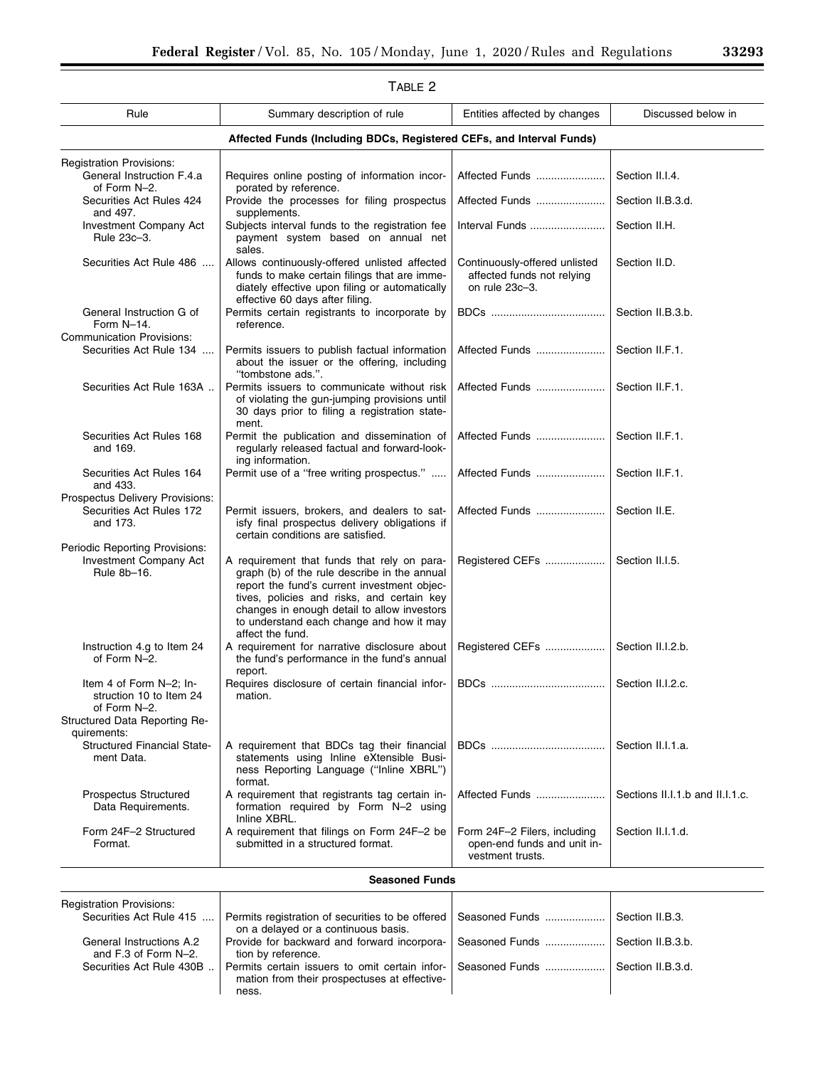| <b>TABLE 2</b>                                                                                      |                                                                                                                                                                                                                                                                                                         |                                                                                 |                                 |
|-----------------------------------------------------------------------------------------------------|---------------------------------------------------------------------------------------------------------------------------------------------------------------------------------------------------------------------------------------------------------------------------------------------------------|---------------------------------------------------------------------------------|---------------------------------|
| Rule                                                                                                | Summary description of rule                                                                                                                                                                                                                                                                             | Entities affected by changes                                                    | Discussed below in              |
|                                                                                                     | Affected Funds (Including BDCs, Registered CEFs, and Interval Funds)                                                                                                                                                                                                                                    |                                                                                 |                                 |
| <b>Registration Provisions:</b>                                                                     |                                                                                                                                                                                                                                                                                                         |                                                                                 |                                 |
| General Instruction F.4.a<br>of Form N-2.                                                           | Requires online posting of information incor-<br>porated by reference.                                                                                                                                                                                                                                  | Affected Funds                                                                  | Section II.I.4.                 |
| Securities Act Rules 424<br>and 497.                                                                | Provide the processes for filing prospectus<br>supplements.                                                                                                                                                                                                                                             | Affected Funds                                                                  | Section II.B.3.d.               |
| Investment Company Act<br>Rule 23c-3.                                                               | Subjects interval funds to the registration fee<br>payment system based on annual net<br>sales.                                                                                                                                                                                                         | Interval Funds                                                                  | Section II.H.                   |
| Securities Act Rule 486                                                                             | Allows continuously-offered unlisted affected<br>funds to make certain filings that are imme-<br>diately effective upon filing or automatically<br>effective 60 days after filing.                                                                                                                      | Continuously-offered unlisted<br>affected funds not relying<br>on rule 23c-3.   | Section II.D.                   |
| General Instruction G of<br>Form N-14.<br><b>Communication Provisions:</b>                          | Permits certain registrants to incorporate by<br>reference.                                                                                                                                                                                                                                             |                                                                                 | Section II.B.3.b.               |
| Securities Act Rule 134                                                                             | Permits issuers to publish factual information<br>about the issuer or the offering, including<br>"tombstone ads.".                                                                                                                                                                                      | Affected Funds                                                                  | Section II.F.1.                 |
| Securities Act Rule 163A                                                                            | Permits issuers to communicate without risk<br>of violating the gun-jumping provisions until<br>30 days prior to filing a registration state-<br>ment.                                                                                                                                                  | Affected Funds                                                                  | Section II.F.1.                 |
| Securities Act Rules 168<br>and 169.                                                                | Permit the publication and dissemination of<br>regularly released factual and forward-look-<br>ing information.                                                                                                                                                                                         | Affected Funds                                                                  | Section II.F.1.                 |
| Securities Act Rules 164<br>and 433.                                                                | Permit use of a "free writing prospectus."                                                                                                                                                                                                                                                              | Affected Funds                                                                  | Section II.F.1.                 |
| Prospectus Delivery Provisions:<br>Securities Act Rules 172<br>and 173.                             | Permit issuers, brokers, and dealers to sat-<br>isfy final prospectus delivery obligations if<br>certain conditions are satisfied.                                                                                                                                                                      | Affected Funds                                                                  | Section II.E.                   |
| Periodic Reporting Provisions:<br>Investment Company Act<br>Rule 8b-16.                             | A requirement that funds that rely on para-<br>graph (b) of the rule describe in the annual<br>report the fund's current investment objec-<br>tives, policies and risks, and certain key<br>changes in enough detail to allow investors<br>to understand each change and how it may<br>affect the fund. | Registered CEFs                                                                 | Section II.I.5.                 |
| Instruction 4.g to Item 24<br>of Form N-2.                                                          | A requirement for narrative disclosure about<br>the fund's performance in the fund's annual<br>report.                                                                                                                                                                                                  | Registered CEFs                                                                 | Section II.I.2.b.               |
| Item 4 of Form N-2; In-<br>struction 10 to Item 24<br>of Form N-2.<br>Structured Data Reporting Re- | Requires disclosure of certain financial infor-<br>mation.                                                                                                                                                                                                                                              |                                                                                 | Section II.I.2.c.               |
| quirements:                                                                                         |                                                                                                                                                                                                                                                                                                         |                                                                                 |                                 |
| <b>Structured Financial State-</b><br>ment Data.                                                    | A requirement that BDCs tag their financial<br>statements using Inline eXtensible Busi-<br>ness Reporting Language ("Inline XBRL")<br>format.                                                                                                                                                           |                                                                                 | Section II.I.1.a.               |
| Prospectus Structured<br>Data Requirements.                                                         | A requirement that registrants tag certain in-<br>formation required by Form N-2 using<br>Inline XBRL.                                                                                                                                                                                                  | Affected Funds                                                                  | Sections II.I.1.b and II.I.1.c. |
| Form 24F-2 Structured<br>Format.                                                                    | A requirement that filings on Form 24F-2 be<br>submitted in a structured format.                                                                                                                                                                                                                        | Form 24F-2 Filers, including<br>open-end funds and unit in-<br>vestment trusts. | Section II.I.1.d.               |
| <b>Seasoned Funds</b>                                                                               |                                                                                                                                                                                                                                                                                                         |                                                                                 |                                 |

# $T$ ABLE 2

| <b>Registration Provisions:</b>                  |                                                                                                               |                   |
|--------------------------------------------------|---------------------------------------------------------------------------------------------------------------|-------------------|
| Securities Act Rule 415                          | Permits registration of securities to be offered   Seasoned Funds<br>on a delayed or a continuous basis.      | Section II.B.3.   |
| General Instructions A.2<br>and F.3 of Form N-2. | Provide for backward and forward incorpora- Seasoned Funds<br>tion by reference.                              | Section II.B.3.b. |
| Securities Act Rule 430B                         | Permits certain issuers to omit certain infor- Seasoned Funds<br>mation from their prospectuses at effective- | Section II.B.3.d. |
|                                                  | ness.                                                                                                         |                   |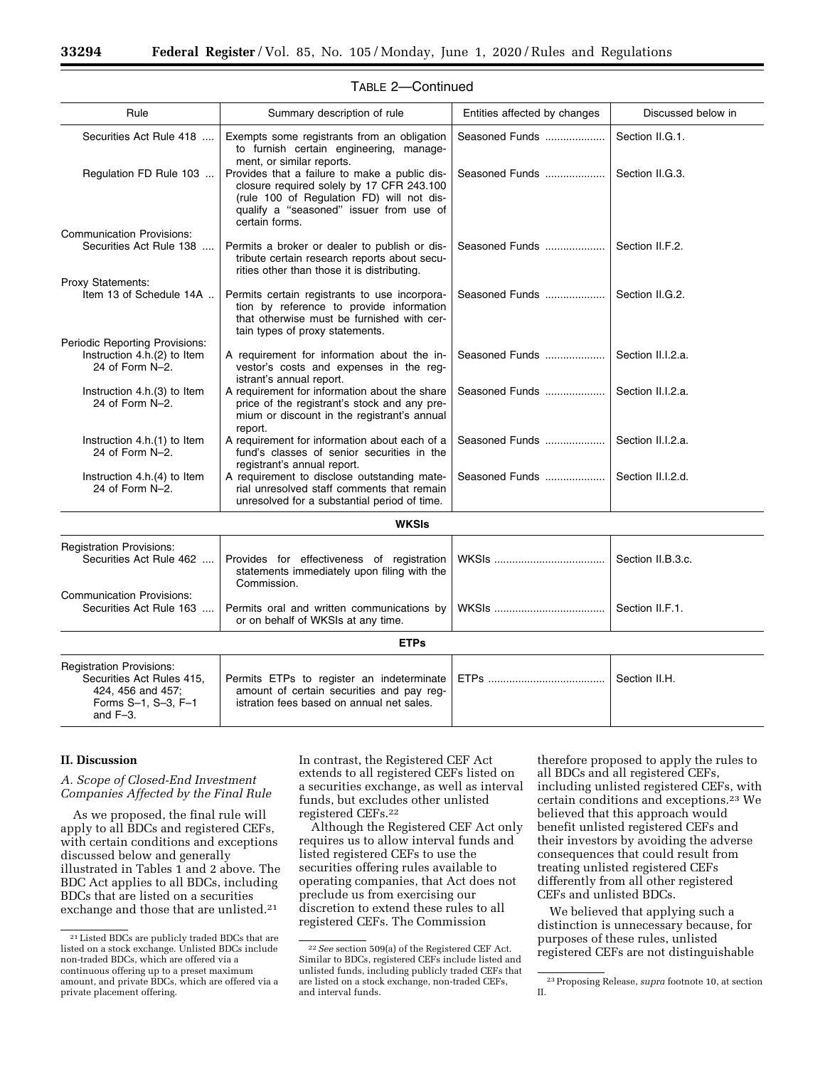| Rule                                                                               | Summary description of rule                                                                                                                                                                          | Entities affected by changes | Discussed below in |
|------------------------------------------------------------------------------------|------------------------------------------------------------------------------------------------------------------------------------------------------------------------------------------------------|------------------------------|--------------------|
| Securities Act Rule 418                                                            | Exempts some registrants from an obligation<br>to furnish certain engineering, manage-<br>ment, or similar reports.                                                                                  | Seasoned Funds               | Section II.G.1.    |
| Regulation FD Rule 103                                                             | Provides that a failure to make a public dis-<br>closure required solely by 17 CFR 243.100<br>(rule 100 of Regulation FD) will not dis-<br>qualify a "seasoned" issuer from use of<br>certain forms. | Seasoned Funds               | Section II.G.3.    |
| <b>Communication Provisions:</b>                                                   |                                                                                                                                                                                                      |                              |                    |
| Securities Act Rule 138                                                            | Permits a broker or dealer to publish or dis-<br>tribute certain research reports about secu-<br>rities other than those it is distributing.                                                         | Seasoned Funds               | Section II.F.2.    |
| Proxy Statements:                                                                  |                                                                                                                                                                                                      |                              |                    |
| Item 13 of Schedule 14A                                                            | Permits certain registrants to use incorpora-<br>tion by reference to provide information<br>that otherwise must be furnished with cer-<br>tain types of proxy statements.                           | Seasoned Funds               | Section II.G.2.    |
| Periodic Reporting Provisions:                                                     |                                                                                                                                                                                                      |                              |                    |
| Instruction 4.h.(2) to Item<br>24 of Form N-2.                                     | A requirement for information about the in-<br>vestor's costs and expenses in the req-<br>istrant's annual report.                                                                                   | Seasoned Funds               | Section II.I.2.a.  |
| Instruction 4.h.(3) to Item<br>24 of Form N-2.                                     | A requirement for information about the share<br>price of the registrant's stock and any pre-<br>mium or discount in the registrant's annual<br>report.                                              | Seasoned Funds               | Section II.I.2.a.  |
| Instruction 4.h.(1) to Item<br>24 of Form N-2.                                     | A requirement for information about each of a<br>fund's classes of senior securities in the<br>registrant's annual report.                                                                           | Seasoned Funds               | Section II.I.2.a.  |
| Instruction 4.h.(4) to Item<br>24 of Form N-2.                                     | A requirement to disclose outstanding mate-<br>rial unresolved staff comments that remain<br>unresolved for a substantial period of time.                                                            | Seasoned Funds               | Section II.I.2.d.  |
|                                                                                    | <b>WKSIs</b>                                                                                                                                                                                         |                              |                    |
|                                                                                    |                                                                                                                                                                                                      |                              |                    |
| <b>Registration Provisions:</b><br>Securities Act Rule 462                         | Provides for effectiveness of registration<br>statements immediately upon filing with the<br>Commission.                                                                                             |                              | Section II.B.3.c.  |
| <b>Communication Provisions:</b><br>Securities Act Rule 163                        | Permits oral and written communications by<br>or on behalf of WKSIs at any time.                                                                                                                     |                              | Section II.F.1.    |
|                                                                                    | <b>ETPs</b>                                                                                                                                                                                          |                              |                    |
| <b>Registration Provisions:</b>                                                    |                                                                                                                                                                                                      |                              |                    |
| Securities Act Rules 415,<br>424, 456 and 457;<br>Forms S-1, S-3, F-1<br>and $F=3$ | Permits ETPs to register an indeterminate<br>amount of certain securities and pay req-<br>istration fees based on annual net sales.                                                                  |                              | Section II.H.      |

#### TABLE 2—Continued

#### **II. Discussion**

## *A. Scope of Closed-End Investment Companies Affected by the Final Rule*

As we proposed, the final rule will apply to all BDCs and registered CEFs, with certain conditions and exceptions discussed below and generally illustrated in Tables 1 and 2 above. The BDC Act applies to all BDCs, including BDCs that are listed on a securities exchange and those that are unlisted.21

In contrast, the Registered CEF Act extends to all registered CEFs listed on a securities exchange, as well as interval funds, but excludes other unlisted registered CEFs.22

Although the Registered CEF Act only requires us to allow interval funds and listed registered CEFs to use the securities offering rules available to operating companies, that Act does not preclude us from exercising our discretion to extend these rules to all registered CEFs. The Commission

therefore proposed to apply the rules to all BDCs and all registered CEFs, including unlisted registered CEFs, with certain conditions and exceptions.23 We believed that this approach would benefit unlisted registered CEFs and their investors by avoiding the adverse consequences that could result from treating unlisted registered CEFs differently from all other registered CEFs and unlisted BDCs.

We believed that applying such a distinction is unnecessary because, for purposes of these rules, unlisted registered CEFs are not distinguishable

<sup>21</sup>Listed BDCs are publicly traded BDCs that are listed on a stock exchange. Unlisted BDCs include non-traded BDCs, which are offered via a continuous offering up to a preset maximum amount, and private BDCs, which are offered via a private placement offering.

<sup>22</sup>*See* section 509(a) of the Registered CEF Act. Similar to BDCs, registered CEFs include listed and unlisted funds, including publicly traded CEFs that are listed on a stock exchange, non-traded CEFs, and interval funds.

<sup>23</sup>Proposing Release, *supra* footnote 10, at section II.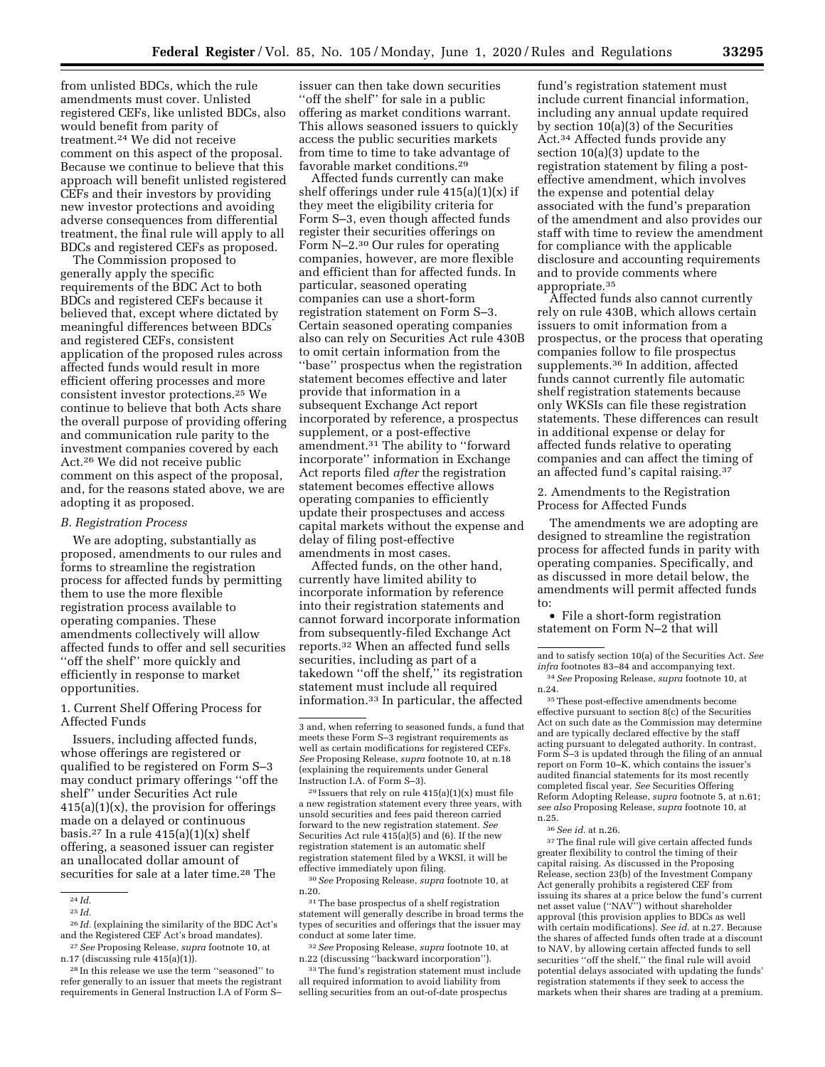from time to time to take advantage of

issuer can then take down securities ''off the shelf'' for sale in a public offering as market conditions warrant. This allows seasoned issuers to quickly access the public securities markets

favorable market conditions.29 Affected funds currently can make shelf offerings under rule  $415(a)(1)(x)$  if they meet the eligibility criteria for Form S–3, even though affected funds register their securities offerings on Form N–2.30 Our rules for operating companies, however, are more flexible and efficient than for affected funds. In particular, seasoned operating companies can use a short-form registration statement on Form S–3. Certain seasoned operating companies also can rely on Securities Act rule 430B to omit certain information from the ''base'' prospectus when the registration statement becomes effective and later provide that information in a subsequent Exchange Act report incorporated by reference, a prospectus supplement, or a post-effective amendment.31 The ability to ''forward incorporate'' information in Exchange Act reports filed *after* the registration statement becomes effective allows operating companies to efficiently update their prospectuses and access capital markets without the expense and delay of filing post-effective amendments in most cases.

Affected funds, on the other hand, currently have limited ability to incorporate information by reference into their registration statements and cannot forward incorporate information from subsequently-filed Exchange Act reports.32 When an affected fund sells securities, including as part of a takedown ''off the shelf,'' its registration statement must include all required information.33 In particular, the affected

 $29$  Issuers that rely on rule  $415(a)(1)(x)$  must file a new registration statement every three years, with unsold securities and fees paid thereon carried forward to the new registration statement. *See*  Securities Act rule 415(a)(5) and (6). If the new registration statement is an automatic shelf registration statement filed by a WKSI, it will be effective immediately upon filing.

30*See* Proposing Release, *supra* footnote 10, at n.20.

31The base prospectus of a shelf registration statement will generally describe in broad terms the types of securities and offerings that the issuer may conduct at some later time.

32*See* Proposing Release, *supra* footnote 10, at n.22 (discussing ''backward incorporation'').

33The fund's registration statement must include all required information to avoid liability from selling securities from an out-of-date prospectus

fund's registration statement must include current financial information, including any annual update required by section 10(a)(3) of the Securities Act.34 Affected funds provide any section 10(a)(3) update to the registration statement by filing a posteffective amendment, which involves the expense and potential delay associated with the fund's preparation of the amendment and also provides our staff with time to review the amendment for compliance with the applicable disclosure and accounting requirements and to provide comments where appropriate.35

Affected funds also cannot currently rely on rule 430B, which allows certain issuers to omit information from a prospectus, or the process that operating companies follow to file prospectus supplements.36 In addition, affected funds cannot currently file automatic shelf registration statements because only WKSIs can file these registration statements. These differences can result in additional expense or delay for affected funds relative to operating companies and can affect the timing of an affected fund's capital raising.37

2. Amendments to the Registration Process for Affected Funds

The amendments we are adopting are designed to streamline the registration process for affected funds in parity with operating companies. Specifically, and as discussed in more detail below, the amendments will permit affected funds to:

• File a short-form registration statement on Form N–2 that will

and to satisfy section 10(a) of the Securities Act. *See infra* footnotes 83–84 and accompanying text.

35These post-effective amendments become effective pursuant to section 8(c) of the Securities Act on such date as the Commission may determine and are typically declared effective by the staff acting pursuant to delegated authority. In contrast, Form S–3 is updated through the filing of an annual report on Form 10–K, which contains the issuer's audited financial statements for its most recently completed fiscal year. *See* Securities Offering Reform Adopting Release, *supra* footnote 5, at n.61; *see also* Proposing Release, *supra* footnote 10, at n.25.

<sup>37</sup>The final rule will give certain affected funds greater flexibility to control the timing of their capital raising. As discussed in the Proposing Release, section 23(b) of the Investment Company Act generally prohibits a registered CEF from issuing its shares at a price below the fund's current net asset value (''NAV'') without shareholder approval (this provision applies to BDCs as well with certain modifications). *See id.* at n.27. Because the shares of affected funds often trade at a discount to NAV, by allowing certain affected funds to sell securities ''off the shelf,'' the final rule will avoid potential delays associated with updating the funds' registration statements if they seek to access the markets when their shares are trading at a premium.

### from unlisted BDCs, which the rule amendments must cover. Unlisted registered CEFs, like unlisted BDCs, also would benefit from parity of treatment.24 We did not receive comment on this aspect of the proposal. Because we continue to believe that this approach will benefit unlisted registered CEFs and their investors by providing new investor protections and avoiding adverse consequences from differential treatment, the final rule will apply to all BDCs and registered CEFs as proposed.

The Commission proposed to generally apply the specific requirements of the BDC Act to both BDCs and registered CEFs because it believed that, except where dictated by meaningful differences between BDCs and registered CEFs, consistent application of the proposed rules across affected funds would result in more efficient offering processes and more consistent investor protections.25 We continue to believe that both Acts share the overall purpose of providing offering and communication rule parity to the investment companies covered by each Act.26 We did not receive public comment on this aspect of the proposal, and, for the reasons stated above, we are adopting it as proposed.

#### *B. Registration Process*

We are adopting, substantially as proposed, amendments to our rules and forms to streamline the registration process for affected funds by permitting them to use the more flexible registration process available to operating companies. These amendments collectively will allow affected funds to offer and sell securities ''off the shelf'' more quickly and efficiently in response to market opportunities.

1. Current Shelf Offering Process for Affected Funds

Issuers, including affected funds, whose offerings are registered or qualified to be registered on Form S–3 may conduct primary offerings ''off the shelf'' under Securities Act rule  $415(a)(1)(x)$ , the provision for offerings made on a delayed or continuous basis.<sup>27</sup> In a rule  $415(a)(1)(x)$  shelf offering, a seasoned issuer can register an unallocated dollar amount of securities for sale at a later time.<sup>28</sup> The

27*See* Proposing Release, *supra* footnote 10, at n.17 (discussing rule 415(a)(1)).

<sup>3</sup> and, when referring to seasoned funds, a fund that meets these Form S–3 registrant requirements as well as certain modifications for registered CEFs. *See* Proposing Release, *supra* footnote 10, at n.18 (explaining the requirements under General Instruction I.A. of Form S–3).

<sup>34</sup>*See* Proposing Release, *supra* footnote 10, at n.24.

<sup>36</sup>*See id.* at n.26.

<sup>24</sup> *Id.* 

<sup>25</sup> *Id.* 

<sup>26</sup> *Id.* (explaining the similarity of the BDC Act's and the Registered CEF Act's broad mandates).

<sup>28</sup> In this release we use the term ''seasoned'' to refer generally to an issuer that meets the registrant requirements in General Instruction I.A of Form S–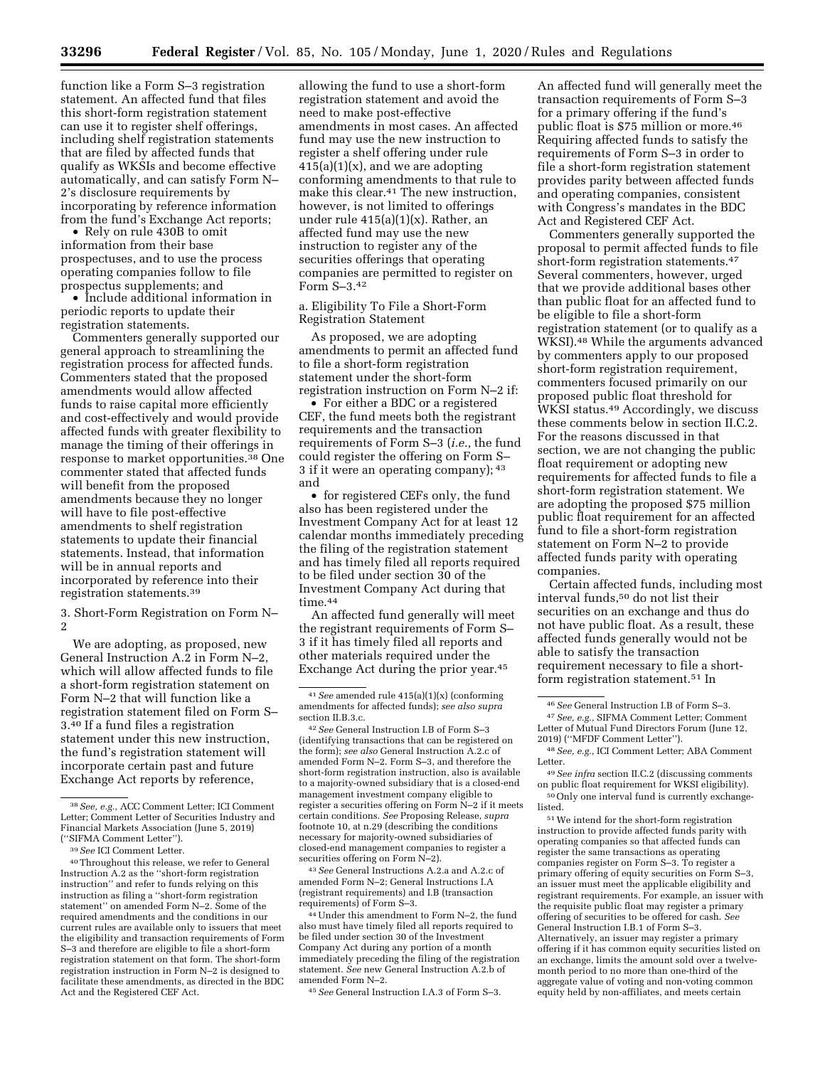function like a Form S–3 registration statement. An affected fund that files this short-form registration statement can use it to register shelf offerings, including shelf registration statements that are filed by affected funds that qualify as WKSIs and become effective automatically, and can satisfy Form N– 2's disclosure requirements by incorporating by reference information from the fund's Exchange Act reports;

• Rely on rule 430B to omit information from their base prospectuses, and to use the process operating companies follow to file prospectus supplements; and

• Include additional information in periodic reports to update their registration statements.

Commenters generally supported our general approach to streamlining the registration process for affected funds. Commenters stated that the proposed amendments would allow affected funds to raise capital more efficiently and cost-effectively and would provide affected funds with greater flexibility to manage the timing of their offerings in response to market opportunities.38 One commenter stated that affected funds will benefit from the proposed amendments because they no longer will have to file post-effective amendments to shelf registration statements to update their financial statements. Instead, that information will be in annual reports and incorporated by reference into their registration statements.39

3. Short-Form Registration on Form N– 2

We are adopting, as proposed, new General Instruction A.2 in Form N–2, which will allow affected funds to file a short-form registration statement on Form N–2 that will function like a registration statement filed on Form S– 3.40 If a fund files a registration statement under this new instruction, the fund's registration statement will incorporate certain past and future Exchange Act reports by reference,

allowing the fund to use a short-form registration statement and avoid the need to make post-effective amendments in most cases. An affected fund may use the new instruction to register a shelf offering under rule  $415(a)(1)(x)$ , and we are adopting conforming amendments to that rule to make this clear.41 The new instruction, however, is not limited to offerings under rule  $415(a)(1)(x)$ . Rather, an affected fund may use the new instruction to register any of the securities offerings that operating companies are permitted to register on Form S–3.42

a. Eligibility To File a Short-Form Registration Statement

As proposed, we are adopting amendments to permit an affected fund to file a short-form registration statement under the short-form registration instruction on Form N–2 if:

• For either a BDC or a registered CEF, the fund meets both the registrant requirements and the transaction requirements of Form S–3 (*i.e.,* the fund could register the offering on Form S– 3 if it were an operating company); 43 and

• for registered CEFs only, the fund also has been registered under the Investment Company Act for at least 12 calendar months immediately preceding the filing of the registration statement and has timely filed all reports required to be filed under section 30 of the Investment Company Act during that time.44

An affected fund generally will meet the registrant requirements of Form S– 3 if it has timely filed all reports and other materials required under the Exchange Act during the prior year.45

43*See* General Instructions A.2.a and A.2.c of amended Form N–2; General Instructions I.A (registrant requirements) and I.B (transaction requirements) of Form S–3.

44Under this amendment to Form N–2, the fund also must have timely filed all reports required to be filed under section 30 of the Investment Company Act during any portion of a month immediately preceding the filing of the registration statement. *See* new General Instruction A.2.b of amended Form N–2.

45*See* General Instruction I.A.3 of Form S–3.

An affected fund will generally meet the transaction requirements of Form S–3 for a primary offering if the fund's public float is \$75 million or more.<sup>46</sup> Requiring affected funds to satisfy the requirements of Form S–3 in order to file a short-form registration statement provides parity between affected funds and operating companies, consistent with Congress's mandates in the BDC Act and Registered CEF Act.

Commenters generally supported the proposal to permit affected funds to file short-form registration statements.47 Several commenters, however, urged that we provide additional bases other than public float for an affected fund to be eligible to file a short-form registration statement (or to qualify as a WKSI).48 While the arguments advanced by commenters apply to our proposed short-form registration requirement, commenters focused primarily on our proposed public float threshold for WKSI status.49 Accordingly, we discuss these comments below in section II.C.2. For the reasons discussed in that section, we are not changing the public float requirement or adopting new requirements for affected funds to file a short-form registration statement. We are adopting the proposed \$75 million public float requirement for an affected fund to file a short-form registration statement on Form N–2 to provide affected funds parity with operating companies.

Certain affected funds, including most interval funds,50 do not list their securities on an exchange and thus do not have public float. As a result, these affected funds generally would not be able to satisfy the transaction requirement necessary to file a shortform registration statement.51 In

49*See infra* section II.C.2 (discussing comments on public float requirement for WKSI eligibility). 50Only one interval fund is currently exchange-

listed.

 $^{\rm 51}\!\!\operatorname{We}$  intend for the short-form registration instruction to provide affected funds parity with operating companies so that affected funds can register the same transactions as operating companies register on Form S–3. To register a primary offering of equity securities on Form S–3, an issuer must meet the applicable eligibility and registrant requirements. For example, an issuer with the requisite public float may register a primary offering of securities to be offered for cash. *See*  General Instruction I.B.1 of Form S–3. Alternatively, an issuer may register a primary offering if it has common equity securities listed on an exchange, limits the amount sold over a twelvemonth period to no more than one-third of the aggregate value of voting and non-voting common equity held by non-affiliates, and meets certain

<sup>38</sup>*See, e.g.,* ACC Comment Letter; ICI Comment Letter; Comment Letter of Securities Industry and Financial Markets Association (June 5, 2019) (''SIFMA Comment Letter'').

<sup>39</sup>*See* ICI Comment Letter.

<sup>40</sup>Throughout this release, we refer to General Instruction A.2 as the ''short-form registration instruction'' and refer to funds relying on this instruction as filing a ''short-form registration statement'' on amended Form N–2. Some of the required amendments and the conditions in our current rules are available only to issuers that meet the eligibility and transaction requirements of Form S–3 and therefore are eligible to file a short-form registration statement on that form. The short-form registration instruction in Form N–2 is designed to facilitate these amendments, as directed in the BDC Act and the Registered CEF Act.

<sup>41</sup>*See* amended rule 415(a)(1)(x) (conforming amendments for affected funds); *see also supra*  section II.B.3.c.

<sup>42</sup>*See* General Instruction I.B of Form S–3 (identifying transactions that can be registered on the form); *see also* General Instruction A.2.c of amended Form N–2. Form S–3, and therefore the short-form registration instruction, also is available to a majority-owned subsidiary that is a closed-end management investment company eligible to register a securities offering on Form N–2 if it meets certain conditions. *See* Proposing Release, *supra*  footnote 10, at n.29 (describing the conditions necessary for majority-owned subsidiaries of closed-end management companies to register a securities offering on Form N–2).

<sup>46</sup>*See* General Instruction I.B of Form S–3. 47*See, e.g.,* SIFMA Comment Letter; Comment Letter of Mutual Fund Directors Forum (June 12, 2019) (''MFDF Comment Letter'').

<sup>48</sup>*See, e.g.,* ICI Comment Letter; ABA Comment Letter.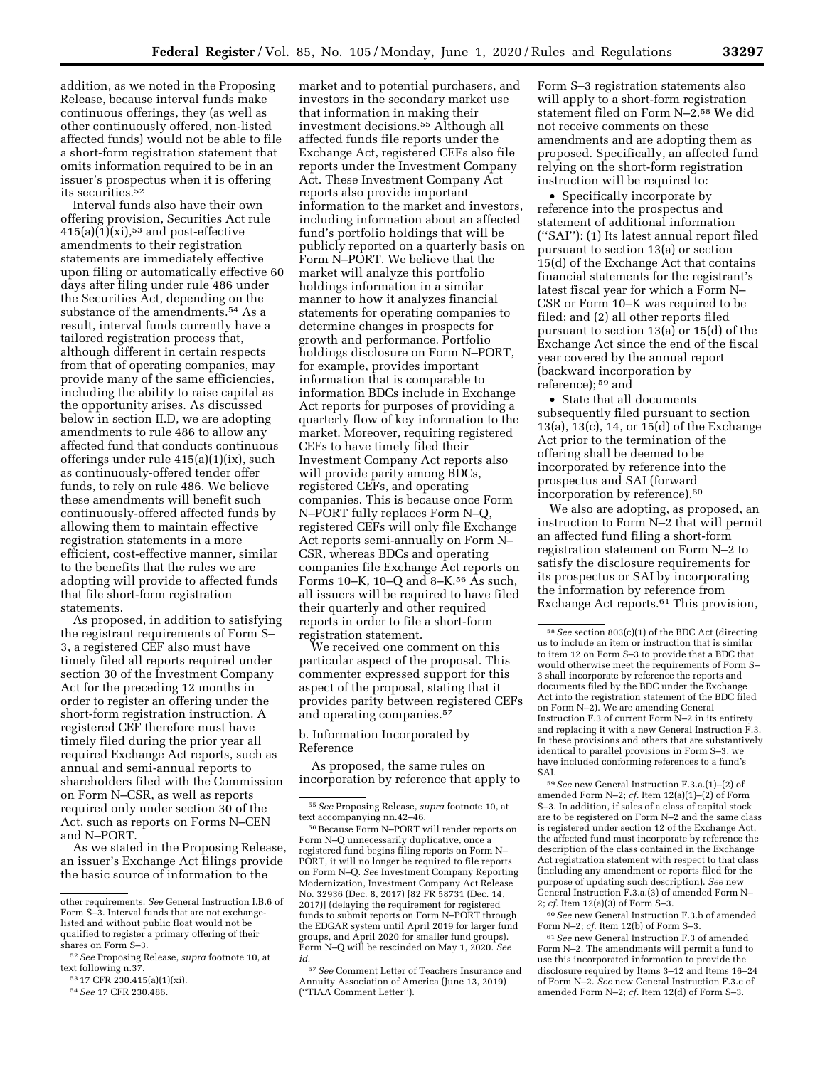addition, as we noted in the Proposing Release, because interval funds make continuous offerings, they (as well as other continuously offered, non-listed affected funds) would not be able to file a short-form registration statement that omits information required to be in an issuer's prospectus when it is offering its securities.52

Interval funds also have their own offering provision, Securities Act rule  $415(a)(1)(xi),$ <sup>53</sup> and post-effective amendments to their registration statements are immediately effective upon filing or automatically effective 60 days after filing under rule 486 under the Securities Act, depending on the substance of the amendments.<sup>54</sup> As a result, interval funds currently have a tailored registration process that, although different in certain respects from that of operating companies, may provide many of the same efficiencies, including the ability to raise capital as the opportunity arises. As discussed below in section II.D, we are adopting amendments to rule 486 to allow any affected fund that conducts continuous offerings under rule 415(a)(1)(ix), such as continuously-offered tender offer funds, to rely on rule 486. We believe these amendments will benefit such continuously-offered affected funds by allowing them to maintain effective registration statements in a more efficient, cost-effective manner, similar to the benefits that the rules we are adopting will provide to affected funds that file short-form registration statements.

As proposed, in addition to satisfying the registrant requirements of Form S– 3, a registered CEF also must have timely filed all reports required under section 30 of the Investment Company Act for the preceding 12 months in order to register an offering under the short-form registration instruction. A registered CEF therefore must have timely filed during the prior year all required Exchange Act reports, such as annual and semi-annual reports to shareholders filed with the Commission on Form N–CSR, as well as reports required only under section 30 of the Act, such as reports on Forms N–CEN and N–PORT.

As we stated in the Proposing Release, an issuer's Exchange Act filings provide the basic source of information to the

market and to potential purchasers, and investors in the secondary market use that information in making their investment decisions.55 Although all affected funds file reports under the Exchange Act, registered CEFs also file reports under the Investment Company Act. These Investment Company Act reports also provide important information to the market and investors, including information about an affected fund's portfolio holdings that will be publicly reported on a quarterly basis on Form N–PORT. We believe that the market will analyze this portfolio holdings information in a similar manner to how it analyzes financial statements for operating companies to determine changes in prospects for growth and performance. Portfolio holdings disclosure on Form N–PORT, for example, provides important information that is comparable to information BDCs include in Exchange Act reports for purposes of providing a quarterly flow of key information to the market. Moreover, requiring registered CEFs to have timely filed their Investment Company Act reports also will provide parity among BDCs, registered CEFs, and operating companies. This is because once Form N–PORT fully replaces Form N–Q, registered CEFs will only file Exchange Act reports semi-annually on Form N– CSR, whereas BDCs and operating companies file Exchange Act reports on Forms 10–K, 10–Q and 8–K.56 As such, all issuers will be required to have filed their quarterly and other required reports in order to file a short-form registration statement.

We received one comment on this particular aspect of the proposal. This commenter expressed support for this aspect of the proposal, stating that it provides parity between registered CEFs and operating companies.57

#### b. Information Incorporated by Reference

As proposed, the same rules on incorporation by reference that apply to Form S–3 registration statements also will apply to a short-form registration statement filed on Form N–2.58 We did not receive comments on these amendments and are adopting them as proposed. Specifically, an affected fund relying on the short-form registration instruction will be required to:

• Specifically incorporate by reference into the prospectus and statement of additional information (''SAI''): (1) Its latest annual report filed pursuant to section 13(a) or section 15(d) of the Exchange Act that contains financial statements for the registrant's latest fiscal year for which a Form N– CSR or Form 10–K was required to be filed; and (2) all other reports filed pursuant to section 13(a) or 15(d) of the Exchange Act since the end of the fiscal year covered by the annual report (backward incorporation by reference); 59 and

• State that all documents subsequently filed pursuant to section 13(a), 13(c), 14, or 15(d) of the Exchange Act prior to the termination of the offering shall be deemed to be incorporated by reference into the prospectus and SAI (forward incorporation by reference).60

We also are adopting, as proposed, an instruction to Form N–2 that will permit an affected fund filing a short-form registration statement on Form N–2 to satisfy the disclosure requirements for its prospectus or SAI by incorporating the information by reference from Exchange Act reports.61 This provision,

59*See* new General Instruction F.3.a.(1)–(2) of amended Form N–2; *cf.* Item 12(a)(1)–(2) of Form S–3. In addition, if sales of a class of capital stock are to be registered on Form N–2 and the same class is registered under section 12 of the Exchange Act, the affected fund must incorporate by reference the description of the class contained in the Exchange Act registration statement with respect to that class (including any amendment or reports filed for the purpose of updating such description). *See* new General Instruction F.3.a.(3) of amended Form N– 2; *cf.* Item 12(a)(3) of Form S–3.

60*See* new General Instruction F.3.b of amended Form N–2; *cf.* Item 12(b) of Form S–3.

61*See* new General Instruction F.3 of amended Form N–2. The amendments will permit a fund to use this incorporated information to provide the disclosure required by Items 3–12 and Items 16–24 of Form N–2. *See* new General Instruction F.3.c of amended Form N–2; *cf.* Item 12(d) of Form S–3.

other requirements. *See* General Instruction I.B.6 of Form S–3. Interval funds that are not exchangelisted and without public float would not be qualified to register a primary offering of their shares on Form S–3.

<sup>52</sup>*See* Proposing Release, *supra* footnote 10, at text following n.37.

<sup>53</sup> 17 CFR 230.415(a)(1)(xi).

<sup>54</sup>*See* 17 CFR 230.486.

<sup>55</sup>*See* Proposing Release, *supra* footnote 10, at text accompanying nn.42–46.

<sup>56</sup>Because Form N–PORT will render reports on Form N–Q unnecessarily duplicative, once a registered fund begins filing reports on Form N– PORT, it will no longer be required to file reports on Form N–Q. *See* Investment Company Reporting Modernization, Investment Company Act Release No. 32936 (Dec. 8, 2017) [82 FR 58731 (Dec. 14, 2017)] (delaying the requirement for registered funds to submit reports on Form N–PORT through the EDGAR system until April 2019 for larger fund groups, and April 2020 for smaller fund groups). Form N–Q will be rescinded on May 1, 2020. *See id.* 

<sup>57</sup>*See* Comment Letter of Teachers Insurance and Annuity Association of America (June 13, 2019) (''TIAA Comment Letter'').

<sup>58</sup>*See* section 803(c)(1) of the BDC Act (directing us to include an item or instruction that is similar to item 12 on Form S–3 to provide that a BDC that would otherwise meet the requirements of Form S– 3 shall incorporate by reference the reports and documents filed by the BDC under the Exchange Act into the registration statement of the BDC filed on Form N–2). We are amending General Instruction F.3 of current Form N–2 in its entirety and replacing it with a new General Instruction F.3. In these provisions and others that are substantively identical to parallel provisions in Form S–3, we have included conforming references to a fund's SAI.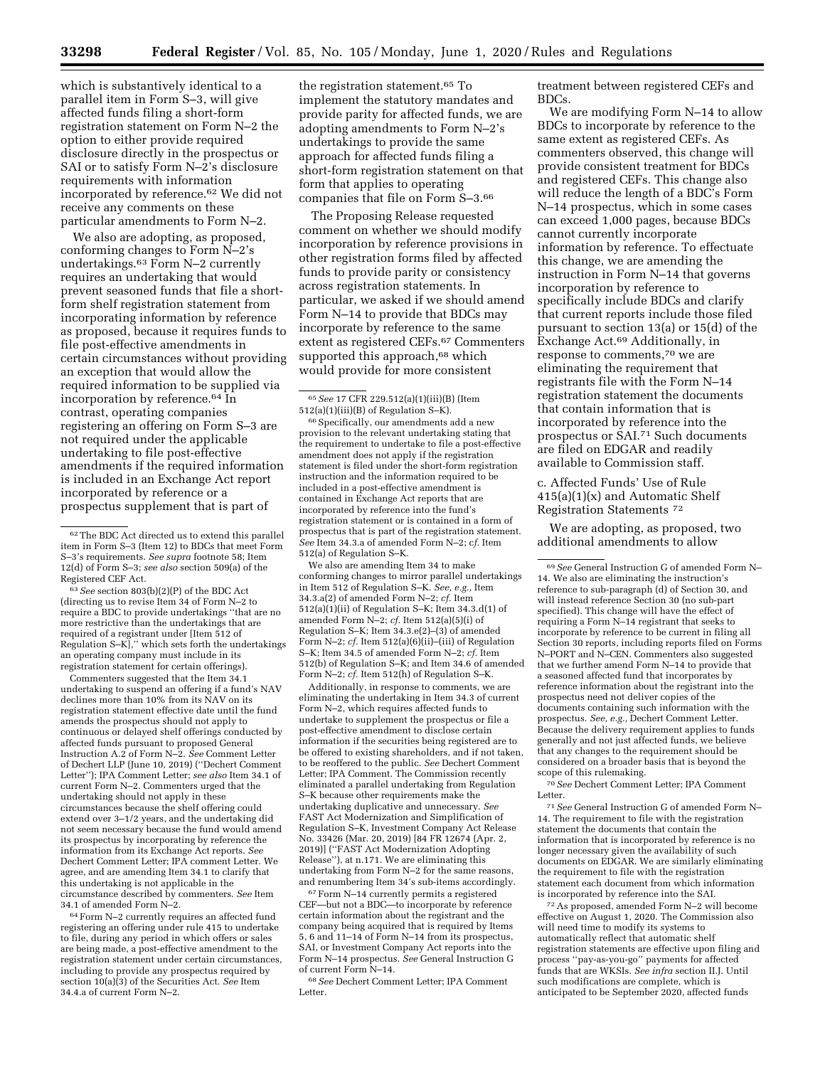which is substantively identical to a parallel item in Form S–3, will give affected funds filing a short-form registration statement on Form N–2 the option to either provide required disclosure directly in the prospectus or SAI or to satisfy Form N–2's disclosure requirements with information incorporated by reference.62 We did not receive any comments on these particular amendments to Form N–2.

We also are adopting, as proposed, conforming changes to Form N–2's undertakings.63 Form N–2 currently requires an undertaking that would prevent seasoned funds that file a shortform shelf registration statement from incorporating information by reference as proposed, because it requires funds to file post-effective amendments in certain circumstances without providing an exception that would allow the required information to be supplied via incorporation by reference.64 In contrast, operating companies registering an offering on Form S–3 are not required under the applicable undertaking to file post-effective amendments if the required information is included in an Exchange Act report incorporated by reference or a prospectus supplement that is part of

63*See* section 803(b)(2)(P) of the BDC Act (directing us to revise Item 34 of Form N–2 to require a BDC to provide undertakings ''that are no more restrictive than the undertakings that are required of a registrant under [Item 512 of Regulation S–K],'' which sets forth the undertakings an operating company must include in its registration statement for certain offerings).

Commenters suggested that the Item 34.1 undertaking to suspend an offering if a fund's NAV declines more than 10% from its NAV on its registration statement effective date until the fund amends the prospectus should not apply to continuous or delayed shelf offerings conducted by affected funds pursuant to proposed General Instruction A.2 of Form N–2. *See* Comment Letter of Dechert LLP (June 10, 2019) (''Dechert Comment Letter''); IPA Comment Letter; *see also* Item 34.1 of current Form N–2. Commenters urged that the undertaking should not apply in these circumstances because the shelf offering could extend over 3–1/2 years, and the undertaking did not seem necessary because the fund would amend its prospectus by incorporating by reference the information from its Exchange Act reports. *See*  Dechert Comment Letter; IPA comment Letter. We agree, and are amending Item 34.1 to clarify that this undertaking is not applicable in the circumstance described by commenters. *See* Item 34.1 of amended Form N–2.

 $^{64}\mathrm{Form}$  N–2 currently requires an affected fund registering an offering under rule 415 to undertake to file, during any period in which offers or sales are being made, a post-effective amendment to the registration statement under certain circumstances, including to provide any prospectus required by section 10(a)(3) of the Securities Act. *See* Item 34.4.a of current Form N–2.

the registration statement.65 To implement the statutory mandates and provide parity for affected funds, we are adopting amendments to Form N–2's undertakings to provide the same approach for affected funds filing a short-form registration statement on that form that applies to operating companies that file on Form S–3.66

The Proposing Release requested comment on whether we should modify incorporation by reference provisions in other registration forms filed by affected funds to provide parity or consistency across registration statements. In particular, we asked if we should amend Form N–14 to provide that BDCs may incorporate by reference to the same extent as registered CEFs.67 Commenters supported this approach,<sup>68</sup> which would provide for more consistent

66Specifically, our amendments add a new provision to the relevant undertaking stating that the requirement to undertake to file a post-effective amendment does not apply if the registration statement is filed under the short-form registration instruction and the information required to be included in a post-effective amendment is contained in Exchange Act reports that are incorporated by reference into the fund's registration statement or is contained in a form of prospectus that is part of the registration statement. *See* Item 34.3.a of amended Form N–2; c*f.* Item 512(a) of Regulation S–K.

We also are amending Item 34 to make conforming changes to mirror parallel undertakings in Item 512 of Regulation S–K. *See, e.g.,* Item 34.3.a(2) of amended Form N–2; *cf.* Item 512(a)(1)(ii) of Regulation S–K; Item 34.3.d(1) of amended Form N–2; *cf.* Item 512(a)(5)(i) of Regulation S–K; Item 34.3.e(2)–(3) of amended Form N-2; *cf.* Item 512(a)(6)(ii)-(iii) of Regulation S–K; Item 34.5 of amended Form N–2; *cf.* Item 512(b) of Regulation S–K; and Item 34.6 of amended Form N–2; *cf.* Item 512(h) of Regulation S–K.

Additionally, in response to comments, we are eliminating the undertaking in Item 34.3 of current Form N–2, which requires affected funds to undertake to supplement the prospectus or file a post-effective amendment to disclose certain information if the securities being registered are to be offered to existing shareholders, and if not taken, to be reoffered to the public. *See* Dechert Comment Letter; IPA Comment. The Commission recently eliminated a parallel undertaking from Regulation S–K because other requirements make the undertaking duplicative and unnecessary. *See*  FAST Act Modernization and Simplification of Regulation S–K, Investment Company Act Release No. 33426 (Mar. 20, 2019) [84 FR 12674 (Apr. 2, 2019)] (''FAST Act Modernization Adopting Release''), at n.171. We are eliminating this undertaking from Form N–2 for the same reasons, and renumbering Item 34's sub-items accordingly.

 $^{67}\mathrm{Form}$  N–14 currently permits a registered CEF—but not a BDC—to incorporate by reference certain information about the registrant and the company being acquired that is required by Items 5, 6 and 11–14 of Form N–14 from its prospectus, SAI, or Investment Company Act reports into the Form N–14 prospectus. *See* General Instruction G of current Form N–14.

68*See* Dechert Comment Letter; IPA Comment Letter.

treatment between registered CEFs and BDCs.

We are modifying Form N–14 to allow BDCs to incorporate by reference to the same extent as registered CEFs. As commenters observed, this change will provide consistent treatment for BDCs and registered CEFs. This change also will reduce the length of a BDC's Form N–14 prospectus, which in some cases can exceed 1,000 pages, because BDCs cannot currently incorporate information by reference. To effectuate this change, we are amending the instruction in Form N–14 that governs incorporation by reference to specifically include BDCs and clarify that current reports include those filed pursuant to section 13(a) or 15(d) of the Exchange Act.69 Additionally, in response to comments,70 we are eliminating the requirement that registrants file with the Form N–14 registration statement the documents that contain information that is incorporated by reference into the prospectus or SAI.71 Such documents are filed on EDGAR and readily available to Commission staff.

c. Affected Funds' Use of Rule  $415(a)(1)(x)$  and Automatic Shelf Registration Statements 72

We are adopting, as proposed, two additional amendments to allow

70*See* Dechert Comment Letter; IPA Comment Letter.

71*See* General Instruction G of amended Form N– 14. The requirement to file with the registration statement the documents that contain the information that is incorporated by reference is no longer necessary given the availability of such documents on EDGAR. We are similarly eliminating the requirement to file with the registration statement each document from which information is incorporated by reference into the SAI.

72As proposed, amended Form N–2 will become effective on August 1, 2020. The Commission also will need time to modify its systems to automatically reflect that automatic shelf registration statements are effective upon filing and process ''pay-as-you-go'' payments for affected funds that are WKSIs. *See infra* section II.J. Until such modifications are complete, which is anticipated to be September 2020, affected funds

<sup>62</sup>The BDC Act directed us to extend this parallel item in Form S–3 (Item 12) to BDCs that meet Form S–3's requirements. *See supra* footnote 58; Item 12(d) of Form S–3; *see also* section 509(a) of the Registered CEF Act.

<sup>65</sup>*See* 17 CFR 229.512(a)(1)(iii)(B) (Item 512(a)(1)(iii)(B) of Regulation S–K).

<sup>69</sup>*See* General Instruction G of amended Form N– 14. We also are eliminating the instruction's reference to sub-paragraph (d) of Section 30, and will instead reference Section 30 (no sub-part specified). This change will have the effect of requiring a Form N–14 registrant that seeks to incorporate by reference to be current in filing all Section 30 reports, including reports filed on Forms N–PORT and N–CEN. Commenters also suggested that we further amend Form N–14 to provide that a seasoned affected fund that incorporates by reference information about the registrant into the prospectus need not deliver copies of the documents containing such information with the prospectus. *See, e.g.,* Dechert Comment Letter. Because the delivery requirement applies to funds generally and not just affected funds, we believe that any changes to the requirement should be considered on a broader basis that is beyond the scope of this rulemaking.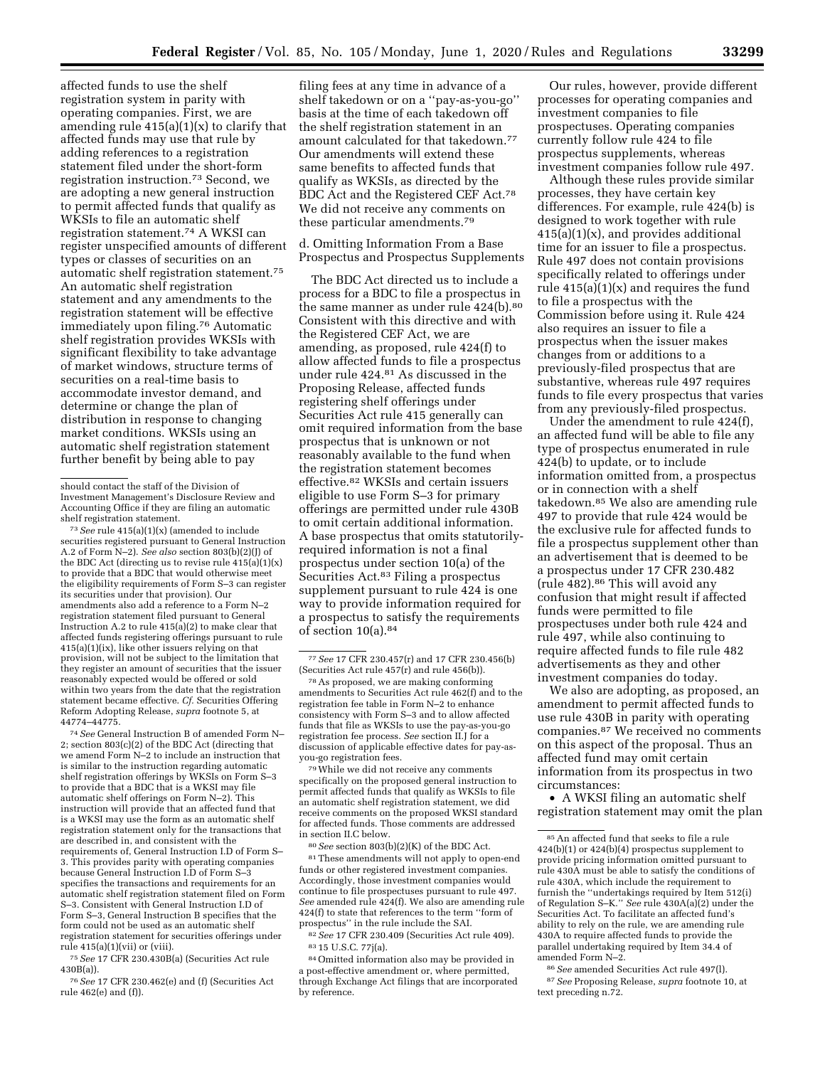affected funds to use the shelf registration system in parity with operating companies. First, we are amending rule  $415(a)(1)(x)$  to clarify that affected funds may use that rule by adding references to a registration statement filed under the short-form registration instruction.73 Second, we are adopting a new general instruction to permit affected funds that qualify as WKSIs to file an automatic shelf registration statement.74 A WKSI can register unspecified amounts of different types or classes of securities on an automatic shelf registration statement.75 An automatic shelf registration statement and any amendments to the registration statement will be effective immediately upon filing.76 Automatic shelf registration provides WKSIs with significant flexibility to take advantage of market windows, structure terms of securities on a real-time basis to accommodate investor demand, and determine or change the plan of distribution in response to changing market conditions. WKSIs using an automatic shelf registration statement further benefit by being able to pay

73*See* rule 415(a)(1)(x) (amended to include securities registered pursuant to General Instruction A.2 of Form N–2). *See also* section 803(b)(2)(J) of the BDC Act (directing us to revise rule  $415(a)(1)(x)$ to provide that a BDC that would otherwise meet the eligibility requirements of Form S–3 can register its securities under that provision). Our amendments also add a reference to a Form N–2 registration statement filed pursuant to General Instruction A.2 to rule  $415(a)(2)$  to make clear that affected funds registering offerings pursuant to rule 415(a)(1)(ix), like other issuers relying on that provision, will not be subject to the limitation that they register an amount of securities that the issuer reasonably expected would be offered or sold within two years from the date that the registration statement became effective. *Cf.* Securities Offering Reform Adopting Release, *supra* footnote 5, at 44774–44775.

74*See* General Instruction B of amended Form N– 2; section 803(c)(2) of the BDC Act (directing that we amend Form N–2 to include an instruction that is similar to the instruction regarding automatic shelf registration offerings by WKSIs on Form S-3 to provide that a BDC that is a WKSI may file automatic shelf offerings on Form N–2). This instruction will provide that an affected fund that is a WKSI may use the form as an automatic shelf registration statement only for the transactions that are described in, and consistent with the requirements of, General Instruction I.D of Form S– 3. This provides parity with operating companies because General Instruction I.D of Form S–3 specifies the transactions and requirements for an automatic shelf registration statement filed on Form S–3. Consistent with General Instruction I.D of Form S–3, General Instruction B specifies that the form could not be used as an automatic shelf registration statement for securities offerings under rule 415(a)(1)(vii) or (viii).

75*See* 17 CFR 230.430B(a) (Securities Act rule 430B(a)).

76*See* 17 CFR 230.462(e) and (f) (Securities Act rule 462(e) and (f)).

filing fees at any time in advance of a shelf takedown or on a ''pay-as-you-go'' basis at the time of each takedown off the shelf registration statement in an amount calculated for that takedown.77 Our amendments will extend these same benefits to affected funds that qualify as WKSIs, as directed by the BDC Act and the Registered CEF Act.78 We did not receive any comments on these particular amendments.79

d. Omitting Information From a Base Prospectus and Prospectus Supplements

The BDC Act directed us to include a process for a BDC to file a prospectus in the same manner as under rule 424(b).<sup>80</sup> Consistent with this directive and with the Registered CEF Act, we are amending, as proposed, rule 424(f) to allow affected funds to file a prospectus under rule 424.81 As discussed in the Proposing Release, affected funds registering shelf offerings under Securities Act rule 415 generally can omit required information from the base prospectus that is unknown or not reasonably available to the fund when the registration statement becomes effective.82 WKSIs and certain issuers eligible to use Form S–3 for primary offerings are permitted under rule 430B to omit certain additional information. A base prospectus that omits statutorilyrequired information is not a final prospectus under section 10(a) of the Securities Act.<sup>83</sup> Filing a prospectus supplement pursuant to rule 424 is one way to provide information required for a prospectus to satisfy the requirements of section 10(a).84

79While we did not receive any comments specifically on the proposed general instruction to permit affected funds that qualify as WKSIs to file an automatic shelf registration statement, we did receive comments on the proposed WKSI standard for affected funds. Those comments are addressed in section II.C below.

80*See* section 803(b)(2)(K) of the BDC Act. 81These amendments will not apply to open-end funds or other registered investment companies. Accordingly, those investment companies would continue to file prospectuses pursuant to rule 497. *See* amended rule 424(f). We also are amending rule 424(f) to state that references to the term ''form of prospectus'' in the rule include the SAI.

82*See* 17 CFR 230.409 (Securities Act rule 409). 83 15 U.S.C. 77j(a).

84Omitted information also may be provided in a post-effective amendment or, where permitted, through Exchange Act filings that are incorporated by reference.

Our rules, however, provide different processes for operating companies and investment companies to file prospectuses. Operating companies currently follow rule 424 to file prospectus supplements, whereas investment companies follow rule 497.

Although these rules provide similar processes, they have certain key differences. For example, rule 424(b) is designed to work together with rule  $415(a)(1)(x)$ , and provides additional time for an issuer to file a prospectus. Rule 497 does not contain provisions specifically related to offerings under rule  $415(a)(1)(x)$  and requires the fund to file a prospectus with the Commission before using it. Rule 424 also requires an issuer to file a prospectus when the issuer makes changes from or additions to a previously-filed prospectus that are substantive, whereas rule 497 requires funds to file every prospectus that varies from any previously-filed prospectus.

Under the amendment to rule 424(f), an affected fund will be able to file any type of prospectus enumerated in rule 424(b) to update, or to include information omitted from, a prospectus or in connection with a shelf takedown.85 We also are amending rule 497 to provide that rule 424 would be the exclusive rule for affected funds to file a prospectus supplement other than an advertisement that is deemed to be a prospectus under 17 CFR 230.482 (rule 482).86 This will avoid any confusion that might result if affected funds were permitted to file prospectuses under both rule 424 and rule 497, while also continuing to require affected funds to file rule 482 advertisements as they and other investment companies do today.

We also are adopting, as proposed, an amendment to permit affected funds to use rule 430B in parity with operating companies.87 We received no comments on this aspect of the proposal. Thus an affected fund may omit certain information from its prospectus in two circumstances:

• A WKSI filing an automatic shelf registration statement may omit the plan

86*See* amended Securities Act rule 497(l). 87*See* Proposing Release, *supra* footnote 10, at text preceding n.72.

should contact the staff of the Division of Investment Management's Disclosure Review and Accounting Office if they are filing an automatic shelf registration statement.

<sup>77</sup>*See* 17 CFR 230.457(r) and 17 CFR 230.456(b) (Securities Act rule 457(r) and rule 456(b)).

<sup>78</sup>As proposed, we are making conforming amendments to Securities Act rule 462(f) and to the registration fee table in Form N–2 to enhance consistency with Form S–3 and to allow affected funds that file as WKSIs to use the pay-as-you-go registration fee process. *See* section II.J for a discussion of applicable effective dates for pay-asyou-go registration fees.

<sup>85</sup>An affected fund that seeks to file a rule 424(b)(1) or 424(b)(4) prospectus supplement to provide pricing information omitted pursuant to rule 430A must be able to satisfy the conditions of rule 430A, which include the requirement to furnish the ''undertakings required by Item 512(i) of Regulation S–K.'' *See* rule 430A(a)(2) under the Securities Act. To facilitate an affected fund's ability to rely on the rule, we are amending rule 430A to require affected funds to provide the parallel undertaking required by Item 34.4 of amended Form N–2.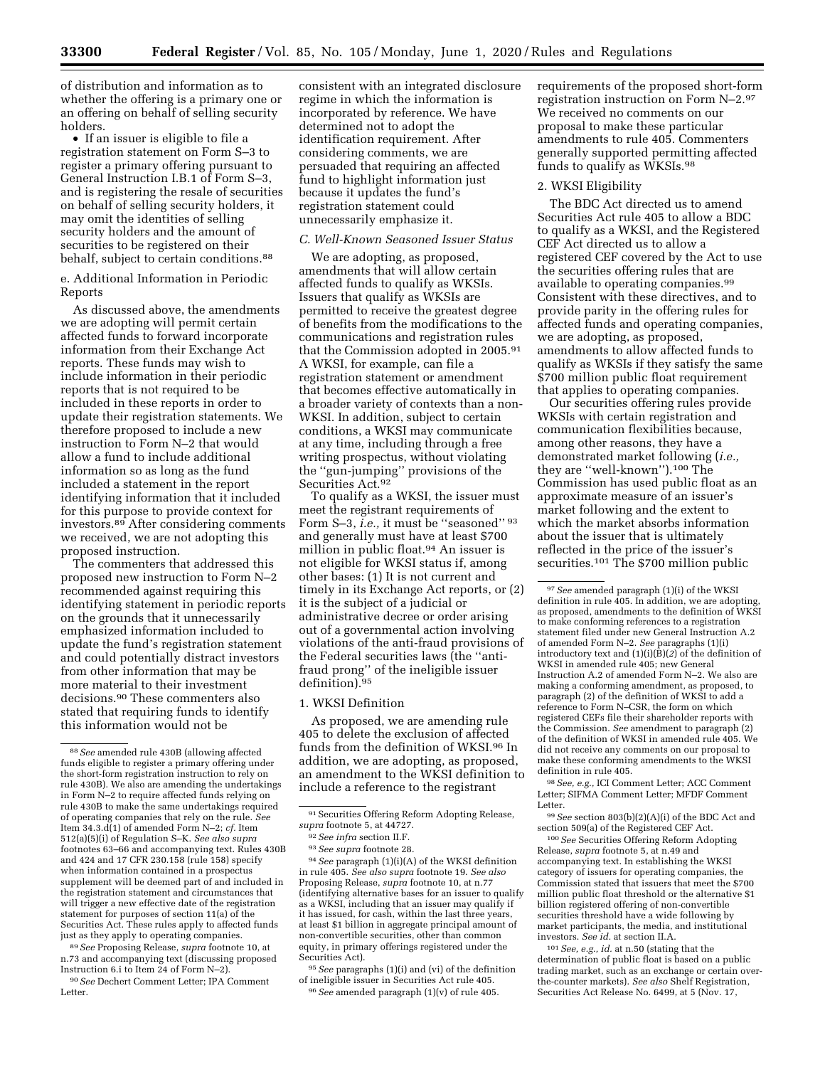of distribution and information as to whether the offering is a primary one or an offering on behalf of selling security holders.

• If an issuer is eligible to file a registration statement on Form S–3 to register a primary offering pursuant to General Instruction I.B.1 of Form S–3, and is registering the resale of securities on behalf of selling security holders, it may omit the identities of selling security holders and the amount of securities to be registered on their behalf, subject to certain conditions.<sup>88</sup>

e. Additional Information in Periodic Reports

As discussed above, the amendments we are adopting will permit certain affected funds to forward incorporate information from their Exchange Act reports. These funds may wish to include information in their periodic reports that is not required to be included in these reports in order to update their registration statements. We therefore proposed to include a new instruction to Form N–2 that would allow a fund to include additional information so as long as the fund included a statement in the report identifying information that it included for this purpose to provide context for investors.89 After considering comments we received, we are not adopting this proposed instruction.

The commenters that addressed this proposed new instruction to Form N–2 recommended against requiring this identifying statement in periodic reports on the grounds that it unnecessarily emphasized information included to update the fund's registration statement and could potentially distract investors from other information that may be more material to their investment decisions.90 These commenters also stated that requiring funds to identify this information would not be

89*See* Proposing Release, *supra* footnote 10, at n.73 and accompanying text (discussing proposed Instruction 6.i to Item 24 of Form N–2).

90*See* Dechert Comment Letter; IPA Comment Letter.

consistent with an integrated disclosure regime in which the information is incorporated by reference. We have determined not to adopt the identification requirement. After considering comments, we are persuaded that requiring an affected fund to highlight information just because it updates the fund's registration statement could unnecessarily emphasize it.

### *C. Well-Known Seasoned Issuer Status*

We are adopting, as proposed, amendments that will allow certain affected funds to qualify as WKSIs. Issuers that qualify as WKSIs are permitted to receive the greatest degree of benefits from the modifications to the communications and registration rules that the Commission adopted in 2005.91 A WKSI, for example, can file a registration statement or amendment that becomes effective automatically in a broader variety of contexts than a non-WKSI. In addition, subject to certain conditions, a WKSI may communicate at any time, including through a free writing prospectus, without violating the ''gun-jumping'' provisions of the Securities Act.92

To qualify as a WKSI, the issuer must meet the registrant requirements of Form S–3, *i.e.*, it must be "seasoned" 93 and generally must have at least \$700 million in public float.94 An issuer is not eligible for WKSI status if, among other bases: (1) It is not current and timely in its Exchange Act reports, or (2) it is the subject of a judicial or administrative decree or order arising out of a governmental action involving violations of the anti-fraud provisions of the Federal securities laws (the ''antifraud prong'' of the ineligible issuer definition).95

1. WKSI Definition

As proposed, we are amending rule 405 to delete the exclusion of affected funds from the definition of WKSI.96 In addition, we are adopting, as proposed, an amendment to the WKSI definition to include a reference to the registrant

94*See* paragraph (1)(i)(A) of the WKSI definition in rule 405. *See also supra* footnote 19. *See also*  Proposing Release, *supra* footnote 10, at n.77 (identifying alternative bases for an issuer to qualify as a WKSI, including that an issuer may qualify if it has issued, for cash, within the last three years, at least \$1 billion in aggregate principal amount of non-convertible securities, other than common equity, in primary offerings registered under the Securities Act).

95*See* paragraphs (1)(i) and (vi) of the definition of ineligible issuer in Securities Act rule 405. 96*See* amended paragraph (1)(v) of rule 405.

requirements of the proposed short-form registration instruction on Form N–2.97 We received no comments on our proposal to make these particular amendments to rule 405. Commenters generally supported permitting affected funds to qualify as WKSIs.98

#### 2. WKSI Eligibility

The BDC Act directed us to amend Securities Act rule 405 to allow a BDC to qualify as a WKSI, and the Registered CEF Act directed us to allow a registered CEF covered by the Act to use the securities offering rules that are available to operating companies.99 Consistent with these directives, and to provide parity in the offering rules for affected funds and operating companies, we are adopting, as proposed, amendments to allow affected funds to qualify as WKSIs if they satisfy the same \$700 million public float requirement that applies to operating companies.

Our securities offering rules provide WKSIs with certain registration and communication flexibilities because, among other reasons, they have a demonstrated market following (*i.e.,*  they are ''well-known'').100 The Commission has used public float as an approximate measure of an issuer's market following and the extent to which the market absorbs information about the issuer that is ultimately reflected in the price of the issuer's securities.101 The \$700 million public

98*See, e.g.,* ICI Comment Letter; ACC Comment Letter; SIFMA Comment Letter; MFDF Comment Letter.

99*See* section 803(b)(2)(A)(i) of the BDC Act and section 509(a) of the Registered CEF Act.

100*See* Securities Offering Reform Adopting Release, *supra* footnote 5, at n.49 and accompanying text. In establishing the WKSI category of issuers for operating companies, the Commission stated that issuers that meet the \$700 million public float threshold or the alternative \$1 billion registered offering of non-convertible securities threshold have a wide following by market participants, the media, and institutional investors. *See id.* at section II.A.

101*See, e.g., id.* at n.50 (stating that the determination of public float is based on a public trading market, such as an exchange or certain overthe-counter markets). *See also* Shelf Registration, Securities Act Release No. 6499, at 5 (Nov. 17,

<sup>88</sup>*See* amended rule 430B (allowing affected funds eligible to register a primary offering under the short-form registration instruction to rely on rule 430B). We also are amending the undertakings in Form N–2 to require affected funds relying on rule 430B to make the same undertakings required of operating companies that rely on the rule. *See*  Item 34.3.d(1) of amended Form N–2; *cf.* Item 512(a)(5)(i) of Regulation S–K. *See also supra*  footnotes 63–66 and accompanying text. Rules 430B and 424 and 17 CFR 230.158 (rule 158) specify when information contained in a prospectus supplement will be deemed part of and included in the registration statement and circumstances that will trigger a new effective date of the registration statement for purposes of section 11(a) of the Securities Act. These rules apply to affected funds just as they apply to operating companies.

<sup>91</sup> Securities Offering Reform Adopting Release, *supra* footnote 5, at 44727.

<sup>92</sup>*See infra* section II.F.

<sup>93</sup>*See supra* footnote 28.

<sup>97</sup>*See* amended paragraph (1)(i) of the WKSI definition in rule 405. In addition, we are adopting, as proposed, amendments to the definition of WKSI to make conforming references to a registration statement filed under new General Instruction A.2 of amended Form N–2. *See* paragraphs (1)(i) introductory text and  $(1)(i)(B)(2)$  of the definition of WKSI in amended rule 405; new General Instruction A.2 of amended Form N–2. We also are making a conforming amendment, as proposed, to paragraph (2) of the definition of WKSI to add a reference to Form N–CSR, the form on which registered CEFs file their shareholder reports with the Commission. *See* amendment to paragraph (2) of the definition of WKSI in amended rule 405. We did not receive any comments on our proposal to make these conforming amendments to the WKSI definition in rule 405.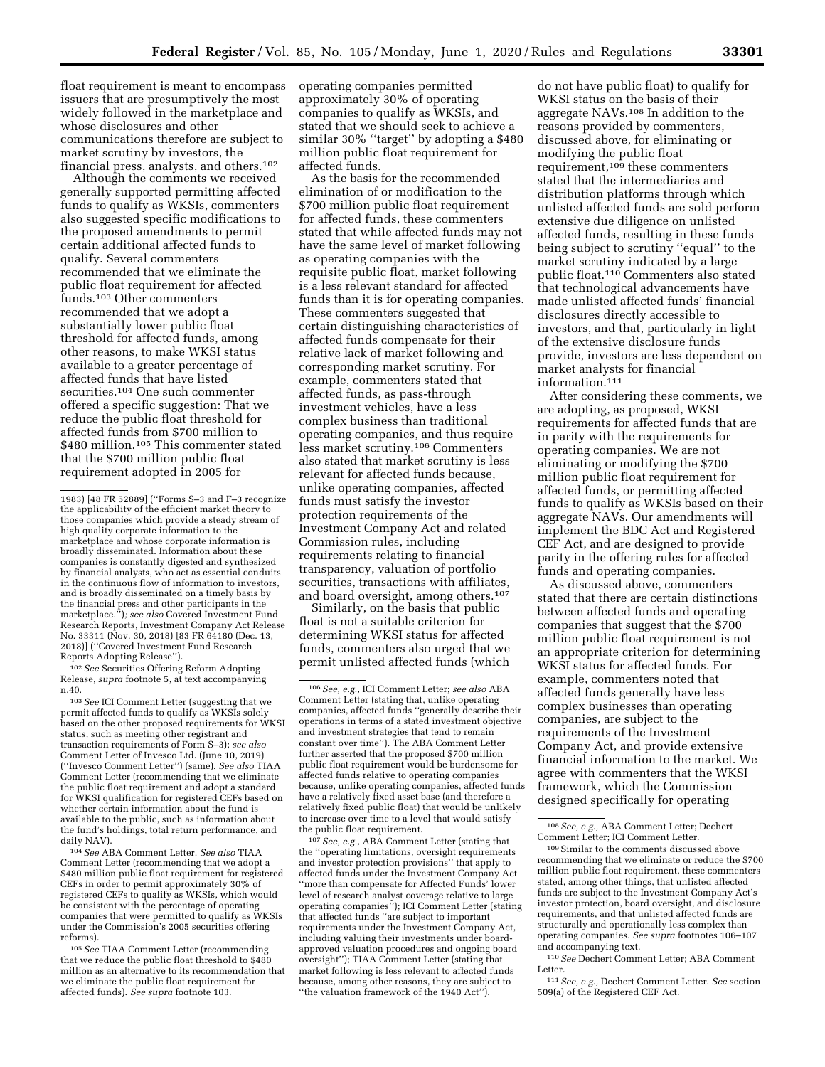float requirement is meant to encompass issuers that are presumptively the most widely followed in the marketplace and whose disclosures and other communications therefore are subject to

financial press, analysts, and others.102 Although the comments we received generally supported permitting affected funds to qualify as WKSIs, commenters also suggested specific modifications to the proposed amendments to permit certain additional affected funds to qualify. Several commenters recommended that we eliminate the public float requirement for affected funds.103 Other commenters recommended that we adopt a substantially lower public float threshold for affected funds, among other reasons, to make WKSI status available to a greater percentage of affected funds that have listed securities.104 One such commenter offered a specific suggestion: That we reduce the public float threshold for affected funds from \$700 million to \$480 million.<sup>105</sup> This commenter stated that the \$700 million public float requirement adopted in 2005 for

market scrutiny by investors, the

102*See* Securities Offering Reform Adopting Release, *supra* footnote 5, at text accompanying n.40.

103*See* ICI Comment Letter (suggesting that we permit affected funds to qualify as WKSIs solely based on the other proposed requirements for WKSI status, such as meeting other registrant and transaction requirements of Form S–3); *see also*  Comment Letter of Invesco Ltd. (June 10, 2019) (''Invesco Comment Letter'') (same). *See also* TIAA Comment Letter (recommending that we eliminate the public float requirement and adopt a standard for WKSI qualification for registered CEFs based on whether certain information about the fund is available to the public, such as information about the fund's holdings, total return performance, and daily NAV).

104*See* ABA Comment Letter. *See also* TIAA Comment Letter (recommending that we adopt a \$480 million public float requirement for registered CEFs in order to permit approximately 30% of registered CEFs to qualify as WKSIs, which would be consistent with the percentage of operating companies that were permitted to qualify as WKSIs under the Commission's 2005 securities offering reforms).

105*See* TIAA Comment Letter (recommending that we reduce the public float threshold to \$480 million as an alternative to its recommendation that we eliminate the public float requirement for affected funds). *See supra* footnote 103.

operating companies permitted approximately 30% of operating companies to qualify as WKSIs, and stated that we should seek to achieve a similar 30% ''target'' by adopting a \$480 million public float requirement for affected funds.

As the basis for the recommended elimination of or modification to the \$700 million public float requirement for affected funds, these commenters stated that while affected funds may not have the same level of market following as operating companies with the requisite public float, market following is a less relevant standard for affected funds than it is for operating companies. These commenters suggested that certain distinguishing characteristics of affected funds compensate for their relative lack of market following and corresponding market scrutiny. For example, commenters stated that affected funds, as pass-through investment vehicles, have a less complex business than traditional operating companies, and thus require less market scrutiny.106 Commenters also stated that market scrutiny is less relevant for affected funds because, unlike operating companies, affected funds must satisfy the investor protection requirements of the Investment Company Act and related Commission rules, including requirements relating to financial transparency, valuation of portfolio securities, transactions with affiliates, and board oversight, among others.107

Similarly, on the basis that public float is not a suitable criterion for determining WKSI status for affected funds, commenters also urged that we permit unlisted affected funds (which

107*See, e.g.,* ABA Comment Letter (stating that the ''operating limitations, oversight requirements and investor protection provisions'' that apply to affected funds under the Investment Company Act ''more than compensate for Affected Funds' lower level of research analyst coverage relative to large operating companies''); ICI Comment Letter (stating that affected funds ''are subject to important requirements under the Investment Company Act, including valuing their investments under boardapproved valuation procedures and ongoing board oversight''); TIAA Comment Letter (stating that market following is less relevant to affected funds because, among other reasons, they are subject to ''the valuation framework of the 1940 Act'').

do not have public float) to qualify for WKSI status on the basis of their aggregate NAVs.108 In addition to the reasons provided by commenters, discussed above, for eliminating or modifying the public float requirement,109 these commenters stated that the intermediaries and distribution platforms through which unlisted affected funds are sold perform extensive due diligence on unlisted affected funds, resulting in these funds being subject to scrutiny ''equal'' to the market scrutiny indicated by a large public float.110 Commenters also stated that technological advancements have made unlisted affected funds' financial disclosures directly accessible to investors, and that, particularly in light of the extensive disclosure funds provide, investors are less dependent on market analysts for financial information.111

After considering these comments, we are adopting, as proposed, WKSI requirements for affected funds that are in parity with the requirements for operating companies. We are not eliminating or modifying the \$700 million public float requirement for affected funds, or permitting affected funds to qualify as WKSIs based on their aggregate NAVs. Our amendments will implement the BDC Act and Registered CEF Act, and are designed to provide parity in the offering rules for affected funds and operating companies.

As discussed above, commenters stated that there are certain distinctions between affected funds and operating companies that suggest that the \$700 million public float requirement is not an appropriate criterion for determining WKSI status for affected funds. For example, commenters noted that affected funds generally have less complex businesses than operating companies, are subject to the requirements of the Investment Company Act, and provide extensive financial information to the market. We agree with commenters that the WKSI framework, which the Commission designed specifically for operating

108*See, e.g.,* ABA Comment Letter; Dechert Comment Letter; ICI Comment Letter.

110*See* Dechert Comment Letter; ABA Comment Letter.

111*See, e.g.,* Dechert Comment Letter. *See* section 509(a) of the Registered CEF Act.

<sup>1983) [48</sup> FR 52889] (''Forms S–3 and F–3 recognize the applicability of the efficient market theory to those companies which provide a steady stream of high quality corporate information to the marketplace and whose corporate information is broadly disseminated. Information about these companies is constantly digested and synthesized by financial analysts, who act as essential conduits in the continuous flow of information to investors, and is broadly disseminated on a timely basis by the financial press and other participants in the marketplace.'')*; see also* Covered Investment Fund Research Reports, Investment Company Act Release No. 33311 (Nov. 30, 2018) [83 FR 64180 (Dec. 13, 2018)] (''Covered Investment Fund Research Reports Adopting Release'').

<sup>106</sup>*See, e.g.,* ICI Comment Letter; *see also* ABA Comment Letter (stating that, unlike operating companies, affected funds ''generally describe their operations in terms of a stated investment objective and investment strategies that tend to remain constant over time''). The ABA Comment Letter further asserted that the proposed \$700 million public float requirement would be burdensome for affected funds relative to operating companies because, unlike operating companies, affected funds have a relatively fixed asset base (and therefore a relatively fixed public float) that would be unlikely to increase over time to a level that would satisfy the public float requirement.

<sup>109</sup>Similar to the comments discussed above recommending that we eliminate or reduce the \$700 million public float requirement, these commenters stated, among other things, that unlisted affected funds are subject to the Investment Company Act's investor protection, board oversight, and disclosure requirements, and that unlisted affected funds are structurally and operationally less complex than operating companies. *See supra* footnotes 106–107 and accompanying text.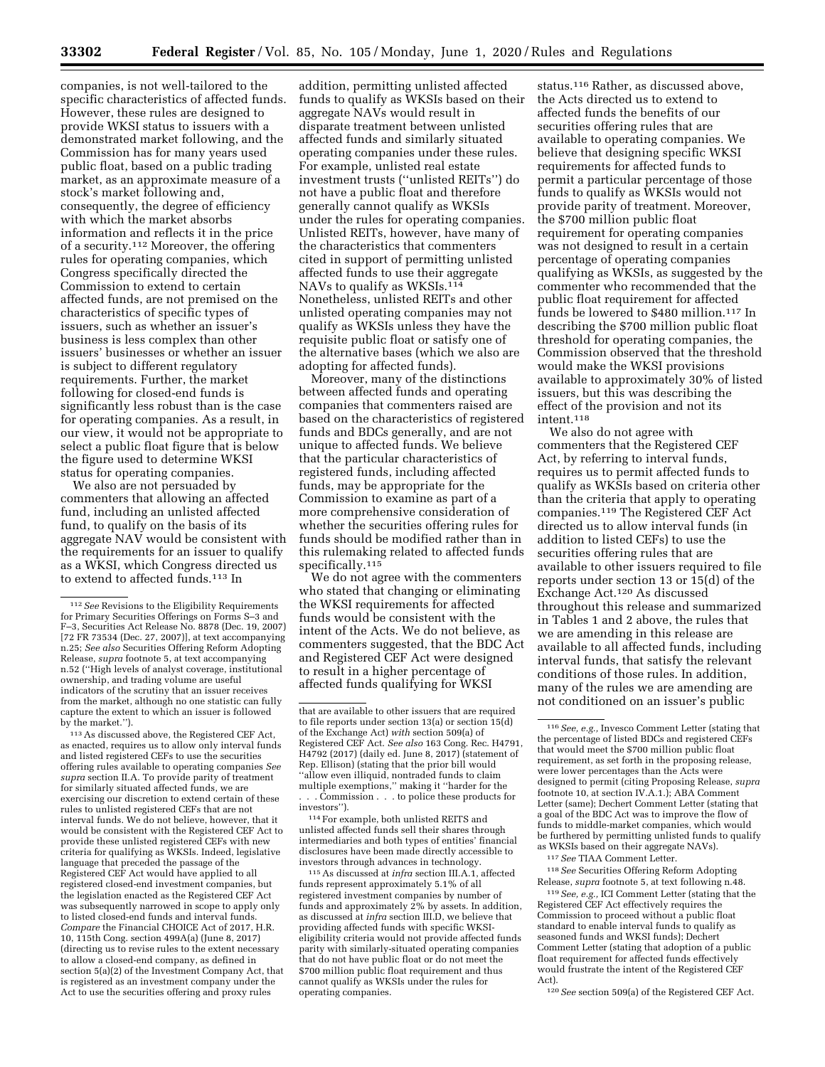companies, is not well-tailored to the specific characteristics of affected funds. However, these rules are designed to provide WKSI status to issuers with a demonstrated market following, and the Commission has for many years used public float, based on a public trading market, as an approximate measure of a stock's market following and, consequently, the degree of efficiency with which the market absorbs information and reflects it in the price of a security.112 Moreover, the offering rules for operating companies, which Congress specifically directed the Commission to extend to certain affected funds, are not premised on the characteristics of specific types of issuers, such as whether an issuer's business is less complex than other issuers' businesses or whether an issuer is subject to different regulatory requirements. Further, the market following for closed-end funds is significantly less robust than is the case for operating companies. As a result, in our view, it would not be appropriate to select a public float figure that is below the figure used to determine WKSI status for operating companies.

We also are not persuaded by commenters that allowing an affected fund, including an unlisted affected fund, to qualify on the basis of its aggregate NAV would be consistent with the requirements for an issuer to qualify as a WKSI, which Congress directed us to extend to affected funds.113 In

113As discussed above, the Registered CEF Act, as enacted, requires us to allow only interval funds and listed registered CEFs to use the securities offering rules available to operating companies *See supra* section II.A. To provide parity of treatment for similarly situated affected funds, we are exercising our discretion to extend certain of these rules to unlisted registered CEFs that are not interval funds. We do not believe, however, that it would be consistent with the Registered CEF Act to provide these unlisted registered CEFs with new criteria for qualifying as WKSIs. Indeed, legislative language that preceded the passage of the Registered CEF Act would have applied to all registered closed-end investment companies, but the legislation enacted as the Registered CEF Act was subsequently narrowed in scope to apply only to listed closed-end funds and interval funds. *Compare* the Financial CHOICE Act of 2017, H.R. 10, 115th Cong. section 499A(a) (June 8, 2017) (directing us to revise rules to the extent necessary to allow a closed-end company, as defined in section 5(a)(2) of the Investment Company Act, that is registered as an investment company under the Act to use the securities offering and proxy rules

addition, permitting unlisted affected funds to qualify as WKSIs based on their aggregate NAVs would result in disparate treatment between unlisted affected funds and similarly situated operating companies under these rules. For example, unlisted real estate investment trusts (''unlisted REITs'') do not have a public float and therefore generally cannot qualify as WKSIs under the rules for operating companies. Unlisted REITs, however, have many of the characteristics that commenters cited in support of permitting unlisted affected funds to use their aggregate NAVs to qualify as WKSIs.<sup>114</sup> Nonetheless, unlisted REITs and other unlisted operating companies may not qualify as WKSIs unless they have the requisite public float or satisfy one of the alternative bases (which we also are adopting for affected funds).

Moreover, many of the distinctions between affected funds and operating companies that commenters raised are based on the characteristics of registered funds and BDCs generally, and are not unique to affected funds. We believe that the particular characteristics of registered funds, including affected funds, may be appropriate for the Commission to examine as part of a more comprehensive consideration of whether the securities offering rules for funds should be modified rather than in this rulemaking related to affected funds specifically.<sup>115</sup>

We do not agree with the commenters who stated that changing or eliminating the WKSI requirements for affected funds would be consistent with the intent of the Acts. We do not believe, as commenters suggested, that the BDC Act and Registered CEF Act were designed to result in a higher percentage of affected funds qualifying for WKSI

114For example, both unlisted REITS and unlisted affected funds sell their shares through intermediaries and both types of entities' financial disclosures have been made directly accessible to investors through advances in technology.

115As discussed at *infra* section III.A.1, affected funds represent approximately 5.1% of all registered investment companies by number of funds and approximately 2% by assets. In addition, as discussed at *infra* section III.D, we believe that providing affected funds with specific WKSIeligibility criteria would not provide affected funds parity with similarly-situated operating companies that do not have public float or do not meet the \$700 million public float requirement and thus cannot qualify as WKSIs under the rules for operating companies.

status.116 Rather, as discussed above, the Acts directed us to extend to affected funds the benefits of our securities offering rules that are available to operating companies. We believe that designing specific WKSI requirements for affected funds to permit a particular percentage of those funds to qualify as WKSIs would not provide parity of treatment. Moreover, the \$700 million public float requirement for operating companies was not designed to result in a certain percentage of operating companies qualifying as WKSIs, as suggested by the commenter who recommended that the public float requirement for affected funds be lowered to \$480 million.117 In describing the \$700 million public float threshold for operating companies, the Commission observed that the threshold would make the WKSI provisions available to approximately 30% of listed issuers, but this was describing the effect of the provision and not its intent.118

We also do not agree with commenters that the Registered CEF Act, by referring to interval funds, requires us to permit affected funds to qualify as WKSIs based on criteria other than the criteria that apply to operating companies.119 The Registered CEF Act directed us to allow interval funds (in addition to listed CEFs) to use the securities offering rules that are available to other issuers required to file reports under section 13 or 15(d) of the Exchange Act.120 As discussed throughout this release and summarized in Tables 1 and 2 above, the rules that we are amending in this release are available to all affected funds, including interval funds, that satisfy the relevant conditions of those rules. In addition, many of the rules we are amending are not conditioned on an issuer's public

117*See* TIAA Comment Letter.

118*See* Securities Offering Reform Adopting Release, *supra* footnote 5, at text following n.48.

119*See, e.g.,* ICI Comment Letter (stating that the Registered CEF Act effectively requires the Commission to proceed without a public float standard to enable interval funds to qualify as seasoned funds and WKSI funds); Dechert Comment Letter (stating that adoption of a public float requirement for affected funds effectively would frustrate the intent of the Registered CEF Act).

120*See* section 509(a) of the Registered CEF Act.

<sup>112</sup>*See* Revisions to the Eligibility Requirements for Primary Securities Offerings on Forms S–3 and F–3, Securities Act Release No. 8878 (Dec. 19, 2007) [72 FR 73534 (Dec. 27, 2007)], at text accompanying n.25; *See also* Securities Offering Reform Adopting Release, *supra* footnote 5, at text accompanying n.52 (''High levels of analyst coverage, institutional ownership, and trading volume are useful indicators of the scrutiny that an issuer receives from the market, although no one statistic can fully capture the extent to which an issuer is followed by the market.'').

that are available to other issuers that are required to file reports under section 13(a) or section 15(d) of the Exchange Act) *with* section 509(a) of Registered CEF Act. *See also* 163 Cong. Rec. H4791, H4792 (2017) (daily ed. June 8, 2017) (statement of Rep. Ellison) (stating that the prior bill would ''allow even illiquid, nontraded funds to claim multiple exemptions,'' making it ''harder for the . . . Commission . . . to police these products for investors'').

<sup>116</sup>*See, e.g.,* Invesco Comment Letter (stating that the percentage of listed BDCs and registered CEFs that would meet the \$700 million public float requirement, as set forth in the proposing release, were lower percentages than the Acts were designed to permit (citing Proposing Release, *supra*  footnote 10, at section IV.A.1.); ABA Comment Letter (same); Dechert Comment Letter (stating that a goal of the BDC Act was to improve the flow of funds to middle-market companies, which would be furthered by permitting unlisted funds to qualify as WKSIs based on their aggregate NAVs).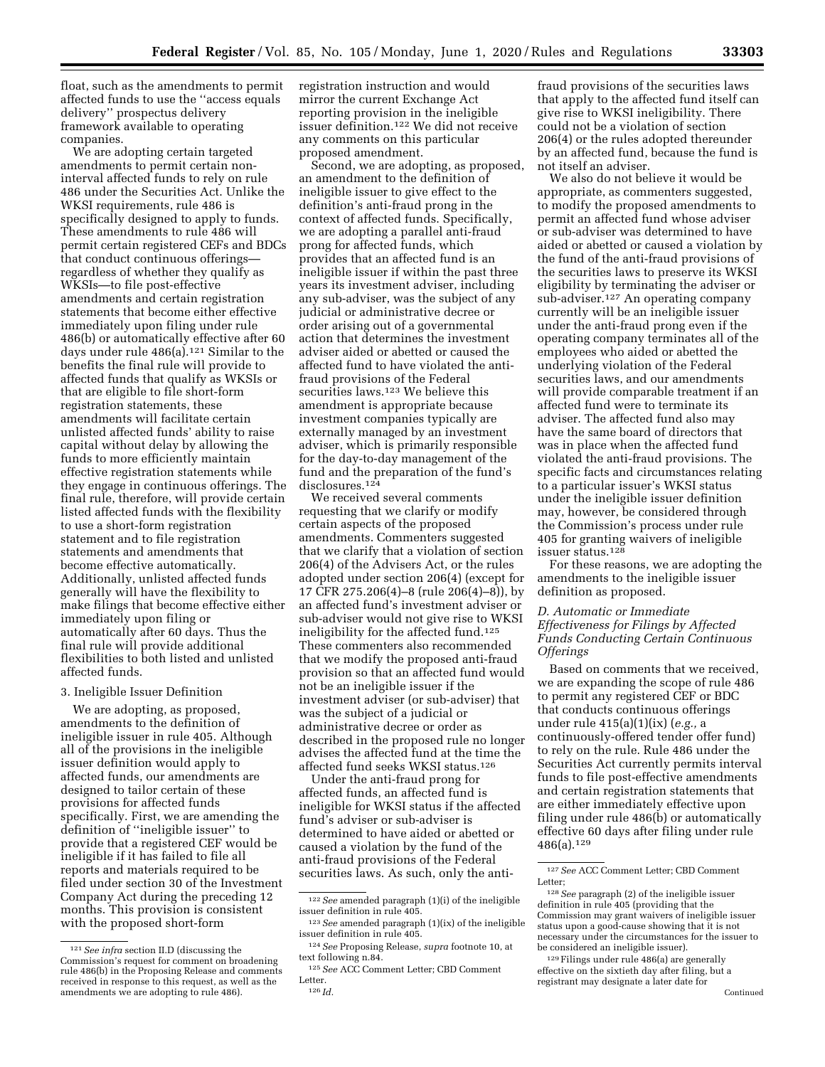float, such as the amendments to permit affected funds to use the ''access equals delivery'' prospectus delivery framework available to operating companies.

We are adopting certain targeted amendments to permit certain noninterval affected funds to rely on rule 486 under the Securities Act. Unlike the WKSI requirements, rule 486 is specifically designed to apply to funds. These amendments to rule 486 will permit certain registered CEFs and BDCs that conduct continuous offerings regardless of whether they qualify as WKSIs—to file post-effective amendments and certain registration statements that become either effective immediately upon filing under rule 486(b) or automatically effective after 60 days under rule 486(a).121 Similar to the benefits the final rule will provide to affected funds that qualify as WKSIs or that are eligible to file short-form registration statements, these amendments will facilitate certain unlisted affected funds' ability to raise capital without delay by allowing the funds to more efficiently maintain effective registration statements while they engage in continuous offerings. The final rule, therefore, will provide certain listed affected funds with the flexibility to use a short-form registration statement and to file registration statements and amendments that become effective automatically. Additionally, unlisted affected funds generally will have the flexibility to make filings that become effective either immediately upon filing or automatically after 60 days. Thus the final rule will provide additional flexibilities to both listed and unlisted affected funds.

#### 3. Ineligible Issuer Definition

We are adopting, as proposed, amendments to the definition of ineligible issuer in rule 405. Although all of the provisions in the ineligible issuer definition would apply to affected funds, our amendments are designed to tailor certain of these provisions for affected funds specifically. First, we are amending the definition of ''ineligible issuer'' to provide that a registered CEF would be ineligible if it has failed to file all reports and materials required to be filed under section 30 of the Investment Company Act during the preceding 12 months. This provision is consistent with the proposed short-form

registration instruction and would mirror the current Exchange Act reporting provision in the ineligible issuer definition.122 We did not receive any comments on this particular proposed amendment.

Second, we are adopting, as proposed, an amendment to the definition of ineligible issuer to give effect to the definition's anti-fraud prong in the context of affected funds. Specifically, we are adopting a parallel anti-fraud prong for affected funds, which provides that an affected fund is an ineligible issuer if within the past three years its investment adviser, including any sub-adviser, was the subject of any judicial or administrative decree or order arising out of a governmental action that determines the investment adviser aided or abetted or caused the affected fund to have violated the antifraud provisions of the Federal securities laws.<sup>123</sup> We believe this amendment is appropriate because investment companies typically are externally managed by an investment adviser, which is primarily responsible for the day-to-day management of the fund and the preparation of the fund's disclosures.<sup>124</sup>

We received several comments requesting that we clarify or modify certain aspects of the proposed amendments. Commenters suggested that we clarify that a violation of section 206(4) of the Advisers Act, or the rules adopted under section 206(4) (except for 17 CFR 275.206(4)–8 (rule 206(4)–8)), by an affected fund's investment adviser or sub-adviser would not give rise to WKSI ineligibility for the affected fund.125 These commenters also recommended that we modify the proposed anti-fraud provision so that an affected fund would not be an ineligible issuer if the investment adviser (or sub-adviser) that was the subject of a judicial or administrative decree or order as described in the proposed rule no longer advises the affected fund at the time the affected fund seeks WKSI status.126

Under the anti-fraud prong for affected funds, an affected fund is ineligible for WKSI status if the affected fund's adviser or sub-adviser is determined to have aided or abetted or caused a violation by the fund of the anti-fraud provisions of the Federal securities laws. As such, only the anti-

fraud provisions of the securities laws that apply to the affected fund itself can give rise to WKSI ineligibility. There could not be a violation of section 206(4) or the rules adopted thereunder by an affected fund, because the fund is not itself an adviser.

We also do not believe it would be appropriate, as commenters suggested, to modify the proposed amendments to permit an affected fund whose adviser or sub-adviser was determined to have aided or abetted or caused a violation by the fund of the anti-fraud provisions of the securities laws to preserve its WKSI eligibility by terminating the adviser or sub-adviser.127 An operating company currently will be an ineligible issuer under the anti-fraud prong even if the operating company terminates all of the employees who aided or abetted the underlying violation of the Federal securities laws, and our amendments will provide comparable treatment if an affected fund were to terminate its adviser. The affected fund also may have the same board of directors that was in place when the affected fund violated the anti-fraud provisions. The specific facts and circumstances relating to a particular issuer's WKSI status under the ineligible issuer definition may, however, be considered through the Commission's process under rule 405 for granting waivers of ineligible issuer status.128

For these reasons, we are adopting the amendments to the ineligible issuer definition as proposed.

### *D. Automatic or Immediate Effectiveness for Filings by Affected Funds Conducting Certain Continuous Offerings*

Based on comments that we received, we are expanding the scope of rule 486 to permit any registered CEF or BDC that conducts continuous offerings under rule 415(a)(1)(ix) (*e.g.,* a continuously-offered tender offer fund) to rely on the rule. Rule 486 under the Securities Act currently permits interval funds to file post-effective amendments and certain registration statements that are either immediately effective upon filing under rule 486(b) or automatically effective 60 days after filing under rule 486(a).129

<sup>121</sup>*See infra* section II.D (discussing the Commission's request for comment on broadening rule 486(b) in the Proposing Release and comments received in response to this request, as well as the amendments we are adopting to rule 486).

<sup>122</sup>*See* amended paragraph (1)(i) of the ineligible issuer definition in rule 405.

<sup>123</sup>*See* amended paragraph (1)(ix) of the ineligible issuer definition in rule 405.

<sup>124</sup>*See* Proposing Release, *supra* footnote 10, at text following n.84.

<sup>125</sup>*See* ACC Comment Letter; CBD Comment Letter. 126 *Id.* 

<sup>127</sup>*See* ACC Comment Letter; CBD Comment Letter;

<sup>128</sup>*See* paragraph (2) of the ineligible issuer definition in rule 405 (providing that the Commission may grant waivers of ineligible issuer status upon a good-cause showing that it is not necessary under the circumstances for the issuer to be considered an ineligible issuer).

<sup>129</sup>Filings under rule 486(a) are generally effective on the sixtieth day after filing, but a registrant may designate a later date for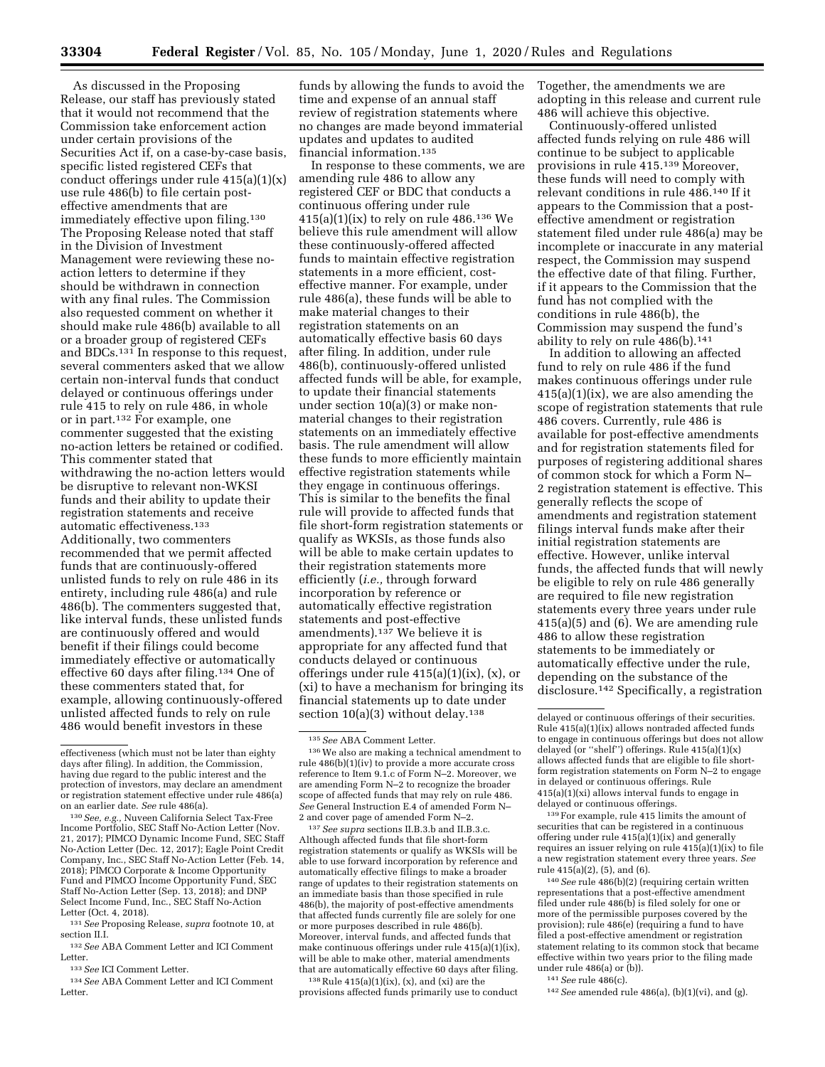As discussed in the Proposing Release, our staff has previously stated that it would not recommend that the Commission take enforcement action under certain provisions of the Securities Act if, on a case-by-case basis, specific listed registered CEFs that conduct offerings under rule 415(a)(1)(x) use rule 486(b) to file certain posteffective amendments that are immediately effective upon filing.<sup>130</sup> The Proposing Release noted that staff in the Division of Investment Management were reviewing these noaction letters to determine if they should be withdrawn in connection with any final rules. The Commission also requested comment on whether it should make rule 486(b) available to all or a broader group of registered CEFs and BDCs.131 In response to this request, several commenters asked that we allow certain non-interval funds that conduct delayed or continuous offerings under rule 415 to rely on rule 486, in whole or in part.132 For example, one commenter suggested that the existing no-action letters be retained or codified. This commenter stated that withdrawing the no-action letters would be disruptive to relevant non-WKSI funds and their ability to update their registration statements and receive automatic effectiveness.133 Additionally, two commenters recommended that we permit affected funds that are continuously-offered unlisted funds to rely on rule 486 in its entirety, including rule 486(a) and rule 486(b). The commenters suggested that, like interval funds, these unlisted funds are continuously offered and would benefit if their filings could become immediately effective or automatically effective 60 days after filing.134 One of these commenters stated that, for example, allowing continuously-offered unlisted affected funds to rely on rule 486 would benefit investors in these

<sup>130</sup> See, e.g., Nuveen California Select Tax-Free Income Portfolio, SEC Staff No-Action Letter (Nov. 21, 2017); PIMCO Dynamic Income Fund, SEC Staff No-Action Letter (Dec. 12, 2017); Eagle Point Credit Company, Inc., SEC Staff No-Action Letter (Feb. 14, 2018); PIMCO Corporate & Income Opportunity Fund and PIMCO Income Opportunity Fund, SEC Staff No-Action Letter (Sep. 13, 2018); and DNP Select Income Fund, Inc., SEC Staff No-Action Letter (Oct. 4, 2018).

131*See* Proposing Release, *supra* footnote 10, at section II.I.

132*See* ABA Comment Letter and ICI Comment Letter.

133*See* ICI Comment Letter.

134*See* ABA Comment Letter and ICI Comment Letter.

funds by allowing the funds to avoid the time and expense of an annual staff review of registration statements where no changes are made beyond immaterial updates and updates to audited financial information.135

In response to these comments, we are amending rule 486 to allow any registered CEF or BDC that conducts a continuous offering under rule 415(a)(1)(ix) to rely on rule 486.136 We believe this rule amendment will allow these continuously-offered affected funds to maintain effective registration statements in a more efficient, costeffective manner. For example, under rule 486(a), these funds will be able to make material changes to their registration statements on an automatically effective basis 60 days after filing. In addition, under rule 486(b), continuously-offered unlisted affected funds will be able, for example, to update their financial statements under section 10(a)(3) or make nonmaterial changes to their registration statements on an immediately effective basis. The rule amendment will allow these funds to more efficiently maintain effective registration statements while they engage in continuous offerings. This is similar to the benefits the final rule will provide to affected funds that file short-form registration statements or qualify as WKSIs, as those funds also will be able to make certain updates to their registration statements more efficiently (*i.e.,* through forward incorporation by reference or automatically effective registration statements and post-effective amendments).137 We believe it is appropriate for any affected fund that conducts delayed or continuous offerings under rule 415(a)(1)(ix), (x), or (xi) to have a mechanism for bringing its financial statements up to date under section  $10(a)(3)$  without delay.<sup>138</sup>

137*See supra* sections II.B.3.b and II.B.3.c. Although affected funds that file short-form registration statements or qualify as WKSIs will be able to use forward incorporation by reference and automatically effective filings to make a broader range of updates to their registration statements on an immediate basis than those specified in rule 486(b), the majority of post-effective amendments that affected funds currently file are solely for one or more purposes described in rule 486(b). Moreover, interval funds, and affected funds that make continuous offerings under rule 415(a)(1)(ix), will be able to make other, material amendments that are automatically effective 60 days after filing.

 $138$  Rule  $415(a)(1)(ix)$ ,  $(x)$ , and  $(xi)$  are the provisions affected funds primarily use to conduct Together, the amendments we are adopting in this release and current rule 486 will achieve this objective.

Continuously-offered unlisted affected funds relying on rule 486 will continue to be subject to applicable provisions in rule 415.139 Moreover, these funds will need to comply with relevant conditions in rule 486.140 If it appears to the Commission that a posteffective amendment or registration statement filed under rule 486(a) may be incomplete or inaccurate in any material respect, the Commission may suspend the effective date of that filing. Further, if it appears to the Commission that the fund has not complied with the conditions in rule 486(b), the Commission may suspend the fund's ability to rely on rule 486(b).141

In addition to allowing an affected fund to rely on rule 486 if the fund makes continuous offerings under rule 415(a)(1)(ix), we are also amending the scope of registration statements that rule 486 covers. Currently, rule 486 is available for post-effective amendments and for registration statements filed for purposes of registering additional shares of common stock for which a Form N– 2 registration statement is effective. This generally reflects the scope of amendments and registration statement filings interval funds make after their initial registration statements are effective. However, unlike interval funds, the affected funds that will newly be eligible to rely on rule 486 generally are required to file new registration statements every three years under rule 415(a)(5) and (6). We are amending rule 486 to allow these registration statements to be immediately or automatically effective under the rule, depending on the substance of the disclosure.142 Specifically, a registration

139For example, rule 415 limits the amount of securities that can be registered in a continuous offering under rule 415(a)(1)(ix) and generally requires an issuer relying on rule 415(a)(1)(ix) to file a new registration statement every three years. *See*  rule 415(a)(2), (5), and (6).

140*See* rule 486(b)(2) (requiring certain written representations that a post-effective amendment filed under rule 486(b) is filed solely for one or more of the permissible purposes covered by the provision); rule 486(e) (requiring a fund to have filed a post-effective amendment or registration statement relating to its common stock that became effective within two years prior to the filing made under rule 486(a) or (b)).

141*See* rule 486(c).

142*See* amended rule 486(a), (b)(1)(vi), and (g).

effectiveness (which must not be later than eighty days after filing). In addition, the Commission, having due regard to the public interest and the protection of investors, may declare an amendment or registration statement effective under rule 486(a)<br>on an earlier date. See rule 486(a).

<sup>135</sup>*See* ABA Comment Letter.

<sup>136</sup>We also are making a technical amendment to rule 486(b)(1)(iv) to provide a more accurate cross reference to Item 9.1.c of Form N–2. Moreover, we are amending Form N–2 to recognize the broader scope of affected funds that may rely on rule 486. *See* General Instruction E.4 of amended Form N– 2 and cover page of amended Form N–2.

delayed or continuous offerings of their securities. Rule 415(a)(1)(ix) allows nontraded affected funds to engage in continuous offerings but does not allow delayed (or ''shelf'') offerings. Rule 415(a)(1)(x) allows affected funds that are eligible to file shortform registration statements on Form N–2 to engage in delayed or continuous offerings. Rule 415(a)(1)(xi) allows interval funds to engage in delayed or continuous offerings.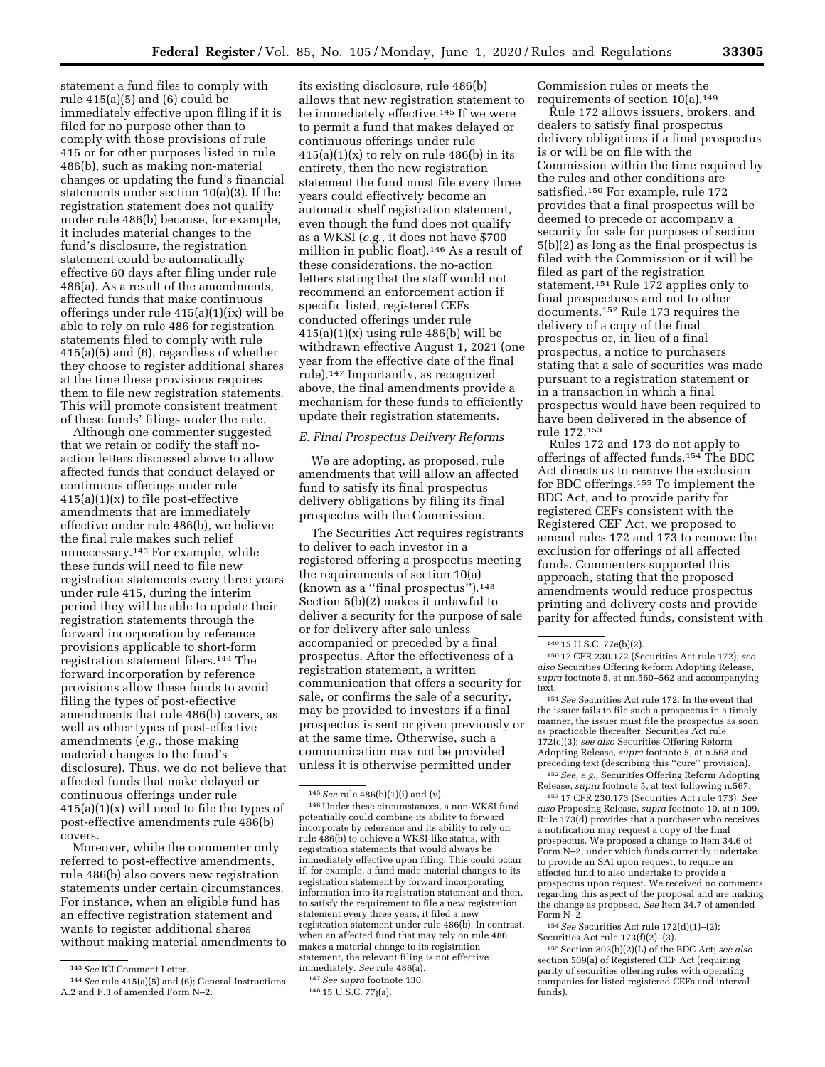statement a fund files to comply with rule 415(a)(5) and (6) could be immediately effective upon filing if it is filed for no purpose other than to comply with those provisions of rule 415 or for other purposes listed in rule 486(b), such as making non-material changes or updating the fund's financial statements under section 10(a)(3). If the registration statement does not qualify under rule 486(b) because, for example, it includes material changes to the fund's disclosure, the registration statement could be automatically effective 60 days after filing under rule 486(a). As a result of the amendments, affected funds that make continuous offerings under rule 415(a)(1)(ix) will be able to rely on rule 486 for registration statements filed to comply with rule 415(a)(5) and (6), regardless of whether they choose to register additional shares at the time these provisions requires them to file new registration statements. This will promote consistent treatment of these funds' filings under the rule.

Although one commenter suggested that we retain or codify the staff noaction letters discussed above to allow affected funds that conduct delayed or continuous offerings under rule 415(a)(1)(x) to file post-effective amendments that are immediately effective under rule 486(b), we believe the final rule makes such relief unnecessary.143 For example, while these funds will need to file new registration statements every three years under rule 415, during the interim period they will be able to update their registration statements through the forward incorporation by reference provisions applicable to short-form registration statement filers.144 The forward incorporation by reference provisions allow these funds to avoid filing the types of post-effective amendments that rule 486(b) covers, as well as other types of post-effective amendments (*e.g.,* those making material changes to the fund's disclosure). Thus, we do not believe that affected funds that make delayed or continuous offerings under rule  $415(a)(1)(x)$  will need to file the types of post-effective amendments rule 486(b) covers.

Moreover, while the commenter only referred to post-effective amendments, rule 486(b) also covers new registration statements under certain circumstances. For instance, when an eligible fund has an effective registration statement and wants to register additional shares without making material amendments to

its existing disclosure, rule 486(b) allows that new registration statement to be immediately effective.145 If we were to permit a fund that makes delayed or continuous offerings under rule  $415(a)(1)(x)$  to rely on rule  $486(b)$  in its entirety, then the new registration statement the fund must file every three years could effectively become an automatic shelf registration statement, even though the fund does not qualify as a WKSI (*e.g.,* it does not have \$700 million in public float).146 As a result of these considerations, the no-action letters stating that the staff would not recommend an enforcement action if specific listed, registered CEFs conducted offerings under rule  $415(a)(1)(x)$  using rule  $486(b)$  will be withdrawn effective August 1, 2021 (one year from the effective date of the final rule).147 Importantly, as recognized above, the final amendments provide a mechanism for these funds to efficiently update their registration statements.

### *E. Final Prospectus Delivery Reforms*

We are adopting, as proposed, rule amendments that will allow an affected fund to satisfy its final prospectus delivery obligations by filing its final prospectus with the Commission.

The Securities Act requires registrants to deliver to each investor in a registered offering a prospectus meeting the requirements of section 10(a) (known as a ''final prospectus'').148 Section 5(b)(2) makes it unlawful to deliver a security for the purpose of sale or for delivery after sale unless accompanied or preceded by a final prospectus. After the effectiveness of a registration statement, a written communication that offers a security for sale, or confirms the sale of a security, may be provided to investors if a final prospectus is sent or given previously or at the same time. Otherwise, such a communication may not be provided unless it is otherwise permitted under

147*See supra* footnote 130. 148 15 U.S.C. 77j(a).

Commission rules or meets the requirements of section 10(a).149

Rule 172 allows issuers, brokers, and dealers to satisfy final prospectus delivery obligations if a final prospectus is or will be on file with the Commission within the time required by the rules and other conditions are satisfied.150 For example, rule 172 provides that a final prospectus will be deemed to precede or accompany a security for sale for purposes of section 5(b)(2) as long as the final prospectus is filed with the Commission or it will be filed as part of the registration statement.151 Rule 172 applies only to final prospectuses and not to other documents.152 Rule 173 requires the delivery of a copy of the final prospectus or, in lieu of a final prospectus, a notice to purchasers stating that a sale of securities was made pursuant to a registration statement or in a transaction in which a final prospectus would have been required to have been delivered in the absence of rule 172.153

Rules 172 and 173 do not apply to offerings of affected funds.154 The BDC Act directs us to remove the exclusion for BDC offerings.155 To implement the BDC Act, and to provide parity for registered CEFs consistent with the Registered CEF Act, we proposed to amend rules 172 and 173 to remove the exclusion for offerings of all affected funds. Commenters supported this approach, stating that the proposed amendments would reduce prospectus printing and delivery costs and provide parity for affected funds, consistent with

<sup>151</sup> See Securities Act rule 172. In the event that the issuer fails to file such a prospectus in a timely manner, the issuer must file the prospectus as soon as practicable thereafter. Securities Act rule 172(c)(3); *see also* Securities Offering Reform Adopting Release, *supra* footnote 5, at n.568 and preceding text (describing this ''cure'' provision). 152*See, e.g.,* Securities Offering Reform Adopting

Release, *supra* footnote 5, at text following n.567. 153 17 CFR 230.173 (Securities Act rule 173). *See* 

*also* Proposing Release, *supra* footnote 10, at n.109. Rule 173(d) provides that a purchaser who receives a notification may request a copy of the final prospectus. We proposed a change to Item 34.6 of Form N–2, under which funds currently undertake to provide an SAI upon request, to require an affected fund to also undertake to provide a prospectus upon request. We received no comments regarding this aspect of the proposal and are making the change as proposed. *See* Item 34.7 of amended Form N–2.

154*See* Securities Act rule 172(d)(1)–(2); Securities Act rule 173(f)(2)–(3).

155Section 803(b)(2)(L) of the BDC Act; *see also*  section 509(a) of Registered CEF Act (requiring parity of securities offering rules with operating companies for listed registered CEFs and interval funds).

<sup>143</sup>*See* ICI Comment Letter.

<sup>144</sup>*See* rule 415(a)(5) and (6); General Instructions A.2 and F.3 of amended Form N–2.

<sup>145</sup>*See* rule 486(b)(1)(i) and (v).

<sup>146</sup>Under these circumstances, a non-WKSI fund potentially could combine its ability to forward incorporate by reference and its ability to rely on rule 486(b) to achieve a WKSI-like status, with registration statements that would always be immediately effective upon filing. This could occur if, for example, a fund made material changes to its registration statement by forward incorporating information into its registration statement and then, to satisfy the requirement to file a new registration statement every three years, it filed a new registration statement under rule 486(b). In contrast, when an affected fund that may rely on rule 486 makes a material change to its registration statement, the relevant filing is not effective immediately. *See* rule 486(a).

<sup>149</sup> 15 U.S.C. 77e(b)(2). 150 17 CFR 230.172 (Securities Act rule 172); *see also* Securities Offering Reform Adopting Release, *supra* footnote 5, at nn.560–562 and accompanying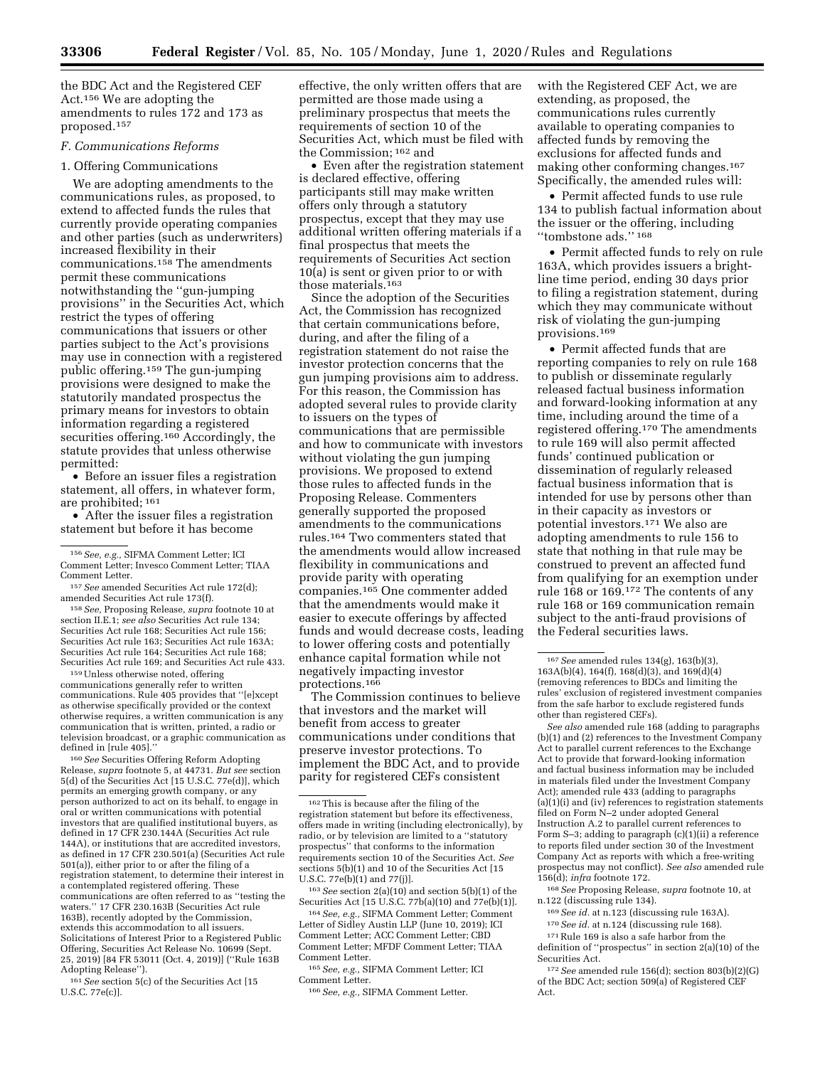the BDC Act and the Registered CEF Act.156 We are adopting the amendments to rules 172 and 173 as proposed.157

## *F. Communications Reforms*

#### 1. Offering Communications

We are adopting amendments to the communications rules, as proposed, to extend to affected funds the rules that currently provide operating companies and other parties (such as underwriters) increased flexibility in their communications.158 The amendments permit these communications notwithstanding the ''gun-jumping provisions'' in the Securities Act, which restrict the types of offering communications that issuers or other parties subject to the Act's provisions may use in connection with a registered public offering.159 The gun-jumping provisions were designed to make the statutorily mandated prospectus the primary means for investors to obtain information regarding a registered securities offering.<sup>160</sup> Accordingly, the statute provides that unless otherwise permitted:

• Before an issuer files a registration statement, all offers, in whatever form, are prohibited; 161

• After the issuer files a registration statement but before it has become

<sup>157</sup> See amended Securities Act rule 172(d);<br>amended Securities Act rule 173(f).

<sup>158</sup> See, Proposing Release, *supra* footnote 10 at section II.E.1; *see also* Securities Act rule 134; Securities Act rule 168; Securities Act rule 156; Securities Act rule 163; Securities Act rule 163A; Securities Act rule 164; Securities Act rule 168; Securities Act rule 169; and Securities Act rule 433. 159Unless otherwise noted, offering

communications generally refer to written communications. Rule 405 provides that ''[e]xcept as otherwise specifically provided or the context otherwise requires, a written communication is any communication that is written, printed, a radio or television broadcast, or a graphic communication as

 $^{160} \, See$  Securities Offering Reform Adopting Release, *supra* footnote 5, at 44731. *But see* section 5(d) of the Securities Act [15 U.S.C. 77e(d)], which permits an emerging growth company, or any person authorized to act on its behalf, to engage in oral or written communications with potential investors that are qualified institutional buyers, as defined in 17 CFR 230.144A (Securities Act rule 144A), or institutions that are accredited investors, as defined in 17 CFR 230.501(a) (Securities Act rule 501(a)), either prior to or after the filing of a registration statement, to determine their interest in a contemplated registered offering. These communications are often referred to as ''testing the waters.'' 17 CFR 230.163B (Securities Act rule 163B), recently adopted by the Commission, extends this accommodation to all issuers. Solicitations of Interest Prior to a Registered Public Offering, Securities Act Release No. 10699 (Sept. 25, 2019) [84 FR 53011 (Oct. 4, 2019)] (''Rule 163B Adopting Release'').

161*See* section 5(c) of the Securities Act [15 U.S.C. 77e(c)].

effective, the only written offers that are permitted are those made using a preliminary prospectus that meets the requirements of section 10 of the Securities Act, which must be filed with the Commission; 162 and

• Even after the registration statement is declared effective, offering participants still may make written offers only through a statutory prospectus, except that they may use additional written offering materials if a final prospectus that meets the requirements of Securities Act section 10(a) is sent or given prior to or with those materials.163

Since the adoption of the Securities Act, the Commission has recognized that certain communications before, during, and after the filing of a registration statement do not raise the investor protection concerns that the gun jumping provisions aim to address. For this reason, the Commission has adopted several rules to provide clarity to issuers on the types of communications that are permissible and how to communicate with investors without violating the gun jumping provisions. We proposed to extend those rules to affected funds in the Proposing Release. Commenters generally supported the proposed amendments to the communications rules.164 Two commenters stated that the amendments would allow increased flexibility in communications and provide parity with operating companies.165 One commenter added that the amendments would make it easier to execute offerings by affected funds and would decrease costs, leading to lower offering costs and potentially enhance capital formation while not negatively impacting investor protections.166

The Commission continues to believe that investors and the market will benefit from access to greater communications under conditions that preserve investor protections. To implement the BDC Act, and to provide parity for registered CEFs consistent

163*See* section 2(a)(10) and section 5(b)(1) of the Securities Act [15 U.S.C. 77b(a)(10) and 77e(b)(1)].

164*See, e.g.,* SIFMA Comment Letter; Comment Letter of Sidley Austin LLP (June 10, 2019); ICI Comment Letter; ACC Comment Letter; CBD

Comment Letter; MFDF Comment Letter; TIAA Comment Letter.

165*See, e.g.,* SIFMA Comment Letter; ICI Comment Letter.

with the Registered CEF Act, we are extending, as proposed, the communications rules currently available to operating companies to affected funds by removing the exclusions for affected funds and making other conforming changes.167 Specifically, the amended rules will:

• Permit affected funds to use rule 134 to publish factual information about the issuer or the offering, including ''tombstone ads.'' 168

• Permit affected funds to rely on rule 163A, which provides issuers a brightline time period, ending 30 days prior to filing a registration statement, during which they may communicate without risk of violating the gun-jumping provisions.169

• Permit affected funds that are reporting companies to rely on rule 168 to publish or disseminate regularly released factual business information and forward-looking information at any time, including around the time of a registered offering.170 The amendments to rule 169 will also permit affected funds' continued publication or dissemination of regularly released factual business information that is intended for use by persons other than in their capacity as investors or potential investors.171 We also are adopting amendments to rule 156 to state that nothing in that rule may be construed to prevent an affected fund from qualifying for an exemption under rule 168 or 169.172 The contents of any rule 168 or 169 communication remain subject to the anti-fraud provisions of the Federal securities laws.

168*See* Proposing Release, *supra* footnote 10, at n.122 (discussing rule 134).

- 169*See id.* at n.123 (discussing rule 163A).
- 170*See id.* at n.124 (discussing rule 168).

 $^{171}\rm{Rule}$  169 is also a safe harbor from the

definition of ''prospectus'' in section 2(a)(10) of the Securities Act.

172*See* amended rule 156(d); section 803(b)(2)(G) of the BDC Act; section 509(a) of Registered CEF Act.

<sup>156</sup>*See, e.g.,* SIFMA Comment Letter; ICI Comment Letter; Invesco Comment Letter; TIAA

<sup>162</sup>This is because after the filing of the registration statement but before its effectiveness, offers made in writing (including electronically), by radio, or by television are limited to a ''statutory prospectus'' that conforms to the information requirements section 10 of the Securities Act. *See*  sections 5(b)(1) and 10 of the Securities Act [15 U.S.C. 77e(b)(1) and 77(j)].

<sup>166</sup>*See, e.g.,* SIFMA Comment Letter.

<sup>167</sup>*See* amended rules 134(g), 163(b)(3), 163A(b)(4), 164(f), 168(d)(3), and 169(d)(4) (removing references to BDCs and limiting the rules' exclusion of registered investment companies from the safe harbor to exclude registered funds other than registered CEFs).

*See also* amended rule 168 (adding to paragraphs (b)(1) and (2) references to the Investment Company Act to parallel current references to the Exchange Act to provide that forward-looking information and factual business information may be included in materials filed under the Investment Company Act); amended rule 433 (adding to paragraphs (a)(1)(i) and (iv) references to registration statements filed on Form N–2 under adopted General Instruction A.2 to parallel current references to Form S–3; adding to paragraph (c)(1)(ii) a reference to reports filed under section 30 of the Investment Company Act as reports with which a free-writing prospectus may not conflict). *See also* amended rule 156(d); *infra* footnote 172.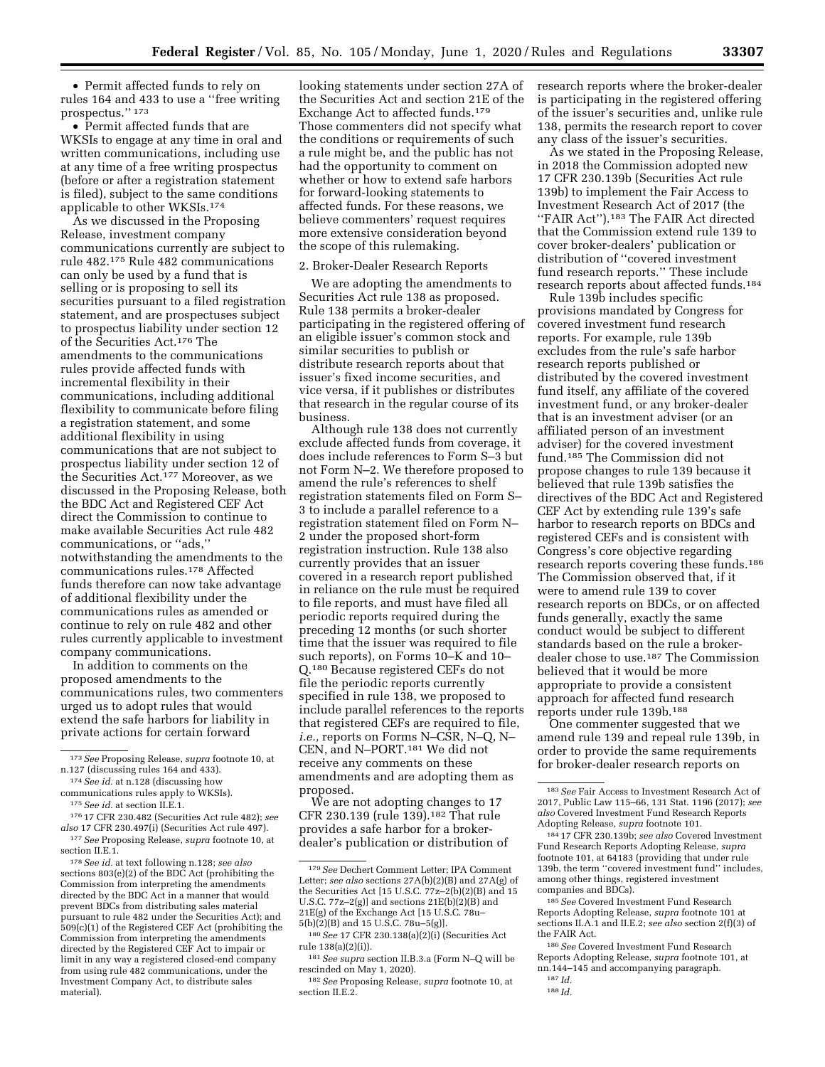• Permit affected funds to rely on rules 164 and 433 to use a ''free writing prospectus.'' 173

• Permit affected funds that are WKSIs to engage at any time in oral and written communications, including use at any time of a free writing prospectus (before or after a registration statement is filed), subject to the same conditions applicable to other WKSIs.174

As we discussed in the Proposing Release, investment company communications currently are subject to rule 482.175 Rule 482 communications can only be used by a fund that is selling or is proposing to sell its securities pursuant to a filed registration statement, and are prospectuses subject to prospectus liability under section 12 of the Securities Act.176 The amendments to the communications rules provide affected funds with incremental flexibility in their communications, including additional flexibility to communicate before filing a registration statement, and some additional flexibility in using communications that are not subject to prospectus liability under section 12 of the Securities Act.177 Moreover, as we discussed in the Proposing Release, both the BDC Act and Registered CEF Act direct the Commission to continue to make available Securities Act rule 482 communications, or ''ads,'' notwithstanding the amendments to the communications rules.178 Affected funds therefore can now take advantage of additional flexibility under the communications rules as amended or continue to rely on rule 482 and other rules currently applicable to investment company communications.

In addition to comments on the proposed amendments to the communications rules, two commenters urged us to adopt rules that would extend the safe harbors for liability in private actions for certain forward

176 17 CFR 230.482 (Securities Act rule 482); *see also* 17 CFR 230.497(i) (Securities Act rule 497). 177*See* Proposing Release, *supra* footnote 10, at section II.E.1.

178*See id.* at text following n.128; *see also*  sections 803(e)(2) of the BDC Act (prohibiting the Commission from interpreting the amendments directed by the BDC Act in a manner that would prevent BDCs from distributing sales material pursuant to rule 482 under the Securities Act); and 509(c)(1) of the Registered CEF Act (prohibiting the Commission from interpreting the amendments directed by the Registered CEF Act to impair or limit in any way a registered closed-end company from using rule 482 communications, under the Investment Company Act, to distribute sales material).

looking statements under section 27A of the Securities Act and section 21E of the Exchange Act to affected funds.179 Those commenters did not specify what the conditions or requirements of such a rule might be, and the public has not had the opportunity to comment on whether or how to extend safe harbors for forward-looking statements to affected funds. For these reasons, we believe commenters' request requires more extensive consideration beyond the scope of this rulemaking.

#### 2. Broker-Dealer Research Reports

We are adopting the amendments to Securities Act rule 138 as proposed. Rule 138 permits a broker-dealer participating in the registered offering of an eligible issuer's common stock and similar securities to publish or distribute research reports about that issuer's fixed income securities, and vice versa, if it publishes or distributes that research in the regular course of its business.

Although rule 138 does not currently exclude affected funds from coverage, it does include references to Form S–3 but not Form N–2. We therefore proposed to amend the rule's references to shelf registration statements filed on Form S– 3 to include a parallel reference to a registration statement filed on Form N– 2 under the proposed short-form registration instruction. Rule 138 also currently provides that an issuer covered in a research report published in reliance on the rule must be required to file reports, and must have filed all periodic reports required during the preceding 12 months (or such shorter time that the issuer was required to file such reports), on Forms 10–K and 10– Q.180 Because registered CEFs do not file the periodic reports currently specified in rule 138, we proposed to include parallel references to the reports that registered CEFs are required to file, *i.e.,* reports on Forms N–CSR, N–Q, N– CEN, and N–PORT.181 We did not receive any comments on these amendments and are adopting them as proposed.

We are not adopting changes to 17 CFR 230.139 (rule 139).182 That rule provides a safe harbor for a brokerdealer's publication or distribution of research reports where the broker-dealer is participating in the registered offering of the issuer's securities and, unlike rule 138, permits the research report to cover any class of the issuer's securities.

As we stated in the Proposing Release, in 2018 the Commission adopted new 17 CFR 230.139b (Securities Act rule 139b) to implement the Fair Access to Investment Research Act of 2017 (the ''FAIR Act'').183 The FAIR Act directed that the Commission extend rule 139 to cover broker-dealers' publication or distribution of ''covered investment fund research reports.'' These include research reports about affected funds.184

Rule 139b includes specific provisions mandated by Congress for covered investment fund research reports. For example, rule 139b excludes from the rule's safe harbor research reports published or distributed by the covered investment fund itself, any affiliate of the covered investment fund, or any broker-dealer that is an investment adviser (or an affiliated person of an investment adviser) for the covered investment fund.185 The Commission did not propose changes to rule 139 because it believed that rule 139b satisfies the directives of the BDC Act and Registered CEF Act by extending rule 139's safe harbor to research reports on BDCs and registered CEFs and is consistent with Congress's core objective regarding research reports covering these funds.186 The Commission observed that, if it were to amend rule 139 to cover research reports on BDCs, or on affected funds generally, exactly the same conduct would be subject to different standards based on the rule a brokerdealer chose to use.187 The Commission believed that it would be more appropriate to provide a consistent approach for affected fund research reports under rule 139b.188

One commenter suggested that we amend rule 139 and repeal rule 139b, in order to provide the same requirements for broker-dealer research reports on

184 17 CFR 230.139b; *see also* Covered Investment Fund Research Reports Adopting Release, *supra*  footnote 101, at 64183 (providing that under rule 139b, the term ''covered investment fund'' includes, among other things, registered investment companies and BDCs).

186*See* Covered Investment Fund Research Reports Adopting Release, *supra* footnote 101, at nn.144–145 and accompanying paragraph.

<sup>173</sup>*See* Proposing Release, *supra* footnote 10, at n.127 (discussing rules 164 and 433).

<sup>174</sup>*See id.* at n.128 (discussing how communications rules apply to WKSIs).

<sup>175</sup>*See id.* at section II.E.1.

<sup>179</sup>*See* Dechert Comment Letter; IPA Comment Letter; *see also* sections 27A(b)(2)(B) and 27A(g) of the Securities Act [15 U.S.C. 77z–2(b)(2)(B) and 15 U.S.C. 77z–2(g)] and sections 21E(b)(2)(B) and 21E(g) of the Exchange Act [15 U.S.C. 78u– 5(b)(2)(B) and 15 U.S.C. 78u–5(g)].

<sup>180</sup>*See* 17 CFR 230.138(a)(2)(i) (Securities Act rule 138(a)(2)(i)).

<sup>181</sup>*See supra* section II.B.3.a (Form N–Q will be rescinded on May 1, 2020).

<sup>182</sup>*See* Proposing Release, *supra* footnote 10, at section II.E.2.

<sup>183</sup>*See* Fair Access to Investment Research Act of 2017, Public Law 115–66, 131 Stat. 1196 (2017); *see also* Covered Investment Fund Research Reports Adopting Release, *supra* footnote 101.

<sup>185</sup>*See* Covered Investment Fund Research Reports Adopting Release, *supra* footnote 101 at sections II.A.1 and II.E.2; *see also* section 2(f)(3) of the FAIR Act.

<sup>187</sup> *Id.*  188 *Id.*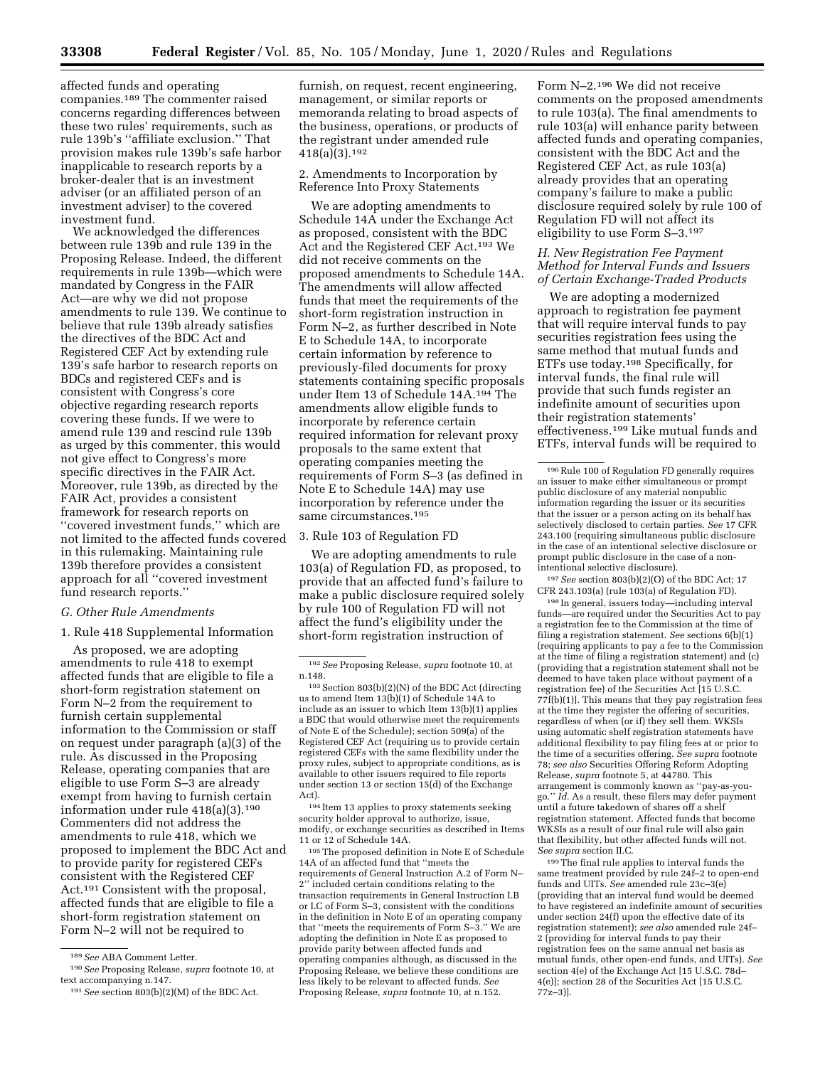affected funds and operating companies.189 The commenter raised concerns regarding differences between these two rules' requirements, such as rule 139b's ''affiliate exclusion.'' That provision makes rule 139b's safe harbor inapplicable to research reports by a broker-dealer that is an investment adviser (or an affiliated person of an investment adviser) to the covered investment fund.

We acknowledged the differences between rule 139b and rule 139 in the Proposing Release. Indeed, the different requirements in rule 139b—which were mandated by Congress in the FAIR Act—are why we did not propose amendments to rule 139. We continue to believe that rule 139b already satisfies the directives of the BDC Act and Registered CEF Act by extending rule 139's safe harbor to research reports on BDCs and registered CEFs and is consistent with Congress's core objective regarding research reports covering these funds. If we were to amend rule 139 and rescind rule 139b as urged by this commenter, this would not give effect to Congress's more specific directives in the FAIR Act. Moreover, rule 139b, as directed by the FAIR Act, provides a consistent framework for research reports on ''covered investment funds,'' which are not limited to the affected funds covered in this rulemaking. Maintaining rule 139b therefore provides a consistent approach for all ''covered investment fund research reports.''

### *G. Other Rule Amendments*

#### 1. Rule 418 Supplemental Information

As proposed, we are adopting amendments to rule 418 to exempt affected funds that are eligible to file a short-form registration statement on Form N–2 from the requirement to furnish certain supplemental information to the Commission or staff on request under paragraph (a)(3) of the rule. As discussed in the Proposing Release, operating companies that are eligible to use Form S–3 are already exempt from having to furnish certain information under rule 418(a)(3).190 Commenters did not address the amendments to rule 418, which we proposed to implement the BDC Act and to provide parity for registered CEFs consistent with the Registered CEF Act.191 Consistent with the proposal, affected funds that are eligible to file a short-form registration statement on Form N–2 will not be required to

furnish, on request, recent engineering, management, or similar reports or memoranda relating to broad aspects of the business, operations, or products of the registrant under amended rule 418(a)(3).192

2. Amendments to Incorporation by Reference Into Proxy Statements

We are adopting amendments to Schedule 14A under the Exchange Act as proposed, consistent with the BDC Act and the Registered CEF Act.193 We did not receive comments on the proposed amendments to Schedule 14A. The amendments will allow affected funds that meet the requirements of the short-form registration instruction in Form N–2, as further described in Note E to Schedule 14A, to incorporate certain information by reference to previously-filed documents for proxy statements containing specific proposals under Item 13 of Schedule 14A.194 The amendments allow eligible funds to incorporate by reference certain required information for relevant proxy proposals to the same extent that operating companies meeting the requirements of Form S–3 (as defined in Note E to Schedule 14A) may use incorporation by reference under the same circumstances.<sup>195</sup>

#### 3. Rule 103 of Regulation FD

We are adopting amendments to rule 103(a) of Regulation FD, as proposed, to provide that an affected fund's failure to make a public disclosure required solely by rule 100 of Regulation FD will not affect the fund's eligibility under the short-form registration instruction of

194 Item 13 applies to proxy statements seeking security holder approval to authorize, issue, modify, or exchange securities as described in Items 11 or 12 of Schedule 14A.

195The proposed definition in Note E of Schedule 14A of an affected fund that ''meets the requirements of General Instruction A.2 of Form N– 2'' included certain conditions relating to the transaction requirements in General Instruction I.B or I.C of Form S–3, consistent with the conditions in the definition in Note E of an operating company that ''meets the requirements of Form S–3.'' We are adopting the definition in Note E as proposed to provide parity between affected funds and operating companies although, as discussed in the Proposing Release, we believe these conditions are less likely to be relevant to affected funds. *See*  Proposing Release, *supra* footnote 10, at n.152.

Form N–2.196 We did not receive comments on the proposed amendments to rule 103(a). The final amendments to rule 103(a) will enhance parity between affected funds and operating companies, consistent with the BDC Act and the Registered CEF Act, as rule 103(a) already provides that an operating company's failure to make a public disclosure required solely by rule 100 of Regulation FD will not affect its eligibility to use Form S–3.197

### *H. New Registration Fee Payment Method for Interval Funds and Issuers of Certain Exchange-Traded Products*

We are adopting a modernized approach to registration fee payment that will require interval funds to pay securities registration fees using the same method that mutual funds and ETFs use today.198 Specifically, for interval funds, the final rule will provide that such funds register an indefinite amount of securities upon their registration statements' effectiveness.199 Like mutual funds and ETFs, interval funds will be required to

197*See* section 803(b)(2)(O) of the BDC Act; 17 CFR 243.103(a) (rule 103(a) of Regulation FD).

198 In general, issuers today—including interval funds—are required under the Securities Act to pay a registration fee to the Commission at the time of filing a registration statement. *See* sections 6(b)(1) (requiring applicants to pay a fee to the Commission at the time of filing a registration statement) and (c) (providing that a registration statement shall not be deemed to have taken place without payment of a registration fee) of the Securities Act [15 U.S.C. 77f(b)(1)]. This means that they pay registration fees at the time they register the offering of securities, regardless of when (or if) they sell them. WKSIs using automatic shelf registration statements have additional flexibility to pay filing fees at or prior to the time of a securities offering. *See supra* footnote 78; *see also* Securities Offering Reform Adopting Release, *supra* footnote 5, at 44780. This arrangement is commonly known as ''pay-as-yougo.'' *Id.* As a result, these filers may defer payment until a future takedown of shares off a shelf registration statement. Affected funds that become WKSIs as a result of our final rule will also gain that flexibility, but other affected funds will not. *See supra* section II.C.

199The final rule applies to interval funds the same treatment provided by rule 24f–2 to open-end funds and UITs. *See* amended rule 23c–3(e) (providing that an interval fund would be deemed to have registered an indefinite amount of securities under section 24(f) upon the effective date of its registration statement); *see also* amended rule 24f– 2 (providing for interval funds to pay their registration fees on the same annual net basis as mutual funds, other open-end funds, and UITs). *See*  section 4(e) of the Exchange Act [15 U.S.C. 78d– 4(e)]; section 28 of the Securities Act [15 U.S.C. 77z–3)].

<sup>189</sup>*See* ABA Comment Letter.

<sup>190</sup>*See* Proposing Release, *supra* footnote 10, at text accompanying n.147.

<sup>191</sup>*See* section 803(b)(2)(M) of the BDC Act.

<sup>192</sup>*See* Proposing Release, *supra* footnote 10, at n.148.

<sup>193</sup>Section 803(b)(2)(N) of the BDC Act (directing us to amend Item 13(b)(1) of Schedule 14A to include as an issuer to which Item 13(b)(1) applies a BDC that would otherwise meet the requirements of Note E of the Schedule); section 509(a) of the Registered CEF Act (requiring us to provide certain registered CEFs with the same flexibility under the proxy rules, subject to appropriate conditions, as is available to other issuers required to file reports under section 13 or section 15(d) of the Exchange Act).

<sup>196</sup>Rule 100 of Regulation FD generally requires an issuer to make either simultaneous or prompt public disclosure of any material nonpublic information regarding the issuer or its securities that the issuer or a person acting on its behalf has selectively disclosed to certain parties. *See* 17 CFR 243.100 (requiring simultaneous public disclosure in the case of an intentional selective disclosure or prompt public disclosure in the case of a nonintentional selective disclosure).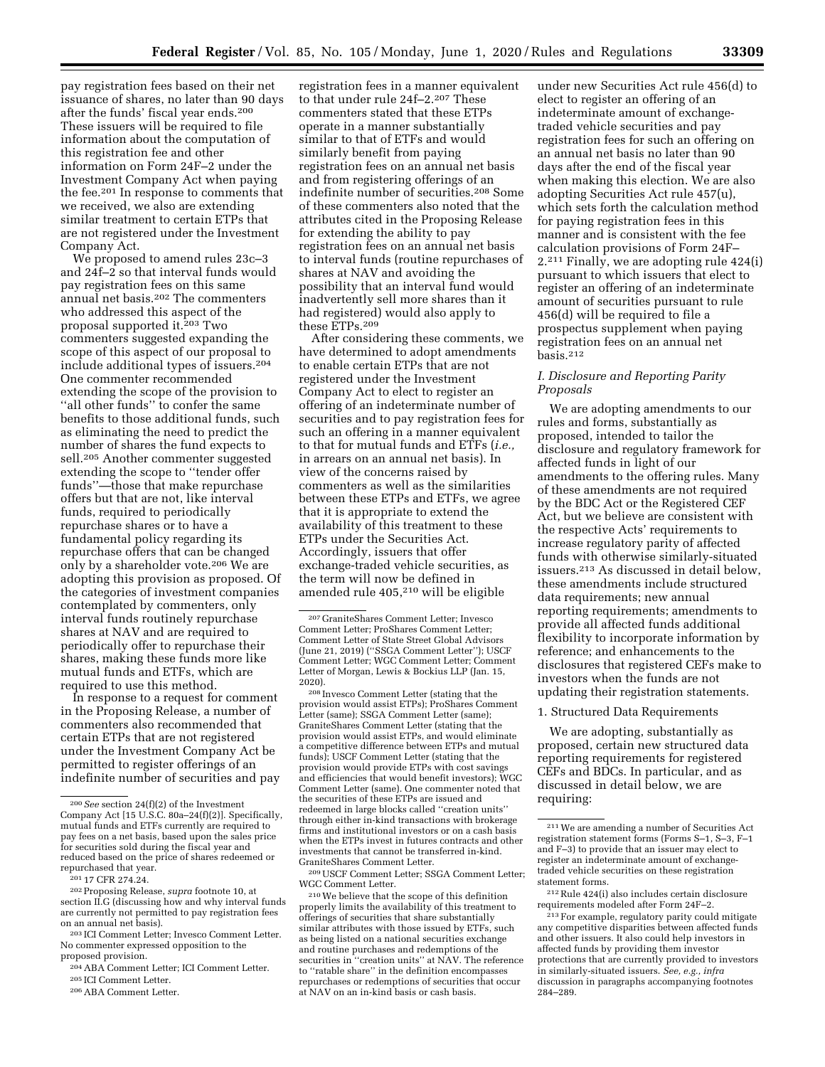pay registration fees based on their net issuance of shares, no later than 90 days

after the funds' fiscal year ends.200 These issuers will be required to file information about the computation of this registration fee and other information on Form 24F–2 under the Investment Company Act when paying the fee.201 In response to comments that we received, we also are extending similar treatment to certain ETPs that are not registered under the Investment Company Act.

We proposed to amend rules 23c–3 and 24f–2 so that interval funds would pay registration fees on this same annual net basis.202 The commenters who addressed this aspect of the proposal supported it.203 Two commenters suggested expanding the scope of this aspect of our proposal to include additional types of issuers.204 One commenter recommended extending the scope of the provision to ''all other funds'' to confer the same benefits to those additional funds, such as eliminating the need to predict the number of shares the fund expects to sell.205 Another commenter suggested extending the scope to ''tender offer funds''—those that make repurchase offers but that are not, like interval funds, required to periodically repurchase shares or to have a fundamental policy regarding its repurchase offers that can be changed only by a shareholder vote.206 We are adopting this provision as proposed. Of the categories of investment companies contemplated by commenters, only interval funds routinely repurchase shares at NAV and are required to periodically offer to repurchase their shares, making these funds more like mutual funds and ETFs, which are required to use this method.

In response to a request for comment in the Proposing Release, a number of commenters also recommended that certain ETPs that are not registered under the Investment Company Act be permitted to register offerings of an indefinite number of securities and pay these ETPs.209 After considering these comments, we have determined to adopt amendments to enable certain ETPs that are not registered under the Investment Company Act to elect to register an offering of an indeterminate number of securities and to pay registration fees for such an offering in a manner equivalent to that for mutual funds and ETFs (*i.e.,*  in arrears on an annual net basis). In view of the concerns raised by commenters as well as the similarities between these ETPs and ETFs, we agree that it is appropriate to extend the availability of this treatment to these ETPs under the Securities Act. Accordingly, issuers that offer exchange-traded vehicle securities, as the term will now be defined in amended rule 405,210 will be eligible

<sup>208</sup> Invesco Comment Letter (stating that the provision would assist ETPs); ProShares Comment Letter (same); SSGA Comment Letter (same); GraniteShares Comment Letter (stating that the provision would assist ETPs, and would eliminate a competitive difference between ETPs and mutual funds); USCF Comment Letter (stating that the provision would provide ETPs with cost savings and efficiencies that would benefit investors); WGC Comment Letter (same). One commenter noted that the securities of these ETPs are issued and redeemed in large blocks called ''creation units'' through either in-kind transactions with brokerage firms and institutional investors or on a cash basis when the ETPs invest in futures contracts and other investments that cannot be transferred in-kind. GraniteShares Comment Letter.

209USCF Comment Letter; SSGA Comment Letter; WGC Comment Letter.

210We believe that the scope of this definition properly limits the availability of this treatment to offerings of securities that share substantially similar attributes with those issued by ETFs, such as being listed on a national securities exchange and routine purchases and redemptions of the securities in ''creation units'' at NAV. The reference to ''ratable share'' in the definition encompasses repurchases or redemptions of securities that occur at NAV on an in-kind basis or cash basis.

under new Securities Act rule 456(d) to elect to register an offering of an indeterminate amount of exchangetraded vehicle securities and pay registration fees for such an offering on an annual net basis no later than 90 days after the end of the fiscal year when making this election. We are also adopting Securities Act rule 457(u), which sets forth the calculation method for paying registration fees in this manner and is consistent with the fee calculation provisions of Form 24F– 2.211 Finally, we are adopting rule 424(i) pursuant to which issuers that elect to register an offering of an indeterminate amount of securities pursuant to rule 456(d) will be required to file a prospectus supplement when paying registration fees on an annual net basis.212

### *I. Disclosure and Reporting Parity Proposals*

We are adopting amendments to our rules and forms, substantially as proposed, intended to tailor the disclosure and regulatory framework for affected funds in light of our amendments to the offering rules. Many of these amendments are not required by the BDC Act or the Registered CEF Act, but we believe are consistent with the respective Acts' requirements to increase regulatory parity of affected funds with otherwise similarly-situated issuers.213 As discussed in detail below, these amendments include structured data requirements; new annual reporting requirements; amendments to provide all affected funds additional flexibility to incorporate information by reference; and enhancements to the disclosures that registered CEFs make to investors when the funds are not updating their registration statements.

#### 1. Structured Data Requirements

We are adopting, substantially as proposed, certain new structured data reporting requirements for registered CEFs and BDCs. In particular, and as discussed in detail below, we are requiring:

212Rule 424(i) also includes certain disclosure requirements modeled after Form 24F–2.

<sup>200</sup>*See* section 24(f)(2) of the Investment Company Act [15 U.S.C. 80a–24(f)(2)]. Specifically, mutual funds and ETFs currently are required to pay fees on a net basis, based upon the sales price for securities sold during the fiscal year and reduced based on the price of shares redeemed or

repurchased that year. 201 17 CFR 274.24. 202Proposing Release, *supra* footnote 10, at section II.G (discussing how and why interval funds are currently not permitted to pay registration fees

<sup>203</sup> ICI Comment Letter; Invesco Comment Letter. No commenter expressed opposition to the proposed provision.

<sup>204</sup>ABA Comment Letter; ICI Comment Letter.

<sup>205</sup> ICI Comment Letter. 206ABA Comment Letter.

registration fees in a manner equivalent to that under rule 24f–2.207 These commenters stated that these ETPs operate in a manner substantially similar to that of ETFs and would similarly benefit from paying registration fees on an annual net basis and from registering offerings of an indefinite number of securities.208 Some of these commenters also noted that the attributes cited in the Proposing Release for extending the ability to pay registration fees on an annual net basis to interval funds (routine repurchases of shares at NAV and avoiding the possibility that an interval fund would inadvertently sell more shares than it had registered) would also apply to

<sup>207</sup> GraniteShares Comment Letter; Invesco Comment Letter; ProShares Comment Letter; Comment Letter of State Street Global Advisors (June 21, 2019) (''SSGA Comment Letter''); USCF Comment Letter; WGC Comment Letter; Comment Letter of Morgan, Lewis & Bockius LLP (Jan. 15, 2020).

<sup>211</sup>We are amending a number of Securities Act registration statement forms (Forms S–1, S–3, F–1 and F–3) to provide that an issuer may elect to register an indeterminate amount of exchangetraded vehicle securities on these registration statement forms.

<sup>213</sup>For example, regulatory parity could mitigate any competitive disparities between affected funds and other issuers. It also could help investors in affected funds by providing them investor protections that are currently provided to investors in similarly-situated issuers. *See, e.g., infra*  discussion in paragraphs accompanying footnotes 284–289.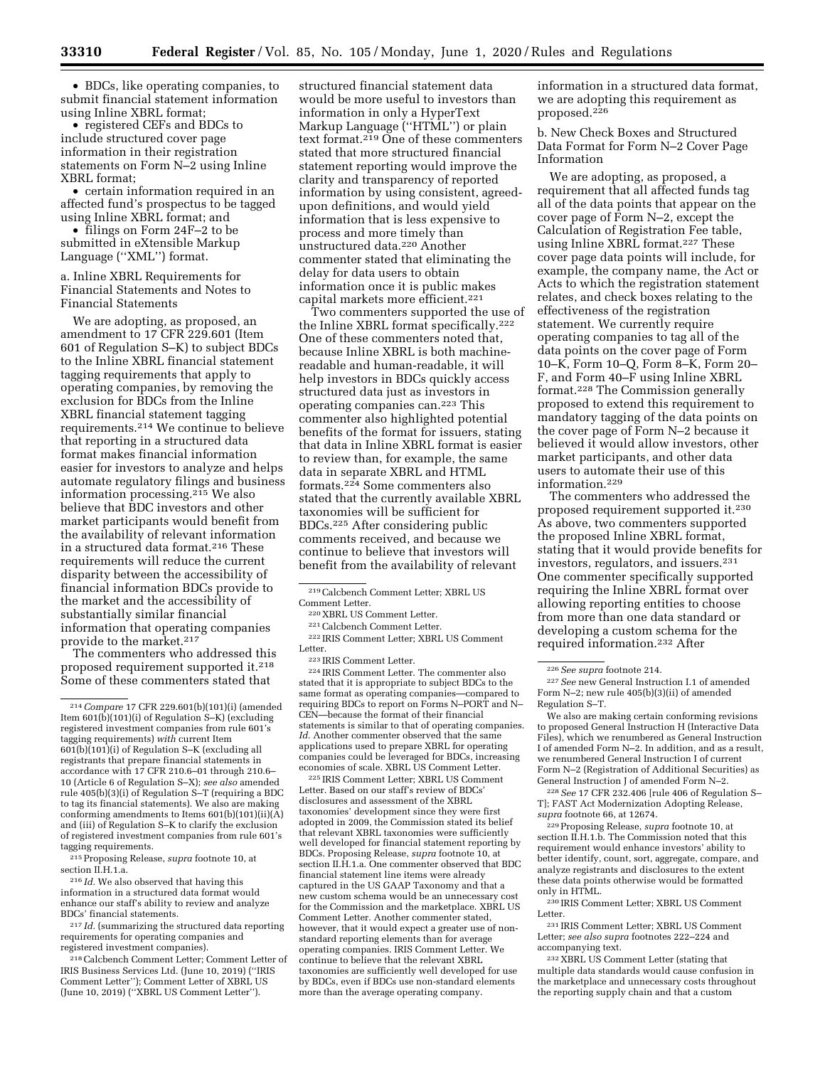• BDCs, like operating companies, to submit financial statement information using Inline XBRL format;

• registered CEFs and BDCs to include structured cover page information in their registration statements on Form N–2 using Inline XBRL format;

• certain information required in an affected fund's prospectus to be tagged using Inline XBRL format; and

• filings on Form 24F–2 to be submitted in eXtensible Markup Language (''XML'') format.

a. Inline XBRL Requirements for Financial Statements and Notes to Financial Statements

We are adopting, as proposed, an amendment to 17 CFR 229.601 (Item 601 of Regulation S–K) to subject BDCs to the Inline XBRL financial statement tagging requirements that apply to operating companies, by removing the exclusion for BDCs from the Inline XBRL financial statement tagging requirements.214 We continue to believe that reporting in a structured data format makes financial information easier for investors to analyze and helps automate regulatory filings and business information processing.215 We also believe that BDC investors and other market participants would benefit from the availability of relevant information in a structured data format.<sup>216</sup> These requirements will reduce the current disparity between the accessibility of financial information BDCs provide to the market and the accessibility of substantially similar financial information that operating companies provide to the market.217

The commenters who addressed this proposed requirement supported it.218 Some of these commenters stated that

215Proposing Release, *supra* footnote 10, at section II.H.1.a.

216 *Id.* We also observed that having this information in a structured data format would enhance our staff's ability to review and analyze BDCs' financial statements.

217 *Id.* (summarizing the structured data reporting requirements for operating companies and registered investment companies).

218Calcbench Comment Letter; Comment Letter of IRIS Business Services Ltd. (June 10, 2019) (''IRIS Comment Letter''); Comment Letter of XBRL US (June 10, 2019) (''XBRL US Comment Letter'').

structured financial statement data would be more useful to investors than information in only a HyperText Markup Language (''HTML'') or plain text format.219 One of these commenters stated that more structured financial statement reporting would improve the clarity and transparency of reported information by using consistent, agreedupon definitions, and would yield information that is less expensive to process and more timely than unstructured data.220 Another commenter stated that eliminating the delay for data users to obtain information once it is public makes capital markets more efficient.221

Two commenters supported the use of the Inline XBRL format specifically.222 One of these commenters noted that, because Inline XBRL is both machinereadable and human-readable, it will help investors in BDCs quickly access structured data just as investors in operating companies can.223 This commenter also highlighted potential benefits of the format for issuers, stating that data in Inline XBRL format is easier to review than, for example, the same data in separate XBRL and HTML formats.224 Some commenters also stated that the currently available XBRL taxonomies will be sufficient for BDCs.225 After considering public comments received, and because we continue to believe that investors will benefit from the availability of relevant

<sup>220</sup> XBRL US Comment Letter.<br><sup>221</sup> Calcbench Comment Letter.<br><sup>222</sup> IRIS Comment Letter; XBRL US Comment<br>Letter.

223 IRIS Comment Letter.<br><sup>224</sup> IRIS Comment Letter. The commenter also stated that it is appropriate to subject BDCs to the same format as operating companies—compared to requiring BDCs to report on Forms N–PORT and N– CEN—because the format of their financial statements is similar to that of operating companies. *Id.* Another commenter observed that the same applications used to prepare XBRL for operating companies could be leveraged for BDCs, increasing economies of scale. XBRL US Comment Letter.

225 IRIS Comment Letter; XBRL US Comment Letter. Based on our staff's review of BDCs' disclosures and assessment of the XBRL taxonomies' development since they were first adopted in 2009, the Commission stated its belief that relevant XBRL taxonomies were sufficiently well developed for financial statement reporting by BDCs. Proposing Release, *supra* footnote 10, at section II.H.1.a. One commenter observed that BDC financial statement line items were already captured in the US GAAP Taxonomy and that a new custom schema would be an unnecessary cost for the Commission and the marketplace. XBRL US Comment Letter. Another commenter stated, however, that it would expect a greater use of nonstandard reporting elements than for average operating companies. IRIS Comment Letter. We continue to believe that the relevant XBRL taxonomies are sufficiently well developed for use by BDCs, even if BDCs use non-standard elements more than the average operating company.

information in a structured data format, we are adopting this requirement as proposed.226

b. New Check Boxes and Structured Data Format for Form N–2 Cover Page Information

We are adopting, as proposed, a requirement that all affected funds tag all of the data points that appear on the cover page of Form N–2, except the Calculation of Registration Fee table, using Inline XBRL format.227 These cover page data points will include, for example, the company name, the Act or Acts to which the registration statement relates, and check boxes relating to the effectiveness of the registration statement. We currently require operating companies to tag all of the data points on the cover page of Form 10–K, Form 10–Q, Form 8–K, Form 20– F, and Form 40–F using Inline XBRL format.228 The Commission generally proposed to extend this requirement to mandatory tagging of the data points on the cover page of Form N–2 because it believed it would allow investors, other market participants, and other data users to automate their use of this information.229

The commenters who addressed the proposed requirement supported it.230 As above, two commenters supported the proposed Inline XBRL format, stating that it would provide benefits for investors, regulators, and issuers.231 One commenter specifically supported requiring the Inline XBRL format over allowing reporting entities to choose from more than one data standard or developing a custom schema for the required information.232 After

227*See* new General Instruction I.1 of amended Form N–2; new rule 405(b)(3)(ii) of amended Regulation S–T.

We also are making certain conforming revisions to proposed General Instruction H (Interactive Data Files), which we renumbered as General Instruction I of amended Form N–2. In addition, and as a result, we renumbered General Instruction I of current Form N–2 (Registration of Additional Securities) as General Instruction J of amended Form N–2.

228*See* 17 CFR 232.406 [rule 406 of Regulation S– T]; FAST Act Modernization Adopting Release, *supra* footnote 66, at 12674.

229Proposing Release, *supra* footnote 10, at section II.H.1.b. The Commission noted that this requirement would enhance investors' ability to better identify, count, sort, aggregate, compare, and analyze registrants and disclosures to the extent these data points otherwise would be formatted only in HTML.

230 IRIS Comment Letter; XBRL US Comment Letter.

231 IRIS Comment Letter; XBRL US Comment Letter; *see also supra* footnotes 222–224 and accompanying text.

232 XBRL US Comment Letter (stating that multiple data standards would cause confusion in the marketplace and unnecessary costs throughout the reporting supply chain and that a custom

<sup>214</sup>*Compare* 17 CFR 229.601(b)(101)(i) (amended Item 601(b)(101)(i) of Regulation S–K) (excluding registered investment companies from rule 601's tagging requirements) *with* current Item 601(b)(101)(i) of Regulation S–K (excluding all registrants that prepare financial statements in accordance with 17 CFR 210.6–01 through 210.6– 10 (Article 6 of Regulation S–X); *see also* amended rule 405(b)(3)(i) of Regulation S–T (requiring a BDC to tag its financial statements). We also are making conforming amendments to Items 601(b)(101)(ii)(A) and (iii) of Regulation S–K to clarify the exclusion of registered investment companies from rule 601's tagging requirements.

<sup>&</sup>lt;sup>219</sup> Calcbench Comment Letter; XBRL US Comment Letter.

<sup>226</sup>*See supra* footnote 214.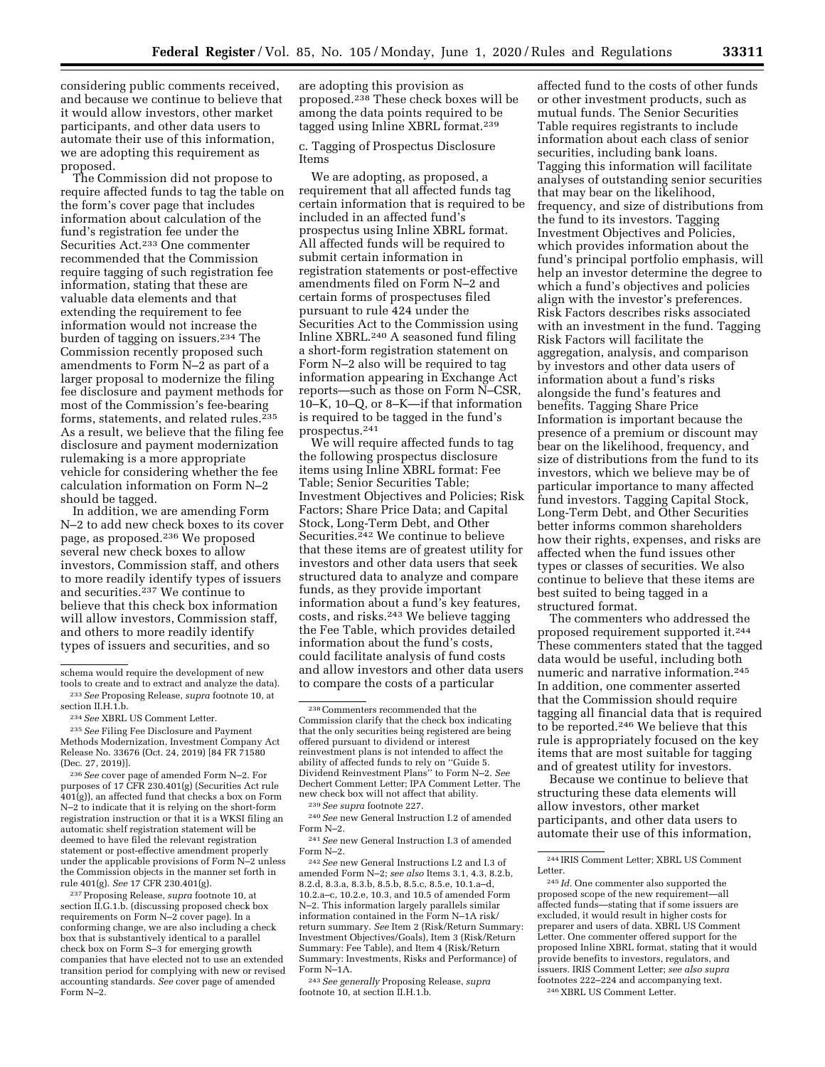considering public comments received, and because we continue to believe that it would allow investors, other market participants, and other data users to automate their use of this information, we are adopting this requirement as proposed.

The Commission did not propose to require affected funds to tag the table on the form's cover page that includes information about calculation of the fund's registration fee under the Securities Act.233 One commenter recommended that the Commission require tagging of such registration fee information, stating that these are valuable data elements and that extending the requirement to fee information would not increase the burden of tagging on issuers.234 The Commission recently proposed such amendments to Form N–2 as part of a larger proposal to modernize the filing fee disclosure and payment methods for most of the Commission's fee-bearing forms, statements, and related rules.<sup>235</sup> As a result, we believe that the filing fee disclosure and payment modernization rulemaking is a more appropriate vehicle for considering whether the fee calculation information on Form N–2 should be tagged.

In addition, we are amending Form N–2 to add new check boxes to its cover page, as proposed.236 We proposed several new check boxes to allow investors, Commission staff, and others to more readily identify types of issuers and securities.237 We continue to believe that this check box information will allow investors, Commission staff, and others to more readily identify types of issuers and securities, and so

235*See* Filing Fee Disclosure and Payment Methods Modernization, Investment Company Act Release No. 33676 (Oct. 24, 2019) [84 FR 71580 (Dec. 27, 2019)].

236*See* cover page of amended Form N–2. For purposes of 17 CFR 230.401(g) (Securities Act rule  $401(g)$ , an affected fund that checks a box on Form N–2 to indicate that it is relying on the short-form registration instruction or that it is a WKSI filing an automatic shelf registration statement will be deemed to have filed the relevant registration statement or post-effective amendment properly under the applicable provisions of Form N–2 unless the Commission objects in the manner set forth in rule 401(g). *See* 17 CFR 230.401(g).

237Proposing Release, *supra* footnote 10, at section II.G.1.b. (discussing proposed check box requirements on Form N–2 cover page). In a conforming change, we are also including a check box that is substantively identical to a parallel check box on Form S–3 for emerging growth companies that have elected not to use an extended transition period for complying with new or revised accounting standards. *See* cover page of amended Form N–2.

are adopting this provision as proposed.238 These check boxes will be among the data points required to be tagged using Inline XBRL format.239

c. Tagging of Prospectus Disclosure Items

We are adopting, as proposed, a requirement that all affected funds tag certain information that is required to be included in an affected fund's prospectus using Inline XBRL format. All affected funds will be required to submit certain information in registration statements or post-effective amendments filed on Form N–2 and certain forms of prospectuses filed pursuant to rule 424 under the Securities Act to the Commission using Inline XBRL.240 A seasoned fund filing a short-form registration statement on Form N–2 also will be required to tag information appearing in Exchange Act reports—such as those on Form N–CSR, 10–K, 10–Q, or 8–K—if that information is required to be tagged in the fund's prospectus.241

We will require affected funds to tag the following prospectus disclosure items using Inline XBRL format: Fee Table; Senior Securities Table; Investment Objectives and Policies; Risk Factors; Share Price Data; and Capital Stock, Long-Term Debt, and Other Securities.242 We continue to believe that these items are of greatest utility for investors and other data users that seek structured data to analyze and compare funds, as they provide important information about a fund's key features, costs, and risks.243 We believe tagging the Fee Table, which provides detailed information about the fund's costs, could facilitate analysis of fund costs and allow investors and other data users to compare the costs of a particular

242*See* new General Instructions I.2 and I.3 of amended Form N–2; *see also* Items 3.1, 4.3, 8.2.b, 8.2.d, 8.3.a, 8.3.b, 8.5.b, 8.5.c, 8.5.e, 10.1.a–d, 10.2.a–c, 10.2.e, 10.3, and 10.5 of amended Form N–2. This information largely parallels similar information contained in the Form N–1A risk/ return summary. *See* Item 2 (Risk/Return Summary: Investment Objectives/Goals), Item 3 (Risk/Return Summary: Fee Table), and Item 4 (Risk/Return Summary: Investments, Risks and Performance) of Form N–1A.

243*See generally* Proposing Release, *supra*  footnote 10, at section II.H.1.b.

affected fund to the costs of other funds or other investment products, such as mutual funds. The Senior Securities Table requires registrants to include information about each class of senior securities, including bank loans. Tagging this information will facilitate analyses of outstanding senior securities that may bear on the likelihood, frequency, and size of distributions from the fund to its investors. Tagging Investment Objectives and Policies, which provides information about the fund's principal portfolio emphasis, will help an investor determine the degree to which a fund's objectives and policies align with the investor's preferences. Risk Factors describes risks associated with an investment in the fund. Tagging Risk Factors will facilitate the aggregation, analysis, and comparison by investors and other data users of information about a fund's risks alongside the fund's features and benefits. Tagging Share Price Information is important because the presence of a premium or discount may bear on the likelihood, frequency, and size of distributions from the fund to its investors, which we believe may be of particular importance to many affected fund investors. Tagging Capital Stock, Long-Term Debt, and Other Securities better informs common shareholders how their rights, expenses, and risks are affected when the fund issues other types or classes of securities. We also continue to believe that these items are best suited to being tagged in a structured format.

The commenters who addressed the proposed requirement supported it.244 These commenters stated that the tagged data would be useful, including both numeric and narrative information.245 In addition, one commenter asserted that the Commission should require tagging all financial data that is required to be reported.246 We believe that this rule is appropriately focused on the key items that are most suitable for tagging and of greatest utility for investors.

Because we continue to believe that structuring these data elements will allow investors, other market participants, and other data users to automate their use of this information,

schema would require the development of new tools to create and to extract and analyze the data).

<sup>233</sup>*See* Proposing Release, *supra* footnote 10, at section II.H.1.b.

<sup>234</sup>*See* XBRL US Comment Letter.

<sup>238</sup>Commenters recommended that the Commission clarify that the check box indicating that the only securities being registered are being offered pursuant to dividend or interest reinvestment plans is not intended to affect the ability of affected funds to rely on ''Guide 5. Dividend Reinvestment Plans'' to Form N–2. *See*  Dechert Comment Letter; IPA Comment Letter. The new check box will not affect that ability.

<sup>239</sup>*See supra* footnote 227. 240*See* new General Instruction I.2 of amended Form N–2.

<sup>241</sup>*See* new General Instruction I.3 of amended Form N–2.

<sup>244</sup> IRIS Comment Letter; XBRL US Comment Letter.

<sup>245</sup> *Id.* One commenter also supported the proposed scope of the new requirement—all affected funds—stating that if some issuers are excluded, it would result in higher costs for preparer and users of data. XBRL US Comment Letter. One commenter offered support for the proposed Inline XBRL format, stating that it would provide benefits to investors, regulators, and issuers. IRIS Comment Letter; *see also supra*  footnotes 222–224 and accompanying text. 246 XBRL US Comment Letter.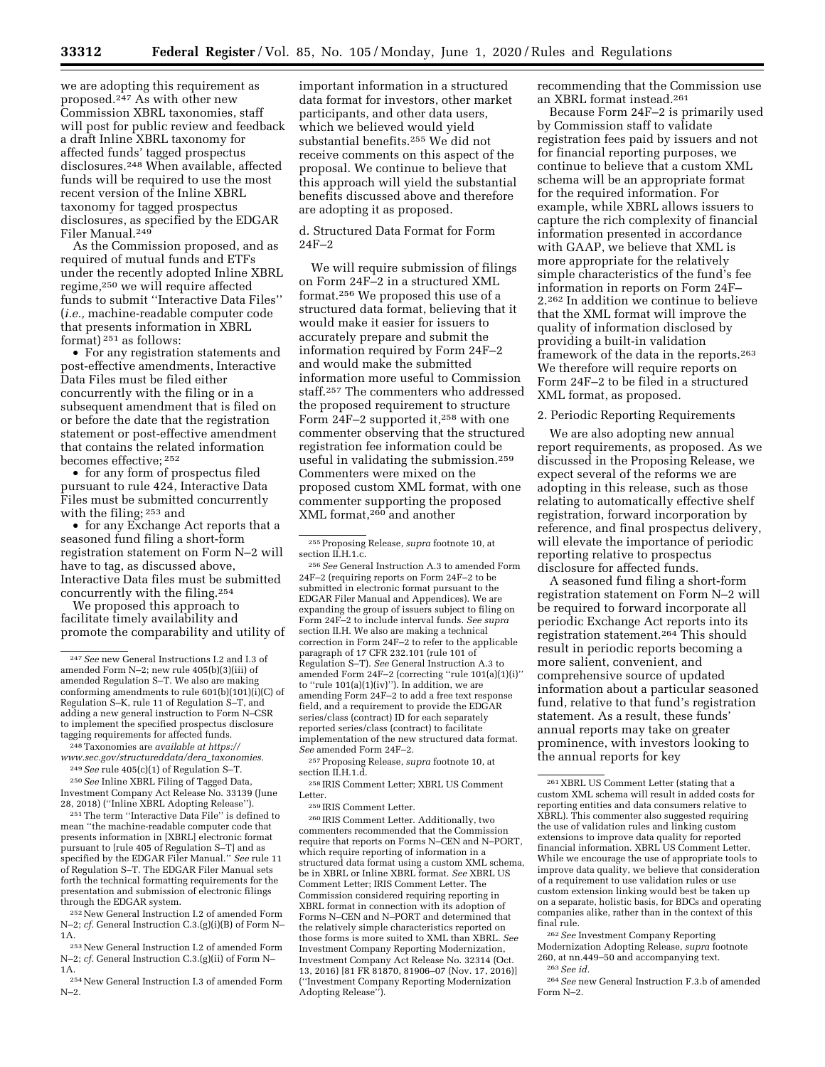we are adopting this requirement as proposed.247 As with other new Commission XBRL taxonomies, staff will post for public review and feedback a draft Inline XBRL taxonomy for affected funds' tagged prospectus disclosures.248 When available, affected funds will be required to use the most recent version of the Inline XBRL taxonomy for tagged prospectus disclosures, as specified by the EDGAR Filer Manual.249

As the Commission proposed, and as required of mutual funds and ETFs under the recently adopted Inline XBRL regime,250 we will require affected funds to submit ''Interactive Data Files'' (*i.e.,* machine-readable computer code that presents information in XBRL format) 251 as follows:

• For any registration statements and post-effective amendments, Interactive Data Files must be filed either concurrently with the filing or in a subsequent amendment that is filed on or before the date that the registration statement or post-effective amendment that contains the related information becomes effective; 252

• for any form of prospectus filed pursuant to rule 424, Interactive Data Files must be submitted concurrently with the filing; 253 and

• for any Exchange Act reports that a seasoned fund filing a short-form registration statement on Form N–2 will have to tag, as discussed above, Interactive Data files must be submitted concurrently with the filing.254

We proposed this approach to facilitate timely availability and promote the comparability and utility of

248Taxonomies are *available at [https://](https://www.sec.gov/structureddata/dera_taxonomies) [www.sec.gov/structureddata/dera](https://www.sec.gov/structureddata/dera_taxonomies)*\_*taxonomies.* 

249*See* rule 405(c)(1) of Regulation S–T. 250*See* Inline XBRL Filing of Tagged Data, Investment Company Act Release No. 33139 (June

28, 2018) (''Inline XBRL Adopting Release''). 251The term ''Interactive Data File'' is defined to

mean ''the machine-readable computer code that presents information in [XBRL] electronic format pursuant to [rule 405 of Regulation S–T] and as specified by the EDGAR Filer Manual.'' *See* rule 11 of Regulation S–T. The EDGAR Filer Manual sets forth the technical formatting requirements for the presentation and submission of electronic filings through the EDGAR system.

252New General Instruction I.2 of amended Form N–2; *cf.* General Instruction C.3.(g)(i)(B) of Form N– 1A.

253New General Instruction I.2 of amended Form N–2; *cf.* General Instruction C.3.(g)(ii) of Form N– 1A.

254New General Instruction I.3 of amended Form N–2.

important information in a structured data format for investors, other market participants, and other data users, which we believed would yield substantial benefits.255 We did not receive comments on this aspect of the proposal. We continue to believe that this approach will yield the substantial benefits discussed above and therefore are adopting it as proposed.

d. Structured Data Format for Form 24F–2

We will require submission of filings on Form 24F–2 in a structured XML format.256 We proposed this use of a structured data format, believing that it would make it easier for issuers to accurately prepare and submit the information required by Form 24F–2 and would make the submitted information more useful to Commission staff.257 The commenters who addressed the proposed requirement to structure Form 24F–2 supported it,<sup>258</sup> with one commenter observing that the structured registration fee information could be useful in validating the submission.259 Commenters were mixed on the proposed custom XML format, with one commenter supporting the proposed XML format,260 and another

255Proposing Release, *supra* footnote 10, at section II.H.1.c.

256*See* General Instruction A.3 to amended Form 24F–2 (requiring reports on Form 24F–2 to be submitted in electronic format pursuant to the EDGAR Filer Manual and Appendices). We are expanding the group of issuers subject to filing on Form 24F–2 to include interval funds. *See supra*  section II.H. We also are making a technical correction in Form 24F–2 to refer to the applicable paragraph of 17 CFR 232.101 (rule 101 of Regulation S–T). *See* General Instruction A.3 to amended Form 24F–2 (correcting ''rule 101(a)(1)(i)'' to "rule  $101(a)(1)(iv)$ "). In addition, we are amending Form 24F–2 to add a free text response field, and a requirement to provide the EDGAR series/class (contract) ID for each separately reported series/class (contract) to facilitate implementation of the new structured data format. *See* amended Form 24F–2.

257Proposing Release, *supra* footnote 10, at section II.H.1.d.

258 IRIS Comment Letter; XBRL US Comment Letter.

259 IRIS Comment Letter.

260 IRIS Comment Letter. Additionally, two commenters recommended that the Commission require that reports on Forms N–CEN and N–PORT, which require reporting of information in a structured data format using a custom XML schema, be in XBRL or Inline XBRL format. *See* XBRL US Comment Letter; IRIS Comment Letter. The Commission considered requiring reporting in XBRL format in connection with its adoption of Forms N–CEN and N–PORT and determined that the relatively simple characteristics reported on those forms is more suited to XML than XBRL. *See*  Investment Company Reporting Modernization, Investment Company Act Release No. 32314 (Oct. 13, 2016) [81 FR 81870, 81906–07 (Nov. 17, 2016)] (''Investment Company Reporting Modernization Adopting Release'').

recommending that the Commission use an XBRL format instead.261

Because Form 24F–2 is primarily used by Commission staff to validate registration fees paid by issuers and not for financial reporting purposes, we continue to believe that a custom XML schema will be an appropriate format for the required information. For example, while XBRL allows issuers to capture the rich complexity of financial information presented in accordance with GAAP, we believe that XML is more appropriate for the relatively simple characteristics of the fund's fee information in reports on Form 24F– 2.262 In addition we continue to believe that the XML format will improve the quality of information disclosed by providing a built-in validation framework of the data in the reports.263 We therefore will require reports on Form 24F–2 to be filed in a structured XML format, as proposed.

2. Periodic Reporting Requirements

We are also adopting new annual report requirements, as proposed. As we discussed in the Proposing Release, we expect several of the reforms we are adopting in this release, such as those relating to automatically effective shelf registration, forward incorporation by reference, and final prospectus delivery, will elevate the importance of periodic reporting relative to prospectus disclosure for affected funds.

A seasoned fund filing a short-form registration statement on Form N–2 will be required to forward incorporate all periodic Exchange Act reports into its registration statement.264 This should result in periodic reports becoming a more salient, convenient, and comprehensive source of updated information about a particular seasoned fund, relative to that fund's registration statement. As a result, these funds' annual reports may take on greater prominence, with investors looking to the annual reports for key

262*See* Investment Company Reporting Modernization Adopting Release, *supra* footnote 260, at nn.449–50 and accompanying text. 263*See id.* 

264*See* new General Instruction F.3.b of amended Form N–2.

<sup>247</sup>*See* new General Instructions I.2 and I.3 of amended Form N–2; new rule 405(b)(3)(iii) of amended Regulation S–T. We also are making conforming amendments to rule 601(b)(101)(i)(C) of Regulation S–K, rule 11 of Regulation S–T, and adding a new general instruction to Form N–CSR to implement the specified prospectus disclosure tagging requirements for affected funds.

<sup>261</sup> XBRL US Comment Letter (stating that a custom XML schema will result in added costs for reporting entities and data consumers relative to XBRL). This commenter also suggested requiring the use of validation rules and linking custom extensions to improve data quality for reported financial information. XBRL US Comment Letter. While we encourage the use of appropriate tools to improve data quality, we believe that consideration of a requirement to use validation rules or use custom extension linking would best be taken up on a separate, holistic basis, for BDCs and operating companies alike, rather than in the context of this final rule.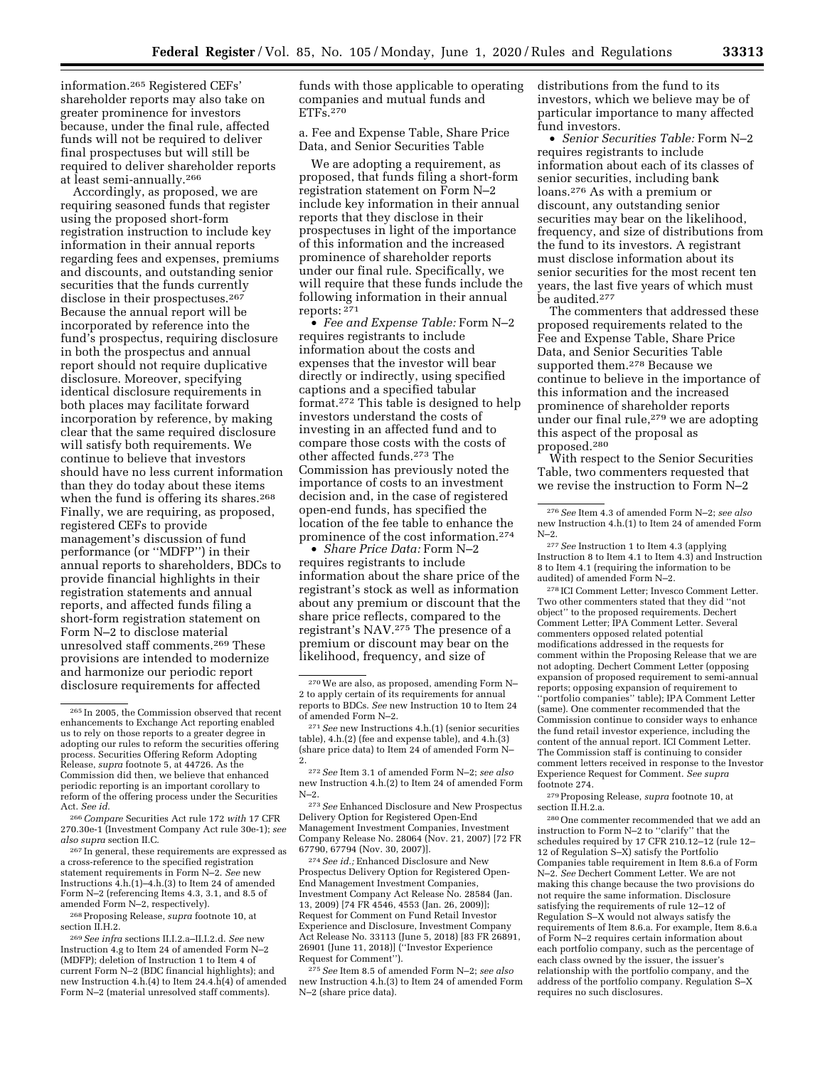information.265 Registered CEFs' shareholder reports may also take on greater prominence for investors because, under the final rule, affected funds will not be required to deliver final prospectuses but will still be required to deliver shareholder reports at least semi-annually.266

Accordingly, as proposed, we are requiring seasoned funds that register using the proposed short-form registration instruction to include key information in their annual reports regarding fees and expenses, premiums and discounts, and outstanding senior securities that the funds currently disclose in their prospectuses.<sup>267</sup> Because the annual report will be incorporated by reference into the fund's prospectus, requiring disclosure in both the prospectus and annual report should not require duplicative disclosure. Moreover, specifying identical disclosure requirements in both places may facilitate forward incorporation by reference, by making clear that the same required disclosure will satisfy both requirements. We continue to believe that investors should have no less current information than they do today about these items when the fund is offering its shares.268 Finally, we are requiring, as proposed, registered CEFs to provide management's discussion of fund performance (or ''MDFP'') in their annual reports to shareholders, BDCs to provide financial highlights in their registration statements and annual reports, and affected funds filing a short-form registration statement on Form N–2 to disclose material unresolved staff comments.269 These provisions are intended to modernize and harmonize our periodic report disclosure requirements for affected

268Proposing Release, *supra* footnote 10, at section II.H.2.

funds with those applicable to operating companies and mutual funds and ETFs.270

a. Fee and Expense Table, Share Price Data, and Senior Securities Table

We are adopting a requirement, as proposed, that funds filing a short-form registration statement on Form N–2 include key information in their annual reports that they disclose in their prospectuses in light of the importance of this information and the increased prominence of shareholder reports under our final rule. Specifically, we will require that these funds include the following information in their annual reports:  $271$ 

• *Fee and Expense Table:* Form N–2 requires registrants to include information about the costs and expenses that the investor will bear directly or indirectly, using specified captions and a specified tabular format.272 This table is designed to help investors understand the costs of investing in an affected fund and to compare those costs with the costs of other affected funds.273 The Commission has previously noted the importance of costs to an investment decision and, in the case of registered open-end funds, has specified the location of the fee table to enhance the prominence of the cost information.274

• *Share Price Data:* Form N–2 requires registrants to include information about the share price of the registrant's stock as well as information about any premium or discount that the share price reflects, compared to the registrant's NAV.275 The presence of a premium or discount may bear on the likelihood, frequency, and size of

273*See* Enhanced Disclosure and New Prospectus Delivery Option for Registered Open-End Management Investment Companies, Investment Company Release No. 28064 (Nov. 21, 2007) [72 FR 67790, 67794 (Nov. 30, 2007)].

274*See id.;* Enhanced Disclosure and New Prospectus Delivery Option for Registered Open-End Management Investment Companies, Investment Company Act Release No. 28584 (Jan. 13, 2009) [74 FR 4546, 4553 (Jan. 26, 2009)]; Request for Comment on Fund Retail Investor Experience and Disclosure, Investment Company Act Release No. 33113 (June 5, 2018) [83 FR 26891, 26901 (June 11, 2018)] (''Investor Experience Request for Comment'').

275*See* Item 8.5 of amended Form N–2; *see also*  new Instruction 4.h.(3) to Item 24 of amended Form N–2 (share price data).

distributions from the fund to its investors, which we believe may be of particular importance to many affected fund investors.

• *Senior Securities Table:* Form N–2 requires registrants to include information about each of its classes of senior securities, including bank loans.276 As with a premium or discount, any outstanding senior securities may bear on the likelihood, frequency, and size of distributions from the fund to its investors. A registrant must disclose information about its senior securities for the most recent ten years, the last five years of which must be audited.277

The commenters that addressed these proposed requirements related to the Fee and Expense Table, Share Price Data, and Senior Securities Table supported them.278 Because we continue to believe in the importance of this information and the increased prominence of shareholder reports under our final rule,<sup>279</sup> we are adopting this aspect of the proposal as proposed.280

With respect to the Senior Securities Table, two commenters requested that we revise the instruction to Form N–2

278 ICI Comment Letter; Invesco Comment Letter. Two other commenters stated that they did ''not object'' to the proposed requirements. Dechert Comment Letter; IPA Comment Letter. Several commenters opposed related potential modifications addressed in the requests for comment within the Proposing Release that we are not adopting. Dechert Comment Letter (opposing expansion of proposed requirement to semi-annual reports; opposing expansion of requirement to ''portfolio companies'' table); IPA Comment Letter (same). One commenter recommended that the Commission continue to consider ways to enhance the fund retail investor experience, including the content of the annual report. ICI Comment Letter. The Commission staff is continuing to consider comment letters received in response to the Investor Experience Request for Comment. *See supra*  footnote 274.

279Proposing Release, *supra* footnote 10, at section II.H.2.a.

280One commenter recommended that we add an instruction to Form N–2 to ''clarify'' that the schedules required by 17 CFR 210.12–12 (rule 12– 12 of Regulation S–X) satisfy the Portfolio Companies table requirement in Item 8.6.a of Form N–2. *See* Dechert Comment Letter. We are not making this change because the two provisions do not require the same information. Disclosure satisfying the requirements of rule 12–12 of Regulation S–X would not always satisfy the requirements of Item 8.6.a. For example, Item 8.6.a of Form N–2 requires certain information about each portfolio company, such as the percentage of each class owned by the issuer, the issuer's relationship with the portfolio company, and the address of the portfolio company. Regulation S–X requires no such disclosures.

<sup>265</sup> In 2005, the Commission observed that recent enhancements to Exchange Act reporting enabled us to rely on those reports to a greater degree in adopting our rules to reform the securities offering process. Securities Offering Reform Adopting Release, *supra* footnote 5, at 44726. As the Commission did then, we believe that enhanced periodic reporting is an important corollary to reform of the offering process under the Securities Act. *See id.* 

<sup>266</sup>*Compare* Securities Act rule 172 *with* 17 CFR 270.30e-1 (Investment Company Act rule 30e-1); *see* 

<sup>&</sup>lt;sup>267</sup> In general, these requirements are expressed as a cross-reference to the specified registration statement requirements in Form N–2. *See* new Instructions  $4.h(1)-4.h(3)$  to Item 24 of amended Form N–2 (referencing Items 4.3, 3.1, and 8.5 of amended Form N–2, respectively).

<sup>269</sup>*See infra* sections II.I.2.a–II.I.2.d. *See* new Instruction 4.g to Item 24 of amended Form N–2 (MDFP); deletion of Instruction 1 to Item 4 of current Form N–2 (BDC financial highlights); and new Instruction 4.h.(4) to Item 24.4.h(4) of amended Form N–2 (material unresolved staff comments).

<sup>270</sup>We are also, as proposed, amending Form N– 2 to apply certain of its requirements for annual reports to BDCs. *See* new Instruction 10 to Item 24 of amended Form N–2.

<sup>271</sup>*See* new Instructions 4.h.(1) (senior securities table), 4.h.(2) (fee and expense table), and 4.h.(3) (share price data) to Item 24 of amended Form N– 2.

<sup>272</sup>*See* Item 3.1 of amended Form N–2; *see also*  new Instruction 4.h.(2) to Item 24 of amended Form N–2.

<sup>276</sup>*See* Item 4.3 of amended Form N–2; *see also*  new Instruction 4.h.(1) to Item 24 of amended Form N–2.

<sup>277</sup>*See* Instruction 1 to Item 4.3 (applying Instruction 8 to Item 4.1 to Item 4.3) and Instruction 8 to Item 4.1 (requiring the information to be audited) of amended Form N–2.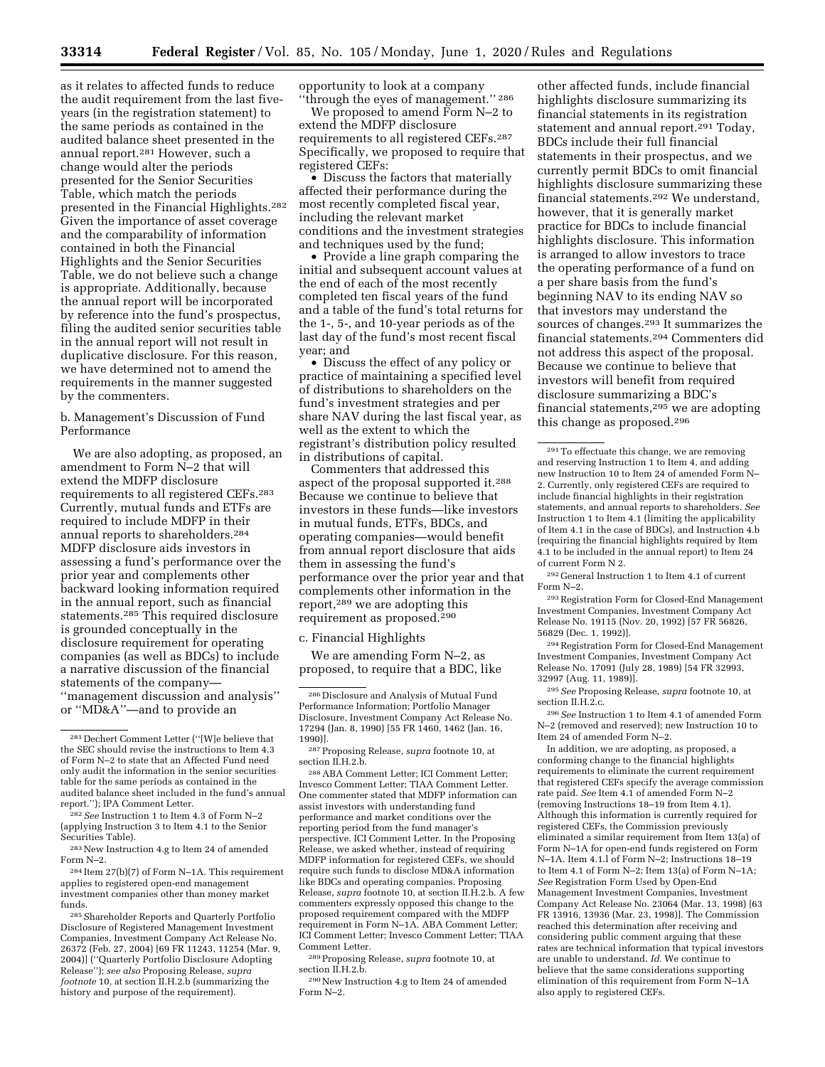as it relates to affected funds to reduce the audit requirement from the last fiveyears (in the registration statement) to the same periods as contained in the audited balance sheet presented in the annual report.281 However, such a change would alter the periods presented for the Senior Securities Table, which match the periods presented in the Financial Highlights.282 Given the importance of asset coverage and the comparability of information contained in both the Financial Highlights and the Senior Securities Table, we do not believe such a change is appropriate. Additionally, because the annual report will be incorporated by reference into the fund's prospectus, filing the audited senior securities table in the annual report will not result in duplicative disclosure. For this reason, we have determined not to amend the requirements in the manner suggested by the commenters.

### b. Management's Discussion of Fund Performance

We are also adopting, as proposed, an amendment to Form N–2 that will extend the MDFP disclosure requirements to all registered CEFs.283 Currently, mutual funds and ETFs are required to include MDFP in their annual reports to shareholders.284 MDFP disclosure aids investors in assessing a fund's performance over the prior year and complements other backward looking information required in the annual report, such as financial statements.285 This required disclosure is grounded conceptually in the disclosure requirement for operating companies (as well as BDCs) to include a narrative discussion of the financial statements of the company— ''management discussion and analysis'' or ''MD&A''—and to provide an

284 Item 27(b)(7) of Form N–1A. This requirement applies to registered open-end management investment companies other than money market funds.

285Shareholder Reports and Quarterly Portfolio Disclosure of Registered Management Investment Companies, Investment Company Act Release No. 26372 (Feb. 27, 2004) [69 FR 11243, 11254 (Mar. 9, 2004)] (''Quarterly Portfolio Disclosure Adopting Release''); *see also* Proposing Release, *supra footnote* 10, at section II.H.2.b (summarizing the history and purpose of the requirement).

opportunity to look at a company ''through the eyes of management.'' 286

We proposed to amend Form N–2 to extend the MDFP disclosure requirements to all registered CEFs.287 Specifically, we proposed to require that registered CEFs:

• Discuss the factors that materially affected their performance during the most recently completed fiscal year, including the relevant market conditions and the investment strategies and techniques used by the fund;

• Provide a line graph comparing the initial and subsequent account values at the end of each of the most recently completed ten fiscal years of the fund and a table of the fund's total returns for the 1-, 5-, and 10-year periods as of the last day of the fund's most recent fiscal year; and

• Discuss the effect of any policy or practice of maintaining a specified level of distributions to shareholders on the fund's investment strategies and per share NAV during the last fiscal year, as well as the extent to which the registrant's distribution policy resulted in distributions of capital.

Commenters that addressed this aspect of the proposal supported it.288 Because we continue to believe that investors in these funds—like investors in mutual funds, ETFs, BDCs, and operating companies—would benefit from annual report disclosure that aids them in assessing the fund's performance over the prior year and that complements other information in the report,289 we are adopting this requirement as proposed.290

#### c. Financial Highlights

We are amending Form N–2, as proposed, to require that a BDC, like

289Proposing Release, *supra* footnote 10, at section II.H.2.b.

290New Instruction 4.g to Item 24 of amended Form N–2.

other affected funds, include financial highlights disclosure summarizing its financial statements in its registration statement and annual report.<sup>291</sup> Today, BDCs include their full financial statements in their prospectus, and we currently permit BDCs to omit financial highlights disclosure summarizing these financial statements.292 We understand, however, that it is generally market practice for BDCs to include financial highlights disclosure. This information is arranged to allow investors to trace the operating performance of a fund on a per share basis from the fund's beginning NAV to its ending NAV so that investors may understand the sources of changes.293 It summarizes the financial statements.294 Commenters did not address this aspect of the proposal. Because we continue to believe that investors will benefit from required disclosure summarizing a BDC's financial statements,295 we are adopting this change as proposed.296

292 General Instruction 1 to Item 4.1 of current Form N–2.

293Registration Form for Closed-End Management Investment Companies, Investment Company Act Release No. 19115 (Nov. 20, 1992) [57 FR 56826, 56829 (Dec. 1, 1992)].

294Registration Form for Closed-End Management Investment Companies, Investment Company Act Release No. 17091 (July 28, 1989) [54 FR 32993, 32997 (Aug. 11, 1989)].

295*See* Proposing Release, *supra* footnote 10, at section II.H.2.c.

296*See* Instruction 1 to Item 4.1 of amended Form N–2 (removed and reserved); new Instruction 10 to Item 24 of amended Form N–2.

In addition, we are adopting, as proposed, a conforming change to the financial highlights requirements to eliminate the current requirement that registered CEFs specify the average commission rate paid. *See* Item 4.1 of amended Form N–2 (removing Instructions 18–19 from Item 4.1). Although this information is currently required for registered CEFs, the Commission previously eliminated a similar requirement from Item 13(a) of Form N–1A for open-end funds registered on Form N–1A. Item 4.1.l of Form N–2; Instructions 18–19 to Item 4.1 of Form N–2; Item 13(a) of Form N–1A; *See* Registration Form Used by Open-End Management Investment Companies, Investment Company Act Release No. 23064 (Mar. 13, 1998) [63 FR 13916, 13936 (Mar. 23, 1998)]. The Commission reached this determination after receiving and considering public comment arguing that these rates are technical information that typical investors are unable to understand. *Id.* We continue to believe that the same considerations supporting elimination of this requirement from Form N–1A also apply to registered CEFs.

<sup>281</sup> Dechert Comment Letter (''[W]e believe that the SEC should revise the instructions to Item 4.3 of Form N–2 to state that an Affected Fund need only audit the information in the senior securities table for the same periods as contained in the audited balance sheet included in the fund's annual report.''); IPA Comment Letter.

<sup>282</sup>*See* Instruction 1 to Item 4.3 of Form N–2 (applying Instruction 3 to Item 4.1 to the Senior Securities Table).

<sup>283</sup>New Instruction 4.g to Item 24 of amended Form N–2.

<sup>286</sup> Disclosure and Analysis of Mutual Fund Performance Information; Portfolio Manager Disclosure, Investment Company Act Release No. 17294 (Jan. 8, 1990) [55 FR 1460, 1462 (Jan. 16, 1990)].

<sup>287</sup>Proposing Release, *supra* footnote 10, at section II.H.2.b.

<sup>288</sup>ABA Comment Letter; ICI Comment Letter; Invesco Comment Letter; TIAA Comment Letter. One commenter stated that MDFP information can assist investors with understanding fund performance and market conditions over the reporting period from the fund manager's perspective. ICI Comment Letter. In the Proposing Release, we asked whether, instead of requiring MDFP information for registered CEFs, we should require such funds to disclose MD&A information like BDCs and operating companies. Proposing Release, *supra* footnote 10, at section II.H.2.b. A few commenters expressly opposed this change to the proposed requirement compared with the MDFP requirement in Form N–1A. ABA Comment Letter; ICI Comment Letter; Invesco Comment Letter; TIAA Comment Letter.

<sup>291</sup>To effectuate this change, we are removing and reserving Instruction 1 to Item 4, and adding new Instruction 10 to Item 24 of amended Form N– 2. Currently, only registered CEFs are required to include financial highlights in their registration statements, and annual reports to shareholders. *See*  Instruction 1 to Item 4.1 (limiting the applicability of Item 4.1 in the case of BDCs), and Instruction 4.b (requiring the financial highlights required by Item 4.1 to be included in the annual report) to Item 24 of current Form N 2.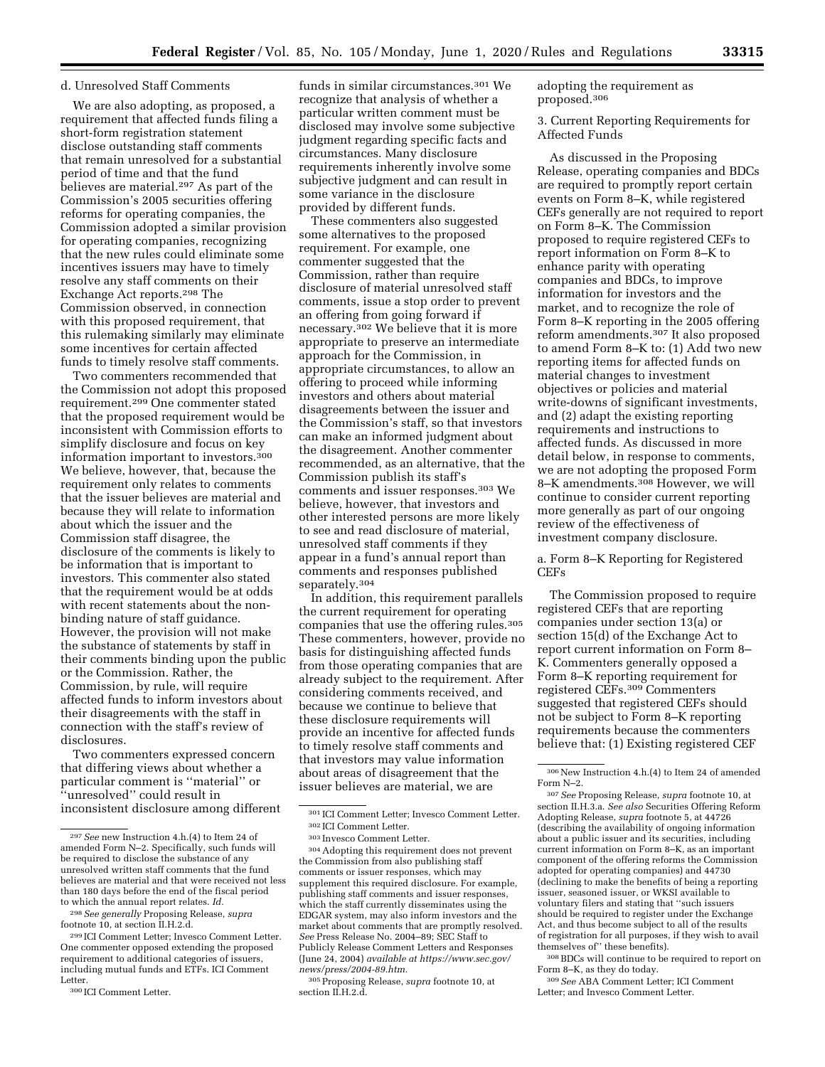#### d. Unresolved Staff Comments

We are also adopting, as proposed, a requirement that affected funds filing a short-form registration statement disclose outstanding staff comments that remain unresolved for a substantial period of time and that the fund believes are material.297 As part of the Commission's 2005 securities offering reforms for operating companies, the Commission adopted a similar provision for operating companies, recognizing that the new rules could eliminate some incentives issuers may have to timely resolve any staff comments on their Exchange Act reports.298 The Commission observed, in connection with this proposed requirement, that this rulemaking similarly may eliminate some incentives for certain affected funds to timely resolve staff comments.

Two commenters recommended that the Commission not adopt this proposed requirement.299 One commenter stated that the proposed requirement would be inconsistent with Commission efforts to simplify disclosure and focus on key information important to investors.300 We believe, however, that, because the requirement only relates to comments that the issuer believes are material and because they will relate to information about which the issuer and the Commission staff disagree, the disclosure of the comments is likely to be information that is important to investors. This commenter also stated that the requirement would be at odds with recent statements about the nonbinding nature of staff guidance. However, the provision will not make the substance of statements by staff in their comments binding upon the public or the Commission. Rather, the Commission, by rule, will require affected funds to inform investors about their disagreements with the staff in connection with the staff's review of disclosures.

Two commenters expressed concern that differing views about whether a particular comment is ''material'' or ''unresolved'' could result in inconsistent disclosure among different

299 ICI Comment Letter; Invesco Comment Letter. One commenter opposed extending the proposed requirement to additional categories of issuers, including mutual funds and ETFs. ICI Comment Letter.

funds in similar circumstances.301 We recognize that analysis of whether a particular written comment must be disclosed may involve some subjective judgment regarding specific facts and circumstances. Many disclosure requirements inherently involve some subjective judgment and can result in some variance in the disclosure provided by different funds.

These commenters also suggested some alternatives to the proposed requirement. For example, one commenter suggested that the Commission, rather than require disclosure of material unresolved staff comments, issue a stop order to prevent an offering from going forward if necessary.302 We believe that it is more appropriate to preserve an intermediate approach for the Commission, in appropriate circumstances, to allow an offering to proceed while informing investors and others about material disagreements between the issuer and the Commission's staff, so that investors can make an informed judgment about the disagreement. Another commenter recommended, as an alternative, that the Commission publish its staff's comments and issuer responses.303 We believe, however, that investors and other interested persons are more likely to see and read disclosure of material, unresolved staff comments if they appear in a fund's annual report than comments and responses published separately.304

In addition, this requirement parallels the current requirement for operating companies that use the offering rules.305 These commenters, however, provide no basis for distinguishing affected funds from those operating companies that are already subject to the requirement. After considering comments received, and because we continue to believe that these disclosure requirements will provide an incentive for affected funds to timely resolve staff comments and that investors may value information about areas of disagreement that the issuer believes are material, we are

304Adopting this requirement does not prevent the Commission from also publishing staff comments or issuer responses, which may supplement this required disclosure. For example, publishing staff comments and issuer responses, which the staff currently disseminates using the EDGAR system, may also inform investors and the market about comments that are promptly resolved. *See* Press Release No. 2004–89; SEC Staff to Publicly Release Comment Letters and Responses (June 24, 2004) *available at [https://www.sec.gov/](https://www.sec.gov/news/press/2004-89.htm)  [news/press/2004-89.htm.](https://www.sec.gov/news/press/2004-89.htm)* 

305Proposing Release, *supra* footnote 10, at section II.H.2.d.

adopting the requirement as proposed.306

3. Current Reporting Requirements for Affected Funds

As discussed in the Proposing Release, operating companies and BDCs are required to promptly report certain events on Form 8–K, while registered CEFs generally are not required to report on Form 8–K. The Commission proposed to require registered CEFs to report information on Form 8–K to enhance parity with operating companies and BDCs, to improve information for investors and the market, and to recognize the role of Form 8–K reporting in the 2005 offering reform amendments.307 It also proposed to amend Form 8–K to: (1) Add two new reporting items for affected funds on material changes to investment objectives or policies and material write-downs of significant investments, and (2) adapt the existing reporting requirements and instructions to affected funds. As discussed in more detail below, in response to comments, we are not adopting the proposed Form 8–K amendments.308 However, we will continue to consider current reporting more generally as part of our ongoing review of the effectiveness of investment company disclosure.

a. Form 8–K Reporting for Registered CEFs

The Commission proposed to require registered CEFs that are reporting companies under section 13(a) or section 15(d) of the Exchange Act to report current information on Form 8– K. Commenters generally opposed a Form 8–K reporting requirement for registered CEFs.309 Commenters suggested that registered CEFs should not be subject to Form 8–K reporting requirements because the commenters believe that: (1) Existing registered CEF

308BDCs will continue to be required to report on Form 8–K, as they do today.

309*See* ABA Comment Letter; ICI Comment Letter; and Invesco Comment Letter.

<sup>297</sup>*See* new Instruction 4.h.(4) to Item 24 of amended Form N–2. Specifically, such funds will be required to disclose the substance of any unresolved written staff comments that the fund believes are material and that were received not less than 180 days before the end of the fiscal period to which the annual report relates. *Id.* 

<sup>298</sup>*See generally* Proposing Release, *supra*  footnote 10, at section II.H.2.d.

<sup>300</sup> ICI Comment Letter.

<sup>301</sup> ICI Comment Letter; Invesco Comment Letter.

<sup>302</sup> ICI Comment Letter.

<sup>303</sup> Invesco Comment Letter.

<sup>306</sup>New Instruction 4.h.(4) to Item 24 of amended Form N–2.

<sup>307</sup>*See* Proposing Release, *supra* footnote 10, at section II.H.3.a. *See also* Securities Offering Reform Adopting Release, *supra* footnote 5, at 44726 (describing the availability of ongoing information about a public issuer and its securities, including current information on Form 8–K, as an important component of the offering reforms the Commission adopted for operating companies) and 44730 (declining to make the benefits of being a reporting issuer, seasoned issuer, or WKSI available to voluntary filers and stating that ''such issuers should be required to register under the Exchange Act, and thus become subject to all of the results of registration for all purposes, if they wish to avail themselves of'' these benefits).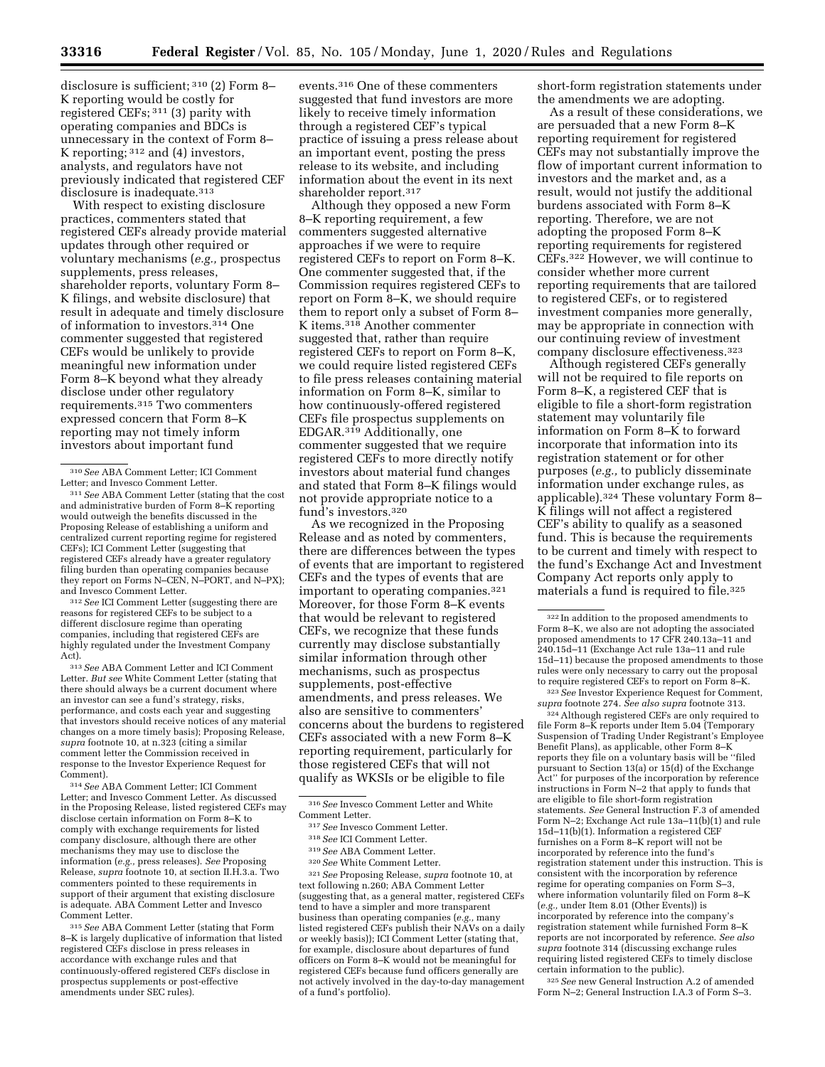disclosure is sufficient; 310 (2) Form 8– K reporting would be costly for registered CEFs; 311 (3) parity with operating companies and BDCs is unnecessary in the context of Form 8– K reporting; 312 and (4) investors, analysts, and regulators have not previously indicated that registered CEF disclosure is inadequate.313

With respect to existing disclosure practices, commenters stated that registered CEFs already provide material updates through other required or voluntary mechanisms (*e.g.,* prospectus supplements, press releases, shareholder reports, voluntary Form 8– K filings, and website disclosure) that result in adequate and timely disclosure of information to investors.314 One commenter suggested that registered CEFs would be unlikely to provide meaningful new information under Form 8–K beyond what they already disclose under other regulatory requirements.315 Two commenters expressed concern that Form 8–K reporting may not timely inform investors about important fund

312*See* ICI Comment Letter (suggesting there are reasons for registered CEFs to be subject to a different disclosure regime than operating companies, including that registered CEFs are highly regulated under the Investment Company Act).

313*See* ABA Comment Letter and ICI Comment Letter. *But see* White Comment Letter (stating that there should always be a current document where an investor can see a fund's strategy, risks, performance, and costs each year and suggesting that investors should receive notices of any material changes on a more timely basis); Proposing Release, *supra* footnote 10, at n.323 (citing a similar comment letter the Commission received in response to the Investor Experience Request for Comment).

314*See* ABA Comment Letter; ICI Comment Letter; and Invesco Comment Letter. As discussed in the Proposing Release, listed registered CEFs may disclose certain information on Form 8–K to comply with exchange requirements for listed company disclosure, although there are other mechanisms they may use to disclose the information (*e.g.,* press releases). *See* Proposing Release, *supra* footnote 10, at section II.H.3.a. Two commenters pointed to these requirements in support of their argument that existing disclosure is adequate. ABA Comment Letter and Invesco Comment Letter.

315*See* ABA Comment Letter (stating that Form 8–K is largely duplicative of information that listed registered CEFs disclose in press releases in accordance with exchange rules and that continuously-offered registered CEFs disclose in prospectus supplements or post-effective amendments under SEC rules).

events.316 One of these commenters suggested that fund investors are more likely to receive timely information through a registered CEF's typical practice of issuing a press release about an important event, posting the press release to its website, and including information about the event in its next shareholder report.317

Although they opposed a new Form 8–K reporting requirement, a few commenters suggested alternative approaches if we were to require registered CEFs to report on Form 8–K. One commenter suggested that, if the Commission requires registered CEFs to report on Form 8–K, we should require them to report only a subset of Form 8– K items.318 Another commenter suggested that, rather than require registered CEFs to report on Form 8–K, we could require listed registered CEFs to file press releases containing material information on Form 8–K, similar to how continuously-offered registered CEFs file prospectus supplements on EDGAR.319 Additionally, one commenter suggested that we require registered CEFs to more directly notify investors about material fund changes and stated that Form 8–K filings would not provide appropriate notice to a fund's investors.320

As we recognized in the Proposing Release and as noted by commenters, there are differences between the types of events that are important to registered CEFs and the types of events that are important to operating companies.321 Moreover, for those Form 8–K events that would be relevant to registered CEFs, we recognize that these funds currently may disclose substantially similar information through other mechanisms, such as prospectus supplements, post-effective amendments, and press releases. We also are sensitive to commenters' concerns about the burdens to registered CEFs associated with a new Form 8–K reporting requirement, particularly for those registered CEFs that will not qualify as WKSIs or be eligible to file

320*See* White Comment Letter.

321*See* Proposing Release, *supra* footnote 10, at text following n.260; ABA Comment Letter (suggesting that, as a general matter, registered CEFs tend to have a simpler and more transparent business than operating companies (*e.g.,* many listed registered CEFs publish their NAVs on a daily or weekly basis)); ICI Comment Letter (stating that, for example, disclosure about departures of fund officers on Form 8–K would not be meaningful for registered CEFs because fund officers generally are not actively involved in the day-to-day management of a fund's portfolio).

short-form registration statements under the amendments we are adopting.

As a result of these considerations, we are persuaded that a new Form 8–K reporting requirement for registered CEFs may not substantially improve the flow of important current information to investors and the market and, as a result, would not justify the additional burdens associated with Form 8–K reporting. Therefore, we are not adopting the proposed Form 8–K reporting requirements for registered CEFs.322 However, we will continue to consider whether more current reporting requirements that are tailored to registered CEFs, or to registered investment companies more generally, may be appropriate in connection with our continuing review of investment company disclosure effectiveness.323

Although registered CEFs generally will not be required to file reports on Form 8–K, a registered CEF that is eligible to file a short-form registration statement may voluntarily file information on Form 8–K to forward incorporate that information into its registration statement or for other purposes (*e.g.,* to publicly disseminate information under exchange rules, as applicable).324 These voluntary Form 8– K filings will not affect a registered CEF's ability to qualify as a seasoned fund. This is because the requirements to be current and timely with respect to the fund's Exchange Act and Investment Company Act reports only apply to materials a fund is required to file.325

<sup>323</sup> See Investor Experience Request for Comment, supra footnote 274. See also supra footnote 313.

<sup>324</sup> Although registered CEFs are only required to file Form 8–K reports under Item 5.04 (Temporary Suspension of Trading Under Registrant's Employee Benefit Plans), as applicable, other Form 8–K reports they file on a voluntary basis will be ''filed pursuant to Section 13(a) or 15(d) of the Exchange Act'' for purposes of the incorporation by reference instructions in Form N–2 that apply to funds that are eligible to file short-form registration statements. *See* General Instruction F.3 of amended Form N–2; Exchange Act rule 13a–11(b)(1) and rule 15d–11(b)(1). Information a registered CEF furnishes on a Form 8–K report will not be incorporated by reference into the fund's registration statement under this instruction. This is consistent with the incorporation by reference regime for operating companies on Form S–3, where information voluntarily filed on Form 8–K (*e.g.,* under Item 8.01 (Other Events)) is incorporated by reference into the company's registration statement while furnished Form 8–K reports are not incorporated by reference. *See also supra* footnote 314 (discussing exchange rules requiring listed registered CEFs to timely disclose certain information to the public).

325*See* new General Instruction A.2 of amended Form N–2; General Instruction I.A.3 of Form S–3.

<sup>310</sup>*See* ABA Comment Letter; ICI Comment Letter; and Invesco Comment Letter.

<sup>311</sup>*See* ABA Comment Letter (stating that the cost and administrative burden of Form 8–K reporting would outweigh the benefits discussed in the Proposing Release of establishing a uniform and centralized current reporting regime for registered CEFs); ICI Comment Letter (suggesting that registered CEFs already have a greater regulatory filing burden than operating companies because they report on Forms N–CEN, N–PORT, and N–PX); and Invesco Comment Letter.

<sup>316</sup>*See* Invesco Comment Letter and White

<sup>&</sup>lt;sup>317</sup> See Invesco Comment Letter.

<sup>318</sup>*See* ICI Comment Letter.

<sup>319</sup>*See* ABA Comment Letter.

<sup>322</sup> In addition to the proposed amendments to Form 8–K, we also are not adopting the associated proposed amendments to 17 CFR 240.13a–11 and 240.15d–11 (Exchange Act rule 13a–11 and rule 15d–11) because the proposed amendments to those rules were only necessary to carry out the proposal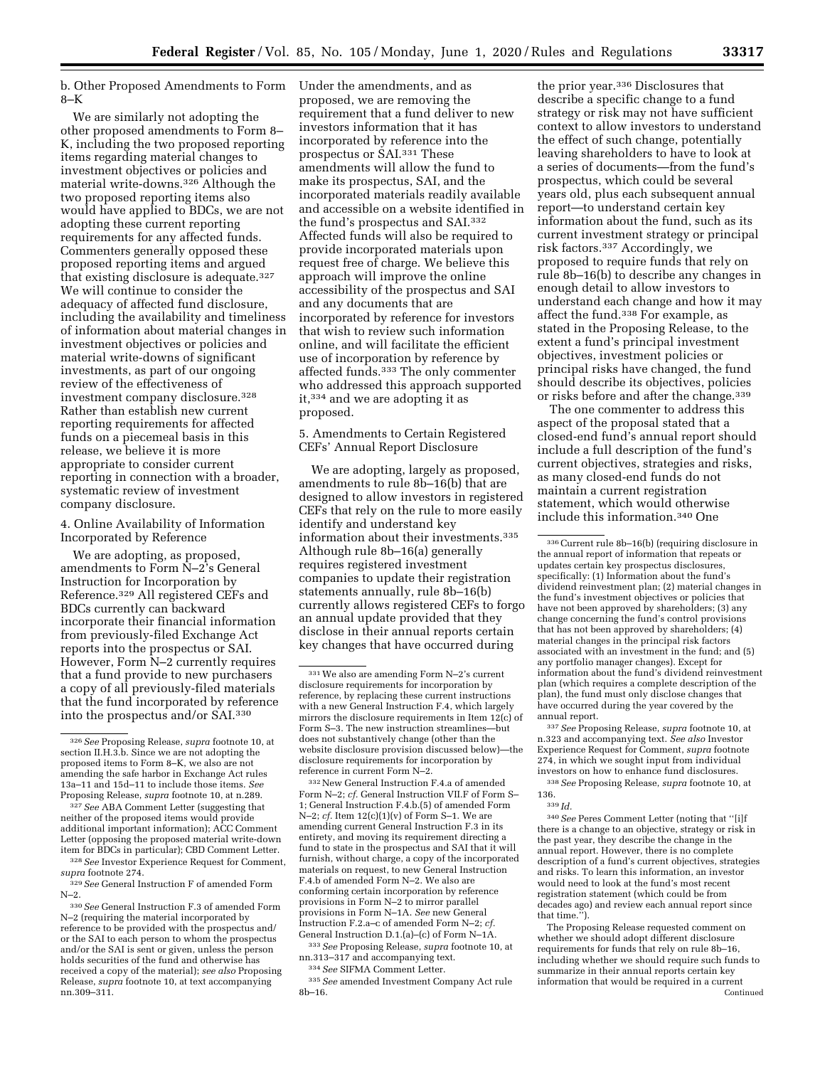b. Other Proposed Amendments to Form Under the amendments, and as 8–K

We are similarly not adopting the other proposed amendments to Form 8– K, including the two proposed reporting items regarding material changes to investment objectives or policies and material write-downs.326 Although the two proposed reporting items also would have applied to BDCs, we are not adopting these current reporting requirements for any affected funds. Commenters generally opposed these proposed reporting items and argued that existing disclosure is adequate.327 We will continue to consider the adequacy of affected fund disclosure, including the availability and timeliness of information about material changes in investment objectives or policies and material write-downs of significant investments, as part of our ongoing review of the effectiveness of investment company disclosure.328 Rather than establish new current reporting requirements for affected funds on a piecemeal basis in this release, we believe it is more appropriate to consider current reporting in connection with a broader, systematic review of investment company disclosure.

4. Online Availability of Information Incorporated by Reference

We are adopting, as proposed, amendments to Form N–2's General Instruction for Incorporation by Reference.329 All registered CEFs and BDCs currently can backward incorporate their financial information from previously-filed Exchange Act reports into the prospectus or SAI. However, Form N–2 currently requires that a fund provide to new purchasers a copy of all previously-filed materials that the fund incorporated by reference into the prospectus and/or SAI.330

327*See* ABA Comment Letter (suggesting that neither of the proposed items would provide additional important information); ACC Comment Letter (opposing the proposed material write-down item for BDCs in particular); CBD Comment Letter.

328*See* Investor Experience Request for Comment, *supra* footnote 274.

proposed, we are removing the requirement that a fund deliver to new investors information that it has incorporated by reference into the prospectus or SAI.331 These amendments will allow the fund to make its prospectus, SAI, and the incorporated materials readily available and accessible on a website identified in the fund's prospectus and SAI.332 Affected funds will also be required to provide incorporated materials upon request free of charge. We believe this approach will improve the online accessibility of the prospectus and SAI and any documents that are incorporated by reference for investors that wish to review such information online, and will facilitate the efficient use of incorporation by reference by affected funds.333 The only commenter who addressed this approach supported it,334 and we are adopting it as proposed.

5. Amendments to Certain Registered CEFs' Annual Report Disclosure

We are adopting, largely as proposed, amendments to rule 8b–16(b) that are designed to allow investors in registered CEFs that rely on the rule to more easily identify and understand key information about their investments.335 Although rule 8b–16(a) generally requires registered investment companies to update their registration statements annually, rule 8b–16(b) currently allows registered CEFs to forgo an annual update provided that they disclose in their annual reports certain key changes that have occurred during

332New General Instruction F.4.a of amended Form N–2; *cf.* General Instruction VII.F of Form S– 1; General Instruction F.4.b.(5) of amended Form N–2; *cf.* Item 12(c)(1)(v) of Form S–1. We are amending current General Instruction F.3 in its entirety, and moving its requirement directing a fund to state in the prospectus and SAI that it will furnish, without charge, a copy of the incorporated materials on request, to new General Instruction F.4.b of amended Form N–2. We also are conforming certain incorporation by reference provisions in Form N–2 to mirror parallel provisions in Form N–1A. *See* new General Instruction F.2.a–c of amended Form N–2; *cf.*  General Instruction D.1.(a)–(c) of Form N–1A.

333*See* Proposing Release, *supra* footnote 10, at nn.313–317 and accompanying text. 334*See* SIFMA Comment Letter.

335*See* amended Investment Company Act rule 8b–16.

the prior year.336 Disclosures that describe a specific change to a fund strategy or risk may not have sufficient context to allow investors to understand the effect of such change, potentially leaving shareholders to have to look at a series of documents—from the fund's prospectus, which could be several years old, plus each subsequent annual report—to understand certain key information about the fund, such as its current investment strategy or principal risk factors.337 Accordingly, we proposed to require funds that rely on rule 8b–16(b) to describe any changes in enough detail to allow investors to understand each change and how it may affect the fund.338 For example, as stated in the Proposing Release, to the extent a fund's principal investment objectives, investment policies or principal risks have changed, the fund should describe its objectives, policies or risks before and after the change.339

The one commenter to address this aspect of the proposal stated that a closed-end fund's annual report should include a full description of the fund's current objectives, strategies and risks, as many closed-end funds do not maintain a current registration statement, which would otherwise include this information.340 One

337*See* Proposing Release, *supra* footnote 10, at n.323 and accompanying text. *See also* Investor Experience Request for Comment, *supra* footnote 274, in which we sought input from individual investors on how to enhance fund disclosures. 338*See* Proposing Release, *supra* footnote 10, at

136. 339 *Id.* 

340*See* Peres Comment Letter (noting that ''[i]f there is a change to an objective, strategy or risk in the past year, they describe the change in the annual report. However, there is no complete description of a fund's current objectives, strategies and risks. To learn this information, an investor would need to look at the fund's most recent registration statement (which could be from decades ago) and review each annual report since that time.'').

The Proposing Release requested comment on whether we should adopt different disclosure requirements for funds that rely on rule 8b–16, including whether we should require such funds to summarize in their annual reports certain key information that would be required in a current Continued

<sup>326</sup>*See* Proposing Release, *supra* footnote 10, at section II.H.3.b. Since we are not adopting the proposed items to Form 8–K, we also are not amending the safe harbor in Exchange Act rules 13a–11 and 15d–11 to include those items. *See*  Proposing Release, *supra* footnote 10, at n.289.

<sup>329</sup>*See* General Instruction F of amended Form N–2.

<sup>330</sup>*See* General Instruction F.3 of amended Form N–2 (requiring the material incorporated by reference to be provided with the prospectus and/ or the SAI to each person to whom the prospectus and/or the SAI is sent or given, unless the person holds securities of the fund and otherwise has received a copy of the material); *see also* Proposing Release, *supra* footnote 10, at text accompanying nn.309–311.

 $^\mathrm{331}\!\!\operatorname{We}$  also are amending Form N–2's current disclosure requirements for incorporation by reference, by replacing these current instructions with a new General Instruction F.4, which largely mirrors the disclosure requirements in Item  $12(c)$  of Form S–3. The new instruction streamlines—but does not substantively change (other than the website disclosure provision discussed below)—the disclosure requirements for incorporation by reference in current Form N–2.

<sup>336</sup>Current rule 8b–16(b) (requiring disclosure in the annual report of information that repeats or updates certain key prospectus disclosures, specifically: (1) Information about the fund's dividend reinvestment plan; (2) material changes in the fund's investment objectives or policies that have not been approved by shareholders; (3) any change concerning the fund's control provisions that has not been approved by shareholders; (4) material changes in the principal risk factors associated with an investment in the fund; and (5) any portfolio manager changes). Except for information about the fund's dividend reinvestment plan (which requires a complete description of the plan), the fund must only disclose changes that have occurred during the year covered by the annual report.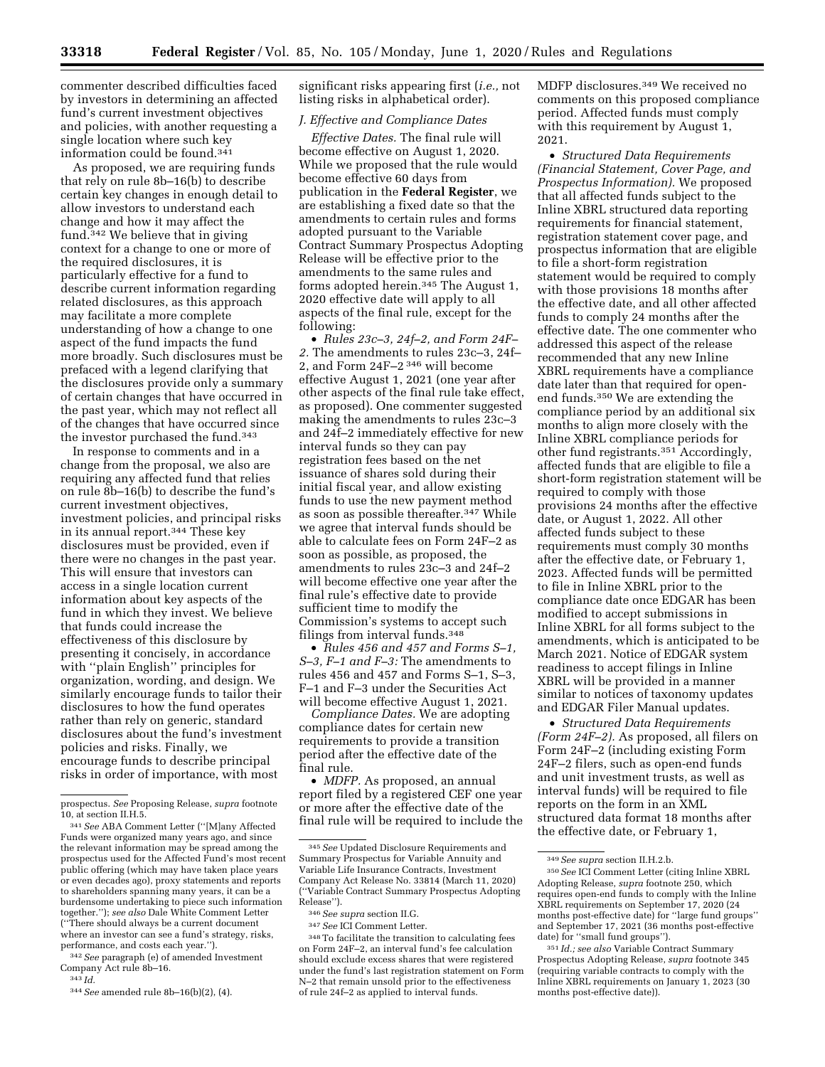commenter described difficulties faced by investors in determining an affected fund's current investment objectives and policies, with another requesting a single location where such key information could be found.341

As proposed, we are requiring funds that rely on rule 8b–16(b) to describe certain key changes in enough detail to allow investors to understand each change and how it may affect the fund.342 We believe that in giving context for a change to one or more of the required disclosures, it is particularly effective for a fund to describe current information regarding related disclosures, as this approach may facilitate a more complete understanding of how a change to one aspect of the fund impacts the fund more broadly. Such disclosures must be prefaced with a legend clarifying that the disclosures provide only a summary of certain changes that have occurred in the past year, which may not reflect all of the changes that have occurred since the investor purchased the fund.343

In response to comments and in a change from the proposal, we also are requiring any affected fund that relies on rule 8b–16(b) to describe the fund's current investment objectives, investment policies, and principal risks in its annual report.344 These key disclosures must be provided, even if there were no changes in the past year. This will ensure that investors can access in a single location current information about key aspects of the fund in which they invest. We believe that funds could increase the effectiveness of this disclosure by presenting it concisely, in accordance with ''plain English'' principles for organization, wording, and design. We similarly encourage funds to tailor their disclosures to how the fund operates rather than rely on generic, standard disclosures about the fund's investment policies and risks. Finally, we encourage funds to describe principal risks in order of importance, with most

342*See* paragraph (e) of amended Investment Company Act rule 8b–16.

343 *Id.* 

344*See* amended rule 8b–16(b)(2), (4).

significant risks appearing first (*i.e.,* not listing risks in alphabetical order).

### *J. Effective and Compliance Dates*

*Effective Dates.* The final rule will become effective on August 1, 2020. While we proposed that the rule would become effective 60 days from publication in the **Federal Register**, we are establishing a fixed date so that the amendments to certain rules and forms adopted pursuant to the Variable Contract Summary Prospectus Adopting Release will be effective prior to the amendments to the same rules and forms adopted herein.345 The August 1, 2020 effective date will apply to all aspects of the final rule, except for the following:

• *Rules 23c–3, 24f–2, and Form 24F– 2.* The amendments to rules 23c–3, 24f– 2, and Form 24F–2 346 will become effective August 1, 2021 (one year after other aspects of the final rule take effect, as proposed). One commenter suggested making the amendments to rules 23c–3 and 24f–2 immediately effective for new interval funds so they can pay registration fees based on the net issuance of shares sold during their initial fiscal year, and allow existing funds to use the new payment method as soon as possible thereafter.347 While we agree that interval funds should be able to calculate fees on Form 24F–2 as soon as possible, as proposed, the amendments to rules 23c–3 and 24f–2 will become effective one year after the final rule's effective date to provide sufficient time to modify the Commission's systems to accept such filings from interval funds.348

• *Rules 456 and 457 and Forms S–1, S–3, F–1 and F–3:* The amendments to rules 456 and 457 and Forms S–1, S–3, F–1 and F–3 under the Securities Act will become effective August 1, 2021.

*Compliance Dates.* We are adopting compliance dates for certain new requirements to provide a transition period after the effective date of the final rule.

• *MDFP.* As proposed, an annual report filed by a registered CEF one year or more after the effective date of the final rule will be required to include the MDFP disclosures.349 We received no comments on this proposed compliance period. Affected funds must comply with this requirement by August 1, 2021.

• *Structured Data Requirements (Financial Statement, Cover Page, and Prospectus Information).* We proposed that all affected funds subject to the Inline XBRL structured data reporting requirements for financial statement, registration statement cover page, and prospectus information that are eligible to file a short-form registration statement would be required to comply with those provisions 18 months after the effective date, and all other affected funds to comply 24 months after the effective date. The one commenter who addressed this aspect of the release recommended that any new Inline XBRL requirements have a compliance date later than that required for openend funds.350 We are extending the compliance period by an additional six months to align more closely with the Inline XBRL compliance periods for other fund registrants.351 Accordingly, affected funds that are eligible to file a short-form registration statement will be required to comply with those provisions 24 months after the effective date, or August 1, 2022. All other affected funds subject to these requirements must comply 30 months after the effective date, or February 1, 2023. Affected funds will be permitted to file in Inline XBRL prior to the compliance date once EDGAR has been modified to accept submissions in Inline XBRL for all forms subject to the amendments, which is anticipated to be March 2021. Notice of EDGAR system readiness to accept filings in Inline XBRL will be provided in a manner similar to notices of taxonomy updates and EDGAR Filer Manual updates.

• *Structured Data Requirements (Form 24F–2).* As proposed, all filers on Form 24F–2 (including existing Form 24F–2 filers, such as open-end funds and unit investment trusts, as well as interval funds) will be required to file reports on the form in an XML structured data format 18 months after the effective date, or February 1,

prospectus. *See* Proposing Release, *supra* footnote 10, at section II.H.5.

<sup>341</sup>*See* ABA Comment Letter (''[M]any Affected Funds were organized many years ago, and since the relevant information may be spread among the prospectus used for the Affected Fund's most recent public offering (which may have taken place years or even decades ago), proxy statements and reports to shareholders spanning many years, it can be a burdensome undertaking to piece such information together.''); *see also* Dale White Comment Letter (''There should always be a current document where an investor can see a fund's strategy, risks, performance, and costs each year.'').

<sup>345</sup>*See* Updated Disclosure Requirements and Summary Prospectus for Variable Annuity and Variable Life Insurance Contracts, Investment Company Act Release No. 33814 (March 11, 2020) (''Variable Contract Summary Prospectus Adopting Release'').

<sup>346</sup>*See supra* section II.G.

<sup>347</sup>*See* ICI Comment Letter.

<sup>348</sup>To facilitate the transition to calculating fees on Form 24F–2, an interval fund's fee calculation should exclude excess shares that were registered under the fund's last registration statement on Form N–2 that remain unsold prior to the effectiveness of rule 24f–2 as applied to interval funds.

<sup>349</sup>*See supra* section II.H.2.b.

<sup>350</sup>*See* ICI Comment Letter (citing Inline XBRL Adopting Release, *supra* footnote 250, which requires open-end funds to comply with the Inline XBRL requirements on September 17, 2020 (24 months post-effective date) for ''large fund groups'' and September 17, 2021 (36 months post-effective date) for ''small fund groups'').

<sup>351</sup> *Id.; see also* Variable Contract Summary Prospectus Adopting Release, *supra* footnote 345 (requiring variable contracts to comply with the Inline XBRL requirements on January 1, 2023 (30 months post-effective date)).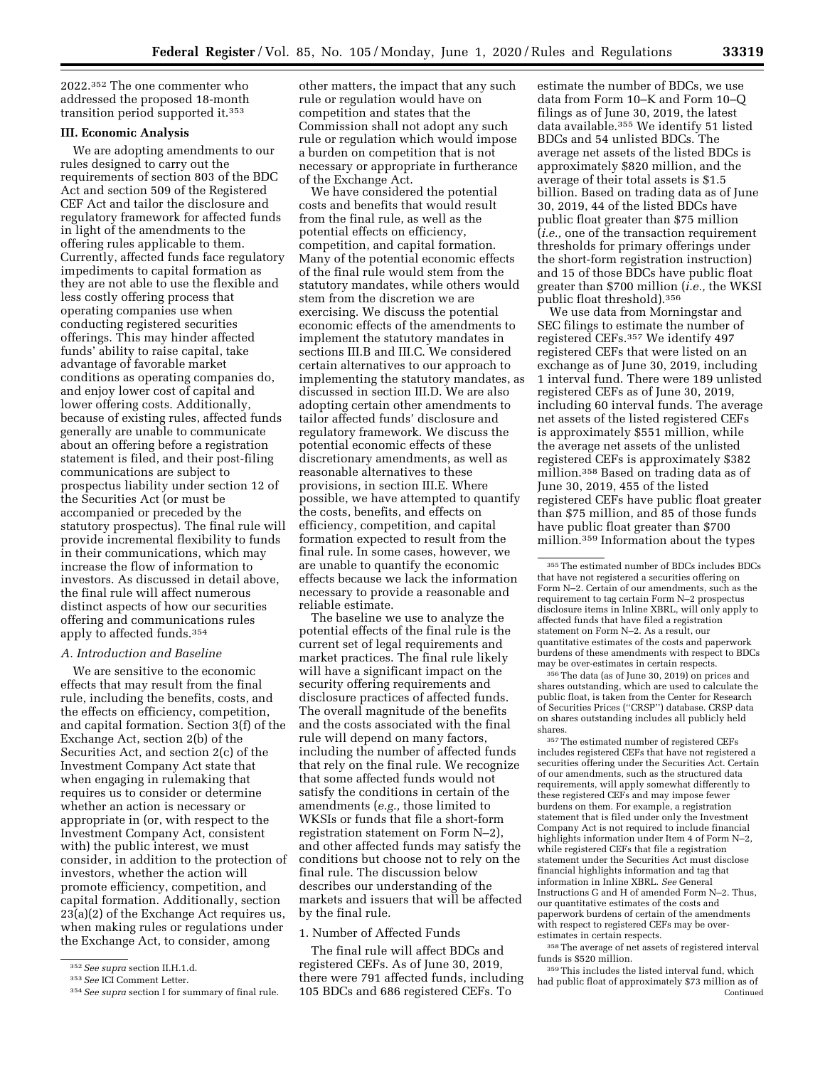2022.352 The one commenter who addressed the proposed 18-month transition period supported it.353

### **III. Economic Analysis**

We are adopting amendments to our rules designed to carry out the requirements of section 803 of the BDC Act and section 509 of the Registered CEF Act and tailor the disclosure and regulatory framework for affected funds in light of the amendments to the offering rules applicable to them. Currently, affected funds face regulatory impediments to capital formation as they are not able to use the flexible and less costly offering process that operating companies use when conducting registered securities offerings. This may hinder affected funds' ability to raise capital, take advantage of favorable market conditions as operating companies do, and enjoy lower cost of capital and lower offering costs. Additionally, because of existing rules, affected funds generally are unable to communicate about an offering before a registration statement is filed, and their post-filing communications are subject to prospectus liability under section 12 of the Securities Act (or must be accompanied or preceded by the statutory prospectus). The final rule will provide incremental flexibility to funds in their communications, which may increase the flow of information to investors. As discussed in detail above, the final rule will affect numerous distinct aspects of how our securities offering and communications rules apply to affected funds.354

### *A. Introduction and Baseline*

We are sensitive to the economic effects that may result from the final rule, including the benefits, costs, and the effects on efficiency, competition, and capital formation. Section 3(f) of the Exchange Act, section 2(b) of the Securities Act, and section 2(c) of the Investment Company Act state that when engaging in rulemaking that requires us to consider or determine whether an action is necessary or appropriate in (or, with respect to the Investment Company Act, consistent with) the public interest, we must consider, in addition to the protection of investors, whether the action will promote efficiency, competition, and capital formation. Additionally, section 23(a)(2) of the Exchange Act requires us, when making rules or regulations under the Exchange Act, to consider, among

other matters, the impact that any such rule or regulation would have on competition and states that the Commission shall not adopt any such rule or regulation which would impose a burden on competition that is not necessary or appropriate in furtherance of the Exchange Act.

We have considered the potential costs and benefits that would result from the final rule, as well as the potential effects on efficiency, competition, and capital formation. Many of the potential economic effects of the final rule would stem from the statutory mandates, while others would stem from the discretion we are exercising. We discuss the potential economic effects of the amendments to implement the statutory mandates in sections III.B and III.C. We considered certain alternatives to our approach to implementing the statutory mandates, as discussed in section III.D. We are also adopting certain other amendments to tailor affected funds' disclosure and regulatory framework. We discuss the potential economic effects of these discretionary amendments, as well as reasonable alternatives to these provisions, in section III.E. Where possible, we have attempted to quantify the costs, benefits, and effects on efficiency, competition, and capital formation expected to result from the final rule. In some cases, however, we are unable to quantify the economic effects because we lack the information necessary to provide a reasonable and reliable estimate.

The baseline we use to analyze the potential effects of the final rule is the current set of legal requirements and market practices. The final rule likely will have a significant impact on the security offering requirements and disclosure practices of affected funds. The overall magnitude of the benefits and the costs associated with the final rule will depend on many factors, including the number of affected funds that rely on the final rule. We recognize that some affected funds would not satisfy the conditions in certain of the amendments (*e.g.,* those limited to WKSIs or funds that file a short-form registration statement on Form N–2), and other affected funds may satisfy the conditions but choose not to rely on the final rule. The discussion below describes our understanding of the markets and issuers that will be affected by the final rule.

### 1. Number of Affected Funds

The final rule will affect BDCs and registered CEFs. As of June 30, 2019, there were 791 affected funds, including 105 BDCs and 686 registered CEFs. To

estimate the number of BDCs, we use data from Form 10–K and Form 10–Q filings as of June 30, 2019, the latest data available.355 We identify 51 listed BDCs and 54 unlisted BDCs. The average net assets of the listed BDCs is approximately \$820 million, and the average of their total assets is \$1.5 billion. Based on trading data as of June 30, 2019, 44 of the listed BDCs have public float greater than \$75 million (*i.e.,* one of the transaction requirement thresholds for primary offerings under the short-form registration instruction) and 15 of those BDCs have public float greater than \$700 million (*i.e.,* the WKSI public float threshold).356

We use data from Morningstar and SEC filings to estimate the number of registered CEFs.357 We identify 497 registered CEFs that were listed on an exchange as of June 30, 2019, including 1 interval fund. There were 189 unlisted registered CEFs as of June 30, 2019, including 60 interval funds. The average net assets of the listed registered CEFs is approximately \$551 million, while the average net assets of the unlisted registered CEFs is approximately \$382 million.358 Based on trading data as of June 30, 2019, 455 of the listed registered CEFs have public float greater than \$75 million, and 85 of those funds have public float greater than \$700 million.359 Information about the types

356The data (as of June 30, 2019) on prices and shares outstanding, which are used to calculate the public float, is taken from the Center for Research of Securities Prices (''CRSP'') database. CRSP data on shares outstanding includes all publicly held shares.

357The estimated number of registered CEFs includes registered CEFs that have not registered a securities offering under the Securities Act. Certain of our amendments, such as the structured data requirements, will apply somewhat differently to these registered CEFs and may impose fewer burdens on them. For example, a registration statement that is filed under only the Investment Company Act is not required to include financial highlights information under Item 4 of Form N–2, while registered CEFs that file a registration statement under the Securities Act must disclose financial highlights information and tag that information in Inline XBRL. *See* General Instructions G and H of amended Form N–2. Thus, our quantitative estimates of the costs and paperwork burdens of certain of the amendments with respect to registered CEFs may be overestimates in certain respects.

358The average of net assets of registered interval funds is \$520 million.

359This includes the listed interval fund, which had public float of approximately \$73 million as of Continued

<sup>352</sup>*See supra* section II.H.1.d.

<sup>353</sup>*See* ICI Comment Letter.

<sup>354</sup>*See supra* section I for summary of final rule.

<sup>355</sup>The estimated number of BDCs includes BDCs that have not registered a securities offering on Form N–2. Certain of our amendments, such as the requirement to tag certain Form N–2 prospectus disclosure items in Inline XBRL, will only apply to affected funds that have filed a registration statement on Form N–2. As a result, our quantitative estimates of the costs and paperwork burdens of these amendments with respect to BDCs may be over-estimates in certain respects.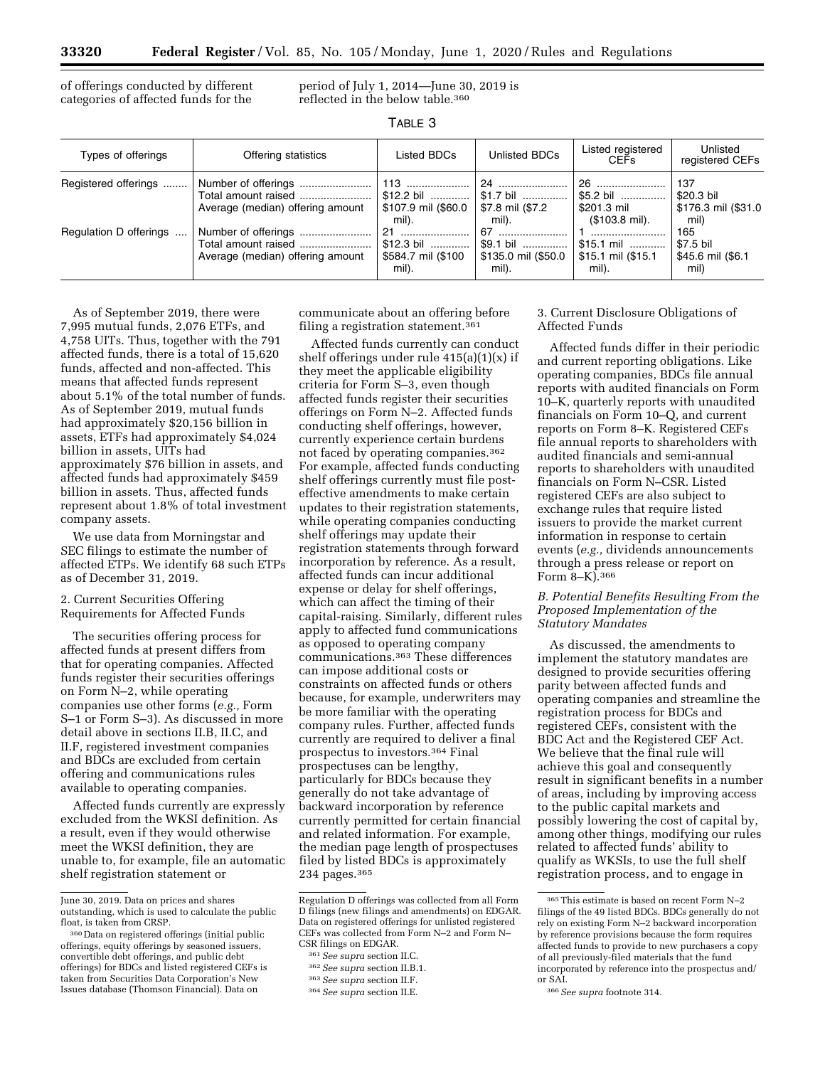of offerings conducted by different categories of affected funds for the

period of July 1, 2014—June 30, 2019 is reflected in the below table.360

| n. |  |
|----|--|
|----|--|

| Types of offerings     | Offering statistics                                                            | Listed BDCs                                                | Unlisted BDCs                                   | Listed registered<br><b>CEFs</b>                           | Unlisted<br>registered CEFs                      |
|------------------------|--------------------------------------------------------------------------------|------------------------------------------------------------|-------------------------------------------------|------------------------------------------------------------|--------------------------------------------------|
| Registered offerings   | Total amount raised<br>Average (median) offering amount                        | 113<br>$$12.2 \text{ bil}$<br>\$107.9 mil (\$60.0<br>mil). | \$1.7 bil<br>\$7.8 mil (\$7.2<br>mil).          | 26<br>\$5.2 bil<br>\$201.3 mil<br>$($103.8 \text{ mil})$ . | 137<br>\$20.3 bil<br>\$176.3 mil (\$31.0<br>mil) |
| Regulation D offerings | Number of offerings<br>Total amount raised<br>Average (median) offering amount | 21<br>$$12.3 \text{ bil}$<br>\$584.7 mil (\$100<br>mil).   | 67<br>\$9.1 bil<br>\$135.0 mil (\$50.0<br>mil). | $$15.1 \text{ mil}$<br>\$15.1 mil (\$15.1<br>mil).         | 165<br>\$7.5 bil<br>\$45.6 mil (\$6.1<br>mil)    |

As of September 2019, there were 7,995 mutual funds, 2,076 ETFs, and 4,758 UITs. Thus, together with the 791 affected funds, there is a total of 15,620 funds, affected and non-affected. This means that affected funds represent about 5.1% of the total number of funds. As of September 2019, mutual funds had approximately \$20,156 billion in assets, ETFs had approximately \$4,024 billion in assets, UITs had approximately \$76 billion in assets, and affected funds had approximately \$459 billion in assets. Thus, affected funds represent about 1.8% of total investment company assets.

We use data from Morningstar and SEC filings to estimate the number of affected ETPs. We identify 68 such ETPs as of December 31, 2019.

2. Current Securities Offering Requirements for Affected Funds

The securities offering process for affected funds at present differs from that for operating companies. Affected funds register their securities offerings on Form N–2, while operating companies use other forms (*e.g.,* Form S–1 or Form S–3). As discussed in more detail above in sections II.B, II.C, and II.F, registered investment companies and BDCs are excluded from certain offering and communications rules available to operating companies.

Affected funds currently are expressly excluded from the WKSI definition. As a result, even if they would otherwise meet the WKSI definition, they are unable to, for example, file an automatic shelf registration statement or

communicate about an offering before filing a registration statement.361

Affected funds currently can conduct shelf offerings under rule 415(a)(1)(x) if they meet the applicable eligibility criteria for Form S–3, even though affected funds register their securities offerings on Form N–2. Affected funds conducting shelf offerings, however, currently experience certain burdens not faced by operating companies.362 For example, affected funds conducting shelf offerings currently must file posteffective amendments to make certain updates to their registration statements, while operating companies conducting shelf offerings may update their registration statements through forward incorporation by reference. As a result, affected funds can incur additional expense or delay for shelf offerings, which can affect the timing of their capital-raising. Similarly, different rules apply to affected fund communications as opposed to operating company communications.363 These differences can impose additional costs or constraints on affected funds or others because, for example, underwriters may be more familiar with the operating company rules. Further, affected funds currently are required to deliver a final prospectus to investors.364 Final prospectuses can be lengthy, particularly for BDCs because they generally do not take advantage of backward incorporation by reference currently permitted for certain financial and related information. For example, the median page length of prospectuses filed by listed BDCs is approximately 234 pages.365

### 3. Current Disclosure Obligations of Affected Funds

Affected funds differ in their periodic and current reporting obligations. Like operating companies, BDCs file annual reports with audited financials on Form 10–K, quarterly reports with unaudited financials on Form 10–Q, and current reports on Form 8–K. Registered CEFs file annual reports to shareholders with audited financials and semi-annual reports to shareholders with unaudited financials on Form N–CSR. Listed registered CEFs are also subject to exchange rules that require listed issuers to provide the market current information in response to certain events (*e.g.,* dividends announcements through a press release or report on Form 8–K).366

#### *B. Potential Benefits Resulting From the Proposed Implementation of the Statutory Mandates*

As discussed, the amendments to implement the statutory mandates are designed to provide securities offering parity between affected funds and operating companies and streamline the registration process for BDCs and registered CEFs, consistent with the BDC Act and the Registered CEF Act. We believe that the final rule will achieve this goal and consequently result in significant benefits in a number of areas, including by improving access to the public capital markets and possibly lowering the cost of capital by, among other things, modifying our rules related to affected funds' ability to qualify as WKSIs, to use the full shelf registration process, and to engage in

June 30, 2019. Data on prices and shares outstanding, which is used to calculate the public float, is taken from CRSP.

<sup>360</sup> Data on registered offerings (initial public offerings, equity offerings by seasoned issuers, convertible debt offerings, and public debt offerings) for BDCs and listed registered CEFs is taken from Securities Data Corporation's New Issues database (Thomson Financial). Data on

Regulation D offerings was collected from all Form D filings (new filings and amendments) on EDGAR. Data on registered offerings for unlisted registered CEFs was collected from Form N–2 and Form N– CSR filings on EDGAR.

<sup>361</sup>*See supra* section II.C.

<sup>362</sup>*See supra* section II.B.1.

<sup>363</sup>*See supra* section II.F.

<sup>364</sup>*See supra* section II.E.

 $^{365}\rm{This}$  estimate is based on recent Form N–2 filings of the 49 listed BDCs. BDCs generally do not rely on existing Form N–2 backward incorporation by reference provisions because the form requires affected funds to provide to new purchasers a copy of all previously-filed materials that the fund incorporated by reference into the prospectus and/ or SAI.

<sup>366</sup>*See supra* footnote 314.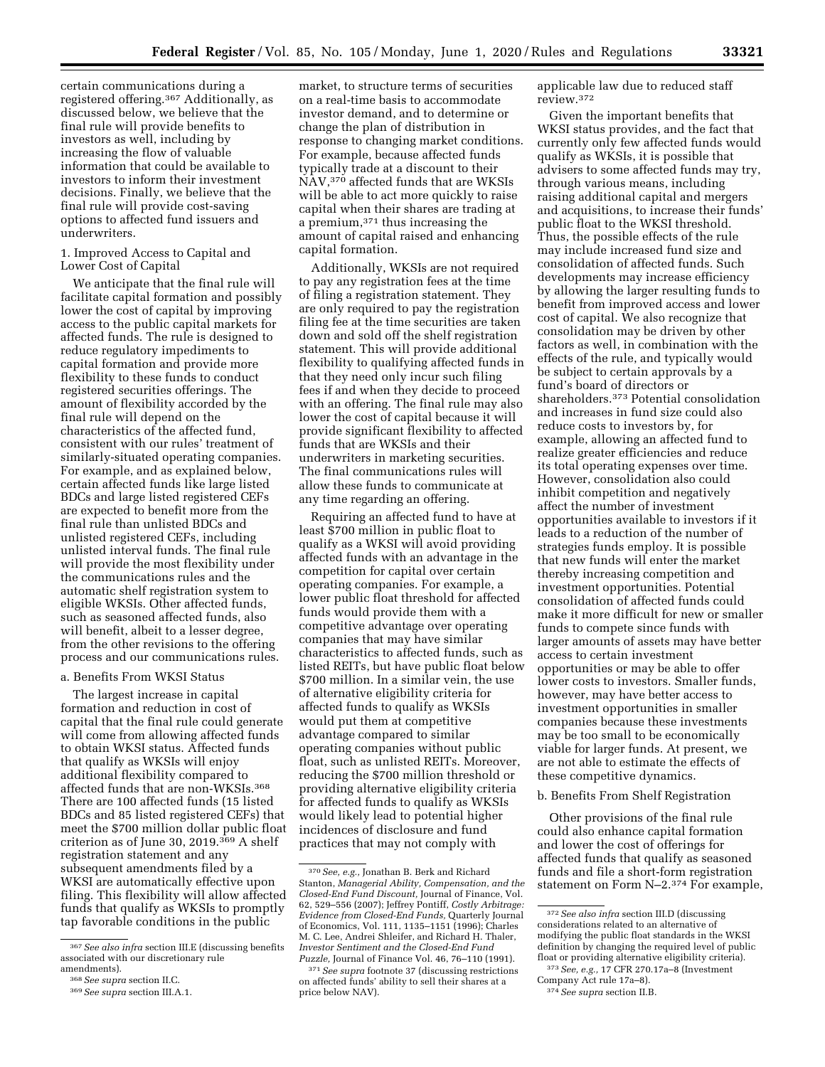certain communications during a registered offering.367 Additionally, as discussed below, we believe that the final rule will provide benefits to investors as well, including by increasing the flow of valuable information that could be available to investors to inform their investment decisions. Finally, we believe that the final rule will provide cost-saving options to affected fund issuers and underwriters.

### 1. Improved Access to Capital and Lower Cost of Capital

We anticipate that the final rule will facilitate capital formation and possibly lower the cost of capital by improving access to the public capital markets for affected funds. The rule is designed to reduce regulatory impediments to capital formation and provide more flexibility to these funds to conduct registered securities offerings. The amount of flexibility accorded by the final rule will depend on the characteristics of the affected fund, consistent with our rules' treatment of similarly-situated operating companies. For example, and as explained below, certain affected funds like large listed BDCs and large listed registered CEFs are expected to benefit more from the final rule than unlisted BDCs and unlisted registered CEFs, including unlisted interval funds. The final rule will provide the most flexibility under the communications rules and the automatic shelf registration system to eligible WKSIs. Other affected funds, such as seasoned affected funds, also will benefit, albeit to a lesser degree, from the other revisions to the offering process and our communications rules.

#### a. Benefits From WKSI Status

The largest increase in capital formation and reduction in cost of capital that the final rule could generate will come from allowing affected funds to obtain WKSI status. Affected funds that qualify as WKSIs will enjoy additional flexibility compared to affected funds that are non-WKSIs.368 There are 100 affected funds (15 listed BDCs and 85 listed registered CEFs) that meet the \$700 million dollar public float criterion as of June 30, 2019.369 A shelf registration statement and any subsequent amendments filed by a WKSI are automatically effective upon filing. This flexibility will allow affected funds that qualify as WKSIs to promptly tap favorable conditions in the public

market, to structure terms of securities on a real-time basis to accommodate investor demand, and to determine or change the plan of distribution in response to changing market conditions. For example, because affected funds typically trade at a discount to their NAV,370 affected funds that are WKSIs will be able to act more quickly to raise capital when their shares are trading at a premium,371 thus increasing the amount of capital raised and enhancing capital formation.

Additionally, WKSIs are not required to pay any registration fees at the time of filing a registration statement. They are only required to pay the registration filing fee at the time securities are taken down and sold off the shelf registration statement. This will provide additional flexibility to qualifying affected funds in that they need only incur such filing fees if and when they decide to proceed with an offering. The final rule may also lower the cost of capital because it will provide significant flexibility to affected funds that are WKSIs and their underwriters in marketing securities. The final communications rules will allow these funds to communicate at any time regarding an offering.

Requiring an affected fund to have at least \$700 million in public float to qualify as a WKSI will avoid providing affected funds with an advantage in the competition for capital over certain operating companies. For example, a lower public float threshold for affected funds would provide them with a competitive advantage over operating companies that may have similar characteristics to affected funds, such as listed REITs, but have public float below \$700 million. In a similar vein, the use of alternative eligibility criteria for affected funds to qualify as WKSIs would put them at competitive advantage compared to similar operating companies without public float, such as unlisted REITs. Moreover, reducing the \$700 million threshold or providing alternative eligibility criteria for affected funds to qualify as WKSIs would likely lead to potential higher incidences of disclosure and fund practices that may not comply with

applicable law due to reduced staff review.372

Given the important benefits that WKSI status provides, and the fact that currently only few affected funds would qualify as WKSIs, it is possible that advisers to some affected funds may try, through various means, including raising additional capital and mergers and acquisitions, to increase their funds' public float to the WKSI threshold. Thus, the possible effects of the rule may include increased fund size and consolidation of affected funds. Such developments may increase efficiency by allowing the larger resulting funds to benefit from improved access and lower cost of capital. We also recognize that consolidation may be driven by other factors as well, in combination with the effects of the rule, and typically would be subject to certain approvals by a fund's board of directors or shareholders.373 Potential consolidation and increases in fund size could also reduce costs to investors by, for example, allowing an affected fund to realize greater efficiencies and reduce its total operating expenses over time. However, consolidation also could inhibit competition and negatively affect the number of investment opportunities available to investors if it leads to a reduction of the number of strategies funds employ. It is possible that new funds will enter the market thereby increasing competition and investment opportunities. Potential consolidation of affected funds could make it more difficult for new or smaller funds to compete since funds with larger amounts of assets may have better access to certain investment opportunities or may be able to offer lower costs to investors. Smaller funds, however, may have better access to investment opportunities in smaller companies because these investments may be too small to be economically viable for larger funds. At present, we are not able to estimate the effects of these competitive dynamics.

### b. Benefits From Shelf Registration

Other provisions of the final rule could also enhance capital formation and lower the cost of offerings for affected funds that qualify as seasoned funds and file a short-form registration statement on Form N–2.374 For example,

<sup>367</sup>*See also infra* section III.E (discussing benefits associated with our discretionary rule

<sup>&</sup>lt;sup>368</sup> See supra section II.C.<br><sup>369</sup> See supra section III.A.1.

<sup>370</sup>*See, e.g.,* Jonathan B. Berk and Richard Stanton, *Managerial Ability, Compensation, and the Closed-End Fund Discount,* Journal of Finance, Vol. 62, 529–556 (2007); Jeffrey Pontiff, *Costly Arbitrage: Evidence from Closed-End Funds,* Quarterly Journal of Economics, Vol. 111, 1135–1151 (1996); Charles M. C. Lee, Andrei Shleifer, and Richard H. Thaler, *Investor Sentiment and the Closed-End Fund Puzzle,* Journal of Finance Vol. 46, 76–110 (1991).

<sup>371</sup>*See supra* footnote 37 (discussing restrictions on affected funds' ability to sell their shares at a price below NAV).

<sup>372</sup>*See also infra* section III.D (discussing considerations related to an alternative of modifying the public float standards in the WKSI definition by changing the required level of public float or providing alternative eligibility criteria).

<sup>373</sup>*See, e.g.,* 17 CFR 270.17a–8 (Investment Company Act rule 17a–8).

<sup>374</sup>*See supra* section II.B.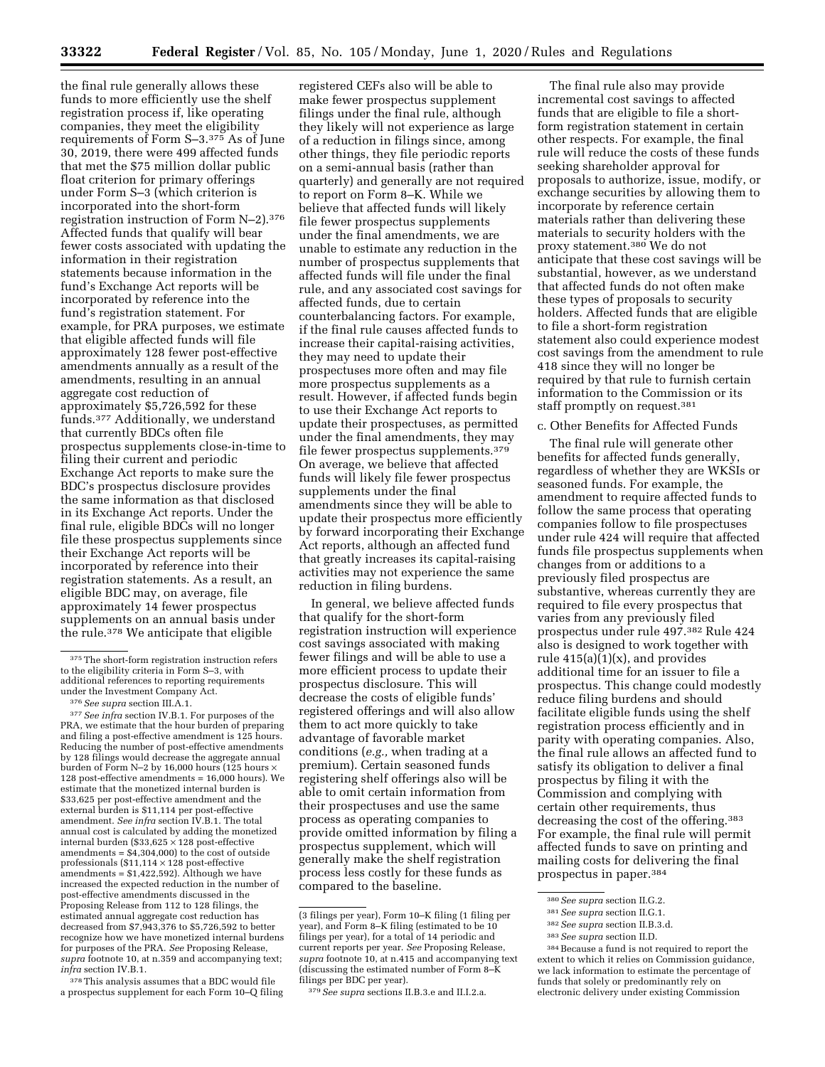the final rule generally allows these funds to more efficiently use the shelf registration process if, like operating companies, they meet the eligibility requirements of Form S–3.375 As of June 30, 2019, there were 499 affected funds that met the \$75 million dollar public float criterion for primary offerings under Form S–3 (which criterion is incorporated into the short-form registration instruction of Form N–2).376 Affected funds that qualify will bear fewer costs associated with updating the information in their registration statements because information in the fund's Exchange Act reports will be incorporated by reference into the fund's registration statement. For example, for PRA purposes, we estimate that eligible affected funds will file approximately 128 fewer post-effective amendments annually as a result of the amendments, resulting in an annual aggregate cost reduction of approximately \$5,726,592 for these funds.377 Additionally, we understand that currently BDCs often file prospectus supplements close-in-time to filing their current and periodic Exchange Act reports to make sure the BDC's prospectus disclosure provides the same information as that disclosed in its Exchange Act reports. Under the final rule, eligible BDCs will no longer file these prospectus supplements since their Exchange Act reports will be incorporated by reference into their registration statements. As a result, an eligible BDC may, on average, file approximately 14 fewer prospectus supplements on an annual basis under the rule.378 We anticipate that eligible

378 This analysis assumes that a BDC would file a prospectus supplement for each Form 10–Q filing registered CEFs also will be able to make fewer prospectus supplement filings under the final rule, although they likely will not experience as large of a reduction in filings since, among other things, they file periodic reports on a semi-annual basis (rather than quarterly) and generally are not required to report on Form 8–K. While we believe that affected funds will likely file fewer prospectus supplements under the final amendments, we are unable to estimate any reduction in the number of prospectus supplements that affected funds will file under the final rule, and any associated cost savings for affected funds, due to certain counterbalancing factors. For example, if the final rule causes affected funds to increase their capital-raising activities, they may need to update their prospectuses more often and may file more prospectus supplements as a result. However, if affected funds begin to use their Exchange Act reports to update their prospectuses, as permitted under the final amendments, they may file fewer prospectus supplements.379 On average, we believe that affected funds will likely file fewer prospectus supplements under the final amendments since they will be able to update their prospectus more efficiently by forward incorporating their Exchange Act reports, although an affected fund that greatly increases its capital-raising activities may not experience the same reduction in filing burdens.

In general, we believe affected funds that qualify for the short-form registration instruction will experience cost savings associated with making fewer filings and will be able to use a more efficient process to update their prospectus disclosure. This will decrease the costs of eligible funds' registered offerings and will also allow them to act more quickly to take advantage of favorable market conditions (*e.g.,* when trading at a premium). Certain seasoned funds registering shelf offerings also will be able to omit certain information from their prospectuses and use the same process as operating companies to provide omitted information by filing a prospectus supplement, which will generally make the shelf registration process less costly for these funds as compared to the baseline.

The final rule also may provide incremental cost savings to affected funds that are eligible to file a shortform registration statement in certain other respects. For example, the final rule will reduce the costs of these funds seeking shareholder approval for proposals to authorize, issue, modify, or exchange securities by allowing them to incorporate by reference certain materials rather than delivering these materials to security holders with the proxy statement.380 We do not anticipate that these cost savings will be substantial, however, as we understand that affected funds do not often make these types of proposals to security holders. Affected funds that are eligible to file a short-form registration statement also could experience modest cost savings from the amendment to rule 418 since they will no longer be required by that rule to furnish certain information to the Commission or its staff promptly on request.381

### c. Other Benefits for Affected Funds

The final rule will generate other benefits for affected funds generally, regardless of whether they are WKSIs or seasoned funds. For example, the amendment to require affected funds to follow the same process that operating companies follow to file prospectuses under rule 424 will require that affected funds file prospectus supplements when changes from or additions to a previously filed prospectus are substantive, whereas currently they are required to file every prospectus that varies from any previously filed prospectus under rule 497.382 Rule 424 also is designed to work together with rule  $415(a)(1)(x)$ , and provides additional time for an issuer to file a prospectus. This change could modestly reduce filing burdens and should facilitate eligible funds using the shelf registration process efficiently and in parity with operating companies. Also, the final rule allows an affected fund to satisfy its obligation to deliver a final prospectus by filing it with the Commission and complying with certain other requirements, thus decreasing the cost of the offering.383 For example, the final rule will permit affected funds to save on printing and mailing costs for delivering the final prospectus in paper.384

<sup>375</sup>The short-form registration instruction refers to the eligibility criteria in Form S–3, with additional references to reporting requirements under the Investment Company Act. 376*See supra* section III.A.1. 377*See infra* section IV.B.1. For purposes of the

PRA, we estimate that the hour burden of preparing and filing a post-effective amendment is 125 hours. Reducing the number of post-effective amendments by 128 filings would decrease the aggregate annual burden of Form N-2 by 16,000 hours (125 hours  $\rangle$ 128 post-effective amendments = 16,000 hours). We estimate that the monetized internal burden is \$33,625 per post-effective amendment and the external burden is \$11,114 per post-effective amendment. *See infra* section IV.B.1. The total annual cost is calculated by adding the monetized internal burden (\$33,625 × 128 post-effective amendments = \$4,304,000) to the cost of outside professionals (\$11,114 × 128 post-effective amendments =  $$1,422,592$ ). Although we have increased the expected reduction in the number of post-effective amendments discussed in the Proposing Release from 112 to 128 filings, the estimated annual aggregate cost reduction has decreased from \$7,943,376 to \$5,726,592 to better recognize how we have monetized internal burdens for purposes of the PRA. *See* Proposing Release, *supra* footnote 10, at n.359 and accompanying text; *infra* section IV.B.1.

<sup>(3</sup> filings per year), Form 10–K filing (1 filing per year), and Form 8–K filing (estimated to be 10 filings per year), for a total of 14 periodic and current reports per year. *See* Proposing Release, *supra* footnote 10, at n.415 and accompanying text (discussing the estimated number of Form 8–K filings per BDC per year).

<sup>379</sup>*See supra* sections II.B.3.e and II.I.2.a.

<sup>380</sup>*See supra* section II.G.2.

<sup>381</sup>*See supra* section II.G.1.

<sup>382</sup>*See supra* section II.B.3.d.

<sup>383</sup>*See supra* section II.D.

<sup>384</sup>Because a fund is not required to report the extent to which it relies on Commission guidance, we lack information to estimate the percentage of funds that solely or predominantly rely on electronic delivery under existing Commission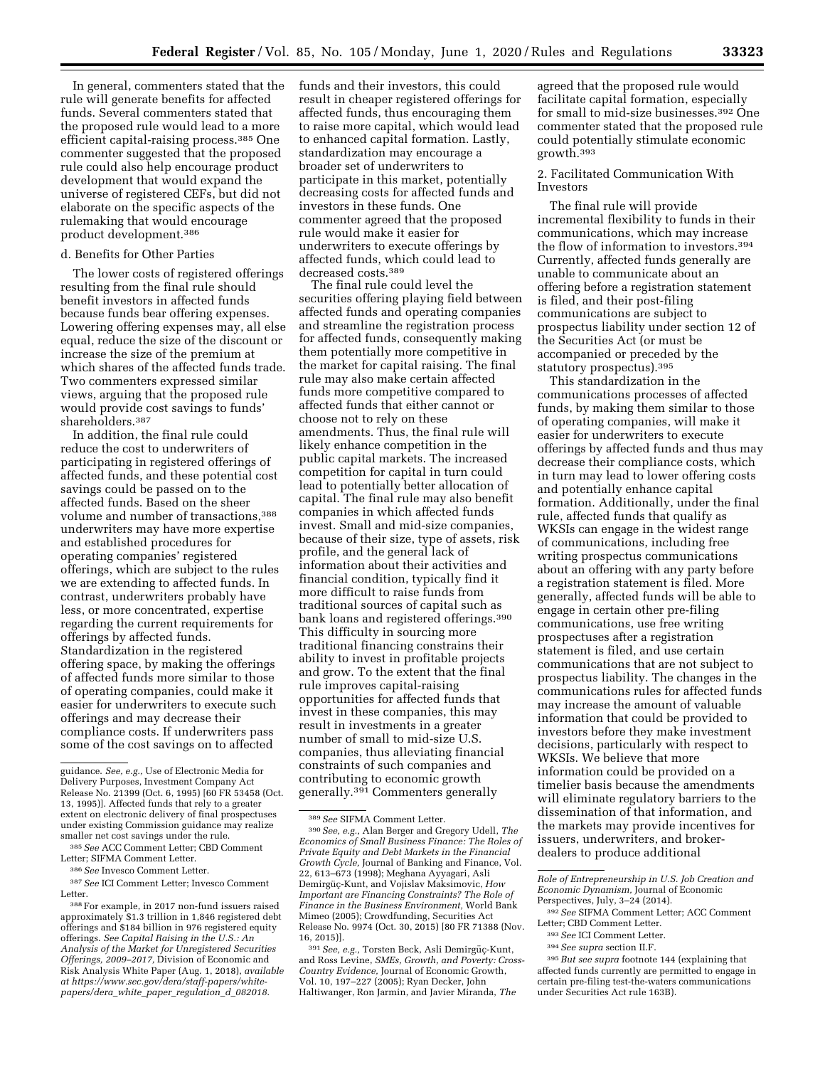In general, commenters stated that the rule will generate benefits for affected funds. Several commenters stated that the proposed rule would lead to a more efficient capital-raising process.385 One commenter suggested that the proposed rule could also help encourage product development that would expand the universe of registered CEFs, but did not elaborate on the specific aspects of the rulemaking that would encourage product development.386

#### d. Benefits for Other Parties

The lower costs of registered offerings resulting from the final rule should benefit investors in affected funds because funds bear offering expenses. Lowering offering expenses may, all else equal, reduce the size of the discount or increase the size of the premium at which shares of the affected funds trade. Two commenters expressed similar views, arguing that the proposed rule would provide cost savings to funds' shareholders.387

In addition, the final rule could reduce the cost to underwriters of participating in registered offerings of affected funds, and these potential cost savings could be passed on to the affected funds. Based on the sheer volume and number of transactions,388 underwriters may have more expertise and established procedures for operating companies' registered offerings, which are subject to the rules we are extending to affected funds. In contrast, underwriters probably have less, or more concentrated, expertise regarding the current requirements for offerings by affected funds. Standardization in the registered offering space, by making the offerings of affected funds more similar to those of operating companies, could make it easier for underwriters to execute such offerings and may decrease their compliance costs. If underwriters pass some of the cost savings on to affected

387*See* ICI Comment Letter; Invesco Comment Letter.

388For example, in 2017 non-fund issuers raised approximately \$1.3 trillion in 1,846 registered debt offerings and \$184 billion in 976 registered equity offerings. *See Capital Raising in the U.S.: An Analysis of the Market for Unregistered Securities Offerings, 2009–2017,* Division of Economic and Risk Analysis White Paper (Aug. 1, 2018), *available at [https://www.sec.gov/dera/staff-papers/white](https://www.sec.gov/dera/staff-papers/white-papers/dera_white_paper_regulation_d_082018)[papers/dera](https://www.sec.gov/dera/staff-papers/white-papers/dera_white_paper_regulation_d_082018)*\_*white*\_*paper*\_*regulation*\_*d*\_*082018.* 

funds and their investors, this could result in cheaper registered offerings for affected funds, thus encouraging them to raise more capital, which would lead to enhanced capital formation. Lastly, standardization may encourage a broader set of underwriters to participate in this market, potentially decreasing costs for affected funds and investors in these funds. One commenter agreed that the proposed rule would make it easier for underwriters to execute offerings by affected funds, which could lead to decreased costs.389

The final rule could level the securities offering playing field between affected funds and operating companies and streamline the registration process for affected funds, consequently making them potentially more competitive in the market for capital raising. The final rule may also make certain affected funds more competitive compared to affected funds that either cannot or choose not to rely on these amendments. Thus, the final rule will likely enhance competition in the public capital markets. The increased competition for capital in turn could lead to potentially better allocation of capital. The final rule may also benefit companies in which affected funds invest. Small and mid-size companies, because of their size, type of assets, risk profile, and the general lack of information about their activities and financial condition, typically find it more difficult to raise funds from traditional sources of capital such as bank loans and registered offerings.390 This difficulty in sourcing more traditional financing constrains their ability to invest in profitable projects and grow. To the extent that the final rule improves capital-raising opportunities for affected funds that invest in these companies, this may result in investments in a greater number of small to mid-size U.S. companies, thus alleviating financial constraints of such companies and contributing to economic growth generally.391 Commenters generally

<sup>391</sup> See, e.g., Torsten Beck, Asli Demirgüç-Kunt, and Ross Levine, *SMEs, Growth, and Poverty: Cross-Country Evidence,* Journal of Economic Growth, Vol. 10, 197–227 (2005); Ryan Decker, John Haltiwanger, Ron Jarmin, and Javier Miranda, *The* 

agreed that the proposed rule would facilitate capital formation, especially for small to mid-size businesses.392 One commenter stated that the proposed rule could potentially stimulate economic growth.393

### 2. Facilitated Communication With Investors

The final rule will provide incremental flexibility to funds in their communications, which may increase the flow of information to investors.394 Currently, affected funds generally are unable to communicate about an offering before a registration statement is filed, and their post-filing communications are subject to prospectus liability under section 12 of the Securities Act (or must be accompanied or preceded by the statutory prospectus).395

This standardization in the communications processes of affected funds, by making them similar to those of operating companies, will make it easier for underwriters to execute offerings by affected funds and thus may decrease their compliance costs, which in turn may lead to lower offering costs and potentially enhance capital formation. Additionally, under the final rule, affected funds that qualify as WKSIs can engage in the widest range of communications, including free writing prospectus communications about an offering with any party before a registration statement is filed. More generally, affected funds will be able to engage in certain other pre-filing communications, use free writing prospectuses after a registration statement is filed, and use certain communications that are not subject to prospectus liability. The changes in the communications rules for affected funds may increase the amount of valuable information that could be provided to investors before they make investment decisions, particularly with respect to WKSIs. We believe that more information could be provided on a timelier basis because the amendments will eliminate regulatory barriers to the dissemination of that information, and the markets may provide incentives for issuers, underwriters, and brokerdealers to produce additional

- 393*See* ICI Comment Letter.
- 394*See supra* section II.F.

guidance. *See, e.g.,* Use of Electronic Media for Delivery Purposes, Investment Company Act Release No. 21399 (Oct. 6, 1995) [60 FR 53458 (Oct. 13, 1995)]. Affected funds that rely to a greater extent on electronic delivery of final prospectuses under existing Commission guidance may realize smaller net cost savings under the rule.

<sup>385</sup>*See* ACC Comment Letter; CBD Comment Letter; SIFMA Comment Letter.

<sup>386</sup>*See* Invesco Comment Letter.

<sup>389</sup>*See* SIFMA Comment Letter.

<sup>390</sup>*See, e.g.,* Alan Berger and Gregory Udell, *The Economics of Small Business Finance: The Roles of Private Equity and Debt Markets in the Financial Growth Cycle,* Journal of Banking and Finance, Vol. 22, 613–673 (1998); Meghana Ayyagari, Asli Demirgüç-Kunt, and Vojislav Maksimovic, *How Important are Financing Constraints? The Role of Finance in the Business Environment,* World Bank Mimeo (2005); Crowdfunding, Securities Act Release No. 9974 (Oct. 30, 2015) [80 FR 71388 (Nov. 16, 2015)].

*Role of Entrepreneurship in U.S. Job Creation and Economic Dynamism,* Journal of Economic Perspectives, July, 3–24 (2014).

<sup>392</sup>*See* SIFMA Comment Letter; ACC Comment Letter; CBD Comment Letter.

<sup>395</sup>*But see supra* footnote 144 (explaining that affected funds currently are permitted to engage in certain pre-filing test-the-waters communications under Securities Act rule 163B).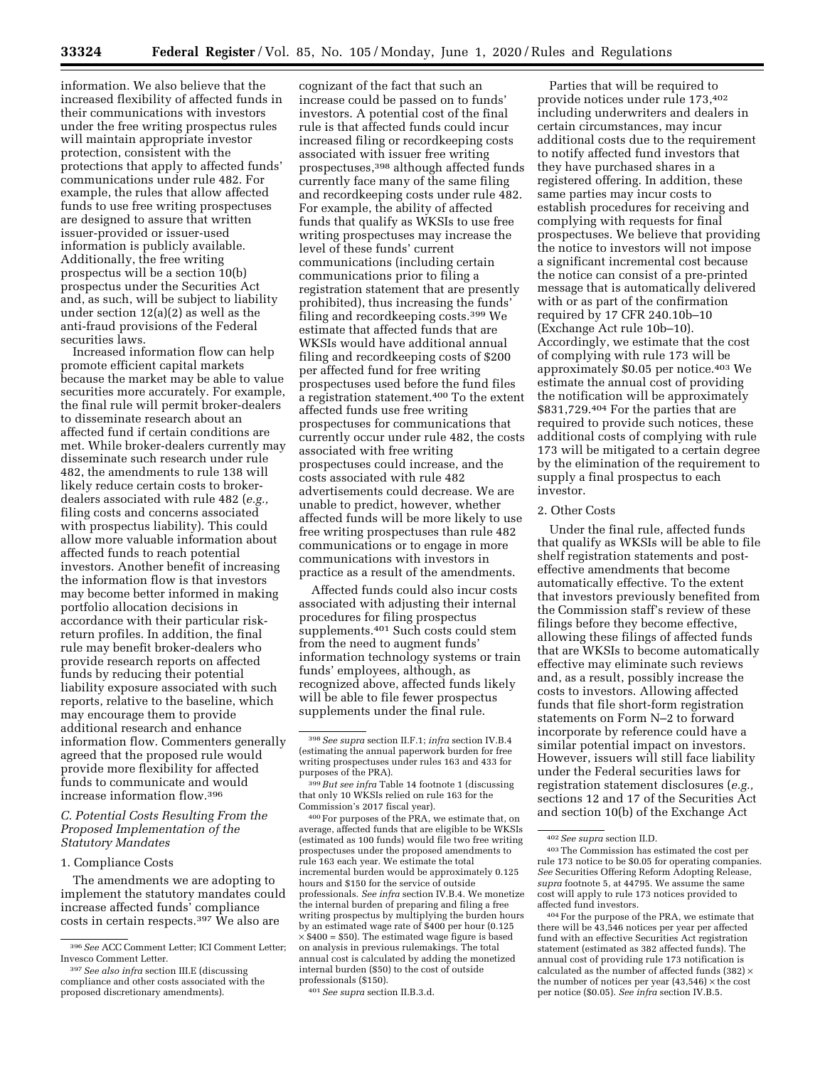information. We also believe that the increased flexibility of affected funds in their communications with investors under the free writing prospectus rules will maintain appropriate investor protection, consistent with the protections that apply to affected funds' communications under rule 482. For example, the rules that allow affected funds to use free writing prospectuses are designed to assure that written issuer-provided or issuer-used information is publicly available. Additionally, the free writing prospectus will be a section 10(b) prospectus under the Securities Act and, as such, will be subject to liability under section 12(a)(2) as well as the anti-fraud provisions of the Federal securities laws.

Increased information flow can help promote efficient capital markets because the market may be able to value securities more accurately. For example, the final rule will permit broker-dealers to disseminate research about an affected fund if certain conditions are met. While broker-dealers currently may disseminate such research under rule 482, the amendments to rule 138 will likely reduce certain costs to brokerdealers associated with rule 482 (*e.g.,*  filing costs and concerns associated with prospectus liability). This could allow more valuable information about affected funds to reach potential investors. Another benefit of increasing the information flow is that investors may become better informed in making portfolio allocation decisions in accordance with their particular riskreturn profiles. In addition, the final rule may benefit broker-dealers who provide research reports on affected funds by reducing their potential liability exposure associated with such reports, relative to the baseline, which may encourage them to provide additional research and enhance information flow. Commenters generally agreed that the proposed rule would provide more flexibility for affected funds to communicate and would increase information flow.396

### *C. Potential Costs Resulting From the Proposed Implementation of the Statutory Mandates*

#### 1. Compliance Costs

The amendments we are adopting to implement the statutory mandates could increase affected funds' compliance costs in certain respects.397 We also are

cognizant of the fact that such an increase could be passed on to funds' investors. A potential cost of the final rule is that affected funds could incur increased filing or recordkeeping costs associated with issuer free writing prospectuses,398 although affected funds currently face many of the same filing and recordkeeping costs under rule 482. For example, the ability of affected funds that qualify as WKSIs to use free writing prospectuses may increase the level of these funds' current communications (including certain communications prior to filing a registration statement that are presently prohibited), thus increasing the funds' filing and recordkeeping costs.399 We estimate that affected funds that are WKSIs would have additional annual filing and recordkeeping costs of \$200 per affected fund for free writing prospectuses used before the fund files a registration statement.400 To the extent affected funds use free writing prospectuses for communications that currently occur under rule 482, the costs associated with free writing prospectuses could increase, and the costs associated with rule 482 advertisements could decrease. We are unable to predict, however, whether affected funds will be more likely to use free writing prospectuses than rule 482 communications or to engage in more communications with investors in practice as a result of the amendments.

Affected funds could also incur costs associated with adjusting their internal procedures for filing prospectus supplements.401 Such costs could stem from the need to augment funds' information technology systems or train funds' employees, although, as recognized above, affected funds likely will be able to file fewer prospectus supplements under the final rule.

400For purposes of the PRA, we estimate that, on average, affected funds that are eligible to be WKSIs (estimated as 100 funds) would file two free writing prospectuses under the proposed amendments to rule 163 each year. We estimate the total incremental burden would be approximately 0.125 hours and \$150 for the service of outside professionals. *See infra* section IV.B.4. We monetize the internal burden of preparing and filing a free writing prospectus by multiplying the burden hours by an estimated wage rate of \$400 per hour (0.125  $\times$  \$400 = \$50). The estimated wage figure is based on analysis in previous rulemakings. The total annual cost is calculated by adding the monetized internal burden (\$50) to the cost of outside professionals (\$150).

401*See supra* section II.B.3.d.

Parties that will be required to provide notices under rule 173,402 including underwriters and dealers in certain circumstances, may incur additional costs due to the requirement to notify affected fund investors that they have purchased shares in a registered offering. In addition, these same parties may incur costs to establish procedures for receiving and complying with requests for final prospectuses. We believe that providing the notice to investors will not impose a significant incremental cost because the notice can consist of a pre-printed message that is automatically delivered with or as part of the confirmation required by 17 CFR 240.10b–10 (Exchange Act rule 10b–10). Accordingly, we estimate that the cost of complying with rule 173 will be approximately \$0.05 per notice.403 We estimate the annual cost of providing the notification will be approximately \$831,729.404 For the parties that are required to provide such notices, these additional costs of complying with rule 173 will be mitigated to a certain degree by the elimination of the requirement to supply a final prospectus to each investor.

### 2. Other Costs

Under the final rule, affected funds that qualify as WKSIs will be able to file shelf registration statements and posteffective amendments that become automatically effective. To the extent that investors previously benefited from the Commission staff's review of these filings before they become effective, allowing these filings of affected funds that are WKSIs to become automatically effective may eliminate such reviews and, as a result, possibly increase the costs to investors. Allowing affected funds that file short-form registration statements on Form N–2 to forward incorporate by reference could have a similar potential impact on investors. However, issuers will still face liability under the Federal securities laws for registration statement disclosures (*e.g.,*  sections 12 and 17 of the Securities Act and section 10(b) of the Exchange Act

<sup>396</sup>*See* ACC Comment Letter; ICI Comment Letter; Invesco Comment Letter.

<sup>397</sup>*See also infra* section III.E (discussing compliance and other costs associated with the proposed discretionary amendments).

<sup>398</sup>*See supra* section II.F.1; *infra* section IV.B.4 (estimating the annual paperwork burden for free writing prospectuses under rules 163 and 433 for purposes of the PRA).

<sup>399</sup>*But see infra* Table 14 footnote 1 (discussing that only 10 WKSIs relied on rule 163 for the Commission's 2017 fiscal year).

<sup>402</sup>*See supra* section II.D.

<sup>403</sup>The Commission has estimated the cost per rule 173 notice to be \$0.05 for operating companies. *See* Securities Offering Reform Adopting Release, *supra* footnote 5, at 44795. We assume the same cost will apply to rule 173 notices provided to affected fund investors.

<sup>404</sup>For the purpose of the PRA, we estimate that there will be 43,546 notices per year per affected fund with an effective Securities Act registration statement (estimated as 382 affected funds). The annual cost of providing rule 173 notification is calculated as the number of affected funds (382)  $\times$ the number of notices per year  $(43,546)$   $\times$  the cost per notice (\$0.05). *See infra* section IV.B.5.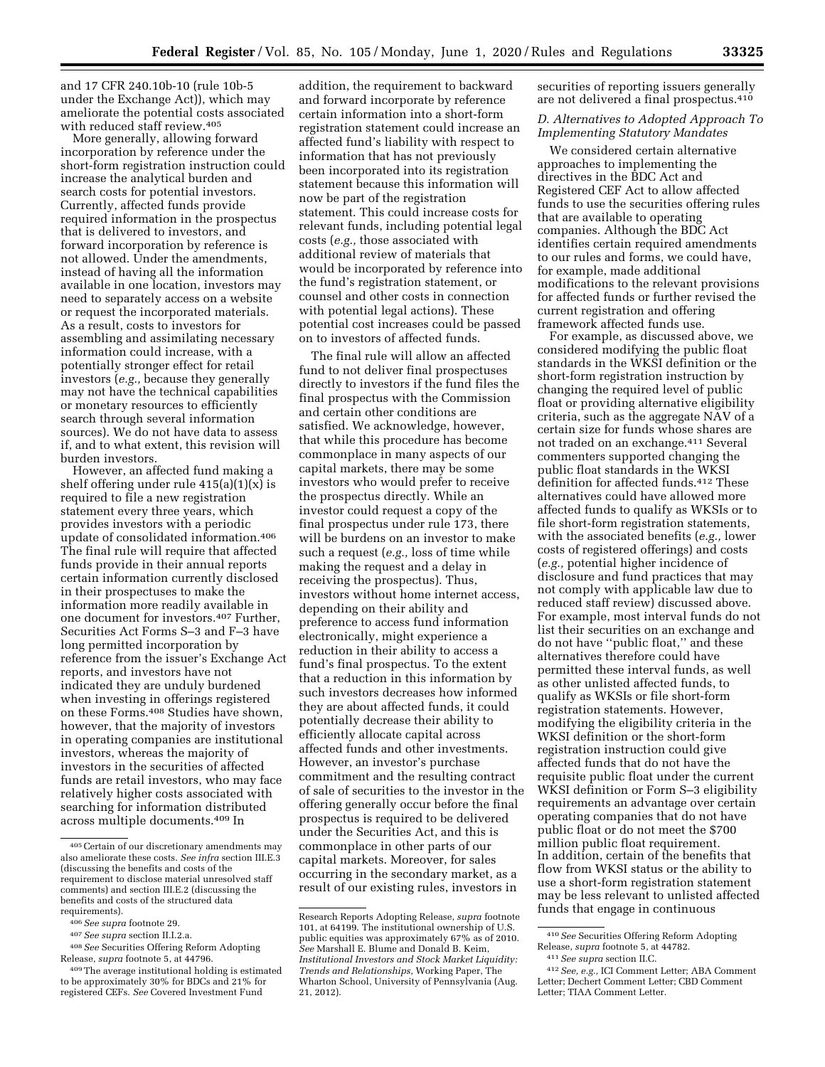and 17 CFR 240.10b-10 (rule 10b-5 under the Exchange Act)), which may ameliorate the potential costs associated with reduced staff review.405

More generally, allowing forward incorporation by reference under the short-form registration instruction could increase the analytical burden and search costs for potential investors. Currently, affected funds provide required information in the prospectus that is delivered to investors, and forward incorporation by reference is not allowed. Under the amendments, instead of having all the information available in one location, investors may need to separately access on a website or request the incorporated materials. As a result, costs to investors for assembling and assimilating necessary information could increase, with a potentially stronger effect for retail investors (*e.g.,* because they generally may not have the technical capabilities or monetary resources to efficiently search through several information sources). We do not have data to assess if, and to what extent, this revision will burden investors.

However, an affected fund making a shelf offering under rule  $415(a)(1)(x)$  is required to file a new registration statement every three years, which provides investors with a periodic update of consolidated information.406 The final rule will require that affected funds provide in their annual reports certain information currently disclosed in their prospectuses to make the information more readily available in one document for investors.407 Further, Securities Act Forms S–3 and F–3 have long permitted incorporation by reference from the issuer's Exchange Act reports, and investors have not indicated they are unduly burdened when investing in offerings registered on these Forms.408 Studies have shown, however, that the majority of investors in operating companies are institutional investors, whereas the majority of investors in the securities of affected funds are retail investors, who may face relatively higher costs associated with searching for information distributed across multiple documents.409 In

addition, the requirement to backward and forward incorporate by reference certain information into a short-form registration statement could increase an affected fund's liability with respect to information that has not previously been incorporated into its registration statement because this information will now be part of the registration statement. This could increase costs for relevant funds, including potential legal costs (*e.g.,* those associated with additional review of materials that would be incorporated by reference into the fund's registration statement, or counsel and other costs in connection with potential legal actions). These potential cost increases could be passed on to investors of affected funds.

The final rule will allow an affected fund to not deliver final prospectuses directly to investors if the fund files the final prospectus with the Commission and certain other conditions are satisfied. We acknowledge, however, that while this procedure has become commonplace in many aspects of our capital markets, there may be some investors who would prefer to receive the prospectus directly. While an investor could request a copy of the final prospectus under rule 173, there will be burdens on an investor to make such a request (*e.g.,* loss of time while making the request and a delay in receiving the prospectus). Thus, investors without home internet access, depending on their ability and preference to access fund information electronically, might experience a reduction in their ability to access a fund's final prospectus. To the extent that a reduction in this information by such investors decreases how informed they are about affected funds, it could potentially decrease their ability to efficiently allocate capital across affected funds and other investments. However, an investor's purchase commitment and the resulting contract of sale of securities to the investor in the offering generally occur before the final prospectus is required to be delivered under the Securities Act, and this is commonplace in other parts of our capital markets. Moreover, for sales occurring in the secondary market, as a result of our existing rules, investors in

securities of reporting issuers generally are not delivered a final prospectus.410

### *D. Alternatives to Adopted Approach To Implementing Statutory Mandates*

We considered certain alternative approaches to implementing the directives in the BDC Act and Registered CEF Act to allow affected funds to use the securities offering rules that are available to operating companies. Although the BDC Act identifies certain required amendments to our rules and forms, we could have, for example, made additional modifications to the relevant provisions for affected funds or further revised the current registration and offering framework affected funds use.

For example, as discussed above, we considered modifying the public float standards in the WKSI definition or the short-form registration instruction by changing the required level of public float or providing alternative eligibility criteria, such as the aggregate NAV of a certain size for funds whose shares are not traded on an exchange.411 Several commenters supported changing the public float standards in the WKSI definition for affected funds.412 These alternatives could have allowed more affected funds to qualify as WKSIs or to file short-form registration statements, with the associated benefits (*e.g.,* lower costs of registered offerings) and costs (*e.g.,* potential higher incidence of disclosure and fund practices that may not comply with applicable law due to reduced staff review) discussed above. For example, most interval funds do not list their securities on an exchange and do not have ''public float,'' and these alternatives therefore could have permitted these interval funds, as well as other unlisted affected funds, to qualify as WKSIs or file short-form registration statements. However, modifying the eligibility criteria in the WKSI definition or the short-form registration instruction could give affected funds that do not have the requisite public float under the current WKSI definition or Form S–3 eligibility requirements an advantage over certain operating companies that do not have public float or do not meet the \$700 million public float requirement. In addition, certain of the benefits that flow from WKSI status or the ability to use a short-form registration statement may be less relevant to unlisted affected funds that engage in continuous

<sup>405</sup>Certain of our discretionary amendments may also ameliorate these costs. *See infra* section III.E.3 (discussing the benefits and costs of the requirement to disclose material unresolved staff comments) and section III.E.2 (discussing the benefits and costs of the structured data requirements).

<sup>406</sup>*See supra* footnote 29.

<sup>407</sup>*See supra* section II.I.2.a.

<sup>408</sup>*See* Securities Offering Reform Adopting Release, *supra* footnote 5, at 44796.

<sup>409</sup>The average institutional holding is estimated to be approximately 30% for BDCs and 21% for registered CEFs. *See* Covered Investment Fund

Research Reports Adopting Release, *supra* footnote 101, at 64199. The institutional ownership of U.S. public equities was approximately 67% as of 2010. *See* Marshall E. Blume and Donald B. Keim, *Institutional Investors and Stock Market Liquidity: Trends and Relationships,* Working Paper, The Wharton School, University of Pennsylvania (Aug. 21, 2012).

<sup>410</sup>*See* Securities Offering Reform Adopting Release, *supra* footnote 5, at 44782.

<sup>411</sup>*See supra* section II.C.

<sup>412</sup>*See, e.g.,* ICI Comment Letter; ABA Comment Letter; Dechert Comment Letter; CBD Comment Letter; TIAA Comment Letter.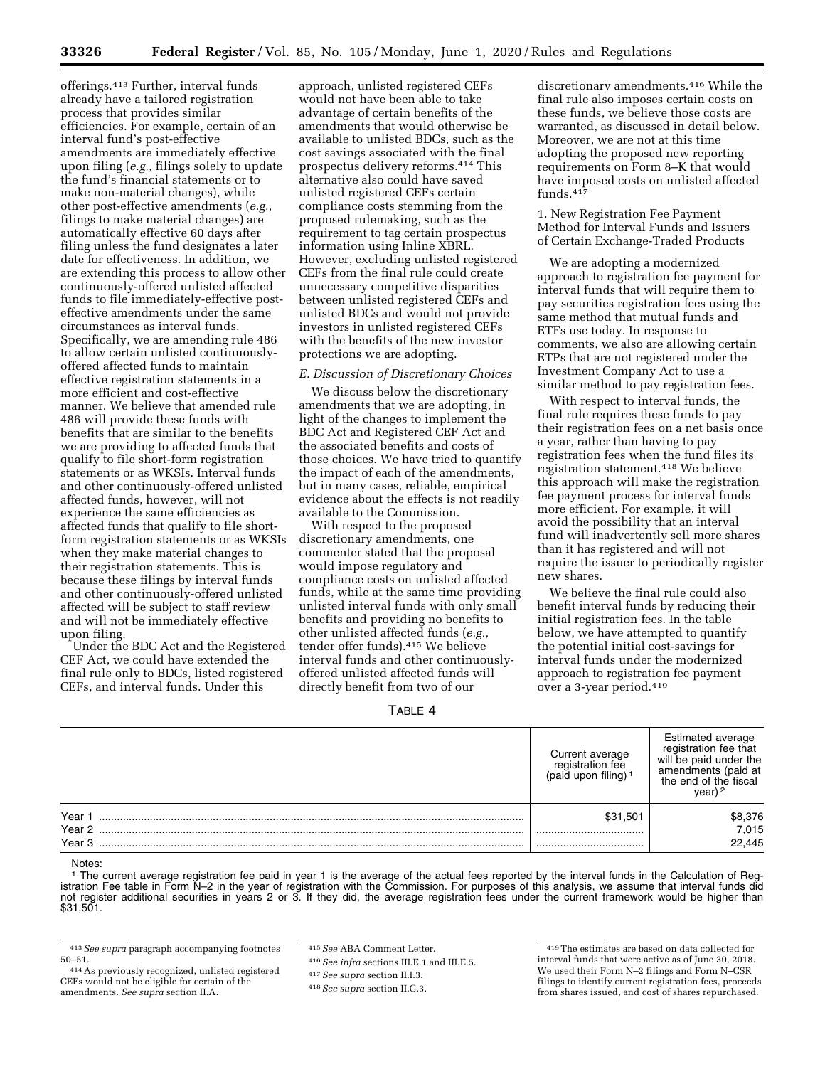offerings.413 Further, interval funds already have a tailored registration process that provides similar efficiencies. For example, certain of an interval fund's post-effective amendments are immediately effective upon filing (*e.g.,* filings solely to update the fund's financial statements or to make non-material changes), while other post-effective amendments (*e.g.,*  filings to make material changes) are automatically effective 60 days after filing unless the fund designates a later date for effectiveness. In addition, we are extending this process to allow other continuously-offered unlisted affected funds to file immediately-effective posteffective amendments under the same circumstances as interval funds. Specifically, we are amending rule 486 to allow certain unlisted continuouslyoffered affected funds to maintain effective registration statements in a more efficient and cost-effective manner. We believe that amended rule 486 will provide these funds with benefits that are similar to the benefits we are providing to affected funds that qualify to file short-form registration statements or as WKSIs. Interval funds and other continuously-offered unlisted affected funds, however, will not experience the same efficiencies as affected funds that qualify to file shortform registration statements or as WKSIs when they make material changes to their registration statements. This is because these filings by interval funds and other continuously-offered unlisted affected will be subject to staff review and will not be immediately effective upon filing.

Under the BDC Act and the Registered CEF Act, we could have extended the final rule only to BDCs, listed registered CEFs, and interval funds. Under this

approach, unlisted registered CEFs would not have been able to take advantage of certain benefits of the amendments that would otherwise be available to unlisted BDCs, such as the cost savings associated with the final prospectus delivery reforms.414 This alternative also could have saved unlisted registered CEFs certain compliance costs stemming from the proposed rulemaking, such as the requirement to tag certain prospectus information using Inline XBRL. However, excluding unlisted registered CEFs from the final rule could create unnecessary competitive disparities between unlisted registered CEFs and unlisted BDCs and would not provide investors in unlisted registered CEFs with the benefits of the new investor protections we are adopting.

# *E. Discussion of Discretionary Choices*

We discuss below the discretionary amendments that we are adopting, in light of the changes to implement the BDC Act and Registered CEF Act and the associated benefits and costs of those choices. We have tried to quantify the impact of each of the amendments, but in many cases, reliable, empirical evidence about the effects is not readily available to the Commission.

With respect to the proposed discretionary amendments, one commenter stated that the proposal would impose regulatory and compliance costs on unlisted affected funds, while at the same time providing unlisted interval funds with only small benefits and providing no benefits to other unlisted affected funds (*e.g.,*  tender offer funds).415 We believe interval funds and other continuouslyoffered unlisted affected funds will directly benefit from two of our

TABLE 4

discretionary amendments.416 While the final rule also imposes certain costs on these funds, we believe those costs are warranted, as discussed in detail below. Moreover, we are not at this time adopting the proposed new reporting requirements on Form 8–K that would have imposed costs on unlisted affected funds.417

1. New Registration Fee Payment Method for Interval Funds and Issuers of Certain Exchange-Traded Products

We are adopting a modernized approach to registration fee payment for interval funds that will require them to pay securities registration fees using the same method that mutual funds and ETFs use today. In response to comments, we also are allowing certain ETPs that are not registered under the Investment Company Act to use a similar method to pay registration fees.

With respect to interval funds, the final rule requires these funds to pay their registration fees on a net basis once a year, rather than having to pay registration fees when the fund files its registration statement.418 We believe this approach will make the registration fee payment process for interval funds more efficient. For example, it will avoid the possibility that an interval fund will inadvertently sell more shares than it has registered and will not require the issuer to periodically register new shares.

We believe the final rule could also benefit interval funds by reducing their initial registration fees. In the table below, we have attempted to quantify the potential initial cost-savings for interval funds under the modernized approach to registration fee payment over a 3-year period.419

|                   | Current average<br>iistration fee<br>upon filing) <sup>1</sup><br>(paid | Estimated average<br>registration fee that<br>will be paid under the<br>amendments (paid at<br>the end of the fiscal |
|-------------------|-------------------------------------------------------------------------|----------------------------------------------------------------------------------------------------------------------|
| Year              | \$31,501                                                                | \$8,376                                                                                                              |
| Year <sub>2</sub> |                                                                         | 7,015                                                                                                                |
| Year <sub>3</sub> |                                                                         | 22,445                                                                                                               |

Notes:

<sup>1.</sup> The current average registration fee paid in year 1 is the average of the actual fees reported by the interval funds in the Calculation of Reg-<br>istration Fee table in Form N–2 in the year of registration with the Comm istration Fee table in Form N–2 in the year of registration with the Commission. For purposes of this analysis, we assume that interval funds did not register additional securities in years 2 or 3. If they did, the average registration fees under the current framework would be higher than \$31,501.

417*See supra* section II.I.3.

<sup>413</sup>*See supra* paragraph accompanying footnotes 50–51. 414As previously recognized, unlisted registered

CEFs would not be eligible for certain of the amendments. *See supra* section II.A.

<sup>415</sup>*See* ABA Comment Letter.

<sup>416</sup>*See infra* sections III.E.1 and III.E.5.

<sup>418</sup>*See supra* section II.G.3.

<sup>419</sup>The estimates are based on data collected for interval funds that were active as of June 30, 2018. We used their Form N–2 filings and Form N–CSR filings to identify current registration fees, proceeds from shares issued, and cost of shares repurchased.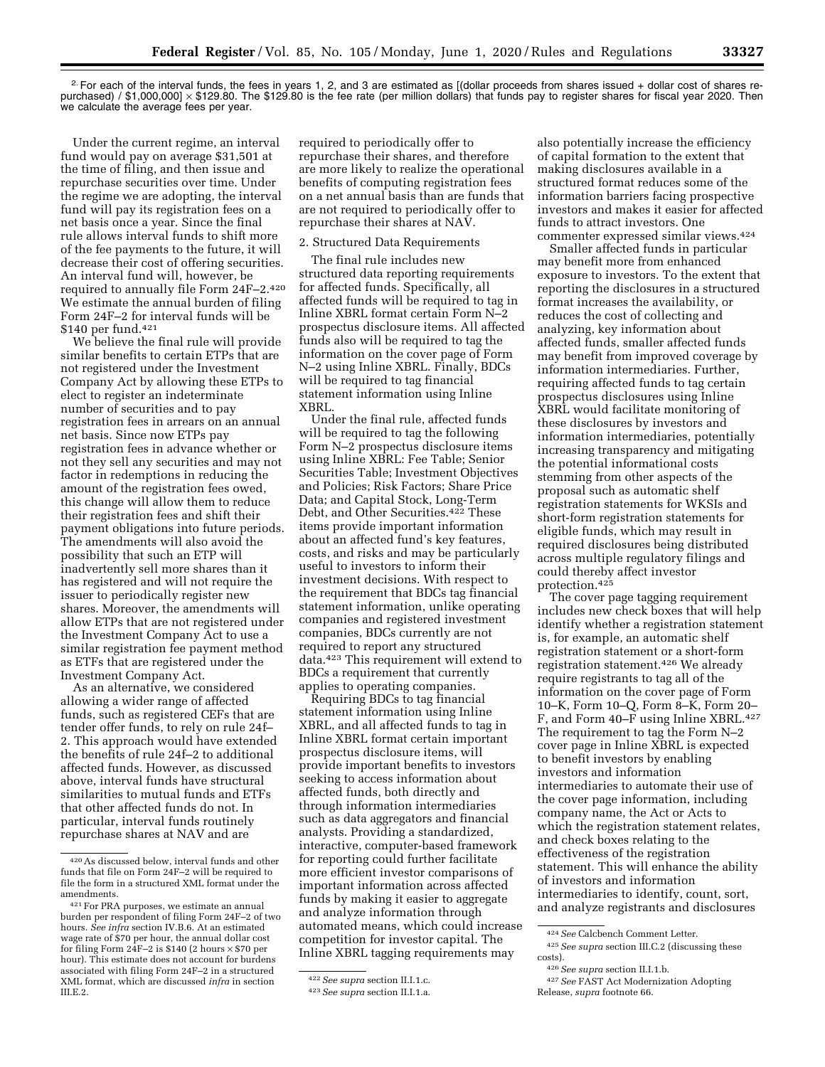2.For each of the interval funds, the fees in years 1, 2, and 3 are estimated as [(dollar proceeds from shares issued + dollar cost of shares repurchased) / \$1,000,000] × \$129.80. The \$129.80 is the fee rate (per million dollars) that funds pay to register shares for fiscal year 2020. Then we calculate the average fees per year.

Under the current regime, an interval fund would pay on average \$31,501 at the time of filing, and then issue and repurchase securities over time. Under the regime we are adopting, the interval fund will pay its registration fees on a net basis once a year. Since the final rule allows interval funds to shift more of the fee payments to the future, it will decrease their cost of offering securities. An interval fund will, however, be required to annually file Form 24F–2.420 We estimate the annual burden of filing Form 24F–2 for interval funds will be \$140 per fund.421

We believe the final rule will provide similar benefits to certain ETPs that are not registered under the Investment Company Act by allowing these ETPs to elect to register an indeterminate number of securities and to pay registration fees in arrears on an annual net basis. Since now ETPs pay registration fees in advance whether or not they sell any securities and may not factor in redemptions in reducing the amount of the registration fees owed, this change will allow them to reduce their registration fees and shift their payment obligations into future periods. The amendments will also avoid the possibility that such an ETP will inadvertently sell more shares than it has registered and will not require the issuer to periodically register new shares. Moreover, the amendments will allow ETPs that are not registered under the Investment Company Act to use a similar registration fee payment method as ETFs that are registered under the Investment Company Act.

As an alternative, we considered allowing a wider range of affected funds, such as registered CEFs that are tender offer funds, to rely on rule 24f– 2. This approach would have extended the benefits of rule 24f–2 to additional affected funds. However, as discussed above, interval funds have structural similarities to mutual funds and ETFs that other affected funds do not. In particular, interval funds routinely repurchase shares at NAV and are

required to periodically offer to repurchase their shares, and therefore are more likely to realize the operational benefits of computing registration fees on a net annual basis than are funds that are not required to periodically offer to repurchase their shares at NAV.

# 2. Structured Data Requirements

The final rule includes new structured data reporting requirements for affected funds. Specifically, all affected funds will be required to tag in Inline XBRL format certain Form N–2 prospectus disclosure items. All affected funds also will be required to tag the information on the cover page of Form N–2 using Inline XBRL. Finally, BDCs will be required to tag financial statement information using Inline XBRL.

Under the final rule, affected funds will be required to tag the following Form N–2 prospectus disclosure items using Inline XBRL: Fee Table; Senior Securities Table; Investment Objectives and Policies; Risk Factors; Share Price Data; and Capital Stock, Long-Term Debt, and Other Securities.422 These items provide important information about an affected fund's key features, costs, and risks and may be particularly useful to investors to inform their investment decisions. With respect to the requirement that BDCs tag financial statement information, unlike operating companies and registered investment companies, BDCs currently are not required to report any structured data.423 This requirement will extend to BDCs a requirement that currently applies to operating companies.

Requiring BDCs to tag financial statement information using Inline XBRL, and all affected funds to tag in Inline XBRL format certain important prospectus disclosure items, will provide important benefits to investors seeking to access information about affected funds, both directly and through information intermediaries such as data aggregators and financial analysts. Providing a standardized, interactive, computer-based framework for reporting could further facilitate more efficient investor comparisons of important information across affected funds by making it easier to aggregate and analyze information through automated means, which could increase competition for investor capital. The Inline XBRL tagging requirements may

also potentially increase the efficiency of capital formation to the extent that making disclosures available in a structured format reduces some of the information barriers facing prospective investors and makes it easier for affected funds to attract investors. One commenter expressed similar views.424

Smaller affected funds in particular may benefit more from enhanced exposure to investors. To the extent that reporting the disclosures in a structured format increases the availability, or reduces the cost of collecting and analyzing, key information about affected funds, smaller affected funds may benefit from improved coverage by information intermediaries. Further, requiring affected funds to tag certain prospectus disclosures using Inline XBRL would facilitate monitoring of these disclosures by investors and information intermediaries, potentially increasing transparency and mitigating the potential informational costs stemming from other aspects of the proposal such as automatic shelf registration statements for WKSIs and short-form registration statements for eligible funds, which may result in required disclosures being distributed across multiple regulatory filings and could thereby affect investor protection.425

The cover page tagging requirement includes new check boxes that will help identify whether a registration statement is, for example, an automatic shelf registration statement or a short-form registration statement.426 We already require registrants to tag all of the information on the cover page of Form 10–K, Form 10–Q, Form 8–K, Form 20– F, and Form 40–F using Inline XBRL.<sup>427</sup> The requirement to tag the Form N–2 cover page in Inline XBRL is expected to benefit investors by enabling investors and information intermediaries to automate their use of the cover page information, including company name, the Act or Acts to which the registration statement relates, and check boxes relating to the effectiveness of the registration statement. This will enhance the ability of investors and information intermediaries to identify, count, sort, and analyze registrants and disclosures

<sup>420</sup>As discussed below, interval funds and other funds that file on Form 24F–2 will be required to file the form in a structured XML format under the amendments.

<sup>421</sup>For PRA purposes, we estimate an annual burden per respondent of filing Form 24F–2 of two hours. *See infra* section IV.B.6. At an estimated wage rate of \$70 per hour, the annual dollar cost for filing Form  $24F-2$  is \$140 (2 hours  $\times$  \$70 per hour). This estimate does not account for burdens associated with filing Form 24F–2 in a structured XML format, which are discussed *infra* in section III.E.2.

<sup>422</sup>*See supra* section II.I.1.c.

<sup>423</sup>*See supra* section II.I.1.a.

<sup>424</sup>*See* Calcbench Comment Letter.

<sup>425</sup>*See supra* section III.C.2 (discussing these costs).

<sup>426</sup>*See supra* section II.I.1.b.

<sup>427</sup>*See* FAST Act Modernization Adopting Release, *supra* footnote 66.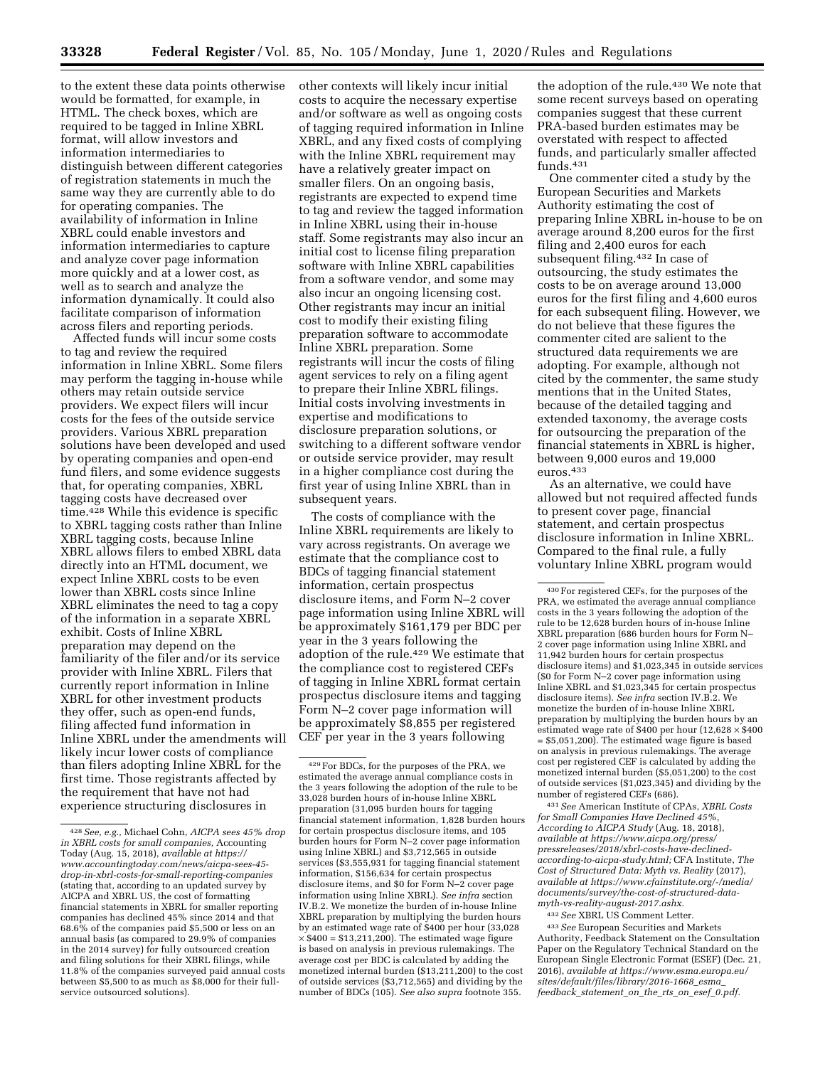to the extent these data points otherwise would be formatted, for example, in HTML. The check boxes, which are required to be tagged in Inline XBRL format, will allow investors and information intermediaries to distinguish between different categories of registration statements in much the same way they are currently able to do for operating companies. The availability of information in Inline XBRL could enable investors and information intermediaries to capture and analyze cover page information more quickly and at a lower cost, as well as to search and analyze the information dynamically. It could also facilitate comparison of information across filers and reporting periods.

Affected funds will incur some costs to tag and review the required information in Inline XBRL. Some filers may perform the tagging in-house while others may retain outside service providers. We expect filers will incur costs for the fees of the outside service providers. Various XBRL preparation solutions have been developed and used by operating companies and open-end fund filers, and some evidence suggests that, for operating companies, XBRL tagging costs have decreased over time.428 While this evidence is specific to XBRL tagging costs rather than Inline XBRL tagging costs, because Inline XBRL allows filers to embed XBRL data directly into an HTML document, we expect Inline XBRL costs to be even lower than XBRL costs since Inline XBRL eliminates the need to tag a copy of the information in a separate XBRL exhibit. Costs of Inline XBRL preparation may depend on the familiarity of the filer and/or its service provider with Inline XBRL. Filers that currently report information in Inline XBRL for other investment products they offer, such as open-end funds, filing affected fund information in Inline XBRL under the amendments will likely incur lower costs of compliance than filers adopting Inline XBRL for the first time. Those registrants affected by the requirement that have not had experience structuring disclosures in

other contexts will likely incur initial costs to acquire the necessary expertise and/or software as well as ongoing costs of tagging required information in Inline XBRL, and any fixed costs of complying with the Inline XBRL requirement may have a relatively greater impact on smaller filers. On an ongoing basis, registrants are expected to expend time to tag and review the tagged information in Inline XBRL using their in-house staff. Some registrants may also incur an initial cost to license filing preparation software with Inline XBRL capabilities from a software vendor, and some may also incur an ongoing licensing cost. Other registrants may incur an initial cost to modify their existing filing preparation software to accommodate Inline XBRL preparation. Some registrants will incur the costs of filing agent services to rely on a filing agent to prepare their Inline XBRL filings. Initial costs involving investments in expertise and modifications to disclosure preparation solutions, or switching to a different software vendor or outside service provider, may result in a higher compliance cost during the first year of using Inline XBRL than in subsequent years.

The costs of compliance with the Inline XBRL requirements are likely to vary across registrants. On average we estimate that the compliance cost to BDCs of tagging financial statement information, certain prospectus disclosure items, and Form N–2 cover page information using Inline XBRL will be approximately \$161,179 per BDC per year in the 3 years following the adoption of the rule.429 We estimate that the compliance cost to registered CEFs of tagging in Inline XBRL format certain prospectus disclosure items and tagging Form N–2 cover page information will be approximately \$8,855 per registered CEF per year in the 3 years following

the adoption of the rule.<sup>430</sup> We note that some recent surveys based on operating companies suggest that these current PRA-based burden estimates may be overstated with respect to affected funds, and particularly smaller affected funds.431

One commenter cited a study by the European Securities and Markets Authority estimating the cost of preparing Inline XBRL in-house to be on average around 8,200 euros for the first filing and 2,400 euros for each subsequent filing.432 In case of outsourcing, the study estimates the costs to be on average around 13,000 euros for the first filing and 4,600 euros for each subsequent filing. However, we do not believe that these figures the commenter cited are salient to the structured data requirements we are adopting. For example, although not cited by the commenter, the same study mentions that in the United States, because of the detailed tagging and extended taxonomy, the average costs for outsourcing the preparation of the financial statements in XBRL is higher, between 9,000 euros and 19,000 euros.433

As an alternative, we could have allowed but not required affected funds to present cover page, financial statement, and certain prospectus disclosure information in Inline XBRL. Compared to the final rule, a fully voluntary Inline XBRL program would

431*See* American Institute of CPAs, *XBRL Costs for Small Companies Have Declined 45%, According to AICPA Study* (Aug. 18, 2018), *available at [https://www.aicpa.org/press/](https://www.aicpa.org/press/pressreleases/2018/xbrl-costs-have-declined-according-to-aicpa-study.html) [pressreleases/2018/xbrl-costs-have-declined](https://www.aicpa.org/press/pressreleases/2018/xbrl-costs-have-declined-according-to-aicpa-study.html)[according-to-aicpa-study.html;](https://www.aicpa.org/press/pressreleases/2018/xbrl-costs-have-declined-according-to-aicpa-study.html)* CFA Institute, *The Cost of Structured Data: Myth vs. Reality* (2017), *available at [https://www.cfainstitute.org/-/media/](https://www.cfainstitute.org/-/media/documents/survey/the-cost-of-structured-data-myth-vs-reality-august-2017.ashx)  [documents/survey/the-cost-of-structured-data](https://www.cfainstitute.org/-/media/documents/survey/the-cost-of-structured-data-myth-vs-reality-august-2017.ashx)[myth-vs-reality-august-2017.ashx.](https://www.cfainstitute.org/-/media/documents/survey/the-cost-of-structured-data-myth-vs-reality-august-2017.ashx)* 

<sup>428</sup>*See, e.g.,* Michael Cohn, *AICPA sees 45% drop in XBRL costs for small companies,* Accounting Today (Aug. 15, 2018), *available at [https://](https://www.accountingtoday.com/news/aicpa-sees-45-drop-in-xbrl-costs-for-small-reporting-companies) [www.accountingtoday.com/news/aicpa-sees-45](https://www.accountingtoday.com/news/aicpa-sees-45-drop-in-xbrl-costs-for-small-reporting-companies)  [drop-in-xbrl-costs-for-small-reporting-companies](https://www.accountingtoday.com/news/aicpa-sees-45-drop-in-xbrl-costs-for-small-reporting-companies)*  (stating that, according to an updated survey by AICPA and XBRL US, the cost of formatting financial statements in XBRL for smaller reporting companies has declined 45% since 2014 and that 68.6% of the companies paid \$5,500 or less on an annual basis (as compared to 29.9% of companies in the 2014 survey) for fully outsourced creation and filing solutions for their XBRL filings, while 11.8% of the companies surveyed paid annual costs between \$5,500 to as much as \$8,000 for their fullservice outsourced solutions).

<sup>429</sup>For BDCs, for the purposes of the PRA, we estimated the average annual compliance costs in the 3 years following the adoption of the rule to be 33,028 burden hours of in-house Inline XBRL preparation (31,095 burden hours for tagging financial statement information, 1,828 burden hours for certain prospectus disclosure items, and 105 burden hours for Form N–2 cover page information using Inline XBRL) and \$3,712,565 in outside services (\$3,555,931 for tagging financial statement information, \$156,634 for certain prospectus disclosure items, and \$0 for Form N–2 cover page information using Inline XBRL). *See infra* section IV.B.2. We monetize the burden of in-house Inline XBRL preparation by multiplying the burden hours by an estimated wage rate of \$400 per hour (33,028  $\times$  \$400 = \$13,211,200). The estimated wage figure is based on analysis in previous rulemakings. The average cost per BDC is calculated by adding the monetized internal burden (\$13,211,200) to the cost of outside services (\$3,712,565) and dividing by the number of BDCs (105). *See also supra* footnote 355.

<sup>430</sup>For registered CEFs, for the purposes of the PRA, we estimated the average annual compliance costs in the 3 years following the adoption of the rule to be 12,628 burden hours of in-house Inline XBRL preparation (686 burden hours for Form N– 2 cover page information using Inline XBRL and 11,942 burden hours for certain prospectus disclosure items) and \$1,023,345 in outside services (\$0 for Form N–2 cover page information using Inline XBRL and \$1,023,345 for certain prospectus disclosure items). *See infra* section IV.B.2. We monetize the burden of in-house Inline XBRL preparation by multiplying the burden hours by an estimated wage rate of \$400 per hour  $(12,628 \times $400$ = \$5,051,200). The estimated wage figure is based on analysis in previous rulemakings. The average cost per registered CEF is calculated by adding the monetized internal burden (\$5,051,200) to the cost of outside services (\$1,023,345) and dividing by the number of registered CEFs (686).

<sup>432</sup>*See* XBRL US Comment Letter.

<sup>433</sup>*See* European Securities and Markets Authority, Feedback Statement on the Consultation Paper on the Regulatory Technical Standard on the European Single Electronic Format (ESEF) (Dec. 21, 2016), *available at [https://www.esma.europa.eu/](https://www.esma.europa.eu/sites/default/files/library/2016-1668_esma_feedback_statement_on_the_rts_on_esef_0.pdf) [sites/default/files/library/2016-1668](https://www.esma.europa.eu/sites/default/files/library/2016-1668_esma_feedback_statement_on_the_rts_on_esef_0.pdf)*\_*esma*\_ *feedback*\_*[statement](https://www.esma.europa.eu/sites/default/files/library/2016-1668_esma_feedback_statement_on_the_rts_on_esef_0.pdf)*\_*on*\_*the*\_*rts*\_*on*\_*esef*\_*0.pdf.*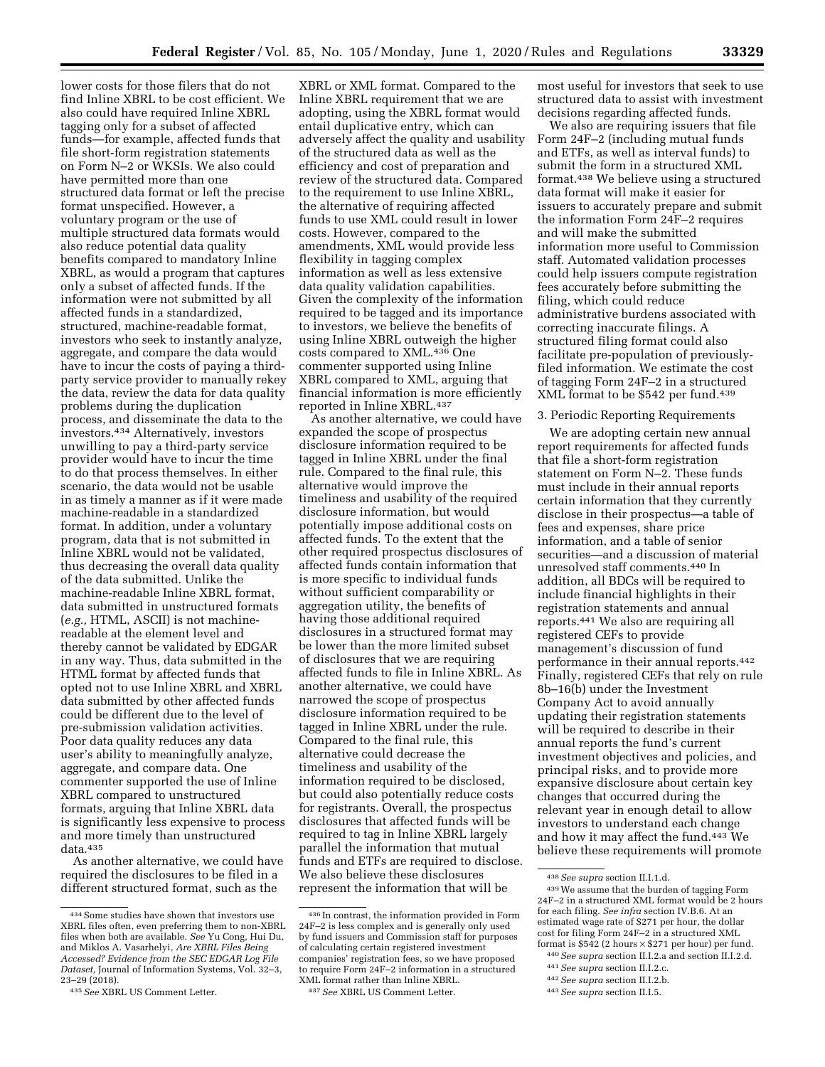lower costs for those filers that do not find Inline XBRL to be cost efficient. We also could have required Inline XBRL tagging only for a subset of affected funds—for example, affected funds that file short-form registration statements on Form N–2 or WKSIs. We also could have permitted more than one structured data format or left the precise format unspecified. However, a voluntary program or the use of multiple structured data formats would also reduce potential data quality benefits compared to mandatory Inline XBRL, as would a program that captures only a subset of affected funds. If the information were not submitted by all affected funds in a standardized, structured, machine-readable format, investors who seek to instantly analyze, aggregate, and compare the data would have to incur the costs of paying a thirdparty service provider to manually rekey the data, review the data for data quality problems during the duplication process, and disseminate the data to the investors.434 Alternatively, investors unwilling to pay a third-party service provider would have to incur the time to do that process themselves. In either scenario, the data would not be usable in as timely a manner as if it were made machine-readable in a standardized format. In addition, under a voluntary program, data that is not submitted in Inline XBRL would not be validated, thus decreasing the overall data quality of the data submitted. Unlike the machine-readable Inline XBRL format, data submitted in unstructured formats (*e.g.,* HTML, ASCII) is not machinereadable at the element level and thereby cannot be validated by EDGAR in any way. Thus, data submitted in the HTML format by affected funds that opted not to use Inline XBRL and XBRL data submitted by other affected funds could be different due to the level of pre-submission validation activities. Poor data quality reduces any data user's ability to meaningfully analyze, aggregate, and compare data. One commenter supported the use of Inline XBRL compared to unstructured formats, arguing that Inline XBRL data is significantly less expensive to process and more timely than unstructured data.435

As another alternative, we could have required the disclosures to be filed in a different structured format, such as the

XBRL or XML format. Compared to the Inline XBRL requirement that we are adopting, using the XBRL format would entail duplicative entry, which can adversely affect the quality and usability of the structured data as well as the efficiency and cost of preparation and review of the structured data. Compared to the requirement to use Inline XBRL, the alternative of requiring affected funds to use XML could result in lower costs. However, compared to the amendments, XML would provide less flexibility in tagging complex information as well as less extensive data quality validation capabilities. Given the complexity of the information required to be tagged and its importance to investors, we believe the benefits of using Inline XBRL outweigh the higher costs compared to XML.436 One commenter supported using Inline XBRL compared to XML, arguing that financial information is more efficiently reported in Inline XBRL.437

As another alternative, we could have expanded the scope of prospectus disclosure information required to be tagged in Inline XBRL under the final rule. Compared to the final rule, this alternative would improve the timeliness and usability of the required disclosure information, but would potentially impose additional costs on affected funds. To the extent that the other required prospectus disclosures of affected funds contain information that is more specific to individual funds without sufficient comparability or aggregation utility, the benefits of having those additional required disclosures in a structured format may be lower than the more limited subset of disclosures that we are requiring affected funds to file in Inline XBRL. As another alternative, we could have narrowed the scope of prospectus disclosure information required to be tagged in Inline XBRL under the rule. Compared to the final rule, this alternative could decrease the timeliness and usability of the information required to be disclosed, but could also potentially reduce costs for registrants. Overall, the prospectus disclosures that affected funds will be required to tag in Inline XBRL largely parallel the information that mutual funds and ETFs are required to disclose. We also believe these disclosures represent the information that will be

437*See* XBRL US Comment Letter.

most useful for investors that seek to use structured data to assist with investment decisions regarding affected funds.

We also are requiring issuers that file Form 24F–2 (including mutual funds and ETFs, as well as interval funds) to submit the form in a structured XML format.438 We believe using a structured data format will make it easier for issuers to accurately prepare and submit the information Form 24F–2 requires and will make the submitted information more useful to Commission staff. Automated validation processes could help issuers compute registration fees accurately before submitting the filing, which could reduce administrative burdens associated with correcting inaccurate filings. A structured filing format could also facilitate pre-population of previouslyfiled information. We estimate the cost of tagging Form 24F–2 in a structured XML format to be \$542 per fund.439

#### 3. Periodic Reporting Requirements

We are adopting certain new annual report requirements for affected funds that file a short-form registration statement on Form N–2. These funds must include in their annual reports certain information that they currently disclose in their prospectus—a table of fees and expenses, share price information, and a table of senior securities—and a discussion of material unresolved staff comments.440 In addition, all BDCs will be required to include financial highlights in their registration statements and annual reports.441 We also are requiring all registered CEFs to provide management's discussion of fund performance in their annual reports.442 Finally, registered CEFs that rely on rule 8b–16(b) under the Investment Company Act to avoid annually updating their registration statements will be required to describe in their annual reports the fund's current investment objectives and policies, and principal risks, and to provide more expansive disclosure about certain key changes that occurred during the relevant year in enough detail to allow investors to understand each change and how it may affect the fund.443 We believe these requirements will promote

<sup>434</sup>Some studies have shown that investors use XBRL files often, even preferring them to non-XBRL files when both are available. *See* Yu Cong, Hui Du, and Miklos A. Vasarhelyi, *Are XBRL Files Being Accessed? Evidence from the SEC EDGAR Log File Dataset,* Journal of Information Systems, Vol. 32–3, 23–29 (2018).

<sup>435</sup>*See* XBRL US Comment Letter.

<sup>436</sup> In contrast, the information provided in Form 24F–2 is less complex and is generally only used by fund issuers and Commission staff for purposes of calculating certain registered investment companies' registration fees, so we have proposed to require Form 24F–2 information in a structured XML format rather than Inline XBRL.

<sup>438</sup>*See supra* section II.I.1.d.

<sup>439</sup>We assume that the burden of tagging Form 24F–2 in a structured XML format would be 2 hours for each filing. *See infra* section IV.B.6. At an estimated wage rate of \$271 per hour, the dollar cost for filing Form 24F–2 in a structured XML format is  $$542$  (2 hours  $\times $271$  per hour) per fund.

<sup>440</sup>*See supra* section II.I.2.a and section II.I.2.d.

<sup>441</sup>*See supra* section II.I.2.c.

<sup>442</sup>*See supra* section II.I.2.b.

<sup>443</sup>*See supra* section II.I.5.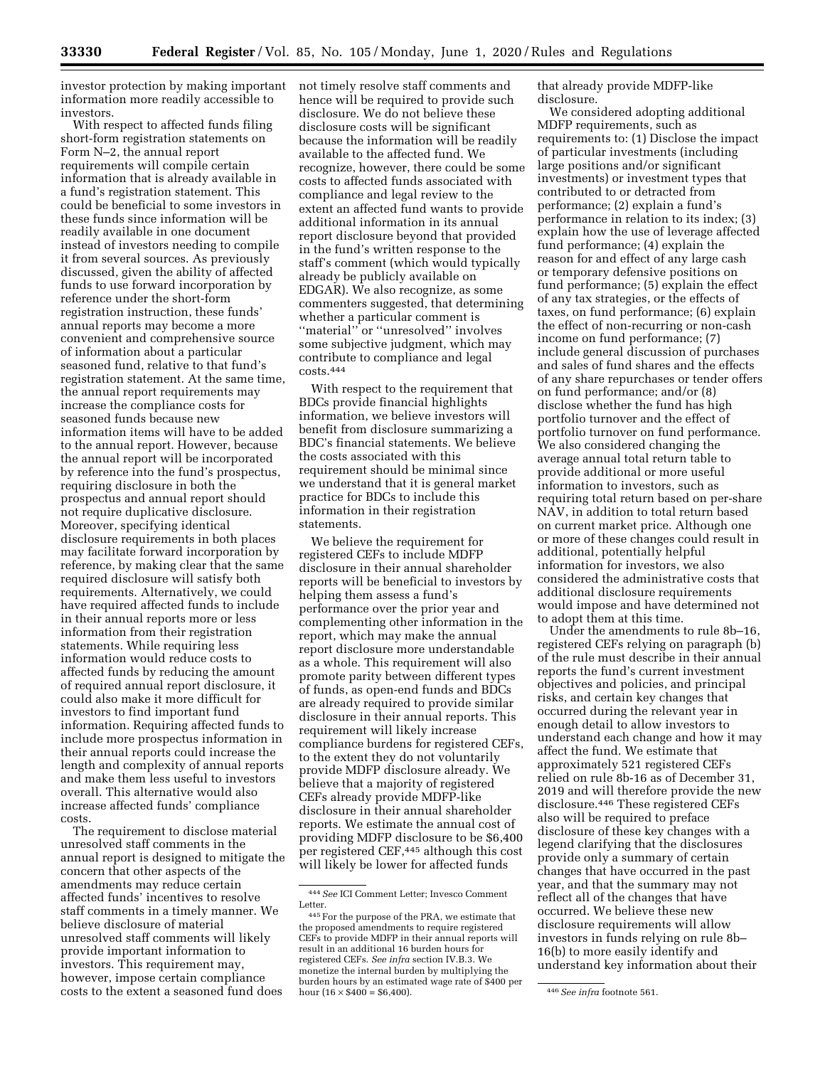investor protection by making important information more readily accessible to investors.

With respect to affected funds filing short-form registration statements on Form N–2, the annual report requirements will compile certain information that is already available in a fund's registration statement. This could be beneficial to some investors in these funds since information will be readily available in one document instead of investors needing to compile it from several sources. As previously discussed, given the ability of affected funds to use forward incorporation by reference under the short-form registration instruction, these funds' annual reports may become a more convenient and comprehensive source of information about a particular seasoned fund, relative to that fund's registration statement. At the same time, the annual report requirements may increase the compliance costs for seasoned funds because new information items will have to be added to the annual report. However, because the annual report will be incorporated by reference into the fund's prospectus, requiring disclosure in both the prospectus and annual report should not require duplicative disclosure. Moreover, specifying identical disclosure requirements in both places may facilitate forward incorporation by reference, by making clear that the same required disclosure will satisfy both requirements. Alternatively, we could have required affected funds to include in their annual reports more or less information from their registration statements. While requiring less information would reduce costs to affected funds by reducing the amount of required annual report disclosure, it could also make it more difficult for investors to find important fund information. Requiring affected funds to include more prospectus information in their annual reports could increase the length and complexity of annual reports and make them less useful to investors overall. This alternative would also increase affected funds' compliance costs.

The requirement to disclose material unresolved staff comments in the annual report is designed to mitigate the concern that other aspects of the amendments may reduce certain affected funds' incentives to resolve staff comments in a timely manner. We believe disclosure of material unresolved staff comments will likely provide important information to investors. This requirement may, however, impose certain compliance costs to the extent a seasoned fund does

not timely resolve staff comments and hence will be required to provide such disclosure. We do not believe these disclosure costs will be significant because the information will be readily available to the affected fund. We recognize, however, there could be some costs to affected funds associated with compliance and legal review to the extent an affected fund wants to provide additional information in its annual report disclosure beyond that provided in the fund's written response to the staff's comment (which would typically already be publicly available on EDGAR). We also recognize, as some commenters suggested, that determining whether a particular comment is ''material'' or ''unresolved'' involves some subjective judgment, which may contribute to compliance and legal costs.444

With respect to the requirement that BDCs provide financial highlights information, we believe investors will benefit from disclosure summarizing a BDC's financial statements. We believe the costs associated with this requirement should be minimal since we understand that it is general market practice for BDCs to include this information in their registration statements.

We believe the requirement for registered CEFs to include MDFP disclosure in their annual shareholder reports will be beneficial to investors by helping them assess a fund's performance over the prior year and complementing other information in the report, which may make the annual report disclosure more understandable as a whole. This requirement will also promote parity between different types of funds, as open-end funds and BDCs are already required to provide similar disclosure in their annual reports. This requirement will likely increase compliance burdens for registered CEFs, to the extent they do not voluntarily provide MDFP disclosure already. We believe that a majority of registered CEFs already provide MDFP-like disclosure in their annual shareholder reports. We estimate the annual cost of providing MDFP disclosure to be \$6,400 per registered CEF,445 although this cost will likely be lower for affected funds

that already provide MDFP-like disclosure.

We considered adopting additional MDFP requirements, such as requirements to: (1) Disclose the impact of particular investments (including large positions and/or significant investments) or investment types that contributed to or detracted from performance; (2) explain a fund's performance in relation to its index; (3) explain how the use of leverage affected fund performance; (4) explain the reason for and effect of any large cash or temporary defensive positions on fund performance; (5) explain the effect of any tax strategies, or the effects of taxes, on fund performance; (6) explain the effect of non-recurring or non-cash income on fund performance; (7) include general discussion of purchases and sales of fund shares and the effects of any share repurchases or tender offers on fund performance; and/or (8) disclose whether the fund has high portfolio turnover and the effect of portfolio turnover on fund performance. We also considered changing the average annual total return table to provide additional or more useful information to investors, such as requiring total return based on per-share NAV, in addition to total return based on current market price. Although one or more of these changes could result in additional, potentially helpful information for investors, we also considered the administrative costs that additional disclosure requirements would impose and have determined not to adopt them at this time.

Under the amendments to rule 8b–16, registered CEFs relying on paragraph (b) of the rule must describe in their annual reports the fund's current investment objectives and policies, and principal risks, and certain key changes that occurred during the relevant year in enough detail to allow investors to understand each change and how it may affect the fund. We estimate that approximately 521 registered CEFs relied on rule 8b-16 as of December 31, 2019 and will therefore provide the new disclosure.446 These registered CEFs also will be required to preface disclosure of these key changes with a legend clarifying that the disclosures provide only a summary of certain changes that have occurred in the past year, and that the summary may not reflect all of the changes that have occurred. We believe these new disclosure requirements will allow investors in funds relying on rule 8b– 16(b) to more easily identify and understand key information about their

<sup>444</sup>*See* ICI Comment Letter; Invesco Comment Letter.

<sup>445</sup>For the purpose of the PRA, we estimate that the proposed amendments to require registered CEFs to provide MDFP in their annual reports will result in an additional 16 burden hours for registered CEFs. *See infra* section IV.B.3. We monetize the internal burden by multiplying the burden hours by an estimated wage rate of \$400 per hour (16 × \$400 = \$6,400). 446*See infra* footnote 561.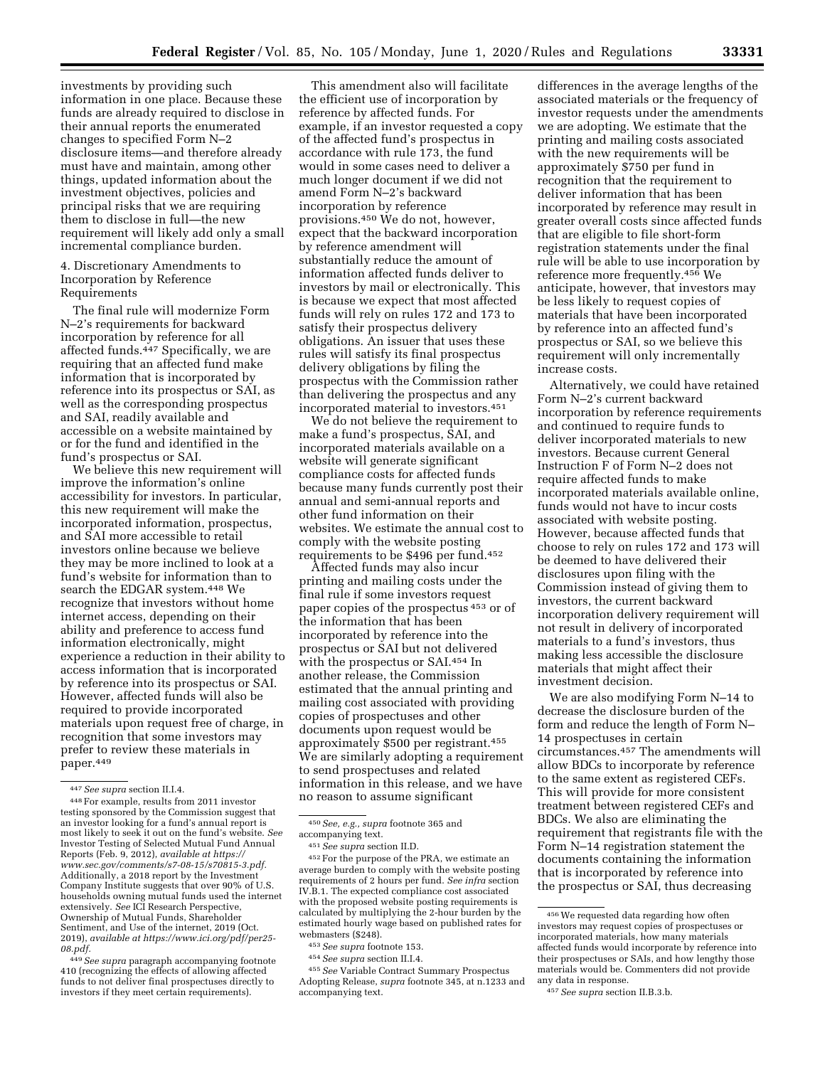investments by providing such information in one place. Because these funds are already required to disclose in their annual reports the enumerated changes to specified Form N–2 disclosure items—and therefore already must have and maintain, among other things, updated information about the investment objectives, policies and principal risks that we are requiring them to disclose in full—the new requirement will likely add only a small incremental compliance burden.

# 4. Discretionary Amendments to Incorporation by Reference Requirements

The final rule will modernize Form N–2's requirements for backward incorporation by reference for all affected funds.447 Specifically, we are requiring that an affected fund make information that is incorporated by reference into its prospectus or SAI, as well as the corresponding prospectus and SAI, readily available and accessible on a website maintained by or for the fund and identified in the fund's prospectus or SAI.

We believe this new requirement will improve the information's online accessibility for investors. In particular, this new requirement will make the incorporated information, prospectus, and SAI more accessible to retail investors online because we believe they may be more inclined to look at a fund's website for information than to search the EDGAR system.448 We recognize that investors without home internet access, depending on their ability and preference to access fund information electronically, might experience a reduction in their ability to access information that is incorporated by reference into its prospectus or SAI. However, affected funds will also be required to provide incorporated materials upon request free of charge, in recognition that some investors may prefer to review these materials in paper.449

449*See supra* paragraph accompanying footnote 410 (recognizing the effects of allowing affected funds to not deliver final prospectuses directly to investors if they meet certain requirements).

This amendment also will facilitate the efficient use of incorporation by reference by affected funds. For example, if an investor requested a copy of the affected fund's prospectus in accordance with rule 173, the fund would in some cases need to deliver a much longer document if we did not amend Form N–2's backward incorporation by reference provisions.450 We do not, however, expect that the backward incorporation by reference amendment will substantially reduce the amount of information affected funds deliver to investors by mail or electronically. This is because we expect that most affected funds will rely on rules 172 and 173 to satisfy their prospectus delivery obligations. An issuer that uses these rules will satisfy its final prospectus delivery obligations by filing the prospectus with the Commission rather than delivering the prospectus and any incorporated material to investors.451

We do not believe the requirement to make a fund's prospectus, SAI, and incorporated materials available on a website will generate significant compliance costs for affected funds because many funds currently post their annual and semi-annual reports and other fund information on their websites. We estimate the annual cost to comply with the website posting requirements to be \$496 per fund.452

Affected funds may also incur printing and mailing costs under the final rule if some investors request paper copies of the prospectus 453 or of the information that has been incorporated by reference into the prospectus or SAI but not delivered with the prospectus or SAI.454 In another release, the Commission estimated that the annual printing and mailing cost associated with providing copies of prospectuses and other documents upon request would be approximately \$500 per registrant.455 We are similarly adopting a requirement to send prospectuses and related information in this release, and we have no reason to assume significant

452For the purpose of the PRA, we estimate an average burden to comply with the website posting requirements of 2 hours per fund. *See infra* section IV.B.1. The expected compliance cost associated with the proposed website posting requirements is calculated by multiplying the 2-hour burden by the estimated hourly wage based on published rates for webmasters (\$248).

454*See supra* section II.I.4.

455*See* Variable Contract Summary Prospectus Adopting Release, *supra* footnote 345, at n.1233 and accompanying text.

differences in the average lengths of the associated materials or the frequency of investor requests under the amendments we are adopting. We estimate that the printing and mailing costs associated with the new requirements will be approximately \$750 per fund in recognition that the requirement to deliver information that has been incorporated by reference may result in greater overall costs since affected funds that are eligible to file short-form registration statements under the final rule will be able to use incorporation by reference more frequently.456 We anticipate, however, that investors may be less likely to request copies of materials that have been incorporated by reference into an affected fund's prospectus or SAI, so we believe this requirement will only incrementally increase costs.

Alternatively, we could have retained Form N–2's current backward incorporation by reference requirements and continued to require funds to deliver incorporated materials to new investors. Because current General Instruction F of Form N–2 does not require affected funds to make incorporated materials available online, funds would not have to incur costs associated with website posting. However, because affected funds that choose to rely on rules 172 and 173 will be deemed to have delivered their disclosures upon filing with the Commission instead of giving them to investors, the current backward incorporation delivery requirement will not result in delivery of incorporated materials to a fund's investors, thus making less accessible the disclosure materials that might affect their investment decision.

We are also modifying Form N–14 to decrease the disclosure burden of the form and reduce the length of Form N– 14 prospectuses in certain circumstances.457 The amendments will allow BDCs to incorporate by reference to the same extent as registered CEFs. This will provide for more consistent treatment between registered CEFs and BDCs. We also are eliminating the requirement that registrants file with the Form N–14 registration statement the documents containing the information that is incorporated by reference into the prospectus or SAI, thus decreasing

<sup>447</sup>*See supra* section II.I.4. 448For example, results from 2011 investor testing sponsored by the Commission suggest that an investor looking for a fund's annual report is most likely to seek it out on the fund's website. *See*  Investor Testing of Selected Mutual Fund Annual Reports (Feb. 9, 2012), *available at [https://](https://www.sec.gov/comments/s7-08-15/s70815-3.pdf) [www.sec.gov/comments/s7-08-15/s70815-3.pdf.](https://www.sec.gov/comments/s7-08-15/s70815-3.pdf)*  Additionally, a 2018 report by the Investment Company Institute suggests that over 90% of U.S. households owning mutual funds used the internet extensively. *See* ICI Research Perspective, Ownership of Mutual Funds, Shareholder Sentiment, and Use of the internet, 2019 (Oct. 2019), *available at [https://www.ici.org/pdf/per25-](https://www.ici.org/pdf/per25-08.pdf)  [08.pdf.](https://www.ici.org/pdf/per25-08.pdf)* 

<sup>450</sup>*See, e.g., supra* footnote 365 and accompanying text.

<sup>451</sup>*See supra* section II.D.

<sup>453</sup>*See supra* footnote 153.

<sup>456</sup>We requested data regarding how often investors may request copies of prospectuses or incorporated materials, how many materials affected funds would incorporate by reference into their prospectuses or SAIs, and how lengthy those materials would be. Commenters did not provide any data in response.

<sup>457</sup>*See supra* section II.B.3.b.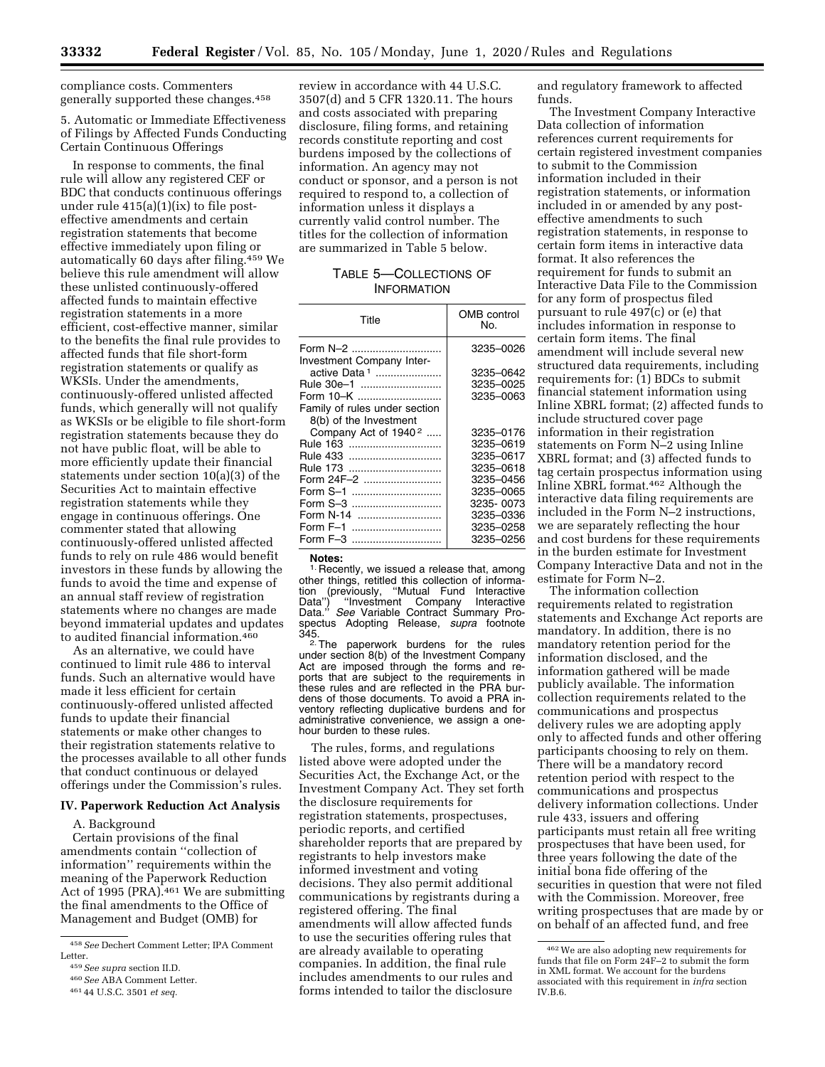compliance costs. Commenters generally supported these changes.458

# 5. Automatic or Immediate Effectiveness of Filings by Affected Funds Conducting Certain Continuous Offerings

In response to comments, the final rule will allow any registered CEF or BDC that conducts continuous offerings under rule  $415(a)(1)(ix)$  to file posteffective amendments and certain registration statements that become effective immediately upon filing or automatically 60 days after filing.459 We believe this rule amendment will allow these unlisted continuously-offered affected funds to maintain effective registration statements in a more efficient, cost-effective manner, similar to the benefits the final rule provides to affected funds that file short-form registration statements or qualify as WKSIs. Under the amendments, continuously-offered unlisted affected funds, which generally will not qualify as WKSIs or be eligible to file short-form registration statements because they do not have public float, will be able to more efficiently update their financial statements under section 10(a)(3) of the Securities Act to maintain effective registration statements while they engage in continuous offerings. One commenter stated that allowing continuously-offered unlisted affected funds to rely on rule 486 would benefit investors in these funds by allowing the funds to avoid the time and expense of an annual staff review of registration statements where no changes are made beyond immaterial updates and updates to audited financial information.460

As an alternative, we could have continued to limit rule 486 to interval funds. Such an alternative would have made it less efficient for certain continuously-offered unlisted affected funds to update their financial statements or make other changes to their registration statements relative to the processes available to all other funds that conduct continuous or delayed offerings under the Commission's rules.

# **IV. Paperwork Reduction Act Analysis**

A. Background

Certain provisions of the final amendments contain ''collection of information'' requirements within the meaning of the Paperwork Reduction Act of 1995 (PRA).<sup>461</sup> We are submitting the final amendments to the Office of Management and Budget (OMB) for

review in accordance with 44 U.S.C. 3507(d) and 5 CFR 1320.11. The hours and costs associated with preparing disclosure, filing forms, and retaining records constitute reporting and cost burdens imposed by the collections of information. An agency may not conduct or sponsor, and a person is not required to respond to, a collection of information unless it displays a currently valid control number. The titles for the collection of information are summarized in Table 5 below.

# TABLE 5—COLLECTIONS OF INFORMATION

| Title                            | <b>OMB</b> control<br>No. |
|----------------------------------|---------------------------|
| Form N-2                         | 3235-0026                 |
| Investment Company Inter-        |                           |
| active Data 1                    | 3235-0642                 |
| Rule 30e-1                       | 3235-0025                 |
| Form 10-K                        | 3235–0063                 |
| Family of rules under section    |                           |
| 8(b) of the Investment           |                           |
| Company Act of 1940 <sup>2</sup> | 3235-0176                 |
| Rule 163                         | 3235–0619                 |
| Rule 433                         | 3235-0617                 |
| Rule 173                         | 3235-0618                 |
| Form 24F-2                       | 3235-0456                 |
| Form $S-1$                       | 3235-0065                 |
| Form S-3                         | 3235-0073                 |
| Form N-14                        | 3235–0336                 |
| Form F-1                         | 3235-0258                 |
| Form F-3                         | 3235–0256                 |

**Notes:**  <sup>1.</sup> Recently, we issued a release that, among other things, retitled this collection of informa-<br>tion (previously, "Mutual Fund Interactive tion (previously, ''Mutual Fund Interactive Data'') ''Investment Company Interactive Data.'' *See* Variable Contract Summary Prospectus Adopting Release, *supra* footnote

345.<br><sup>2.</sup>The paperwork burdens for the rules under section 8(b) of the Investment Company Act are imposed through the forms and reports that are subject to the requirements in these rules and are reflected in the PRA burdens of those documents. To avoid a PRA inventory reflecting duplicative burdens and for administrative convenience, we assign a onehour burden to these rules.

The rules, forms, and regulations listed above were adopted under the Securities Act, the Exchange Act, or the Investment Company Act. They set forth the disclosure requirements for registration statements, prospectuses, periodic reports, and certified shareholder reports that are prepared by registrants to help investors make informed investment and voting decisions. They also permit additional communications by registrants during a registered offering. The final amendments will allow affected funds to use the securities offering rules that are already available to operating companies. In addition, the final rule includes amendments to our rules and forms intended to tailor the disclosure

and regulatory framework to affected funds.

The Investment Company Interactive Data collection of information references current requirements for certain registered investment companies to submit to the Commission information included in their registration statements, or information included in or amended by any posteffective amendments to such registration statements, in response to certain form items in interactive data format. It also references the requirement for funds to submit an Interactive Data File to the Commission for any form of prospectus filed pursuant to rule 497(c) or (e) that includes information in response to certain form items. The final amendment will include several new structured data requirements, including requirements for: (1) BDCs to submit financial statement information using Inline XBRL format; (2) affected funds to include structured cover page information in their registration statements on Form N–2 using Inline XBRL format; and (3) affected funds to tag certain prospectus information using Inline XBRL format.462 Although the interactive data filing requirements are included in the Form N–2 instructions, we are separately reflecting the hour and cost burdens for these requirements in the burden estimate for Investment Company Interactive Data and not in the estimate for Form N–2.

The information collection requirements related to registration statements and Exchange Act reports are mandatory. In addition, there is no mandatory retention period for the information disclosed, and the information gathered will be made publicly available. The information collection requirements related to the communications and prospectus delivery rules we are adopting apply only to affected funds and other offering participants choosing to rely on them. There will be a mandatory record retention period with respect to the communications and prospectus delivery information collections. Under rule 433, issuers and offering participants must retain all free writing prospectuses that have been used, for three years following the date of the initial bona fide offering of the securities in question that were not filed with the Commission. Moreover, free writing prospectuses that are made by or on behalf of an affected fund, and free

<sup>458</sup>*See* Dechert Comment Letter; IPA Comment Letter.

<sup>459</sup>*See supra* section II.D.

<sup>460</sup>*See* ABA Comment Letter. 461 44 U.S.C. 3501 *et seq.* 

<sup>462</sup>We are also adopting new requirements for funds that file on Form 24F–2 to submit the form in XML format. We account for the burdens associated with this requirement in *infra* section IV.B.6.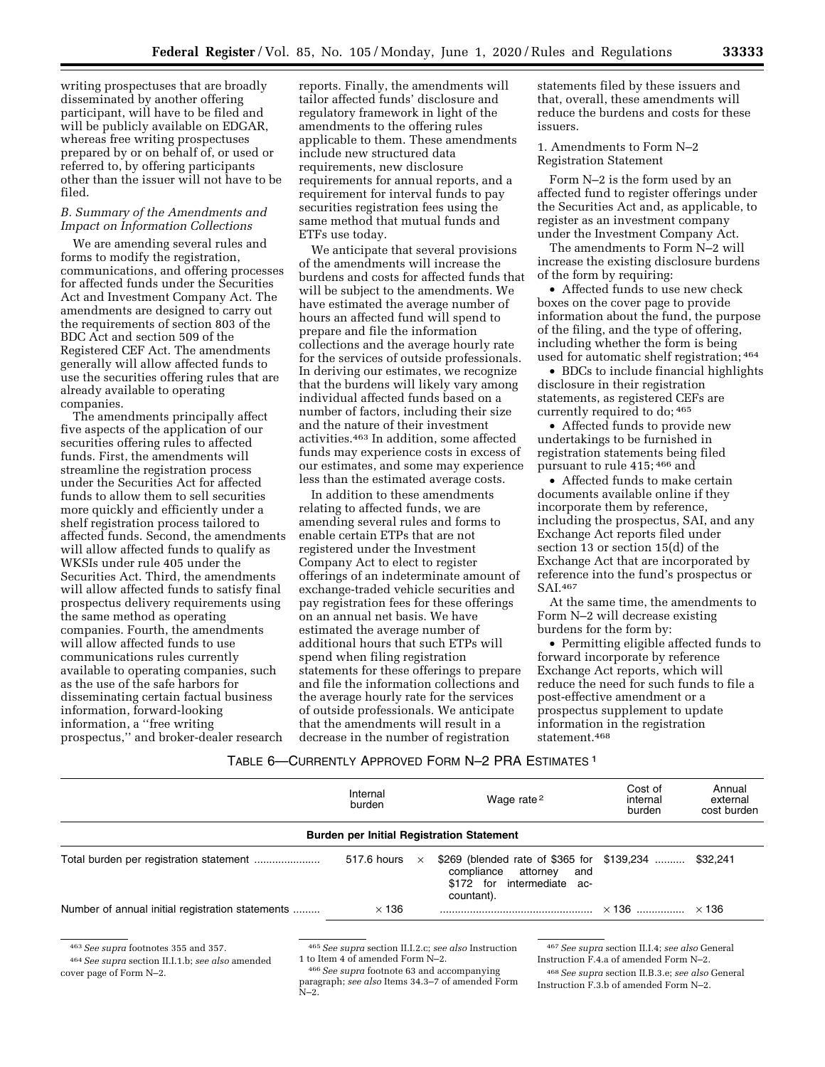writing prospectuses that are broadly disseminated by another offering participant, will have to be filed and will be publicly available on EDGAR, whereas free writing prospectuses prepared by or on behalf of, or used or referred to, by offering participants other than the issuer will not have to be filed.

# *B. Summary of the Amendments and Impact on Information Collections*

We are amending several rules and forms to modify the registration, communications, and offering processes for affected funds under the Securities Act and Investment Company Act. The amendments are designed to carry out the requirements of section 803 of the BDC Act and section 509 of the Registered CEF Act. The amendments generally will allow affected funds to use the securities offering rules that are already available to operating companies.

The amendments principally affect five aspects of the application of our securities offering rules to affected funds. First, the amendments will streamline the registration process under the Securities Act for affected funds to allow them to sell securities more quickly and efficiently under a shelf registration process tailored to affected funds. Second, the amendments will allow affected funds to qualify as WKSIs under rule 405 under the Securities Act. Third, the amendments will allow affected funds to satisfy final prospectus delivery requirements using the same method as operating companies. Fourth, the amendments will allow affected funds to use communications rules currently available to operating companies, such as the use of the safe harbors for disseminating certain factual business information, forward-looking information, a ''free writing prospectus,'' and broker-dealer research

reports. Finally, the amendments will tailor affected funds' disclosure and regulatory framework in light of the amendments to the offering rules applicable to them. These amendments include new structured data requirements, new disclosure requirements for annual reports, and a requirement for interval funds to pay securities registration fees using the same method that mutual funds and ETFs use today.

We anticipate that several provisions of the amendments will increase the burdens and costs for affected funds that will be subject to the amendments. We have estimated the average number of hours an affected fund will spend to prepare and file the information collections and the average hourly rate for the services of outside professionals. In deriving our estimates, we recognize that the burdens will likely vary among individual affected funds based on a number of factors, including their size and the nature of their investment activities.463 In addition, some affected funds may experience costs in excess of our estimates, and some may experience less than the estimated average costs.

In addition to these amendments relating to affected funds, we are amending several rules and forms to enable certain ETPs that are not registered under the Investment Company Act to elect to register offerings of an indeterminate amount of exchange-traded vehicle securities and pay registration fees for these offerings on an annual net basis. We have estimated the average number of additional hours that such ETPs will spend when filing registration statements for these offerings to prepare and file the information collections and the average hourly rate for the services of outside professionals. We anticipate that the amendments will result in a decrease in the number of registration

statements filed by these issuers and that, overall, these amendments will reduce the burdens and costs for these iccuore

1. Amendments to Form N–2 Registration Statement

Form N–2 is the form used by an affected fund to register offerings under the Securities Act and, as applicable, to register as an investment company under the Investment Company Act.

The amendments to Form N–2 will increase the existing disclosure burdens of the form by requiring:

• Affected funds to use new check boxes on the cover page to provide information about the fund, the purpose of the filing, and the type of offering, including whether the form is being used for automatic shelf registration; 464

• BDCs to include financial highlights disclosure in their registration statements, as registered CEFs are currently required to do; 465

• Affected funds to provide new undertakings to be furnished in registration statements being filed pursuant to rule 415; 466 and

• Affected funds to make certain documents available online if they incorporate them by reference, including the prospectus, SAI, and any Exchange Act reports filed under section 13 or section 15(d) of the Exchange Act that are incorporated by reference into the fund's prospectus or SAI.467

At the same time, the amendments to Form N–2 will decrease existing burdens for the form by:

• Permitting eligible affected funds to forward incorporate by reference Exchange Act reports, which will reduce the need for such funds to file a post-effective amendment or a prospectus supplement to update information in the registration statement.468

# TABLE 6—CURRENTLY APPROVED FORM N–2 PRA ESTIMATES 1

|                                                  | Internal<br>burden |          | Wage rate <sup>2</sup>                                                                                                    | Cost of<br>internal<br>burden | Annual<br>external<br>cost burden |  |  |  |
|--------------------------------------------------|--------------------|----------|---------------------------------------------------------------------------------------------------------------------------|-------------------------------|-----------------------------------|--|--|--|
| <b>Burden per Initial Registration Statement</b> |                    |          |                                                                                                                           |                               |                                   |  |  |  |
|                                                  | 517.6 hours        | $\times$ | \$269 (blended rate of \$365 for \$139,234<br>compliance attorney<br>and<br>\$172 for intermediate<br>- ac-<br>countant). |                               | \$32,241                          |  |  |  |
| Number of annual initial registration statements | $\times$ 136       |          |                                                                                                                           |                               |                                   |  |  |  |
|                                                  |                    |          |                                                                                                                           |                               |                                   |  |  |  |

463*See supra* footnotes 355 and 357.

464*See supra* section II.I.1.b; *see also* amended cover page of Form N–2.

465*See supra* section II.I.2.c; *see also* Instruction 1 to Item 4 of amended Form N–2.

466*See supra* footnote 63 and accompanying paragraph; *see also* Items 34.3–7 of amended Form N–2.

467*See supra* section II.I.4; *see also* General Instruction F.4.a of amended Form N–2.

468*See supra* section II.B.3.e; *see also* General Instruction F.3.b of amended Form N–2.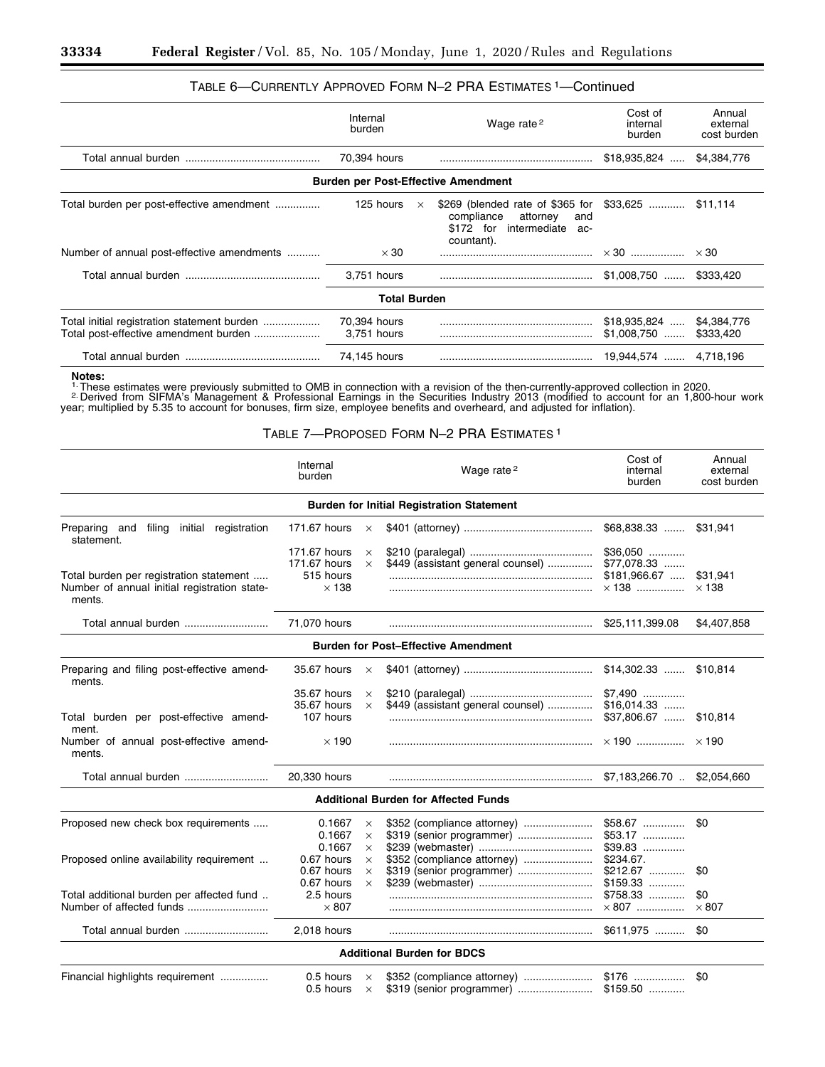# TABLE 6—CURRENTLY APPROVED FORM N–2 PRA ESTIMATES 1—Continued

|                                                                                      | Internal<br>burden                         | Wage rate <sup>2</sup> |                                                                                                                           | Cost of<br>internal<br>burden | Annual<br>external<br>cost burden |  |  |  |
|--------------------------------------------------------------------------------------|--------------------------------------------|------------------------|---------------------------------------------------------------------------------------------------------------------------|-------------------------------|-----------------------------------|--|--|--|
|                                                                                      | 70,394 hours                               |                        |                                                                                                                           | $$18,935,824$                 | \$4,384,776                       |  |  |  |
|                                                                                      | <b>Burden per Post-Effective Amendment</b> |                        |                                                                                                                           |                               |                                   |  |  |  |
| Total burden per post-effective amendment                                            | 125 hours                                  | $\times$               | \$269 (blended rate of \$365 for \$33,625<br>compliance<br>attorney<br>and<br>\$172 for intermediate<br>ac-<br>countant). |                               | \$11.114                          |  |  |  |
| Number of annual post-effective amendments                                           | $\times 30$                                |                        |                                                                                                                           |                               |                                   |  |  |  |
|                                                                                      | 3,751 hours                                |                        |                                                                                                                           | $$1,008,750$                  | \$333,420                         |  |  |  |
| <b>Total Burden</b>                                                                  |                                            |                        |                                                                                                                           |                               |                                   |  |  |  |
| Total initial registration statement burden<br>Total post-effective amendment burden | 70,394 hours<br>3,751 hours                |                        |                                                                                                                           | $$18,935,824$<br>$$1,008,750$ | \$4,384,776<br>\$333,420          |  |  |  |
|                                                                                      | 74,145 hours                               |                        |                                                                                                                           | 19,944,574  4,718,196         |                                   |  |  |  |

**Notes:**<br>1 These estimates were previously submitted to OMB in connection with a revision of the then-currently-approved collection in 2020.<br><sup>2.</sup> Derived from SIFMA's Management & Professional Earnings in the Securities In year; multiplied by 5.35 to account for bonuses, firm size, employee benefits and overheard, and adjusted for inflation).

# TABLE 7—PROPOSED FORM N–2 PRA ESTIMATES 1

|                                                         | Internal<br>burden |          | Wage rate <sup>2</sup>                      | Cost of<br>internal<br>burden | Annual<br>external<br>cost burden |  |  |  |  |
|---------------------------------------------------------|--------------------|----------|---------------------------------------------|-------------------------------|-----------------------------------|--|--|--|--|
| <b>Burden for Initial Registration Statement</b>        |                    |          |                                             |                               |                                   |  |  |  |  |
| Preparing and filing initial registration<br>statement. | 171.67 hours       | $\times$ |                                             | $$68,838.33$                  | \$31,941                          |  |  |  |  |
|                                                         | 171.67 hours       | $\times$ |                                             | $$36,050$                     |                                   |  |  |  |  |
|                                                         | 171.67 hours       | $\times$ | \$449 (assistant general counsel)           | \$77,078.33                   |                                   |  |  |  |  |
| Total burden per registration statement                 | 515 hours          |          |                                             | $$181,966.67$                 | \$31,941                          |  |  |  |  |
| Number of annual initial registration state-<br>ments.  | $\times$ 138       |          |                                             | $\times$ 138                  | $\times$ 138                      |  |  |  |  |
| Total annual burden                                     | 71,070 hours       |          |                                             | \$25,111,399.08               | \$4,407,858                       |  |  |  |  |
|                                                         |                    |          | <b>Burden for Post-Effective Amendment</b>  |                               |                                   |  |  |  |  |
| Preparing and filing post-effective amend-<br>ments.    | 35.67 hours        | $\times$ |                                             | $$14,302.33$                  | \$10,814                          |  |  |  |  |
|                                                         | 35.67 hours        | $\times$ |                                             | $$7,490$                      |                                   |  |  |  |  |
|                                                         | 35.67 hours        | $\times$ | \$449 (assistant general counsel)           | $$16,014.33$                  |                                   |  |  |  |  |
| Total burden per post-effective amend-<br>ment.         | 107 hours          |          |                                             | $$37,806.67$                  | \$10,814                          |  |  |  |  |
| Number of annual post-effective amend-<br>ments.        | $\times$ 190       |          |                                             |                               |                                   |  |  |  |  |
| Total annual burden                                     | 20,330 hours       |          |                                             | $$7,183,266.70$               | \$2,054,660                       |  |  |  |  |
|                                                         |                    |          | <b>Additional Burden for Affected Funds</b> |                               |                                   |  |  |  |  |
| Proposed new check box requirements                     | 0.1667             | $\times$ | \$352 (compliance attorney)                 | $$58.67$                      | \$0                               |  |  |  |  |
|                                                         | 0.1667             | $\times$ |                                             | $$53.17$                      |                                   |  |  |  |  |
|                                                         | 0.1667             | $\times$ |                                             | $$39.83$                      |                                   |  |  |  |  |
| Proposed online availability requirement                | 0.67 hours         | $\times$ | \$352 (compliance attorney)                 | \$234.67.                     |                                   |  |  |  |  |
|                                                         | 0.67 hours         | $\times$ | \$319 (senior programmer)                   | $$212.67$                     | \$0                               |  |  |  |  |
|                                                         | 0.67 hours         | $\times$ |                                             | \$159.33                      |                                   |  |  |  |  |
| Total additional burden per affected fund               | 2.5 hours          |          |                                             | $$758.33$                     | \$0                               |  |  |  |  |
|                                                         | $\times$ 807       |          |                                             | $\times 807$ $\times 807$     |                                   |  |  |  |  |
| Total annual burden                                     | 2,018 hours        |          |                                             | $$611,975$                    | \$0                               |  |  |  |  |
|                                                         |                    |          | <b>Additional Burden for BDCS</b>           |                               |                                   |  |  |  |  |
| Financial highlights requirement                        | 0.5 hours          | $\times$ |                                             | $$176$                        | \$0                               |  |  |  |  |
|                                                         | 0.5 hours          | $\times$ |                                             |                               |                                   |  |  |  |  |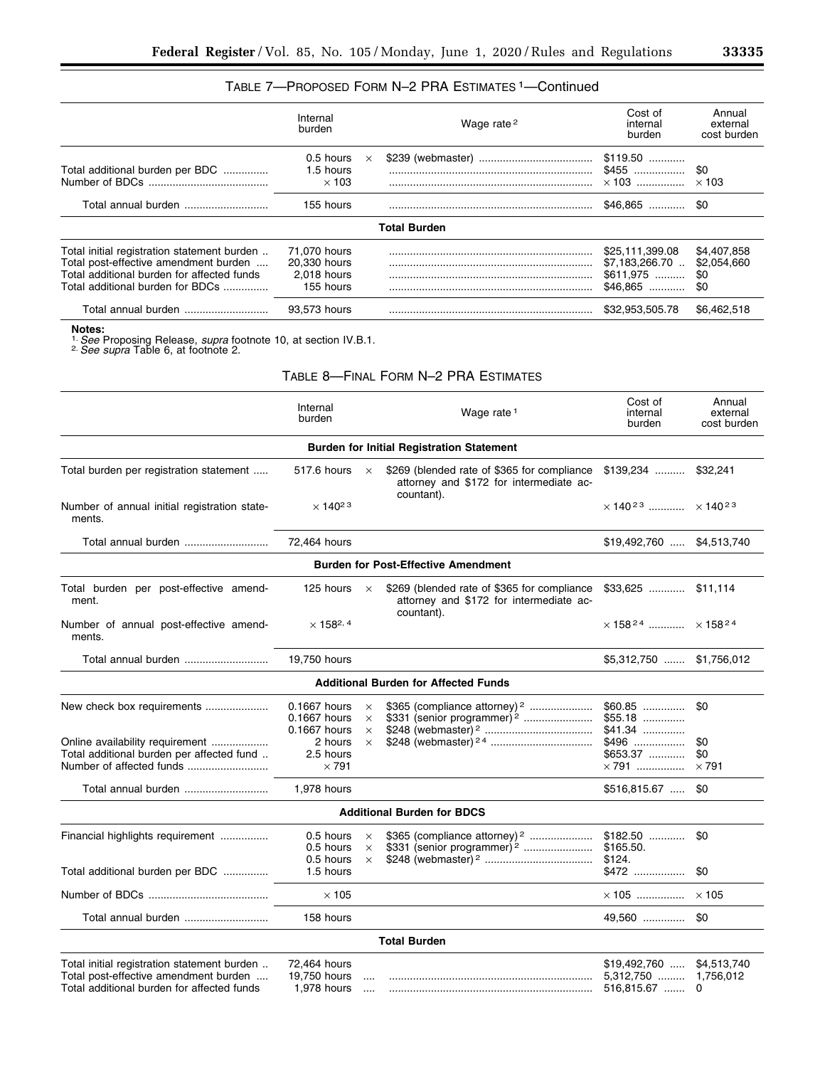# TABLE 7—PROPOSED FORM N–2 PRA ESTIMATES 1—Continued

|                                                                                                                                                                        | Internal<br>burden                                                                   |                                       | Wage rate <sup>2</sup>                                                                               | Cost of<br>internal<br>burden                                         | Annual<br>external<br>cost burden        |
|------------------------------------------------------------------------------------------------------------------------------------------------------------------------|--------------------------------------------------------------------------------------|---------------------------------------|------------------------------------------------------------------------------------------------------|-----------------------------------------------------------------------|------------------------------------------|
| Total additional burden per BDC                                                                                                                                        | 0.5 hours<br>1.5 hours<br>$\times$ 103                                               | $\times$                              |                                                                                                      | $$119.50$<br>$$455$<br>$\times$ 103                                   | \$0<br>$\times$ 103                      |
| Total annual burden                                                                                                                                                    | 155 hours                                                                            |                                       |                                                                                                      | $$46,865$                                                             | \$0                                      |
|                                                                                                                                                                        |                                                                                      |                                       | <b>Total Burden</b>                                                                                  |                                                                       |                                          |
| Total initial registration statement burden<br>Total post-effective amendment burden<br>Total additional burden for affected funds<br>Total additional burden for BDCs | 71,070 hours<br>20,330 hours<br>2,018 hours<br>155 hours                             |                                       |                                                                                                      | \$25,111,399.08<br>\$7,183,266.70<br>$$611,975$<br>$$46.865$          | \$4,407,858<br>\$2,054,660<br>\$0<br>\$0 |
| Total annual burden                                                                                                                                                    | 93,573 hours                                                                         |                                       |                                                                                                      | \$32,953,505.78                                                       | \$6,462,518                              |
| Notes:<br><sup>1</sup> See Proposing Release, <i>supra</i> footnote 10, at section IV.B.1.<br><sup>2</sup> See supra Table 6, at footnote 2.                           |                                                                                      |                                       |                                                                                                      |                                                                       |                                          |
|                                                                                                                                                                        |                                                                                      |                                       | TABLE 8-FINAL FORM N-2 PRA ESTIMATES                                                                 |                                                                       |                                          |
|                                                                                                                                                                        | Internal<br>burden                                                                   |                                       | Wage rate <sup>1</sup>                                                                               | Cost of<br>internal<br>burden                                         | Annual<br>external<br>cost burden        |
|                                                                                                                                                                        |                                                                                      |                                       | <b>Burden for Initial Registration Statement</b>                                                     |                                                                       |                                          |
| Total burden per registration statement                                                                                                                                | 517.6 hours                                                                          | $\times$                              | \$269 (blended rate of \$365 for compliance<br>attorney and \$172 for intermediate ac-               | $$139,234$                                                            | \$32,241                                 |
| Number of annual initial registration state-<br>ments.                                                                                                                 | $\times$ 140 <sup>23</sup>                                                           |                                       | countant).                                                                                           | $\times$ 140 <sup>23</sup> $\times$ 140 <sup>23</sup>                 |                                          |
| Total annual burden                                                                                                                                                    | 72,464 hours                                                                         |                                       |                                                                                                      | \$19,492,760  \$4,513,740                                             |                                          |
|                                                                                                                                                                        |                                                                                      |                                       | <b>Burden for Post-Effective Amendment</b>                                                           |                                                                       |                                          |
| Total burden per post-effective amend-<br>ment.                                                                                                                        | 125 hours                                                                            | $\times$                              | \$269 (blended rate of \$365 for compliance<br>attorney and \$172 for intermediate ac-<br>countant). | $$33,625$ \$11,114                                                    |                                          |
| Number of annual post-effective amend-<br>ments.                                                                                                                       | $\times$ 158 <sup>2, 4</sup>                                                         |                                       |                                                                                                      |                                                                       |                                          |
| Total annual burden                                                                                                                                                    | 19,750 hours                                                                         |                                       |                                                                                                      | \$5,312,750  \$1,756,012                                              |                                          |
|                                                                                                                                                                        |                                                                                      |                                       | <b>Additional Burden for Affected Funds</b>                                                          |                                                                       |                                          |
| New check box requirements<br>Online availability requirement<br>Total additional burden per affected fund                                                             | 0.1667 hours<br>0.1667 hours<br>0.1667 hours<br>2 hours<br>2.5 hours<br>$\times$ 791 | ×<br>$\times$<br>$\times$<br>$\times$ | \$365 (compliance attorney) 2<br>\$331 (senior programmer) <sup>2</sup>                              | $$60.85$<br>$$55.18$<br>$$41.34$<br>\$496<br>\$653.37<br>$\times 791$ | \$0<br>\$0<br>\$0<br>$\times$ 791        |
| Total annual burden                                                                                                                                                    | 1,978 hours                                                                          |                                       |                                                                                                      | \$516,815.67                                                          | \$0                                      |
|                                                                                                                                                                        |                                                                                      |                                       | <b>Additional Burden for BDCS</b>                                                                    |                                                                       |                                          |
| Financial highlights requirement                                                                                                                                       | 0.5 hours<br>0.5 hours<br>0.5 hours                                                  | $\times$<br>$\times$<br>$\times$      | \$365 (compliance attorney) <sup>2</sup><br>\$331 (senior programmer) <sup>2</sup>                   | $$182.50$<br>\$165.50.<br>\$124.                                      | \$0                                      |
| Total additional burden per BDC                                                                                                                                        | 1.5 hours                                                                            |                                       |                                                                                                      | \$472                                                                 | \$0                                      |
|                                                                                                                                                                        | $\times$ 105                                                                         |                                       |                                                                                                      | $\times$ 105                                                          | $\times$ 105                             |
| Total annual burden                                                                                                                                                    | 158 hours                                                                            |                                       |                                                                                                      | 49,560                                                                | \$0                                      |
|                                                                                                                                                                        |                                                                                      |                                       | <b>Total Burden</b>                                                                                  |                                                                       |                                          |
| Total initial registration statement burden<br>Total post-effective amendment burden<br>Total additional burden for affected funds                                     | 72,464 hours<br>19,750 hours<br>1,978 hours                                          | $\cdots$<br>$\cdots$                  |                                                                                                      | $$19,492,760$<br>$5,312,750$<br>516,815.67                            | \$4,513,740<br>1,756,012<br>0            |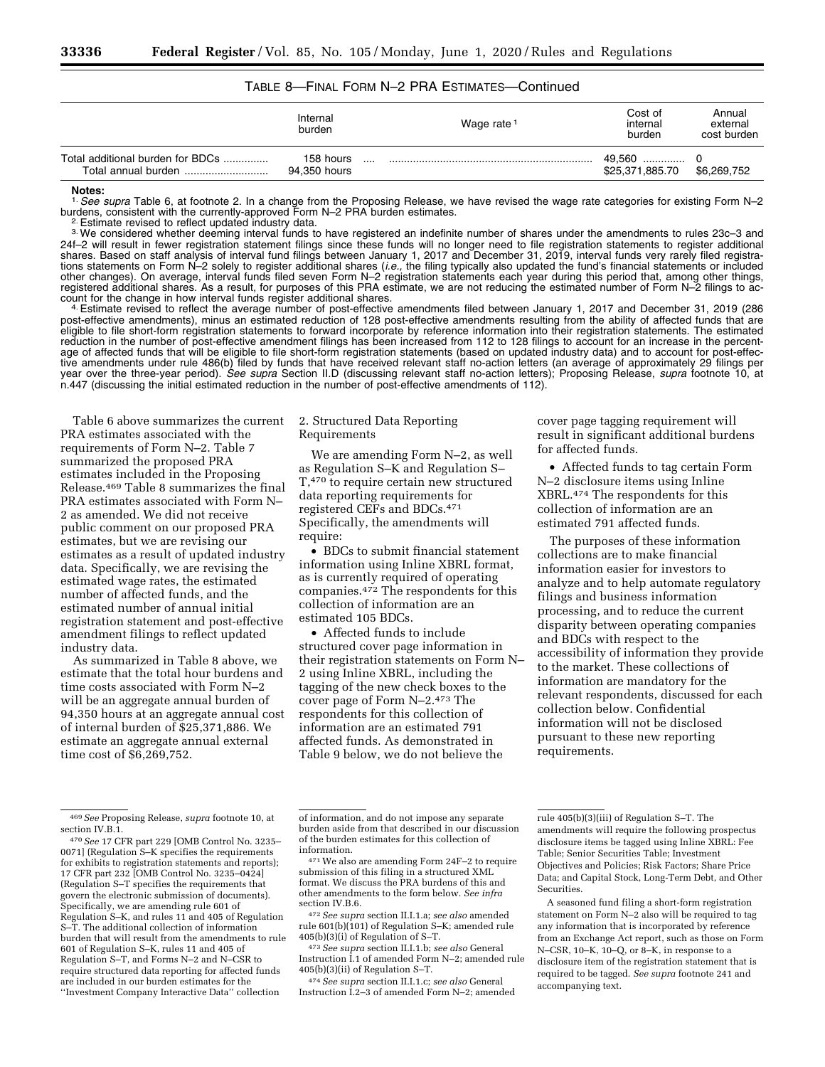# TABLE 8—FINAL FORM N–2 PRA ESTIMATES—Continued

|                                                         | Internal<br>burden        | Wage rate <sup>1</sup> | Cost of<br>internal<br>burden | Annual<br>external<br>cost burden |
|---------------------------------------------------------|---------------------------|------------------------|-------------------------------|-----------------------------------|
| Total additional burden for BDCs<br>Total annual burden | 158 hours<br>94.350 hours |                        | 49.560<br>\$25,371,885.70     | \$6,269,752                       |

#### **Notes:**

<sup>1</sup>. See supra Table 6, at footnote 2. In a change from the Proposing Release, we have revised the wage rate categories for existing Form N–2 burdens, consistent with the currently-approved Form N–2 PRA burden estimates.

<sup>2.</sup> Estimate revised to reflect updated industry data.<br><sup>3.</sup> We considered whether deeming interval funds to have registered an indefinite number of shares under the amendments to rules 23c–3 and 24f–2 will result in fewer registration statement filings since these funds will no longer need to file registration statements to register additional shares. Based on staff analysis of interval fund filings between January 1, 2017 and December 31, 2019, interval funds very rarely filed registrations statements on Form N–2 solely to register additional shares (*i.e.,* the filing typically also updated the fund's financial statements or included other changes). On average, interval funds filed seven Form N–2 registration statements each year during this period that, among other things, registered additional shares. As a result, for purposes of this PRA estimate, we are not reducing the estimated number of Form N–2 filings to account for the change in how interval funds register additional shares.<br>4. Estimate revised to reflect the average number of post-effective amendments filed between January 1, 2017 and December 31, 2019 (286

post-effective amendments), minus an estimated reduction of 128 post-effective amendments resulting from the ability of affected funds that are eligible to file short-form registration statements to forward incorporate by reference information into their registration statements. The estimated reduction in the number of post-effective amendment filings has been increased from 112 to 128 filings to account for an increase in the percentage of affected funds that will be eligible to file short-form registration statements (based on updated industry data) and to account for post-effective amendments under rule 486(b) filed by funds that have received relevant staff no-action letters (an average of approximately 29 filings per year over the three-year period). *See supra* Section II.D (discussing relevant staff no-action letters); Proposing Release, *supra* footnote 10, at n.447 (discussing the initial estimated reduction in the number of post-effective amendments of 112).

Table 6 above summarizes the current PRA estimates associated with the requirements of Form N–2. Table 7 summarized the proposed PRA estimates included in the Proposing Release.469 Table 8 summarizes the final PRA estimates associated with Form N– 2 as amended. We did not receive public comment on our proposed PRA estimates, but we are revising our estimates as a result of updated industry data. Specifically, we are revising the estimated wage rates, the estimated number of affected funds, and the estimated number of annual initial registration statement and post-effective amendment filings to reflect updated industry data.

As summarized in Table 8 above, we estimate that the total hour burdens and time costs associated with Form N–2 will be an aggregate annual burden of 94,350 hours at an aggregate annual cost of internal burden of \$25,371,886. We estimate an aggregate annual external time cost of \$6,269,752.

#### 2. Structured Data Reporting Requirements

We are amending Form N–2, as well as Regulation S–K and Regulation S– T,470 to require certain new structured data reporting requirements for registered CEFs and BDCs.471 Specifically, the amendments will require:

• BDCs to submit financial statement information using Inline XBRL format, as is currently required of operating companies.472 The respondents for this collection of information are an estimated 105 BDCs.

• Affected funds to include structured cover page information in their registration statements on Form N– 2 using Inline XBRL, including the tagging of the new check boxes to the cover page of Form N–2.473 The respondents for this collection of information are an estimated 791 affected funds. As demonstrated in Table 9 below, we do not believe the

cover page tagging requirement will result in significant additional burdens for affected funds.

• Affected funds to tag certain Form N–2 disclosure items using Inline XBRL.474 The respondents for this collection of information are an estimated 791 affected funds.

The purposes of these information collections are to make financial information easier for investors to analyze and to help automate regulatory filings and business information processing, and to reduce the current disparity between operating companies and BDCs with respect to the accessibility of information they provide to the market. These collections of information are mandatory for the relevant respondents, discussed for each collection below. Confidential information will not be disclosed pursuant to these new reporting requirements.

rule 601(b)(101) of Regulation S–K; amended rule

405(b)(3)(i) of Regulation of S–T. 473*See supra* section II.I.1.b; *see also* General Instruction I.1 of amended Form N–2; amended rule 405(b)(3)(ii) of Regulation S–T.

474*See supra* section II.I.1.c; *see also* General Instruction I.2–3 of amended Form N–2; amended

<sup>469</sup>*See* Proposing Release, *supra* footnote 10, at section IV.B.1.

<sup>470</sup>*See* 17 CFR part 229 [OMB Control No. 3235– 0071] (Regulation S–K specifies the requirements for exhibits to registration statements and reports); 17 CFR part 232 [OMB Control No. 3235–0424] (Regulation S–T specifies the requirements that govern the electronic submission of documents). Specifically, we are amending rule 601 of Regulation S–K, and rules 11 and 405 of Regulation S–T. The additional collection of information burden that will result from the amendments to rule 601 of Regulation S–K, rules 11 and 405 of Regulation S–T, and Forms N–2 and N–CSR to require structured data reporting for affected funds are included in our burden estimates for the ''Investment Company Interactive Data'' collection

of information, and do not impose any separate burden aside from that described in our discussion of the burden estimates for this collection of

<sup>471</sup> We also are amending Form 24F-2 to require submission of this filing in a structured XML format. We discuss the PRA burdens of this and other amendments to the form below. *See infra*  section IV.B.6. 472*See supra* section II.I.1.a; *see also* amended

rule 405(b)(3)(iii) of Regulation S–T. The amendments will require the following prospectus disclosure items be tagged using Inline XBRL: Fee Table; Senior Securities Table; Investment Objectives and Policies; Risk Factors; Share Price Data; and Capital Stock, Long-Term Debt, and Other Securities.

A seasoned fund filing a short-form registration statement on Form N–2 also will be required to tag any information that is incorporated by reference from an Exchange Act report, such as those on Form N–CSR, 10–K, 10–Q, or 8–K, in response to a disclosure item of the registration statement that is required to be tagged. *See supra* footnote 241 and accompanying text.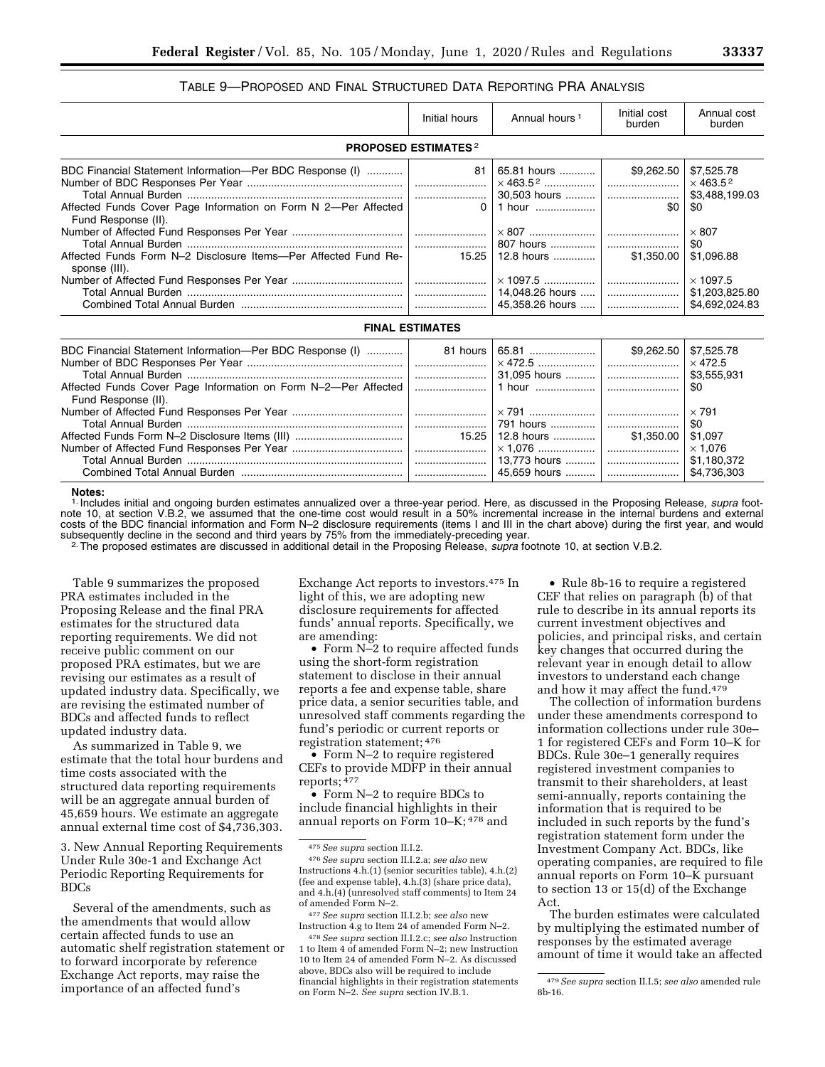# TABLE 9—PROPOSED AND FINAL STRUCTURED DATA REPORTING PRA ANALYSIS

|                                                                                                                               | Initial hours                         | Annual hours <sup>1</sup>                                                                                   | Initial cost<br>burden | Annual cost<br>burden                               |
|-------------------------------------------------------------------------------------------------------------------------------|---------------------------------------|-------------------------------------------------------------------------------------------------------------|------------------------|-----------------------------------------------------|
|                                                                                                                               | <b>PROPOSED ESTIMATES<sup>2</sup></b> |                                                                                                             |                        |                                                     |
| BDC Financial Statement Information-Per BDC Response (I)                                                                      | 81                                    | 65.81 hours                                                                                                 | \$9,262.50             | \$7,525.78<br>$\times$ 463.5 <sup>2</sup>           |
| Affected Funds Cover Page Information on Form N 2-Per Affected<br>Fund Response (II).                                         | $\Omega$                              | 1 hour                                                                                                      | \$0                    | \$3,488,199.03<br>\$0                               |
|                                                                                                                               |                                       |                                                                                                             |                        | $\times$ 807<br>\$0                                 |
| Affected Funds Form N-2 Disclosure Items--Per Affected Fund Re-<br>sponse (III).                                              | 15.25                                 | 12.8 hours                                                                                                  | \$1.350.00             | \$1,096.88                                          |
|                                                                                                                               |                                       |                                                                                                             |                        | $\times$ 1097.5<br>\$1,203,825.80<br>\$4,692,024.83 |
|                                                                                                                               | <b>FINAL ESTIMATES</b>                |                                                                                                             |                        |                                                     |
| BDC Financial Statement Information-Per BDC Response (I)   <br>Affected Funds Cover Page Information on Form N-2-Per Affected | 81 hours                              | $\ldots$ $\ldots$ $\ldots$ $\ldots$ $\ldots$ $\ldots$ $\ldots$ $\ldots$ $\ldots$ $\ldots$ $\ldots$ $\ldots$ |                        | \$7,525.78<br>$\times$ 472.5<br>\$3,555,931<br>\$0  |
| Fund Response (II).                                                                                                           |                                       |                                                                                                             |                        |                                                     |

# Total Annual Burden ........................................................................ ........................ 791 hours ............... ........................ \$0 Affected Funds Form N–2 Disclosure Items (III) .................................... 15.25 12.8 hours .............. \$1,350.00 \$1,097 Number of Affected Fund Responses Per Year ..................................... ........................ × 1,076 ................... ........................ × 1,076 Total Annual Burden ........................................................................ ........................ 13,773 hours .......... ........................ \$1,180,372 Combined Total Annual Burden ...................................................... ........................ 45,659 hours .......... ........................ \$4,736,303 **Notes:**

1. Includes initial and ongoing burden estimates annualized over a three-year period. Here, as discussed in the Proposing Release, *supra* footnote 10, at section V.B.2, we assumed that the one-time cost would result in a 50% incremental increase in the internal burdens and external costs of the BDC financial information and Form N–2 disclosure requirements (items I and III in the chart above) during the first year, and would subsequently decline in the second and third years by 75% from the immediately-preceding year. 2.The proposed estimates are discussed in additional detail in the Proposing Release, *supra* footnote 10, at section V.B.2.

Table 9 summarizes the proposed PRA estimates included in the Proposing Release and the final PRA estimates for the structured data reporting requirements. We did not receive public comment on our proposed PRA estimates, but we are revising our estimates as a result of updated industry data. Specifically, we are revising the estimated number of BDCs and affected funds to reflect updated industry data.

As summarized in Table 9, we estimate that the total hour burdens and time costs associated with the structured data reporting requirements will be an aggregate annual burden of 45,659 hours. We estimate an aggregate annual external time cost of \$4,736,303.

3. New Annual Reporting Requirements Under Rule 30e-1 and Exchange Act Periodic Reporting Requirements for BDCs

Several of the amendments, such as the amendments that would allow certain affected funds to use an automatic shelf registration statement or to forward incorporate by reference Exchange Act reports, may raise the importance of an affected fund's

Exchange Act reports to investors.475 In light of this, we are adopting new disclosure requirements for affected funds' annual reports. Specifically, we are amending:

• Form N–2 to require affected funds using the short-form registration statement to disclose in their annual reports a fee and expense table, share price data, a senior securities table, and unresolved staff comments regarding the fund's periodic or current reports or registration statement; 476

• Form N-2 to require registered CEFs to provide MDFP in their annual reports; 477

• Form N–2 to require BDCs to include financial highlights in their annual reports on Form 10–K; 478 and

• Rule 8b-16 to require a registered CEF that relies on paragraph (b) of that rule to describe in its annual reports its current investment objectives and policies, and principal risks, and certain key changes that occurred during the relevant year in enough detail to allow investors to understand each change and how it may affect the fund.479

The collection of information burdens under these amendments correspond to information collections under rule 30e– 1 for registered CEFs and Form 10–K for BDCs. Rule 30e–1 generally requires registered investment companies to transmit to their shareholders, at least semi-annually, reports containing the information that is required to be included in such reports by the fund's registration statement form under the Investment Company Act. BDCs, like operating companies, are required to file annual reports on Form 10–K pursuant to section 13 or 15(d) of the Exchange Act.

The burden estimates were calculated by multiplying the estimated number of responses by the estimated average amount of time it would take an affected

<sup>475</sup>*See supra* section II.I.2.

<sup>476</sup>*See supra* section II.I.2.a; *see also* new Instructions 4.h.(1) (senior securities table), 4.h.(2) (fee and expense table), 4.h.(3) (share price data), and 4.h.(4) (unresolved staff comments) to Item 24 of amended Form N–2.

<sup>477</sup>*See supra* section II.I.2.b; *see also* new Instruction 4.g to Item 24 of amended Form N–2.

<sup>478</sup>*See supra* section II.I.2.c; *see also* Instruction 1 to Item 4 of amended Form N–2; new Instruction 10 to Item 24 of amended Form N–2. As discussed above, BDCs also will be required to include financial highlights in their registration statements on Form N–2. *See supra* section IV.B.1.

<sup>479</sup>*See supra* section II.I.5; *see also* amended rule 8b-16.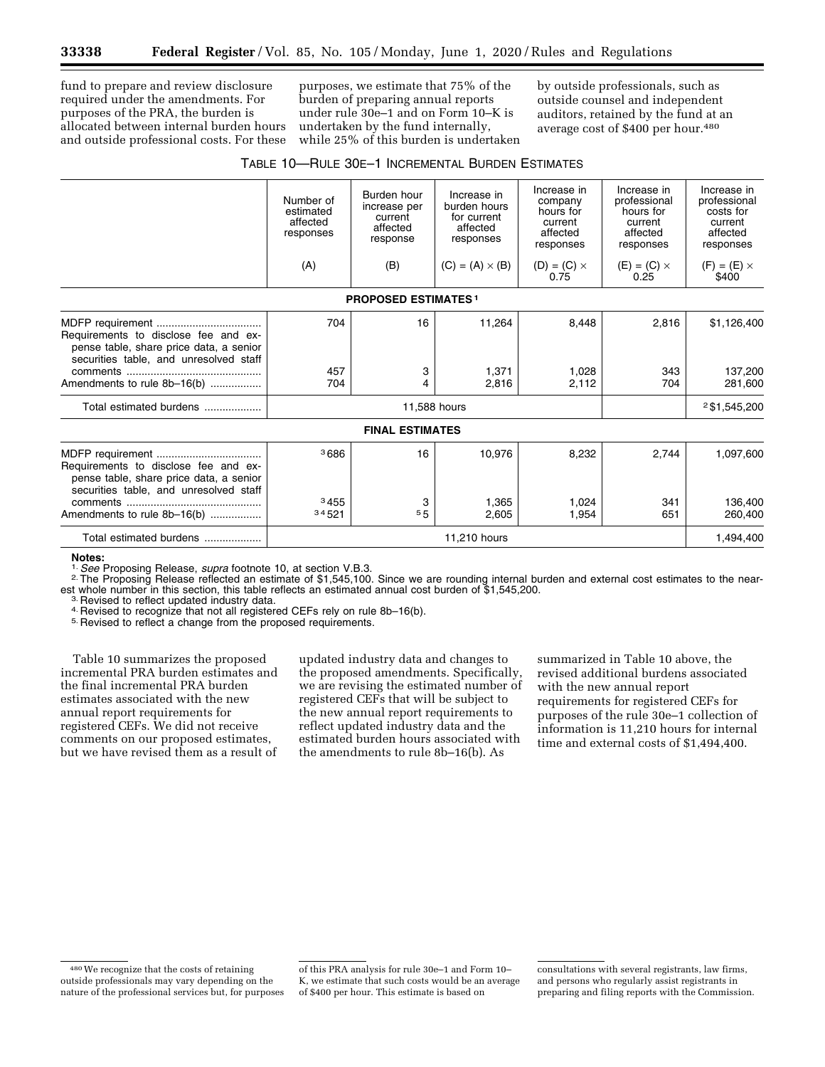fund to prepare and review disclosure required under the amendments. For purposes of the PRA, the burden is allocated between internal burden hours and outside professional costs. For these

purposes, we estimate that 75% of the burden of preparing annual reports under rule 30e–1 and on Form 10–K is undertaken by the fund internally, while 25% of this burden is undertaken by outside professionals, such as outside counsel and independent auditors, retained by the fund at an average cost of \$400 per hour.<sup>480</sup>

# TABLE 10—RULE 30E–1 INCREMENTAL BURDEN ESTIMATES

|                                                                                                                           | Number of<br>estimated<br>affected<br>responses<br>(A) | Burden hour<br>increase per<br>current<br>affected<br>response<br>(B) | Increase in<br>burden hours<br>for current<br>affected<br>responses<br>$(C) = (A) \times (B)$ | Increase in<br>company<br>hours for<br>current<br>affected<br>responses<br>$(D) = (C) \times$<br>0.75 | Increase in<br>professional<br>hours for<br>current<br>affected<br>responses<br>$(E) = (C) \times$<br>0.25 | Increase in<br>professional<br>costs for<br>current<br>affected<br>responses<br>$(F) = (E) \times$<br>\$400 |
|---------------------------------------------------------------------------------------------------------------------------|--------------------------------------------------------|-----------------------------------------------------------------------|-----------------------------------------------------------------------------------------------|-------------------------------------------------------------------------------------------------------|------------------------------------------------------------------------------------------------------------|-------------------------------------------------------------------------------------------------------------|
|                                                                                                                           |                                                        | <b>PROPOSED ESTIMATES1</b>                                            |                                                                                               |                                                                                                       |                                                                                                            |                                                                                                             |
| Requirements to disclose fee and ex-<br>pense table, share price data, a senior<br>securities table, and unresolved staff | 704                                                    | 16                                                                    | 11,264                                                                                        | 8,448                                                                                                 | 2,816                                                                                                      | \$1,126,400                                                                                                 |
| Amendments to rule 8b-16(b)                                                                                               | 457<br>704                                             | 3<br>4                                                                | 1,371<br>2,816                                                                                | 1,028<br>2,112                                                                                        | 343<br>704                                                                                                 | 137,200<br>281,600                                                                                          |
| Total estimated burdens                                                                                                   |                                                        |                                                                       | 11,588 hours                                                                                  |                                                                                                       |                                                                                                            | 2\$1,545,200                                                                                                |
|                                                                                                                           |                                                        | <b>FINAL ESTIMATES</b>                                                |                                                                                               |                                                                                                       |                                                                                                            |                                                                                                             |
| Requirements to disclose fee and ex-<br>pense table, share price data, a senior<br>securities table, and unresolved staff | <sup>3</sup> 686                                       | 16                                                                    | 10,976                                                                                        | 8,232                                                                                                 | 2,744                                                                                                      | 1,097,600                                                                                                   |
| Amendments to rule 8b-16(b)                                                                                               | 3455<br>34521                                          | 3<br>55                                                               | 1.365<br>2,605                                                                                | 1.024<br>1,954                                                                                        | 341<br>651                                                                                                 | 136,400<br>260,400                                                                                          |
| Total estimated burdens                                                                                                   |                                                        |                                                                       | 11,210 hours                                                                                  |                                                                                                       |                                                                                                            | 1,494,400                                                                                                   |

Notes:<br><sup>1.</sup> See Proposing Release, *supra* footnote 10, at section V.B.3.

<sup>2</sup>. The Proposing Release reflected an estimate of \$1,545,100. Since we are rounding internal burden and external cost estimates to the nearest whole number in this section, this table reflects an estimated annual cost burden of \$1,545,200.<br><sup>3.</sup> Revised to reflect updated industry data.<br><sup>4.</sup> Revised to recognize that not all registered CEFs rely on rule 8b–16(

Table 10 summarizes the proposed incremental PRA burden estimates and the final incremental PRA burden estimates associated with the new annual report requirements for registered CEFs. We did not receive comments on our proposed estimates, but we have revised them as a result of

updated industry data and changes to the proposed amendments. Specifically, we are revising the estimated number of registered CEFs that will be subject to the new annual report requirements to reflect updated industry data and the estimated burden hours associated with the amendments to rule 8b–16(b). As

summarized in Table 10 above, the revised additional burdens associated with the new annual report requirements for registered CEFs for purposes of the rule 30e–1 collection of information is 11,210 hours for internal time and external costs of \$1,494,400.

of this PRA analysis for rule 30e–1 and Form 10– K, we estimate that such costs would be an average of \$400 per hour. This estimate is based on

consultations with several registrants, law firms, and persons who regularly assist registrants in preparing and filing reports with the Commission.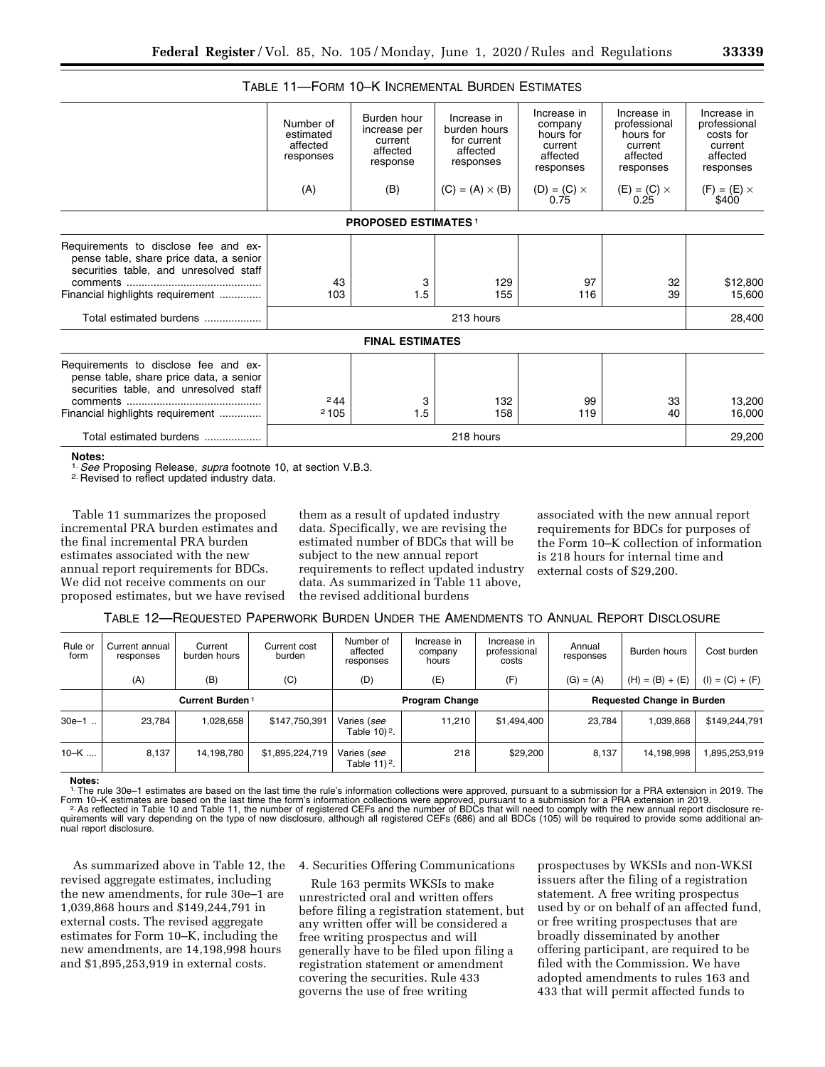|                                                                                                                                                               | Number of<br>estimated<br>affected<br>responses | Burden hour<br>increase per<br>current<br>affected<br>response | Increase in<br>burden hours<br>for current<br>affected<br>responses | Increase in<br>company<br>hours for<br>current<br>affected<br>responses | Increase in<br>professional<br>hours for<br>current<br>affected<br>responses | Increase in<br>professional<br>costs for<br>current<br>affected<br>responses |
|---------------------------------------------------------------------------------------------------------------------------------------------------------------|-------------------------------------------------|----------------------------------------------------------------|---------------------------------------------------------------------|-------------------------------------------------------------------------|------------------------------------------------------------------------------|------------------------------------------------------------------------------|
|                                                                                                                                                               | (A)                                             | (B)                                                            | $(C) = (A) \times (B)$                                              | $(D) = (C) \times$<br>0.75                                              | $(E) = (C) \times$<br>0.25                                                   | $(F) = (E) \times$<br>\$400                                                  |
|                                                                                                                                                               |                                                 | <b>PROPOSED ESTIMATES 1</b>                                    |                                                                     |                                                                         |                                                                              |                                                                              |
| Requirements to disclose fee and ex-<br>pense table, share price data, a senior<br>securities table, and unresolved staff<br>Financial highlights requirement | 43<br>103                                       | 3<br>1.5                                                       | 129<br>155                                                          | 97<br>116                                                               | 32<br>39                                                                     | \$12,800<br>15,600                                                           |
| Total estimated burdens                                                                                                                                       |                                                 |                                                                | 213 hours                                                           |                                                                         |                                                                              | 28,400                                                                       |
|                                                                                                                                                               |                                                 | <b>FINAL ESTIMATES</b>                                         |                                                                     |                                                                         |                                                                              |                                                                              |
| Requirements to disclose fee and ex-<br>pense table, share price data, a senior<br>securities table, and unresolved staff<br>Financial highlights requirement | 244<br>2105                                     | 3<br>1.5                                                       | 132<br>158                                                          | 99<br>119                                                               | 33<br>40                                                                     | 13,200<br>16,000                                                             |
| Total estimated burdens                                                                                                                                       |                                                 |                                                                | 218 hours                                                           |                                                                         |                                                                              | 29,200                                                                       |
|                                                                                                                                                               |                                                 |                                                                |                                                                     |                                                                         |                                                                              |                                                                              |

TABLE 11—FORM 10–K INCREMENTAL BURDEN ESTIMATES

**Notes:** 

1.*See* Proposing Release, *supra* footnote 10, at section V.B.3. 2. Revised to reflect updated industry data.

Table 11 summarizes the proposed incremental PRA burden estimates and the final incremental PRA burden estimates associated with the new annual report requirements for BDCs. We did not receive comments on our proposed estimates, but we have revised

them as a result of updated industry data. Specifically, we are revising the estimated number of BDCs that will be subject to the new annual report requirements to reflect updated industry data. As summarized in Table 11 above, the revised additional burdens

associated with the new annual report requirements for BDCs for purposes of the Form 10–K collection of information is 218 hours for internal time and external costs of \$29,200.

TABLE 12—REQUESTED PAPERWORK BURDEN UNDER THE AMENDMENTS TO ANNUAL REPORT DISCLOSURE

| Rule or<br>form | Current annual<br>responses | Current<br>burden hours | Current cost<br>burden | Number of<br>affected<br>responses      | Increase in<br>company<br>hours | Increase in<br>professional<br>costs | Annual<br>responses               | Burden hours      | Cost burden       |
|-----------------|-----------------------------|-------------------------|------------------------|-----------------------------------------|---------------------------------|--------------------------------------|-----------------------------------|-------------------|-------------------|
|                 | (A)                         | (B)                     | (C)                    | (D)                                     | (E)                             | (F)                                  | $(G) = (A)$                       | $(H) = (B) + (E)$ | $(I) = (C) + (F)$ |
|                 | Current Burden <sup>1</sup> |                         |                        |                                         | <b>Program Change</b>           |                                      | <b>Requested Change in Burden</b> |                   |                   |
| $30e-1$         | 23.784                      | 1,028,658               | \$147,750,391          | Varies (see<br>Table 10) <sup>2</sup> . | 11,210                          | \$1,494,400                          | 23,784                            | 1,039,868         | \$149,244,791     |
| $10-K$          | 8.137                       | 14,198,780              | \$1,895,224,719        | Varies (see<br>Table 11) <sup>2</sup> . | 218                             | \$29,200                             | 8,137                             | 14,198,998        | 895,253,919       |

**Notes:** 

<sup>1</sup> The rule 30e–1 estimates are based on the last time the rule's information collections were approved, pursuant to a submission for a PRA extension in 2019. The Form 10–K estimates are based on the last time the form's quirements will vary depending on the type of new disclosure, although all registered CEFs (686) and all BDCs (105) will be required to provide some additional annual report disclosure.

As summarized above in Table 12, the revised aggregate estimates, including the new amendments, for rule 30e–1 are 1,039,868 hours and \$149,244,791 in external costs. The revised aggregate estimates for Form 10–K, including the new amendments, are 14,198,998 hours and \$1,895,253,919 in external costs.

# 4. Securities Offering Communications

Rule 163 permits WKSIs to make unrestricted oral and written offers before filing a registration statement, but any written offer will be considered a free writing prospectus and will generally have to be filed upon filing a registration statement or amendment covering the securities. Rule 433 governs the use of free writing

prospectuses by WKSIs and non-WKSI issuers after the filing of a registration statement. A free writing prospectus used by or on behalf of an affected fund, or free writing prospectuses that are broadly disseminated by another offering participant, are required to be filed with the Commission. We have adopted amendments to rules 163 and 433 that will permit affected funds to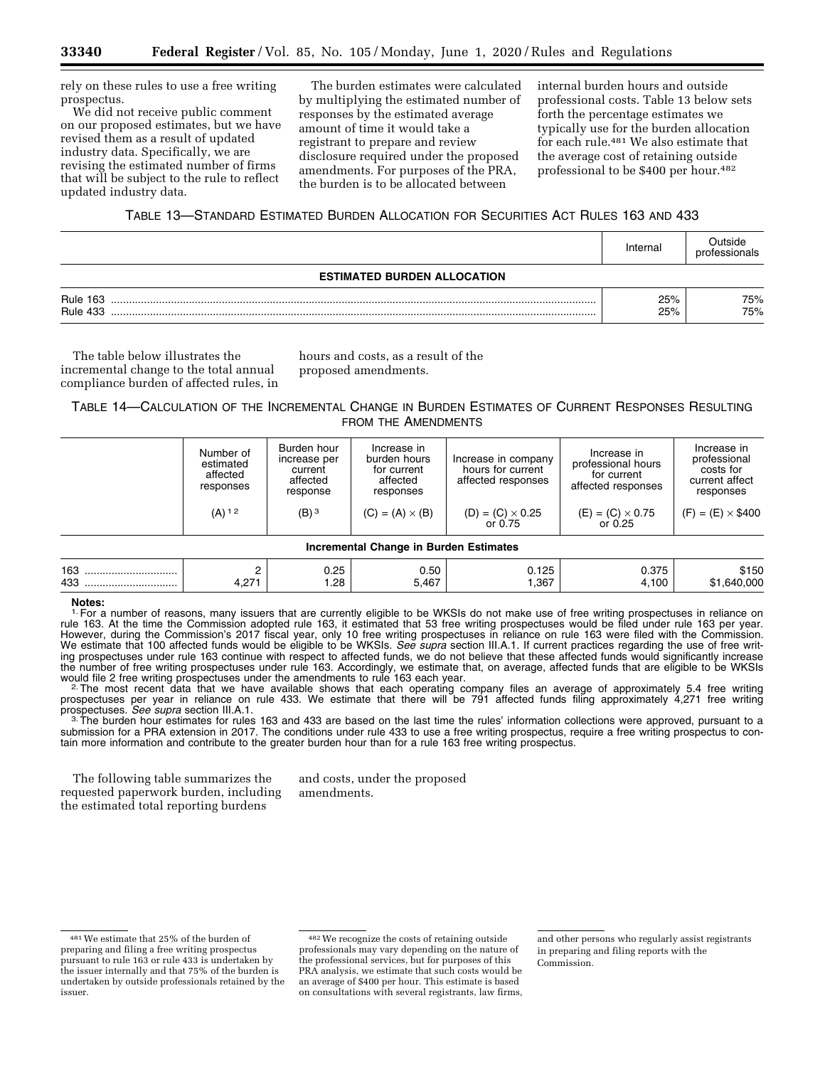rely on these rules to use a free writing prospectus.

We did not receive public comment on our proposed estimates, but we have revised them as a result of updated industry data. Specifically, we are revising the estimated number of firms that will be subject to the rule to reflect updated industry data.

The burden estimates were calculated by multiplying the estimated number of responses by the estimated average amount of time it would take a registrant to prepare and review disclosure required under the proposed amendments. For purposes of the PRA, the burden is to be allocated between

internal burden hours and outside professional costs. Table 13 below sets forth the percentage estimates we typically use for the burden allocation for each rule.481 We also estimate that the average cost of retaining outside professional to be \$400 per hour.<sup>482</sup>

# TABLE 13—STANDARD ESTIMATED BURDEN ALLOCATION FOR SECURITIES ACT RULES 163 AND 433

|                                    | Internal   | つutside<br>professionals |  |  |  |  |
|------------------------------------|------------|--------------------------|--|--|--|--|
| <b>ESTIMATED BURDEN ALLOCATION</b> |            |                          |  |  |  |  |
| <b>Rule 163</b><br><b>Rule 433</b> | 25%<br>25% | 75%<br>75%               |  |  |  |  |

The table below illustrates the incremental change to the total annual compliance burden of affected rules, in hours and costs, as a result of the proposed amendments.

# TABLE 14—CALCULATION OF THE INCREMENTAL CHANGE IN BURDEN ESTIMATES OF CURRENT RESPONSES RESULTING FROM THE AMENDMENTS

|                                               | Number of<br>estimated<br>affected<br>responses | Burden hour<br>increase per<br>current<br>affected<br>response | Increase in<br>burden hours<br>for current<br>affected<br>responses | Increase in company<br>hours for current<br>affected responses | Increase in<br>professional hours<br>for current<br>affected responses | Increase in<br>professional<br>costs for<br>current affect<br>responses |  |  |  |
|-----------------------------------------------|-------------------------------------------------|----------------------------------------------------------------|---------------------------------------------------------------------|----------------------------------------------------------------|------------------------------------------------------------------------|-------------------------------------------------------------------------|--|--|--|
|                                               | $(A)$ <sup>12</sup>                             | $(B)$ <sup>3</sup>                                             | $(C) = (A) \times (B)$                                              | $(D) = (C) \times 0.25$<br>or 0.75                             | $(E) = (C) \times 0.75$<br>or $0.25$                                   | $(F) = (E) \times $400$                                                 |  |  |  |
| <b>Incremental Change in Burden Estimates</b> |                                                 |                                                                |                                                                     |                                                                |                                                                        |                                                                         |  |  |  |

# 163 ............................... 2 0.25 0.50 0.125 0.375 \$150 433 ............................... 4,271 1.28 5,467 1,367 4,100 \$1,640,000

#### **Notes:**

1. For a number of reasons, many issuers that are currently eligible to be WKSIs do not make use of free writing prospectuses in reliance on rule 163. At the time the Commission adopted rule 163, it estimated that 53 free writing prospectuses would be filed under rule 163 per year. However, during the Commission's 2017 fiscal year, only 10 free writing prospectuses in reliance on rule 163 were filed with the Commission. We estimate that 100 affected funds would be eligible to be WKSIs. *See supra* section III.A.1. If current practices regarding the use of free writing prospectuses under rule 163 continue with respect to affected funds, we do not believe that these affected funds would significantly increase the number of free writing prospectuses under rule 163. Accordingly, we estimate that, on average, affected funds that are eligible to be WKSIs would file 2 free writing prospectuses under the amendments to rule 163 each year.<br><sup>2</sup>. The most recent data that we have available shows that each operating company files an average of approximately 5.4 free writing

prospectuses per year in reliance on rule 433. We estimate that there will be 791 affected funds filing approximately 4,271 free writing<br>prospectuses. See supra section III.A.1.

<sup>3.</sup> The burden hour estimates for rules 163 and 433 are based on the last time the rules' information collections were approved, pursuant to a submission for a PRA extension in 2017. The conditions under rule 433 to use a free writing prospectus, require a free writing prospectus to contain more information and contribute to the greater burden hour than for a rule 163 free writing prospectus.

The following table summarizes the requested paperwork burden, including the estimated total reporting burdens

and costs, under the proposed amendments.

<sup>481</sup>We estimate that 25% of the burden of preparing and filing a free writing prospectus pursuant to rule 163 or rule 433 is undertaken by the issuer internally and that 75% of the burden is undertaken by outside professionals retained by the issuer.

<sup>482</sup>We recognize the costs of retaining outside professionals may vary depending on the nature of the professional services, but for purposes of this PRA analysis, we estimate that such costs would be an average of \$400 per hour. This estimate is based on consultations with several registrants, law firms,

and other persons who regularly assist registrants in preparing and filing reports with the Commission.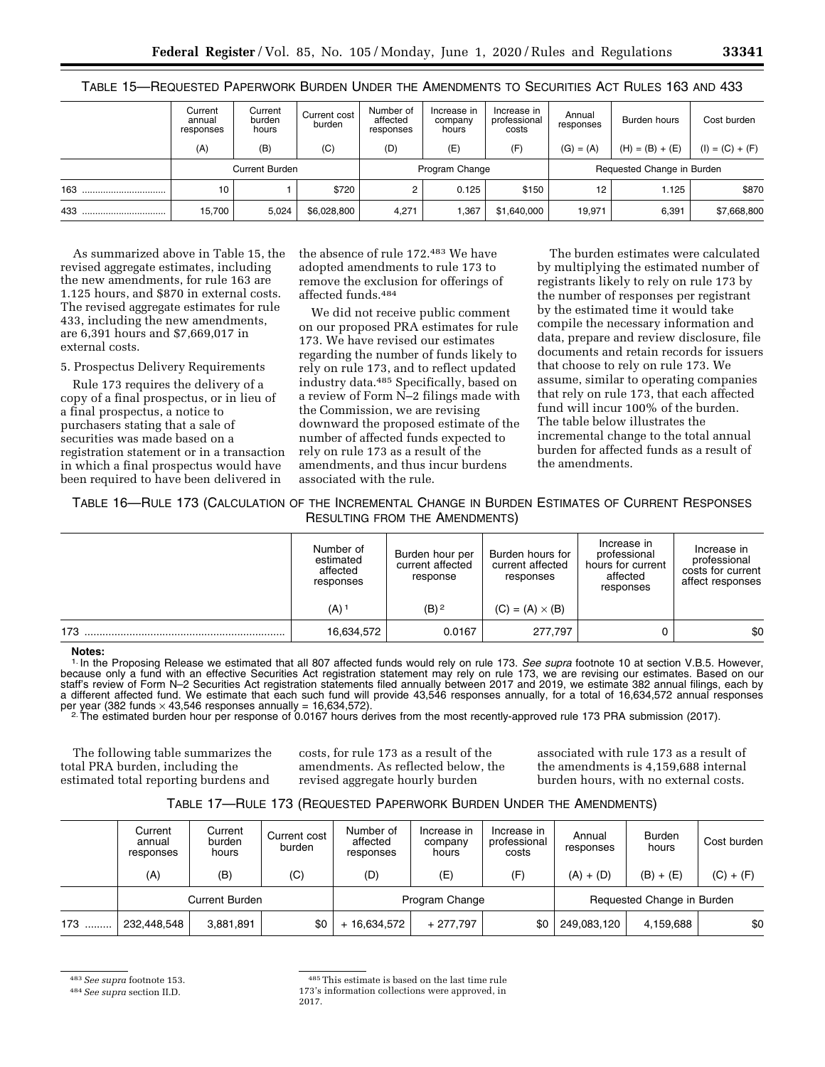| .   | _________<br>--------          |                            |                        |                                    |                                 |                                      |                     |                            |                   |
|-----|--------------------------------|----------------------------|------------------------|------------------------------------|---------------------------------|--------------------------------------|---------------------|----------------------------|-------------------|
|     | Current<br>annual<br>responses | Current<br>burden<br>hours | Current cost<br>burden | Number of<br>affected<br>responses | Increase in<br>company<br>hours | Increase in<br>professional<br>costs | Annual<br>responses | Burden hours               | Cost burden       |
|     | (A)                            | (B)                        | (C)                    | (D)                                | (E)                             | (F)                                  | $(G) = (A)$         | $(H) = (B) + (E)$          | $(I) = (C) + (F)$ |
|     |                                | <b>Current Burden</b>      |                        |                                    | Program Change                  |                                      |                     | Requested Change in Burden |                   |
| 163 | 10                             |                            | \$720                  |                                    | 0.125                           | \$150                                | 12                  | 1.125                      | \$870             |
|     |                                |                            |                        |                                    |                                 |                                      |                     |                            |                   |

433 ................................ 15,700 5,024 \$6,028,800 4,271 1,367 \$1,640,000 19,971 6,391 \$7,668,800

TABLE 15—REQUESTED PAPERWORK BURDEN UNDER THE AMENDMENTS TO SECURITIES ACT RULES 163 AND 433

As summarized above in Table 15, the revised aggregate estimates, including the new amendments, for rule 163 are 1.125 hours, and \$870 in external costs. The revised aggregate estimates for rule 433, including the new amendments, are 6,391 hours and \$7,669,017 in external costs.

5. Prospectus Delivery Requirements

Rule 173 requires the delivery of a copy of a final prospectus, or in lieu of a final prospectus, a notice to purchasers stating that a sale of securities was made based on a registration statement or in a transaction in which a final prospectus would have been required to have been delivered in

the absence of rule 172.483 We have adopted amendments to rule 173 to remove the exclusion for offerings of affected funds.484

We did not receive public comment on our proposed PRA estimates for rule 173. We have revised our estimates regarding the number of funds likely to rely on rule 173, and to reflect updated industry data.485 Specifically, based on a review of Form N–2 filings made with the Commission, we are revising downward the proposed estimate of the number of affected funds expected to rely on rule 173 as a result of the amendments, and thus incur burdens associated with the rule.

The burden estimates were calculated by multiplying the estimated number of registrants likely to rely on rule 173 by the number of responses per registrant by the estimated time it would take compile the necessary information and data, prepare and review disclosure, file documents and retain records for issuers that choose to rely on rule 173. We assume, similar to operating companies that rely on rule 173, that each affected fund will incur 100% of the burden. The table below illustrates the incremental change to the total annual burden for affected funds as a result of the amendments.

# TABLE 16—RULE 173 (CALCULATION OF THE INCREMENTAL CHANGE IN BURDEN ESTIMATES OF CURRENT RESPONSES RESULTING FROM THE AMENDMENTS)

|     | Number of<br>estimated<br>affected<br>responses | Burden hour per<br>current affected<br>response | Burden hours for<br>current affected<br>responses | Increase in<br>professional<br>hours for current<br>affected<br>responses | Increase in<br>professional<br>costs for current<br>affect responses |
|-----|-------------------------------------------------|-------------------------------------------------|---------------------------------------------------|---------------------------------------------------------------------------|----------------------------------------------------------------------|
|     | (A) 1                                           | $(B)$ <sup>2</sup>                              | $(C) = (A) \times (B)$                            |                                                                           |                                                                      |
| 173 | 16,634,572                                      | 0.0167                                          | 277.797                                           |                                                                           | \$0                                                                  |

#### **Notes:**

1. In the Proposing Release we estimated that all 807 affected funds would rely on rule 173. *See supra* footnote 10 at section V.B.5. However, because only a fund with an effective Securities Act registration statement may rely on rule 173, we are revising our estimates. Based on our staff's review of Form N–2 Securities Act registration statements filed annually between 2017 and 2019, we estimate 382 annual filings, each by a different affected fund. We estimate that each such fund will provide 43,546 responses annually, for a total of 16,634,572 annual responses per year (382 funds × 43,546 responses annually = 16,634,572).<br><sup>2</sup>. The estimated burden hour per response of 0.0167 hours derives from the most recently-approved rule 173 PRA submission (2017).

The following table summarizes the total PRA burden, including the estimated total reporting burdens and costs, for rule 173 as a result of the amendments. As reflected below, the revised aggregate hourly burden

associated with rule 173 as a result of the amendments is 4,159,688 internal burden hours, with no external costs.

# TABLE 17—RULE 173 (REQUESTED PAPERWORK BURDEN UNDER THE AMENDMENTS)

|     | Current<br>annual<br>responses | Current<br>burden<br>hours | Current cost<br>burden | Number of<br>affected<br>responses | Increase in<br>company<br>hours | Increase in<br>professional<br>costs | Annual<br>responses | <b>Burden</b><br>hours     | Cost burden |
|-----|--------------------------------|----------------------------|------------------------|------------------------------------|---------------------------------|--------------------------------------|---------------------|----------------------------|-------------|
|     | (A)                            | (B)                        | (C)                    | (D)                                | (E)                             | (F)                                  | $(A) + (D)$         | $(B) + (E)$                | $(C) + (F)$ |
|     |                                | <b>Current Burden</b>      |                        |                                    | Program Change                  |                                      |                     | Requested Change in Burden |             |
| 173 | 232,448,548                    | 3,881,891                  | \$0                    | + 16.634.572                       | $+277.797$                      | \$0                                  | 249.083.120         | 4.159.688                  | \$0         |

483*See supra* footnote 153.

<sup>484</sup>*See supra* section II.D.

<sup>485</sup>This estimate is based on the last time rule 173's information collections were approved, in 2017.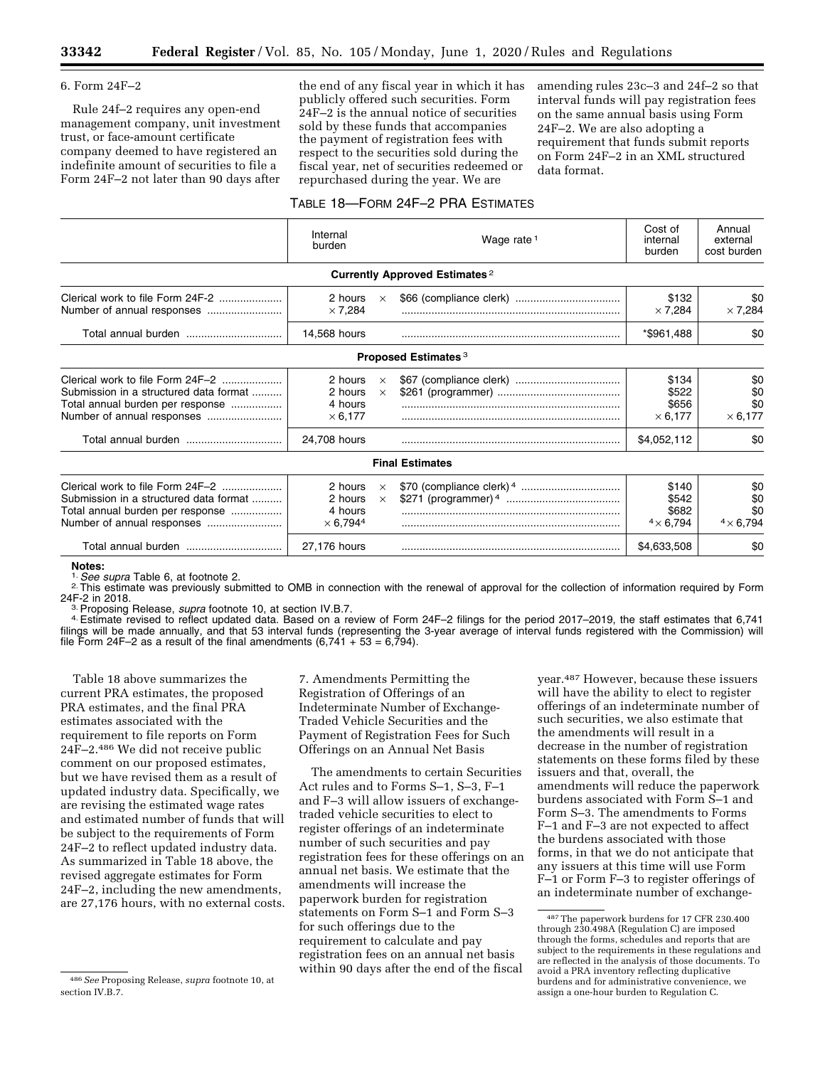# 6. Form 24F–2

Rule 24f–2 requires any open-end management company, unit investment trust, or face-amount certificate company deemed to have registered an indefinite amount of securities to file a Form 24F–2 not later than 90 days after

the end of any fiscal year in which it has publicly offered such securities. Form 24F–2 is the annual notice of securities sold by these funds that accompanies the payment of registration fees with respect to the securities sold during the fiscal year, net of securities redeemed or repurchased during the year. We are

amending rules 23c–3 and 24f–2 so that interval funds will pay registration fees on the same annual basis using Form 24F–2. We are also adopting a requirement that funds submit reports on Form 24F–2 in an XML structured data format.

# TABLE 18—FORM 24F–2 PRA ESTIMATES

|                                                                                                                | Internal<br>burden                               |                      | Wage rate $1$                         | Cost of<br>internal<br>burden               | Annual<br>external<br>cost burden     |
|----------------------------------------------------------------------------------------------------------------|--------------------------------------------------|----------------------|---------------------------------------|---------------------------------------------|---------------------------------------|
|                                                                                                                |                                                  |                      | <b>Currently Approved Estimates 2</b> |                                             |                                       |
|                                                                                                                | 2 hours<br>$\times$ 7.284                        | $\times$             |                                       | \$132<br>$\times$ 7,284                     | \$0<br>$\times$ 7,284                 |
| Total annual burden                                                                                            | 14,568 hours                                     |                      |                                       | *\$961,488                                  | \$0                                   |
|                                                                                                                |                                                  |                      | Proposed Estimates <sup>3</sup>       |                                             |                                       |
| Clerical work to file Form 24F-2<br>Submission in a structured data format<br>Total annual burden per response | 2 hours<br>2 hours<br>4 hours<br>$\times$ 6.177  | $\times$<br>$\times$ |                                       | \$134<br>\$522<br>\$656<br>$\times$ 6,177   | \$0<br>\$0<br>\$0<br>$\times$ 6,177   |
|                                                                                                                | 24,708 hours                                     |                      |                                       | \$4,052,112                                 | \$0                                   |
|                                                                                                                |                                                  |                      | <b>Final Estimates</b>                |                                             |                                       |
| Clerical work to file Form 24F-2<br>Submission in a structured data format<br>Total annual burden per response | 2 hours<br>2 hours<br>4 hours<br>$\times$ 6,7944 | $\times$<br>$\times$ |                                       | \$140<br>\$542<br>\$682<br>$4 \times 6,794$ | \$0<br>\$0<br>\$0<br>$4 \times 6,794$ |
| Total annual burden                                                                                            | 27,176 hours                                     |                      |                                       | \$4,633,508                                 | \$0                                   |

Notes:<br><sup>1.</sup> See supra Table 6, at footnote 2.

<sup>2.</sup> This estimate was previously submitted to OMB in connection with the renewal of approval for the collection of information required by Form  $24F-2$  in 2018.

<sup>3.</sup> Proposing Release, *supra* footnote 10, at section IV.B.7.<br><sup>4.</sup> Estimate revised to reflect updated data. Based on a review of Form 24F–2 filings for the period 2017–2019, the staff estimates that 6,741 filings will be made annually, and that 53 interval funds (representing the 3-year average of interval funds registered with the Commission) will file Form 24F–2 as a result of the final amendments  $(6,741 + 53 = 6,794)$ .

Table 18 above summarizes the current PRA estimates, the proposed PRA estimates, and the final PRA estimates associated with the requirement to file reports on Form 24F–2.486 We did not receive public comment on our proposed estimates, but we have revised them as a result of updated industry data. Specifically, we are revising the estimated wage rates and estimated number of funds that will be subject to the requirements of Form 24F–2 to reflect updated industry data. As summarized in Table 18 above, the revised aggregate estimates for Form 24F–2, including the new amendments, are 27,176 hours, with no external costs. 7. Amendments Permitting the Registration of Offerings of an Indeterminate Number of Exchange-Traded Vehicle Securities and the Payment of Registration Fees for Such Offerings on an Annual Net Basis

The amendments to certain Securities Act rules and to Forms S–1, S–3, F–1 and F–3 will allow issuers of exchangetraded vehicle securities to elect to register offerings of an indeterminate number of such securities and pay registration fees for these offerings on an annual net basis. We estimate that the amendments will increase the paperwork burden for registration statements on Form S–1 and Form S–3 for such offerings due to the requirement to calculate and pay registration fees on an annual net basis within 90 days after the end of the fiscal

year.487 However, because these issuers will have the ability to elect to register offerings of an indeterminate number of such securities, we also estimate that the amendments will result in a decrease in the number of registration statements on these forms filed by these issuers and that, overall, the amendments will reduce the paperwork burdens associated with Form S–1 and Form S–3. The amendments to Forms F–1 and F–3 are not expected to affect the burdens associated with those forms, in that we do not anticipate that any issuers at this time will use Form F–1 or Form F–3 to register offerings of an indeterminate number of exchange-

<sup>486</sup>*See* Proposing Release, *supra* footnote 10, at section IV.B.7.

<sup>487</sup>The paperwork burdens for 17 CFR 230.400 through 230.498A (Regulation C) are imposed through the forms, schedules and reports that are subject to the requirements in these regulations and are reflected in the analysis of those documents. To avoid a PRA inventory reflecting duplicative burdens and for administrative convenience, we assign a one-hour burden to Regulation C.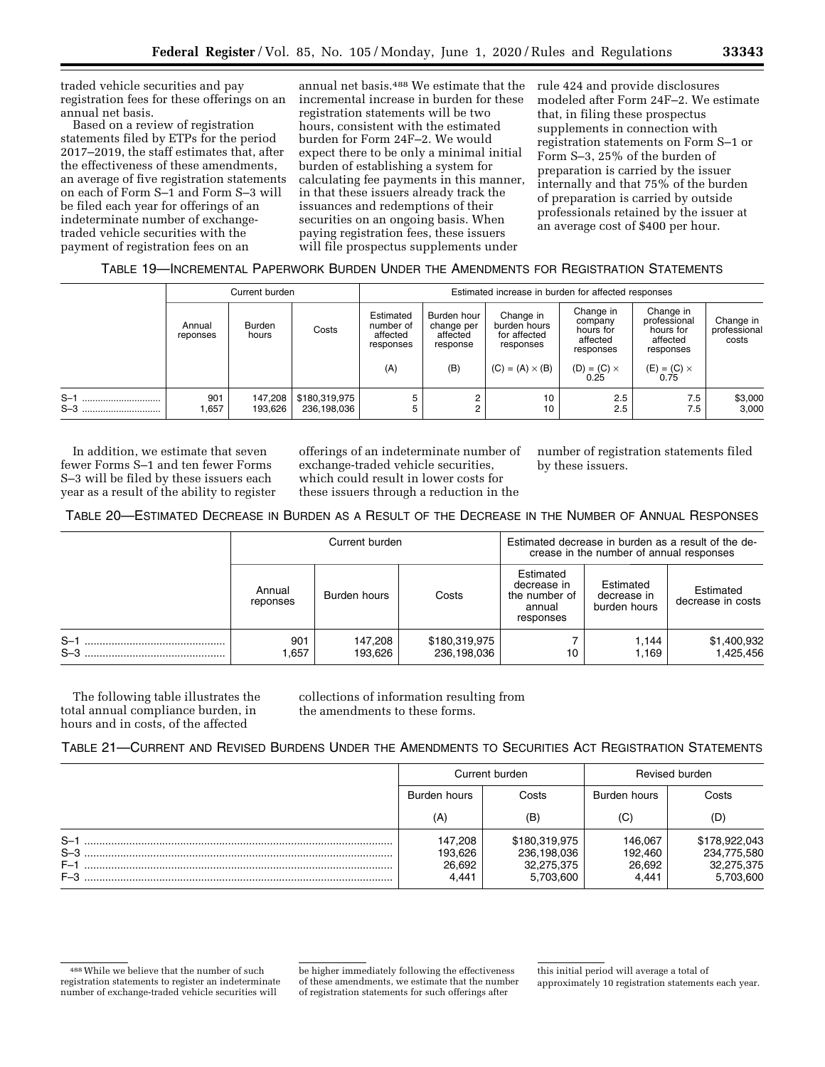traded vehicle securities and pay registration fees for these offerings on an annual net basis.

Based on a review of registration statements filed by ETPs for the period 2017–2019, the staff estimates that, after the effectiveness of these amendments, an average of five registration statements on each of Form S–1 and Form S–3 will be filed each year for offerings of an indeterminate number of exchangetraded vehicle securities with the payment of registration fees on an

annual net basis.488 We estimate that the incremental increase in burden for these registration statements will be two hours, consistent with the estimated burden for Form 24F–2. We would expect there to be only a minimal initial burden of establishing a system for calculating fee payments in this manner, in that these issuers already track the issuances and redemptions of their securities on an ongoing basis. When paying registration fees, these issuers will file prospectus supplements under

rule 424 and provide disclosures modeled after Form 24F–2. We estimate that, in filing these prospectus supplements in connection with registration statements on Form S–1 or Form S–3, 25% of the burden of preparation is carried by the issuer internally and that 75% of the burden of preparation is carried by outside professionals retained by the issuer at an average cost of \$400 per hour.

# TABLE 19—INCREMENTAL PAPERWORK BURDEN UNDER THE AMENDMENTS FOR REGISTRATION STATEMENTS

|                    |                    | Current burden     |                              | Estimated increase in burden for affected responses |                                                                                                             |                        |                                                            |                                                                 |                                    |  |  |  |
|--------------------|--------------------|--------------------|------------------------------|-----------------------------------------------------|-------------------------------------------------------------------------------------------------------------|------------------------|------------------------------------------------------------|-----------------------------------------------------------------|------------------------------------|--|--|--|
|                    | Annual<br>reponses | Burden<br>hours    | Costs                        | Estimated<br>number of<br>affected<br>responses     | Burden hour<br>Change in<br>burden hours<br>change per<br>for affected<br>affected<br>response<br>responses |                        | Change in<br>company<br>hours for<br>affected<br>responses | Change in<br>professional<br>hours for<br>affected<br>responses | Change in<br>professional<br>costs |  |  |  |
|                    |                    |                    |                              | (A)                                                 | (B)                                                                                                         | $(C) = (A) \times (B)$ | $(D) = (C) \times$<br>0.25                                 | $(E) = (C) \times 0.75$                                         |                                    |  |  |  |
| $S-1$<br><br>$S-3$ | 901<br>,657        | 147,208<br>193,626 | \$180,319,975<br>236,198,036 |                                                     | 2<br>$\overline{c}$                                                                                         | 10<br>10               | 2.5<br>2.5                                                 | 7.5<br>7.5                                                      | \$3,000<br>3,000                   |  |  |  |

In addition, we estimate that seven fewer Forms S–1 and ten fewer Forms S–3 will be filed by these issuers each year as a result of the ability to register offerings of an indeterminate number of exchange-traded vehicle securities, which could result in lower costs for these issuers through a reduction in the

number of registration statements filed by these issuers.

# TABLE 20—ESTIMATED DECREASE IN BURDEN AS A RESULT OF THE DECREASE IN THE NUMBER OF ANNUAL RESPONSES

|                | Current burden     |                    |                              | Estimated decrease in burden as a result of the de-<br>crease in the number of annual responses |                                          |                                |  |
|----------------|--------------------|--------------------|------------------------------|-------------------------------------------------------------------------------------------------|------------------------------------------|--------------------------------|--|
|                | Annual<br>reponses | Burden hours       | Costs                        | Estimated<br>decrease in<br>the number of<br>annual<br>responses                                | Estimated<br>decrease in<br>burden hours | Estimated<br>decrease in costs |  |
| $S-1$<br>$S-3$ | 901<br>1.657       | 147.208<br>193.626 | \$180,319,975<br>236,198,036 | 10                                                                                              | 1.144<br>1.169                           | \$1,400,932<br>1,425,456       |  |

The following table illustrates the total annual compliance burden, in hours and in costs, of the affected

collections of information resulting from the amendments to these forms.

# TABLE 21—CURRENT AND REVISED BURDENS UNDER THE AMENDMENTS TO SECURITIES ACT REGISTRATION STATEMENTS

|                                    | Current burden                        |                                                         | Revised burden                        |                                                         |
|------------------------------------|---------------------------------------|---------------------------------------------------------|---------------------------------------|---------------------------------------------------------|
|                                    | Burden hours                          | Costs                                                   | Burden hours                          | Costs                                                   |
|                                    | (A)                                   | (B)                                                     | (C)                                   | (D)                                                     |
| $S-1$<br>$S-3$<br>$F-1$<br>$F - 3$ | 147.208<br>193,626<br>26,692<br>4.441 | \$180,319,975<br>236,198,036<br>32,275,375<br>5,703,600 | 146,067<br>192.460<br>26,692<br>4.441 | \$178,922,043<br>234,775,580<br>32,275,375<br>5,703,600 |

<sup>488</sup>While we believe that the number of such registration statements to register an indeterminate number of exchange-traded vehicle securities will

be higher immediately following the effectiveness of these amendments, we estimate that the number of registration statements for such offerings after

this initial period will average a total of approximately 10 registration statements each year.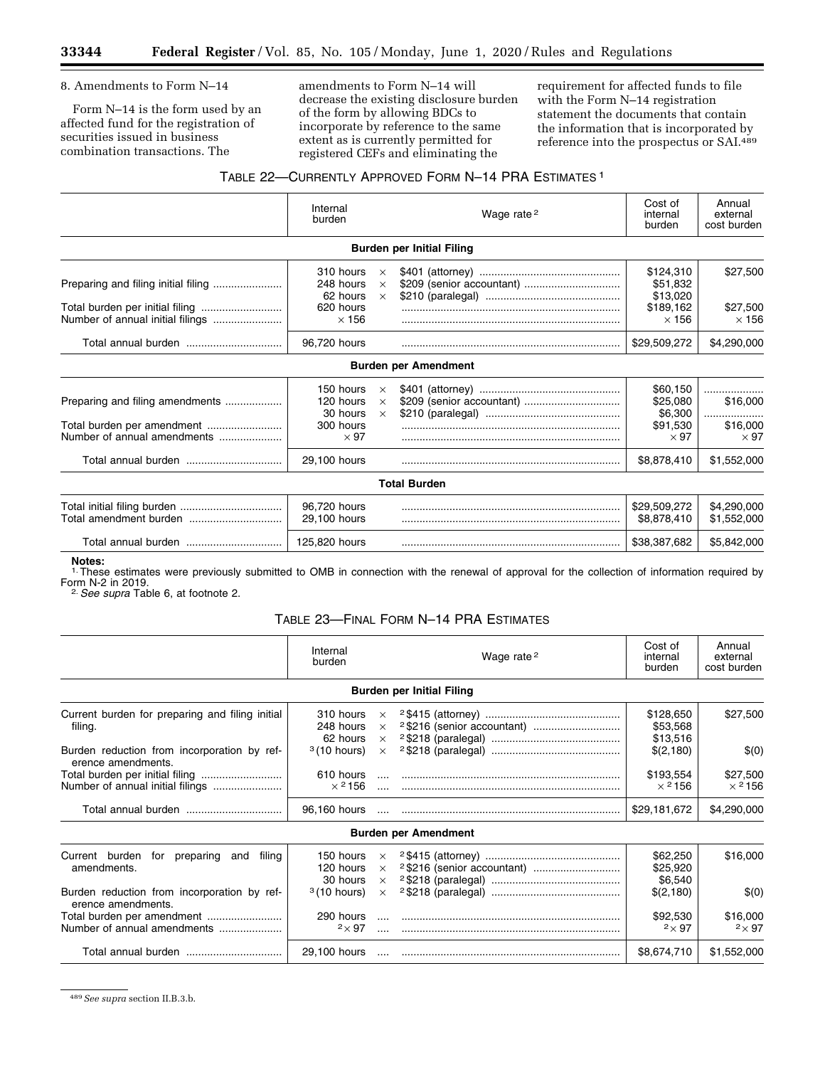Ξ

8. Amendments to Form N–14

Form N–14 is the form used by an affected fund for the registration of securities issued in business combination transactions. The

amendments to Form N–14 will decrease the existing disclosure burden of the form by allowing BDCs to incorporate by reference to the same extent as is currently permitted for registered CEFs and eliminating the

requirement for affected funds to file with the Form N–14 registration statement the documents that contain the information that is incorporated by reference into the prospectus or SAI.489

# TABLE 22—CURRENTLY APPROVED FORM N–14 PRA ESTIMATES 1

|                                                                                              | Internal<br>burden                                                             |                                  | Wage rate <sup>2</sup>           | Cost of<br>internal<br>burden                                             | Annual<br>external<br>cost burden                           |
|----------------------------------------------------------------------------------------------|--------------------------------------------------------------------------------|----------------------------------|----------------------------------|---------------------------------------------------------------------------|-------------------------------------------------------------|
|                                                                                              |                                                                                |                                  | <b>Burden per Initial Filing</b> |                                                                           |                                                             |
|                                                                                              | 310 hours<br>248 hours<br>62 hours<br>620 hours                                | $\times$<br>$\times$<br>$\times$ |                                  | \$124,310<br>\$51.832<br>\$13,020<br>\$189,162                            | \$27,500<br>\$27,500                                        |
|                                                                                              | $\times$ 156                                                                   |                                  |                                  | $\times$ 156                                                              | $\times$ 156                                                |
|                                                                                              | 96,720 hours                                                                   |                                  |                                  | \$29,509,272                                                              | \$4,290,000                                                 |
|                                                                                              |                                                                                |                                  | <b>Burden per Amendment</b>      |                                                                           |                                                             |
| Preparing and filing amendments<br>Total burden per amendment<br>Number of annual amendments | 150 hours<br>120 hours<br>30 hours<br>300 hours<br>$\times$ 97<br>29,100 hours | $\times$<br>$\times$<br>$\times$ |                                  | \$60.150<br>\$25,080<br>\$6,300<br>\$91,530<br>$\times$ 97<br>\$8,878,410 | .<br>\$16,000<br><br>\$16,000<br>$\times$ 97<br>\$1,552,000 |
|                                                                                              |                                                                                |                                  | <b>Total Burden</b>              |                                                                           |                                                             |
|                                                                                              | 96,720 hours<br>29.100 hours                                                   |                                  |                                  | \$29,509,272<br>\$8,878,410                                               | \$4,290,000<br>\$1,552,000                                  |
| Total annual burden                                                                          | 125,820 hours                                                                  |                                  |                                  | \$38,387,682                                                              | \$5,842,000                                                 |

**Notes:**  1.These estimates were previously submitted to OMB in connection with the renewal of approval for the collection of information required by Form N-2 in 2019. 2.*See supra* Table 6, at footnote 2.

# TABLE 23—FINAL FORM N–14 PRA ESTIMATES

|                                                                   | Internal<br>burden                 |                                  | Wage rate <sup>2</sup>           | Cost of<br>internal<br>burden   | Annual<br>external<br>cost burden |
|-------------------------------------------------------------------|------------------------------------|----------------------------------|----------------------------------|---------------------------------|-----------------------------------|
|                                                                   |                                    |                                  | <b>Burden per Initial Filing</b> |                                 |                                   |
| Current burden for preparing and filing initial<br>filing.        | 310 hours<br>248 hours             | $\times$<br>$\times$             |                                  | \$128,650<br>\$53,568           | \$27,500                          |
| Burden reduction from incorporation by ref-<br>erence amendments. | 62 hours<br>$3(10 \text{ hours})$  | $\times$<br>$\times$             |                                  | \$13,516<br>\$(2,180)           | \$(0)                             |
| Number of annual initial filings                                  | 610 hours<br>$\times$ 2156         |                                  |                                  | \$193,554<br>$\times$ 2156      | \$27,500<br>$\times$ 2156         |
|                                                                   | 96,160 hours                       |                                  |                                  | \$29,181,672                    | \$4,290,000                       |
|                                                                   |                                    |                                  | <b>Burden per Amendment</b>      |                                 |                                   |
| Current burden for preparing<br>filina<br>and<br>amendments.      | 150 hours<br>120 hours<br>30 hours | $\times$<br>$\times$<br>$\times$ |                                  | \$62,250<br>\$25,920<br>\$6.540 | \$16,000                          |
| Burden reduction from incorporation by ref-<br>erence amendments. | $3(10 \text{ hours})$              | $\times$                         |                                  | \$(2,180)                       | \$(0)                             |
| Total burden per amendment<br>Number of annual amendments         | 290 hours<br>$2\times97$           |                                  |                                  | \$92,530<br>$2\times97$         | \$16,000<br>$2\times97$           |
| Total annual burden                                               | 29,100 hours                       |                                  |                                  | \$8,674,710                     | \$1,552,000                       |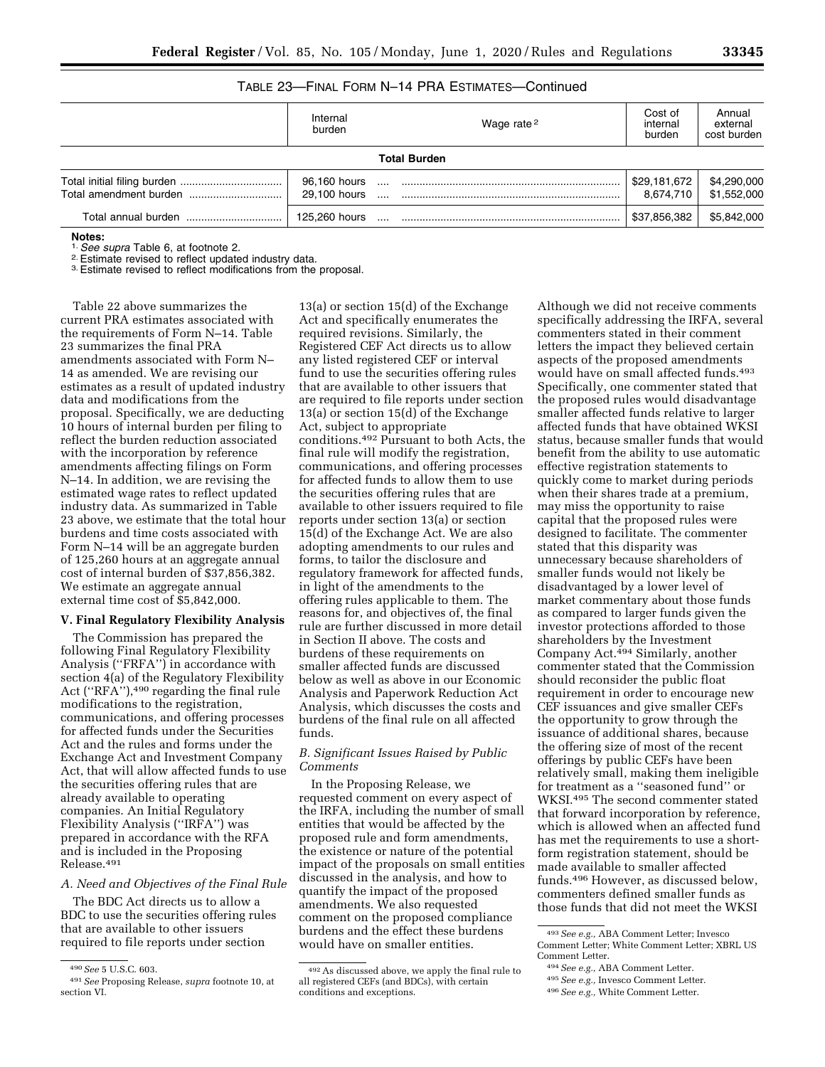# TABLE 23—FINAL FORM N–14 PRA ESTIMATES—Continued

|                     | Internal<br>burden           | Wage rate <sup>2</sup> | Cost of<br>internal<br>burden | Annual<br>external<br>cost burden |
|---------------------|------------------------------|------------------------|-------------------------------|-----------------------------------|
|                     |                              | <b>Total Burden</b>    |                               |                                   |
|                     | 96,160 hours<br>29.100 hours |                        | \$29,181,672<br>8.674.710     | \$4,290,000<br>\$1,552,000        |
| Total annual burden | 125.260 hours                |                        | \$37,856,382                  | \$5,842,000                       |

**Notes:**<br><sup>1.</sup> See supra Table 6, at footnote 2.

<sup>2.</sup> Estimate revised to reflect updated industry data.<br><sup>3.</sup> Estimate revised to reflect modifications from the proposal.

Table 22 above summarizes the current PRA estimates associated with the requirements of Form N–14. Table 23 summarizes the final PRA amendments associated with Form N– 14 as amended. We are revising our estimates as a result of updated industry data and modifications from the proposal. Specifically, we are deducting 10 hours of internal burden per filing to reflect the burden reduction associated with the incorporation by reference amendments affecting filings on Form N–14. In addition, we are revising the estimated wage rates to reflect updated industry data. As summarized in Table 23 above, we estimate that the total hour burdens and time costs associated with Form N–14 will be an aggregate burden of 125,260 hours at an aggregate annual cost of internal burden of \$37,856,382. We estimate an aggregate annual external time cost of \$5,842,000.

# **V. Final Regulatory Flexibility Analysis**

The Commission has prepared the following Final Regulatory Flexibility Analysis (''FRFA'') in accordance with section 4(a) of the Regulatory Flexibility Act (''RFA''),490 regarding the final rule modifications to the registration, communications, and offering processes for affected funds under the Securities Act and the rules and forms under the Exchange Act and Investment Company Act, that will allow affected funds to use the securities offering rules that are already available to operating companies. An Initial Regulatory Flexibility Analysis (''IRFA'') was prepared in accordance with the RFA and is included in the Proposing Release.491

# *A. Need and Objectives of the Final Rule*

The BDC Act directs us to allow a BDC to use the securities offering rules that are available to other issuers required to file reports under section

13(a) or section 15(d) of the Exchange Act and specifically enumerates the required revisions. Similarly, the Registered CEF Act directs us to allow any listed registered CEF or interval fund to use the securities offering rules that are available to other issuers that are required to file reports under section 13(a) or section 15(d) of the Exchange Act, subject to appropriate conditions.492 Pursuant to both Acts, the final rule will modify the registration, communications, and offering processes for affected funds to allow them to use the securities offering rules that are available to other issuers required to file reports under section 13(a) or section 15(d) of the Exchange Act. We are also adopting amendments to our rules and forms, to tailor the disclosure and regulatory framework for affected funds, in light of the amendments to the offering rules applicable to them. The reasons for, and objectives of, the final rule are further discussed in more detail in Section II above. The costs and burdens of these requirements on smaller affected funds are discussed below as well as above in our Economic Analysis and Paperwork Reduction Act Analysis, which discusses the costs and burdens of the final rule on all affected funds.

# *B. Significant Issues Raised by Public Comments*

In the Proposing Release, we requested comment on every aspect of the IRFA, including the number of small entities that would be affected by the proposed rule and form amendments, the existence or nature of the potential impact of the proposals on small entities discussed in the analysis, and how to quantify the impact of the proposed amendments. We also requested comment on the proposed compliance burdens and the effect these burdens would have on smaller entities.

Although we did not receive comments specifically addressing the IRFA, several commenters stated in their comment letters the impact they believed certain aspects of the proposed amendments would have on small affected funds.<sup>493</sup> Specifically, one commenter stated that the proposed rules would disadvantage smaller affected funds relative to larger affected funds that have obtained WKSI status, because smaller funds that would benefit from the ability to use automatic effective registration statements to quickly come to market during periods when their shares trade at a premium, may miss the opportunity to raise capital that the proposed rules were designed to facilitate. The commenter stated that this disparity was unnecessary because shareholders of smaller funds would not likely be disadvantaged by a lower level of market commentary about those funds as compared to larger funds given the investor protections afforded to those shareholders by the Investment Company Act.<sup>494</sup> Similarly, another commenter stated that the Commission should reconsider the public float requirement in order to encourage new CEF issuances and give smaller CEFs the opportunity to grow through the issuance of additional shares, because the offering size of most of the recent offerings by public CEFs have been relatively small, making them ineligible for treatment as a ''seasoned fund'' or WKSI.495 The second commenter stated that forward incorporation by reference, which is allowed when an affected fund has met the requirements to use a shortform registration statement, should be made available to smaller affected funds.496 However, as discussed below, commenters defined smaller funds as those funds that did not meet the WKSI

<sup>490</sup>*See* 5 U.S.C. 603.

<sup>491</sup>*See* Proposing Release, *supra* footnote 10, at section VI.

<sup>492</sup>As discussed above, we apply the final rule to all registered CEFs (and BDCs), with certain conditions and exceptions.

<sup>493</sup>*See e.g.,* ABA Comment Letter; Invesco Comment Letter; White Comment Letter; XBRL US Comment Letter.

<sup>494</sup>*See e.g.,* ABA Comment Letter.

<sup>495</sup>*See e.g.,* Invesco Comment Letter.

<sup>496</sup>*See e.g.,* White Comment Letter.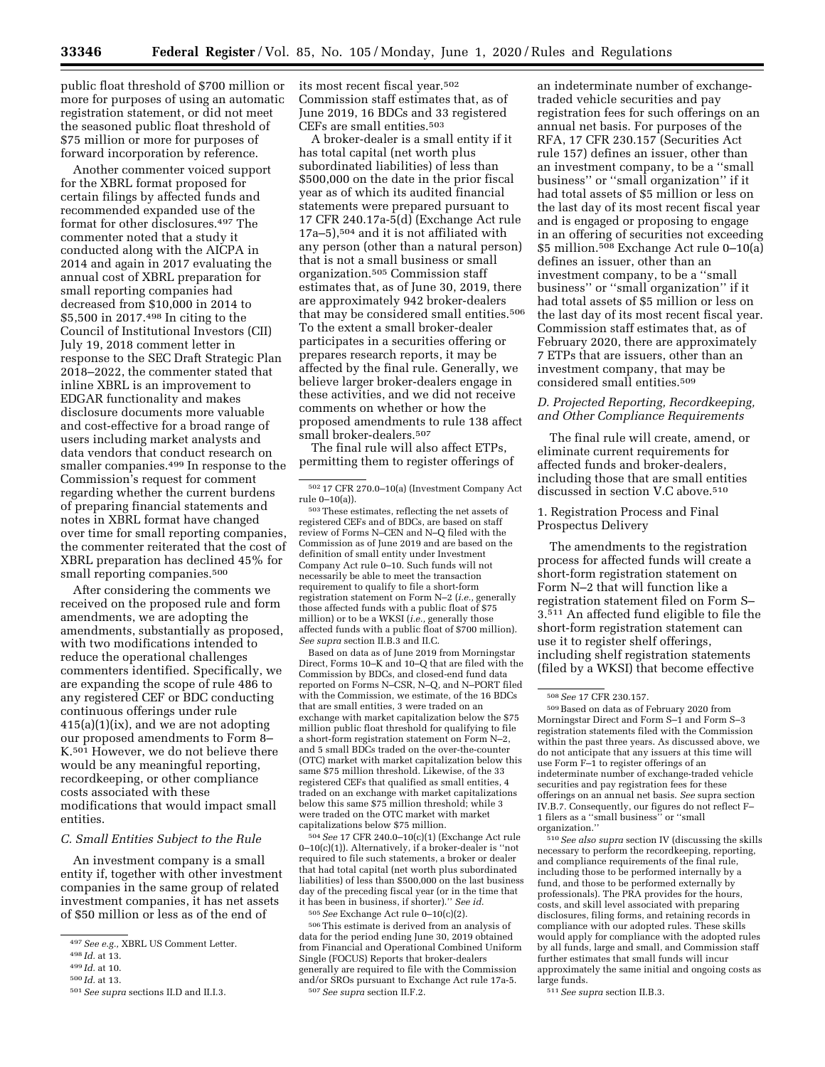public float threshold of \$700 million or more for purposes of using an automatic registration statement, or did not meet the seasoned public float threshold of \$75 million or more for purposes of forward incorporation by reference.

Another commenter voiced support for the XBRL format proposed for certain filings by affected funds and recommended expanded use of the format for other disclosures.497 The commenter noted that a study it conducted along with the AICPA in 2014 and again in 2017 evaluating the annual cost of XBRL preparation for small reporting companies had decreased from \$10,000 in 2014 to \$5,500 in 2017.498 In citing to the Council of Institutional Investors (CII) July 19, 2018 comment letter in response to the SEC Draft Strategic Plan 2018–2022, the commenter stated that inline XBRL is an improvement to EDGAR functionality and makes disclosure documents more valuable and cost-effective for a broad range of users including market analysts and data vendors that conduct research on smaller companies.499 In response to the Commission's request for comment regarding whether the current burdens of preparing financial statements and notes in XBRL format have changed over time for small reporting companies, the commenter reiterated that the cost of XBRL preparation has declined 45% for small reporting companies.500

After considering the comments we received on the proposed rule and form amendments, we are adopting the amendments, substantially as proposed, with two modifications intended to reduce the operational challenges commenters identified. Specifically, we are expanding the scope of rule 486 to any registered CEF or BDC conducting continuous offerings under rule  $415(a)(1)(ix)$ , and we are not adopting our proposed amendments to Form 8– K.501 However, we do not believe there would be any meaningful reporting, recordkeeping, or other compliance costs associated with these modifications that would impact small entities.

#### *C. Small Entities Subject to the Rule*

An investment company is a small entity if, together with other investment companies in the same group of related investment companies, it has net assets of \$50 million or less as of the end of

its most recent fiscal year.502 Commission staff estimates that, as of June 2019, 16 BDCs and 33 registered CEFs are small entities.503

A broker-dealer is a small entity if it has total capital (net worth plus subordinated liabilities) of less than \$500,000 on the date in the prior fiscal year as of which its audited financial statements were prepared pursuant to 17 CFR 240.17a-5(d) (Exchange Act rule 17a–5),504 and it is not affiliated with any person (other than a natural person) that is not a small business or small organization.505 Commission staff estimates that, as of June 30, 2019, there are approximately 942 broker-dealers that may be considered small entities.506 To the extent a small broker-dealer participates in a securities offering or prepares research reports, it may be affected by the final rule. Generally, we believe larger broker-dealers engage in these activities, and we did not receive comments on whether or how the proposed amendments to rule 138 affect small broker-dealers.507

The final rule will also affect ETPs, permitting them to register offerings of

503These estimates, reflecting the net assets of registered CEFs and of BDCs, are based on staff review of Forms N–CEN and N–Q filed with the Commission as of June 2019 and are based on the definition of small entity under Investment Company Act rule 0–10. Such funds will not necessarily be able to meet the transaction requirement to qualify to file a short-form registration statement on Form N–2 (*i.e.,* generally those affected funds with a public float of \$75 million) or to be a WKSI (*i.e.,* generally those affected funds with a public float of \$700 million). *See supra* section II.B.3 and II.C.

Based on data as of June 2019 from Morningstar Direct, Forms 10–K and 10–Q that are filed with the Commission by BDCs, and closed-end fund data reported on Forms N–CSR, N–Q, and N–PORT filed with the Commission, we estimate, of the 16 BDCs that are small entities, 3 were traded on an exchange with market capitalization below the \$75 million public float threshold for qualifying to file a short-form registration statement on Form N–2, and 5 small BDCs traded on the over-the-counter (OTC) market with market capitalization below this same \$75 million threshold. Likewise, of the 33 registered CEFs that qualified as small entities, 4 traded on an exchange with market capitalizations below this same \$75 million threshold; while 3 were traded on the OTC market with market capitalizations below \$75 million.

504*See* 17 CFR 240.0–10(c)(1) (Exchange Act rule 0–10(c)(1)). Alternatively, if a broker-dealer is ''not required to file such statements, a broker or dealer that had total capital (net worth plus subordinated liabilities) of less than \$500,000 on the last business day of the preceding fiscal year (or in the time that it has been in business, if shorter).'' *See id.* 

505*See* Exchange Act rule 0–10(c)(2).

506This estimate is derived from an analysis of data for the period ending June 30, 2019 obtained from Financial and Operational Combined Uniform Single (FOCUS) Reports that broker-dealers generally are required to file with the Commission and/or SROs pursuant to Exchange Act rule 17a-5. 507*See supra* section II.F.2.

an indeterminate number of exchangetraded vehicle securities and pay registration fees for such offerings on an annual net basis. For purposes of the RFA, 17 CFR 230.157 (Securities Act rule 157) defines an issuer, other than an investment company, to be a ''small business'' or ''small organization'' if it had total assets of \$5 million or less on the last day of its most recent fiscal year and is engaged or proposing to engage in an offering of securities not exceeding \$5 million.508 Exchange Act rule 0–10(a) defines an issuer, other than an investment company, to be a ''small business'' or ''small organization'' if it had total assets of \$5 million or less on the last day of its most recent fiscal year. Commission staff estimates that, as of February 2020, there are approximately 7 ETPs that are issuers, other than an investment company, that may be considered small entities.509

*D. Projected Reporting, Recordkeeping, and Other Compliance Requirements* 

The final rule will create, amend, or eliminate current requirements for affected funds and broker-dealers, including those that are small entities discussed in section V.C above.510

1. Registration Process and Final Prospectus Delivery

The amendments to the registration process for affected funds will create a short-form registration statement on Form N–2 that will function like a registration statement filed on Form S– 3.511 An affected fund eligible to file the short-form registration statement can use it to register shelf offerings, including shelf registration statements (filed by a WKSI) that become effective

509Based on data as of February 2020 from Morningstar Direct and Form S–1 and Form S–3 registration statements filed with the Commission within the past three years. As discussed above, we do not anticipate that any issuers at this time will use Form F–1 to register offerings of an indeterminate number of exchange-traded vehicle securities and pay registration fees for these offerings on an annual net basis. *See* supra section IV.B.7. Consequently, our figures do not reflect F– 1 filers as a ''small business'' or ''small organization.''

510*See also supra* section IV (discussing the skills necessary to perform the recordkeeping, reporting, and compliance requirements of the final rule, including those to be performed internally by a fund, and those to be performed externally by professionals). The PRA provides for the hours, costs, and skill level associated with preparing disclosures, filing forms, and retaining records in compliance with our adopted rules. These skills would apply for compliance with the adopted rules by all funds, large and small, and Commission staff further estimates that small funds will incur approximately the same initial and ongoing costs as large funds.

511*See supra* section II.B.3.

<sup>497</sup>*See e.g.,* XBRL US Comment Letter.

<sup>498</sup> *Id.* at 13.

<sup>499</sup> *Id.* at 10.

<sup>500</sup> *Id.* at 13.

<sup>501</sup>*See supra* sections II.D and II.I.3.

<sup>502</sup> 17 CFR 270.0–10(a) (Investment Company Act rule 0–10(a)).

<sup>508</sup>*See* 17 CFR 230.157.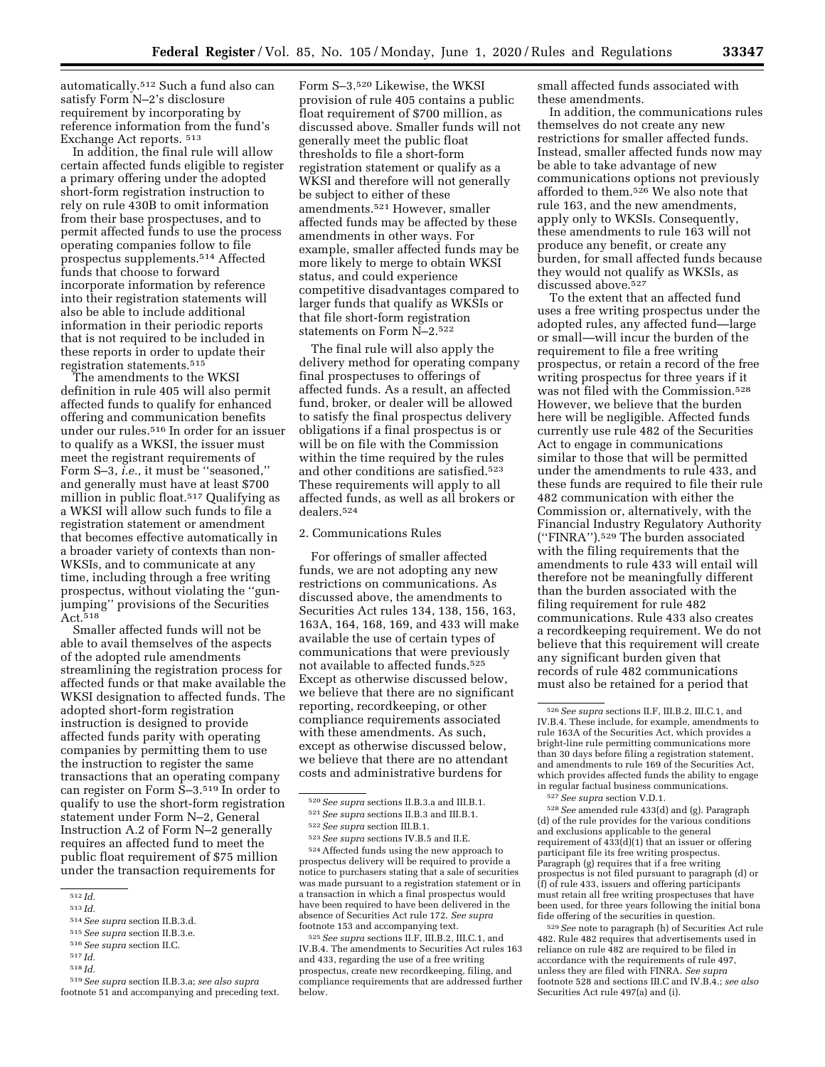automatically.512 Such a fund also can satisfy Form N–2's disclosure requirement by incorporating by

reference information from the fund's Exchange Act reports. 513 In addition, the final rule will allow certain affected funds eligible to register a primary offering under the adopted short-form registration instruction to rely on rule 430B to omit information from their base prospectuses, and to permit affected funds to use the process operating companies follow to file prospectus supplements.514 Affected funds that choose to forward incorporate information by reference

into their registration statements will also be able to include additional information in their periodic reports that is not required to be included in these reports in order to update their registration statements.515

The amendments to the WKSI definition in rule 405 will also permit affected funds to qualify for enhanced offering and communication benefits under our rules.516 In order for an issuer to qualify as a WKSI, the issuer must meet the registrant requirements of Form S–3, *i.e.,* it must be ''seasoned,'' and generally must have at least \$700 million in public float.517 Qualifying as a WKSI will allow such funds to file a registration statement or amendment that becomes effective automatically in a broader variety of contexts than non-WKSIs, and to communicate at any time, including through a free writing prospectus, without violating the ''gunjumping'' provisions of the Securities Act.518

Smaller affected funds will not be able to avail themselves of the aspects of the adopted rule amendments streamlining the registration process for affected funds or that make available the WKSI designation to affected funds. The adopted short-form registration instruction is designed to provide affected funds parity with operating companies by permitting them to use the instruction to register the same transactions that an operating company can register on Form S–3.519 In order to qualify to use the short-form registration statement under Form N–2, General Instruction A.2 of Form N–2 generally requires an affected fund to meet the public float requirement of \$75 million under the transaction requirements for

Form S–3.520 Likewise, the WKSI provision of rule 405 contains a public float requirement of \$700 million, as discussed above. Smaller funds will not generally meet the public float thresholds to file a short-form registration statement or qualify as a WKSI and therefore will not generally be subject to either of these amendments.521 However, smaller affected funds may be affected by these amendments in other ways. For example, smaller affected funds may be more likely to merge to obtain WKSI status, and could experience competitive disadvantages compared to larger funds that qualify as WKSIs or that file short-form registration statements on Form N–2.522

The final rule will also apply the delivery method for operating company final prospectuses to offerings of affected funds. As a result, an affected fund, broker, or dealer will be allowed to satisfy the final prospectus delivery obligations if a final prospectus is or will be on file with the Commission within the time required by the rules and other conditions are satisfied.523 These requirements will apply to all affected funds, as well as all brokers or dealers.524

# 2. Communications Rules

For offerings of smaller affected funds, we are not adopting any new restrictions on communications. As discussed above, the amendments to Securities Act rules 134, 138, 156, 163, 163A, 164, 168, 169, and 433 will make available the use of certain types of communications that were previously not available to affected funds.525 Except as otherwise discussed below, we believe that there are no significant reporting, recordkeeping, or other compliance requirements associated with these amendments. As such, except as otherwise discussed below, we believe that there are no attendant costs and administrative burdens for

524Affected funds using the new approach to prospectus delivery will be required to provide a notice to purchasers stating that a sale of securities was made pursuant to a registration statement or in a transaction in which a final prospectus would have been required to have been delivered in the absence of Securities Act rule 172. *See supra*  footnote 153 and accompanying text.

525*See supra* sections II.F, III.B.2, III.C.1, and IV.B.4. The amendments to Securities Act rules 163 and 433, regarding the use of a free writing prospectus, create new recordkeeping, filing, and compliance requirements that are addressed further below.

small affected funds associated with these amendments.

In addition, the communications rules themselves do not create any new restrictions for smaller affected funds. Instead, smaller affected funds now may be able to take advantage of new communications options not previously afforded to them.526 We also note that rule 163, and the new amendments, apply only to WKSIs. Consequently, these amendments to rule 163 will not produce any benefit, or create any burden, for small affected funds because they would not qualify as WKSIs, as discussed above.527

To the extent that an affected fund uses a free writing prospectus under the adopted rules, any affected fund—large or small—will incur the burden of the requirement to file a free writing prospectus, or retain a record of the free writing prospectus for three years if it was not filed with the Commission.528 However, we believe that the burden here will be negligible. Affected funds currently use rule 482 of the Securities Act to engage in communications similar to those that will be permitted under the amendments to rule 433, and these funds are required to file their rule 482 communication with either the Commission or, alternatively, with the Financial Industry Regulatory Authority (''FINRA'').529 The burden associated with the filing requirements that the amendments to rule 433 will entail will therefore not be meaningfully different than the burden associated with the filing requirement for rule 482 communications. Rule 433 also creates a recordkeeping requirement. We do not believe that this requirement will create any significant burden given that records of rule 482 communications must also be retained for a period that

528*See* amended rule 433(d) and (g). Paragraph (d) of the rule provides for the various conditions and exclusions applicable to the general requirement of  $4\overline{33}$ (d)(1) that an issuer or offering participant file its free writing prospectus. Paragraph (g) requires that if a free writing prospectus is not filed pursuant to paragraph (d) or (f) of rule 433, issuers and offering participants must retain all free writing prospectuses that have been used, for three years following the initial bona fide offering of the securities in question.

529*See* note to paragraph (h) of Securities Act rule 482. Rule 482 requires that advertisements used in reliance on rule 482 are required to be filed in accordance with the requirements of rule 497, unless they are filed with FINRA. *See supra*  footnote 528 and sections III.C and IV.B.4.; *see also*  Securities Act rule 497(a) and (i).

<sup>512</sup> *Id.* 

<sup>513</sup> *Id.* 

<sup>514</sup>*See supra* section II.B.3.d.

<sup>515</sup>*See supra* section II.B.3.e.

<sup>516</sup>*See supra* section II.C.

<sup>517</sup> *Id.*  518 *Id.* 

<sup>519</sup>*See supra* section II.B.3.a; *see also supra*  footnote 51 and accompanying and preceding text.

<sup>520</sup>*See supra* sections II.B.3.a and III.B.1.

<sup>521</sup>*See supra* sections II.B.3 and III.B.1.

<sup>522</sup>*See supra* section III.B.1.

<sup>523</sup>*See supra* sections IV.B.5 and II.E.

<sup>526</sup>*See supra* sections II.F, III.B.2, III.C.1, and IV.B.4. These include, for example, amendments to rule 163A of the Securities Act, which provides a bright-line rule permitting communications more than 30 days before filing a registration statement, and amendments to rule 169 of the Securities Act, which provides affected funds the ability to engage in regular factual business communications.

<sup>527</sup>*See supra* section V.D.1.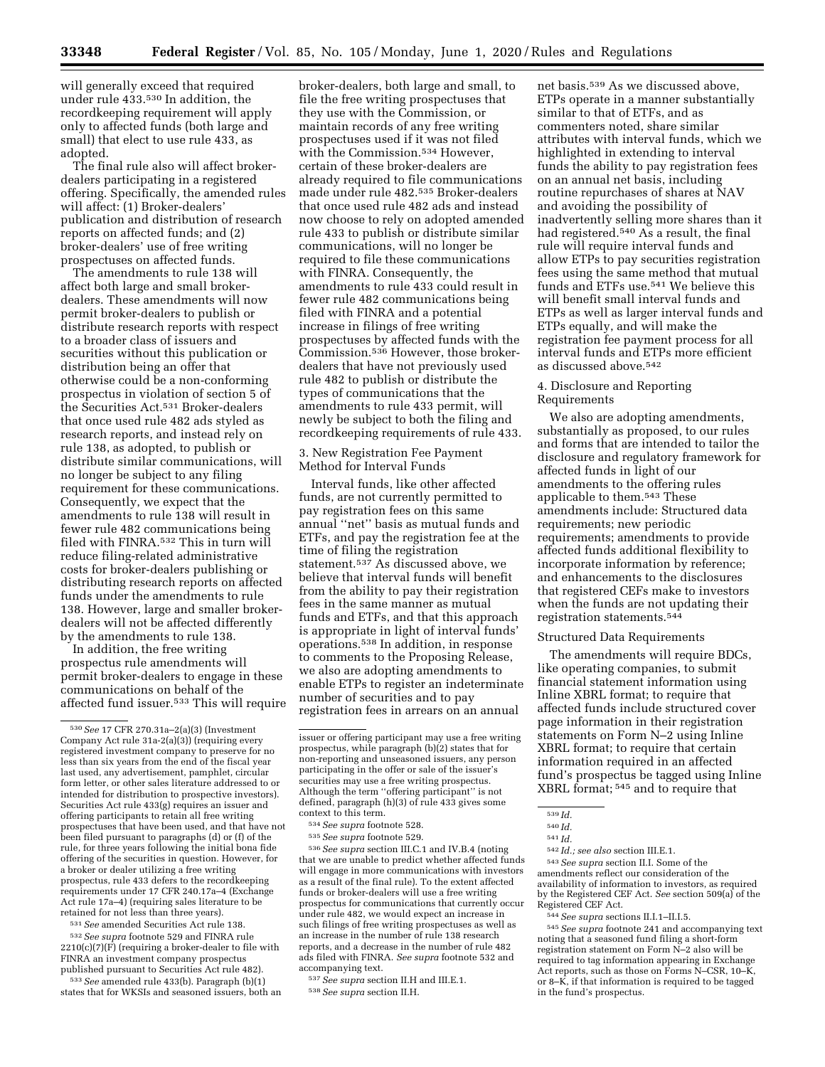will generally exceed that required under rule 433.530 In addition, the recordkeeping requirement will apply only to affected funds (both large and small) that elect to use rule 433, as adopted.

The final rule also will affect brokerdealers participating in a registered offering. Specifically, the amended rules will affect: (1) Broker-dealers' publication and distribution of research reports on affected funds; and (2) broker-dealers' use of free writing prospectuses on affected funds.

The amendments to rule 138 will affect both large and small brokerdealers. These amendments will now permit broker-dealers to publish or distribute research reports with respect to a broader class of issuers and securities without this publication or distribution being an offer that otherwise could be a non-conforming prospectus in violation of section 5 of the Securities Act.531 Broker-dealers that once used rule 482 ads styled as research reports, and instead rely on rule 138, as adopted, to publish or distribute similar communications, will no longer be subject to any filing requirement for these communications. Consequently, we expect that the amendments to rule 138 will result in fewer rule 482 communications being filed with FINRA.532 This in turn will reduce filing-related administrative costs for broker-dealers publishing or distributing research reports on affected funds under the amendments to rule 138. However, large and smaller brokerdealers will not be affected differently by the amendments to rule 138.

In addition, the free writing prospectus rule amendments will permit broker-dealers to engage in these communications on behalf of the affected fund issuer.533 This will require

531*See* amended Securities Act rule 138.

532*See supra* footnote 529 and FINRA rule  $2210(c)(7)(F)$  (requiring a broker-dealer to file with FINRA an investment company prospectus published pursuant to Securities Act rule 482).

533*See* amended rule 433(b). Paragraph (b)(1) states that for WKSIs and seasoned issuers, both an

broker-dealers, both large and small, to file the free writing prospectuses that they use with the Commission, or maintain records of any free writing prospectuses used if it was not filed with the Commission.<sup>534</sup> However, certain of these broker-dealers are already required to file communications made under rule 482.535 Broker-dealers that once used rule 482 ads and instead now choose to rely on adopted amended rule 433 to publish or distribute similar communications, will no longer be required to file these communications with FINRA. Consequently, the amendments to rule 433 could result in fewer rule 482 communications being filed with FINRA and a potential increase in filings of free writing prospectuses by affected funds with the Commission.<sup>536</sup> However, those brokerdealers that have not previously used rule 482 to publish or distribute the types of communications that the amendments to rule 433 permit, will newly be subject to both the filing and recordkeeping requirements of rule 433.

3. New Registration Fee Payment Method for Interval Funds

Interval funds, like other affected funds, are not currently permitted to pay registration fees on this same annual ''net'' basis as mutual funds and ETFs, and pay the registration fee at the time of filing the registration statement.<sup>537</sup> As discussed above, we believe that interval funds will benefit from the ability to pay their registration fees in the same manner as mutual funds and ETFs, and that this approach is appropriate in light of interval funds' operations.538 In addition, in response to comments to the Proposing Release, we also are adopting amendments to enable ETPs to register an indeterminate number of securities and to pay registration fees in arrears on an annual

534*See supra* footnote 528.

536*See supra* section III.C.1 and IV.B.4 (noting that we are unable to predict whether affected funds will engage in more communications with investors as a result of the final rule). To the extent affected funds or broker-dealers will use a free writing prospectus for communications that currently occur under rule 482, we would expect an increase in such filings of free writing prospectuses as well as an increase in the number of rule 138 research reports, and a decrease in the number of rule 482 ads filed with FINRA. *See supra* footnote 532 and accompanying text.

537*See supra* section II.H and III.E.1.

538*See supra* section II.H.

net basis.539 As we discussed above, ETPs operate in a manner substantially similar to that of ETFs, and as commenters noted, share similar attributes with interval funds, which we highlighted in extending to interval funds the ability to pay registration fees on an annual net basis, including routine repurchases of shares at NAV and avoiding the possibility of inadvertently selling more shares than it had registered.<sup>540</sup> As a result, the final rule will require interval funds and allow ETPs to pay securities registration fees using the same method that mutual funds and ETFs use.541 We believe this will benefit small interval funds and ETPs as well as larger interval funds and ETPs equally, and will make the registration fee payment process for all interval funds and ETPs more efficient as discussed above.542

# 4. Disclosure and Reporting Requirements

We also are adopting amendments, substantially as proposed, to our rules and forms that are intended to tailor the disclosure and regulatory framework for affected funds in light of our amendments to the offering rules applicable to them.543 These amendments include: Structured data requirements; new periodic requirements; amendments to provide affected funds additional flexibility to incorporate information by reference; and enhancements to the disclosures that registered CEFs make to investors when the funds are not updating their registration statements.544

#### Structured Data Requirements

The amendments will require BDCs, like operating companies, to submit financial statement information using Inline XBRL format; to require that affected funds include structured cover page information in their registration statements on Form N–2 using Inline XBRL format; to require that certain information required in an affected fund's prospectus be tagged using Inline XBRL format; 545 and to require that

541 *Id.* 

<sup>542</sup> *Id.; see also* section III.E.1. 543*See supra* section II.I. Some of the

amendments reflect our consideration of the availability of information to investors, as required by the Registered CEF Act. *See* section 509(a) of the Registered CEF Act.<br><sup>544</sup> *See supra* sections II.I.1–II.I.5.<br><sup>545</sup> *See supra* footnote 241 and accompanying text

noting that a seasoned fund filing a short-form registration statement on Form N–2 also will be required to tag information appearing in Exchange Act reports, such as those on Forms N–CSR, 10–K, or 8–K, if that information is required to be tagged in the fund's prospectus.

<sup>530</sup>*See* 17 CFR 270.31a–2(a)(3) (Investment Company Act rule 31a-2(a)(3)) (requiring every registered investment company to preserve for no less than six years from the end of the fiscal year last used, any advertisement, pamphlet, circular form letter, or other sales literature addressed to or intended for distribution to prospective investors). Securities Act rule 433(g) requires an issuer and offering participants to retain all free writing prospectuses that have been used, and that have not been filed pursuant to paragraphs (d) or (f) of the rule, for three years following the initial bona fide offering of the securities in question. However, for a broker or dealer utilizing a free writing prospectus, rule 433 defers to the recordkeeping requirements under 17 CFR 240.17a–4 (Exchange Act rule 17a–4) (requiring sales literature to be retained for not less than three years).

issuer or offering participant may use a free writing prospectus, while paragraph (b)(2) states that for non-reporting and unseasoned issuers, any person participating in the offer or sale of the issuer's securities may use a free writing prospectus. Although the term ''offering participant'' is not defined, paragraph (h)(3) of rule 433 gives some context to this term.

<sup>535</sup>*See supra* footnote 529.

<sup>539</sup> *Id.* 

<sup>540</sup> *Id.*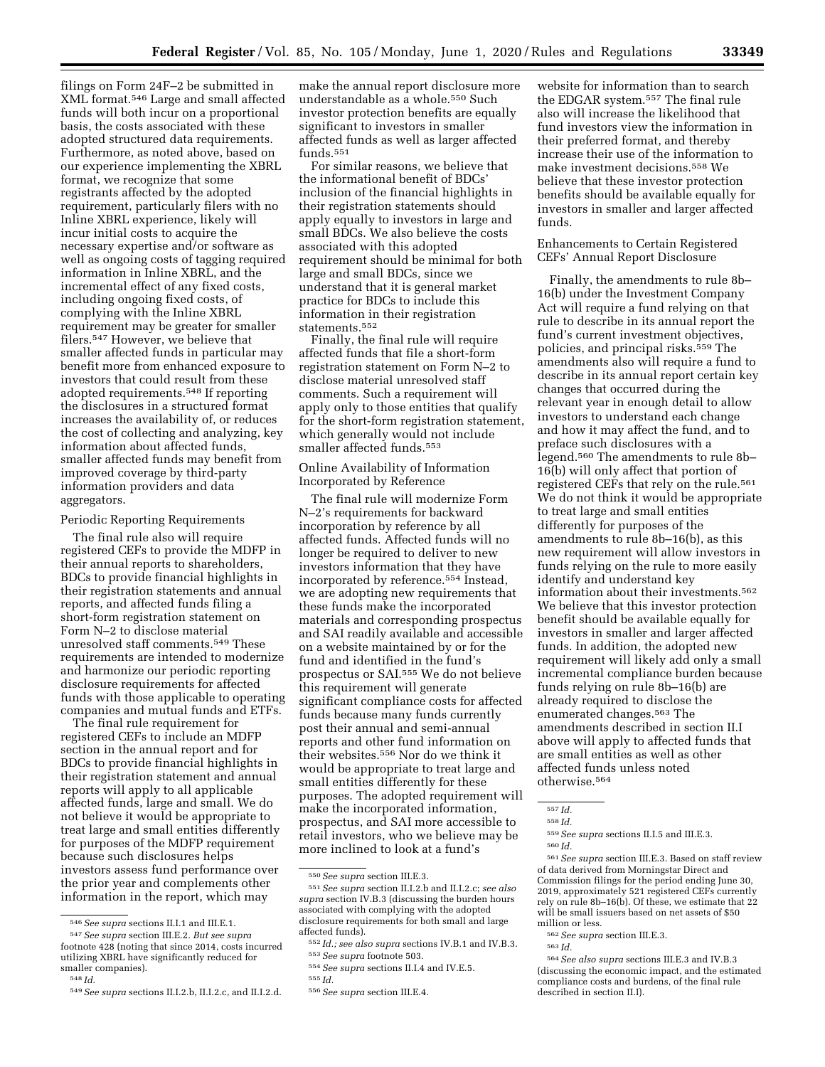filings on Form 24F–2 be submitted in XML format.546 Large and small affected funds will both incur on a proportional basis, the costs associated with these adopted structured data requirements. Furthermore, as noted above, based on our experience implementing the XBRL format, we recognize that some registrants affected by the adopted requirement, particularly filers with no Inline XBRL experience, likely will incur initial costs to acquire the necessary expertise and/or software as well as ongoing costs of tagging required information in Inline XBRL, and the incremental effect of any fixed costs, including ongoing fixed costs, of complying with the Inline XBRL requirement may be greater for smaller filers.547 However, we believe that smaller affected funds in particular may benefit more from enhanced exposure to investors that could result from these adopted requirements.548 If reporting the disclosures in a structured format increases the availability of, or reduces the cost of collecting and analyzing, key information about affected funds, smaller affected funds may benefit from improved coverage by third-party information providers and data aggregators.

# Periodic Reporting Requirements

The final rule also will require registered CEFs to provide the MDFP in their annual reports to shareholders, BDCs to provide financial highlights in their registration statements and annual reports, and affected funds filing a short-form registration statement on Form N–2 to disclose material unresolved staff comments.549 These requirements are intended to modernize and harmonize our periodic reporting disclosure requirements for affected funds with those applicable to operating companies and mutual funds and ETFs.

The final rule requirement for registered CEFs to include an MDFP section in the annual report and for BDCs to provide financial highlights in their registration statement and annual reports will apply to all applicable affected funds, large and small. We do not believe it would be appropriate to treat large and small entities differently for purposes of the MDFP requirement because such disclosures helps investors assess fund performance over the prior year and complements other information in the report, which may

make the annual report disclosure more understandable as a whole.550 Such investor protection benefits are equally significant to investors in smaller affected funds as well as larger affected funds.551

For similar reasons, we believe that the informational benefit of BDCs' inclusion of the financial highlights in their registration statements should apply equally to investors in large and small BDCs. We also believe the costs associated with this adopted requirement should be minimal for both large and small BDCs, since we understand that it is general market practice for BDCs to include this information in their registration statements.552

Finally, the final rule will require affected funds that file a short-form registration statement on Form N–2 to disclose material unresolved staff comments. Such a requirement will apply only to those entities that qualify for the short-form registration statement, which generally would not include smaller affected funds.553

# Online Availability of Information Incorporated by Reference

The final rule will modernize Form N–2's requirements for backward incorporation by reference by all affected funds. Affected funds will no longer be required to deliver to new investors information that they have incorporated by reference.554 Instead, we are adopting new requirements that these funds make the incorporated materials and corresponding prospectus and SAI readily available and accessible on a website maintained by or for the fund and identified in the fund's prospectus or SAI.555 We do not believe this requirement will generate significant compliance costs for affected funds because many funds currently post their annual and semi-annual reports and other fund information on their websites.556 Nor do we think it would be appropriate to treat large and small entities differently for these purposes. The adopted requirement will make the incorporated information, prospectus, and SAI more accessible to retail investors, who we believe may be more inclined to look at a fund's

website for information than to search the EDGAR system.557 The final rule also will increase the likelihood that fund investors view the information in their preferred format, and thereby increase their use of the information to make investment decisions.558 We believe that these investor protection benefits should be available equally for investors in smaller and larger affected funds.

# Enhancements to Certain Registered CEFs' Annual Report Disclosure

Finally, the amendments to rule 8b– 16(b) under the Investment Company Act will require a fund relying on that rule to describe in its annual report the fund's current investment objectives, policies, and principal risks.<sup>559</sup> The amendments also will require a fund to describe in its annual report certain key changes that occurred during the relevant year in enough detail to allow investors to understand each change and how it may affect the fund, and to preface such disclosures with a legend.560 The amendments to rule 8b– 16(b) will only affect that portion of registered CEFs that rely on the rule.561 We do not think it would be appropriate to treat large and small entities differently for purposes of the amendments to rule 8b–16(b), as this new requirement will allow investors in funds relying on the rule to more easily identify and understand key information about their investments.562 We believe that this investor protection benefit should be available equally for investors in smaller and larger affected funds. In addition, the adopted new requirement will likely add only a small incremental compliance burden because funds relying on rule 8b–16(b) are already required to disclose the enumerated changes.563 The amendments described in section II.I above will apply to affected funds that are small entities as well as other affected funds unless noted otherwise.564

<sup>546</sup>*See supra* sections II.I.1 and III.E.1.

<sup>547</sup>*See supra* section III.E.2. *But see supra*  footnote 428 (noting that since 2014, costs incurred utilizing XBRL have significantly reduced for smaller companies).

<sup>548</sup> *Id.* 

<sup>549</sup>*See supra* sections II.I.2.b, II.I.2.c, and II.I.2.d.

<sup>550</sup>*See supra* section III.E.3.

<sup>551</sup>*See supra* section II.I.2.b and II.I.2.c; *see also supra* section IV.B.3 (discussing the burden hours associated with complying with the adopted disclosure requirements for both small and large affected funds).

<sup>552</sup> *Id.; see also supra* sections IV.B.1 and IV.B.3. 553*See supra* footnote 503.

<sup>554</sup>*See supra* sections II.I.4 and IV.E.5.

<sup>555</sup> *Id.* 

<sup>556</sup>*See supra* section III.E.4.

<sup>557</sup> *Id.* 

<sup>558</sup> *Id.* 

<sup>559</sup>*See supra* sections II.I.5 and III.E.3.

<sup>560</sup> *Id.* 

<sup>561</sup>*See supra* section III.E.3. Based on staff review of data derived from Morningstar Direct and Commission filings for the period ending June 30, 2019, approximately 521 registered CEFs currently rely on rule 8b–16(b). Of these, we estimate that 22 will be small issuers based on net assets of \$50 million or less.

<sup>562</sup>*See supra* section III.E.3.

<sup>563</sup> *Id.* 

<sup>564</sup>*See also supra* sections III.E.3 and IV.B.3 (discussing the economic impact, and the estimated compliance costs and burdens, of the final rule described in section II.I).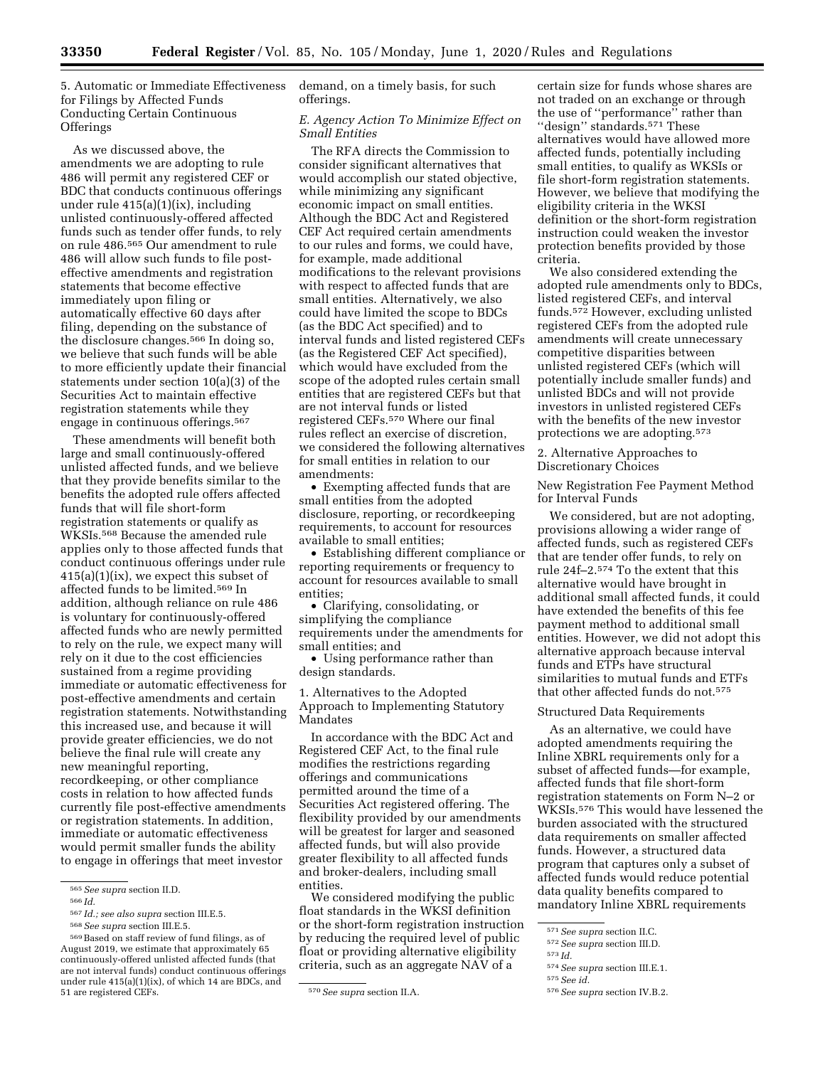5. Automatic or Immediate Effectiveness for Filings by Affected Funds Conducting Certain Continuous **Offerings** 

As we discussed above, the amendments we are adopting to rule 486 will permit any registered CEF or BDC that conducts continuous offerings under rule 415(a)(1)(ix), including unlisted continuously-offered affected funds such as tender offer funds, to rely on rule 486.565 Our amendment to rule 486 will allow such funds to file posteffective amendments and registration statements that become effective immediately upon filing or automatically effective 60 days after filing, depending on the substance of the disclosure changes.566 In doing so, we believe that such funds will be able to more efficiently update their financial statements under section 10(a)(3) of the Securities Act to maintain effective registration statements while they engage in continuous offerings.567

These amendments will benefit both large and small continuously-offered unlisted affected funds, and we believe that they provide benefits similar to the benefits the adopted rule offers affected funds that will file short-form registration statements or qualify as WKSIs.568 Because the amended rule applies only to those affected funds that conduct continuous offerings under rule  $415(a)(1)(ix)$ , we expect this subset of affected funds to be limited.569 In addition, although reliance on rule 486 is voluntary for continuously-offered affected funds who are newly permitted to rely on the rule, we expect many will rely on it due to the cost efficiencies sustained from a regime providing immediate or automatic effectiveness for post-effective amendments and certain registration statements. Notwithstanding this increased use, and because it will provide greater efficiencies, we do not believe the final rule will create any new meaningful reporting, recordkeeping, or other compliance costs in relation to how affected funds currently file post-effective amendments or registration statements. In addition, immediate or automatic effectiveness would permit smaller funds the ability to engage in offerings that meet investor

567 *Id.; see also supra* section III.E.5.

demand, on a timely basis, for such offerings.

# *E. Agency Action To Minimize Effect on Small Entities*

The RFA directs the Commission to consider significant alternatives that would accomplish our stated objective, while minimizing any significant economic impact on small entities. Although the BDC Act and Registered CEF Act required certain amendments to our rules and forms, we could have, for example, made additional modifications to the relevant provisions with respect to affected funds that are small entities. Alternatively, we also could have limited the scope to BDCs (as the BDC Act specified) and to interval funds and listed registered CEFs (as the Registered CEF Act specified), which would have excluded from the scope of the adopted rules certain small entities that are registered CEFs but that are not interval funds or listed registered CEFs.570 Where our final rules reflect an exercise of discretion, we considered the following alternatives for small entities in relation to our amendments:

• Exempting affected funds that are small entities from the adopted disclosure, reporting, or recordkeeping requirements, to account for resources available to small entities;

• Establishing different compliance or reporting requirements or frequency to account for resources available to small entities;

• Clarifying, consolidating, or simplifying the compliance requirements under the amendments for small entities; and

• Using performance rather than design standards.

1. Alternatives to the Adopted Approach to Implementing Statutory Mandates

In accordance with the BDC Act and Registered CEF Act, to the final rule modifies the restrictions regarding offerings and communications permitted around the time of a Securities Act registered offering. The flexibility provided by our amendments will be greatest for larger and seasoned affected funds, but will also provide greater flexibility to all affected funds and broker-dealers, including small entities.

We considered modifying the public float standards in the WKSI definition or the short-form registration instruction by reducing the required level of public float or providing alternative eligibility criteria, such as an aggregate NAV of a

certain size for funds whose shares are not traded on an exchange or through the use of "performance" rather than "design" standards.<sup>571</sup> These alternatives would have allowed more affected funds, potentially including small entities, to qualify as WKSIs or file short-form registration statements. However, we believe that modifying the eligibility criteria in the WKSI definition or the short-form registration instruction could weaken the investor protection benefits provided by those criteria.

We also considered extending the adopted rule amendments only to BDCs, listed registered CEFs, and interval funds.572 However, excluding unlisted registered CEFs from the adopted rule amendments will create unnecessary competitive disparities between unlisted registered CEFs (which will potentially include smaller funds) and unlisted BDCs and will not provide investors in unlisted registered CEFs with the benefits of the new investor protections we are adopting.573

2. Alternative Approaches to Discretionary Choices

New Registration Fee Payment Method for Interval Funds

We considered, but are not adopting, provisions allowing a wider range of affected funds, such as registered CEFs that are tender offer funds, to rely on rule 24f–2.574 To the extent that this alternative would have brought in additional small affected funds, it could have extended the benefits of this fee payment method to additional small entities. However, we did not adopt this alternative approach because interval funds and ETPs have structural similarities to mutual funds and ETFs that other affected funds do not.575

# Structured Data Requirements

As an alternative, we could have adopted amendments requiring the Inline XBRL requirements only for a subset of affected funds—for example, affected funds that file short-form registration statements on Form N–2 or WKSIs.576 This would have lessened the burden associated with the structured data requirements on smaller affected funds. However, a structured data program that captures only a subset of affected funds would reduce potential data quality benefits compared to mandatory Inline XBRL requirements

574*See supra* section III.E.1.

<sup>565</sup>*See supra* section II.D.

<sup>566</sup> *Id.* 

<sup>568</sup>*See supra* section III.E.5.

<sup>569</sup>Based on staff review of fund filings, as of August 2019, we estimate that approximately 65 continuously-offered unlisted affected funds (that are not interval funds) conduct continuous offerings under rule 415(a)(1)(ix), of which 14 are BDCs, and<br>51 are registered CEFs.

<sup>51</sup> are registered CEFs. 570*See supra* section II.A.

<sup>571</sup>*See supra* section II.C.

<sup>572</sup>*See supra* section III.D.

<sup>573</sup> *Id.* 

<sup>575</sup>*See id.* 

<sup>576</sup>*See supra* section IV.B.2.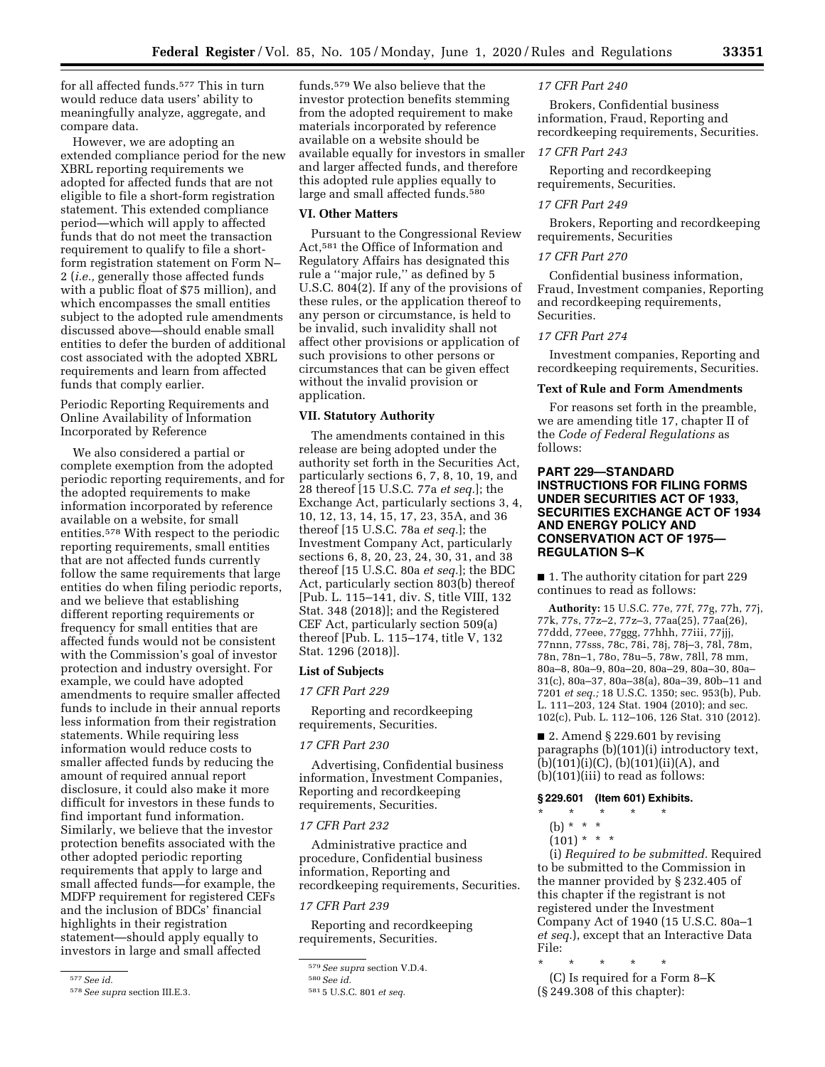for all affected funds.577 This in turn would reduce data users' ability to meaningfully analyze, aggregate, and compare data.

However, we are adopting an extended compliance period for the new XBRL reporting requirements we adopted for affected funds that are not eligible to file a short-form registration statement. This extended compliance period—which will apply to affected funds that do not meet the transaction requirement to qualify to file a shortform registration statement on Form N– 2 (*i.e.,* generally those affected funds with a public float of \$75 million), and which encompasses the small entities subject to the adopted rule amendments discussed above—should enable small entities to defer the burden of additional cost associated with the adopted XBRL requirements and learn from affected funds that comply earlier.

Periodic Reporting Requirements and Online Availability of Information Incorporated by Reference

We also considered a partial or complete exemption from the adopted periodic reporting requirements, and for the adopted requirements to make information incorporated by reference available on a website, for small entities.578 With respect to the periodic reporting requirements, small entities that are not affected funds currently follow the same requirements that large entities do when filing periodic reports, and we believe that establishing different reporting requirements or frequency for small entities that are affected funds would not be consistent with the Commission's goal of investor protection and industry oversight. For example, we could have adopted amendments to require smaller affected funds to include in their annual reports less information from their registration statements. While requiring less information would reduce costs to smaller affected funds by reducing the amount of required annual report disclosure, it could also make it more difficult for investors in these funds to find important fund information. Similarly, we believe that the investor protection benefits associated with the other adopted periodic reporting requirements that apply to large and small affected funds—for example, the MDFP requirement for registered CEFs and the inclusion of BDCs' financial highlights in their registration statement—should apply equally to investors in large and small affected

funds.579 We also believe that the investor protection benefits stemming from the adopted requirement to make materials incorporated by reference available on a website should be available equally for investors in smaller and larger affected funds, and therefore this adopted rule applies equally to large and small affected funds.<sup>580</sup>

# **VI. Other Matters**

Pursuant to the Congressional Review Act,581 the Office of Information and Regulatory Affairs has designated this rule a ''major rule,'' as defined by 5 U.S.C. 804(2). If any of the provisions of these rules, or the application thereof to any person or circumstance, is held to be invalid, such invalidity shall not affect other provisions or application of such provisions to other persons or circumstances that can be given effect without the invalid provision or application.

# **VII. Statutory Authority**

The amendments contained in this release are being adopted under the authority set forth in the Securities Act, particularly sections 6, 7, 8, 10, 19, and 28 thereof [15 U.S.C. 77a *et seq.*]; the Exchange Act, particularly sections 3, 4, 10, 12, 13, 14, 15, 17, 23, 35A, and 36 thereof [15 U.S.C. 78a *et seq.*]; the Investment Company Act, particularly sections 6, 8, 20, 23, 24, 30, 31, and 38 thereof [15 U.S.C. 80a *et seq.*]; the BDC Act, particularly section 803(b) thereof [Pub. L. 115–141, div. S, title VIII, 132 Stat. 348 (2018)]; and the Registered CEF Act, particularly section 509(a) thereof [Pub. L. 115–174, title V, 132 Stat. 1296 (2018)].

#### **List of Subjects**

#### *17 CFR Part 229*

Reporting and recordkeeping requirements, Securities.

# *17 CFR Part 230*

Advertising, Confidential business information, Investment Companies, Reporting and recordkeeping requirements, Securities.

# *17 CFR Part 232*

Administrative practice and procedure, Confidential business information, Reporting and recordkeeping requirements, Securities.

#### *17 CFR Part 239*

Reporting and recordkeeping requirements, Securities.

#### *17 CFR Part 240*

Brokers, Confidential business information, Fraud, Reporting and recordkeeping requirements, Securities.

#### *17 CFR Part 243*

Reporting and recordkeeping requirements, Securities.

#### *17 CFR Part 249*

Brokers, Reporting and recordkeeping requirements, Securities

# *17 CFR Part 270*

Confidential business information, Fraud, Investment companies, Reporting and recordkeeping requirements, Securities.

#### *17 CFR Part 274*

Investment companies, Reporting and recordkeeping requirements, Securities.

# **Text of Rule and Form Amendments**

For reasons set forth in the preamble, we are amending title 17, chapter II of the *Code of Federal Regulations* as follows:

# **PART 229—STANDARD INSTRUCTIONS FOR FILING FORMS UNDER SECURITIES ACT OF 1933, SECURITIES EXCHANGE ACT OF 1934 AND ENERGY POLICY AND CONSERVATION ACT OF 1975— REGULATION S–K**

■ 1. The authority citation for part 229 continues to read as follows:

**Authority:** 15 U.S.C. 77e, 77f, 77g, 77h, 77j, 77k, 77s, 77z–2, 77z–3, 77aa(25), 77aa(26), 77ddd, 77eee, 77ggg, 77hhh, 77iii, 77jjj, 77nnn, 77sss, 78c, 78i, 78j, 78j–3, 78l, 78m, 78n, 78n–1, 78o, 78u–5, 78w, 78ll, 78 mm, 80a–8, 80a–9, 80a–20, 80a–29, 80a–30, 80a– 31(c), 80a–37, 80a–38(a), 80a–39, 80b–11 and 7201 *et seq.;* 18 U.S.C. 1350; sec. 953(b), Pub. L. 111–203, 124 Stat. 1904 (2010); and sec. 102(c), Pub. L. 112–106, 126 Stat. 310 (2012).

 $\blacksquare$  2. Amend § 229.601 by revising paragraphs (b)(101)(i) introductory text,  $(b)(101)(i)(C)$ ,  $(b)(101)(ii)(A)$ , and (b)(101)(iii) to read as follows:

# **§ 229.601 (Item 601) Exhibits.**

# \* \* \* \* \*

(b) \* \* \*

 $(101) * * * *$ 

(i) *Required to be submitted.* Required to be submitted to the Commission in the manner provided by § 232.405 of this chapter if the registrant is not registered under the Investment Company Act of 1940 (15 U.S.C. 80a–1 *et seq.*), except that an Interactive Data File:

(C) Is required for a Form 8–K (§ 249.308 of this chapter):

<sup>577</sup>*See id.* 

<sup>578</sup>*See supra* section III.E.3.

<sup>579</sup>*See supra* section V.D.4.

<sup>580</sup>*See id.* 

<sup>581</sup> 5 U.S.C. 801 *et seq.* 

<sup>\* \* \* \* \*</sup>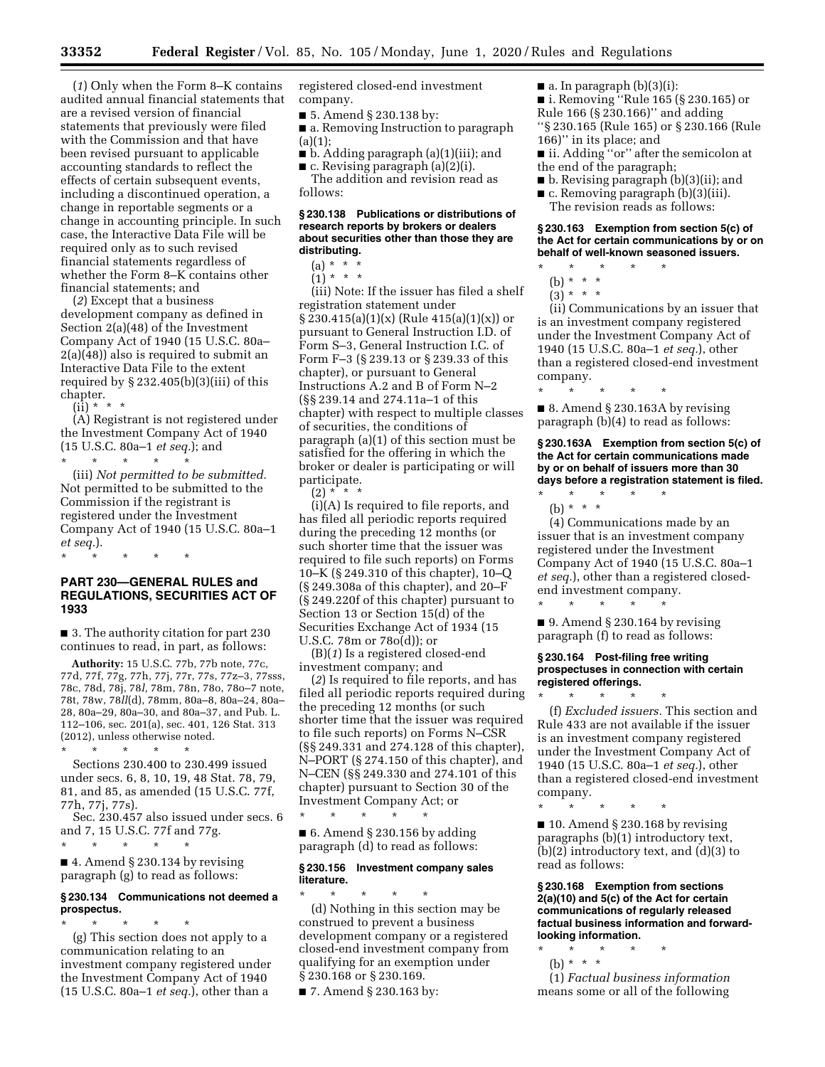(*1*) Only when the Form 8–K contains audited annual financial statements that are a revised version of financial statements that previously were filed with the Commission and that have been revised pursuant to applicable accounting standards to reflect the effects of certain subsequent events, including a discontinued operation, a change in reportable segments or a change in accounting principle. In such case, the Interactive Data File will be required only as to such revised financial statements regardless of whether the Form 8–K contains other financial statements; and

(*2*) Except that a business development company as defined in Section 2(a)(48) of the Investment Company Act of 1940 (15 U.S.C. 80a– 2(a)(48)) also is required to submit an Interactive Data File to the extent required by  $\S 232.405(b)(3)(iii)$  of this chapter.

 $(ii) * * * *$ 

(A) Registrant is not registered under the Investment Company Act of 1940 (15 U.S.C. 80a–1 *et seq.*); and \* \* \* \* \*

(iii) *Not permitted to be submitted.*  Not permitted to be submitted to the Commission if the registrant is registered under the Investment Company Act of 1940 (15 U.S.C. 80a–1 *et seq.*).

# \* \* \* \* \*

# **PART 230—GENERAL RULES and REGULATIONS, SECURITIES ACT OF 1933**

■ 3. The authority citation for part 230 continues to read, in part, as follows:

**Authority:** 15 U.S.C. 77b, 77b note, 77c, 77d, 77f, 77g, 77h, 77j, 77r, 77s, 77z–3, 77sss, 78c, 78d, 78j, 78*l,* 78m, 78n, 78o, 78o–7 note, 78t, 78w, 78*ll*(d), 78mm, 80a–8, 80a–24, 80a– 28, 80a–29, 80a–30, and 80a–37, and Pub. L. 112–106, sec. 201(a), sec. 401, 126 Stat. 313 (2012), unless otherwise noted.

\* \* \* \* \* Sections 230.400 to 230.499 issued under secs. 6, 8, 10, 19, 48 Stat. 78, 79, 81, and 85, as amended (15 U.S.C. 77f, 77h, 77j, 77s).

Sec. 230.457 also issued under secs. 6 and 7, 15 U.S.C. 77f and 77g. \* \* \* \* \*

 $\blacksquare$  4. Amend § 230.134 by revising paragraph (g) to read as follows:

# **§ 230.134 Communications not deemed a prospectus.**

\* \* \* \* \* (g) This section does not apply to a communication relating to an investment company registered under the Investment Company Act of 1940 (15 U.S.C. 80a–1 *et seq.*), other than a

registered closed-end investment company.

■ 5. Amend § 230.138 by:

■ a. Removing Instruction to paragraph  $(a)(1);$ 

■ b. Adding paragraph (a)(1)(iii); and

 $\blacksquare$  c. Revising paragraph (a)(2)(i).

The addition and revision read as follows:

# **§ 230.138 Publications or distributions of research reports by brokers or dealers about securities other than those they are distributing.**

(a) \* \* \*

 $(1) * * * *$ 

(iii) Note: If the issuer has filed a shelf registration statement under  $\S 230.415(a)(1)(x)$  (Rule 415(a)(1)(x)) or pursuant to General Instruction I.D. of Form S–3, General Instruction I.C. of Form F–3 (§ 239.13 or § 239.33 of this chapter), or pursuant to General Instructions A.2 and B of Form N–2 (§§ 239.14 and 274.11a–1 of this chapter) with respect to multiple classes of securities, the conditions of paragraph (a)(1) of this section must be satisfied for the offering in which the broker or dealer is participating or will participate.

 $(2) * * * *$ 

(i)(A) Is required to file reports, and has filed all periodic reports required during the preceding 12 months (or such shorter time that the issuer was required to file such reports) on Forms 10–K (§ 249.310 of this chapter), 10–Q (§ 249.308a of this chapter), and 20–F (§ 249.220f of this chapter) pursuant to Section 13 or Section 15(d) of the Securities Exchange Act of 1934 (15 U.S.C. 78m or 78o(d)); or

(B)(*1*) Is a registered closed-end investment company; and

(*2*) Is required to file reports, and has filed all periodic reports required during the preceding 12 months (or such shorter time that the issuer was required to file such reports) on Forms N–CSR (§§ 249.331 and 274.128 of this chapter), N–PORT (§ 274.150 of this chapter), and N–CEN (§§ 249.330 and 274.101 of this chapter) pursuant to Section 30 of the Investment Company Act; or

\* \* \* \* \*  $\blacksquare$  6. Amend § 230.156 by adding paragraph (d) to read as follows:

# **§ 230.156 Investment company sales literature.**

\* \* \* \* \* (d) Nothing in this section may be construed to prevent a business development company or a registered closed-end investment company from qualifying for an exemption under § 230.168 or § 230.169.

■ 7. Amend § 230.163 by:

- $\blacksquare$  a. In paragraph (b)(3)(i):
- i. Removing ''Rule 165 (§ 230.165) or
- Rule 166 (§ 230.166)'' and adding ''§ 230.165 (Rule 165) or § 230.166 (Rule
- 166)'' in its place; and
- ii. Adding "or" after the semicolon at the end of the paragraph;
- b. Revising paragraph (b)(3)(ii); and
- c. Removing paragraph (b)(3)(iii).
	- The revision reads as follows:

#### **§ 230.163 Exemption from section 5(c) of the Act for certain communications by or on behalf of well-known seasoned issuers.**  \* \* \* \* \*

- (b) \* \* \*
- $(3)^{*}$  \* \*
	-

(ii) Communications by an issuer that is an investment company registered under the Investment Company Act of 1940 (15 U.S.C. 80a–1 *et seq.*), other than a registered closed-end investment company.

■ 8. Amend § 230.163A by revising paragraph (b)(4) to read as follows:

\* \* \* \* \*

**§ 230.163A Exemption from section 5(c) of the Act for certain communications made by or on behalf of issuers more than 30 days before a registration statement is filed.** 

\* \* \* \* \* (b) \* \* \*

(4) Communications made by an issuer that is an investment company registered under the Investment Company Act of 1940 (15 U.S.C. 80a–1 *et seq.*), other than a registered closedend investment company. \* \* \* \* \*

 $\blacksquare$  9. Amend § 230.164 by revising paragraph (f) to read as follows:

# **§ 230.164 Post-filing free writing prospectuses in connection with certain registered offerings.**

\* \* \* \* \* (f) *Excluded issuers.* This section and Rule 433 are not available if the issuer is an investment company registered under the Investment Company Act of 1940 (15 U.S.C. 80a–1 *et seq.*), other than a registered closed-end investment company.

\* \* \* \* \*

 $\blacksquare$  10. Amend § 230.168 by revising paragraphs (b)(1) introductory text, (b)(2) introductory text, and (d)(3) to read as follows:

**§ 230.168 Exemption from sections 2(a)(10) and 5(c) of the Act for certain communications of regularly released factual business information and forwardlooking information.** 

- \* \* \* \* \*
	- (b) \* \* \*

(1) *Factual business information*  means some or all of the following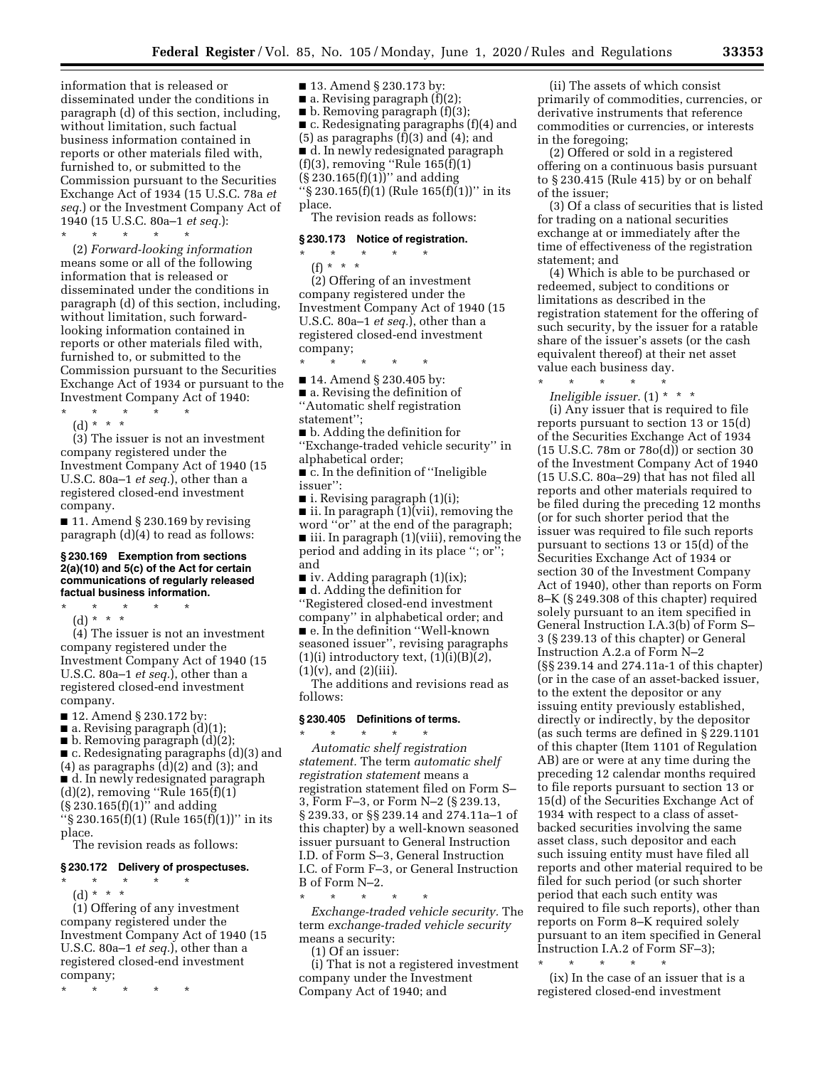information that is released or disseminated under the conditions in paragraph (d) of this section, including, without limitation, such factual business information contained in reports or other materials filed with, furnished to, or submitted to the Commission pursuant to the Securities Exchange Act of 1934 (15 U.S.C. 78a *et seq.*) or the Investment Company Act of 1940 (15 U.S.C. 80a–1 *et seq.*):

\* \* \* \* \*

(2) *Forward-looking information*  means some or all of the following information that is released or disseminated under the conditions in paragraph (d) of this section, including, without limitation, such forwardlooking information contained in reports or other materials filed with, furnished to, or submitted to the Commission pursuant to the Securities Exchange Act of 1934 or pursuant to the Investment Company Act of 1940:

\* \* \* \* \* (d) \* \* \*

(3) The issuer is not an investment company registered under the Investment Company Act of 1940 (15 U.S.C. 80a–1 *et seq.*), other than a registered closed-end investment company.

■ 11. Amend § 230.169 by revising paragraph (d)(4) to read as follows:

**§ 230.169 Exemption from sections 2(a)(10) and 5(c) of the Act for certain communications of regularly released factual business information.** 

\* \* \* \* \* (d) \* \* \*

(4) The issuer is not an investment company registered under the Investment Company Act of 1940 (15 U.S.C. 80a–1 *et seq.*), other than a registered closed-end investment company.

- 12. Amend § 230.172 by:
- **a.** Revising paragraph  $(d)(1)$ ;
- b. Removing paragraph (d)(2);

■ c. Redesignating paragraphs (d)(3) and

 $(4)$  as paragraphs  $(d)(2)$  and  $(3)$ ; and

■ d. In newly redesignated paragraph

(d)(2), removing ''Rule 165(f)(1)

 $(\S 230.165(f)(1)^{7}$  and adding

''§ 230.165(f)(1) (Rule 165(f)(1))'' in its place.

The revision reads as follows:

#### **§ 230.172 Delivery of prospectuses.**

\* \* \* \* \*

(d) \* \* \*

(1) Offering of any investment company registered under the Investment Company Act of 1940 (15 U.S.C. 80a–1 *et seq.*), other than a registered closed-end investment company;

\* \* \* \* \*

■ 13. Amend § 230.173 by: **a.** Revising paragraph  $(f)(2)$ ; ■ b. Removing paragraph (f)(3);  $\blacksquare$  c. Redesignating paragraphs (f)(4) and  $(5)$  as paragraphs  $(f)(3)$  and  $(4)$ ; and ■ d. In newly redesignated paragraph (f)(3), removing ''Rule 165(f)(1) (§ 230.165(f)(1))'' and adding  $\sqrt{8}$  230.165(f)(1) (Rule 165(f)(1))'' in its place.

The revision reads as follows:

#### **§ 230.173 Notice of registration.**

\* \* \* \* \* (f) \* \* \*

(2) Offering of an investment company registered under the Investment Company Act of 1940 (15 U.S.C. 80a–1 *et seq.*), other than a registered closed-end investment company;

\* \* \* \* \*

■ 14. Amend § 230.405 by:

■ a. Revising the definition of ''Automatic shelf registration statement'';

■ b. Adding the definition for

''Exchange-traded vehicle security'' in alphabetical order;

■ c. In the definition of "Ineligible issuer'':

 $\blacksquare$  i. Revising paragraph  $(1)(i)$ ;

 $\blacksquare$  ii. In paragraph (1)(vii), removing the

word ''or'' at the end of the paragraph; ■ iii. In paragraph (1)(viii), removing the

period and adding in its place ''; or''; and

■ iv. Adding paragraph (1)(ix);

■ d. Adding the definition for ''Registered closed-end investment company'' in alphabetical order; and ■ e. In the definition "Well-known seasoned issuer'', revising paragraphs (1)(i) introductory text, (1)(i)(B)(*2*),  $(1)(v)$ , and  $(2)(iii)$ .

The additions and revisions read as follows:

# **§ 230.405 Definitions of terms.**

\* \* \* \* \* *Automatic shelf registration statement.* The term *automatic shelf registration statement* means a registration statement filed on Form S– 3, Form F–3, or Form N–2 (§ 239.13, § 239.33, or §§ 239.14 and 274.11a–1 of this chapter) by a well-known seasoned issuer pursuant to General Instruction I.D. of Form S–3, General Instruction I.C. of Form F–3, or General Instruction

B of Form N–2.

\* \* \* \* \* *Exchange-traded vehicle security.* The term *exchange-traded vehicle security*  means a security:

(1) Of an issuer:

(i) That is not a registered investment company under the Investment Company Act of 1940; and

(ii) The assets of which consist primarily of commodities, currencies, or derivative instruments that reference commodities or currencies, or interests in the foregoing;

(2) Offered or sold in a registered offering on a continuous basis pursuant to § 230.415 (Rule 415) by or on behalf of the issuer;

(3) Of a class of securities that is listed for trading on a national securities exchange at or immediately after the time of effectiveness of the registration statement; and

(4) Which is able to be purchased or redeemed, subject to conditions or limitations as described in the registration statement for the offering of such security, by the issuer for a ratable share of the issuer's assets (or the cash equivalent thereof) at their net asset value each business day.

\* \* \* \* \* *Ineligible issuer.* (1) \* \* \*

(i) Any issuer that is required to file reports pursuant to section 13 or 15(d) of the Securities Exchange Act of 1934 (15 U.S.C. 78m or 78o(d)) or section 30 of the Investment Company Act of 1940 (15 U.S.C. 80a–29) that has not filed all reports and other materials required to be filed during the preceding 12 months (or for such shorter period that the issuer was required to file such reports pursuant to sections 13 or 15(d) of the Securities Exchange Act of 1934 or section 30 of the Investment Company Act of 1940), other than reports on Form 8–K (§ 249.308 of this chapter) required solely pursuant to an item specified in General Instruction I.A.3(b) of Form S– 3 (§ 239.13 of this chapter) or General Instruction A.2.a of Form N–2 (§§ 239.14 and 274.11a-1 of this chapter) (or in the case of an asset-backed issuer, to the extent the depositor or any issuing entity previously established, directly or indirectly, by the depositor (as such terms are defined in § 229.1101 of this chapter (Item 1101 of Regulation AB) are or were at any time during the preceding 12 calendar months required to file reports pursuant to section 13 or 15(d) of the Securities Exchange Act of 1934 with respect to a class of assetbacked securities involving the same asset class, such depositor and each such issuing entity must have filed all reports and other material required to be filed for such period (or such shorter period that each such entity was required to file such reports), other than reports on Form 8–K required solely pursuant to an item specified in General Instruction I.A.2 of Form SF–3);

\* \* \* \* \* (ix) In the case of an issuer that is a registered closed-end investment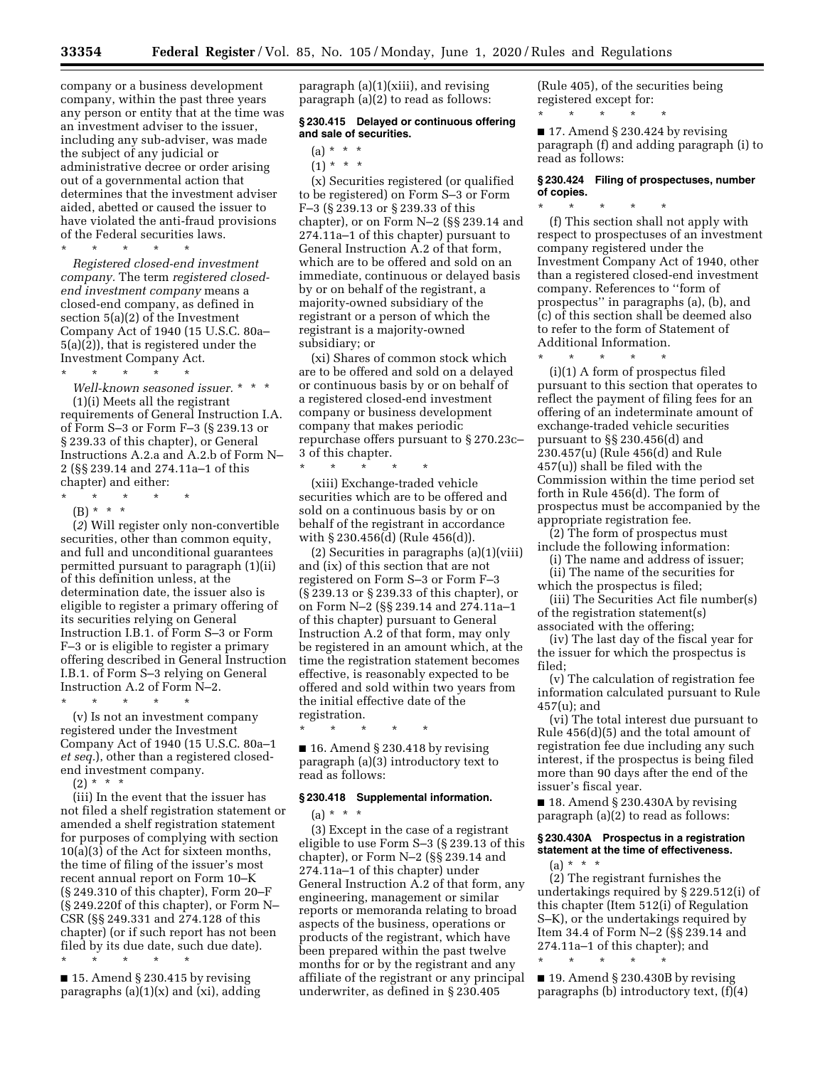company or a business development company, within the past three years any person or entity that at the time was an investment adviser to the issuer, including any sub-adviser, was made the subject of any judicial or administrative decree or order arising out of a governmental action that determines that the investment adviser aided, abetted or caused the issuer to have violated the anti-fraud provisions of the Federal securities laws.

\* \* \* \* \* *Registered closed-end investment company.* The term *registered closedend investment company* means a closed-end company, as defined in section 5(a)(2) of the Investment Company Act of 1940 (15 U.S.C. 80a– 5(a)(2)), that is registered under the Investment Company Act.

\* \* \* \* \*

*Well-known seasoned issuer.* \* \* \* (1)(i) Meets all the registrant requirements of General Instruction I.A. of Form S–3 or Form F–3 (§ 239.13 or § 239.33 of this chapter), or General Instructions A.2.a and A.2.b of Form N– 2 (§§ 239.14 and 274.11a–1 of this chapter) and either:

- \* \* \* \* \*
	- (B) \* \* \*

(*2*) Will register only non-convertible securities, other than common equity, and full and unconditional guarantees permitted pursuant to paragraph (1)(ii) of this definition unless, at the determination date, the issuer also is eligible to register a primary offering of its securities relying on General Instruction I.B.1. of Form S–3 or Form F–3 or is eligible to register a primary offering described in General Instruction I.B.1. of Form S–3 relying on General Instruction A.2 of Form N–2. \* \* \* \* \*

(v) Is not an investment company registered under the Investment Company Act of 1940 (15 U.S.C. 80a–1 *et seq.*), other than a registered closedend investment company.

 $(2) * * * *$ 

(iii) In the event that the issuer has not filed a shelf registration statement or amended a shelf registration statement for purposes of complying with section 10(a)(3) of the Act for sixteen months, the time of filing of the issuer's most recent annual report on Form 10–K (§ 249.310 of this chapter), Form 20–F (§ 249.220f of this chapter), or Form N– CSR (§§ 249.331 and 274.128 of this chapter) (or if such report has not been filed by its due date, such due date). \* \* \* \* \*

 $\blacksquare$  15. Amend § 230.415 by revising paragraphs  $(a)(1)(x)$  and  $(xi)$ , adding paragraph  $(a)(1)(xiii)$ , and revising paragraph (a)(2) to read as follows:

# **§ 230.415 Delayed or continuous offering and sale of securities.**

- (a) \* \* \*
- $(1) * * * *$

(x) Securities registered (or qualified to be registered) on Form S–3 or Form F–3 (§ 239.13 or § 239.33 of this chapter), or on Form N–2 (§§ 239.14 and 274.11a–1 of this chapter) pursuant to General Instruction A.2 of that form, which are to be offered and sold on an immediate, continuous or delayed basis by or on behalf of the registrant, a majority-owned subsidiary of the registrant or a person of which the registrant is a majority-owned subsidiary; or

(xi) Shares of common stock which are to be offered and sold on a delayed or continuous basis by or on behalf of a registered closed-end investment company or business development company that makes periodic repurchase offers pursuant to § 270.23c–  $\frac{3}{\ast}$  of this chapter.

\* \* \* \* \* (xiii) Exchange-traded vehicle securities which are to be offered and sold on a continuous basis by or on behalf of the registrant in accordance with § 230.456(d) (Rule 456(d)).

(2) Securities in paragraphs (a)(1)(viii) and (ix) of this section that are not registered on Form S–3 or Form F–3 (§ 239.13 or § 239.33 of this chapter), or on Form N–2 (§§ 239.14 and 274.11a–1 of this chapter) pursuant to General Instruction A.2 of that form, may only be registered in an amount which, at the time the registration statement becomes effective, is reasonably expected to be offered and sold within two years from the initial effective date of the registration.

\* \* \* \* \*

 $\blacksquare$  16. Amend § 230.418 by revising paragraph (a)(3) introductory text to read as follows:

# **§ 230.418 Supplemental information.**

 $(a) * * * *$ (3) Except in the case of a registrant eligible to use Form S–3 (§ 239.13 of this chapter), or Form N–2 (§§ 239.14 and 274.11a–1 of this chapter) under General Instruction A.2 of that form, any engineering, management or similar reports or memoranda relating to broad aspects of the business, operations or products of the registrant, which have been prepared within the past twelve months for or by the registrant and any affiliate of the registrant or any principal underwriter, as defined in § 230.405

(Rule 405), of the securities being registered except for: \* \* \* \* \*

 $\blacksquare$  17. Amend § 230.424 by revising paragraph (f) and adding paragraph (i) to read as follows:

#### **§ 230.424 Filing of prospectuses, number of copies.**

\* \* \* \* \* (f) This section shall not apply with respect to prospectuses of an investment company registered under the Investment Company Act of 1940, other than a registered closed-end investment company. References to ''form of prospectus'' in paragraphs (a), (b), and (c) of this section shall be deemed also to refer to the form of Statement of Additional Information.

\* \* \* \* \* (i)(1) A form of prospectus filed pursuant to this section that operates to reflect the payment of filing fees for an offering of an indeterminate amount of exchange-traded vehicle securities pursuant to §§ 230.456(d) and 230.457(u) (Rule 456(d) and Rule 457(u)) shall be filed with the Commission within the time period set forth in Rule 456(d). The form of prospectus must be accompanied by the appropriate registration fee.

(2) The form of prospectus must include the following information:

(i) The name and address of issuer; (ii) The name of the securities for

which the prospectus is filed; (iii) The Securities Act file number(s) of the registration statement(s)

associated with the offering; (iv) The last day of the fiscal year for

the issuer for which the prospectus is filed;

(v) The calculation of registration fee information calculated pursuant to Rule 457(u); and

(vi) The total interest due pursuant to Rule 456(d)(5) and the total amount of registration fee due including any such interest, if the prospectus is being filed more than 90 days after the end of the issuer's fiscal year.

■ 18. Amend § 230.430A by revising paragraph (a)(2) to read as follows:

# **§ 230.430A Prospectus in a registration statement at the time of effectiveness.**

(a) \* \* \*

(2) The registrant furnishes the undertakings required by § 229.512(i) of this chapter (Item 512(i) of Regulation S–K), or the undertakings required by Item 34.4 of Form N–2 (§§ 239.14 and 274.11a–1 of this chapter); and

■ 19. Amend § 230.430B by revising paragraphs (b) introductory text, (f)(4)

\* \* \* \* \*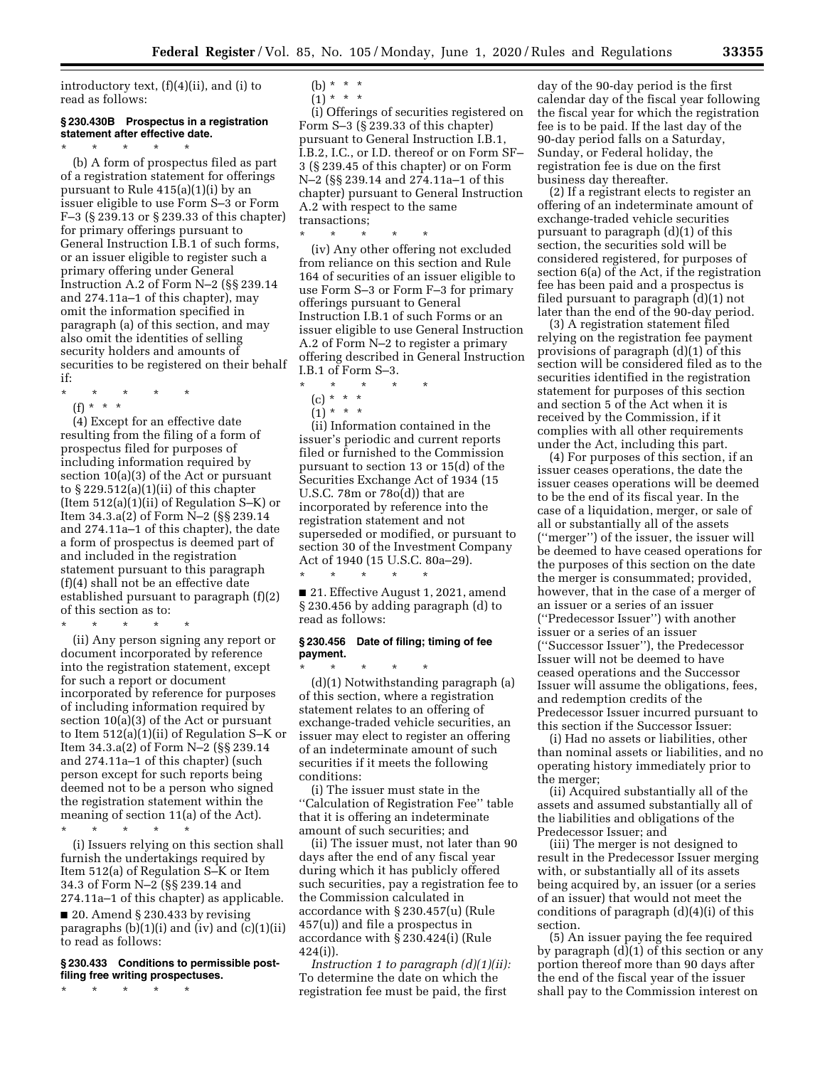introductory text, (f)(4)(ii), and (i) to read as follows:

# **§ 230.430B Prospectus in a registration statement after effective date.**

 $\star$   $\qquad$   $\star$   $\qquad$   $\star$   $\qquad$   $\star$ (b) A form of prospectus filed as part of a registration statement for offerings pursuant to Rule 415(a)(1)(i) by an issuer eligible to use Form S–3 or Form F–3 (§ 239.13 or § 239.33 of this chapter) for primary offerings pursuant to General Instruction I.B.1 of such forms, or an issuer eligible to register such a primary offering under General Instruction A.2 of Form N–2 (§§ 239.14 and 274.11a–1 of this chapter), may omit the information specified in paragraph (a) of this section, and may also omit the identities of selling security holders and amounts of securities to be registered on their behalf if:

- \* \* \* \* \*
- (f) \* \* \*

(4) Except for an effective date resulting from the filing of a form of prospectus filed for purposes of including information required by section 10(a)(3) of the Act or pursuant to § 229.512(a)(1)(ii) of this chapter (Item 512(a)(1)(ii) of Regulation S–K) or Item 34.3.a(2) of Form N–2 (§§ 239.14 and 274.11a–1 of this chapter), the date a form of prospectus is deemed part of and included in the registration statement pursuant to this paragraph (f)(4) shall not be an effective date established pursuant to paragraph (f)(2) of this section as to:

\* \* \* \* \*

(ii) Any person signing any report or document incorporated by reference into the registration statement, except for such a report or document incorporated by reference for purposes of including information required by section 10(a)(3) of the Act or pursuant to Item 512(a)(1)(ii) of Regulation S–K or Item 34.3.a(2) of Form N–2 (§§ 239.14 and 274.11a–1 of this chapter) (such person except for such reports being deemed not to be a person who signed the registration statement within the meaning of section 11(a) of the Act).

\* \* \* \* \*

(i) Issuers relying on this section shall furnish the undertakings required by Item 512(a) of Regulation S–K or Item 34.3 of Form N–2 (§§ 239.14 and 274.11a–1 of this chapter) as applicable.

 $\Box$  20. Amend § 230.433 by revising paragraphs  $(b)(1)(i)$  and  $(iv)$  and  $(c)(1)(ii)$ to read as follows:

# **§ 230.433 Conditions to permissible postfiling free writing prospectuses.**

\* \* \* \* \*

(b)  $* * * *$  $(1) * * * *$ 

(i) Offerings of securities registered on Form S–3 (§ 239.33 of this chapter) pursuant to General Instruction I.B.1, I.B.2, I.C., or I.D. thereof or on Form SF– 3 (§ 239.45 of this chapter) or on Form N–2 (§§ 239.14 and 274.11a–1 of this chapter) pursuant to General Instruction A.2 with respect to the same transactions;

\* \* \* \* \*

(iv) Any other offering not excluded from reliance on this section and Rule 164 of securities of an issuer eligible to use Form S–3 or Form F–3 for primary offerings pursuant to General Instruction I.B.1 of such Forms or an issuer eligible to use General Instruction A.2 of Form N–2 to register a primary offering described in General Instruction I.B.1 of Form S–3.

 $\star$   $\star$ 

(1) \* \* \*

(ii) Information contained in the issuer's periodic and current reports filed or furnished to the Commission pursuant to section 13 or 15(d) of the Securities Exchange Act of 1934 (15 U.S.C. 78m or 78o(d)) that are incorporated by reference into the registration statement and not superseded or modified, or pursuant to section 30 of the Investment Company Act of 1940 (15 U.S.C. 80a–29). \* \* \* \* \*

■ 21. Effective August 1, 2021, amend § 230.456 by adding paragraph (d) to read as follows:

#### **§ 230.456 Date of filing; timing of fee payment.**

\* \* \* \* \* (d)(1) Notwithstanding paragraph (a) of this section, where a registration statement relates to an offering of exchange-traded vehicle securities, an issuer may elect to register an offering of an indeterminate amount of such securities if it meets the following conditions:

(i) The issuer must state in the ''Calculation of Registration Fee'' table that it is offering an indeterminate amount of such securities; and

(ii) The issuer must, not later than 90 days after the end of any fiscal year during which it has publicly offered such securities, pay a registration fee to the Commission calculated in accordance with § 230.457(u) (Rule 457(u)) and file a prospectus in accordance with § 230.424(i) (Rule 424(i)).

*Instruction 1 to paragraph (d)(1)(ii):*  To determine the date on which the registration fee must be paid, the first

day of the 90-day period is the first calendar day of the fiscal year following the fiscal year for which the registration fee is to be paid. If the last day of the 90-day period falls on a Saturday, Sunday, or Federal holiday, the registration fee is due on the first business day thereafter.

(2) If a registrant elects to register an offering of an indeterminate amount of exchange-traded vehicle securities pursuant to paragraph (d)(1) of this section, the securities sold will be considered registered, for purposes of section 6(a) of the Act, if the registration fee has been paid and a prospectus is filed pursuant to paragraph (d)(1) not later than the end of the 90-day period.

(3) A registration statement filed relying on the registration fee payment provisions of paragraph (d)(1) of this section will be considered filed as to the securities identified in the registration statement for purposes of this section and section 5 of the Act when it is received by the Commission, if it complies with all other requirements under the Act, including this part.

(4) For purposes of this section, if an issuer ceases operations, the date the issuer ceases operations will be deemed to be the end of its fiscal year. In the case of a liquidation, merger, or sale of all or substantially all of the assets (''merger'') of the issuer, the issuer will be deemed to have ceased operations for the purposes of this section on the date the merger is consummated; provided, however, that in the case of a merger of an issuer or a series of an issuer (''Predecessor Issuer'') with another issuer or a series of an issuer (''Successor Issuer''), the Predecessor Issuer will not be deemed to have ceased operations and the Successor Issuer will assume the obligations, fees, and redemption credits of the Predecessor Issuer incurred pursuant to this section if the Successor Issuer:

(i) Had no assets or liabilities, other than nominal assets or liabilities, and no operating history immediately prior to the merger;

(ii) Acquired substantially all of the assets and assumed substantially all of the liabilities and obligations of the Predecessor Issuer; and

(iii) The merger is not designed to result in the Predecessor Issuer merging with, or substantially all of its assets being acquired by, an issuer (or a series of an issuer) that would not meet the conditions of paragraph (d)(4)(i) of this section.

(5) An issuer paying the fee required by paragraph (d)(1) of this section or any portion thereof more than 90 days after the end of the fiscal year of the issuer shall pay to the Commission interest on

<sup>(</sup>c) \* \* \*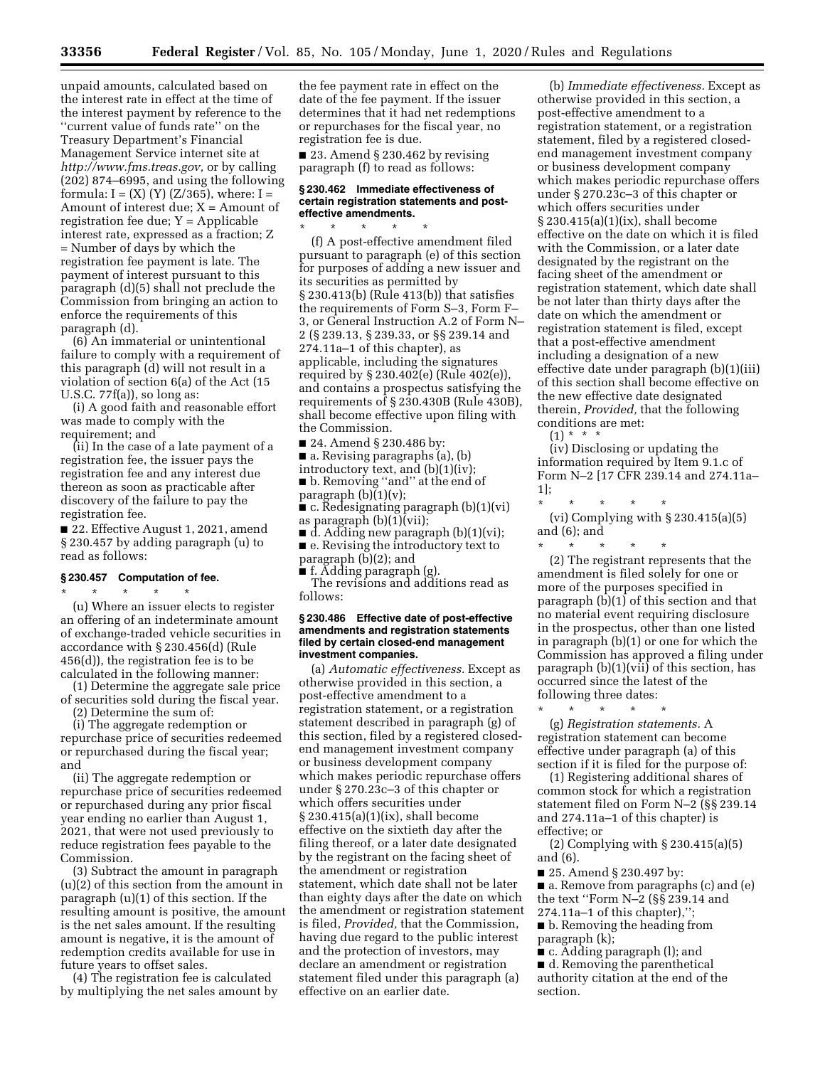unpaid amounts, calculated based on the interest rate in effect at the time of the interest payment by reference to the ''current value of funds rate'' on the Treasury Department's Financial Management Service internet site at *[http://www.fms.treas.gov,](http://www.fms.treas.gov)* or by calling (202) 874–6995, and using the following formula:  $I = (X) (Y) (Z/365)$ , where:  $I =$ Amount of interest due;  $X =$  Amount of registration fee due; Y = Applicable interest rate, expressed as a fraction; Z = Number of days by which the registration fee payment is late. The payment of interest pursuant to this paragraph (d)(5) shall not preclude the Commission from bringing an action to enforce the requirements of this paragraph (d).

(6) An immaterial or unintentional failure to comply with a requirement of this paragraph (d) will not result in a violation of section 6(a) of the Act (15 U.S.C. 77f(a)), so long as:

(i) A good faith and reasonable effort was made to comply with the requirement; and

(ii) In the case of a late payment of a registration fee, the issuer pays the registration fee and any interest due thereon as soon as practicable after discovery of the failure to pay the registration fee.

■ 22. Effective August 1, 2021, amend § 230.457 by adding paragraph (u) to read as follows:

# **§ 230.457 Computation of fee.**

\* \* \* \* \* (u) Where an issuer elects to register an offering of an indeterminate amount of exchange-traded vehicle securities in accordance with § 230.456(d) (Rule 456(d)), the registration fee is to be calculated in the following manner:

(1) Determine the aggregate sale price of securities sold during the fiscal year.

(2) Determine the sum of:

(i) The aggregate redemption or repurchase price of securities redeemed or repurchased during the fiscal year; and

(ii) The aggregate redemption or repurchase price of securities redeemed or repurchased during any prior fiscal year ending no earlier than August 1, 2021, that were not used previously to reduce registration fees payable to the Commission.

(3) Subtract the amount in paragraph (u)(2) of this section from the amount in paragraph (u)(1) of this section. If the resulting amount is positive, the amount is the net sales amount. If the resulting amount is negative, it is the amount of redemption credits available for use in future years to offset sales.

(4) The registration fee is calculated by multiplying the net sales amount by the fee payment rate in effect on the date of the fee payment. If the issuer determines that it had net redemptions or repurchases for the fiscal year, no registration fee is due.

■ 23. Amend § 230.462 by revising paragraph (f) to read as follows:

# **§ 230.462 Immediate effectiveness of certain registration statements and posteffective amendments.**

\* \* \* \* \* (f) A post-effective amendment filed pursuant to paragraph (e) of this section for purposes of adding a new issuer and its securities as permitted by § 230.413(b) (Rule 413(b)) that satisfies the requirements of Form S–3, Form F– 3, or General Instruction A.2 of Form N– 2 (§ 239.13, § 239.33, or §§ 239.14 and 274.11a–1 of this chapter), as applicable, including the signatures required by § 230.402(e) (Rule 402(e)), and contains a prospectus satisfying the requirements of § 230.430B (Rule 430B), shall become effective upon filing with the Commission.

- 24. Amend § 230.486 by:
- a. Revising paragraphs (a), (b)
- introductory text, and (b)(1)(iv); ■ b. Removing "and" at the end of
- paragraph  $(b)(1)(v)$ ;
- c. Redesignating paragraph (b)(1)(vi) as paragraph (b)(1)(vii);
- $\blacksquare$  d. Adding new paragraph (b)(1)(vi);

■ e. Revising the introductory text to

paragraph (b)(2); and ■ f. Adding paragraph (g).

The revisions and additions read as

follows:

#### **§ 230.486 Effective date of post-effective amendments and registration statements filed by certain closed-end management investment companies.**

(a) *Automatic effectiveness.* Except as otherwise provided in this section, a post-effective amendment to a registration statement, or a registration statement described in paragraph (g) of this section, filed by a registered closedend management investment company or business development company which makes periodic repurchase offers under § 270.23c–3 of this chapter or which offers securities under § 230.415(a)(1)(ix), shall become effective on the sixtieth day after the filing thereof, or a later date designated by the registrant on the facing sheet of the amendment or registration statement, which date shall not be later than eighty days after the date on which the amendment or registration statement is filed, *Provided,* that the Commission, having due regard to the public interest and the protection of investors, may declare an amendment or registration statement filed under this paragraph (a) effective on an earlier date.

(b) *Immediate effectiveness.* Except as otherwise provided in this section, a post-effective amendment to a registration statement, or a registration statement, filed by a registered closedend management investment company or business development company which makes periodic repurchase offers under § 270.23c–3 of this chapter or which offers securities under § 230.415(a)(1)(ix), shall become effective on the date on which it is filed with the Commission, or a later date designated by the registrant on the facing sheet of the amendment or registration statement, which date shall be not later than thirty days after the date on which the amendment or registration statement is filed, except that a post-effective amendment including a designation of a new effective date under paragraph (b)(1)(iii) of this section shall become effective on the new effective date designated therein, *Provided,* that the following conditions are met:

 $(1) * * * *$ 

(iv) Disclosing or updating the information required by Item 9.1.c of Form N–2 [17 CFR 239.14 and 274.11a– 1];

- \* \* \* \* \* (vi) Complying with § 230.415(a)(5) and (6); and
- \* \* \* \* \*

(2) The registrant represents that the amendment is filed solely for one or more of the purposes specified in paragraph (b)(1) of this section and that no material event requiring disclosure in the prospectus, other than one listed in paragraph (b)(1) or one for which the Commission has approved a filing under paragraph (b)(1)(vii) of this section, has occurred since the latest of the following three dates:

\* \* \* \* \* (g) *Registration statements.* A registration statement can become effective under paragraph (a) of this section if it is filed for the purpose of:

(1) Registering additional shares of common stock for which a registration statement filed on Form N–2 (§§ 239.14 and 274.11a–1 of this chapter) is effective; or

(2) Complying with § 230.415(a)(5) and (6).

■ 25. Amend § 230.497 by:

■ a. Remove from paragraphs (c) and (e) the text ''Form N–2 (§§ 239.14 and 274.11a–1 of this chapter),'';

■ b. Removing the heading from paragraph (k);

■ c. Adding paragraph (1); and ■ d. Removing the parenthetical authority citation at the end of the section.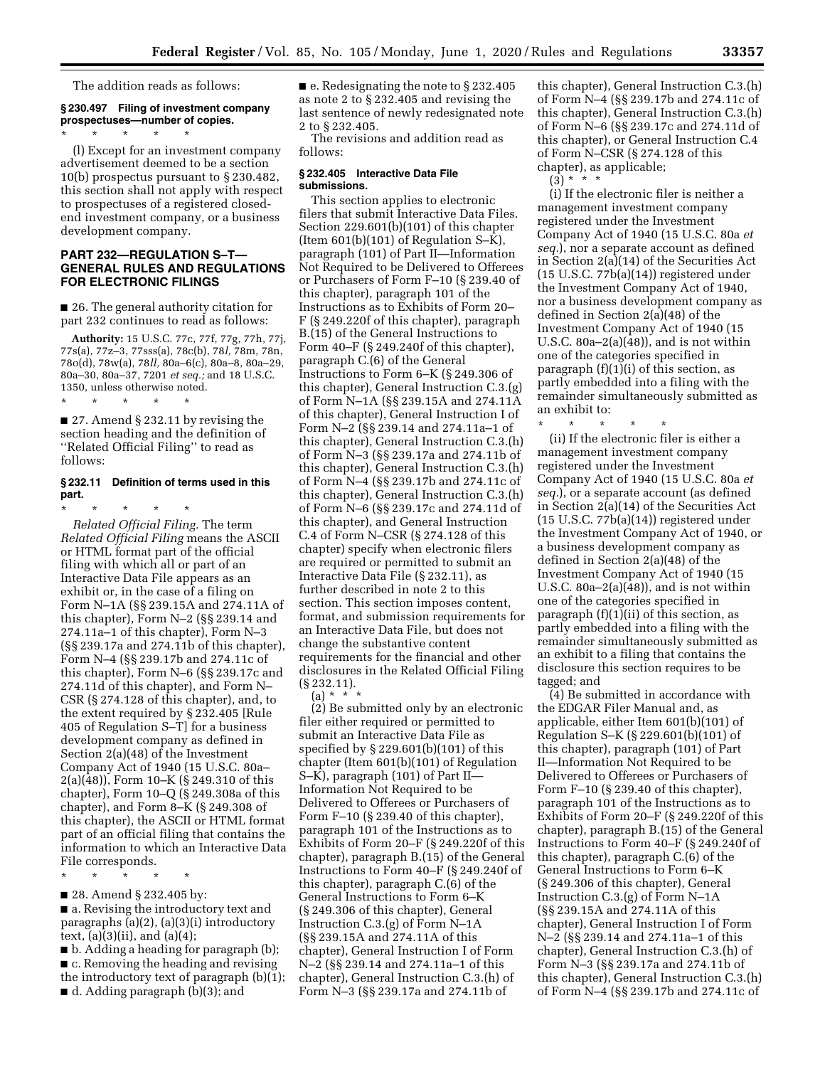The addition reads as follows:

#### **§ 230.497 Filing of investment company prospectuses—number of copies.**  \* \* \* \* \*

(l) Except for an investment company advertisement deemed to be a section 10(b) prospectus pursuant to § 230.482, this section shall not apply with respect to prospectuses of a registered closedend investment company, or a business development company.

# **PART 232—REGULATION S–T— GENERAL RULES AND REGULATIONS FOR ELECTRONIC FILINGS**

■ 26. The general authority citation for part 232 continues to read as follows:

**Authority:** 15 U.S.C. 77c, 77f, 77g, 77h, 77j, 77s(a), 77z–3, 77sss(a), 78c(b), 78*l,* 78m, 78n, 78o(d), 78w(a), 78*ll,* 80a–6(c), 80a–8, 80a–29, 80a–30, 80a–37, 7201 *et seq.;* and 18 U.S.C. 1350, unless otherwise noted.<br>\* \* \* \* \* \* \*

■ 27. Amend § 232.11 by revising the section heading and the definition of ''Related Official Filing'' to read as follows:

\* \* \* \* \*

# **§ 232.11 Definition of terms used in this part.**

\* \* \* \* \* *Related Official Filing.* The term *Related Official Filing* means the ASCII or HTML format part of the official filing with which all or part of an Interactive Data File appears as an exhibit or, in the case of a filing on Form N–1A (§§ 239.15A and 274.11A of this chapter), Form N–2 (§§ 239.14 and 274.11a–1 of this chapter), Form N–3 (§§ 239.17a and 274.11b of this chapter), Form N–4 (§§ 239.17b and 274.11c of this chapter), Form N–6 (§§ 239.17c and 274.11d of this chapter), and Form N– CSR (§ 274.128 of this chapter), and, to the extent required by § 232.405 [Rule 405 of Regulation S–T] for a business development company as defined in Section 2(a)(48) of the Investment Company Act of 1940 (15 U.S.C. 80a– 2(a)(48)), Form 10–K (§ 249.310 of this chapter), Form 10–Q (§ 249.308a of this chapter), and Form 8–K (§ 249.308 of this chapter), the ASCII or HTML format part of an official filing that contains the information to which an Interactive Data File corresponds.

\* \* \* \* \*

■ 28. Amend § 232.405 by:

■ a. Revising the introductory text and paragraphs (a)(2), (a)(3)(i) introductory text,  $(a)(3)(ii)$ , and  $(a)(4)$ ;

■ b. Adding a heading for paragraph (b); ■ c. Removing the heading and revising the introductory text of paragraph (b)(1); ■ d. Adding paragraph (b)(3); and

■ e. Redesignating the note to § 232.405 as note 2 to § 232.405 and revising the last sentence of newly redesignated note 2 to § 232.405.

The revisions and addition read as follows:

#### **§ 232.405 Interactive Data File submissions.**

This section applies to electronic filers that submit Interactive Data Files. Section 229.601(b)(101) of this chapter (Item 601(b)(101) of Regulation S–K), paragraph (101) of Part II—Information Not Required to be Delivered to Offerees or Purchasers of Form F–10 (§ 239.40 of this chapter), paragraph 101 of the Instructions as to Exhibits of Form 20– F (§ 249.220f of this chapter), paragraph B.(15) of the General Instructions to Form 40–F (§ 249.240f of this chapter), paragraph C.(6) of the General Instructions to Form 6–K (§ 249.306 of this chapter), General Instruction C.3.(g) of Form N–1A (§§ 239.15A and 274.11A of this chapter), General Instruction I of Form N–2 (§§ 239.14 and 274.11a–1 of this chapter), General Instruction C.3.(h) of Form N–3 (§§ 239.17a and 274.11b of this chapter), General Instruction C.3.(h) of Form N–4 (§§ 239.17b and 274.11c of this chapter), General Instruction C.3.(h) of Form N–6 (§§ 239.17c and 274.11d of this chapter), and General Instruction C.4 of Form N–CSR (§ 274.128 of this chapter) specify when electronic filers are required or permitted to submit an Interactive Data File (§ 232.11), as further described in note 2 to this section. This section imposes content, format, and submission requirements for an Interactive Data File, but does not change the substantive content requirements for the financial and other disclosures in the Related Official Filing (§ 232.11).

 $(a) * *$ 

(2) Be submitted only by an electronic filer either required or permitted to submit an Interactive Data File as specified by § 229.601(b)(101) of this chapter (Item 601(b)(101) of Regulation S–K), paragraph (101) of Part II— Information Not Required to be Delivered to Offerees or Purchasers of Form F–10 (§ 239.40 of this chapter), paragraph 101 of the Instructions as to Exhibits of Form 20–F (§ 249.220f of this chapter), paragraph B.(15) of the General Instructions to Form 40–F (§ 249.240f of this chapter), paragraph C.(6) of the General Instructions to Form 6–K (§ 249.306 of this chapter), General Instruction C.3.(g) of Form N–1A (§§ 239.15A and 274.11A of this chapter), General Instruction I of Form N–2 (§§ 239.14 and 274.11a–1 of this chapter), General Instruction C.3.(h) of Form N–3 (§§ 239.17a and 274.11b of

this chapter), General Instruction C.3.(h) of Form N–4 (§§ 239.17b and 274.11c of this chapter), General Instruction C.3.(h) of Form N–6 (§§ 239.17c and 274.11d of this chapter), or General Instruction C.4 of Form N–CSR (§ 274.128 of this chapter), as applicable;

 $(3) * * * *$ 

(i) If the electronic filer is neither a management investment company registered under the Investment Company Act of 1940 (15 U.S.C. 80a *et seq.*), nor a separate account as defined in Section 2(a)(14) of the Securities Act (15 U.S.C. 77b(a)(14)) registered under the Investment Company Act of 1940, nor a business development company as defined in Section 2(a)(48) of the Investment Company Act of 1940 (15 U.S.C. 80a–2(a)(48)), and is not within one of the categories specified in paragraph  $(f)(1)(i)$  of this section, as partly embedded into a filing with the remainder simultaneously submitted as an exhibit to:

\* \* \* \* \* (ii) If the electronic filer is either a management investment company registered under the Investment Company Act of 1940 (15 U.S.C. 80a *et seq.*), or a separate account (as defined in Section 2(a)(14) of the Securities Act (15 U.S.C. 77b(a)(14)) registered under the Investment Company Act of 1940, or a business development company as defined in Section 2(a)(48) of the Investment Company Act of 1940 (15 U.S.C.  $80a-2(a)(48)$ , and is not within one of the categories specified in paragraph  $(f)(1)(ii)$  of this section, as partly embedded into a filing with the remainder simultaneously submitted as an exhibit to a filing that contains the disclosure this section requires to be tagged; and

(4) Be submitted in accordance with the EDGAR Filer Manual and, as applicable, either Item 601(b)(101) of Regulation S–K (§ 229.601(b)(101) of this chapter), paragraph (101) of Part II—Information Not Required to be Delivered to Offerees or Purchasers of Form F–10 (§ 239.40 of this chapter), paragraph 101 of the Instructions as to Exhibits of Form 20–F (§ 249.220f of this chapter), paragraph B.(15) of the General Instructions to Form 40–F (§ 249.240f of this chapter), paragraph C.(6) of the General Instructions to Form 6–K (§ 249.306 of this chapter), General Instruction C.3.(g) of Form N–1A (§§ 239.15A and 274.11A of this chapter), General Instruction I of Form N–2 (§§ 239.14 and 274.11a–1 of this chapter), General Instruction C.3.(h) of Form N–3 (§§ 239.17a and 274.11b of this chapter), General Instruction C.3.(h) of Form N–4 (§§ 239.17b and 274.11c of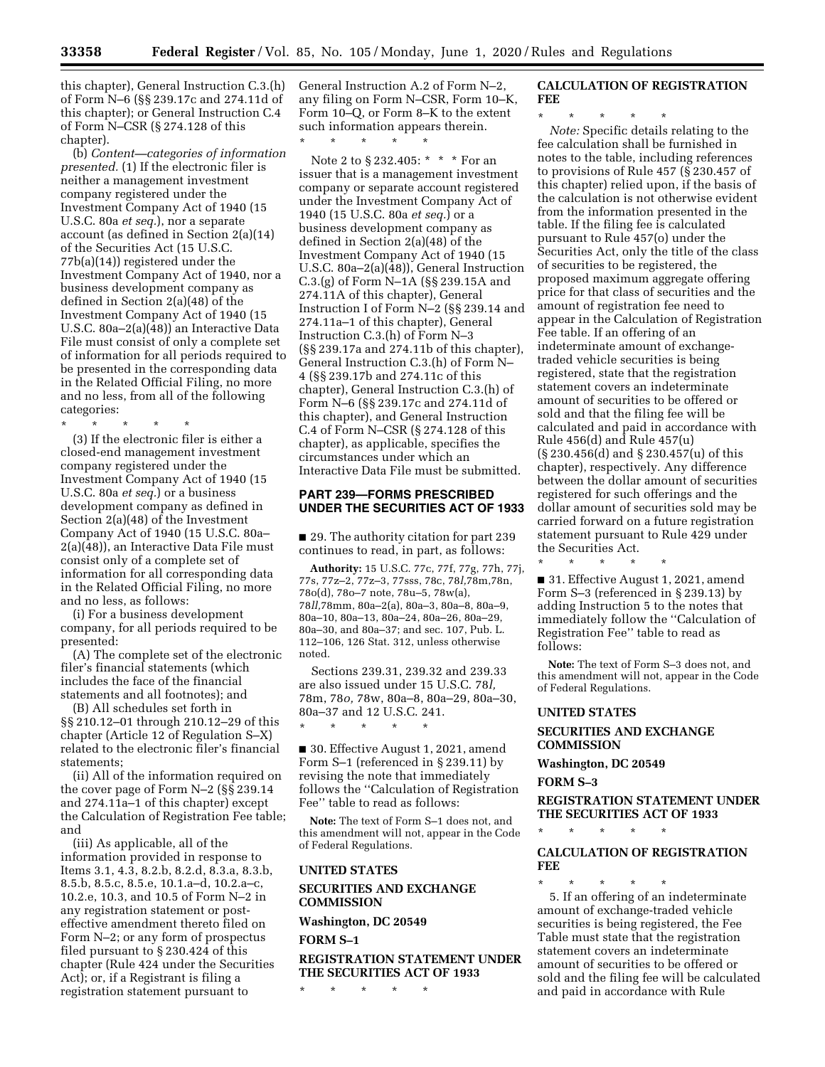this chapter), General Instruction C.3.(h) of Form N–6 (§§ 239.17c and 274.11d of this chapter); or General Instruction C.4 of Form N–CSR (§ 274.128 of this chapter).

(b) *Content—categories of information presented.* (1) If the electronic filer is neither a management investment company registered under the Investment Company Act of 1940 (15 U.S.C. 80a *et seq.*), nor a separate account (as defined in Section 2(a)(14) of the Securities Act (15 U.S.C. 77b(a)(14)) registered under the Investment Company Act of 1940, nor a business development company as defined in Section 2(a)(48) of the Investment Company Act of 1940 (15 U.S.C. 80a–2(a)(48)) an Interactive Data File must consist of only a complete set of information for all periods required to be presented in the corresponding data in the Related Official Filing, no more and no less, from all of the following categories:

\* \* \* \* \* (3) If the electronic filer is either a closed-end management investment company registered under the Investment Company Act of 1940 (15 U.S.C. 80a *et seq.*) or a business development company as defined in Section 2(a)(48) of the Investment Company Act of 1940 (15 U.S.C. 80a– 2(a)(48)), an Interactive Data File must consist only of a complete set of information for all corresponding data in the Related Official Filing, no more and no less, as follows:

(i) For a business development company, for all periods required to be presented:

(A) The complete set of the electronic filer's financial statements (which includes the face of the financial statements and all footnotes); and

(B) All schedules set forth in §§ 210.12–01 through 210.12–29 of this chapter (Article 12 of Regulation S–X) related to the electronic filer's financial statements;

(ii) All of the information required on the cover page of Form N–2 (§§ 239.14 and 274.11a–1 of this chapter) except the Calculation of Registration Fee table; and

(iii) As applicable, all of the information provided in response to Items 3.1, 4.3, 8.2.b, 8.2.d, 8.3.a, 8.3.b, 8.5.b, 8.5.c, 8.5.e, 10.1.a–d, 10.2.a–c, 10.2.e, 10.3, and 10.5 of Form N–2 in any registration statement or posteffective amendment thereto filed on Form N–2; or any form of prospectus filed pursuant to § 230.424 of this chapter (Rule 424 under the Securities Act); or, if a Registrant is filing a registration statement pursuant to

General Instruction A.2 of Form N–2, any filing on Form N–CSR, Form 10–K, Form 10–Q, or Form 8–K to the extent such information appears therein.

\* \* \* \* \*

Note 2 to § 232.405: \* \* \* For an issuer that is a management investment company or separate account registered under the Investment Company Act of 1940 (15 U.S.C. 80a *et seq.*) or a business development company as defined in Section 2(a)(48) of the Investment Company Act of 1940 (15 U.S.C. 80a–2(a)(48)), General Instruction C.3.(g) of Form N–1A (§§ 239.15A and 274.11A of this chapter), General Instruction I of Form N–2 (§§ 239.14 and 274.11a–1 of this chapter), General Instruction C.3.(h) of Form N–3 (§§ 239.17a and 274.11b of this chapter), General Instruction C.3.(h) of Form N– 4 (§§ 239.17b and 274.11c of this chapter), General Instruction C.3.(h) of Form N–6 (§§ 239.17c and 274.11d of this chapter), and General Instruction C.4 of Form N–CSR (§ 274.128 of this chapter), as applicable, specifies the circumstances under which an Interactive Data File must be submitted.

# **PART 239—FORMS PRESCRIBED UNDER THE SECURITIES ACT OF 1933**

■ 29. The authority citation for part 239 continues to read, in part, as follows:

**Authority:** 15 U.S.C. 77c, 77f, 77g, 77h, 77j, 77s, 77z–2, 77z–3, 77sss, 78c, 78*l,*78m,78n, 78o(d), 78o–7 note, 78u–5, 78w(a), 78*ll,*78mm, 80a–2(a), 80a–3, 80a–8, 80a–9, 80a–10, 80a–13, 80a–24, 80a–26, 80a–29, 80a–30, and 80a–37; and sec. 107, Pub. L. 112–106, 126 Stat. 312, unless otherwise noted.

Sections 239.31, 239.32 and 239.33 are also issued under 15 U.S.C. 78*l,*  78m, 78*o,* 78w, 80a–8, 80a–29, 80a–30, 80a–37 and 12 U.S.C. 241.

\* \* \* \* \*

■ 30. Effective August 1, 2021, amend Form S–1 (referenced in § 239.11) by revising the note that immediately follows the ''Calculation of Registration Fee'' table to read as follows:

**Note:** The text of Form S–1 does not, and this amendment will not, appear in the Code of Federal Regulations.

#### **UNITED STATES**

**SECURITIES AND EXCHANGE COMMISSION** 

**Washington, DC 20549** 

**FORM S–1** 

**REGISTRATION STATEMENT UNDER THE SECURITIES ACT OF 1933** 

\* \* \* \* \*

# **CALCULATION OF REGISTRATION FEE**

\* \* \* \* \*

*Note:* Specific details relating to the fee calculation shall be furnished in notes to the table, including references to provisions of Rule 457 (§ 230.457 of this chapter) relied upon, if the basis of the calculation is not otherwise evident from the information presented in the table. If the filing fee is calculated pursuant to Rule 457(o) under the Securities Act, only the title of the class of securities to be registered, the proposed maximum aggregate offering price for that class of securities and the amount of registration fee need to appear in the Calculation of Registration Fee table. If an offering of an indeterminate amount of exchangetraded vehicle securities is being registered, state that the registration statement covers an indeterminate amount of securities to be offered or sold and that the filing fee will be calculated and paid in accordance with Rule 456(d) and Rule 457(u) (§ 230.456(d) and § 230.457(u) of this chapter), respectively. Any difference between the dollar amount of securities registered for such offerings and the dollar amount of securities sold may be carried forward on a future registration statement pursuant to Rule 429 under the Securities Act.

\* \* \* \* \* ■ 31. Effective August 1, 2021, amend Form S–3 (referenced in § 239.13) by adding Instruction 5 to the notes that immediately follow the ''Calculation of Registration Fee'' table to read as follows:

**Note:** The text of Form S–3 does not, and this amendment will not, appear in the Code of Federal Regulations.

# **UNITED STATES**

# **SECURITIES AND EXCHANGE COMMISSION**

**Washington, DC 20549** 

\* \* \* \* \*

# **FORM S–3**

**REGISTRATION STATEMENT UNDER THE SECURITIES ACT OF 1933** 

# **CALCULATION OF REGISTRATION FEE**

\* \* \* \* \* 5. If an offering of an indeterminate amount of exchange-traded vehicle securities is being registered, the Fee Table must state that the registration statement covers an indeterminate amount of securities to be offered or sold and the filing fee will be calculated and paid in accordance with Rule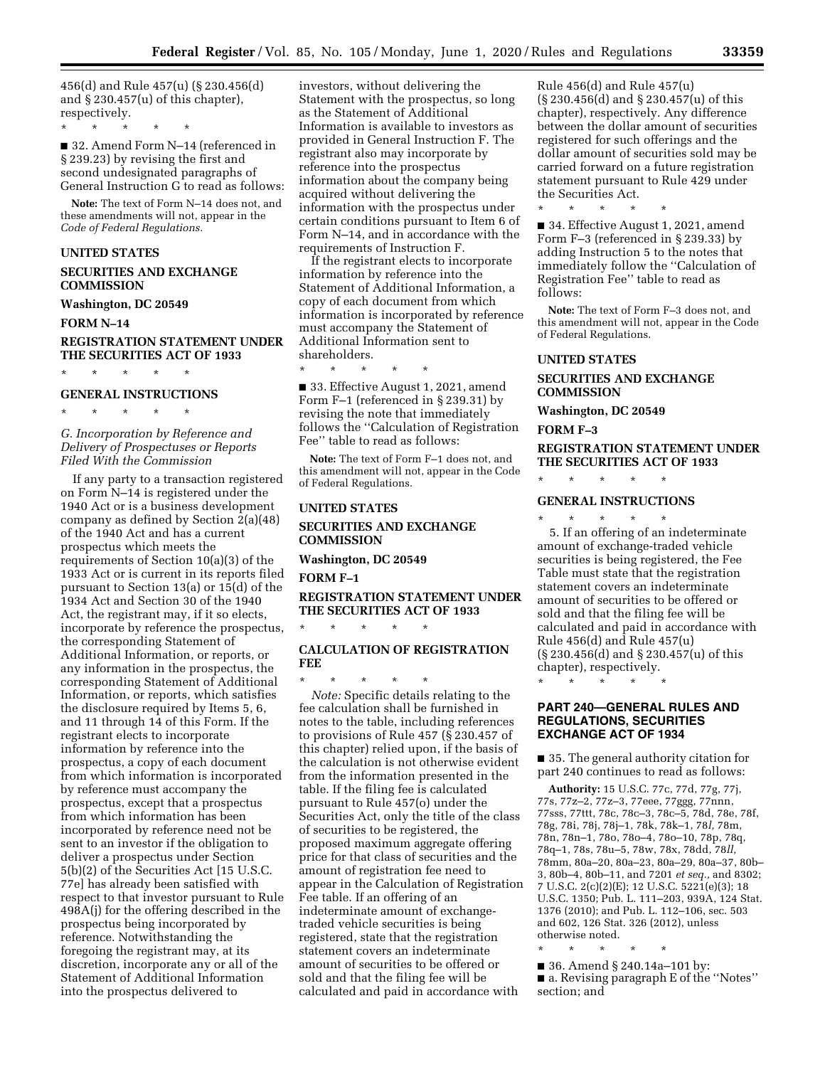456(d) and Rule 457(u) (§ 230.456(d) and § 230.457(u) of this chapter), respectively.

\* \* \* \* \*

■ 32. Amend Form N–14 (referenced in § 239.23) by revising the first and second undesignated paragraphs of General Instruction G to read as follows:

**Note:** The text of Form N–14 does not, and these amendments will not, appear in the *Code of Federal Regulations.* 

# **UNITED STATES**

**SECURITIES AND EXCHANGE COMMISSION** 

#### **Washington, DC 20549**

**FORM N–14** 

# **REGISTRATION STATEMENT UNDER THE SECURITIES ACT OF 1933**

\* \* \* \* \*

# **GENERAL INSTRUCTIONS**

\* \* \* \* \*

*G. Incorporation by Reference and Delivery of Prospectuses or Reports Filed With the Commission* 

If any party to a transaction registered on Form N–14 is registered under the 1940 Act or is a business development company as defined by Section  $2(a)(48)$ of the 1940 Act and has a current prospectus which meets the requirements of Section 10(a)(3) of the 1933 Act or is current in its reports filed pursuant to Section 13(a) or 15(d) of the 1934 Act and Section 30 of the 1940 Act, the registrant may, if it so elects, incorporate by reference the prospectus, the corresponding Statement of Additional Information, or reports, or any information in the prospectus, the corresponding Statement of Additional Information, or reports, which satisfies the disclosure required by Items 5, 6, and 11 through 14 of this Form. If the registrant elects to incorporate information by reference into the prospectus, a copy of each document from which information is incorporated by reference must accompany the prospectus, except that a prospectus from which information has been incorporated by reference need not be sent to an investor if the obligation to deliver a prospectus under Section 5(b)(2) of the Securities Act [15 U.S.C. 77e] has already been satisfied with respect to that investor pursuant to Rule 498A(j) for the offering described in the prospectus being incorporated by reference. Notwithstanding the foregoing the registrant may, at its discretion, incorporate any or all of the Statement of Additional Information into the prospectus delivered to

investors, without delivering the Statement with the prospectus, so long as the Statement of Additional Information is available to investors as provided in General Instruction F. The registrant also may incorporate by reference into the prospectus information about the company being acquired without delivering the information with the prospectus under certain conditions pursuant to Item 6 of Form N–14, and in accordance with the requirements of Instruction F.

If the registrant elects to incorporate information by reference into the Statement of Additional Information, a copy of each document from which information is incorporated by reference must accompany the Statement of Additional Information sent to shareholders.

\* \* \* \* \* ■ 33. Effective August 1, 2021, amend Form F–1 (referenced in § 239.31) by revising the note that immediately follows the ''Calculation of Registration Fee'' table to read as follows:

**Note:** The text of Form F–1 does not, and this amendment will not, appear in the Code of Federal Regulations.

# **UNITED STATES**

# **SECURITIES AND EXCHANGE COMMISSION**

**Washington, DC 20549** 

\* \* \* \* \*

**FORM F–1** 

# **REGISTRATION STATEMENT UNDER THE SECURITIES ACT OF 1933**

# **CALCULATION OF REGISTRATION FEE**

\* \* \* \* \* *Note:* Specific details relating to the fee calculation shall be furnished in notes to the table, including references to provisions of Rule 457 (§ 230.457 of this chapter) relied upon, if the basis of the calculation is not otherwise evident from the information presented in the table. If the filing fee is calculated pursuant to Rule 457(o) under the Securities Act, only the title of the class of securities to be registered, the proposed maximum aggregate offering price for that class of securities and the amount of registration fee need to appear in the Calculation of Registration Fee table. If an offering of an indeterminate amount of exchangetraded vehicle securities is being registered, state that the registration statement covers an indeterminate amount of securities to be offered or sold and that the filing fee will be calculated and paid in accordance with

Rule 456(d) and Rule 457(u) (§ 230.456(d) and § 230.457(u) of this chapter), respectively. Any difference between the dollar amount of securities registered for such offerings and the dollar amount of securities sold may be carried forward on a future registration statement pursuant to Rule 429 under the Securities Act.

\* \* \* \* \*

■ 34. Effective August 1, 2021, amend Form F–3 (referenced in § 239.33) by adding Instruction 5 to the notes that immediately follow the ''Calculation of Registration Fee'' table to read as follows:

**Note:** The text of Form F–3 does not, and this amendment will not, appear in the Code of Federal Regulations.

# **UNITED STATES**

# **SECURITIES AND EXCHANGE COMMISSION**

**Washington, DC 20549** 

\* \* \* \* \*

\* \* \* \* \*

# **FORM F–3**

# **REGISTRATION STATEMENT UNDER THE SECURITIES ACT OF 1933**

# **GENERAL INSTRUCTIONS**

5. If an offering of an indeterminate amount of exchange-traded vehicle securities is being registered, the Fee Table must state that the registration statement covers an indeterminate amount of securities to be offered or sold and that the filing fee will be calculated and paid in accordance with Rule 456(d) and Rule 457(u) (§ 230.456(d) and § 230.457(u) of this chapter), respectively.

\* \* \* \* \*

# **PART 240—GENERAL RULES AND REGULATIONS, SECURITIES EXCHANGE ACT OF 1934**

■ 35. The general authority citation for part 240 continues to read as follows:

**Authority:** 15 U.S.C. 77c, 77d, 77g, 77j, 77s, 77z–2, 77z–3, 77eee, 77ggg, 77nnn, 77sss, 77ttt, 78c, 78c–3, 78c–5, 78d, 78e, 78f, 78g, 78i, 78j, 78j–1, 78k, 78k–1, 78*l,* 78m, 78n, 78n–1, 78o, 78o–4, 78o–10, 78p, 78q, 78q–1, 78s, 78u–5, 78w, 78x, 78dd, 78*ll,*  78mm, 80a–20, 80a–23, 80a–29, 80a–37, 80b– 3, 80b–4, 80b–11, and 7201 *et seq.,* and 8302; 7 U.S.C. 2(c)(2)(E); 12 U.S.C. 5221(e)(3); 18 U.S.C. 1350; Pub. L. 111–203, 939A, 124 Stat. 1376 (2010); and Pub. L. 112–106, sec. 503 and 602, 126 Stat. 326 (2012), unless otherwise noted.

\* \* \* \* \*

■ 36. Amend § 240.14a–101 by: ■ a. Revising paragraph E of the "Notes" section; and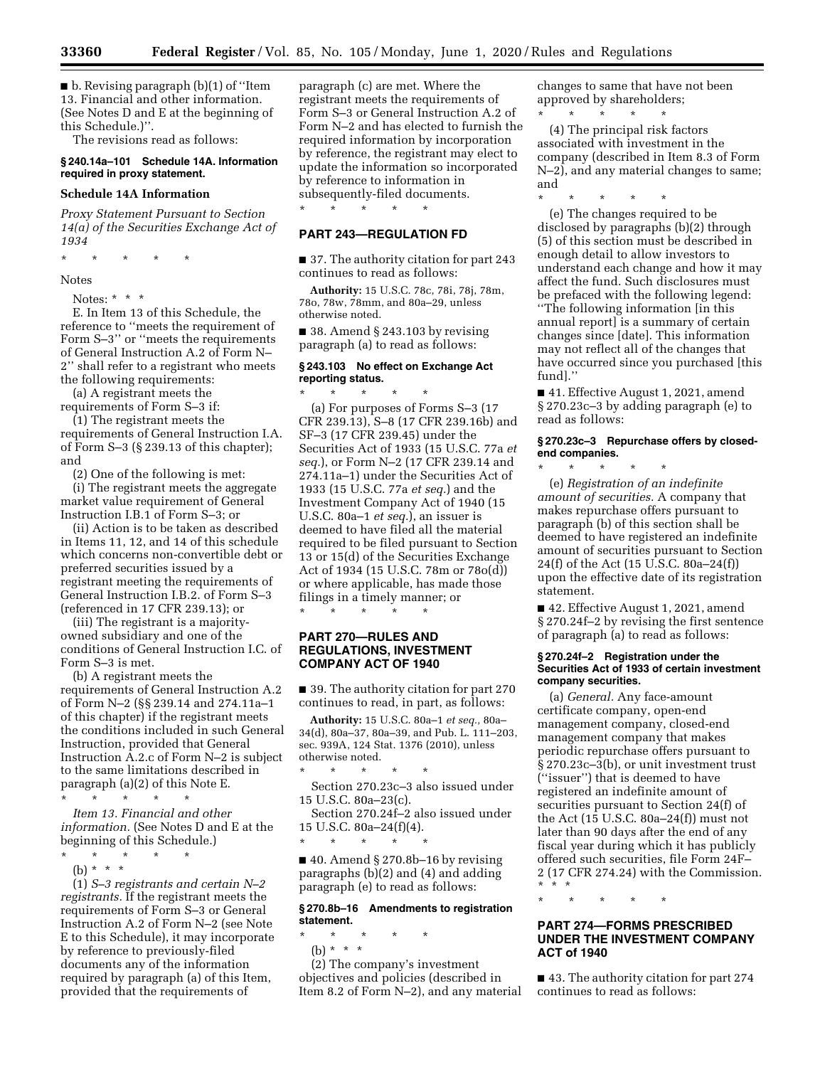■ b. Revising paragraph (b)(1) of "Item 13. Financial and other information. (See Notes D and E at the beginning of this Schedule.)''.

The revisions read as follows:

# **§ 240.14a–101 Schedule 14A. Information required in proxy statement.**

#### **Schedule 14A Information**

*Proxy Statement Pursuant to Section 14(a) of the Securities Exchange Act of 1934* 

\* \* \* \* \*

Notes

Notes: \* \* \*

E. In Item 13 of this Schedule, the reference to ''meets the requirement of Form S–3'' or ''meets the requirements of General Instruction A.2 of Form N– 2'' shall refer to a registrant who meets the following requirements:

(a) A registrant meets the

requirements of Form S–3 if: (1) The registrant meets the

requirements of General Instruction I.A. of Form S–3 (§ 239.13 of this chapter); and

(2) One of the following is met:

(i) The registrant meets the aggregate market value requirement of General Instruction I.B.1 of Form S–3; or

(ii) Action is to be taken as described in Items 11, 12, and 14 of this schedule which concerns non-convertible debt or preferred securities issued by a registrant meeting the requirements of General Instruction I.B.2. of Form S–3 (referenced in 17 CFR 239.13); or

(iii) The registrant is a majorityowned subsidiary and one of the conditions of General Instruction I.C. of Form S–3 is met.

(b) A registrant meets the requirements of General Instruction A.2 of Form N–2 (§§ 239.14 and 274.11a–1 of this chapter) if the registrant meets the conditions included in such General Instruction, provided that General Instruction A.2.c of Form N–2 is subject to the same limitations described in paragraph (a)(2) of this Note E.

\* \* \* \* \*

*Item 13. Financial and other information.* (See Notes D and E at the beginning of this Schedule.)

- $\star$   $\qquad$   $\star$   $\qquad$   $\star$   $\qquad$   $\star$
- (b) \* \* \*

(1) *S–3 registrants and certain N–2 registrants.* If the registrant meets the requirements of Form S–3 or General Instruction A.2 of Form N–2 (see Note E to this Schedule), it may incorporate by reference to previously-filed documents any of the information required by paragraph (a) of this Item, provided that the requirements of

paragraph (c) are met. Where the registrant meets the requirements of Form S–3 or General Instruction A.2 of Form N–2 and has elected to furnish the required information by incorporation by reference, the registrant may elect to update the information so incorporated by reference to information in subsequently-filed documents.

\* \* \* \* \*

# **PART 243—REGULATION FD**

■ 37. The authority citation for part 243 continues to read as follows:

**Authority:** 15 U.S.C. 78c, 78i, 78j, 78m, 78o, 78w, 78mm, and 80a–29, unless otherwise noted.

 $\blacksquare$  38. Amend § 243.103 by revising paragraph (a) to read as follows:

# **§ 243.103 No effect on Exchange Act reporting status.**

\* \* \* \* \* (a) For purposes of Forms S–3 (17 CFR 239.13), S–8 (17 CFR 239.16b) and SF–3 (17 CFR 239.45) under the Securities Act of 1933 (15 U.S.C. 77a *et seq.*), or Form N–2 (17 CFR 239.14 and 274.11a–1) under the Securities Act of 1933 (15 U.S.C. 77a *et seq.*) and the Investment Company Act of 1940 (15 U.S.C. 80a–1 *et seq.*), an issuer is deemed to have filed all the material required to be filed pursuant to Section 13 or 15(d) of the Securities Exchange Act of 1934 (15 U.S.C. 78m or 78o(d)) or where applicable, has made those filings in a timely manner; or

**PART 270—RULES AND REGULATIONS, INVESTMENT COMPANY ACT OF 1940** 

\* \* \* \* \*

■ 39. The authority citation for part 270 continues to read, in part, as follows:

**Authority:** 15 U.S.C. 80a–1 *et seq.,* 80a– 34(d), 80a–37, 80a–39, and Pub. L. 111–203, sec. 939A, 124 Stat. 1376 (2010), unless otherwise noted.

\* \* \* \* \* Section 270.23c–3 also issued under 15 U.S.C. 80a–23(c).

Section 270.24f–2 also issued under 15 U.S.C. 80a–24(f)(4).

\* \* \* \* \*

 $\blacksquare$  40. Amend § 270.8b–16 by revising paragraphs (b)(2) and (4) and adding paragraph (e) to read as follows:

# **§ 270.8b–16 Amendments to registration statement.**

\* \* \* \* \*

(b) \* \* \*

(2) The company's investment objectives and policies (described in Item 8.2 of Form N–2), and any material changes to same that have not been approved by shareholders;

\* \* \* \* \* (4) The principal risk factors associated with investment in the company (described in Item 8.3 of Form N–2), and any material changes to same; and

\* \* \* \* \*

(e) The changes required to be disclosed by paragraphs (b)(2) through (5) of this section must be described in enough detail to allow investors to understand each change and how it may affect the fund. Such disclosures must be prefaced with the following legend: ''The following information [in this annual report] is a summary of certain changes since [date]. This information may not reflect all of the changes that have occurred since you purchased [this fund].''

■ 41. Effective August 1, 2021, amend § 270.23c–3 by adding paragraph (e) to read as follows:

# **§ 270.23c–3 Repurchase offers by closedend companies.**

\* \* \* \* \* (e) *Registration of an indefinite amount of securities.* A company that makes repurchase offers pursuant to paragraph (b) of this section shall be deemed to have registered an indefinite amount of securities pursuant to Section 24(f) of the Act (15 U.S.C. 80a–24(f)) upon the effective date of its registration statement.

■ 42. Effective August 1, 2021, amend § 270.24f–2 by revising the first sentence of paragraph (a) to read as follows:

# **§ 270.24f–2 Registration under the Securities Act of 1933 of certain investment company securities.**

(a) *General.* Any face-amount certificate company, open-end management company, closed-end management company that makes periodic repurchase offers pursuant to § 270.23c–3(b), or unit investment trust (''issuer'') that is deemed to have registered an indefinite amount of securities pursuant to Section 24(f) of the Act (15 U.S.C. 80a–24(f)) must not later than 90 days after the end of any fiscal year during which it has publicly offered such securities, file Form 24F– 2 (17 CFR 274.24) with the Commission. \* \* \*

\* \* \* \* \*

# **PART 274—FORMS PRESCRIBED UNDER THE INVESTMENT COMPANY ACT of 1940**

■ 43. The authority citation for part 274 continues to read as follows: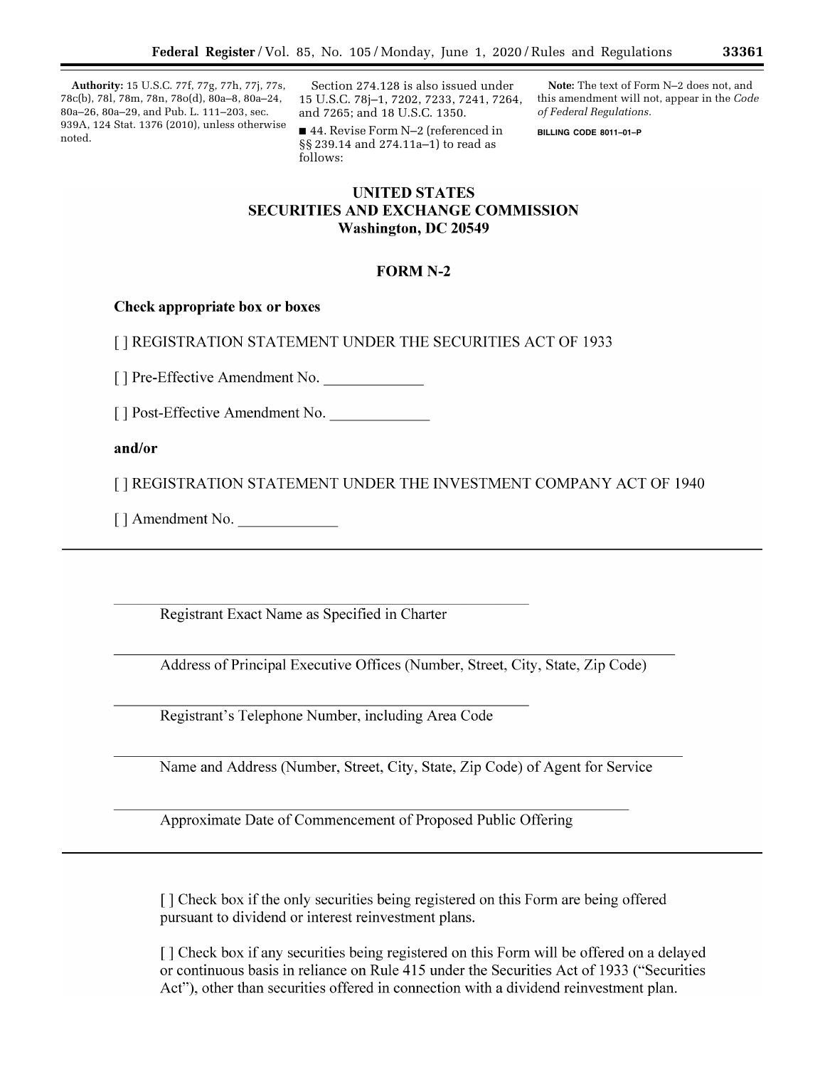**Authority:** 15 U.S.C. 77f, 77g, 77h, 77j, 77s, 78c(b), 78l, 78m, 78n, 78o(d), 80a–8, 80a–24, 80a–26, 80a–29, and Pub. L. 111–203, sec. 939A, 124 Stat. 1376 (2010), unless otherwise noted.

Section 274.128 is also issued under 15 U.S.C. 78j–1, 7202, 7233, 7241, 7264, and 7265; and 18 U.S.C. 1350.

■ 44. Revise Form N–2 (referenced in §§ 239.14 and 274.11a–1) to read as follows:

**Note:** The text of Form N–2 does not, and this amendment will not, appear in the *Code of Federal Regulations.* 

**BILLING CODE 8011–01–P** 

# **UNITED STATES SECURITIES AND EXCHANGE COMMISSION Washington, DC 20549**

# **FORM N-2**

# Check appropriate box or boxes

[ ] REGISTRATION STATEMENT UNDER THE SECURITIES ACT OF 1933

[] Pre-Effective Amendment No.

[] Post-Effective Amendment No.

and/or

[ ] REGISTRATION STATEMENT UNDER THE INVESTMENT COMPANY ACT OF 1940

[] Amendment No.

Registrant Exact Name as Specified in Charter

Address of Principal Executive Offices (Number, Street, City, State, Zip Code)

Registrant's Telephone Number, including Area Code

Name and Address (Number, Street, City, State, Zip Code) of Agent for Service

Approximate Date of Commencement of Proposed Public Offering

[] Check box if the only securities being registered on this Form are being offered pursuant to dividend or interest reinvestment plans.

[] Check box if any securities being registered on this Form will be offered on a delayed or continuous basis in reliance on Rule 415 under the Securities Act of 1933 ("Securities Act"), other than securities offered in connection with a dividend reinvestment plan.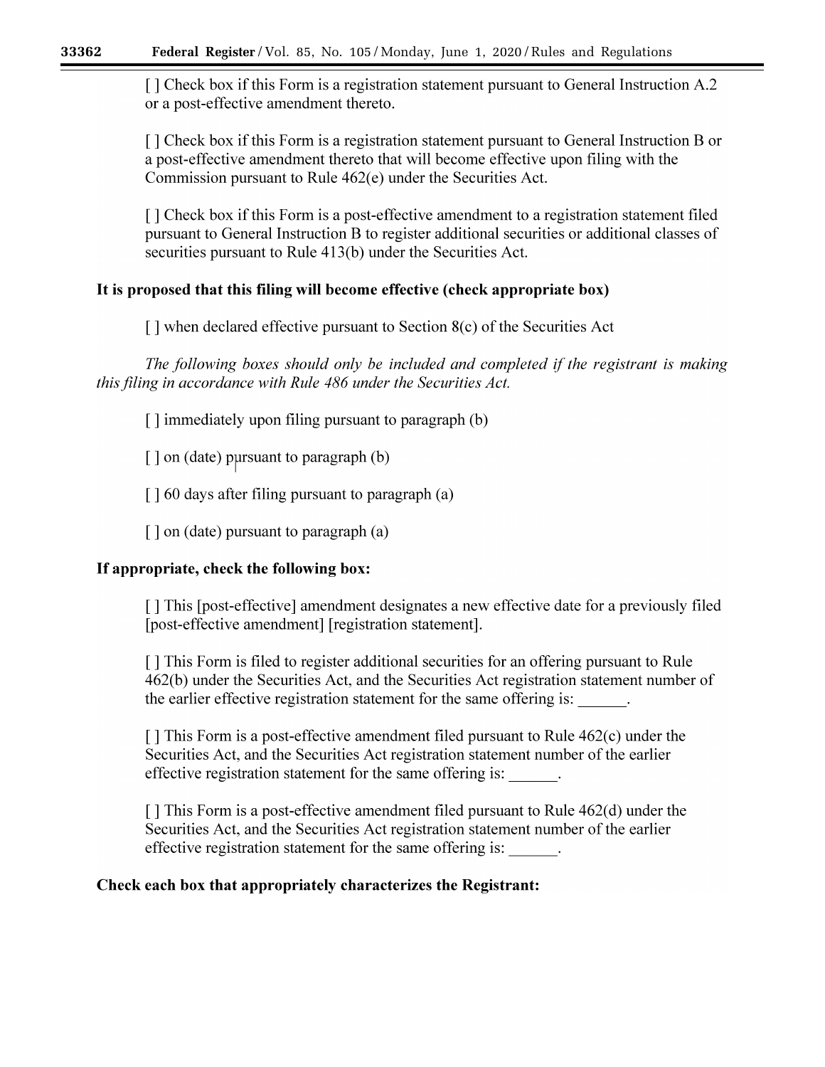[ ] Check box if this Form is a registration statement pursuant to General Instruction A.2 or a post-effective amendment thereto.

[] Check box if this Form is a registration statement pursuant to General Instruction B or a post-effective amendment thereto that will become effective upon filing with the Commission pursuant to Rule 462(e) under the Securities Act.

[] Check box if this Form is a post-effective amendment to a registration statement filed pursuant to General Instruction B to register additional securities or additional classes of securities pursuant to Rule 413(b) under the Securities Act.

# It is proposed that this filing will become effective (check appropriate box)

[] when declared effective pursuant to Section 8(c) of the Securities Act

The following boxes should only be included and completed if the registrant is making this filing in accordance with Rule 486 under the Securities Act.

[] immediately upon filing pursuant to paragraph (b)

[] on (date) pursuant to paragraph (b)

[] 60 days after filing pursuant to paragraph (a)

 $\lceil$  on (date) pursuant to paragraph (a)

# If appropriate, check the following box:

[] This [post-effective] amendment designates a new effective date for a previously filed [post-effective amendment] [registration statement].

[] This Form is filed to register additional securities for an offering pursuant to Rule 462(b) under the Securities Act, and the Securities Act registration statement number of the earlier effective registration statement for the same offering is:

 $\lceil$  This Form is a post-effective amendment filed pursuant to Rule 462(c) under the Securities Act, and the Securities Act registration statement number of the earlier effective registration statement for the same offering is:

 $\lceil$  This Form is a post-effective amendment filed pursuant to Rule 462(d) under the Securities Act, and the Securities Act registration statement number of the earlier effective registration statement for the same offering is:

# Check each box that appropriately characterizes the Registrant: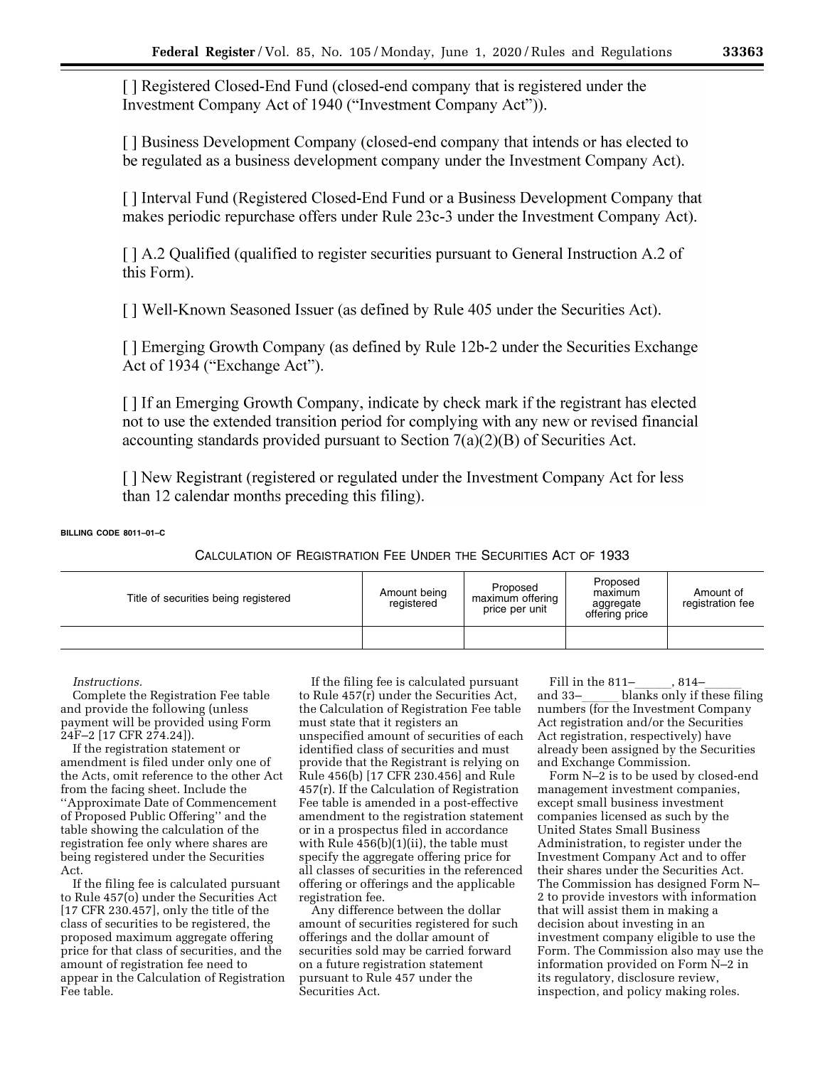[ ] Registered Closed-End Fund (closed-end company that is registered under the Investment Company Act of 1940 ("Investment Company Act")).

[ ] Business Development Company (closed-end company that intends or has elected to be regulated as a business development company under the Investment Company Act).

[ ] Interval Fund (Registered Closed-End Fund or a Business Development Company that makes periodic repurchase offers under Rule 23c-3 under the Investment Company Act).

[ ] A.2 Qualified (qualified to register securities pursuant to General Instruction A.2 of this Form).

[] Well-Known Seasoned Issuer (as defined by Rule 405 under the Securities Act).

[ ] Emerging Growth Company (as defined by Rule 12b-2 under the Securities Exchange Act of 1934 ("Exchange Act").

[ ] If an Emerging Growth Company, indicate by check mark if the registrant has elected not to use the extended transition period for complying with any new or revised financial accounting standards provided pursuant to Section  $7(a)(2)(B)$  of Securities Act.

[ ] New Registrant (registered or regulated under the Investment Company Act for less than 12 calendar months preceding this filing).

**BILLING CODE 8011–01–C** 

CALCULATION OF REGISTRATION FEE UNDER THE SECURITIES ACT OF 1933

| Title of securities being registered | Amount being<br>registered | Proposed<br>maximum offering<br>price per unit | Proposed<br>maximum<br>aggregate<br>offering price | Amount of<br>registration fee |
|--------------------------------------|----------------------------|------------------------------------------------|----------------------------------------------------|-------------------------------|
|                                      |                            |                                                |                                                    |                               |

*Instructions.* 

Complete the Registration Fee table and provide the following (unless payment will be provided using Form 24F–2 [17 CFR 274.24]).

If the registration statement or amendment is filed under only one of the Acts, omit reference to the other Act from the facing sheet. Include the ''Approximate Date of Commencement of Proposed Public Offering'' and the table showing the calculation of the registration fee only where shares are being registered under the Securities Act.

If the filing fee is calculated pursuant to Rule 457(o) under the Securities Act [17 CFR 230.457], only the title of the class of securities to be registered, the proposed maximum aggregate offering price for that class of securities, and the amount of registration fee need to appear in the Calculation of Registration Fee table.

If the filing fee is calculated pursuant to Rule 457(r) under the Securities Act, the Calculation of Registration Fee table must state that it registers an unspecified amount of securities of each identified class of securities and must provide that the Registrant is relying on Rule 456(b) [17 CFR 230.456] and Rule 457(r). If the Calculation of Registration Fee table is amended in a post-effective amendment to the registration statement or in a prospectus filed in accordance with Rule 456(b)(1)(ii), the table must specify the aggregate offering price for all classes of securities in the referenced offering or offerings and the applicable registration fee.

Any difference between the dollar amount of securities registered for such offerings and the dollar amount of securities sold may be carried forward on a future registration statement pursuant to Rule 457 under the Securities Act.

Fill in the  $811-$ ,  $814$ and 33-<br>blanks only if these filing numbers (for the Investment Company Act registration and/or the Securities Act registration, respectively) have already been assigned by the Securities and Exchange Commission.

Form N–2 is to be used by closed-end management investment companies, except small business investment companies licensed as such by the United States Small Business Administration, to register under the Investment Company Act and to offer their shares under the Securities Act. The Commission has designed Form N– 2 to provide investors with information that will assist them in making a decision about investing in an investment company eligible to use the Form. The Commission also may use the information provided on Form N–2 in its regulatory, disclosure review, inspection, and policy making roles.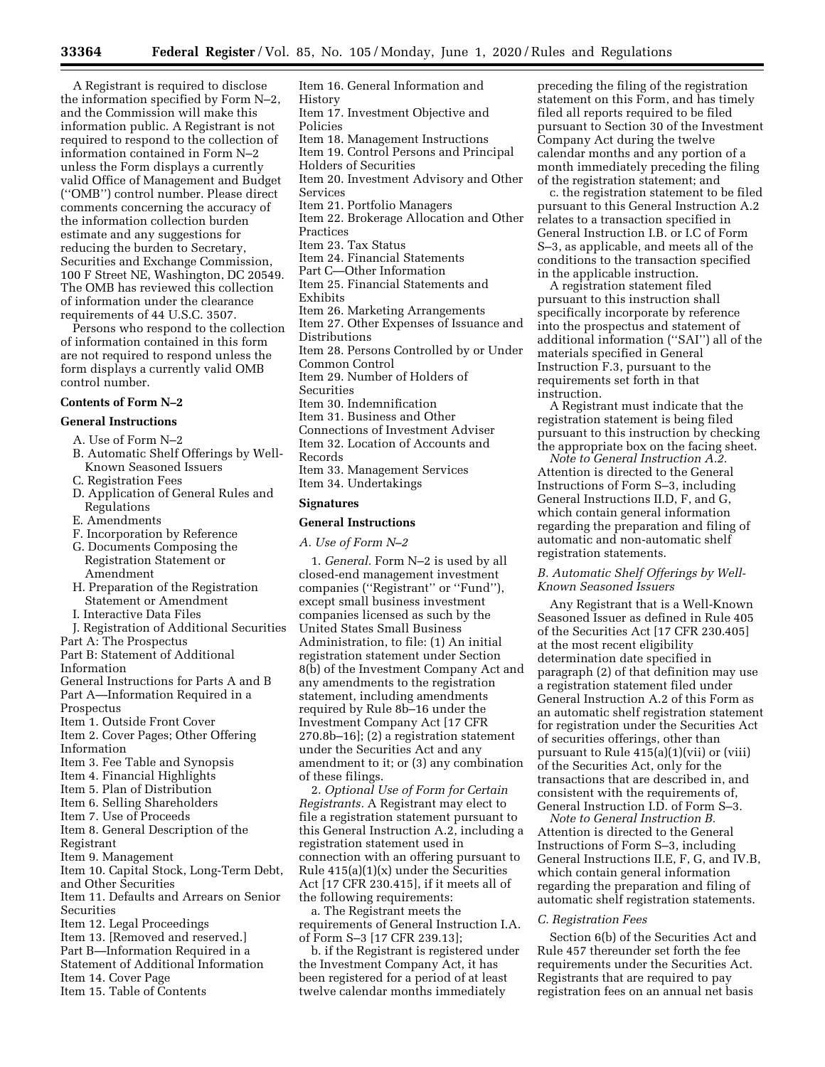A Registrant is required to disclose the information specified by Form N–2, and the Commission will make this information public. A Registrant is not required to respond to the collection of information contained in Form N–2 unless the Form displays a currently valid Office of Management and Budget (''OMB'') control number. Please direct comments concerning the accuracy of the information collection burden estimate and any suggestions for reducing the burden to Secretary, Securities and Exchange Commission, 100 F Street NE, Washington, DC 20549. The OMB has reviewed this collection of information under the clearance requirements of 44 U.S.C. 3507.

Persons who respond to the collection of information contained in this form are not required to respond unless the form displays a currently valid OMB control number.

## **Contents of Form N–2**

## **General Instructions**

- A. Use of Form N–2
- B. Automatic Shelf Offerings by Well-Known Seasoned Issuers
- C. Registration Fees
- D. Application of General Rules and Regulations
- E. Amendments
- F. Incorporation by Reference
- G. Documents Composing the Registration Statement or Amendment
- H. Preparation of the Registration Statement or Amendment
- I. Interactive Data Files
- J. Registration of Additional Securities
- Part A: The Prospectus
- Part B: Statement of Additional

Information

- General Instructions for Parts A and B Part A—Information Required in a
- Prospectus
- Item 1. Outside Front Cover
- Item 2. Cover Pages; Other Offering Information
- Item 3. Fee Table and Synopsis
- Item 4. Financial Highlights
- Item 5. Plan of Distribution
- Item 6. Selling Shareholders
- Item 7. Use of Proceeds
- Item 8. General Description of the Registrant
- Item 9. Management
- Item 10. Capital Stock, Long-Term Debt, and Other Securities
- Item 11. Defaults and Arrears on Senior Securities
- Item 12. Legal Proceedings
- Item 13. [Removed and reserved.]
- Part B—Information Required in a
- Statement of Additional Information
- Item 14. Cover Page
- Item 15. Table of Contents

Item 16. General Information and History Item 17. Investment Objective and Policies Item 18. Management Instructions Item 19. Control Persons and Principal Holders of Securities Item 20. Investment Advisory and Other Services Item 21. Portfolio Managers Item 22. Brokerage Allocation and Other Practices Item 23. Tax Status Item 24. Financial Statements Part C—Other Information Item 25. Financial Statements and Exhibits Item 26. Marketing Arrangements Item 27. Other Expenses of Issuance and Distributions Item 28. Persons Controlled by or Under Common Control

Item 29. Number of Holders of

- Securities
- Item 30. Indemnification
- Item 31. Business and Other
- Connections of Investment Adviser
- Item 32. Location of Accounts and
- Records
- Item 33. Management Services
- Item 34. Undertakings

#### **Signatures**

### **General Instructions**

*A. Use of Form N–2* 

1. *General.* Form N–2 is used by all closed-end management investment companies (''Registrant'' or ''Fund''), except small business investment companies licensed as such by the United States Small Business Administration, to file: (1) An initial registration statement under Section 8(b) of the Investment Company Act and any amendments to the registration statement, including amendments required by Rule 8b–16 under the Investment Company Act [17 CFR 270.8b–16]; (2) a registration statement under the Securities Act and any amendment to it; or (3) any combination of these filings.

2. *Optional Use of Form for Certain Registrants.* A Registrant may elect to file a registration statement pursuant to this General Instruction A.2, including a registration statement used in connection with an offering pursuant to Rule 415(a)(1)(x) under the Securities Act [17 CFR 230.415], if it meets all of the following requirements:

a. The Registrant meets the requirements of General Instruction I.A. of Form S–3 [17 CFR 239.13];

b. if the Registrant is registered under the Investment Company Act, it has been registered for a period of at least twelve calendar months immediately

preceding the filing of the registration statement on this Form, and has timely filed all reports required to be filed pursuant to Section 30 of the Investment Company Act during the twelve calendar months and any portion of a month immediately preceding the filing of the registration statement; and

c. the registration statement to be filed pursuant to this General Instruction A.2 relates to a transaction specified in General Instruction I.B. or I.C of Form S–3, as applicable, and meets all of the conditions to the transaction specified in the applicable instruction.

A registration statement filed pursuant to this instruction shall specifically incorporate by reference into the prospectus and statement of additional information (''SAI'') all of the materials specified in General Instruction F.3, pursuant to the requirements set forth in that instruction.

A Registrant must indicate that the registration statement is being filed pursuant to this instruction by checking the appropriate box on the facing sheet.

*Note to General Instruction A.2.*  Attention is directed to the General Instructions of Form S–3, including General Instructions II.D, F, and G, which contain general information regarding the preparation and filing of automatic and non-automatic shelf registration statements.

## *B. Automatic Shelf Offerings by Well-Known Seasoned Issuers*

Any Registrant that is a Well-Known Seasoned Issuer as defined in Rule 405 of the Securities Act [17 CFR 230.405] at the most recent eligibility determination date specified in paragraph (2) of that definition may use a registration statement filed under General Instruction A.2 of this Form as an automatic shelf registration statement for registration under the Securities Act of securities offerings, other than pursuant to Rule 415(a)(1)(vii) or (viii) of the Securities Act, only for the transactions that are described in, and consistent with the requirements of, General Instruction I.D. of Form S–3.

*Note to General Instruction B.*  Attention is directed to the General Instructions of Form S–3, including General Instructions II.E, F, G, and IV.B, which contain general information regarding the preparation and filing of automatic shelf registration statements.

## *C. Registration Fees*

Section 6(b) of the Securities Act and Rule 457 thereunder set forth the fee requirements under the Securities Act. Registrants that are required to pay registration fees on an annual net basis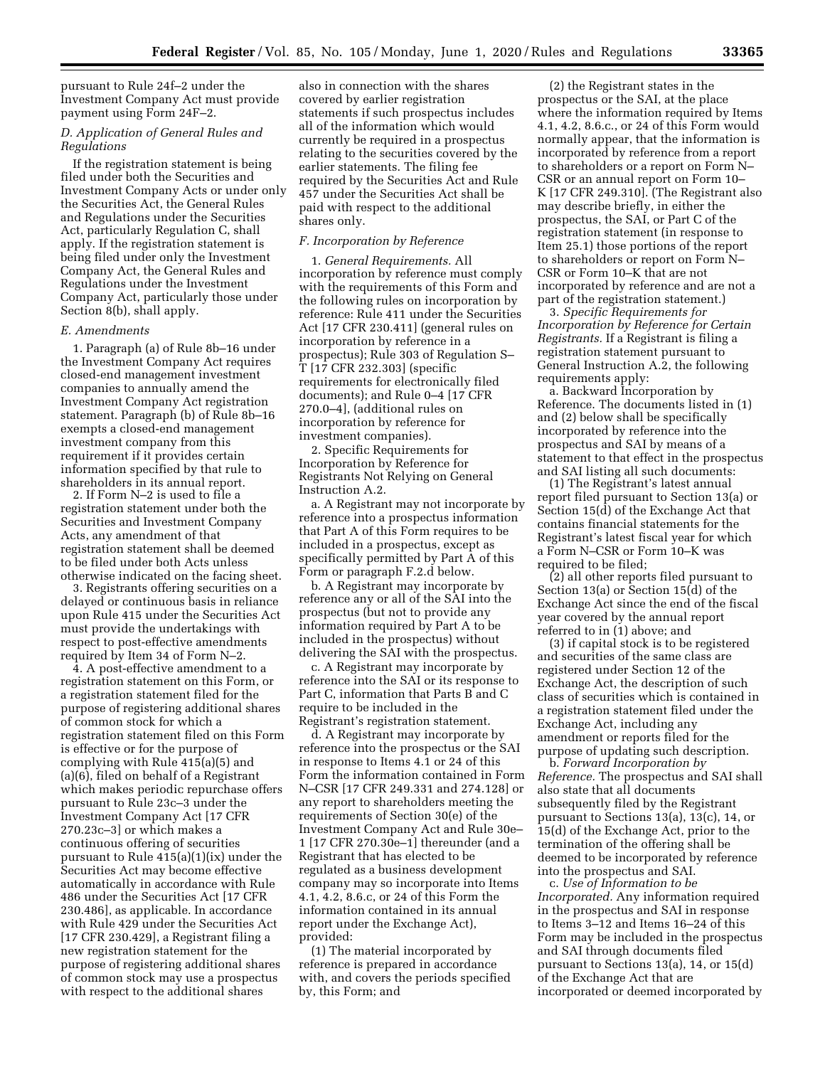pursuant to Rule 24f–2 under the Investment Company Act must provide payment using Form 24F–2.

# *D. Application of General Rules and Regulations*

If the registration statement is being filed under both the Securities and Investment Company Acts or under only the Securities Act, the General Rules and Regulations under the Securities Act, particularly Regulation C, shall apply. If the registration statement is being filed under only the Investment Company Act, the General Rules and Regulations under the Investment Company Act, particularly those under Section 8(b), shall apply.

## *E. Amendments*

1. Paragraph (a) of Rule 8b–16 under the Investment Company Act requires closed-end management investment companies to annually amend the Investment Company Act registration statement. Paragraph (b) of Rule 8b–16 exempts a closed-end management investment company from this requirement if it provides certain information specified by that rule to shareholders in its annual report.

2. If Form N–2 is used to file a registration statement under both the Securities and Investment Company Acts, any amendment of that registration statement shall be deemed to be filed under both Acts unless otherwise indicated on the facing sheet.

3. Registrants offering securities on a delayed or continuous basis in reliance upon Rule 415 under the Securities Act must provide the undertakings with respect to post-effective amendments required by Item 34 of Form N–2.

4. A post-effective amendment to a registration statement on this Form, or a registration statement filed for the purpose of registering additional shares of common stock for which a registration statement filed on this Form is effective or for the purpose of complying with Rule 415(a)(5) and (a)(6), filed on behalf of a Registrant which makes periodic repurchase offers pursuant to Rule 23c–3 under the Investment Company Act [17 CFR 270.23c–3] or which makes a continuous offering of securities pursuant to Rule 415(a)(1)(ix) under the Securities Act may become effective automatically in accordance with Rule 486 under the Securities Act [17 CFR 230.486], as applicable. In accordance with Rule 429 under the Securities Act [17 CFR 230.429], a Registrant filing a new registration statement for the purpose of registering additional shares of common stock may use a prospectus with respect to the additional shares

also in connection with the shares covered by earlier registration statements if such prospectus includes all of the information which would currently be required in a prospectus relating to the securities covered by the earlier statements. The filing fee required by the Securities Act and Rule 457 under the Securities Act shall be paid with respect to the additional shares only.

## *F. Incorporation by Reference*

1. *General Requirements.* All incorporation by reference must comply with the requirements of this Form and the following rules on incorporation by reference: Rule 411 under the Securities Act [17 CFR 230.411] (general rules on incorporation by reference in a prospectus); Rule 303 of Regulation S– T [17 CFR 232.303] (specific requirements for electronically filed documents); and Rule 0–4 [17 CFR 270.0–4], (additional rules on incorporation by reference for investment companies).

2. Specific Requirements for Incorporation by Reference for Registrants Not Relying on General Instruction A.2.

a. A Registrant may not incorporate by reference into a prospectus information that Part A of this Form requires to be included in a prospectus, except as specifically permitted by Part A of this Form or paragraph F.2.d below.

b. A Registrant may incorporate by reference any or all of the SAI into the prospectus (but not to provide any information required by Part A to be included in the prospectus) without delivering the SAI with the prospectus.

c. A Registrant may incorporate by reference into the SAI or its response to Part C, information that Parts B and C require to be included in the Registrant's registration statement.

d. A Registrant may incorporate by reference into the prospectus or the SAI in response to Items 4.1 or 24 of this Form the information contained in Form N–CSR [17 CFR 249.331 and 274.128] or any report to shareholders meeting the requirements of Section 30(e) of the Investment Company Act and Rule 30e– 1 [17 CFR 270.30e–1] thereunder (and a Registrant that has elected to be regulated as a business development company may so incorporate into Items 4.1, 4.2, 8.6.c, or 24 of this Form the information contained in its annual report under the Exchange Act), provided:

(1) The material incorporated by reference is prepared in accordance with, and covers the periods specified by, this Form; and

(2) the Registrant states in the prospectus or the SAI, at the place where the information required by Items 4.1, 4.2, 8.6.c., or 24 of this Form would normally appear, that the information is incorporated by reference from a report to shareholders or a report on Form N– CSR or an annual report on Form 10– K [17 CFR 249.310]. (The Registrant also may describe briefly, in either the prospectus, the SAI, or Part C of the registration statement (in response to Item 25.1) those portions of the report to shareholders or report on Form N– CSR or Form 10–K that are not incorporated by reference and are not a part of the registration statement.)

3. *Specific Requirements for Incorporation by Reference for Certain Registrants.* If a Registrant is filing a registration statement pursuant to General Instruction A.2, the following requirements apply:

a. Backward Incorporation by Reference. The documents listed in (1) and (2) below shall be specifically incorporated by reference into the prospectus and SAI by means of a statement to that effect in the prospectus and SAI listing all such documents:

(1) The Registrant's latest annual report filed pursuant to Section 13(a) or Section 15(d) of the Exchange Act that contains financial statements for the Registrant's latest fiscal year for which a Form N–CSR or Form 10–K was required to be filed;

(2) all other reports filed pursuant to Section 13(a) or Section 15(d) of the Exchange Act since the end of the fiscal year covered by the annual report referred to in (1) above; and

(3) if capital stock is to be registered and securities of the same class are registered under Section 12 of the Exchange Act, the description of such class of securities which is contained in a registration statement filed under the Exchange Act, including any amendment or reports filed for the purpose of updating such description.

b. *Forward Incorporation by Reference.* The prospectus and SAI shall also state that all documents subsequently filed by the Registrant pursuant to Sections 13(a), 13(c), 14, or 15(d) of the Exchange Act, prior to the termination of the offering shall be deemed to be incorporated by reference into the prospectus and SAI.

c. *Use of Information to be Incorporated.* Any information required in the prospectus and SAI in response to Items 3–12 and Items 16–24 of this Form may be included in the prospectus and SAI through documents filed pursuant to Sections 13(a), 14, or 15(d) of the Exchange Act that are incorporated or deemed incorporated by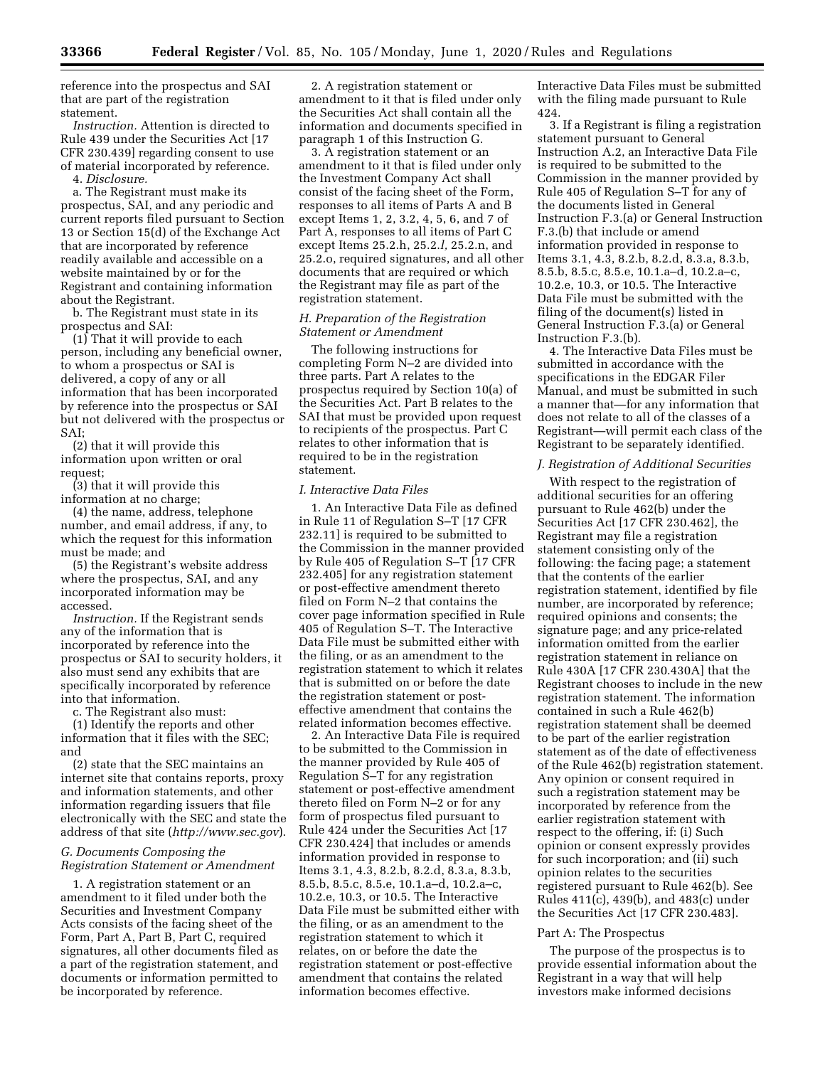reference into the prospectus and SAI that are part of the registration statement.

*Instruction.* Attention is directed to Rule 439 under the Securities Act [17 CFR 230.439] regarding consent to use of material incorporated by reference.

4. *Disclosure.* 

a. The Registrant must make its prospectus, SAI, and any periodic and current reports filed pursuant to Section 13 or Section 15(d) of the Exchange Act that are incorporated by reference readily available and accessible on a website maintained by or for the Registrant and containing information about the Registrant.

b. The Registrant must state in its prospectus and SAI:

 $(1)$  That it will provide to each person, including any beneficial owner, to whom a prospectus or SAI is delivered, a copy of any or all information that has been incorporated by reference into the prospectus or SAI but not delivered with the prospectus or SAI;

(2) that it will provide this information upon written or oral request;

(3) that it will provide this information at no charge;

(4) the name, address, telephone number, and email address, if any, to which the request for this information must be made; and

(5) the Registrant's website address where the prospectus, SAI, and any incorporated information may be accessed.

*Instruction.* If the Registrant sends any of the information that is incorporated by reference into the prospectus or SAI to security holders, it also must send any exhibits that are specifically incorporated by reference into that information.

c. The Registrant also must:

(1) Identify the reports and other information that it files with the SEC; and

(2) state that the SEC maintains an internet site that contains reports, proxy and information statements, and other information regarding issuers that file electronically with the SEC and state the address of that site (*<http://www.sec.gov>*).

## *G. Documents Composing the Registration Statement or Amendment*

1. A registration statement or an amendment to it filed under both the Securities and Investment Company Acts consists of the facing sheet of the Form, Part A, Part B, Part C, required signatures, all other documents filed as a part of the registration statement, and documents or information permitted to be incorporated by reference.

2. A registration statement or amendment to it that is filed under only the Securities Act shall contain all the information and documents specified in paragraph 1 of this Instruction G.

3. A registration statement or an amendment to it that is filed under only the Investment Company Act shall consist of the facing sheet of the Form, responses to all items of Parts A and B except Items 1, 2, 3.2, 4, 5, 6, and 7 of Part A, responses to all items of Part C except Items 25.2.h, 25.2.*l,* 25.2.n, and 25.2.o, required signatures, and all other documents that are required or which the Registrant may file as part of the registration statement.

# *H. Preparation of the Registration Statement or Amendment*

The following instructions for completing Form N–2 are divided into three parts. Part A relates to the prospectus required by Section 10(a) of the Securities Act. Part B relates to the SAI that must be provided upon request to recipients of the prospectus. Part C relates to other information that is required to be in the registration statement.

#### *I. Interactive Data Files*

1. An Interactive Data File as defined in Rule 11 of Regulation S–T [17 CFR 232.11] is required to be submitted to the Commission in the manner provided by Rule 405 of Regulation S–T [17 CFR 232.405] for any registration statement or post-effective amendment thereto filed on Form N–2 that contains the cover page information specified in Rule 405 of Regulation S–T. The Interactive Data File must be submitted either with the filing, or as an amendment to the registration statement to which it relates that is submitted on or before the date the registration statement or posteffective amendment that contains the related information becomes effective.

2. An Interactive Data File is required to be submitted to the Commission in the manner provided by Rule 405 of Regulation S–T for any registration statement or post-effective amendment thereto filed on Form N–2 or for any form of prospectus filed pursuant to Rule 424 under the Securities Act [17 CFR 230.424] that includes or amends information provided in response to Items 3.1, 4.3, 8.2.b, 8.2.d, 8.3.a, 8.3.b, 8.5.b, 8.5.c, 8.5.e, 10.1.a–d, 10.2.a–c, 10.2.e, 10.3, or 10.5. The Interactive Data File must be submitted either with the filing, or as an amendment to the registration statement to which it relates, on or before the date the registration statement or post-effective amendment that contains the related information becomes effective.

Interactive Data Files must be submitted with the filing made pursuant to Rule 424.

3. If a Registrant is filing a registration statement pursuant to General Instruction A.2, an Interactive Data File is required to be submitted to the Commission in the manner provided by Rule 405 of Regulation S–T for any of the documents listed in General Instruction F.3.(a) or General Instruction F.3.(b) that include or amend information provided in response to Items 3.1, 4.3, 8.2.b, 8.2.d, 8.3.a, 8.3.b, 8.5.b, 8.5.c, 8.5.e, 10.1.a–d, 10.2.a–c, 10.2.e, 10.3, or 10.5. The Interactive Data File must be submitted with the filing of the document(s) listed in General Instruction F.3.(a) or General Instruction F.3.(b).

4. The Interactive Data Files must be submitted in accordance with the specifications in the EDGAR Filer Manual, and must be submitted in such a manner that—for any information that does not relate to all of the classes of a Registrant—will permit each class of the Registrant to be separately identified.

# *J. Registration of Additional Securities*

With respect to the registration of additional securities for an offering pursuant to Rule 462(b) under the Securities Act [17 CFR 230.462], the Registrant may file a registration statement consisting only of the following: the facing page; a statement that the contents of the earlier registration statement, identified by file number, are incorporated by reference; required opinions and consents; the signature page; and any price-related information omitted from the earlier registration statement in reliance on Rule 430A [17 CFR 230.430A] that the Registrant chooses to include in the new registration statement. The information contained in such a Rule 462(b) registration statement shall be deemed to be part of the earlier registration statement as of the date of effectiveness of the Rule 462(b) registration statement. Any opinion or consent required in such a registration statement may be incorporated by reference from the earlier registration statement with respect to the offering, if: (i) Such opinion or consent expressly provides for such incorporation; and (ii) such opinion relates to the securities registered pursuant to Rule 462(b). See Rules 411(c), 439(b), and 483(c) under the Securities Act [17 CFR 230.483].

#### Part A: The Prospectus

The purpose of the prospectus is to provide essential information about the Registrant in a way that will help investors make informed decisions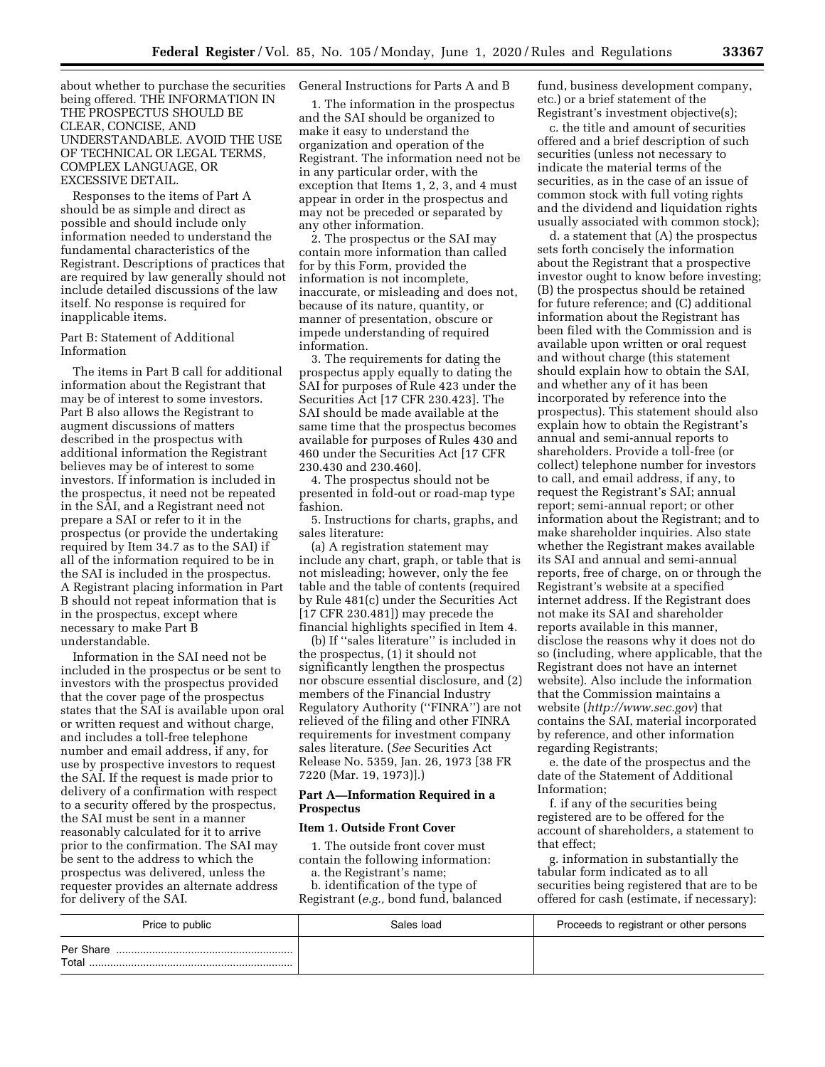about whether to purchase the securities being offered. THE INFORMATION IN THE PROSPECTUS SHOULD BE CLEAR, CONCISE, AND UNDERSTANDABLE. AVOID THE USE OF TECHNICAL OR LEGAL TERMS, COMPLEX LANGUAGE, OR EXCESSIVE DETAIL.

Responses to the items of Part A should be as simple and direct as possible and should include only information needed to understand the fundamental characteristics of the Registrant. Descriptions of practices that are required by law generally should not include detailed discussions of the law itself. No response is required for inapplicable items.

## Part B: Statement of Additional Information

The items in Part B call for additional information about the Registrant that may be of interest to some investors. Part B also allows the Registrant to augment discussions of matters described in the prospectus with additional information the Registrant believes may be of interest to some investors. If information is included in the prospectus, it need not be repeated in the SAI, and a Registrant need not prepare a SAI or refer to it in the prospectus (or provide the undertaking required by Item 34.7 as to the SAI) if all of the information required to be in the SAI is included in the prospectus. A Registrant placing information in Part B should not repeat information that is in the prospectus, except where necessary to make Part B understandable.

Information in the SAI need not be included in the prospectus or be sent to investors with the prospectus provided that the cover page of the prospectus states that the SAI is available upon oral or written request and without charge, and includes a toll-free telephone number and email address, if any, for use by prospective investors to request the SAI. If the request is made prior to delivery of a confirmation with respect to a security offered by the prospectus, the SAI must be sent in a manner reasonably calculated for it to arrive prior to the confirmation. The SAI may be sent to the address to which the prospectus was delivered, unless the requester provides an alternate address for delivery of the SAI.

## General Instructions for Parts A and B

1. The information in the prospectus and the SAI should be organized to make it easy to understand the organization and operation of the Registrant. The information need not be in any particular order, with the exception that Items 1, 2, 3, and 4 must appear in order in the prospectus and may not be preceded or separated by any other information.

2. The prospectus or the SAI may contain more information than called for by this Form, provided the information is not incomplete, inaccurate, or misleading and does not, because of its nature, quantity, or manner of presentation, obscure or impede understanding of required information.

3. The requirements for dating the prospectus apply equally to dating the SAI for purposes of Rule 423 under the Securities Act [17 CFR 230.423]. The SAI should be made available at the same time that the prospectus becomes available for purposes of Rules 430 and 460 under the Securities Act [17 CFR 230.430 and 230.460].

4. The prospectus should not be presented in fold-out or road-map type fashion.

5. Instructions for charts, graphs, and sales literature:

(a) A registration statement may include any chart, graph, or table that is not misleading; however, only the fee table and the table of contents (required by Rule 481(c) under the Securities Act [17 CFR 230.481]) may precede the financial highlights specified in Item 4.

(b) If ''sales literature'' is included in the prospectus, (1) it should not significantly lengthen the prospectus nor obscure essential disclosure, and (2) members of the Financial Industry Regulatory Authority (''FINRA'') are not relieved of the filing and other FINRA requirements for investment company sales literature. (*See* Securities Act Release No. 5359, Jan. 26, 1973 [38 FR 7220 (Mar. 19, 1973)].)

## **Part A—Information Required in a Prospectus**

## **Item 1. Outside Front Cover**

1. The outside front cover must contain the following information:

a. the Registrant's name;

b. identification of the type of Registrant (*e.g.,* bond fund, balanced fund, business development company, etc.) or a brief statement of the Registrant's investment objective(s);

c. the title and amount of securities offered and a brief description of such securities (unless not necessary to indicate the material terms of the securities, as in the case of an issue of common stock with full voting rights and the dividend and liquidation rights usually associated with common stock);

d. a statement that (A) the prospectus sets forth concisely the information about the Registrant that a prospective investor ought to know before investing; (B) the prospectus should be retained for future reference; and (C) additional information about the Registrant has been filed with the Commission and is available upon written or oral request and without charge (this statement should explain how to obtain the SAI, and whether any of it has been incorporated by reference into the prospectus). This statement should also explain how to obtain the Registrant's annual and semi-annual reports to shareholders. Provide a toll-free (or collect) telephone number for investors to call, and email address, if any, to request the Registrant's SAI; annual report; semi-annual report; or other information about the Registrant; and to make shareholder inquiries. Also state whether the Registrant makes available its SAI and annual and semi-annual reports, free of charge, on or through the Registrant's website at a specified internet address. If the Registrant does not make its SAI and shareholder reports available in this manner, disclose the reasons why it does not do so (including, where applicable, that the Registrant does not have an internet website). Also include the information that the Commission maintains a website (*<http://www.sec.gov>*) that contains the SAI, material incorporated by reference, and other information regarding Registrants;

e. the date of the prospectus and the date of the Statement of Additional Information;

f. if any of the securities being registered are to be offered for the account of shareholders, a statement to that effect;

g. information in substantially the tabular form indicated as to all securities being registered that are to be offered for cash (estimate, if necessary):

| Price to public     | Sales load | Proceeds to registrant or other persons |
|---------------------|------------|-----------------------------------------|
| Per Share.<br>Total |            |                                         |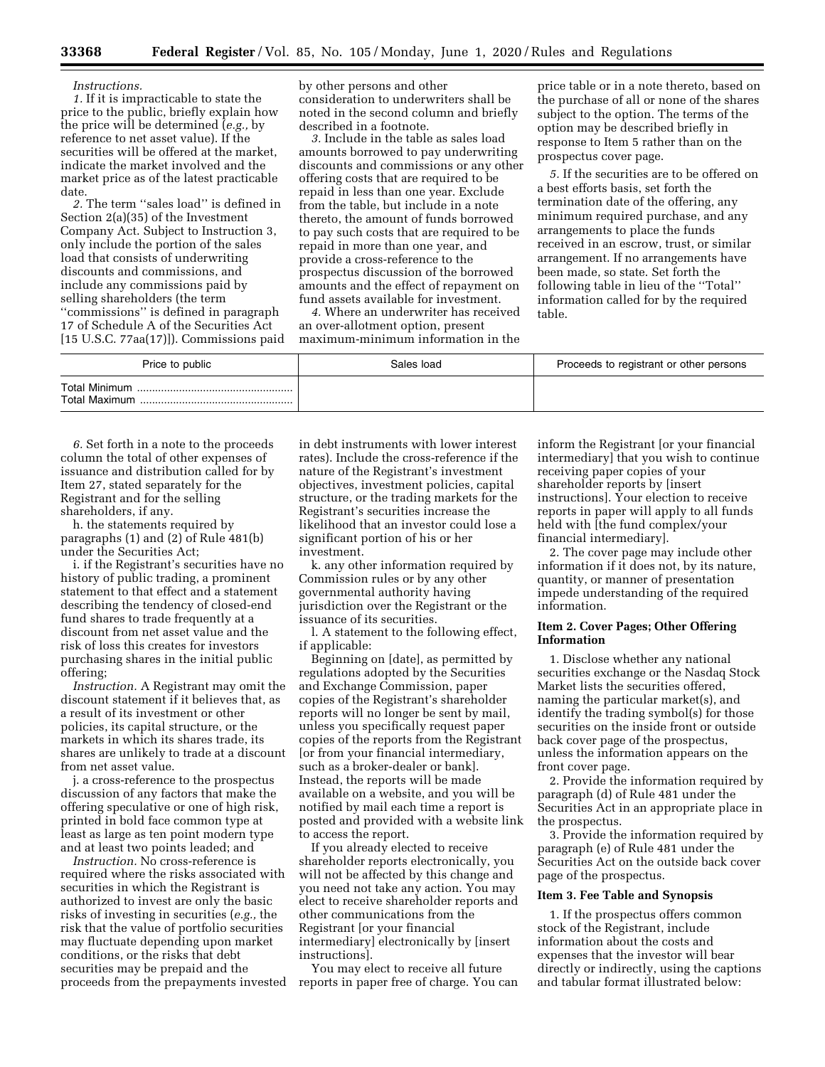# **33368 Federal Register** / Vol. 85, No. 105 / Monday, June 1, 2020 / Rules and Regulations

#### *Instructions.*

*1.* If it is impracticable to state the price to the public, briefly explain how the price will be determined (*e.g.,* by reference to net asset value). If the securities will be offered at the market, indicate the market involved and the market price as of the latest practicable date.

*2.* The term ''sales load'' is defined in Section 2(a)(35) of the Investment Company Act. Subject to Instruction 3, only include the portion of the sales load that consists of underwriting discounts and commissions, and include any commissions paid by selling shareholders (the term ''commissions'' is defined in paragraph 17 of Schedule A of the Securities Act [15 U.S.C. 77aa(17)]). Commissions paid by other persons and other consideration to underwriters shall be noted in the second column and briefly described in a footnote.

*3.* Include in the table as sales load amounts borrowed to pay underwriting discounts and commissions or any other offering costs that are required to be repaid in less than one year. Exclude from the table, but include in a note thereto, the amount of funds borrowed to pay such costs that are required to be repaid in more than one year, and provide a cross-reference to the prospectus discussion of the borrowed amounts and the effect of repayment on fund assets available for investment.

*4.* Where an underwriter has received an over-allotment option, present maximum-minimum information in the

price table or in a note thereto, based on the purchase of all or none of the shares subject to the option. The terms of the option may be described briefly in response to Item 5 rather than on the prospectus cover page.

*5.* If the securities are to be offered on a best efforts basis, set forth the termination date of the offering, any minimum required purchase, and any arrangements to place the funds received in an escrow, trust, or similar arrangement. If no arrangements have been made, so state. Set forth the following table in lieu of the ''Total'' information called for by the required table.

| Price to public | Sales load | Proceeds to registrant or other persons |
|-----------------|------------|-----------------------------------------|
|                 |            |                                         |

*6.* Set forth in a note to the proceeds column the total of other expenses of issuance and distribution called for by Item 27, stated separately for the Registrant and for the selling shareholders, if any.

h. the statements required by paragraphs (1) and (2) of Rule 481(b) under the Securities Act;

i. if the Registrant's securities have no history of public trading, a prominent statement to that effect and a statement describing the tendency of closed-end fund shares to trade frequently at a discount from net asset value and the risk of loss this creates for investors purchasing shares in the initial public offering;

*Instruction.* A Registrant may omit the discount statement if it believes that, as a result of its investment or other policies, its capital structure, or the markets in which its shares trade, its shares are unlikely to trade at a discount from net asset value.

j. a cross-reference to the prospectus discussion of any factors that make the offering speculative or one of high risk, printed in bold face common type at least as large as ten point modern type and at least two points leaded; and

*Instruction.* No cross-reference is required where the risks associated with securities in which the Registrant is authorized to invest are only the basic risks of investing in securities (*e.g.,* the risk that the value of portfolio securities may fluctuate depending upon market conditions, or the risks that debt securities may be prepaid and the proceeds from the prepayments invested reports in paper free of charge. You can

in debt instruments with lower interest rates). Include the cross-reference if the nature of the Registrant's investment objectives, investment policies, capital structure, or the trading markets for the Registrant's securities increase the likelihood that an investor could lose a significant portion of his or her investment.

k. any other information required by Commission rules or by any other governmental authority having jurisdiction over the Registrant or the issuance of its securities.

l. A statement to the following effect, if applicable:

Beginning on [date], as permitted by regulations adopted by the Securities and Exchange Commission, paper copies of the Registrant's shareholder reports will no longer be sent by mail, unless you specifically request paper copies of the reports from the Registrant [or from your financial intermediary, such as a broker-dealer or bank]. Instead, the reports will be made available on a website, and you will be notified by mail each time a report is posted and provided with a website link to access the report.

If you already elected to receive shareholder reports electronically, you will not be affected by this change and you need not take any action. You may elect to receive shareholder reports and other communications from the Registrant [or your financial intermediary] electronically by [insert instructions].

You may elect to receive all future

inform the Registrant [or your financial intermediary] that you wish to continue receiving paper copies of your shareholder reports by [insert instructions]. Your election to receive reports in paper will apply to all funds held with [the fund complex/your financial intermediary].

2. The cover page may include other information if it does not, by its nature, quantity, or manner of presentation impede understanding of the required information.

## **Item 2. Cover Pages; Other Offering Information**

1. Disclose whether any national securities exchange or the Nasdaq Stock Market lists the securities offered, naming the particular market(s), and identify the trading symbol(s) for those securities on the inside front or outside back cover page of the prospectus, unless the information appears on the front cover page.

2. Provide the information required by paragraph (d) of Rule 481 under the Securities Act in an appropriate place in the prospectus.

3. Provide the information required by paragraph (e) of Rule 481 under the Securities Act on the outside back cover page of the prospectus.

## **Item 3. Fee Table and Synopsis**

1. If the prospectus offers common stock of the Registrant, include information about the costs and expenses that the investor will bear directly or indirectly, using the captions and tabular format illustrated below: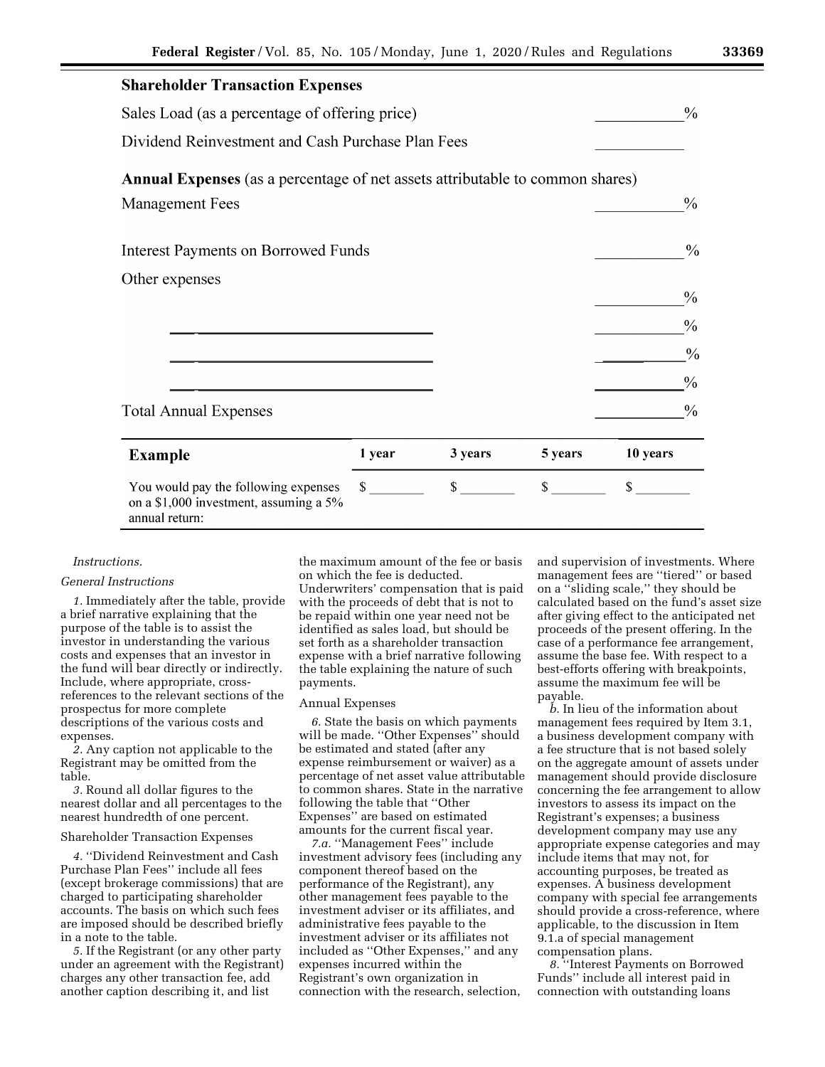| <b>Shareholder Transaction Expenses</b>                                                          |              |         |         |          |               |
|--------------------------------------------------------------------------------------------------|--------------|---------|---------|----------|---------------|
| Sales Load (as a percentage of offering price)                                                   |              |         |         |          | $\frac{0}{0}$ |
| Dividend Reinvestment and Cash Purchase Plan Fees                                                |              |         |         |          |               |
| <b>Annual Expenses</b> (as a percentage of net assets attributable to common shares)             |              |         |         |          |               |
| <b>Management Fees</b>                                                                           |              |         |         |          | $\frac{0}{0}$ |
| <b>Interest Payments on Borrowed Funds</b>                                                       |              |         |         |          | $\frac{0}{0}$ |
| Other expenses                                                                                   |              |         |         |          | $\frac{0}{0}$ |
|                                                                                                  |              |         |         |          | $\frac{0}{0}$ |
|                                                                                                  |              |         |         |          | $\frac{0}{0}$ |
|                                                                                                  |              |         |         |          | $\frac{0}{0}$ |
| <b>Total Annual Expenses</b>                                                                     |              |         |         |          | $\frac{0}{0}$ |
| <b>Example</b>                                                                                   | 1 year       | 3 years | 5 years | 10 years |               |
| You would pay the following expenses<br>on a \$1,000 investment, assuming a 5%<br>annual return: | $\mathbb{S}$ | \$      | \$      | \$       |               |

## *Instructions.*

## *General Instructions*

*1.* Immediately after the table, provide a brief narrative explaining that the purpose of the table is to assist the investor in understanding the various costs and expenses that an investor in the fund will bear directly or indirectly. Include, where appropriate, crossreferences to the relevant sections of the prospectus for more complete descriptions of the various costs and expenses.

*2.* Any caption not applicable to the Registrant may be omitted from the table.

*3.* Round all dollar figures to the nearest dollar and all percentages to the nearest hundredth of one percent.

## Shareholder Transaction Expenses

*4.* ''Dividend Reinvestment and Cash Purchase Plan Fees'' include all fees (except brokerage commissions) that are charged to participating shareholder accounts. The basis on which such fees are imposed should be described briefly in a note to the table.

*5.* If the Registrant (or any other party under an agreement with the Registrant) charges any other transaction fee, add another caption describing it, and list

the maximum amount of the fee or basis on which the fee is deducted. Underwriters' compensation that is paid with the proceeds of debt that is not to be repaid within one year need not be identified as sales load, but should be set forth as a shareholder transaction expense with a brief narrative following the table explaining the nature of such payments.

#### Annual Expenses

*6.* State the basis on which payments will be made. ''Other Expenses'' should be estimated and stated (after any expense reimbursement or waiver) as a percentage of net asset value attributable to common shares. State in the narrative following the table that ''Other Expenses'' are based on estimated amounts for the current fiscal year.

*7.a.* ''Management Fees'' include investment advisory fees (including any component thereof based on the performance of the Registrant), any other management fees payable to the investment adviser or its affiliates, and administrative fees payable to the investment adviser or its affiliates not included as ''Other Expenses,'' and any expenses incurred within the Registrant's own organization in connection with the research, selection,

and supervision of investments. Where management fees are ''tiered'' or based on a ''sliding scale,'' they should be calculated based on the fund's asset size after giving effect to the anticipated net proceeds of the present offering. In the case of a performance fee arrangement, assume the base fee. With respect to a best-efforts offering with breakpoints, assume the maximum fee will be payable.

*b.* In lieu of the information about management fees required by Item 3.1, a business development company with a fee structure that is not based solely on the aggregate amount of assets under management should provide disclosure concerning the fee arrangement to allow investors to assess its impact on the Registrant's expenses; a business development company may use any appropriate expense categories and may include items that may not, for accounting purposes, be treated as expenses. A business development company with special fee arrangements should provide a cross-reference, where applicable, to the discussion in Item 9.1.a of special management compensation plans.

*8.* ''Interest Payments on Borrowed Funds'' include all interest paid in connection with outstanding loans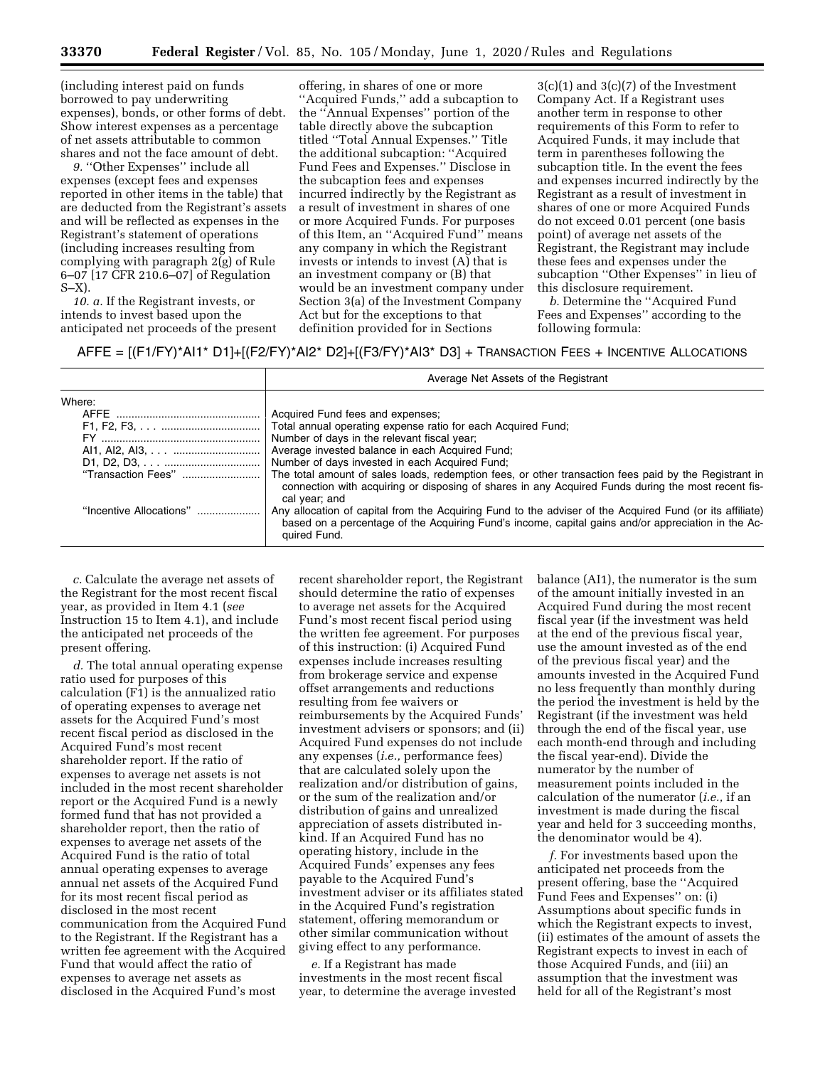(including interest paid on funds borrowed to pay underwriting expenses), bonds, or other forms of debt. Show interest expenses as a percentage of net assets attributable to common shares and not the face amount of debt.

9. "Other Expenses" include all expenses (except fees and expenses reported in other items in the table) that are deducted from the Registrant's assets and will be reflected as expenses in the Registrant's statement of operations (including increases resulting from complying with paragraph 2(g) of Rule 6–07 [17 CFR 210.6–07] of Regulation S–X).

*10. a.* If the Registrant invests, or intends to invest based upon the anticipated net proceeds of the present

offering, in shares of one or more ''Acquired Funds,'' add a subcaption to the ''Annual Expenses'' portion of the table directly above the subcaption titled ''Total Annual Expenses.'' Title the additional subcaption: ''Acquired Fund Fees and Expenses.'' Disclose in the subcaption fees and expenses incurred indirectly by the Registrant as a result of investment in shares of one or more Acquired Funds. For purposes of this Item, an ''Acquired Fund'' means any company in which the Registrant invests or intends to invest (A) that is an investment company or (B) that would be an investment company under Section 3(a) of the Investment Company Act but for the exceptions to that definition provided for in Sections

 $3(c)(1)$  and  $3(c)(7)$  of the Investment Company Act. If a Registrant uses another term in response to other requirements of this Form to refer to Acquired Funds, it may include that term in parentheses following the subcaption title. In the event the fees and expenses incurred indirectly by the Registrant as a result of investment in shares of one or more Acquired Funds do not exceed 0.01 percent (one basis point) of average net assets of the Registrant, the Registrant may include these fees and expenses under the subcaption ''Other Expenses'' in lieu of this disclosure requirement.

*b.* Determine the ''Acquired Fund Fees and Expenses'' according to the following formula:

# AFFE = [(F1/FY)\*AI1\* D1]+[(F2/FY)\*AI2\* D2]+[(F3/FY)\*AI3\* D3] + TRANSACTION FEES + INCENTIVE ALLOCATIONS

|                         | Average Net Assets of the Registrant                                                                                                                                                                                           |
|-------------------------|--------------------------------------------------------------------------------------------------------------------------------------------------------------------------------------------------------------------------------|
| Where:                  | Acquired Fund fees and expenses;                                                                                                                                                                                               |
|                         | Total annual operating expense ratio for each Acquired Fund;<br>Number of days in the relevant fiscal year;                                                                                                                    |
|                         | Average invested balance in each Acquired Fund;<br>Number of days invested in each Acquired Fund;                                                                                                                              |
| "Transaction Fees"      | The total amount of sales loads, redemption fees, or other transaction fees paid by the Registrant in<br>connection with acquiring or disposing of shares in any Acquired Funds during the most recent fis-<br>cal year; and   |
| "Incentive Allocations" | Any allocation of capital from the Acquiring Fund to the adviser of the Acquired Fund (or its affiliate)<br>based on a percentage of the Acquiring Fund's income, capital gains and/or appreciation in the Ac-<br>quired Fund. |

*c.* Calculate the average net assets of the Registrant for the most recent fiscal year, as provided in Item 4.1 (*see*  Instruction 15 to Item 4.1), and include the anticipated net proceeds of the present offering.

*d.* The total annual operating expense ratio used for purposes of this calculation (F1) is the annualized ratio of operating expenses to average net assets for the Acquired Fund's most recent fiscal period as disclosed in the Acquired Fund's most recent shareholder report. If the ratio of expenses to average net assets is not included in the most recent shareholder report or the Acquired Fund is a newly formed fund that has not provided a shareholder report, then the ratio of expenses to average net assets of the Acquired Fund is the ratio of total annual operating expenses to average annual net assets of the Acquired Fund for its most recent fiscal period as disclosed in the most recent communication from the Acquired Fund to the Registrant. If the Registrant has a written fee agreement with the Acquired Fund that would affect the ratio of expenses to average net assets as disclosed in the Acquired Fund's most

recent shareholder report, the Registrant should determine the ratio of expenses to average net assets for the Acquired Fund's most recent fiscal period using the written fee agreement. For purposes of this instruction: (i) Acquired Fund expenses include increases resulting from brokerage service and expense offset arrangements and reductions resulting from fee waivers or reimbursements by the Acquired Funds' investment advisers or sponsors; and (ii) Acquired Fund expenses do not include any expenses (*i.e.,* performance fees) that are calculated solely upon the realization and/or distribution of gains, or the sum of the realization and/or distribution of gains and unrealized appreciation of assets distributed inkind. If an Acquired Fund has no operating history, include in the Acquired Funds' expenses any fees payable to the Acquired Fund's investment adviser or its affiliates stated in the Acquired Fund's registration statement, offering memorandum or other similar communication without giving effect to any performance.

*e.* If a Registrant has made investments in the most recent fiscal year, to determine the average invested balance (AI1), the numerator is the sum of the amount initially invested in an Acquired Fund during the most recent fiscal year (if the investment was held at the end of the previous fiscal year, use the amount invested as of the end of the previous fiscal year) and the amounts invested in the Acquired Fund no less frequently than monthly during the period the investment is held by the Registrant (if the investment was held through the end of the fiscal year, use each month-end through and including the fiscal year-end). Divide the numerator by the number of measurement points included in the calculation of the numerator (*i.e.,* if an investment is made during the fiscal year and held for 3 succeeding months, the denominator would be 4).

*f.* For investments based upon the anticipated net proceeds from the present offering, base the ''Acquired Fund Fees and Expenses'' on: (i) Assumptions about specific funds in which the Registrant expects to invest, (ii) estimates of the amount of assets the Registrant expects to invest in each of those Acquired Funds, and (iii) an assumption that the investment was held for all of the Registrant's most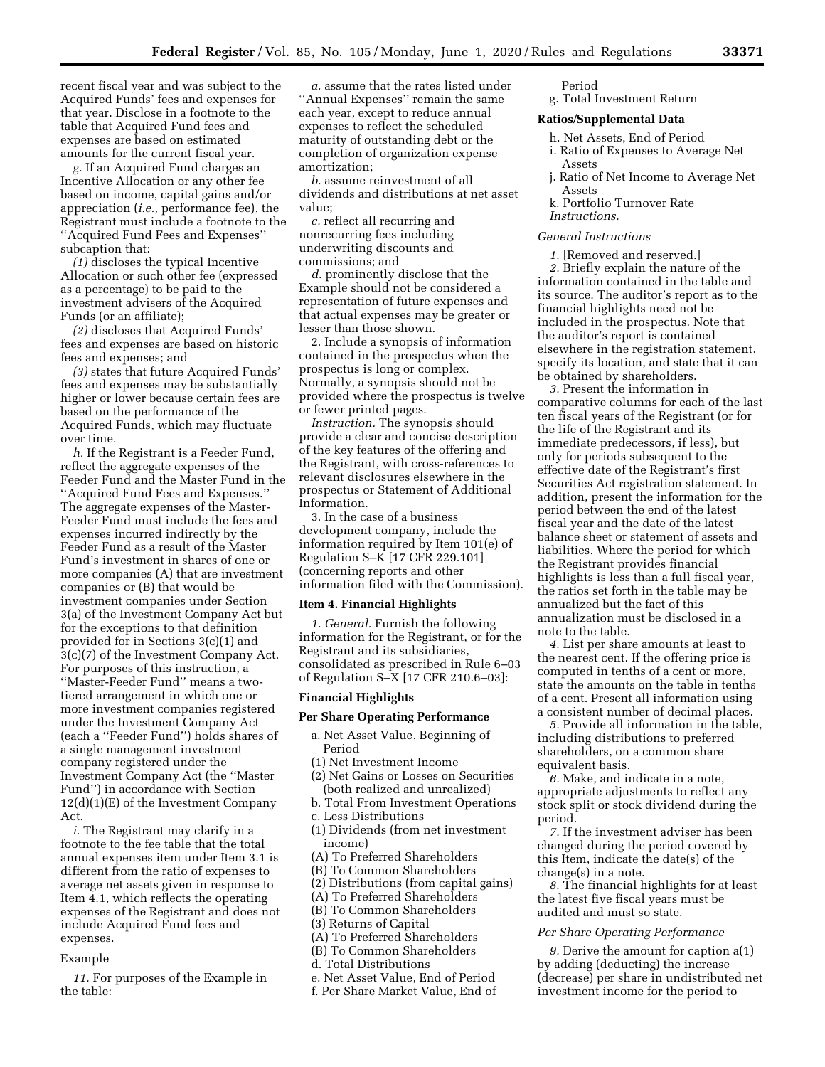recent fiscal year and was subject to the Acquired Funds' fees and expenses for that year. Disclose in a footnote to the table that Acquired Fund fees and expenses are based on estimated amounts for the current fiscal year.

*g.* If an Acquired Fund charges an Incentive Allocation or any other fee based on income, capital gains and/or appreciation (*i.e.,* performance fee), the Registrant must include a footnote to the ''Acquired Fund Fees and Expenses'' subcaption that:

*(1)* discloses the typical Incentive Allocation or such other fee (expressed as a percentage) to be paid to the investment advisers of the Acquired Funds (or an affiliate);

*(2)* discloses that Acquired Funds' fees and expenses are based on historic fees and expenses; and

*(3)* states that future Acquired Funds' fees and expenses may be substantially higher or lower because certain fees are based on the performance of the Acquired Funds, which may fluctuate over time.

*h.* If the Registrant is a Feeder Fund, reflect the aggregate expenses of the Feeder Fund and the Master Fund in the ''Acquired Fund Fees and Expenses.'' The aggregate expenses of the Master-Feeder Fund must include the fees and expenses incurred indirectly by the Feeder Fund as a result of the Master Fund's investment in shares of one or more companies (A) that are investment companies or (B) that would be investment companies under Section 3(a) of the Investment Company Act but for the exceptions to that definition provided for in Sections 3(c)(1) and 3(c)(7) of the Investment Company Act. For purposes of this instruction, a ''Master-Feeder Fund'' means a twotiered arrangement in which one or more investment companies registered under the Investment Company Act (each a ''Feeder Fund'') holds shares of a single management investment company registered under the Investment Company Act (the ''Master Fund'') in accordance with Section 12(d)(1)(E) of the Investment Company Act.

*i.* The Registrant may clarify in a footnote to the fee table that the total annual expenses item under Item 3.1 is different from the ratio of expenses to average net assets given in response to Item 4.1, which reflects the operating expenses of the Registrant and does not include Acquired Fund fees and expenses.

#### Example

*11.* For purposes of the Example in the table:

*a.* assume that the rates listed under ''Annual Expenses'' remain the same each year, except to reduce annual expenses to reflect the scheduled maturity of outstanding debt or the completion of organization expense amortization;

*b.* assume reinvestment of all dividends and distributions at net asset value;

*c.* reflect all recurring and nonrecurring fees including underwriting discounts and commissions; and

*d.* prominently disclose that the Example should not be considered a representation of future expenses and that actual expenses may be greater or lesser than those shown.

2. Include a synopsis of information contained in the prospectus when the prospectus is long or complex. Normally, a synopsis should not be provided where the prospectus is twelve or fewer printed pages.

*Instruction.* The synopsis should provide a clear and concise description of the key features of the offering and the Registrant, with cross-references to relevant disclosures elsewhere in the prospectus or Statement of Additional Information.

3. In the case of a business development company, include the information required by Item 101(e) of Regulation S–K [17 CFR 229.101] (concerning reports and other information filed with the Commission).

# **Item 4. Financial Highlights**

*1. General.* Furnish the following information for the Registrant, or for the Registrant and its subsidiaries, consolidated as prescribed in Rule 6–03 of Regulation S–X [17 CFR 210.6–03]:

## **Financial Highlights**

## **Per Share Operating Performance**

- a. Net Asset Value, Beginning of Period
- (1) Net Investment Income
- (2) Net Gains or Losses on Securities (both realized and unrealized)
- b. Total From Investment Operations
- c. Less Distributions
- (1) Dividends (from net investment income)
- (A) To Preferred Shareholders
- (B) To Common Shareholders
- (2) Distributions (from capital gains)
- (A) To Preferred Shareholders
- (B) To Common Shareholders
- (3) Returns of Capital
- (A) To Preferred Shareholders
- (B) To Common Shareholders
- d. Total Distributions
- e. Net Asset Value, End of Period
- f. Per Share Market Value, End of

#### Period g. Total Investment Return

# **Ratios/Supplemental Data**

- h. Net Assets, End of Period
- i. Ratio of Expenses to Average Net Assets
- j. Ratio of Net Income to Average Net Assets
- k. Portfolio Turnover Rate
- *Instructions.*

#### *General Instructions*

*1.* [Removed and reserved.] *2.* Briefly explain the nature of the information contained in the table and its source. The auditor's report as to the financial highlights need not be included in the prospectus. Note that the auditor's report is contained elsewhere in the registration statement, specify its location, and state that it can be obtained by shareholders.

*3.* Present the information in comparative columns for each of the last ten fiscal years of the Registrant (or for the life of the Registrant and its immediate predecessors, if less), but only for periods subsequent to the effective date of the Registrant's first Securities Act registration statement. In addition, present the information for the period between the end of the latest fiscal year and the date of the latest balance sheet or statement of assets and liabilities. Where the period for which the Registrant provides financial highlights is less than a full fiscal year, the ratios set forth in the table may be annualized but the fact of this annualization must be disclosed in a note to the table.

*4.* List per share amounts at least to the nearest cent. If the offering price is computed in tenths of a cent or more, state the amounts on the table in tenths of a cent. Present all information using a consistent number of decimal places.

*5.* Provide all information in the table, including distributions to preferred shareholders, on a common share equivalent basis.

*6.* Make, and indicate in a note, appropriate adjustments to reflect any stock split or stock dividend during the period.

*7.* If the investment adviser has been changed during the period covered by this Item, indicate the date(s) of the change(s) in a note.

*8.* The financial highlights for at least the latest five fiscal years must be audited and must so state.

## *Per Share Operating Performance*

*9.* Derive the amount for caption a(1) by adding (deducting) the increase (decrease) per share in undistributed net investment income for the period to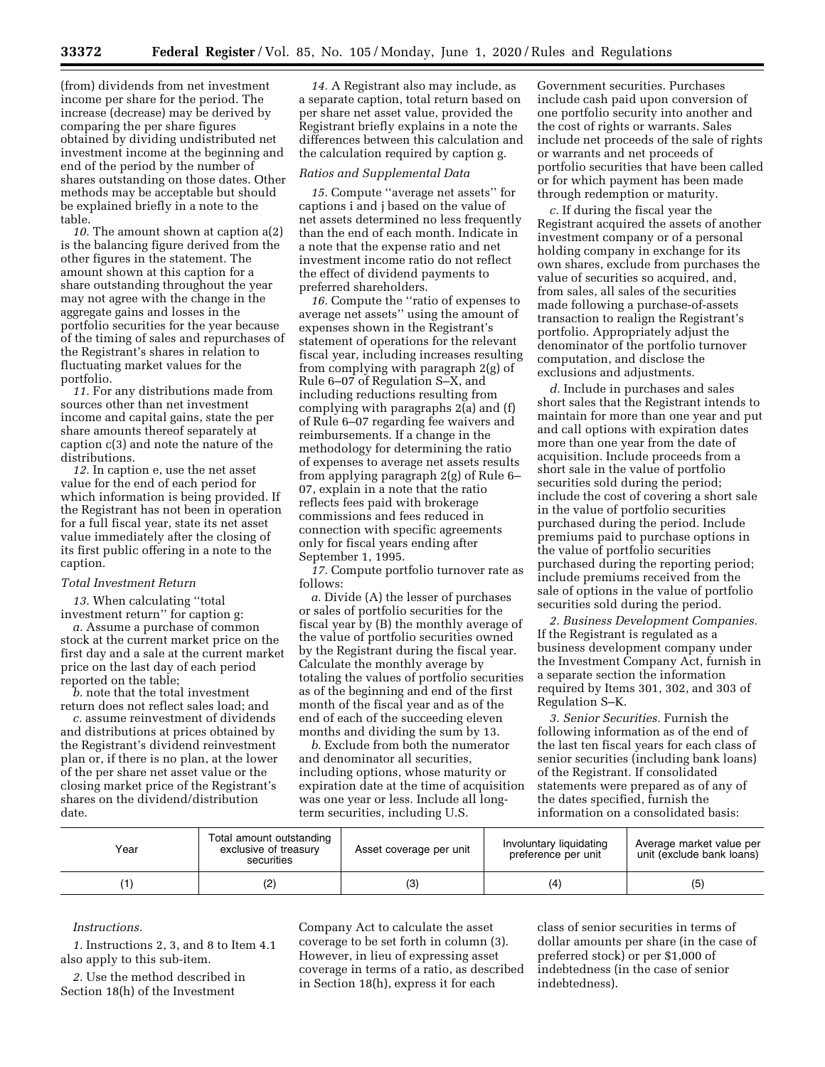(from) dividends from net investment income per share for the period. The increase (decrease) may be derived by comparing the per share figures obtained by dividing undistributed net investment income at the beginning and end of the period by the number of shares outstanding on those dates. Other methods may be acceptable but should be explained briefly in a note to the table.

*10.* The amount shown at caption a(2) is the balancing figure derived from the other figures in the statement. The amount shown at this caption for a share outstanding throughout the year may not agree with the change in the aggregate gains and losses in the portfolio securities for the year because of the timing of sales and repurchases of the Registrant's shares in relation to fluctuating market values for the portfolio.

*11.* For any distributions made from sources other than net investment income and capital gains, state the per share amounts thereof separately at caption c(3) and note the nature of the distributions.

*12.* In caption e, use the net asset value for the end of each period for which information is being provided. If the Registrant has not been in operation for a full fiscal year, state its net asset value immediately after the closing of its first public offering in a note to the caption.

## *Total Investment Return*

*13.* When calculating ''total investment return'' for caption g:

*a.* Assume a purchase of common stock at the current market price on the first day and a sale at the current market price on the last day of each period reported on the table;

*b.* note that the total investment return does not reflect sales load; and

*c.* assume reinvestment of dividends and distributions at prices obtained by the Registrant's dividend reinvestment plan or, if there is no plan, at the lower of the per share net asset value or the closing market price of the Registrant's shares on the dividend/distribution date.

*14.* A Registrant also may include, as a separate caption, total return based on per share net asset value, provided the Registrant briefly explains in a note the differences between this calculation and the calculation required by caption g.

#### *Ratios and Supplemental Data*

*15.* Compute ''average net assets'' for captions i and j based on the value of net assets determined no less frequently than the end of each month. Indicate in a note that the expense ratio and net investment income ratio do not reflect the effect of dividend payments to preferred shareholders.

*16.* Compute the ''ratio of expenses to average net assets'' using the amount of expenses shown in the Registrant's statement of operations for the relevant fiscal year, including increases resulting from complying with paragraph 2(g) of Rule 6–07 of Regulation S–X, and including reductions resulting from complying with paragraphs 2(a) and (f) of Rule 6–07 regarding fee waivers and reimbursements. If a change in the methodology for determining the ratio of expenses to average net assets results from applying paragraph 2(g) of Rule 6– 07, explain in a note that the ratio reflects fees paid with brokerage commissions and fees reduced in connection with specific agreements only for fiscal years ending after September 1, 1995.

*17.* Compute portfolio turnover rate as follows:

*a.* Divide (A) the lesser of purchases or sales of portfolio securities for the fiscal year by (B) the monthly average of the value of portfolio securities owned by the Registrant during the fiscal year. Calculate the monthly average by totaling the values of portfolio securities as of the beginning and end of the first month of the fiscal year and as of the end of each of the succeeding eleven months and dividing the sum by 13.

*b.* Exclude from both the numerator and denominator all securities, including options, whose maturity or expiration date at the time of acquisition was one year or less. Include all longterm securities, including U.S.

Government securities. Purchases include cash paid upon conversion of one portfolio security into another and the cost of rights or warrants. Sales include net proceeds of the sale of rights or warrants and net proceeds of portfolio securities that have been called or for which payment has been made through redemption or maturity.

*c.* If during the fiscal year the Registrant acquired the assets of another investment company or of a personal holding company in exchange for its own shares, exclude from purchases the value of securities so acquired, and, from sales, all sales of the securities made following a purchase-of-assets transaction to realign the Registrant's portfolio. Appropriately adjust the denominator of the portfolio turnover computation, and disclose the exclusions and adjustments.

*d.* Include in purchases and sales short sales that the Registrant intends to maintain for more than one year and put and call options with expiration dates more than one year from the date of acquisition. Include proceeds from a short sale in the value of portfolio securities sold during the period; include the cost of covering a short sale in the value of portfolio securities purchased during the period. Include premiums paid to purchase options in the value of portfolio securities purchased during the reporting period; include premiums received from the sale of options in the value of portfolio securities sold during the period.

*2. Business Development Companies.*  If the Registrant is regulated as a business development company under the Investment Company Act, furnish in a separate section the information required by Items 301, 302, and 303 of Regulation S–K.

*3. Senior Securities.* Furnish the following information as of the end of the last ten fiscal years for each class of senior securities (including bank loans) of the Registrant. If consolidated statements were prepared as of any of the dates specified, furnish the information on a consolidated basis:

| Year | Total amount outstanding<br>exclusive of treasury<br>securities | Asset coverage per unit | Involuntary liquidating<br>preference per unit | Average market value per<br>unit (exclude bank loans) |
|------|-----------------------------------------------------------------|-------------------------|------------------------------------------------|-------------------------------------------------------|
|      | (2)                                                             |                         | (4                                             |                                                       |

## *Instructions.*

*1.* Instructions 2, 3, and 8 to Item 4.1 also apply to this sub-item.

*2.* Use the method described in Section 18(h) of the Investment

Company Act to calculate the asset coverage to be set forth in column (3). However, in lieu of expressing asset coverage in terms of a ratio, as described in Section 18(h), express it for each

class of senior securities in terms of dollar amounts per share (in the case of preferred stock) or per \$1,000 of indebtedness (in the case of senior indebtedness).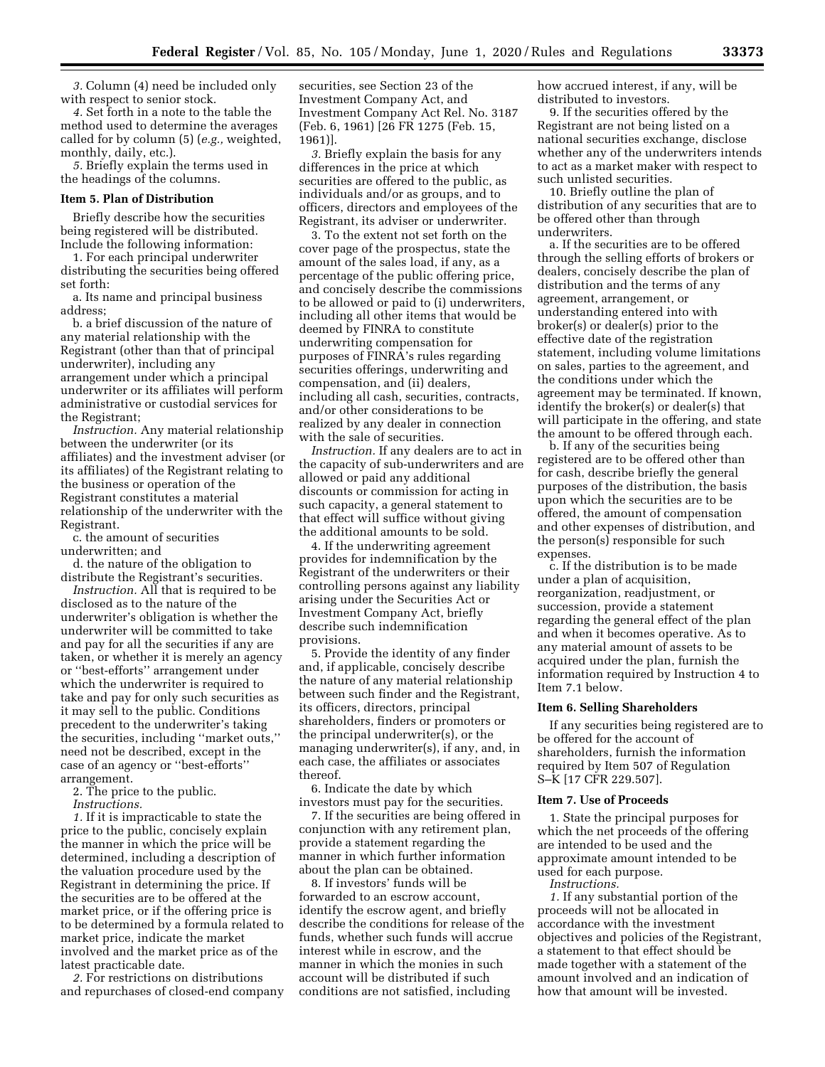*3.* Column (4) need be included only with respect to senior stock.

*4.* Set forth in a note to the table the method used to determine the averages called for by column (5) (*e.g.,* weighted, monthly, daily, etc.).

*5.* Briefly explain the terms used in the headings of the columns.

# **Item 5. Plan of Distribution**

Briefly describe how the securities being registered will be distributed. Include the following information:

1. For each principal underwriter distributing the securities being offered set forth:

a. Its name and principal business address;

b. a brief discussion of the nature of any material relationship with the Registrant (other than that of principal underwriter), including any arrangement under which a principal underwriter or its affiliates will perform administrative or custodial services for the Registrant;

*Instruction.* Any material relationship between the underwriter (or its affiliates) and the investment adviser (or its affiliates) of the Registrant relating to the business or operation of the Registrant constitutes a material relationship of the underwriter with the Registrant.

c. the amount of securities underwritten; and

d. the nature of the obligation to distribute the Registrant's securities.

*Instruction.* All that is required to be disclosed as to the nature of the underwriter's obligation is whether the underwriter will be committed to take and pay for all the securities if any are taken, or whether it is merely an agency or ''best-efforts'' arrangement under which the underwriter is required to take and pay for only such securities as it may sell to the public. Conditions precedent to the underwriter's taking the securities, including ''market outs,'' need not be described, except in the case of an agency or ''best-efforts'' arrangement.

2. The price to the public.

*Instructions.* 

*1.* If it is impracticable to state the price to the public, concisely explain the manner in which the price will be determined, including a description of the valuation procedure used by the Registrant in determining the price. If the securities are to be offered at the market price, or if the offering price is to be determined by a formula related to market price, indicate the market involved and the market price as of the latest practicable date.

*2.* For restrictions on distributions and repurchases of closed-end company

securities, see Section 23 of the Investment Company Act, and Investment Company Act Rel. No. 3187 (Feb. 6, 1961) [26 FR 1275 (Feb. 15, 1961)].

*3.* Briefly explain the basis for any differences in the price at which securities are offered to the public, as individuals and/or as groups, and to officers, directors and employees of the Registrant, its adviser or underwriter.

3. To the extent not set forth on the cover page of the prospectus, state the amount of the sales load, if any, as a percentage of the public offering price, and concisely describe the commissions to be allowed or paid to (i) underwriters, including all other items that would be deemed by FINRA to constitute underwriting compensation for purposes of FINRA's rules regarding securities offerings, underwriting and compensation, and (ii) dealers, including all cash, securities, contracts, and/or other considerations to be realized by any dealer in connection with the sale of securities.

*Instruction.* If any dealers are to act in the capacity of sub-underwriters and are allowed or paid any additional discounts or commission for acting in such capacity, a general statement to that effect will suffice without giving the additional amounts to be sold.

4. If the underwriting agreement provides for indemnification by the Registrant of the underwriters or their controlling persons against any liability arising under the Securities Act or Investment Company Act, briefly describe such indemnification provisions.

5. Provide the identity of any finder and, if applicable, concisely describe the nature of any material relationship between such finder and the Registrant, its officers, directors, principal shareholders, finders or promoters or the principal underwriter(s), or the managing underwriter(s), if any, and, in each case, the affiliates or associates thereof.

6. Indicate the date by which investors must pay for the securities.

7. If the securities are being offered in conjunction with any retirement plan, provide a statement regarding the manner in which further information about the plan can be obtained.

8. If investors' funds will be forwarded to an escrow account, identify the escrow agent, and briefly describe the conditions for release of the funds, whether such funds will accrue interest while in escrow, and the manner in which the monies in such account will be distributed if such conditions are not satisfied, including

how accrued interest, if any, will be distributed to investors.

9. If the securities offered by the Registrant are not being listed on a national securities exchange, disclose whether any of the underwriters intends to act as a market maker with respect to such unlisted securities.

10. Briefly outline the plan of distribution of any securities that are to be offered other than through underwriters.

a. If the securities are to be offered through the selling efforts of brokers or dealers, concisely describe the plan of distribution and the terms of any agreement, arrangement, or understanding entered into with broker(s) or dealer(s) prior to the effective date of the registration statement, including volume limitations on sales, parties to the agreement, and the conditions under which the agreement may be terminated. If known, identify the broker(s) or dealer(s) that will participate in the offering, and state the amount to be offered through each.

b. If any of the securities being registered are to be offered other than for cash, describe briefly the general purposes of the distribution, the basis upon which the securities are to be offered, the amount of compensation and other expenses of distribution, and the person(s) responsible for such expenses.

c. If the distribution is to be made under a plan of acquisition, reorganization, readjustment, or succession, provide a statement regarding the general effect of the plan and when it becomes operative. As to any material amount of assets to be acquired under the plan, furnish the information required by Instruction 4 to Item 7.1 below.

## **Item 6. Selling Shareholders**

If any securities being registered are to be offered for the account of shareholders, furnish the information required by Item 507 of Regulation S–K [17 CFR 229.507].

## **Item 7. Use of Proceeds**

1. State the principal purposes for which the net proceeds of the offering are intended to be used and the approximate amount intended to be used for each purpose.

*Instructions.* 

*1.* If any substantial portion of the proceeds will not be allocated in accordance with the investment objectives and policies of the Registrant, a statement to that effect should be made together with a statement of the amount involved and an indication of how that amount will be invested.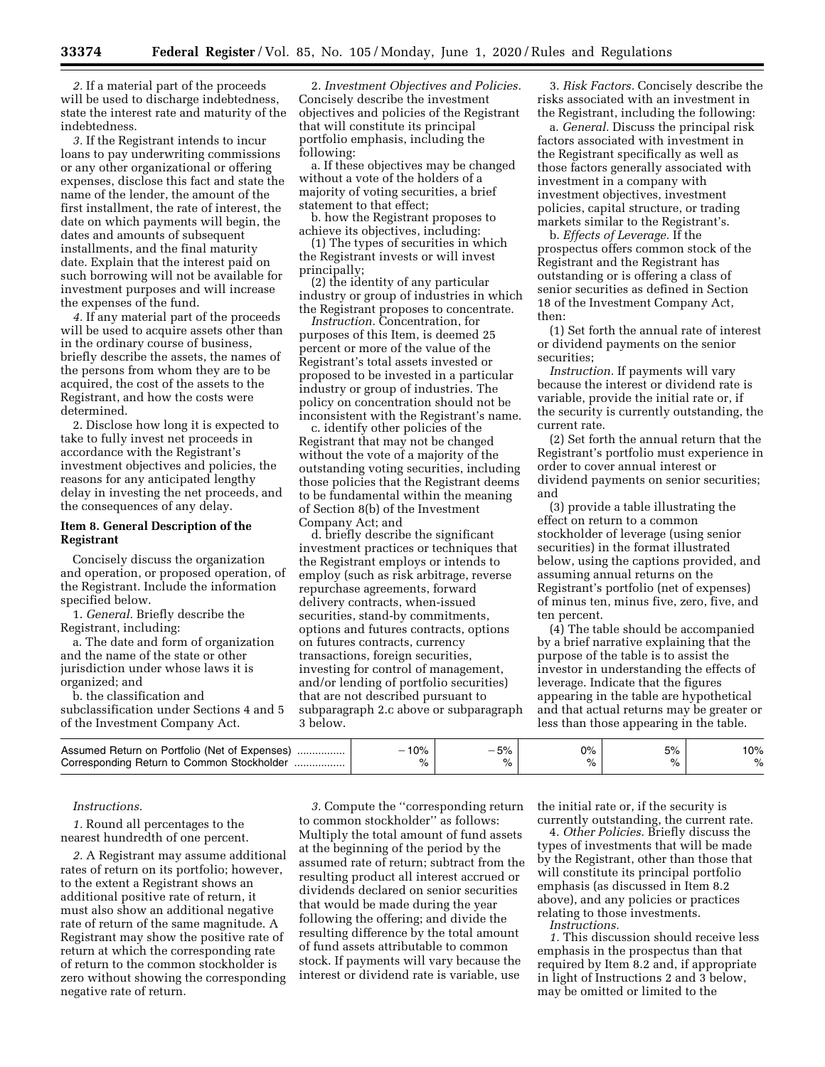*2.* If a material part of the proceeds will be used to discharge indebtedness, state the interest rate and maturity of the indebtedness.

*3.* If the Registrant intends to incur loans to pay underwriting commissions or any other organizational or offering expenses, disclose this fact and state the name of the lender, the amount of the first installment, the rate of interest, the date on which payments will begin, the dates and amounts of subsequent installments, and the final maturity date. Explain that the interest paid on such borrowing will not be available for investment purposes and will increase the expenses of the fund.

*4.* If any material part of the proceeds will be used to acquire assets other than in the ordinary course of business, briefly describe the assets, the names of the persons from whom they are to be acquired, the cost of the assets to the Registrant, and how the costs were determined.

2. Disclose how long it is expected to take to fully invest net proceeds in accordance with the Registrant's investment objectives and policies, the reasons for any anticipated lengthy delay in investing the net proceeds, and the consequences of any delay.

## **Item 8. General Description of the Registrant**

Concisely discuss the organization and operation, or proposed operation, of the Registrant. Include the information specified below.

1. *General.* Briefly describe the Registrant, including:

a. The date and form of organization and the name of the state or other jurisdiction under whose laws it is organized; and

b. the classification and subclassification under Sections 4 and 5 of the Investment Company Act.

2. *Investment Objectives and Policies.*  Concisely describe the investment objectives and policies of the Registrant that will constitute its principal portfolio emphasis, including the following:

a. If these objectives may be changed without a vote of the holders of a majority of voting securities, a brief statement to that effect;

b. how the Registrant proposes to achieve its objectives, including:

(1) The types of securities in which the Registrant invests or will invest principally;

(2) the identity of any particular industry or group of industries in which the Registrant proposes to concentrate.

*Instruction.* Concentration, for purposes of this Item, is deemed 25 percent or more of the value of the Registrant's total assets invested or proposed to be invested in a particular industry or group of industries. The policy on concentration should not be inconsistent with the Registrant's name.

c. identify other policies of the Registrant that may not be changed without the vote of a majority of the outstanding voting securities, including those policies that the Registrant deems to be fundamental within the meaning of Section 8(b) of the Investment Company Act; and

d. briefly describe the significant investment practices or techniques that the Registrant employs or intends to employ (such as risk arbitrage, reverse repurchase agreements, forward delivery contracts, when-issued securities, stand-by commitments, options and futures contracts, options on futures contracts, currency transactions, foreign securities, investing for control of management, and/or lending of portfolio securities) that are not described pursuant to subparagraph 2.c above or subparagraph 3 below.

3. *Risk Factors.* Concisely describe the risks associated with an investment in the Registrant, including the following:

a. *General.* Discuss the principal risk factors associated with investment in the Registrant specifically as well as those factors generally associated with investment in a company with investment objectives, investment policies, capital structure, or trading markets similar to the Registrant's.

b. *Effects of Leverage.* If the prospectus offers common stock of the Registrant and the Registrant has outstanding or is offering a class of senior securities as defined in Section 18 of the Investment Company Act, then:

(1) Set forth the annual rate of interest or dividend payments on the senior securities;

*Instruction.* If payments will vary because the interest or dividend rate is variable, provide the initial rate or, if the security is currently outstanding, the current rate.

(2) Set forth the annual return that the Registrant's portfolio must experience in order to cover annual interest or dividend payments on senior securities; and

(3) provide a table illustrating the effect on return to a common stockholder of leverage (using senior securities) in the format illustrated below, using the captions provided, and assuming annual returns on the Registrant's portfolio (net of expenses) of minus ten, minus five, zero, five, and ten percent.

(4) The table should be accompanied by a brief narrative explaining that the purpose of the table is to assist the investor in understanding the effects of leverage. Indicate that the figures appearing in the table are hypothetical and that actual returns may be greater or less than those appearing in the table.

| Assumed Return on Portfolio (Net of Expenses). | 10%         | EQ | no,<br>J70 | EО. | 0% |
|------------------------------------------------|-------------|----|------------|-----|----|
| Corresponding Return to Common Stockholder     | $\sim$<br>% |    | ⁄٥         |     |    |

#### *Instructions.*

*1.* Round all percentages to the nearest hundredth of one percent.

*2.* A Registrant may assume additional rates of return on its portfolio; however, to the extent a Registrant shows an additional positive rate of return, it must also show an additional negative rate of return of the same magnitude. A Registrant may show the positive rate of return at which the corresponding rate of return to the common stockholder is zero without showing the corresponding negative rate of return.

*3.* Compute the ''corresponding return to common stockholder'' as follows: Multiply the total amount of fund assets at the beginning of the period by the assumed rate of return; subtract from the resulting product all interest accrued or dividends declared on senior securities that would be made during the year following the offering; and divide the resulting difference by the total amount of fund assets attributable to common stock. If payments will vary because the interest or dividend rate is variable, use

the initial rate or, if the security is currently outstanding, the current rate.

4. *Other Policies.* Briefly discuss the types of investments that will be made by the Registrant, other than those that will constitute its principal portfolio emphasis (as discussed in Item 8.2 above), and any policies or practices relating to those investments. *Instructions.* 

*1.* This discussion should receive less emphasis in the prospectus than that required by Item 8.2 and, if appropriate in light of Instructions 2 and 3 below, may be omitted or limited to the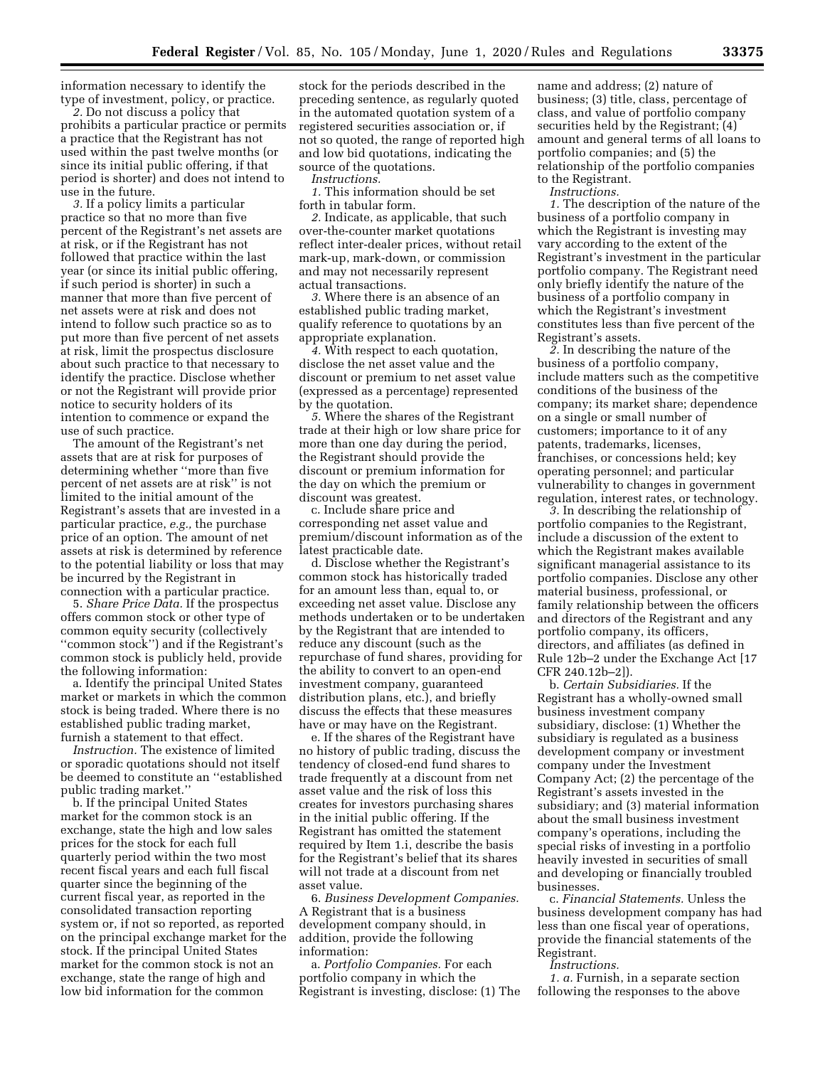information necessary to identify the type of investment, policy, or practice.

*2.* Do not discuss a policy that prohibits a particular practice or permits a practice that the Registrant has not used within the past twelve months (or since its initial public offering, if that period is shorter) and does not intend to use in the future.

*3.* If a policy limits a particular practice so that no more than five percent of the Registrant's net assets are at risk, or if the Registrant has not followed that practice within the last year (or since its initial public offering, if such period is shorter) in such a manner that more than five percent of net assets were at risk and does not intend to follow such practice so as to put more than five percent of net assets at risk, limit the prospectus disclosure about such practice to that necessary to identify the practice. Disclose whether or not the Registrant will provide prior notice to security holders of its intention to commence or expand the use of such practice.

The amount of the Registrant's net assets that are at risk for purposes of determining whether ''more than five percent of net assets are at risk'' is not limited to the initial amount of the Registrant's assets that are invested in a particular practice, *e.g.,* the purchase price of an option. The amount of net assets at risk is determined by reference to the potential liability or loss that may be incurred by the Registrant in connection with a particular practice.

5. *Share Price Data.* If the prospectus offers common stock or other type of common equity security (collectively ''common stock'') and if the Registrant's common stock is publicly held, provide the following information:

a. Identify the principal United States market or markets in which the common stock is being traded. Where there is no established public trading market, furnish a statement to that effect.

*Instruction.* The existence of limited or sporadic quotations should not itself be deemed to constitute an ''established public trading market.''

b. If the principal United States market for the common stock is an exchange, state the high and low sales prices for the stock for each full quarterly period within the two most recent fiscal years and each full fiscal quarter since the beginning of the current fiscal year, as reported in the consolidated transaction reporting system or, if not so reported, as reported on the principal exchange market for the stock. If the principal United States market for the common stock is not an exchange, state the range of high and low bid information for the common

stock for the periods described in the preceding sentence, as regularly quoted in the automated quotation system of a registered securities association or, if not so quoted, the range of reported high and low bid quotations, indicating the source of the quotations.

*Instructions.* 

*1.* This information should be set forth in tabular form.

*2.* Indicate, as applicable, that such over-the-counter market quotations reflect inter-dealer prices, without retail mark-up, mark-down, or commission and may not necessarily represent actual transactions.

*3.* Where there is an absence of an established public trading market, qualify reference to quotations by an appropriate explanation.

*4.* With respect to each quotation, disclose the net asset value and the discount or premium to net asset value (expressed as a percentage) represented by the quotation.

*5.* Where the shares of the Registrant trade at their high or low share price for more than one day during the period, the Registrant should provide the discount or premium information for the day on which the premium or discount was greatest.

c. Include share price and corresponding net asset value and premium/discount information as of the latest practicable date.

d. Disclose whether the Registrant's common stock has historically traded for an amount less than, equal to, or exceeding net asset value. Disclose any methods undertaken or to be undertaken by the Registrant that are intended to reduce any discount (such as the repurchase of fund shares, providing for the ability to convert to an open-end investment company, guaranteed distribution plans, etc.), and briefly discuss the effects that these measures have or may have on the Registrant.

e. If the shares of the Registrant have no history of public trading, discuss the tendency of closed-end fund shares to trade frequently at a discount from net asset value and the risk of loss this creates for investors purchasing shares in the initial public offering. If the Registrant has omitted the statement required by Item 1.i, describe the basis for the Registrant's belief that its shares will not trade at a discount from net asset value.

6. *Business Development Companies.*  A Registrant that is a business development company should, in addition, provide the following information:

a. *Portfolio Companies.* For each portfolio company in which the Registrant is investing, disclose: (1) The

name and address; (2) nature of business; (3) title, class, percentage of class, and value of portfolio company securities held by the Registrant; (4) amount and general terms of all loans to portfolio companies; and (5) the relationship of the portfolio companies to the Registrant.

*Instructions.* 

*1.* The description of the nature of the business of a portfolio company in which the Registrant is investing may vary according to the extent of the Registrant's investment in the particular portfolio company. The Registrant need only briefly identify the nature of the business of a portfolio company in which the Registrant's investment constitutes less than five percent of the Registrant's assets.

*2.* In describing the nature of the business of a portfolio company, include matters such as the competitive conditions of the business of the company; its market share; dependence on a single or small number of customers; importance to it of any patents, trademarks, licenses, franchises, or concessions held; key operating personnel; and particular vulnerability to changes in government regulation, interest rates, or technology.

*3.* In describing the relationship of portfolio companies to the Registrant, include a discussion of the extent to which the Registrant makes available significant managerial assistance to its portfolio companies. Disclose any other material business, professional, or family relationship between the officers and directors of the Registrant and any portfolio company, its officers, directors, and affiliates (as defined in Rule 12b–2 under the Exchange Act [17 CFR 240.12b–2]).

b. *Certain Subsidiaries.* If the Registrant has a wholly-owned small business investment company subsidiary, disclose: (1) Whether the subsidiary is regulated as a business development company or investment company under the Investment Company Act; (2) the percentage of the Registrant's assets invested in the subsidiary; and (3) material information about the small business investment company's operations, including the special risks of investing in a portfolio heavily invested in securities of small and developing or financially troubled businesses.

c. *Financial Statements.* Unless the business development company has had less than one fiscal year of operations, provide the financial statements of the Registrant.

*Instructions.* 

*1. a.* Furnish, in a separate section following the responses to the above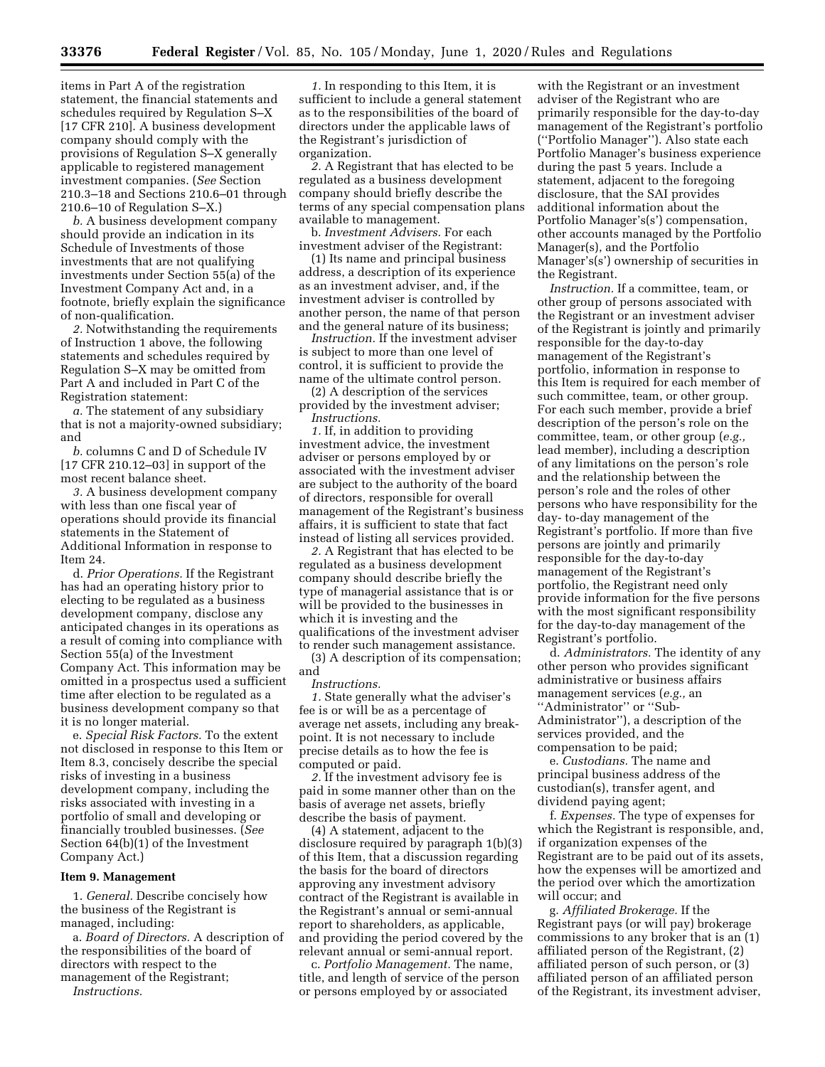items in Part A of the registration statement, the financial statements and schedules required by Regulation S–X [17 CFR 210]. A business development company should comply with the provisions of Regulation S–X generally applicable to registered management investment companies. (*See* Section 210.3–18 and Sections 210.6–01 through 210.6–10 of Regulation S–X.)

*b.* A business development company should provide an indication in its Schedule of Investments of those investments that are not qualifying investments under Section 55(a) of the Investment Company Act and, in a footnote, briefly explain the significance of non-qualification.

*2.* Notwithstanding the requirements of Instruction 1 above, the following statements and schedules required by Regulation S–X may be omitted from Part A and included in Part C of the Registration statement:

*a.* The statement of any subsidiary that is not a majority-owned subsidiary; and

*b.* columns C and D of Schedule IV [17 CFR 210.12–03] in support of the most recent balance sheet.

*3.* A business development company with less than one fiscal year of operations should provide its financial statements in the Statement of Additional Information in response to Item 24.

d. *Prior Operations.* If the Registrant has had an operating history prior to electing to be regulated as a business development company, disclose any anticipated changes in its operations as a result of coming into compliance with Section 55(a) of the Investment Company Act. This information may be omitted in a prospectus used a sufficient time after election to be regulated as a business development company so that it is no longer material.

e. *Special Risk Factors.* To the extent not disclosed in response to this Item or Item 8.3, concisely describe the special risks of investing in a business development company, including the risks associated with investing in a portfolio of small and developing or financially troubled businesses. (*See*  Section 64(b)(1) of the Investment Company Act.)

#### **Item 9. Management**

1. *General.* Describe concisely how the business of the Registrant is managed, including:

a. *Board of Directors.* A description of the responsibilities of the board of directors with respect to the management of the Registrant;

*Instructions.* 

*1.* In responding to this Item, it is sufficient to include a general statement as to the responsibilities of the board of directors under the applicable laws of the Registrant's jurisdiction of organization.

*2.* A Registrant that has elected to be regulated as a business development company should briefly describe the terms of any special compensation plans available to management.

b. *Investment Advisers.* For each investment adviser of the Registrant:

(1) Its name and principal business address, a description of its experience as an investment adviser, and, if the investment adviser is controlled by another person, the name of that person and the general nature of its business;

*Instruction.* If the investment adviser is subject to more than one level of control, it is sufficient to provide the name of the ultimate control person.

(2) A description of the services provided by the investment adviser; *Instructions.* 

*1.* If, in addition to providing investment advice, the investment adviser or persons employed by or associated with the investment adviser are subject to the authority of the board of directors, responsible for overall management of the Registrant's business affairs, it is sufficient to state that fact instead of listing all services provided.

*2.* A Registrant that has elected to be regulated as a business development company should describe briefly the type of managerial assistance that is or will be provided to the businesses in which it is investing and the qualifications of the investment adviser to render such management assistance.

(3) A description of its compensation; and

*Instructions.* 

*1.* State generally what the adviser's fee is or will be as a percentage of average net assets, including any breakpoint. It is not necessary to include precise details as to how the fee is computed or paid.

*2.* If the investment advisory fee is paid in some manner other than on the basis of average net assets, briefly describe the basis of payment.

(4) A statement, adjacent to the disclosure required by paragraph 1(b)(3) of this Item, that a discussion regarding the basis for the board of directors approving any investment advisory contract of the Registrant is available in the Registrant's annual or semi-annual report to shareholders, as applicable, and providing the period covered by the relevant annual or semi-annual report.

c. *Portfolio Management.* The name, title, and length of service of the person or persons employed by or associated

with the Registrant or an investment adviser of the Registrant who are primarily responsible for the day-to-day management of the Registrant's portfolio (''Portfolio Manager''). Also state each Portfolio Manager's business experience during the past 5 years. Include a statement, adjacent to the foregoing disclosure, that the SAI provides additional information about the Portfolio Manager's(s') compensation, other accounts managed by the Portfolio Manager(s), and the Portfolio Manager's(s') ownership of securities in the Registrant.

*Instruction.* If a committee, team, or other group of persons associated with the Registrant or an investment adviser of the Registrant is jointly and primarily responsible for the day-to-day management of the Registrant's portfolio, information in response to this Item is required for each member of such committee, team, or other group. For each such member, provide a brief description of the person's role on the committee, team, or other group (*e.g.,*  lead member), including a description of any limitations on the person's role and the relationship between the person's role and the roles of other persons who have responsibility for the day- to-day management of the Registrant's portfolio. If more than five persons are jointly and primarily responsible for the day-to-day management of the Registrant's portfolio, the Registrant need only provide information for the five persons with the most significant responsibility for the day-to-day management of the Registrant's portfolio.

d. *Administrators.* The identity of any other person who provides significant administrative or business affairs management services (*e.g.,* an ''Administrator'' or ''Sub-Administrator''), a description of the services provided, and the compensation to be paid;

e. *Custodians.* The name and principal business address of the custodian(s), transfer agent, and dividend paying agent;

f. *Expenses.* The type of expenses for which the Registrant is responsible, and, if organization expenses of the Registrant are to be paid out of its assets, how the expenses will be amortized and the period over which the amortization will occur; and

g. *Affiliated Brokerage.* If the Registrant pays (or will pay) brokerage commissions to any broker that is an (1) affiliated person of the Registrant, (2) affiliated person of such person, or (3) affiliated person of an affiliated person of the Registrant, its investment adviser,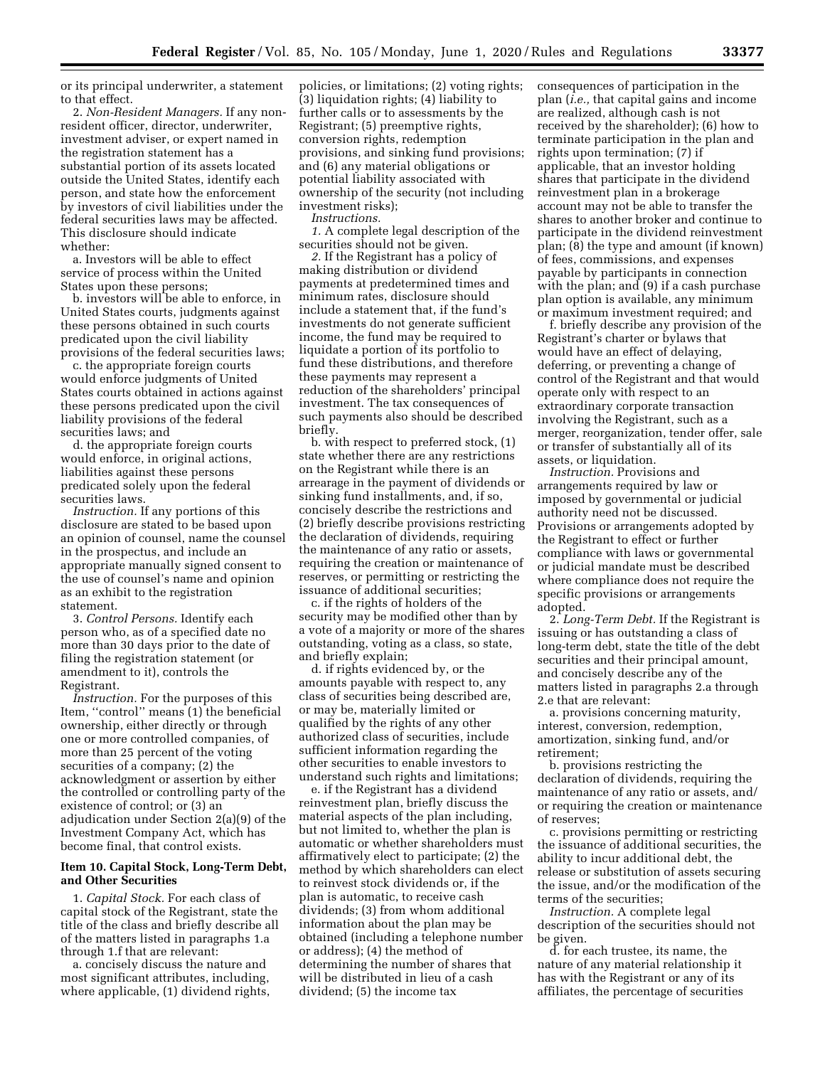or its principal underwriter, a statement to that effect.

2. *Non-Resident Managers.* If any nonresident officer, director, underwriter, investment adviser, or expert named in the registration statement has a substantial portion of its assets located outside the United States, identify each person, and state how the enforcement by investors of civil liabilities under the federal securities laws may be affected. This disclosure should indicate whether:

a. Investors will be able to effect service of process within the United States upon these persons;

b. investors will be able to enforce, in United States courts, judgments against these persons obtained in such courts predicated upon the civil liability provisions of the federal securities laws;

c. the appropriate foreign courts would enforce judgments of United States courts obtained in actions against these persons predicated upon the civil liability provisions of the federal securities laws; and

d. the appropriate foreign courts would enforce, in original actions, liabilities against these persons predicated solely upon the federal securities laws.

*Instruction.* If any portions of this disclosure are stated to be based upon an opinion of counsel, name the counsel in the prospectus, and include an appropriate manually signed consent to the use of counsel's name and opinion as an exhibit to the registration statement.

3. *Control Persons.* Identify each person who, as of a specified date no more than 30 days prior to the date of filing the registration statement (or amendment to it), controls the Registrant.

*Instruction.* For the purposes of this Item, ''control'' means (1) the beneficial ownership, either directly or through one or more controlled companies, of more than 25 percent of the voting securities of a company; (2) the acknowledgment or assertion by either the controlled or controlling party of the existence of control; or (3) an adjudication under Section 2(a)(9) of the Investment Company Act, which has become final, that control exists.

## **Item 10. Capital Stock, Long-Term Debt, and Other Securities**

1. *Capital Stock.* For each class of capital stock of the Registrant, state the title of the class and briefly describe all of the matters listed in paragraphs 1.a through 1.f that are relevant:

a. concisely discuss the nature and most significant attributes, including, where applicable, (1) dividend rights,

policies, or limitations; (2) voting rights; (3) liquidation rights; (4) liability to further calls or to assessments by the Registrant; (5) preemptive rights, conversion rights, redemption provisions, and sinking fund provisions; and (6) any material obligations or potential liability associated with ownership of the security (not including investment risks); *Instructions.* 

*1.* A complete legal description of the securities should not be given.

*2.* If the Registrant has a policy of making distribution or dividend payments at predetermined times and minimum rates, disclosure should include a statement that, if the fund's investments do not generate sufficient income, the fund may be required to liquidate a portion of its portfolio to fund these distributions, and therefore these payments may represent a reduction of the shareholders' principal investment. The tax consequences of such payments also should be described briefly.

b. with respect to preferred stock, (1) state whether there are any restrictions on the Registrant while there is an arrearage in the payment of dividends or sinking fund installments, and, if so, concisely describe the restrictions and (2) briefly describe provisions restricting the declaration of dividends, requiring the maintenance of any ratio or assets, requiring the creation or maintenance of reserves, or permitting or restricting the issuance of additional securities;

c. if the rights of holders of the security may be modified other than by a vote of a majority or more of the shares outstanding, voting as a class, so state, and briefly explain;

d. if rights evidenced by, or the amounts payable with respect to, any class of securities being described are, or may be, materially limited or qualified by the rights of any other authorized class of securities, include sufficient information regarding the other securities to enable investors to understand such rights and limitations;

e. if the Registrant has a dividend reinvestment plan, briefly discuss the material aspects of the plan including, but not limited to, whether the plan is automatic or whether shareholders must affirmatively elect to participate; (2) the method by which shareholders can elect to reinvest stock dividends or, if the plan is automatic, to receive cash dividends; (3) from whom additional information about the plan may be obtained (including a telephone number or address); (4) the method of determining the number of shares that will be distributed in lieu of a cash dividend; (5) the income tax

consequences of participation in the plan (*i.e.,* that capital gains and income are realized, although cash is not received by the shareholder); (6) how to terminate participation in the plan and rights upon termination; (7) if applicable, that an investor holding shares that participate in the dividend reinvestment plan in a brokerage account may not be able to transfer the shares to another broker and continue to participate in the dividend reinvestment plan; (8) the type and amount (if known) of fees, commissions, and expenses payable by participants in connection with the plan; and (9) if a cash purchase plan option is available, any minimum or maximum investment required; and

f. briefly describe any provision of the Registrant's charter or bylaws that would have an effect of delaying, deferring, or preventing a change of control of the Registrant and that would operate only with respect to an extraordinary corporate transaction involving the Registrant, such as a merger, reorganization, tender offer, sale or transfer of substantially all of its assets, or liquidation.

*Instruction.* Provisions and arrangements required by law or imposed by governmental or judicial authority need not be discussed. Provisions or arrangements adopted by the Registrant to effect or further compliance with laws or governmental or judicial mandate must be described where compliance does not require the specific provisions or arrangements adopted.

2. *Long-Term Debt.* If the Registrant is issuing or has outstanding a class of long-term debt, state the title of the debt securities and their principal amount, and concisely describe any of the matters listed in paragraphs 2.a through 2.e that are relevant:

a. provisions concerning maturity, interest, conversion, redemption, amortization, sinking fund, and/or retirement;

b. provisions restricting the declaration of dividends, requiring the maintenance of any ratio or assets, and/ or requiring the creation or maintenance of reserves;

c. provisions permitting or restricting the issuance of additional securities, the ability to incur additional debt, the release or substitution of assets securing the issue, and/or the modification of the terms of the securities;

*Instruction.* A complete legal description of the securities should not be given.

d. for each trustee, its name, the nature of any material relationship it has with the Registrant or any of its affiliates, the percentage of securities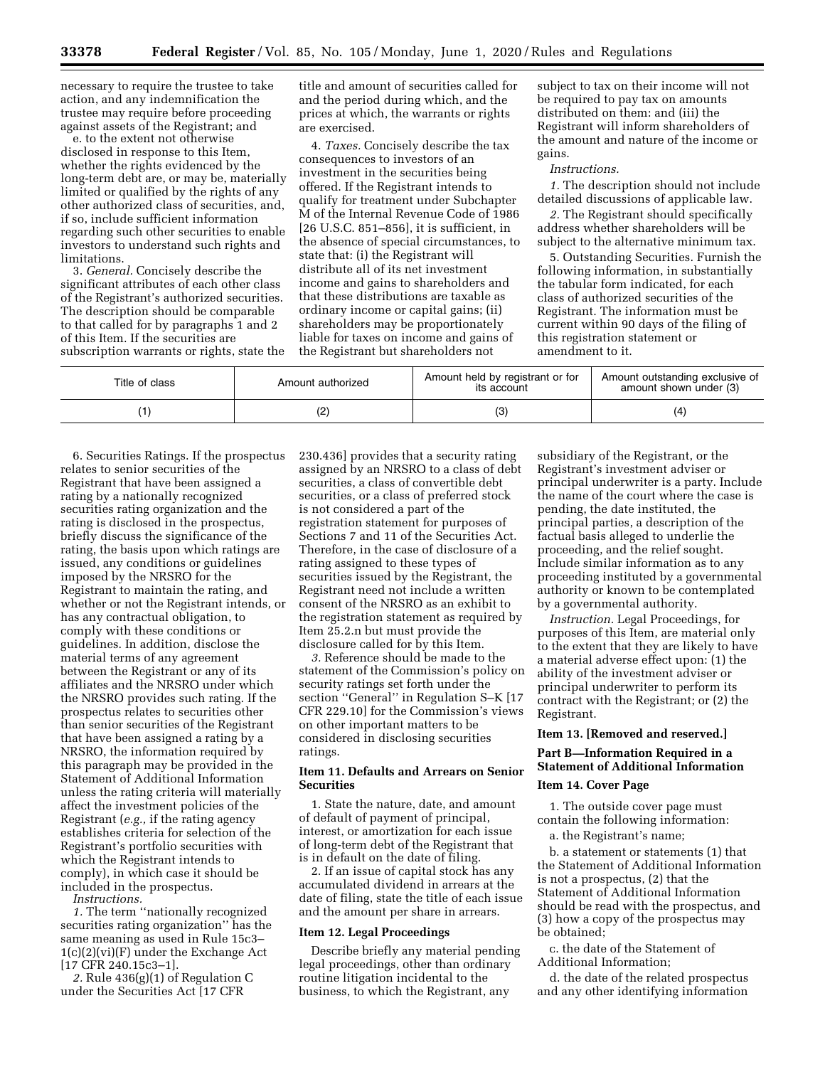necessary to require the trustee to take action, and any indemnification the trustee may require before proceeding against assets of the Registrant; and

e. to the extent not otherwise disclosed in response to this Item, whether the rights evidenced by the long-term debt are, or may be, materially limited or qualified by the rights of any other authorized class of securities, and, if so, include sufficient information regarding such other securities to enable investors to understand such rights and limitations.

3. *General.* Concisely describe the significant attributes of each other class of the Registrant's authorized securities. The description should be comparable to that called for by paragraphs 1 and 2 of this Item. If the securities are subscription warrants or rights, state the title and amount of securities called for and the period during which, and the prices at which, the warrants or rights are exercised.

4. *Taxes.* Concisely describe the tax consequences to investors of an investment in the securities being offered. If the Registrant intends to qualify for treatment under Subchapter M of the Internal Revenue Code of 1986 [26 U.S.C. 851–856], it is sufficient, in the absence of special circumstances, to state that: (i) the Registrant will distribute all of its net investment income and gains to shareholders and that these distributions are taxable as ordinary income or capital gains; (ii) shareholders may be proportionately liable for taxes on income and gains of the Registrant but shareholders not

subject to tax on their income will not be required to pay tax on amounts distributed on them: and (iii) the Registrant will inform shareholders of the amount and nature of the income or gains.

#### *Instructions.*

*1.* The description should not include detailed discussions of applicable law.

*2.* The Registrant should specifically address whether shareholders will be subject to the alternative minimum tax.

5. Outstanding Securities. Furnish the following information, in substantially the tabular form indicated, for each class of authorized securities of the Registrant. The information must be current within 90 days of the filing of this registration statement or amendment to it.

| Title of class | Amount authorized | Amount held by registrant or for<br>its account | Amount outstanding exclusive of<br>amount shown under (3) |
|----------------|-------------------|-------------------------------------------------|-----------------------------------------------------------|
|                |                   |                                                 | 14                                                        |

6. Securities Ratings. If the prospectus relates to senior securities of the Registrant that have been assigned a rating by a nationally recognized securities rating organization and the rating is disclosed in the prospectus, briefly discuss the significance of the rating, the basis upon which ratings are issued, any conditions or guidelines imposed by the NRSRO for the Registrant to maintain the rating, and whether or not the Registrant intends, or has any contractual obligation, to comply with these conditions or guidelines. In addition, disclose the material terms of any agreement between the Registrant or any of its affiliates and the NRSRO under which the NRSRO provides such rating. If the prospectus relates to securities other than senior securities of the Registrant that have been assigned a rating by a NRSRO, the information required by this paragraph may be provided in the Statement of Additional Information unless the rating criteria will materially affect the investment policies of the Registrant (*e.g.,* if the rating agency establishes criteria for selection of the Registrant's portfolio securities with which the Registrant intends to comply), in which case it should be included in the prospectus.

*Instructions.* 

*1.* The term ''nationally recognized securities rating organization'' has the same meaning as used in Rule 15c3– 1(c)(2)(vi)(F) under the Exchange Act [17 CFR 240.15c3–1].

*2.* Rule 436(g)(1) of Regulation C under the Securities Act [17 CFR

230.436] provides that a security rating assigned by an NRSRO to a class of debt securities, a class of convertible debt securities, or a class of preferred stock is not considered a part of the registration statement for purposes of Sections 7 and 11 of the Securities Act. Therefore, in the case of disclosure of a rating assigned to these types of securities issued by the Registrant, the Registrant need not include a written consent of the NRSRO as an exhibit to the registration statement as required by Item 25.2.n but must provide the disclosure called for by this Item.

*3.* Reference should be made to the statement of the Commission's policy on security ratings set forth under the section "General" in Regulation S-K [17 CFR 229.10] for the Commission's views on other important matters to be considered in disclosing securities ratings.

# **Item 11. Defaults and Arrears on Senior Securities**

1. State the nature, date, and amount of default of payment of principal, interest, or amortization for each issue of long-term debt of the Registrant that is in default on the date of filing.

2. If an issue of capital stock has any accumulated dividend in arrears at the date of filing, state the title of each issue and the amount per share in arrears.

#### **Item 12. Legal Proceedings**

Describe briefly any material pending legal proceedings, other than ordinary routine litigation incidental to the business, to which the Registrant, any

subsidiary of the Registrant, or the Registrant's investment adviser or principal underwriter is a party. Include the name of the court where the case is pending, the date instituted, the principal parties, a description of the factual basis alleged to underlie the proceeding, and the relief sought. Include similar information as to any proceeding instituted by a governmental authority or known to be contemplated by a governmental authority.

*Instruction.* Legal Proceedings, for purposes of this Item, are material only to the extent that they are likely to have a material adverse effect upon: (1) the ability of the investment adviser or principal underwriter to perform its contract with the Registrant; or (2) the Registrant.

#### **Item 13. [Removed and reserved.]**

# **Part B—Information Required in a Statement of Additional Information**

# **Item 14. Cover Page**

1. The outside cover page must contain the following information: a. the Registrant's name;

b. a statement or statements (1) that the Statement of Additional Information is not a prospectus, (2) that the Statement of Additional Information should be read with the prospectus, and (3) how a copy of the prospectus may be obtained;

c. the date of the Statement of Additional Information;

d. the date of the related prospectus and any other identifying information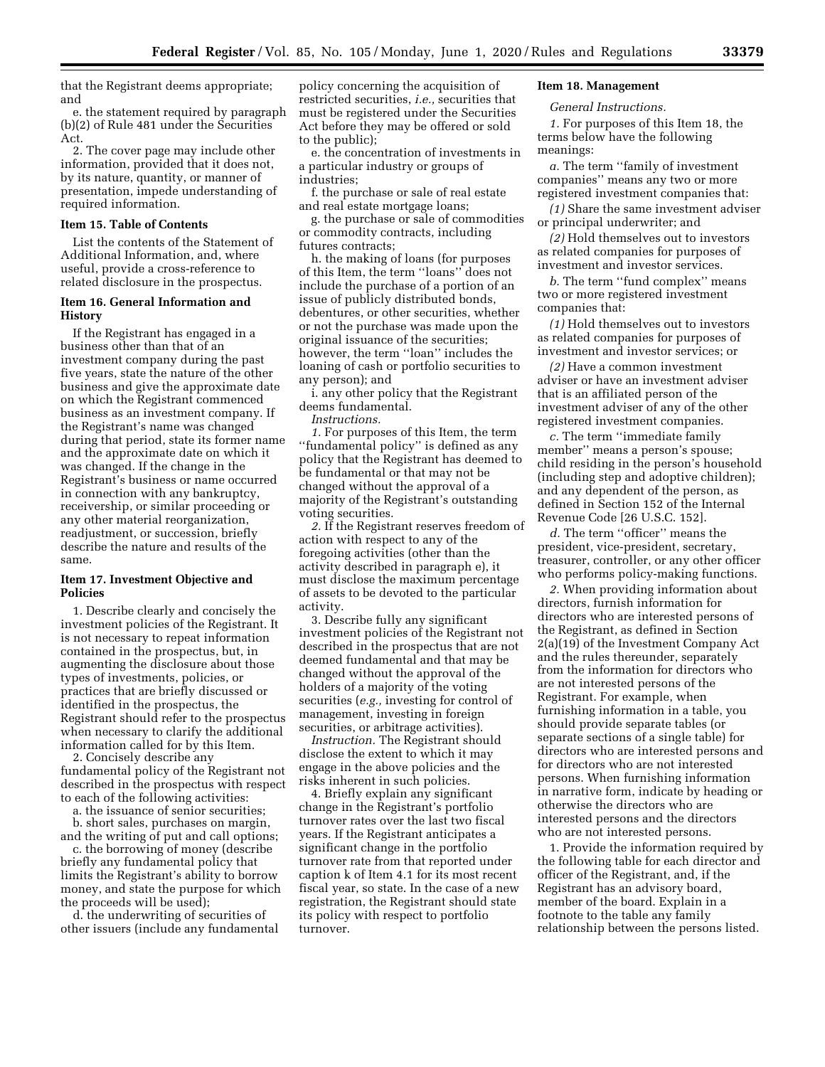that the Registrant deems appropriate; and

e. the statement required by paragraph (b)(2) of Rule 481 under the Securities Act.

2. The cover page may include other information, provided that it does not, by its nature, quantity, or manner of presentation, impede understanding of required information.

## **Item 15. Table of Contents**

List the contents of the Statement of Additional Information, and, where useful, provide a cross-reference to related disclosure in the prospectus.

## **Item 16. General Information and History**

If the Registrant has engaged in a business other than that of an investment company during the past five years, state the nature of the other business and give the approximate date on which the Registrant commenced business as an investment company. If the Registrant's name was changed during that period, state its former name and the approximate date on which it was changed. If the change in the Registrant's business or name occurred in connection with any bankruptcy, receivership, or similar proceeding or any other material reorganization, readjustment, or succession, briefly describe the nature and results of the same.

## **Item 17. Investment Objective and Policies**

1. Describe clearly and concisely the investment policies of the Registrant. It is not necessary to repeat information contained in the prospectus, but, in augmenting the disclosure about those types of investments, policies, or practices that are briefly discussed or identified in the prospectus, the Registrant should refer to the prospectus when necessary to clarify the additional information called for by this Item.

2. Concisely describe any fundamental policy of the Registrant not described in the prospectus with respect to each of the following activities:

a. the issuance of senior securities;

b. short sales, purchases on margin, and the writing of put and call options;

c. the borrowing of money (describe briefly any fundamental policy that limits the Registrant's ability to borrow money, and state the purpose for which the proceeds will be used);

d. the underwriting of securities of other issuers (include any fundamental

policy concerning the acquisition of restricted securities, *i.e.,* securities that must be registered under the Securities Act before they may be offered or sold to the public);

e. the concentration of investments in a particular industry or groups of industries;

f. the purchase or sale of real estate and real estate mortgage loans;

g. the purchase or sale of commodities or commodity contracts, including futures contracts;

h. the making of loans (for purposes of this Item, the term ''loans'' does not include the purchase of a portion of an issue of publicly distributed bonds, debentures, or other securities, whether or not the purchase was made upon the original issuance of the securities; however, the term ''loan'' includes the loaning of cash or portfolio securities to any person); and

i. any other policy that the Registrant deems fundamental.

*Instructions.* 

*1.* For purposes of this Item, the term ''fundamental policy'' is defined as any policy that the Registrant has deemed to be fundamental or that may not be changed without the approval of a majority of the Registrant's outstanding voting securities.

*2.* If the Registrant reserves freedom of action with respect to any of the foregoing activities (other than the activity described in paragraph e), it must disclose the maximum percentage of assets to be devoted to the particular activity.

3. Describe fully any significant investment policies of the Registrant not described in the prospectus that are not deemed fundamental and that may be changed without the approval of the holders of a majority of the voting securities (*e.g.,* investing for control of management, investing in foreign securities, or arbitrage activities).

*Instruction.* The Registrant should disclose the extent to which it may engage in the above policies and the risks inherent in such policies.

4. Briefly explain any significant change in the Registrant's portfolio turnover rates over the last two fiscal years. If the Registrant anticipates a significant change in the portfolio turnover rate from that reported under caption k of Item 4.1 for its most recent fiscal year, so state. In the case of a new registration, the Registrant should state its policy with respect to portfolio turnover.

# **Item 18. Management**

## *General Instructions.*

*1.* For purposes of this Item 18, the terms below have the following meanings:

*a.* The term ''family of investment companies'' means any two or more registered investment companies that:

*(1)* Share the same investment adviser or principal underwriter; and

*(2)* Hold themselves out to investors as related companies for purposes of investment and investor services.

*b.* The term ''fund complex'' means two or more registered investment companies that:

*(1)* Hold themselves out to investors as related companies for purposes of investment and investor services; or

*(2)* Have a common investment adviser or have an investment adviser that is an affiliated person of the investment adviser of any of the other registered investment companies.

*c.* The term ''immediate family member'' means a person's spouse; child residing in the person's household (including step and adoptive children); and any dependent of the person, as defined in Section 152 of the Internal Revenue Code [26 U.S.C. 152].

*d.* The term ''officer'' means the president, vice-president, secretary, treasurer, controller, or any other officer who performs policy-making functions.

*2.* When providing information about directors, furnish information for directors who are interested persons of the Registrant, as defined in Section 2(a)(19) of the Investment Company Act and the rules thereunder, separately from the information for directors who are not interested persons of the Registrant. For example, when furnishing information in a table, you should provide separate tables (or separate sections of a single table) for directors who are interested persons and for directors who are not interested persons. When furnishing information in narrative form, indicate by heading or otherwise the directors who are interested persons and the directors who are not interested persons.

1. Provide the information required by the following table for each director and officer of the Registrant, and, if the Registrant has an advisory board, member of the board. Explain in a footnote to the table any family relationship between the persons listed.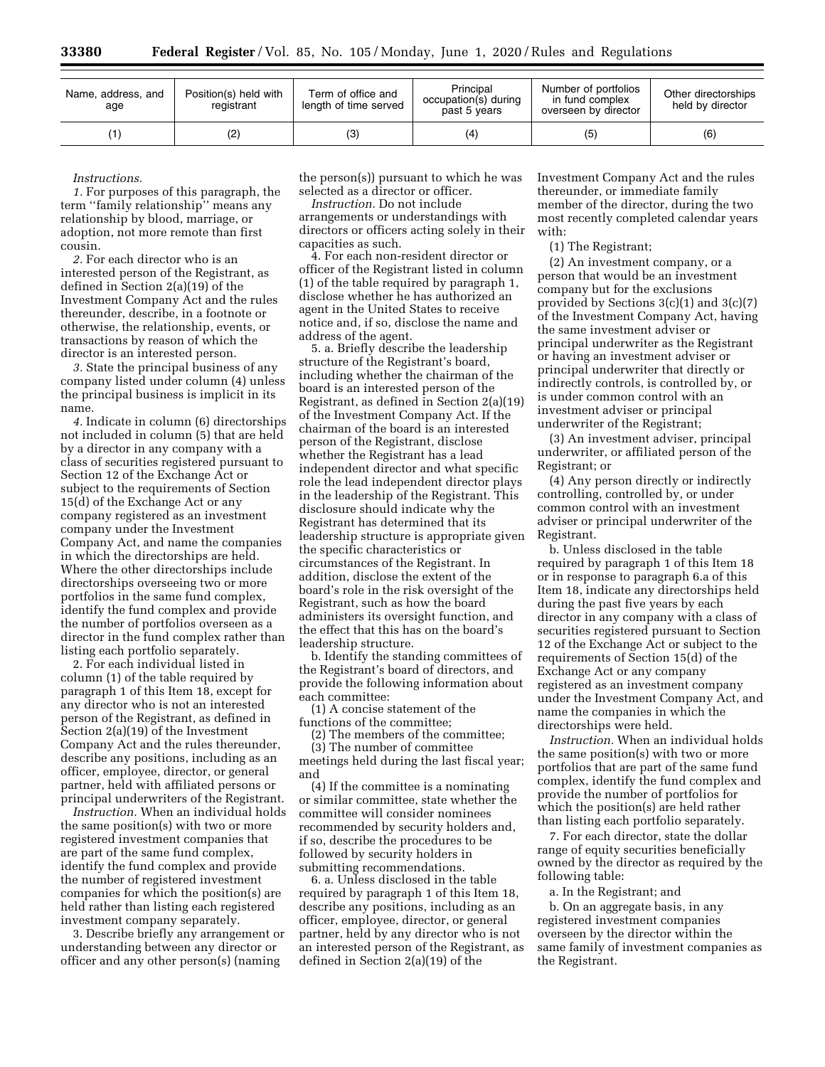| Name, address, and<br>age | Position(s) held with<br>registrant | Term of office and<br>length of time served | Principal<br>occupation(s) during<br>past 5 years | Number of portfolios<br>in fund complex<br>overseen by director | Other directorships<br>held by director |
|---------------------------|-------------------------------------|---------------------------------------------|---------------------------------------------------|-----------------------------------------------------------------|-----------------------------------------|
|                           | (2)                                 | ΄3)                                         | (4)                                               | (5)                                                             | (6)                                     |

*Instructions.* 

*1.* For purposes of this paragraph, the term ''family relationship'' means any relationship by blood, marriage, or adoption, not more remote than first cousin.

*2.* For each director who is an interested person of the Registrant, as defined in Section 2(a)(19) of the Investment Company Act and the rules thereunder, describe, in a footnote or otherwise, the relationship, events, or transactions by reason of which the director is an interested person.

*3.* State the principal business of any company listed under column (4) unless the principal business is implicit in its name.

*4.* Indicate in column (6) directorships not included in column (5) that are held by a director in any company with a class of securities registered pursuant to Section 12 of the Exchange Act or subject to the requirements of Section 15(d) of the Exchange Act or any company registered as an investment company under the Investment Company Act, and name the companies in which the directorships are held. Where the other directorships include directorships overseeing two or more portfolios in the same fund complex, identify the fund complex and provide the number of portfolios overseen as a director in the fund complex rather than listing each portfolio separately.

2. For each individual listed in column (1) of the table required by paragraph 1 of this Item 18, except for any director who is not an interested person of the Registrant, as defined in Section 2(a)(19) of the Investment Company Act and the rules thereunder, describe any positions, including as an officer, employee, director, or general partner, held with affiliated persons or principal underwriters of the Registrant.

*Instruction.* When an individual holds the same position(s) with two or more registered investment companies that are part of the same fund complex, identify the fund complex and provide the number of registered investment companies for which the position(s) are held rather than listing each registered investment company separately.

3. Describe briefly any arrangement or understanding between any director or officer and any other person(s) (naming

the person(s)) pursuant to which he was selected as a director or officer.

*Instruction.* Do not include arrangements or understandings with directors or officers acting solely in their capacities as such.

4. For each non-resident director or officer of the Registrant listed in column (1) of the table required by paragraph 1, disclose whether he has authorized an agent in the United States to receive notice and, if so, disclose the name and address of the agent.

5. a. Briefly describe the leadership structure of the Registrant's board, including whether the chairman of the board is an interested person of the Registrant, as defined in Section 2(a)(19) of the Investment Company Act. If the chairman of the board is an interested person of the Registrant, disclose whether the Registrant has a lead independent director and what specific role the lead independent director plays in the leadership of the Registrant. This disclosure should indicate why the Registrant has determined that its leadership structure is appropriate given the specific characteristics or circumstances of the Registrant. In addition, disclose the extent of the board's role in the risk oversight of the Registrant, such as how the board administers its oversight function, and the effect that this has on the board's leadership structure.

b. Identify the standing committees of the Registrant's board of directors, and provide the following information about each committee:

(1) A concise statement of the functions of the committee;

(2) The members of the committee;

(3) The number of committee meetings held during the last fiscal year; and

(4) If the committee is a nominating or similar committee, state whether the committee will consider nominees recommended by security holders and, if so, describe the procedures to be followed by security holders in submitting recommendations.

6. a. Unless disclosed in the table required by paragraph 1 of this Item 18, describe any positions, including as an officer, employee, director, or general partner, held by any director who is not an interested person of the Registrant, as defined in Section 2(a)(19) of the

Investment Company Act and the rules thereunder, or immediate family member of the director, during the two most recently completed calendar years with:

(1) The Registrant;

(2) An investment company, or a person that would be an investment company but for the exclusions provided by Sections  $3(c)(1)$  and  $3(c)(7)$ of the Investment Company Act, having the same investment adviser or principal underwriter as the Registrant or having an investment adviser or principal underwriter that directly or indirectly controls, is controlled by, or is under common control with an investment adviser or principal underwriter of the Registrant;

(3) An investment adviser, principal underwriter, or affiliated person of the Registrant; or

(4) Any person directly or indirectly controlling, controlled by, or under common control with an investment adviser or principal underwriter of the Registrant.

b. Unless disclosed in the table required by paragraph 1 of this Item 18 or in response to paragraph 6.a of this Item 18, indicate any directorships held during the past five years by each director in any company with a class of securities registered pursuant to Section 12 of the Exchange Act or subject to the requirements of Section 15(d) of the Exchange Act or any company registered as an investment company under the Investment Company Act, and name the companies in which the directorships were held.

*Instruction.* When an individual holds the same position(s) with two or more portfolios that are part of the same fund complex, identify the fund complex and provide the number of portfolios for which the position(s) are held rather than listing each portfolio separately.

7. For each director, state the dollar range of equity securities beneficially owned by the director as required by the following table:

a. In the Registrant; and

b. On an aggregate basis, in any registered investment companies overseen by the director within the same family of investment companies as the Registrant.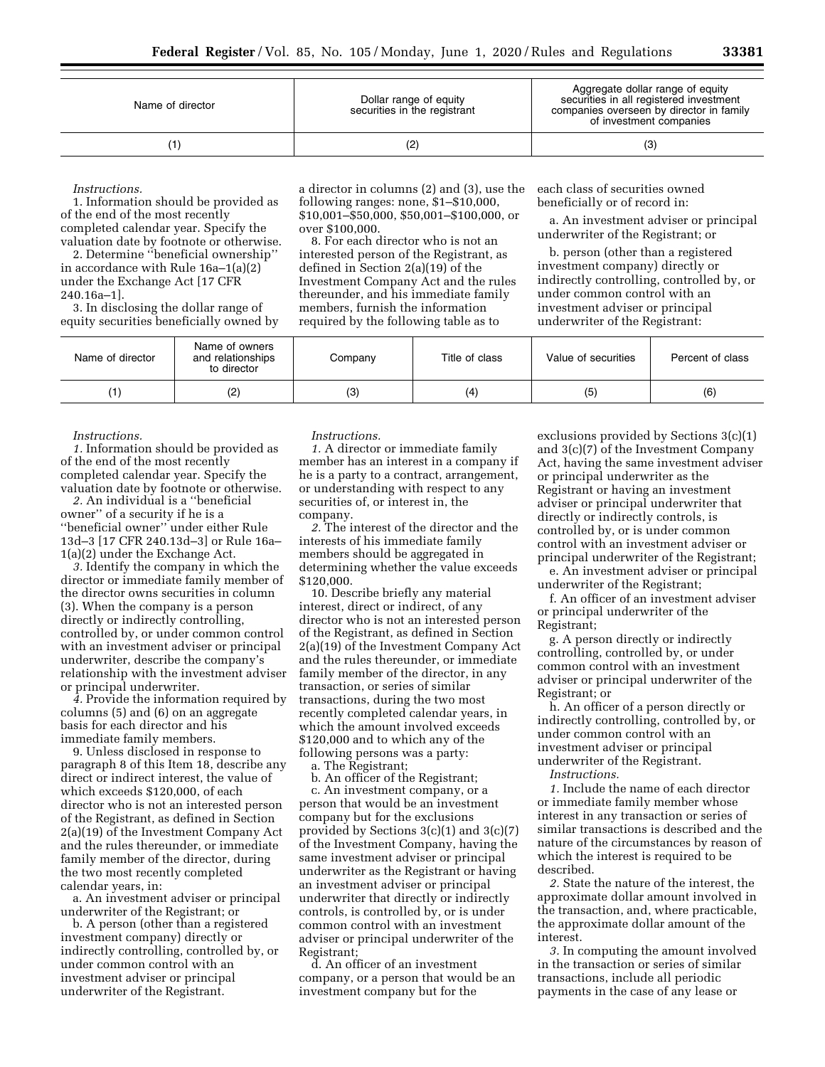| Name of director | Dollar range of equity<br>securities in the registrant | Aggregate dollar range of equity<br>securities in all registered investment<br>companies overseen by director in family<br>of investment companies |
|------------------|--------------------------------------------------------|----------------------------------------------------------------------------------------------------------------------------------------------------|
|                  | (2)                                                    | (3)                                                                                                                                                |

*Instructions.* 

1. Information should be provided as of the end of the most recently completed calendar year. Specify the valuation date by footnote or otherwise.

2. Determine ''beneficial ownership'' in accordance with Rule 16a–1(a)(2) under the Exchange Act [17 CFR 240.16a–1].

3. In disclosing the dollar range of equity securities beneficially owned by a director in columns (2) and (3), use the following ranges: none, \$1–\$10,000, \$10,001–\$50,000, \$50,001–\$100,000, or over \$100,000.

8. For each director who is not an interested person of the Registrant, as defined in Section 2(a)(19) of the Investment Company Act and the rules thereunder, and his immediate family members, furnish the information required by the following table as to

each class of securities owned beneficially or of record in:

a. An investment adviser or principal underwriter of the Registrant; or

b. person (other than a registered investment company) directly or indirectly controlling, controlled by, or under common control with an investment adviser or principal underwriter of the Registrant:

| Name of director | Name of owners<br>and relationships<br>to director | Company | Title of class | Value of securities | Percent of class |
|------------------|----------------------------------------------------|---------|----------------|---------------------|------------------|
|                  | (2)                                                | (3)     | (4)            | (5)                 | (6)              |

*Instructions.* 

*1.* Information should be provided as of the end of the most recently completed calendar year. Specify the valuation date by footnote or otherwise.

*2.* An individual is a ''beneficial owner'' of a security if he is a ''beneficial owner'' under either Rule 13d–3 [17 CFR 240.13d–3] or Rule 16a– 1(a)(2) under the Exchange Act.

*3.* Identify the company in which the director or immediate family member of the director owns securities in column (3). When the company is a person directly or indirectly controlling, controlled by, or under common control with an investment adviser or principal underwriter, describe the company's relationship with the investment adviser or principal underwriter.

*4.* Provide the information required by columns (5) and (6) on an aggregate basis for each director and his immediate family members.

9. Unless disclosed in response to paragraph 8 of this Item 18, describe any direct or indirect interest, the value of which exceeds \$120,000, of each director who is not an interested person of the Registrant, as defined in Section 2(a)(19) of the Investment Company Act and the rules thereunder, or immediate family member of the director, during the two most recently completed calendar years, in:

a. An investment adviser or principal underwriter of the Registrant; or

b. A person (other than a registered investment company) directly or indirectly controlling, controlled by, or under common control with an investment adviser or principal underwriter of the Registrant.

*Instructions.* 

*1.* A director or immediate family member has an interest in a company if he is a party to a contract, arrangement, or understanding with respect to any securities of, or interest in, the company.

*2.* The interest of the director and the interests of his immediate family members should be aggregated in determining whether the value exceeds \$120,000.

10. Describe briefly any material interest, direct or indirect, of any director who is not an interested person of the Registrant, as defined in Section 2(a)(19) of the Investment Company Act and the rules thereunder, or immediate family member of the director, in any transaction, or series of similar transactions, during the two most recently completed calendar years, in which the amount involved exceeds \$120,000 and to which any of the following persons was a party:

a. The Registrant;

b. An officer of the Registrant; c. An investment company, or a person that would be an investment company but for the exclusions provided by Sections 3(c)(1) and 3(c)(7) of the Investment Company, having the same investment adviser or principal underwriter as the Registrant or having an investment adviser or principal underwriter that directly or indirectly controls, is controlled by, or is under common control with an investment adviser or principal underwriter of the Registrant;

d. An officer of an investment company, or a person that would be an investment company but for the

exclusions provided by Sections 3(c)(1) and 3(c)(7) of the Investment Company Act, having the same investment adviser or principal underwriter as the Registrant or having an investment adviser or principal underwriter that directly or indirectly controls, is controlled by, or is under common control with an investment adviser or principal underwriter of the Registrant;

e. An investment adviser or principal underwriter of the Registrant;

f. An officer of an investment adviser or principal underwriter of the Registrant;

g. A person directly or indirectly controlling, controlled by, or under common control with an investment adviser or principal underwriter of the Registrant; or

h. An officer of a person directly or indirectly controlling, controlled by, or under common control with an investment adviser or principal underwriter of the Registrant.

*Instructions.* 

*1.* Include the name of each director or immediate family member whose interest in any transaction or series of similar transactions is described and the nature of the circumstances by reason of which the interest is required to be described.

*2.* State the nature of the interest, the approximate dollar amount involved in the transaction, and, where practicable, the approximate dollar amount of the interest.

*3.* In computing the amount involved in the transaction or series of similar transactions, include all periodic payments in the case of any lease or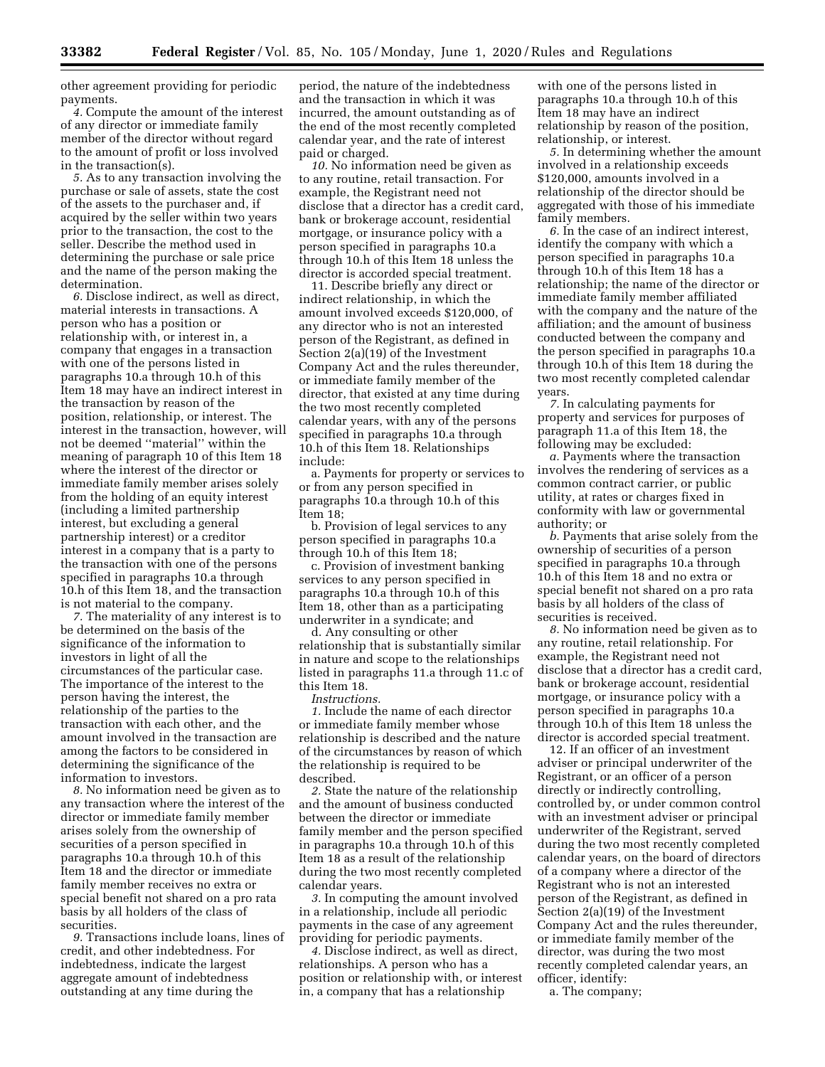other agreement providing for periodic payments.

*4.* Compute the amount of the interest of any director or immediate family member of the director without regard to the amount of profit or loss involved in the transaction(s).

*5.* As to any transaction involving the purchase or sale of assets, state the cost of the assets to the purchaser and, if acquired by the seller within two years prior to the transaction, the cost to the seller. Describe the method used in determining the purchase or sale price and the name of the person making the determination.

*6.* Disclose indirect, as well as direct, material interests in transactions. A person who has a position or relationship with, or interest in, a company that engages in a transaction with one of the persons listed in paragraphs 10.a through 10.h of this Item 18 may have an indirect interest in the transaction by reason of the position, relationship, or interest. The interest in the transaction, however, will not be deemed ''material'' within the meaning of paragraph 10 of this Item 18 where the interest of the director or immediate family member arises solely from the holding of an equity interest (including a limited partnership interest, but excluding a general partnership interest) or a creditor interest in a company that is a party to the transaction with one of the persons specified in paragraphs 10.a through 10.h of this Item 18, and the transaction is not material to the company.

*7.* The materiality of any interest is to be determined on the basis of the significance of the information to investors in light of all the circumstances of the particular case. The importance of the interest to the person having the interest, the relationship of the parties to the transaction with each other, and the amount involved in the transaction are among the factors to be considered in determining the significance of the information to investors.

*8.* No information need be given as to any transaction where the interest of the director or immediate family member arises solely from the ownership of securities of a person specified in paragraphs 10.a through 10.h of this Item 18 and the director or immediate family member receives no extra or special benefit not shared on a pro rata basis by all holders of the class of securities.

*9.* Transactions include loans, lines of credit, and other indebtedness. For indebtedness, indicate the largest aggregate amount of indebtedness outstanding at any time during the

period, the nature of the indebtedness and the transaction in which it was incurred, the amount outstanding as of the end of the most recently completed calendar year, and the rate of interest paid or charged.

*10.* No information need be given as to any routine, retail transaction. For example, the Registrant need not disclose that a director has a credit card, bank or brokerage account, residential mortgage, or insurance policy with a person specified in paragraphs 10.a through 10.h of this Item 18 unless the director is accorded special treatment.

11. Describe briefly any direct or indirect relationship, in which the amount involved exceeds \$120,000, of any director who is not an interested person of the Registrant, as defined in Section 2(a)(19) of the Investment Company Act and the rules thereunder, or immediate family member of the director, that existed at any time during the two most recently completed calendar years, with any of the persons specified in paragraphs 10.a through 10.h of this Item 18. Relationships include:

a. Payments for property or services to or from any person specified in paragraphs 10.a through 10.h of this Item 18;

b. Provision of legal services to any person specified in paragraphs 10.a through 10.h of this Item 18;

c. Provision of investment banking services to any person specified in paragraphs 10.a through 10.h of this Item 18, other than as a participating underwriter in a syndicate; and

d. Any consulting or other relationship that is substantially similar in nature and scope to the relationships listed in paragraphs 11.a through 11.c of this Item 18.

*Instructions.* 

*1.* Include the name of each director or immediate family member whose relationship is described and the nature of the circumstances by reason of which the relationship is required to be described.

*2.* State the nature of the relationship and the amount of business conducted between the director or immediate family member and the person specified in paragraphs 10.a through 10.h of this Item 18 as a result of the relationship during the two most recently completed calendar years.

*3.* In computing the amount involved in a relationship, include all periodic payments in the case of any agreement providing for periodic payments.

*4.* Disclose indirect, as well as direct, relationships. A person who has a position or relationship with, or interest in, a company that has a relationship

with one of the persons listed in paragraphs 10.a through 10.h of this Item 18 may have an indirect relationship by reason of the position, relationship, or interest.

*5.* In determining whether the amount involved in a relationship exceeds \$120,000, amounts involved in a relationship of the director should be aggregated with those of his immediate family members.

*6.* In the case of an indirect interest, identify the company with which a person specified in paragraphs 10.a through 10.h of this Item 18 has a relationship; the name of the director or immediate family member affiliated with the company and the nature of the affiliation; and the amount of business conducted between the company and the person specified in paragraphs 10.a through 10.h of this Item 18 during the two most recently completed calendar years.

*7.* In calculating payments for property and services for purposes of paragraph 11.a of this Item 18, the following may be excluded:

*a.* Payments where the transaction involves the rendering of services as a common contract carrier, or public utility, at rates or charges fixed in conformity with law or governmental authority; or

*b.* Payments that arise solely from the ownership of securities of a person specified in paragraphs 10.a through 10.h of this Item 18 and no extra or special benefit not shared on a pro rata basis by all holders of the class of securities is received.

*8.* No information need be given as to any routine, retail relationship. For example, the Registrant need not disclose that a director has a credit card, bank or brokerage account, residential mortgage, or insurance policy with a person specified in paragraphs 10.a through 10.h of this Item 18 unless the director is accorded special treatment.

12. If an officer of an investment adviser or principal underwriter of the Registrant, or an officer of a person directly or indirectly controlling, controlled by, or under common control with an investment adviser or principal underwriter of the Registrant, served during the two most recently completed calendar years, on the board of directors of a company where a director of the Registrant who is not an interested person of the Registrant, as defined in Section 2(a)(19) of the Investment Company Act and the rules thereunder, or immediate family member of the director, was during the two most recently completed calendar years, an officer, identify:

a. The company;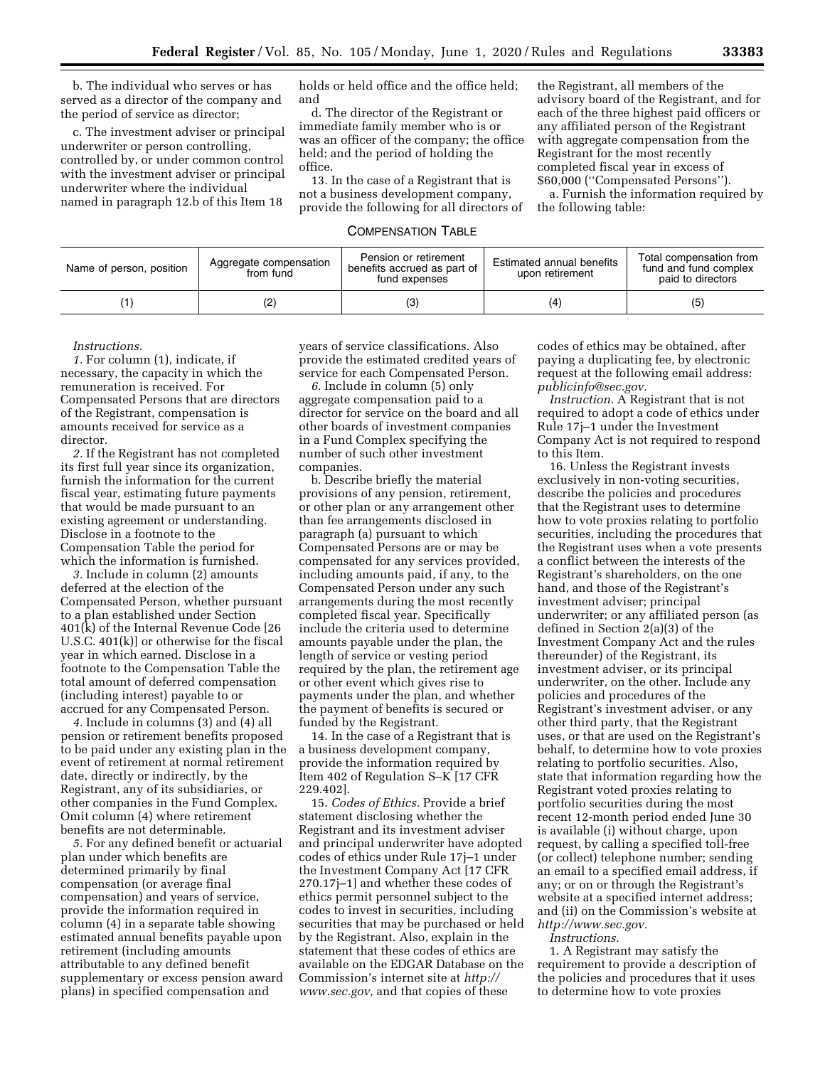b. The individual who serves or has served as a director of the company and the period of service as director;

c. The investment adviser or principal underwriter or person controlling, controlled by, or under common control with the investment adviser or principal underwriter where the individual named in paragraph 12.b of this Item 18

holds or held office and the office held; and

d. The director of the Registrant or immediate family member who is or was an officer of the company; the office held; and the period of holding the office.

13. In the case of a Registrant that is not a business development company, provide the following for all directors of

the Registrant, all members of the advisory board of the Registrant, and for each of the three highest paid officers or any affiliated person of the Registrant with aggregate compensation from the Registrant for the most recently completed fiscal year in excess of \$60,000 (''Compensated Persons'').

a. Furnish the information required by the following table:

# COMPENSATION TABLE

| Name of person, position | Aggregate compensation<br>from fund | Pension or retirement<br>benefits accrued as part of<br>fund expenses | Estimated annual benefits<br>upon retirement | Total compensation from<br>fund and fund complex<br>paid to directors |
|--------------------------|-------------------------------------|-----------------------------------------------------------------------|----------------------------------------------|-----------------------------------------------------------------------|
|                          | (2)                                 | (3)                                                                   | (4                                           | (5)                                                                   |

#### *Instructions.*

*1.* For column (1), indicate, if necessary, the capacity in which the remuneration is received. For Compensated Persons that are directors of the Registrant, compensation is amounts received for service as a director.

*2.* If the Registrant has not completed its first full year since its organization, furnish the information for the current fiscal year, estimating future payments that would be made pursuant to an existing agreement or understanding. Disclose in a footnote to the Compensation Table the period for which the information is furnished.

*3.* Include in column (2) amounts deferred at the election of the Compensated Person, whether pursuant to a plan established under Section 401(k) of the Internal Revenue Code [26 U.S.C. 401(k)] or otherwise for the fiscal year in which earned. Disclose in a footnote to the Compensation Table the total amount of deferred compensation (including interest) payable to or accrued for any Compensated Person.

*4.* Include in columns (3) and (4) all pension or retirement benefits proposed to be paid under any existing plan in the event of retirement at normal retirement date, directly or indirectly, by the Registrant, any of its subsidiaries, or other companies in the Fund Complex. Omit column (4) where retirement benefits are not determinable.

*5.* For any defined benefit or actuarial plan under which benefits are determined primarily by final compensation (or average final compensation) and years of service, provide the information required in column (4) in a separate table showing estimated annual benefits payable upon retirement (including amounts attributable to any defined benefit supplementary or excess pension award plans) in specified compensation and

years of service classifications. Also provide the estimated credited years of service for each Compensated Person.

*6.* Include in column (5) only aggregate compensation paid to a director for service on the board and all other boards of investment companies in a Fund Complex specifying the number of such other investment companies.

b. Describe briefly the material provisions of any pension, retirement, or other plan or any arrangement other than fee arrangements disclosed in paragraph (a) pursuant to which Compensated Persons are or may be compensated for any services provided, including amounts paid, if any, to the Compensated Person under any such arrangements during the most recently completed fiscal year. Specifically include the criteria used to determine amounts payable under the plan, the length of service or vesting period required by the plan, the retirement age or other event which gives rise to payments under the plan, and whether the payment of benefits is secured or funded by the Registrant.

14. In the case of a Registrant that is a business development company, provide the information required by Item 402 of Regulation S–K [17 CFR 229.402].

15. *Codes of Ethics.* Provide a brief statement disclosing whether the Registrant and its investment adviser and principal underwriter have adopted codes of ethics under Rule 17j–1 under the Investment Company Act [17 CFR 270.17j–1] and whether these codes of ethics permit personnel subject to the codes to invest in securities, including securities that may be purchased or held by the Registrant. Also, explain in the statement that these codes of ethics are available on the EDGAR Database on the Commission's internet site at *[http://](http://www.sec.gov) [www.sec.gov,](http://www.sec.gov)* and that copies of these

codes of ethics may be obtained, after paying a duplicating fee, by electronic request at the following email address: *[publicinfo@sec.gov.](mailto:publicinfo@sec.gov)* 

*Instruction.* A Registrant that is not required to adopt a code of ethics under Rule 17j–1 under the Investment Company Act is not required to respond to this Item.

16. Unless the Registrant invests exclusively in non-voting securities, describe the policies and procedures that the Registrant uses to determine how to vote proxies relating to portfolio securities, including the procedures that the Registrant uses when a vote presents a conflict between the interests of the Registrant's shareholders, on the one hand, and those of the Registrant's investment adviser; principal underwriter; or any affiliated person (as defined in Section 2(a)(3) of the Investment Company Act and the rules thereunder) of the Registrant, its investment adviser, or its principal underwriter, on the other. Include any policies and procedures of the Registrant's investment adviser, or any other third party, that the Registrant uses, or that are used on the Registrant's behalf, to determine how to vote proxies relating to portfolio securities. Also, state that information regarding how the Registrant voted proxies relating to portfolio securities during the most recent 12-month period ended June 30 is available (i) without charge, upon request, by calling a specified toll-free (or collect) telephone number; sending an email to a specified email address, if any; or on or through the Registrant's website at a specified internet address; and (ii) on the Commission's website at *[http://www.sec.gov.](http://www.sec.gov)* 

*Instructions.* 

1. A Registrant may satisfy the requirement to provide a description of the policies and procedures that it uses to determine how to vote proxies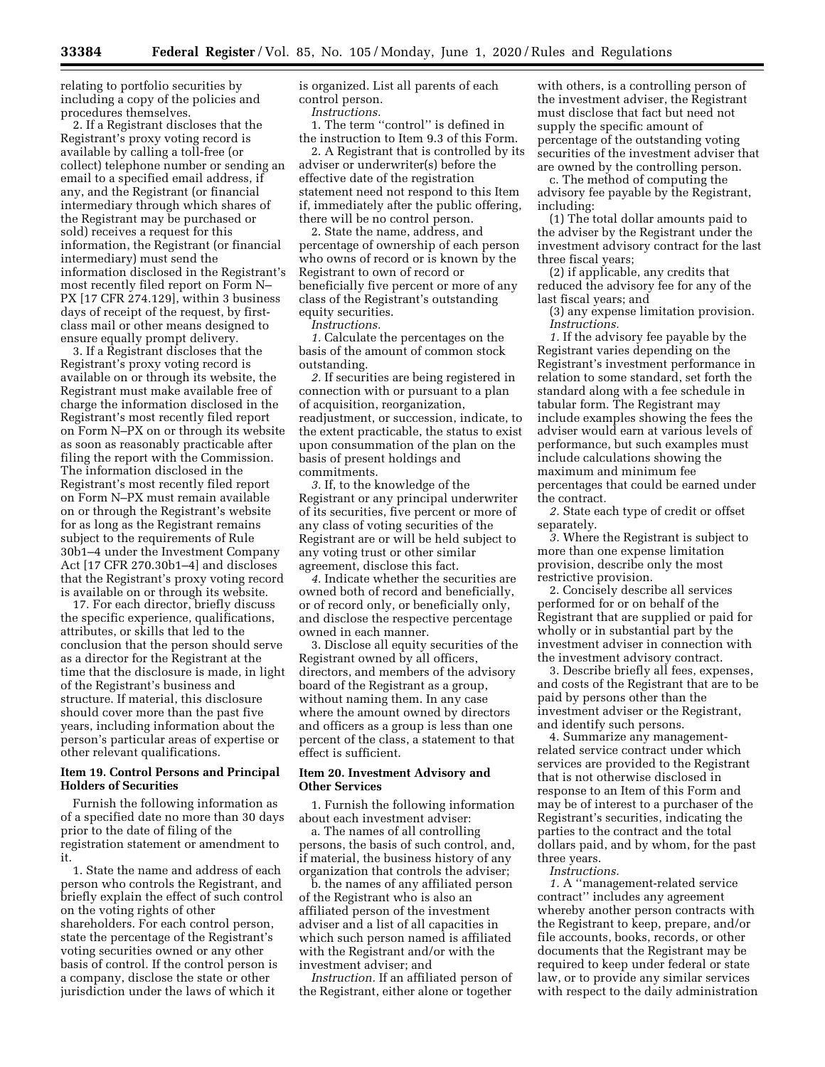relating to portfolio securities by including a copy of the policies and procedures themselves.

2. If a Registrant discloses that the Registrant's proxy voting record is available by calling a toll-free (or collect) telephone number or sending an email to a specified email address, if any, and the Registrant (or financial intermediary through which shares of the Registrant may be purchased or sold) receives a request for this information, the Registrant (or financial intermediary) must send the information disclosed in the Registrant's most recently filed report on Form N– PX [17 CFR 274.129], within 3 business days of receipt of the request, by firstclass mail or other means designed to ensure equally prompt delivery.

3. If a Registrant discloses that the Registrant's proxy voting record is available on or through its website, the Registrant must make available free of charge the information disclosed in the Registrant's most recently filed report on Form N–PX on or through its website as soon as reasonably practicable after filing the report with the Commission. The information disclosed in the Registrant's most recently filed report on Form N–PX must remain available on or through the Registrant's website for as long as the Registrant remains subject to the requirements of Rule 30b1–4 under the Investment Company Act [17 CFR 270.30b1–4] and discloses that the Registrant's proxy voting record is available on or through its website.

17. For each director, briefly discuss the specific experience, qualifications, attributes, or skills that led to the conclusion that the person should serve as a director for the Registrant at the time that the disclosure is made, in light of the Registrant's business and structure. If material, this disclosure should cover more than the past five years, including information about the person's particular areas of expertise or other relevant qualifications.

## **Item 19. Control Persons and Principal Holders of Securities**

Furnish the following information as of a specified date no more than 30 days prior to the date of filing of the registration statement or amendment to it.

1. State the name and address of each person who controls the Registrant, and briefly explain the effect of such control on the voting rights of other shareholders. For each control person, state the percentage of the Registrant's voting securities owned or any other basis of control. If the control person is a company, disclose the state or other jurisdiction under the laws of which it

is organized. List all parents of each control person.

*Instructions.* 

1. The term ''control'' is defined in the instruction to Item 9.3 of this Form.

2. A Registrant that is controlled by its adviser or underwriter(s) before the effective date of the registration statement need not respond to this Item if, immediately after the public offering, there will be no control person.

2. State the name, address, and percentage of ownership of each person who owns of record or is known by the Registrant to own of record or beneficially five percent or more of any class of the Registrant's outstanding equity securities.

*Instructions.* 

*1.* Calculate the percentages on the basis of the amount of common stock outstanding.

*2.* If securities are being registered in connection with or pursuant to a plan of acquisition, reorganization, readjustment, or succession, indicate, to the extent practicable, the status to exist upon consummation of the plan on the basis of present holdings and commitments.

*3.* If, to the knowledge of the Registrant or any principal underwriter of its securities, five percent or more of any class of voting securities of the Registrant are or will be held subject to any voting trust or other similar agreement, disclose this fact.

*4.* Indicate whether the securities are owned both of record and beneficially, or of record only, or beneficially only, and disclose the respective percentage owned in each manner.

3. Disclose all equity securities of the Registrant owned by all officers, directors, and members of the advisory board of the Registrant as a group, without naming them. In any case where the amount owned by directors and officers as a group is less than one percent of the class, a statement to that effect is sufficient.

## **Item 20. Investment Advisory and Other Services**

1. Furnish the following information about each investment adviser:

a. The names of all controlling persons, the basis of such control, and, if material, the business history of any organization that controls the adviser;

b. the names of any affiliated person of the Registrant who is also an affiliated person of the investment adviser and a list of all capacities in which such person named is affiliated with the Registrant and/or with the investment adviser; and

*Instruction.* If an affiliated person of the Registrant, either alone or together

with others, is a controlling person of the investment adviser, the Registrant must disclose that fact but need not supply the specific amount of percentage of the outstanding voting securities of the investment adviser that are owned by the controlling person.

c. The method of computing the advisory fee payable by the Registrant, including:

(1) The total dollar amounts paid to the adviser by the Registrant under the investment advisory contract for the last three fiscal years;

(2) if applicable, any credits that reduced the advisory fee for any of the last fiscal years; and

(3) any expense limitation provision. *Instructions.* 

*1.* If the advisory fee payable by the Registrant varies depending on the Registrant's investment performance in relation to some standard, set forth the standard along with a fee schedule in tabular form. The Registrant may include examples showing the fees the adviser would earn at various levels of performance, but such examples must include calculations showing the maximum and minimum fee percentages that could be earned under the contract.

*2.* State each type of credit or offset separately.

*3.* Where the Registrant is subject to more than one expense limitation provision, describe only the most restrictive provision.

2. Concisely describe all services performed for or on behalf of the Registrant that are supplied or paid for wholly or in substantial part by the investment adviser in connection with the investment advisory contract.

3. Describe briefly all fees, expenses, and costs of the Registrant that are to be paid by persons other than the investment adviser or the Registrant, and identify such persons.

4. Summarize any managementrelated service contract under which services are provided to the Registrant that is not otherwise disclosed in response to an Item of this Form and may be of interest to a purchaser of the Registrant's securities, indicating the parties to the contract and the total dollars paid, and by whom, for the past three years.

*Instructions.* 

*1.* A ''management-related service contract'' includes any agreement whereby another person contracts with the Registrant to keep, prepare, and/or file accounts, books, records, or other documents that the Registrant may be required to keep under federal or state law, or to provide any similar services with respect to the daily administration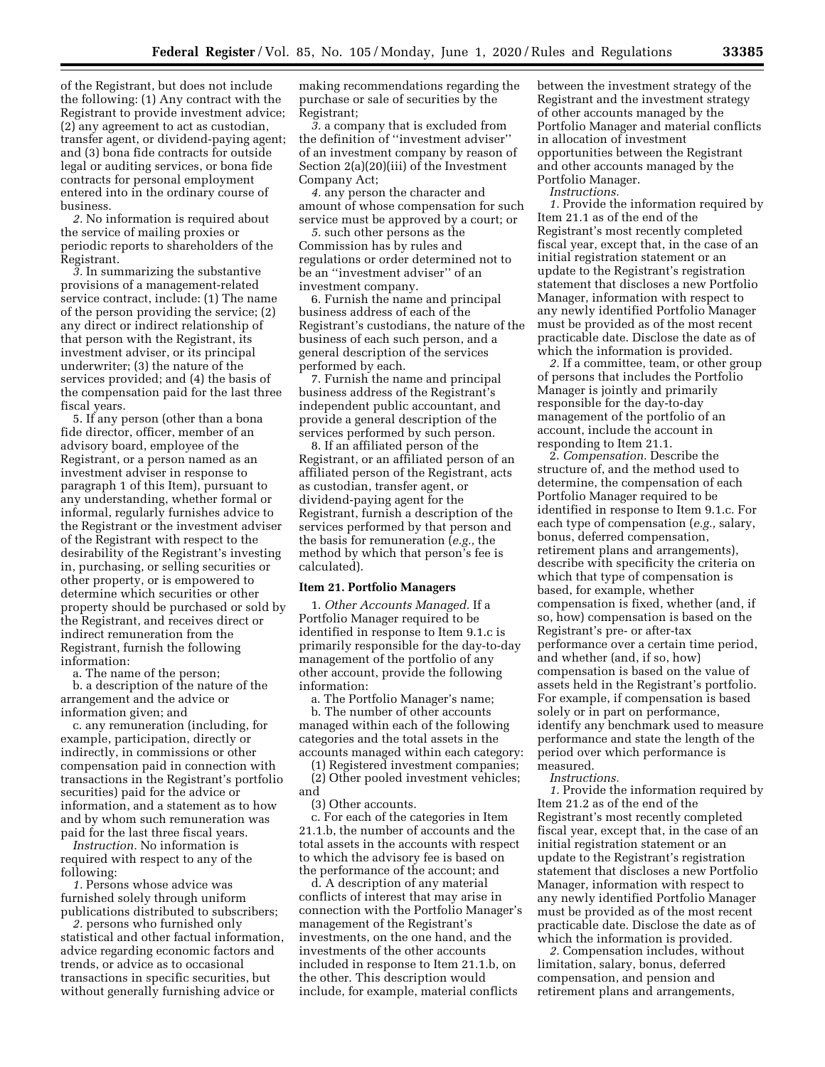of the Registrant, but does not include the following: (1) Any contract with the Registrant to provide investment advice; (2) any agreement to act as custodian, transfer agent, or dividend-paying agent; and (3) bona fide contracts for outside legal or auditing services, or bona fide contracts for personal employment entered into in the ordinary course of business.

*2.* No information is required about the service of mailing proxies or periodic reports to shareholders of the Registrant.

*3.* In summarizing the substantive provisions of a management-related service contract, include: (1) The name of the person providing the service; (2) any direct or indirect relationship of that person with the Registrant, its investment adviser, or its principal underwriter; (3) the nature of the services provided; and (4) the basis of the compensation paid for the last three fiscal years.

5. If any person (other than a bona fide director, officer, member of an advisory board, employee of the Registrant, or a person named as an investment adviser in response to paragraph 1 of this Item), pursuant to any understanding, whether formal or informal, regularly furnishes advice to the Registrant or the investment adviser of the Registrant with respect to the desirability of the Registrant's investing in, purchasing, or selling securities or other property, or is empowered to determine which securities or other property should be purchased or sold by the Registrant, and receives direct or indirect remuneration from the Registrant, furnish the following information:

a. The name of the person;

b. a description of the nature of the arrangement and the advice or information given; and

c. any remuneration (including, for example, participation, directly or indirectly, in commissions or other compensation paid in connection with transactions in the Registrant's portfolio securities) paid for the advice or information, and a statement as to how and by whom such remuneration was paid for the last three fiscal years.

*Instruction.* No information is required with respect to any of the following:

*1.* Persons whose advice was furnished solely through uniform publications distributed to subscribers;

*2.* persons who furnished only statistical and other factual information, advice regarding economic factors and trends, or advice as to occasional transactions in specific securities, but without generally furnishing advice or

making recommendations regarding the purchase or sale of securities by the Registrant;

*3.* a company that is excluded from the definition of ''investment adviser'' of an investment company by reason of Section 2(a)(20)(iii) of the Investment Company Act;

*4.* any person the character and amount of whose compensation for such service must be approved by a court; or

*5.* such other persons as the Commission has by rules and regulations or order determined not to be an ''investment adviser'' of an investment company.

6. Furnish the name and principal business address of each of the Registrant's custodians, the nature of the business of each such person, and a general description of the services performed by each.

7. Furnish the name and principal business address of the Registrant's independent public accountant, and provide a general description of the services performed by such person.

8. If an affiliated person of the Registrant, or an affiliated person of an affiliated person of the Registrant, acts as custodian, transfer agent, or dividend-paying agent for the Registrant, furnish a description of the services performed by that person and the basis for remuneration (*e.g.,* the method by which that person's fee is calculated).

## **Item 21. Portfolio Managers**

1. *Other Accounts Managed.* If a Portfolio Manager required to be identified in response to Item 9.1.c is primarily responsible for the day-to-day management of the portfolio of any other account, provide the following information:

a. The Portfolio Manager's name;

b. The number of other accounts managed within each of the following categories and the total assets in the accounts managed within each category:

(1) Registered investment companies; (2) Other pooled investment vehicles; and

(3) Other accounts.

c. For each of the categories in Item 21.1.b, the number of accounts and the total assets in the accounts with respect to which the advisory fee is based on the performance of the account; and

d. A description of any material conflicts of interest that may arise in connection with the Portfolio Manager's management of the Registrant's investments, on the one hand, and the investments of the other accounts included in response to Item 21.1.b, on the other. This description would include, for example, material conflicts

between the investment strategy of the Registrant and the investment strategy of other accounts managed by the Portfolio Manager and material conflicts in allocation of investment opportunities between the Registrant and other accounts managed by the Portfolio Manager.

*Instructions.* 

*1.* Provide the information required by Item 21.1 as of the end of the Registrant's most recently completed fiscal year, except that, in the case of an initial registration statement or an update to the Registrant's registration statement that discloses a new Portfolio Manager, information with respect to any newly identified Portfolio Manager must be provided as of the most recent practicable date. Disclose the date as of which the information is provided.

*2.* If a committee, team, or other group of persons that includes the Portfolio Manager is jointly and primarily responsible for the day-to-day management of the portfolio of an account, include the account in responding to Item 21.1.

2. *Compensation.* Describe the structure of, and the method used to determine, the compensation of each Portfolio Manager required to be identified in response to Item 9.1.c. For each type of compensation (*e.g.,* salary, bonus, deferred compensation, retirement plans and arrangements), describe with specificity the criteria on which that type of compensation is based, for example, whether compensation is fixed, whether (and, if so, how) compensation is based on the Registrant's pre- or after-tax performance over a certain time period, and whether (and, if so, how) compensation is based on the value of assets held in the Registrant's portfolio. For example, if compensation is based solely or in part on performance, identify any benchmark used to measure performance and state the length of the period over which performance is measured.

*Instructions.* 

*1.* Provide the information required by Item 21.2 as of the end of the Registrant's most recently completed fiscal year, except that, in the case of an initial registration statement or an update to the Registrant's registration statement that discloses a new Portfolio Manager, information with respect to any newly identified Portfolio Manager must be provided as of the most recent practicable date. Disclose the date as of which the information is provided.

*2.* Compensation includes, without limitation, salary, bonus, deferred compensation, and pension and retirement plans and arrangements,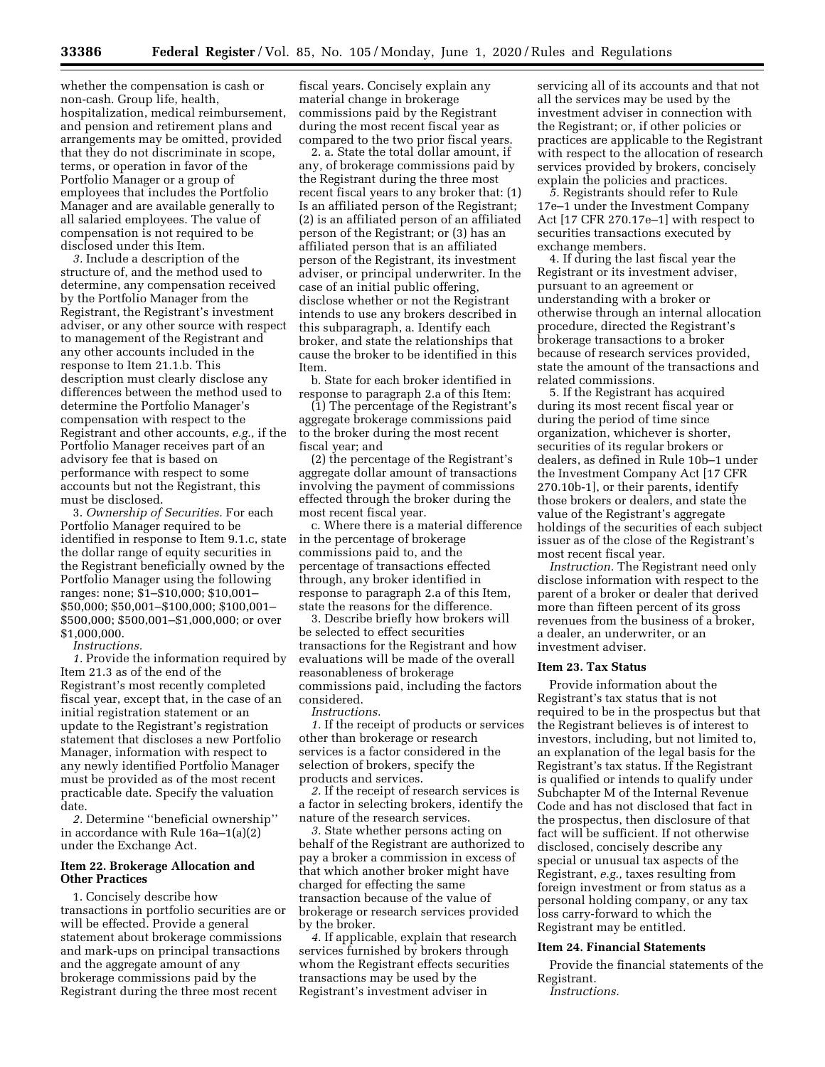whether the compensation is cash or non-cash. Group life, health, hospitalization, medical reimbursement, and pension and retirement plans and arrangements may be omitted, provided that they do not discriminate in scope, terms, or operation in favor of the Portfolio Manager or a group of employees that includes the Portfolio Manager and are available generally to all salaried employees. The value of compensation is not required to be disclosed under this Item.

*3.* Include a description of the structure of, and the method used to determine, any compensation received by the Portfolio Manager from the Registrant, the Registrant's investment adviser, or any other source with respect to management of the Registrant and any other accounts included in the response to Item 21.1.b. This description must clearly disclose any differences between the method used to determine the Portfolio Manager's compensation with respect to the Registrant and other accounts, *e.g.,* if the Portfolio Manager receives part of an advisory fee that is based on performance with respect to some accounts but not the Registrant, this must be disclosed.

3. *Ownership of Securities.* For each Portfolio Manager required to be identified in response to Item 9.1.c, state the dollar range of equity securities in the Registrant beneficially owned by the Portfolio Manager using the following ranges: none; \$1–\$10,000; \$10,001– \$50,000; \$50,001–\$100,000; \$100,001– \$500,000; \$500,001–\$1,000,000; or over \$1,000,000.

*Instructions.* 

*1.* Provide the information required by Item 21.3 as of the end of the Registrant's most recently completed fiscal year, except that, in the case of an initial registration statement or an update to the Registrant's registration statement that discloses a new Portfolio Manager, information with respect to any newly identified Portfolio Manager must be provided as of the most recent practicable date. Specify the valuation date.

*2.* Determine ''beneficial ownership'' in accordance with Rule 16a–1(a)(2) under the Exchange Act.

## **Item 22. Brokerage Allocation and Other Practices**

1. Concisely describe how transactions in portfolio securities are or will be effected. Provide a general statement about brokerage commissions and mark-ups on principal transactions and the aggregate amount of any brokerage commissions paid by the Registrant during the three most recent

fiscal years. Concisely explain any material change in brokerage commissions paid by the Registrant during the most recent fiscal year as compared to the two prior fiscal years.

2. a. State the total dollar amount, if any, of brokerage commissions paid by the Registrant during the three most recent fiscal years to any broker that: (1) Is an affiliated person of the Registrant; (2) is an affiliated person of an affiliated person of the Registrant; or (3) has an affiliated person that is an affiliated person of the Registrant, its investment adviser, or principal underwriter. In the case of an initial public offering, disclose whether or not the Registrant intends to use any brokers described in this subparagraph, a. Identify each broker, and state the relationships that cause the broker to be identified in this Item.

b. State for each broker identified in response to paragraph 2.a of this Item:

(1) The percentage of the Registrant's aggregate brokerage commissions paid to the broker during the most recent fiscal year; and

(2) the percentage of the Registrant's aggregate dollar amount of transactions involving the payment of commissions effected through the broker during the most recent fiscal year.

c. Where there is a material difference in the percentage of brokerage commissions paid to, and the percentage of transactions effected through, any broker identified in response to paragraph 2.a of this Item, state the reasons for the difference.

3. Describe briefly how brokers will be selected to effect securities transactions for the Registrant and how evaluations will be made of the overall reasonableness of brokerage commissions paid, including the factors considered.

*Instructions.* 

*1.* If the receipt of products or services other than brokerage or research services is a factor considered in the selection of brokers, specify the products and services.

*2.* If the receipt of research services is a factor in selecting brokers, identify the nature of the research services.

*3.* State whether persons acting on behalf of the Registrant are authorized to pay a broker a commission in excess of that which another broker might have charged for effecting the same transaction because of the value of brokerage or research services provided by the broker.

*4.* If applicable, explain that research services furnished by brokers through whom the Registrant effects securities transactions may be used by the Registrant's investment adviser in

servicing all of its accounts and that not all the services may be used by the investment adviser in connection with the Registrant; or, if other policies or practices are applicable to the Registrant with respect to the allocation of research services provided by brokers, concisely explain the policies and practices.

*5.* Registrants should refer to Rule 17e–1 under the Investment Company Act [17 CFR 270.17e–1] with respect to securities transactions executed by exchange members.

4. If during the last fiscal year the Registrant or its investment adviser, pursuant to an agreement or understanding with a broker or otherwise through an internal allocation procedure, directed the Registrant's brokerage transactions to a broker because of research services provided, state the amount of the transactions and related commissions.

5. If the Registrant has acquired during its most recent fiscal year or during the period of time since organization, whichever is shorter, securities of its regular brokers or dealers, as defined in Rule 10b–1 under the Investment Company Act [17 CFR 270.10b-1], or their parents, identify those brokers or dealers, and state the value of the Registrant's aggregate holdings of the securities of each subject issuer as of the close of the Registrant's most recent fiscal year.

*Instruction.* The Registrant need only disclose information with respect to the parent of a broker or dealer that derived more than fifteen percent of its gross revenues from the business of a broker, a dealer, an underwriter, or an investment adviser.

## **Item 23. Tax Status**

Provide information about the Registrant's tax status that is not required to be in the prospectus but that the Registrant believes is of interest to investors, including, but not limited to, an explanation of the legal basis for the Registrant's tax status. If the Registrant is qualified or intends to qualify under Subchapter M of the Internal Revenue Code and has not disclosed that fact in the prospectus, then disclosure of that fact will be sufficient. If not otherwise disclosed, concisely describe any special or unusual tax aspects of the Registrant, *e.g.,* taxes resulting from foreign investment or from status as a personal holding company, or any tax loss carry-forward to which the Registrant may be entitled.

## **Item 24. Financial Statements**

Provide the financial statements of the Registrant.

*Instructions.*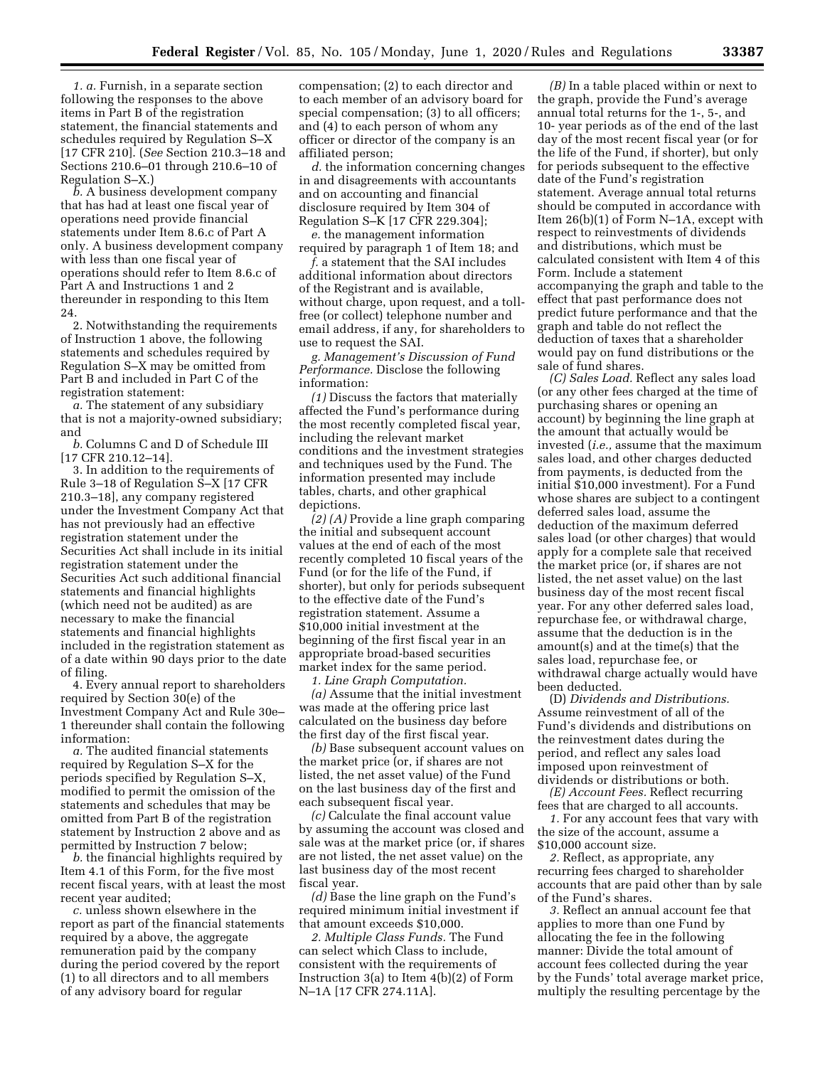*1. a.* Furnish, in a separate section following the responses to the above items in Part B of the registration statement, the financial statements and schedules required by Regulation S–X [17 CFR 210]. (*See* Section 210.3–18 and Sections 210.6–01 through 210.6–10 of Regulation S–X.)

*b.* A business development company that has had at least one fiscal year of operations need provide financial statements under Item 8.6.c of Part A only. A business development company with less than one fiscal year of operations should refer to Item 8.6.c of Part A and Instructions 1 and 2 thereunder in responding to this Item 24.

2. Notwithstanding the requirements of Instruction 1 above, the following statements and schedules required by Regulation S–X may be omitted from Part B and included in Part C of the registration statement:

*a.* The statement of any subsidiary that is not a majority-owned subsidiary; and

*b.* Columns C and D of Schedule III [17 CFR 210.12–14].

3. In addition to the requirements of Rule 3–18 of Regulation S–X [17 CFR 210.3–18], any company registered under the Investment Company Act that has not previously had an effective registration statement under the Securities Act shall include in its initial registration statement under the Securities Act such additional financial statements and financial highlights (which need not be audited) as are necessary to make the financial statements and financial highlights included in the registration statement as of a date within 90 days prior to the date of filing.

4. Every annual report to shareholders required by Section 30(e) of the Investment Company Act and Rule 30e– 1 thereunder shall contain the following information:

*a.* The audited financial statements required by Regulation S–X for the periods specified by Regulation S–X, modified to permit the omission of the statements and schedules that may be omitted from Part B of the registration statement by Instruction 2 above and as permitted by Instruction 7 below;

*b.* the financial highlights required by Item 4.1 of this Form, for the five most recent fiscal years, with at least the most recent year audited;

*c.* unless shown elsewhere in the report as part of the financial statements required by a above, the aggregate remuneration paid by the company during the period covered by the report (1) to all directors and to all members of any advisory board for regular

compensation; (2) to each director and to each member of an advisory board for special compensation; (3) to all officers; and (4) to each person of whom any officer or director of the company is an affiliated person;

*d.* the information concerning changes in and disagreements with accountants and on accounting and financial disclosure required by Item 304 of Regulation S–K [17 CFR 229.304];

*e.* the management information required by paragraph 1 of Item 18; and

*f.* a statement that the SAI includes additional information about directors of the Registrant and is available, without charge, upon request, and a tollfree (or collect) telephone number and email address, if any, for shareholders to use to request the SAI.

*g. Management's Discussion of Fund Performance.* Disclose the following information:

*(1)* Discuss the factors that materially affected the Fund's performance during the most recently completed fiscal year, including the relevant market conditions and the investment strategies and techniques used by the Fund. The information presented may include tables, charts, and other graphical depictions.

*(2) (A)* Provide a line graph comparing the initial and subsequent account values at the end of each of the most recently completed 10 fiscal years of the Fund (or for the life of the Fund, if shorter), but only for periods subsequent to the effective date of the Fund's registration statement. Assume a \$10,000 initial investment at the beginning of the first fiscal year in an appropriate broad-based securities market index for the same period.

*1. Line Graph Computation.* 

*(a)* Assume that the initial investment was made at the offering price last calculated on the business day before the first day of the first fiscal year.

*(b)* Base subsequent account values on the market price (or, if shares are not listed, the net asset value) of the Fund on the last business day of the first and each subsequent fiscal year.

*(c)* Calculate the final account value by assuming the account was closed and sale was at the market price (or, if shares are not listed, the net asset value) on the last business day of the most recent fiscal year.

*(d)* Base the line graph on the Fund's required minimum initial investment if that amount exceeds \$10,000.

*2. Multiple Class Funds.* The Fund can select which Class to include, consistent with the requirements of Instruction 3(a) to Item 4(b)(2) of Form N–1A [17 CFR 274.11A].

*(B)* In a table placed within or next to the graph, provide the Fund's average annual total returns for the 1-, 5-, and 10- year periods as of the end of the last day of the most recent fiscal year (or for the life of the Fund, if shorter), but only for periods subsequent to the effective date of the Fund's registration statement. Average annual total returns should be computed in accordance with Item 26(b)(1) of Form N–1A, except with respect to reinvestments of dividends and distributions, which must be calculated consistent with Item 4 of this Form. Include a statement accompanying the graph and table to the effect that past performance does not predict future performance and that the graph and table do not reflect the deduction of taxes that a shareholder would pay on fund distributions or the sale of fund shares.

*(C) Sales Load.* Reflect any sales load (or any other fees charged at the time of purchasing shares or opening an account) by beginning the line graph at the amount that actually would be invested (*i.e.,* assume that the maximum sales load, and other charges deducted from payments, is deducted from the initial \$10,000 investment). For a Fund whose shares are subject to a contingent deferred sales load, assume the deduction of the maximum deferred sales load (or other charges) that would apply for a complete sale that received the market price (or, if shares are not listed, the net asset value) on the last business day of the most recent fiscal year. For any other deferred sales load, repurchase fee, or withdrawal charge, assume that the deduction is in the amount(s) and at the time(s) that the sales load, repurchase fee, or withdrawal charge actually would have been deducted.

(D) *Dividends and Distributions.*  Assume reinvestment of all of the Fund's dividends and distributions on the reinvestment dates during the period, and reflect any sales load imposed upon reinvestment of dividends or distributions or both.

*(E) Account Fees.* Reflect recurring fees that are charged to all accounts.

*1.* For any account fees that vary with the size of the account, assume a \$10,000 account size.

*2.* Reflect, as appropriate, any recurring fees charged to shareholder accounts that are paid other than by sale of the Fund's shares.

*3.* Reflect an annual account fee that applies to more than one Fund by allocating the fee in the following manner: Divide the total amount of account fees collected during the year by the Funds' total average market price, multiply the resulting percentage by the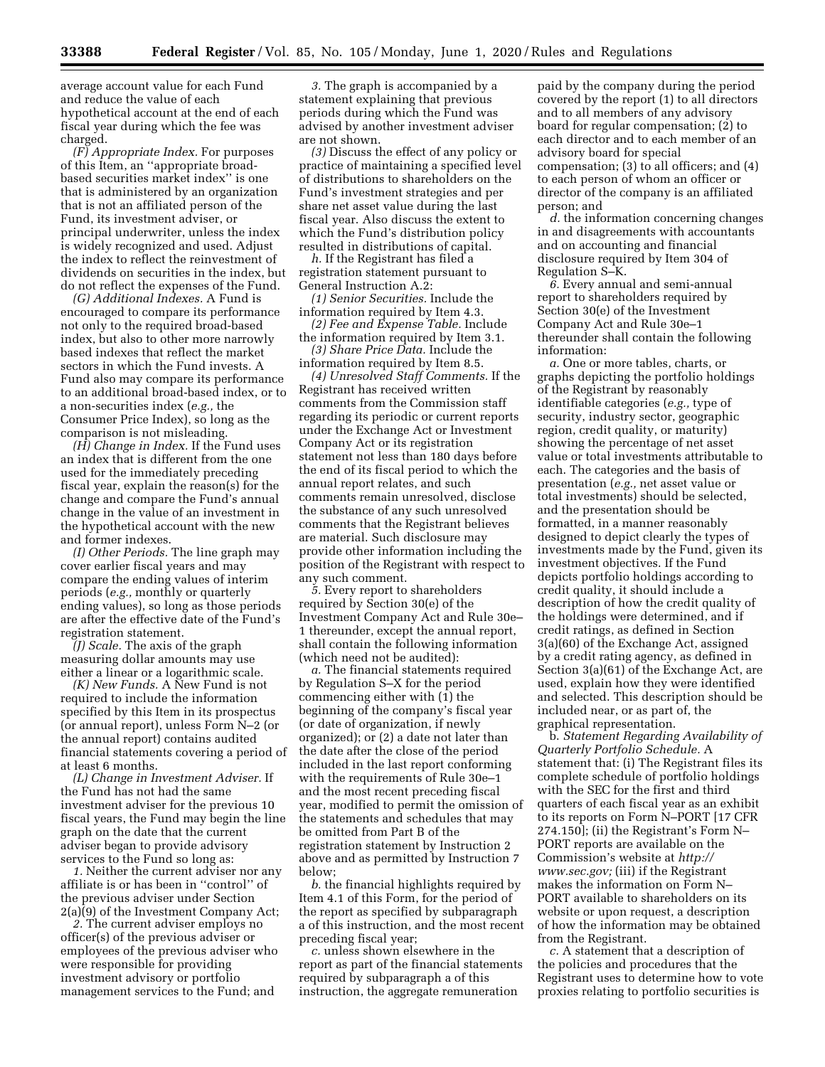average account value for each Fund and reduce the value of each hypothetical account at the end of each fiscal year during which the fee was charged.

*(F) Appropriate Index.* For purposes of this Item, an ''appropriate broadbased securities market index'' is one that is administered by an organization that is not an affiliated person of the Fund, its investment adviser, or principal underwriter, unless the index is widely recognized and used. Adjust the index to reflect the reinvestment of dividends on securities in the index, but do not reflect the expenses of the Fund.

*(G) Additional Indexes.* A Fund is encouraged to compare its performance not only to the required broad-based index, but also to other more narrowly based indexes that reflect the market sectors in which the Fund invests. A Fund also may compare its performance to an additional broad-based index, or to a non-securities index (*e.g.,* the Consumer Price Index), so long as the comparison is not misleading.

*(H) Change in Index.* If the Fund uses an index that is different from the one used for the immediately preceding fiscal year, explain the reason(s) for the change and compare the Fund's annual change in the value of an investment in the hypothetical account with the new and former indexes.

*(I) Other Periods.* The line graph may cover earlier fiscal years and may compare the ending values of interim periods (*e.g.,* monthly or quarterly ending values), so long as those periods are after the effective date of the Fund's registration statement.

*(J) Scale.* The axis of the graph measuring dollar amounts may use either a linear or a logarithmic scale.

*(K) New Funds.* A New Fund is not required to include the information specified by this Item in its prospectus (or annual report), unless Form N–2 (or the annual report) contains audited financial statements covering a period of at least 6 months.

*(L) Change in Investment Adviser.* If the Fund has not had the same investment adviser for the previous 10 fiscal years, the Fund may begin the line graph on the date that the current adviser began to provide advisory services to the Fund so long as:

*1.* Neither the current adviser nor any affiliate is or has been in ''control'' of the previous adviser under Section 2(a)(9) of the Investment Company Act;

*2.* The current adviser employs no officer(s) of the previous adviser or employees of the previous adviser who were responsible for providing investment advisory or portfolio management services to the Fund; and

*3.* The graph is accompanied by a statement explaining that previous periods during which the Fund was advised by another investment adviser are not shown.

*(3)* Discuss the effect of any policy or practice of maintaining a specified level of distributions to shareholders on the Fund's investment strategies and per share net asset value during the last fiscal year. Also discuss the extent to which the Fund's distribution policy resulted in distributions of capital.

*h.* If the Registrant has filed a registration statement pursuant to General Instruction A.2:

*(1) Senior Securities.* Include the information required by Item 4.3.

*(2) Fee and Expense Table.* Include the information required by Item 3.1.

*(3) Share Price Data.* Include the information required by Item 8.5.

*(4) Unresolved Staff Comments.* If the Registrant has received written comments from the Commission staff regarding its periodic or current reports under the Exchange Act or Investment Company Act or its registration statement not less than 180 days before the end of its fiscal period to which the annual report relates, and such comments remain unresolved, disclose the substance of any such unresolved comments that the Registrant believes are material. Such disclosure may provide other information including the position of the Registrant with respect to any such comment.

*5.* Every report to shareholders required by Section 30(e) of the Investment Company Act and Rule 30e– 1 thereunder, except the annual report, shall contain the following information (which need not be audited):

*a.* The financial statements required by Regulation S–X for the period commencing either with (1) the beginning of the company's fiscal year (or date of organization, if newly organized); or (2) a date not later than the date after the close of the period included in the last report conforming with the requirements of Rule 30e–1 and the most recent preceding fiscal year, modified to permit the omission of the statements and schedules that may be omitted from Part B of the registration statement by Instruction 2 above and as permitted by Instruction 7 below;

*b.* the financial highlights required by Item 4.1 of this Form, for the period of the report as specified by subparagraph a of this instruction, and the most recent preceding fiscal year;

*c.* unless shown elsewhere in the report as part of the financial statements required by subparagraph a of this instruction, the aggregate remuneration

paid by the company during the period covered by the report (1) to all directors and to all members of any advisory board for regular compensation; (2) to each director and to each member of an advisory board for special compensation; (3) to all officers; and (4) to each person of whom an officer or director of the company is an affiliated person; and

*d.* the information concerning changes in and disagreements with accountants and on accounting and financial disclosure required by Item 304 of Regulation S–K.

*6.* Every annual and semi-annual report to shareholders required by Section 30(e) of the Investment Company Act and Rule 30e–1 thereunder shall contain the following information:

*a.* One or more tables, charts, or graphs depicting the portfolio holdings of the Registrant by reasonably identifiable categories (*e.g.,* type of security, industry sector, geographic region, credit quality, or maturity) showing the percentage of net asset value or total investments attributable to each. The categories and the basis of presentation (*e.g.,* net asset value or total investments) should be selected, and the presentation should be formatted, in a manner reasonably designed to depict clearly the types of investments made by the Fund, given its investment objectives. If the Fund depicts portfolio holdings according to credit quality, it should include a description of how the credit quality of the holdings were determined, and if credit ratings, as defined in Section 3(a)(60) of the Exchange Act, assigned by a credit rating agency, as defined in Section 3(a)(61) of the Exchange Act, are used, explain how they were identified and selected. This description should be included near, or as part of, the graphical representation.

b. *Statement Regarding Availability of Quarterly Portfolio Schedule.* A statement that: (i) The Registrant files its complete schedule of portfolio holdings with the SEC for the first and third quarters of each fiscal year as an exhibit to its reports on Form N–PORT [17 CFR 274.150]; (ii) the Registrant's Form N– PORT reports are available on the Commission's website at *[http://](http://www.sec.gov) [www.sec.gov;](http://www.sec.gov)* (iii) if the Registrant makes the information on Form N– PORT available to shareholders on its website or upon request, a description of how the information may be obtained from the Registrant.

*c.* A statement that a description of the policies and procedures that the Registrant uses to determine how to vote proxies relating to portfolio securities is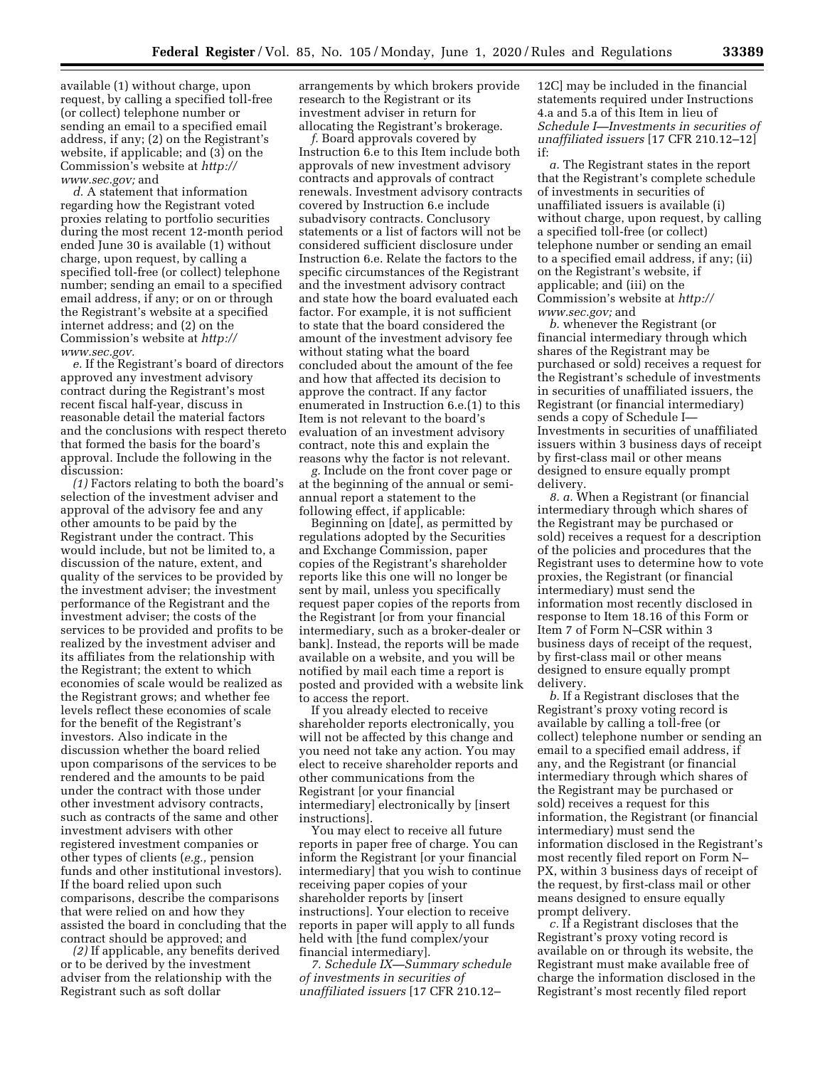available (1) without charge, upon request, by calling a specified toll-free (or collect) telephone number or sending an email to a specified email address, if any; (2) on the Registrant's website, if applicable; and (3) on the Commission's website at *[http://](http://www.sec.gov) [www.sec.gov;](http://www.sec.gov)* and

*d.* A statement that information regarding how the Registrant voted proxies relating to portfolio securities during the most recent 12-month period ended June 30 is available (1) without charge, upon request, by calling a specified toll-free (or collect) telephone number; sending an email to a specified email address, if any; or on or through the Registrant's website at a specified internet address; and (2) on the Commission's website at *[http://](http://www.sec.gov) [www.sec.gov.](http://www.sec.gov)* 

*e.* If the Registrant's board of directors approved any investment advisory contract during the Registrant's most recent fiscal half-year, discuss in reasonable detail the material factors and the conclusions with respect thereto that formed the basis for the board's approval. Include the following in the discussion:

*(1)* Factors relating to both the board's selection of the investment adviser and approval of the advisory fee and any other amounts to be paid by the Registrant under the contract. This would include, but not be limited to, a discussion of the nature, extent, and quality of the services to be provided by the investment adviser; the investment performance of the Registrant and the investment adviser; the costs of the services to be provided and profits to be realized by the investment adviser and its affiliates from the relationship with the Registrant; the extent to which economies of scale would be realized as the Registrant grows; and whether fee levels reflect these economies of scale for the benefit of the Registrant's investors. Also indicate in the discussion whether the board relied upon comparisons of the services to be rendered and the amounts to be paid under the contract with those under other investment advisory contracts, such as contracts of the same and other investment advisers with other registered investment companies or other types of clients (*e.g.,* pension funds and other institutional investors). If the board relied upon such comparisons, describe the comparisons that were relied on and how they assisted the board in concluding that the contract should be approved; and

*(2)* If applicable, any benefits derived or to be derived by the investment adviser from the relationship with the Registrant such as soft dollar

arrangements by which brokers provide research to the Registrant or its investment adviser in return for allocating the Registrant's brokerage.

*f.* Board approvals covered by Instruction 6.e to this Item include both approvals of new investment advisory contracts and approvals of contract renewals. Investment advisory contracts covered by Instruction 6.e include subadvisory contracts. Conclusory statements or a list of factors will not be considered sufficient disclosure under Instruction 6.e. Relate the factors to the specific circumstances of the Registrant and the investment advisory contract and state how the board evaluated each factor. For example, it is not sufficient to state that the board considered the amount of the investment advisory fee without stating what the board concluded about the amount of the fee and how that affected its decision to approve the contract. If any factor enumerated in Instruction 6.e.(1) to this Item is not relevant to the board's evaluation of an investment advisory contract, note this and explain the reasons why the factor is not relevant.

*g.* Include on the front cover page or at the beginning of the annual or semiannual report a statement to the following effect, if applicable:

Beginning on [date], as permitted by regulations adopted by the Securities and Exchange Commission, paper copies of the Registrant's shareholder reports like this one will no longer be sent by mail, unless you specifically request paper copies of the reports from the Registrant [or from your financial intermediary, such as a broker-dealer or bank]. Instead, the reports will be made available on a website, and you will be notified by mail each time a report is posted and provided with a website link to access the report.

If you already elected to receive shareholder reports electronically, you will not be affected by this change and you need not take any action. You may elect to receive shareholder reports and other communications from the Registrant [or your financial intermediary] electronically by [insert instructions].

You may elect to receive all future reports in paper free of charge. You can inform the Registrant [or your financial intermediary] that you wish to continue receiving paper copies of your shareholder reports by [insert instructions]. Your election to receive reports in paper will apply to all funds held with [the fund complex/your financial intermediary].

*7. Schedule IX—Summary schedule of investments in securities of unaffiliated issuers* [17 CFR 210.12–

12C] may be included in the financial statements required under Instructions 4.a and 5.a of this Item in lieu of *Schedule I—Investments in securities of unaffiliated issuers* [17 CFR 210.12–12] if:

*a.* The Registrant states in the report that the Registrant's complete schedule of investments in securities of unaffiliated issuers is available (i) without charge, upon request, by calling a specified toll-free (or collect) telephone number or sending an email to a specified email address, if any; (ii) on the Registrant's website, if applicable; and (iii) on the Commission's website at *[http://](http://www.sec.gov) [www.sec.gov;](http://www.sec.gov)* and

*b.* whenever the Registrant (or financial intermediary through which shares of the Registrant may be purchased or sold) receives a request for the Registrant's schedule of investments in securities of unaffiliated issuers, the Registrant (or financial intermediary) sends a copy of Schedule I— Investments in securities of unaffiliated issuers within 3 business days of receipt by first-class mail or other means designed to ensure equally prompt delivery.

*8. a.* When a Registrant (or financial intermediary through which shares of the Registrant may be purchased or sold) receives a request for a description of the policies and procedures that the Registrant uses to determine how to vote proxies, the Registrant (or financial intermediary) must send the information most recently disclosed in response to Item 18.16 of this Form or Item 7 of Form N–CSR within 3 business days of receipt of the request, by first-class mail or other means designed to ensure equally prompt delivery.

*b.* If a Registrant discloses that the Registrant's proxy voting record is available by calling a toll-free (or collect) telephone number or sending an email to a specified email address, if any, and the Registrant (or financial intermediary through which shares of the Registrant may be purchased or sold) receives a request for this information, the Registrant (or financial intermediary) must send the information disclosed in the Registrant's most recently filed report on Form N– PX, within 3 business days of receipt of the request, by first-class mail or other means designed to ensure equally prompt delivery.

*c.* If a Registrant discloses that the Registrant's proxy voting record is available on or through its website, the Registrant must make available free of charge the information disclosed in the Registrant's most recently filed report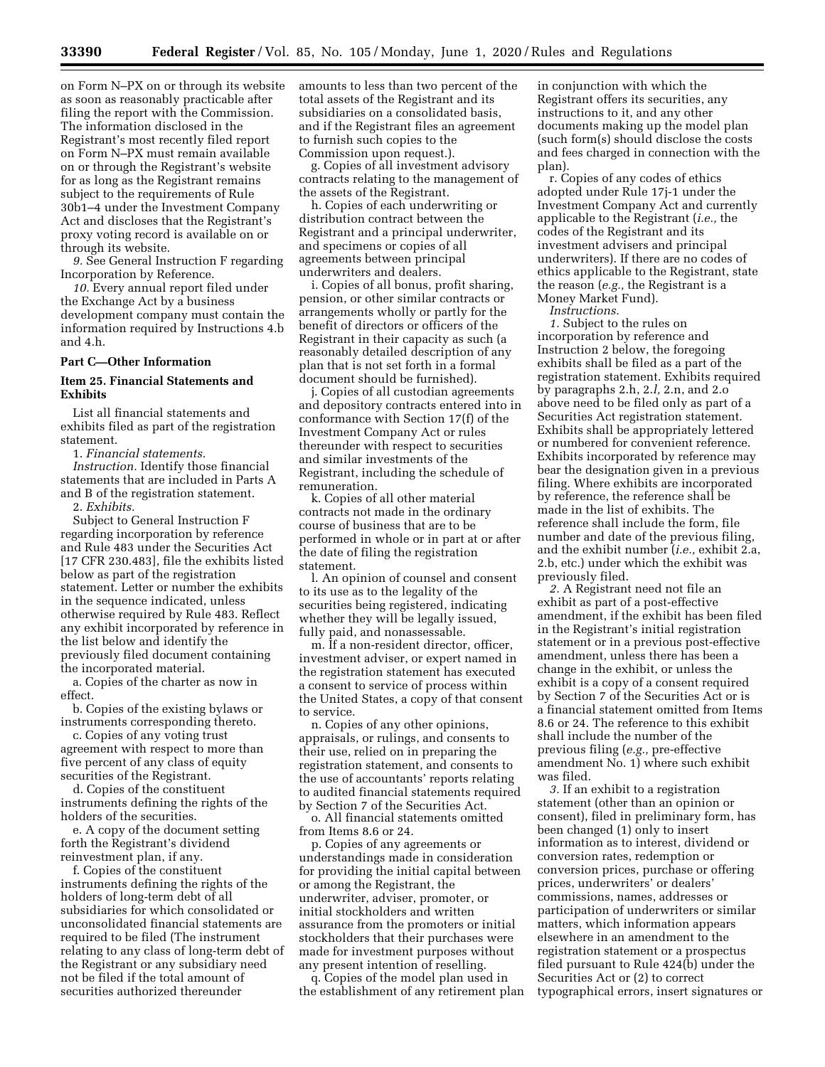on Form N–PX on or through its website as soon as reasonably practicable after filing the report with the Commission. The information disclosed in the Registrant's most recently filed report on Form N–PX must remain available on or through the Registrant's website for as long as the Registrant remains subject to the requirements of Rule 30b1–4 under the Investment Company Act and discloses that the Registrant's proxy voting record is available on or through its website.

*9.* See General Instruction F regarding Incorporation by Reference.

*10.* Every annual report filed under the Exchange Act by a business development company must contain the information required by Instructions 4.b and 4.h.

#### **Part C—Other Information**

## **Item 25. Financial Statements and Exhibits**

List all financial statements and exhibits filed as part of the registration statement.

1. *Financial statements. Instruction.* Identify those financial statements that are included in Parts A and B of the registration statement. 2. *Exhibits.* 

Subject to General Instruction F regarding incorporation by reference and Rule 483 under the Securities Act [17 CFR 230.483], file the exhibits listed below as part of the registration statement. Letter or number the exhibits in the sequence indicated, unless otherwise required by Rule 483. Reflect any exhibit incorporated by reference in the list below and identify the previously filed document containing the incorporated material.

a. Copies of the charter as now in effect.

b. Copies of the existing bylaws or instruments corresponding thereto.

c. Copies of any voting trust agreement with respect to more than five percent of any class of equity securities of the Registrant.

d. Copies of the constituent instruments defining the rights of the holders of the securities.

e. A copy of the document setting forth the Registrant's dividend reinvestment plan, if any.

f. Copies of the constituent instruments defining the rights of the holders of long-term debt of all subsidiaries for which consolidated or unconsolidated financial statements are required to be filed (The instrument relating to any class of long-term debt of the Registrant or any subsidiary need not be filed if the total amount of securities authorized thereunder

amounts to less than two percent of the total assets of the Registrant and its subsidiaries on a consolidated basis, and if the Registrant files an agreement to furnish such copies to the Commission upon request.).

g. Copies of all investment advisory contracts relating to the management of the assets of the Registrant.

h. Copies of each underwriting or distribution contract between the Registrant and a principal underwriter, and specimens or copies of all agreements between principal underwriters and dealers.

i. Copies of all bonus, profit sharing, pension, or other similar contracts or arrangements wholly or partly for the benefit of directors or officers of the Registrant in their capacity as such (a reasonably detailed description of any plan that is not set forth in a formal document should be furnished).

j. Copies of all custodian agreements and depository contracts entered into in conformance with Section 17(f) of the Investment Company Act or rules thereunder with respect to securities and similar investments of the Registrant, including the schedule of remuneration.

k. Copies of all other material contracts not made in the ordinary course of business that are to be performed in whole or in part at or after the date of filing the registration statement.

l. An opinion of counsel and consent to its use as to the legality of the securities being registered, indicating whether they will be legally issued, fully paid, and nonassessable.

m. If a non-resident director, officer, investment adviser, or expert named in the registration statement has executed a consent to service of process within the United States, a copy of that consent to service.

n. Copies of any other opinions, appraisals, or rulings, and consents to their use, relied on in preparing the registration statement, and consents to the use of accountants' reports relating to audited financial statements required by Section 7 of the Securities Act.

o. All financial statements omitted from Items 8.6 or 24.

p. Copies of any agreements or understandings made in consideration for providing the initial capital between or among the Registrant, the underwriter, adviser, promoter, or initial stockholders and written assurance from the promoters or initial stockholders that their purchases were made for investment purposes without any present intention of reselling.

q. Copies of the model plan used in the establishment of any retirement plan in conjunction with which the Registrant offers its securities, any instructions to it, and any other documents making up the model plan (such form(s) should disclose the costs and fees charged in connection with the plan).

r. Copies of any codes of ethics adopted under Rule 17j-1 under the Investment Company Act and currently applicable to the Registrant (*i.e.,* the codes of the Registrant and its investment advisers and principal underwriters). If there are no codes of ethics applicable to the Registrant, state the reason (*e.g.,* the Registrant is a Money Market Fund).

*Instructions.* 

*1.* Subject to the rules on incorporation by reference and Instruction 2 below, the foregoing exhibits shall be filed as a part of the registration statement. Exhibits required by paragraphs 2.h, 2.*l,* 2.n, and 2.o above need to be filed only as part of a Securities Act registration statement. Exhibits shall be appropriately lettered or numbered for convenient reference. Exhibits incorporated by reference may bear the designation given in a previous filing. Where exhibits are incorporated by reference, the reference shall be made in the list of exhibits. The reference shall include the form, file number and date of the previous filing, and the exhibit number (*i.e.,* exhibit 2.a, 2.b, etc.) under which the exhibit was previously filed.

*2.* A Registrant need not file an exhibit as part of a post-effective amendment, if the exhibit has been filed in the Registrant's initial registration statement or in a previous post-effective amendment, unless there has been a change in the exhibit, or unless the exhibit is a copy of a consent required by Section 7 of the Securities Act or is a financial statement omitted from Items 8.6 or 24. The reference to this exhibit shall include the number of the previous filing (*e.g.,* pre-effective amendment No. 1) where such exhibit was filed.

*3.* If an exhibit to a registration statement (other than an opinion or consent), filed in preliminary form, has been changed (1) only to insert information as to interest, dividend or conversion rates, redemption or conversion prices, purchase or offering prices, underwriters' or dealers' commissions, names, addresses or participation of underwriters or similar matters, which information appears elsewhere in an amendment to the registration statement or a prospectus filed pursuant to Rule 424(b) under the Securities Act or (2) to correct typographical errors, insert signatures or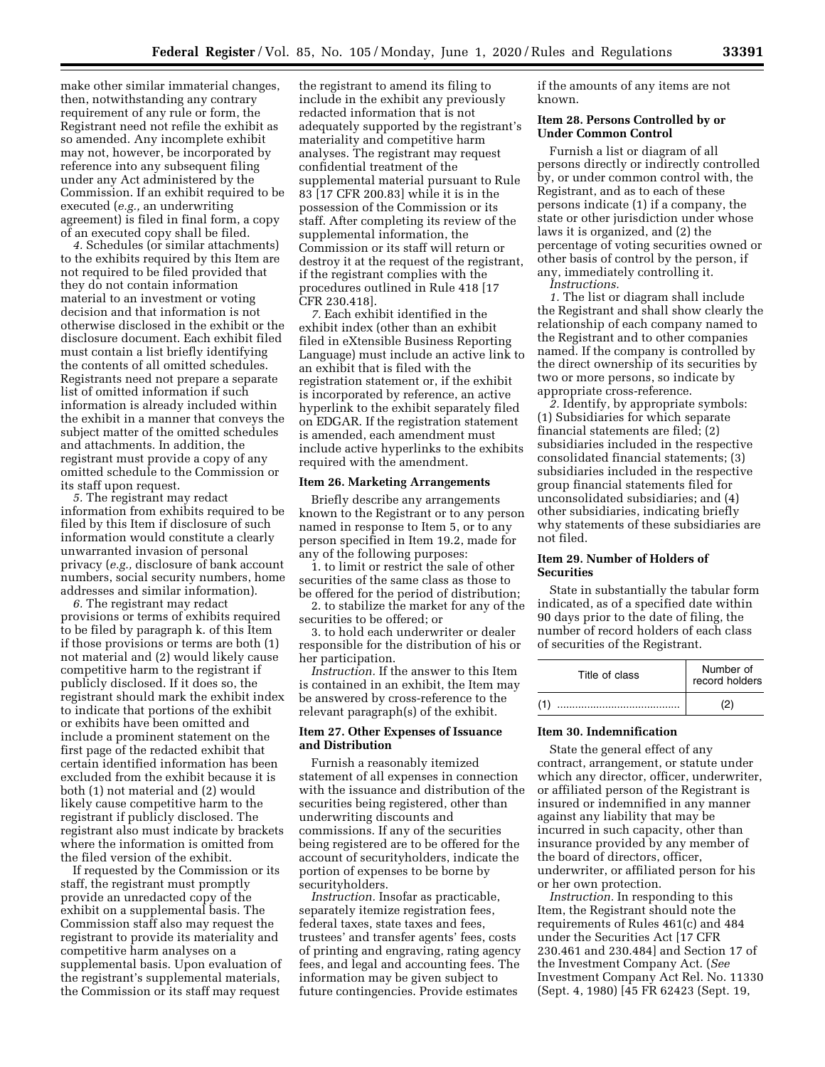make other similar immaterial changes, then, notwithstanding any contrary requirement of any rule or form, the Registrant need not refile the exhibit as so amended. Any incomplete exhibit may not, however, be incorporated by reference into any subsequent filing under any Act administered by the Commission. If an exhibit required to be executed (*e.g.,* an underwriting agreement) is filed in final form, a copy of an executed copy shall be filed.

*4.* Schedules (or similar attachments) to the exhibits required by this Item are not required to be filed provided that they do not contain information material to an investment or voting decision and that information is not otherwise disclosed in the exhibit or the disclosure document. Each exhibit filed must contain a list briefly identifying the contents of all omitted schedules. Registrants need not prepare a separate list of omitted information if such information is already included within the exhibit in a manner that conveys the subject matter of the omitted schedules and attachments. In addition, the registrant must provide a copy of any omitted schedule to the Commission or its staff upon request.

*5.* The registrant may redact information from exhibits required to be filed by this Item if disclosure of such information would constitute a clearly unwarranted invasion of personal privacy (*e.g.,* disclosure of bank account numbers, social security numbers, home addresses and similar information).

*6.* The registrant may redact provisions or terms of exhibits required to be filed by paragraph k. of this Item if those provisions or terms are both (1) not material and (2) would likely cause competitive harm to the registrant if publicly disclosed. If it does so, the registrant should mark the exhibit index to indicate that portions of the exhibit or exhibits have been omitted and include a prominent statement on the first page of the redacted exhibit that certain identified information has been excluded from the exhibit because it is both (1) not material and (2) would likely cause competitive harm to the registrant if publicly disclosed. The registrant also must indicate by brackets where the information is omitted from the filed version of the exhibit.

If requested by the Commission or its staff, the registrant must promptly provide an unredacted copy of the exhibit on a supplemental basis. The Commission staff also may request the registrant to provide its materiality and competitive harm analyses on a supplemental basis. Upon evaluation of the registrant's supplemental materials, the Commission or its staff may request

the registrant to amend its filing to include in the exhibit any previously redacted information that is not adequately supported by the registrant's materiality and competitive harm analyses. The registrant may request confidential treatment of the supplemental material pursuant to Rule 83 [17 CFR 200.83] while it is in the possession of the Commission or its staff. After completing its review of the supplemental information, the Commission or its staff will return or destroy it at the request of the registrant, if the registrant complies with the procedures outlined in Rule 418 [17 CFR 230.418].

*7.* Each exhibit identified in the exhibit index (other than an exhibit filed in eXtensible Business Reporting Language) must include an active link to an exhibit that is filed with the registration statement or, if the exhibit is incorporated by reference, an active hyperlink to the exhibit separately filed on EDGAR. If the registration statement is amended, each amendment must include active hyperlinks to the exhibits required with the amendment.

## **Item 26. Marketing Arrangements**

Briefly describe any arrangements known to the Registrant or to any person named in response to Item 5, or to any person specified in Item 19.2, made for any of the following purposes:

1. to limit or restrict the sale of other securities of the same class as those to be offered for the period of distribution;

2. to stabilize the market for any of the securities to be offered; or

3. to hold each underwriter or dealer responsible for the distribution of his or her participation.

*Instruction.* If the answer to this Item is contained in an exhibit, the Item may be answered by cross-reference to the relevant paragraph(s) of the exhibit.

# **Item 27. Other Expenses of Issuance and Distribution**

Furnish a reasonably itemized statement of all expenses in connection with the issuance and distribution of the securities being registered, other than underwriting discounts and commissions. If any of the securities being registered are to be offered for the account of securityholders, indicate the portion of expenses to be borne by securityholders.

*Instruction.* Insofar as practicable, separately itemize registration fees, federal taxes, state taxes and fees, trustees' and transfer agents' fees, costs of printing and engraving, rating agency fees, and legal and accounting fees. The information may be given subject to future contingencies. Provide estimates

if the amounts of any items are not known.

## **Item 28. Persons Controlled by or Under Common Control**

Furnish a list or diagram of all persons directly or indirectly controlled by, or under common control with, the Registrant, and as to each of these persons indicate (1) if a company, the state or other jurisdiction under whose laws it is organized, and (2) the percentage of voting securities owned or other basis of control by the person, if any, immediately controlling it.

*Instructions.* 

*1.* The list or diagram shall include the Registrant and shall show clearly the relationship of each company named to the Registrant and to other companies named. If the company is controlled by the direct ownership of its securities by two or more persons, so indicate by appropriate cross-reference.

*2.* Identify, by appropriate symbols: (1) Subsidiaries for which separate financial statements are filed; (2) subsidiaries included in the respective consolidated financial statements; (3) subsidiaries included in the respective group financial statements filed for unconsolidated subsidiaries; and (4) other subsidiaries, indicating briefly why statements of these subsidiaries are not filed.

## **Item 29. Number of Holders of Securities**

State in substantially the tabular form indicated, as of a specified date within 90 days prior to the date of filing, the number of record holders of each class of securities of the Registrant.

|     | Title of class | Number of<br>record holders |
|-----|----------------|-----------------------------|
| (1) |                | (2)                         |

## **Item 30. Indemnification**

State the general effect of any contract, arrangement, or statute under which any director, officer, underwriter, or affiliated person of the Registrant is insured or indemnified in any manner against any liability that may be incurred in such capacity, other than insurance provided by any member of the board of directors, officer, underwriter, or affiliated person for his or her own protection.

*Instruction.* In responding to this Item, the Registrant should note the requirements of Rules 461(c) and 484 under the Securities Act [17 CFR 230.461 and 230.484] and Section 17 of the Investment Company Act. (*See*  Investment Company Act Rel. No. 11330 (Sept. 4, 1980) [45 FR 62423 (Sept. 19,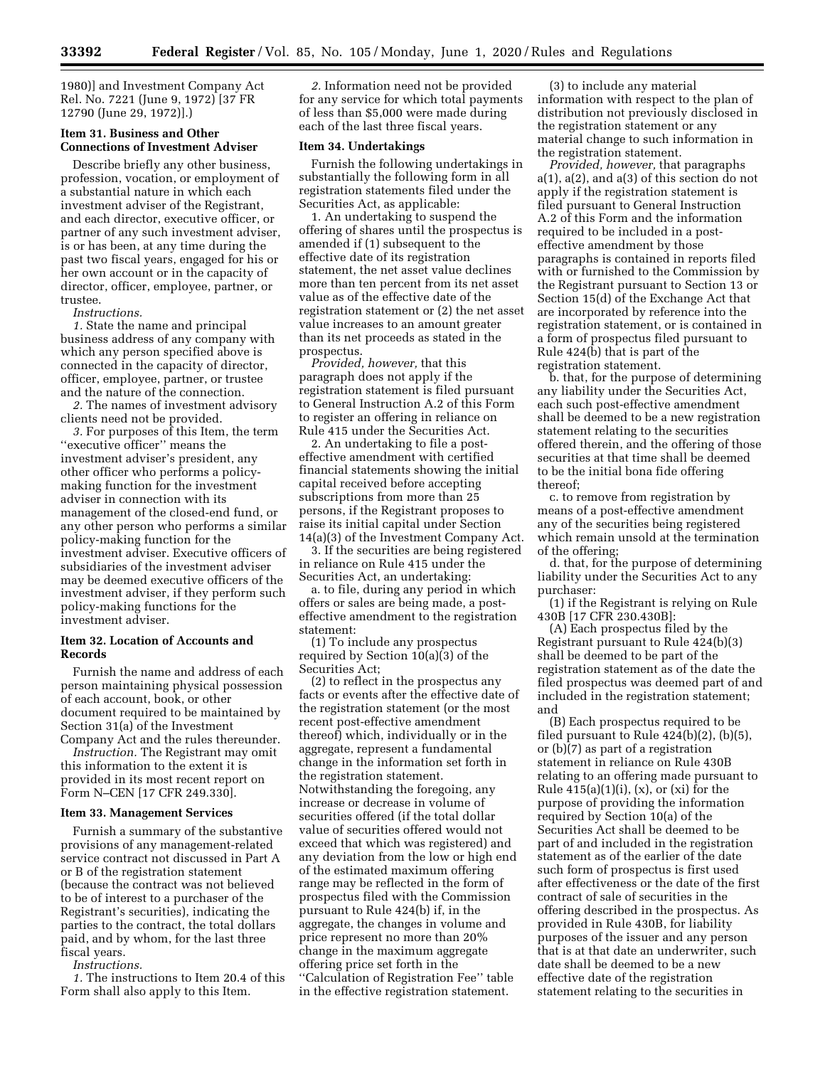1980)] and Investment Company Act Rel. No. 7221 (June 9, 1972) [37 FR 12790 (June 29, 1972)].)

## **Item 31. Business and Other Connections of Investment Adviser**

Describe briefly any other business, profession, vocation, or employment of a substantial nature in which each investment adviser of the Registrant, and each director, executive officer, or partner of any such investment adviser, is or has been, at any time during the past two fiscal years, engaged for his or her own account or in the capacity of director, officer, employee, partner, or trustee.

*Instructions.* 

*1.* State the name and principal business address of any company with which any person specified above is connected in the capacity of director, officer, employee, partner, or trustee and the nature of the connection.

*2.* The names of investment advisory clients need not be provided.

*3.* For purposes of this Item, the term "executive officer" means the investment adviser's president, any other officer who performs a policymaking function for the investment adviser in connection with its management of the closed-end fund, or any other person who performs a similar policy-making function for the investment adviser. Executive officers of subsidiaries of the investment adviser may be deemed executive officers of the investment adviser, if they perform such policy-making functions for the investment adviser.

## **Item 32. Location of Accounts and Records**

Furnish the name and address of each person maintaining physical possession of each account, book, or other document required to be maintained by Section 31(a) of the Investment Company Act and the rules thereunder.

*Instruction.* The Registrant may omit this information to the extent it is provided in its most recent report on Form N–CEN [17 CFR 249.330].

## **Item 33. Management Services**

Furnish a summary of the substantive provisions of any management-related service contract not discussed in Part A or B of the registration statement (because the contract was not believed to be of interest to a purchaser of the Registrant's securities), indicating the parties to the contract, the total dollars paid, and by whom, for the last three fiscal years.

*Instructions.* 

*1.* The instructions to Item 20.4 of this Form shall also apply to this Item.

*2.* Information need not be provided for any service for which total payments of less than \$5,000 were made during each of the last three fiscal years.

## **Item 34. Undertakings**

Furnish the following undertakings in substantially the following form in all registration statements filed under the Securities Act, as applicable:

1. An undertaking to suspend the offering of shares until the prospectus is amended if (1) subsequent to the effective date of its registration statement, the net asset value declines more than ten percent from its net asset value as of the effective date of the registration statement or (2) the net asset value increases to an amount greater than its net proceeds as stated in the prospectus.

*Provided, however,* that this paragraph does not apply if the registration statement is filed pursuant to General Instruction A.2 of this Form to register an offering in reliance on Rule 415 under the Securities Act.

2. An undertaking to file a posteffective amendment with certified financial statements showing the initial capital received before accepting subscriptions from more than 25 persons, if the Registrant proposes to raise its initial capital under Section 14(a)(3) of the Investment Company Act.

3. If the securities are being registered in reliance on Rule 415 under the Securities Act, an undertaking:

a. to file, during any period in which offers or sales are being made, a posteffective amendment to the registration statement:

(1) To include any prospectus required by Section 10(a)(3) of the Securities Act;

(2) to reflect in the prospectus any facts or events after the effective date of the registration statement (or the most recent post-effective amendment thereof) which, individually or in the aggregate, represent a fundamental change in the information set forth in the registration statement. Notwithstanding the foregoing, any increase or decrease in volume of securities offered (if the total dollar value of securities offered would not exceed that which was registered) and any deviation from the low or high end of the estimated maximum offering range may be reflected in the form of prospectus filed with the Commission pursuant to Rule 424(b) if, in the aggregate, the changes in volume and price represent no more than 20% change in the maximum aggregate offering price set forth in the ''Calculation of Registration Fee'' table in the effective registration statement.

(3) to include any material information with respect to the plan of distribution not previously disclosed in the registration statement or any material change to such information in the registration statement.

*Provided, however,* that paragraphs a(1), a(2), and a(3) of this section do not apply if the registration statement is filed pursuant to General Instruction A.2 of this Form and the information required to be included in a posteffective amendment by those paragraphs is contained in reports filed with or furnished to the Commission by the Registrant pursuant to Section 13 or Section 15(d) of the Exchange Act that are incorporated by reference into the registration statement, or is contained in a form of prospectus filed pursuant to Rule 424(b) that is part of the registration statement.

b. that, for the purpose of determining any liability under the Securities Act, each such post-effective amendment shall be deemed to be a new registration statement relating to the securities offered therein, and the offering of those securities at that time shall be deemed to be the initial bona fide offering thereof;

c. to remove from registration by means of a post-effective amendment any of the securities being registered which remain unsold at the termination of the offering;

d. that, for the purpose of determining liability under the Securities Act to any purchaser:

(1) if the Registrant is relying on Rule 430B [17 CFR 230.430B]:

(A) Each prospectus filed by the Registrant pursuant to Rule 424(b)(3) shall be deemed to be part of the registration statement as of the date the filed prospectus was deemed part of and included in the registration statement; and

(B) Each prospectus required to be filed pursuant to Rule  $424(b)(2)$ ,  $(b)(5)$ , or (b)(7) as part of a registration statement in reliance on Rule 430B relating to an offering made pursuant to Rule  $415(a)(1)(i)$ ,  $(x)$ , or  $(xi)$  for the purpose of providing the information required by Section 10(a) of the Securities Act shall be deemed to be part of and included in the registration statement as of the earlier of the date such form of prospectus is first used after effectiveness or the date of the first contract of sale of securities in the offering described in the prospectus. As provided in Rule 430B, for liability purposes of the issuer and any person that is at that date an underwriter, such date shall be deemed to be a new effective date of the registration statement relating to the securities in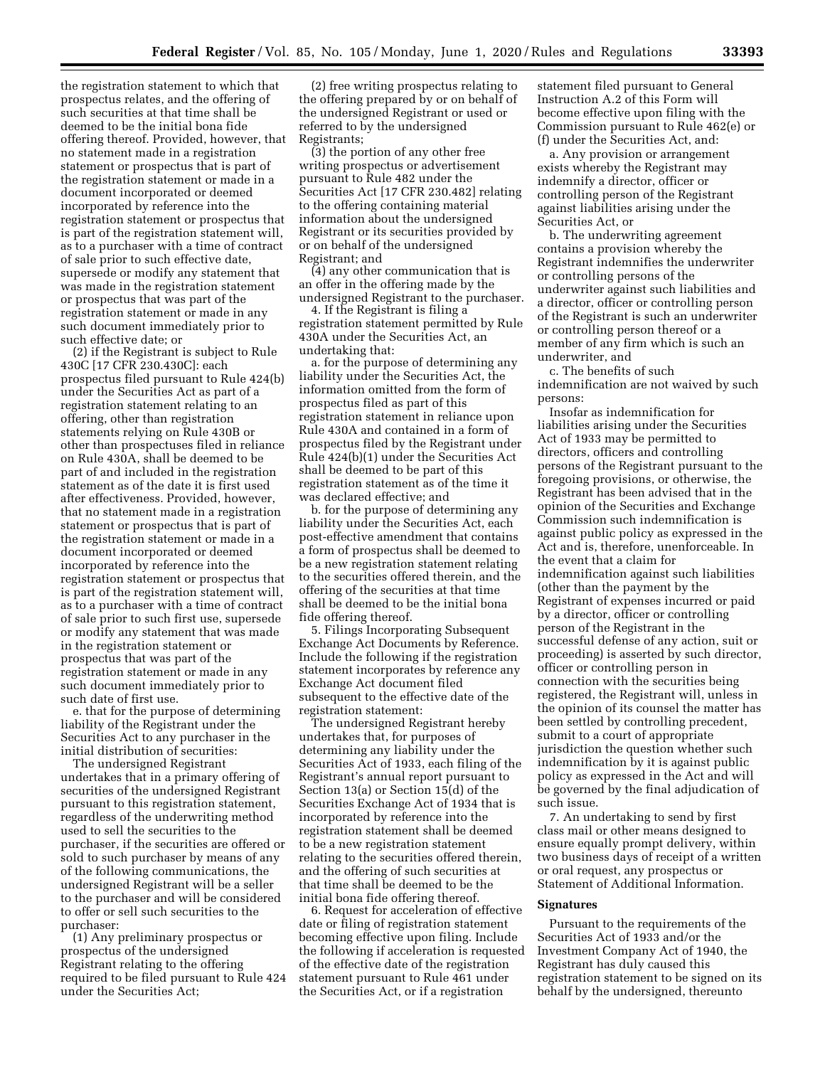the registration statement to which that prospectus relates, and the offering of such securities at that time shall be deemed to be the initial bona fide offering thereof. Provided, however, that no statement made in a registration statement or prospectus that is part of the registration statement or made in a document incorporated or deemed incorporated by reference into the registration statement or prospectus that is part of the registration statement will, as to a purchaser with a time of contract of sale prior to such effective date, supersede or modify any statement that was made in the registration statement or prospectus that was part of the registration statement or made in any such document immediately prior to such effective date; or

(2) if the Registrant is subject to Rule 430C [17 CFR 230.430C]: each prospectus filed pursuant to Rule 424(b) under the Securities Act as part of a registration statement relating to an offering, other than registration statements relying on Rule 430B or other than prospectuses filed in reliance on Rule 430A, shall be deemed to be part of and included in the registration statement as of the date it is first used after effectiveness. Provided, however, that no statement made in a registration statement or prospectus that is part of the registration statement or made in a document incorporated or deemed incorporated by reference into the registration statement or prospectus that is part of the registration statement will, as to a purchaser with a time of contract of sale prior to such first use, supersede or modify any statement that was made in the registration statement or prospectus that was part of the registration statement or made in any such document immediately prior to such date of first use.

e. that for the purpose of determining liability of the Registrant under the Securities Act to any purchaser in the initial distribution of securities:

The undersigned Registrant undertakes that in a primary offering of securities of the undersigned Registrant pursuant to this registration statement, regardless of the underwriting method used to sell the securities to the purchaser, if the securities are offered or sold to such purchaser by means of any of the following communications, the undersigned Registrant will be a seller to the purchaser and will be considered to offer or sell such securities to the purchaser:

(1) Any preliminary prospectus or prospectus of the undersigned Registrant relating to the offering required to be filed pursuant to Rule 424 under the Securities Act;

(2) free writing prospectus relating to the offering prepared by or on behalf of the undersigned Registrant or used or referred to by the undersigned Registrants;

(3) the portion of any other free writing prospectus or advertisement pursuant to Rule 482 under the Securities Act [17 CFR 230.482] relating to the offering containing material information about the undersigned Registrant or its securities provided by or on behalf of the undersigned Registrant; and

(4) any other communication that is an offer in the offering made by the undersigned Registrant to the purchaser.

4. If the Registrant is filing a registration statement permitted by Rule 430A under the Securities Act, an undertaking that:

a. for the purpose of determining any liability under the Securities Act, the information omitted from the form of prospectus filed as part of this registration statement in reliance upon Rule 430A and contained in a form of prospectus filed by the Registrant under Rule 424(b)(1) under the Securities Act shall be deemed to be part of this registration statement as of the time it was declared effective; and

b. for the purpose of determining any liability under the Securities Act, each post-effective amendment that contains a form of prospectus shall be deemed to be a new registration statement relating to the securities offered therein, and the offering of the securities at that time shall be deemed to be the initial bona fide offering thereof.

5. Filings Incorporating Subsequent Exchange Act Documents by Reference. Include the following if the registration statement incorporates by reference any Exchange Act document filed subsequent to the effective date of the registration statement:

The undersigned Registrant hereby undertakes that, for purposes of determining any liability under the Securities Act of 1933, each filing of the Registrant's annual report pursuant to Section 13(a) or Section 15(d) of the Securities Exchange Act of 1934 that is incorporated by reference into the registration statement shall be deemed to be a new registration statement relating to the securities offered therein, and the offering of such securities at that time shall be deemed to be the initial bona fide offering thereof.

6. Request for acceleration of effective date or filing of registration statement becoming effective upon filing. Include the following if acceleration is requested of the effective date of the registration statement pursuant to Rule 461 under the Securities Act, or if a registration

statement filed pursuant to General Instruction A.2 of this Form will become effective upon filing with the Commission pursuant to Rule 462(e) or (f) under the Securities Act, and:

a. Any provision or arrangement exists whereby the Registrant may indemnify a director, officer or controlling person of the Registrant against liabilities arising under the Securities Act, or

b. The underwriting agreement contains a provision whereby the Registrant indemnifies the underwriter or controlling persons of the underwriter against such liabilities and a director, officer or controlling person of the Registrant is such an underwriter or controlling person thereof or a member of any firm which is such an underwriter, and

c. The benefits of such indemnification are not waived by such persons:

Insofar as indemnification for liabilities arising under the Securities Act of 1933 may be permitted to directors, officers and controlling persons of the Registrant pursuant to the foregoing provisions, or otherwise, the Registrant has been advised that in the opinion of the Securities and Exchange Commission such indemnification is against public policy as expressed in the Act and is, therefore, unenforceable. In the event that a claim for indemnification against such liabilities (other than the payment by the Registrant of expenses incurred or paid by a director, officer or controlling person of the Registrant in the successful defense of any action, suit or proceeding) is asserted by such director, officer or controlling person in connection with the securities being registered, the Registrant will, unless in the opinion of its counsel the matter has been settled by controlling precedent, submit to a court of appropriate jurisdiction the question whether such indemnification by it is against public policy as expressed in the Act and will be governed by the final adjudication of such issue.

7. An undertaking to send by first class mail or other means designed to ensure equally prompt delivery, within two business days of receipt of a written or oral request, any prospectus or Statement of Additional Information.

#### **Signatures**

Pursuant to the requirements of the Securities Act of 1933 and/or the Investment Company Act of 1940, the Registrant has duly caused this registration statement to be signed on its behalf by the undersigned, thereunto